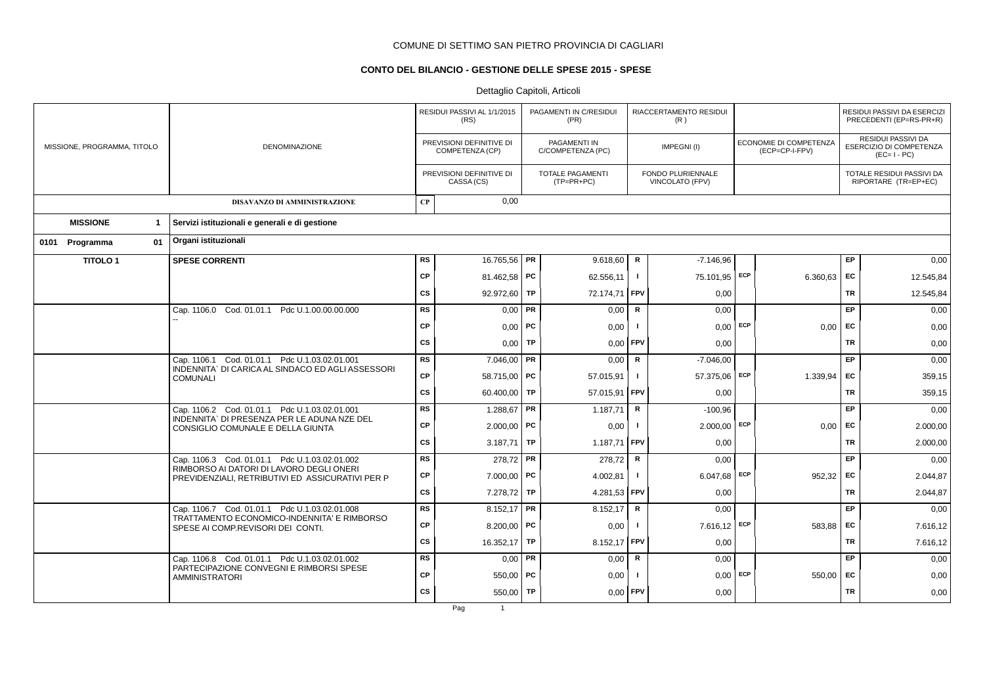# **CONTO DEL BILANCIO - GESTIONE DELLE SPESE 2015 - SPESE**

|                             |                                                                                              |                        | RESIDUI PASSIVI AL 1/1/2015<br>(RS)         |    | PAGAMENTI IN C/RESIDUI<br>(PR)          |                | RIACCERTAMENTO RESIDUI<br>(R)        |     |                                          |           | RESIDUI PASSIVI DA ESERCIZI<br>PRECEDENTI (EP=RS-PR+R)              |
|-----------------------------|----------------------------------------------------------------------------------------------|------------------------|---------------------------------------------|----|-----------------------------------------|----------------|--------------------------------------|-----|------------------------------------------|-----------|---------------------------------------------------------------------|
| MISSIONE, PROGRAMMA, TITOLO | <b>DENOMINAZIONE</b>                                                                         |                        | PREVISIONI DEFINITIVE DI<br>COMPETENZA (CP) |    | PAGAMENTI IN<br>C/COMPETENZA (PC)       |                | IMPEGNI(I)                           |     | ECONOMIE DI COMPETENZA<br>(ECP=CP-I-FPV) |           | <b>RESIDUI PASSIVI DA</b><br>ESERCIZIO DI COMPETENZA<br>$(EC=I-PC)$ |
|                             |                                                                                              |                        | PREVISIONI DEFINITIVE DI<br>CASSA (CS)      |    | <b>TOTALE PAGAMENTI</b><br>$(TP=PR+PC)$ |                | FONDO PLURIENNALE<br>VINCOLATO (FPV) |     |                                          |           | TOTALE RESIDUI PASSIVI DA<br>RIPORTARE (TR=EP+EC)                   |
|                             | DISAVANZO DI AMMINISTRAZIONE                                                                 | $\bf CP$               | 0,00                                        |    |                                         |                |                                      |     |                                          |           |                                                                     |
| <b>MISSIONE</b><br>1        | Servizi istituzionali e generali e di gestione                                               |                        |                                             |    |                                         |                |                                      |     |                                          |           |                                                                     |
| 01<br>0101 Programma        | Organi istituzionali                                                                         |                        |                                             |    |                                         |                |                                      |     |                                          |           |                                                                     |
| <b>TITOLO1</b>              | <b>SPESE CORRENTI</b>                                                                        | <b>RS</b>              | 16.765,56 PR                                |    | 9.618,60                                | $\mathbf R$    | $-7.146,96$                          |     |                                          | EP        | 0,00                                                                |
|                             |                                                                                              | <b>CP</b>              | 81.462,58   PC                              |    | 62.556,11                               | Τ.             | 75.101,95 ECP                        |     | 6.360,63                                 | EC        | 12.545,84                                                           |
|                             |                                                                                              | <b>CS</b>              | 92.972,60 TP                                |    | 72.174,71                               | FPV            | 0,00                                 |     |                                          | TR        | 12.545,84                                                           |
|                             | Cap. 1106.0 Cod. 01.01.1 Pdc U.1.00.00.00.000                                                | <b>RS</b>              | $0,00$ PR                                   |    | 0,00                                    | $\mathbf R$    | 0,00                                 |     |                                          | EP        | 0,00                                                                |
|                             |                                                                                              | <b>CP</b>              | $0,00$ PC                                   |    | 0,00                                    | - 1            | $0,00$ ECP                           |     | 0,00                                     | EC        | 0,00                                                                |
|                             |                                                                                              | CS                     | 0,00                                        | TP | 0,00                                    | FPV            | 0.00                                 |     |                                          | TR        | 0,00                                                                |
|                             | Cap. 1106.1 Cod. 01.01.1 Pdc U.1.03.02.01.001                                                | <b>RS</b>              | $7.046,00$ PR                               |    | 0,00                                    | R              | $-7.046,00$                          |     |                                          | EP        | 0,00                                                                |
|                             | INDENNITA` DI CARICA AL SINDACO ED AGLI ASSESSORI<br><b>COMUNALI</b>                         | <b>CP</b>              | 58.715.00 PC                                |    | 57.015,91                               | $\mathbf{I}$   | 57.375,06 ECP                        |     | 1.339,94                                 | EC        | 359,15                                                              |
|                             |                                                                                              | <b>CS</b>              | 60.400,00 TP                                |    | 57.015,91                               | FPV            | 0,00                                 |     |                                          | <b>TR</b> | 359,15                                                              |
|                             | Cap. 1106.2 Cod. 01.01.1 Pdc U.1.03.02.01.001                                                | <b>RS</b>              | 1.288,67   PR                               |    | 1.187,71                                | R              | $-100,96$                            |     |                                          | EP        | 0,00                                                                |
|                             | INDENNITA` DI PRESENZA PER LE ADUNA NZE DEL<br>CONSIGLIO COMUNALE E DELLA GIUNTA             | <b>CP</b>              | $2.000,00$ PC                               |    | 0,00                                    | -1             | $2.000,00$ ECP                       |     | 0,00                                     | EC        | 2.000,00                                                            |
|                             |                                                                                              | <b>CS</b>              | 3.187,71   TP                               |    | 1.187,71 FPV                            |                | 0,00                                 |     |                                          | <b>TR</b> | 2.000,00                                                            |
|                             | Cap. 1106.3 Cod. 01.01.1 Pdc U.1.03.02.01.002<br>RIMBORSO AI DATORI DI LAVORO DEGLI ONERI    | <b>RS</b>              | 278,72 PR                                   |    | 278.72                                  | $\mathsf{R}$   | 0.00                                 |     |                                          | EP        | 0,00                                                                |
|                             | PREVIDENZIALI, RETRIBUTIVI ED ASSICURATIVI PER P                                             | <b>CP</b>              | 7.000,00   PC                               |    | 4.002,81                                | $\blacksquare$ | $6.047,68$ ECP                       |     | 952,32                                   | EC        | 2.044,87                                                            |
|                             |                                                                                              | <b>CS</b>              | 7.278,72 TP                                 |    | 4.281,53                                | <b>FPV</b>     | 0,00                                 |     |                                          | <b>TR</b> | 2.044,87                                                            |
|                             | Cap. 1106.7 Cod. 01.01.1 Pdc U.1.03.02.01.008<br>TRATTAMENTO ECONOMICO-INDENNITA' E RIMBORSO | $\overline{\text{RS}}$ | 8.152,17   PR                               |    | 8.152,17                                | R              | 0,00                                 |     |                                          | EP        | 0,00                                                                |
|                             | SPESE AI COMP.REVISORI DEI CONTI.                                                            | <b>CP</b>              | 8.200,00   PC                               |    | 0,00                                    |                | 7.616,12 ECP                         |     | 583,88                                   | <b>FC</b> | 7.616,12                                                            |
|                             |                                                                                              | <b>CS</b>              | 16.352,17 TP                                |    | 8.152,17                                | FPV            | 0,00                                 |     |                                          | <b>TR</b> | 7.616,12                                                            |
|                             | Cap. 1106.8 Cod. 01.01.1 Pdc U.1.03.02.01.002<br>PARTECIPAZIONE CONVEGNI E RIMBORSI SPESE    | <b>RS</b>              | $0,00$ PR                                   |    | 0,00                                    | $\mathsf R$    | 0,00                                 |     |                                          | EP        | 0,00                                                                |
|                             | <b>AMMINISTRATORI</b>                                                                        | <b>CP</b>              | $550,00$ PC                                 |    | 0,00                                    |                | 0,00                                 | ECP | 550,00                                   | EC        | 0,00                                                                |
|                             |                                                                                              | <b>CS</b>              | 550,00 TP                                   |    | 0,00                                    | FPV            | 0,00                                 |     |                                          | <b>TR</b> | 0,00                                                                |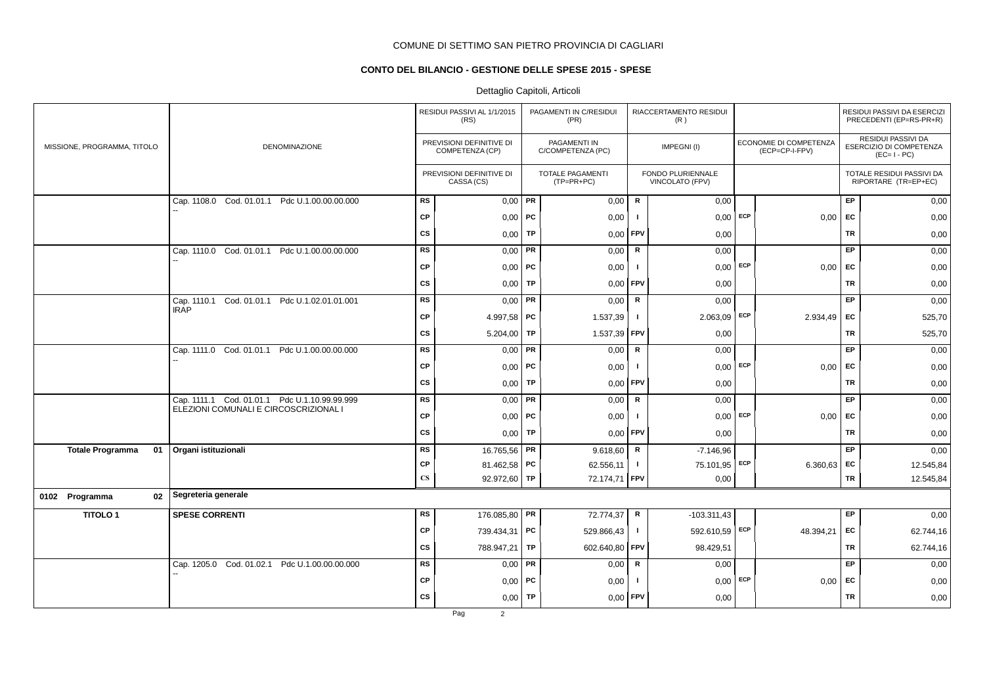# **CONTO DEL BILANCIO - GESTIONE DELLE SPESE 2015 - SPESE**

# Dettaglio Capitoli, Articoli

|                               |                                                                 |                        | RESIDUI PASSIVI AL 1/1/2015<br>(RS)         |           | PAGAMENTI IN C/RESIDUI<br>(PR)          |              | RIACCERTAMENTO RESIDUI<br>(R)        |                                          |           | RESIDUI PASSIVI DA ESERCIZI<br>PRECEDENTI (EP=RS-PR+R)              |
|-------------------------------|-----------------------------------------------------------------|------------------------|---------------------------------------------|-----------|-----------------------------------------|--------------|--------------------------------------|------------------------------------------|-----------|---------------------------------------------------------------------|
| MISSIONE, PROGRAMMA, TITOLO   | DENOMINAZIONE                                                   |                        | PREVISIONI DEFINITIVE DI<br>COMPETENZA (CP) |           | PAGAMENTI IN<br>C/COMPETENZA (PC)       |              | IMPEGNI(I)                           | ECONOMIE DI COMPETENZA<br>(ECP=CP-I-FPV) |           | <b>RESIDUI PASSIVI DA</b><br>ESERCIZIO DI COMPETENZA<br>$(EC=I-PC)$ |
|                               |                                                                 |                        | PREVISIONI DEFINITIVE DI<br>CASSA (CS)      |           | <b>TOTALE PAGAMENTI</b><br>$(TP=PR+PC)$ |              | FONDO PLURIENNALE<br>VINCOLATO (FPV) |                                          |           | TOTALE RESIDUI PASSIVI DA<br>RIPORTARE (TR=EP+EC)                   |
|                               | Cod. 01.01.1 Pdc U.1.00.00.00.000<br>Cap. 1108.0                | <b>RS</b>              | $0,00$ PR                                   |           | 0,00                                    | ${\sf R}$    | 0,00                                 |                                          | EP        | 0,00                                                                |
|                               |                                                                 | CP                     | $0,00$ PC                                   |           | 0,00                                    |              | $0,00$ ECP                           | 0,00                                     | EC        | 0,00                                                                |
|                               |                                                                 | <b>CS</b>              | 0,00                                        | <b>TP</b> | 0,00                                    | FPV          | 0,00                                 |                                          | <b>TR</b> | 0,00                                                                |
|                               | Cap. 1110.0 Cod. 01.01.1 Pdc U.1.00.00.00.000                   | <b>RS</b>              | 0,00                                        | PR        | 0,00                                    | $\mathsf R$  | 0,00                                 |                                          | EP        | 0,00                                                                |
|                               |                                                                 | <b>CP</b>              | 0,00                                        | ∣ PC      | 0,00                                    | - 1          | $0,00$ ECP                           | 0,00                                     | EC        | 0,00                                                                |
|                               |                                                                 | <b>CS</b>              | 0,00                                        | TP        | 0,00                                    | FPV          | 0,00                                 |                                          | <b>TR</b> | 0,00                                                                |
|                               | Cod. 01.01.1 Pdc U.1.02.01.01.001<br>Cap. 1110.1<br><b>IRAP</b> | <b>RS</b>              | 0,00                                        | PR        | 0,00                                    | ${\sf R}$    | 0,00                                 |                                          | EP        | 0,00                                                                |
|                               |                                                                 | <b>CP</b>              | 4.997,58   PC                               |           | 1.537,39                                | -1           | $2.063,09$ ECP                       | 2.934,49                                 | EC        | 525,70                                                              |
|                               |                                                                 | CS                     | 5.204,00                                    | TP        | 1.537,39                                | <b>FPV</b>   | 0,00                                 |                                          | <b>TR</b> | 525,70                                                              |
|                               | Cap. 1111.0 Cod. 01.01.1 Pdc U.1.00.00.00.000                   | RS                     | $0,00$ PR                                   |           | 0,00                                    | $\mathsf{R}$ | 0,00                                 |                                          | EP        | 0,00                                                                |
|                               |                                                                 | <b>CP</b>              | $0,00$   PC                                 |           | 0,00                                    | - 1          | $0,00$ ECP                           | 0,00                                     | <b>FC</b> | 0,00                                                                |
|                               |                                                                 | <b>CS</b>              | 0,00                                        | TP        | 0,00                                    | FPV          | 0,00                                 |                                          | TR        | 0,00                                                                |
|                               | Cap. 1111.1 Cod. 01.01.1 Pdc U.1.10.99.99.999                   | RS                     | $0,00$ PR                                   |           | 0,00                                    | $\mathsf R$  | 0,00                                 |                                          | EP        | 0,00                                                                |
|                               | ELEZIONI COMUNALI E CIRCOSCRIZIONAL I                           | CP                     | $0,00$ PC                                   |           | 0,00                                    |              | $0,00$ ECP                           | 0,00                                     | EC        | 0,00                                                                |
|                               |                                                                 | <b>CS</b>              | 0,00                                        | TP        | 0,00                                    | <b>FPV</b>   | 0,00                                 |                                          | <b>TR</b> | 0,00                                                                |
| <b>Totale Programma</b><br>01 | Organi istituzionali                                            | <b>RS</b>              | 16.765,56 PR                                |           | 9.618,60                                | $\mathbf R$  | $-7.146,96$                          |                                          | EP        | 0,00                                                                |
|                               |                                                                 | <b>CP</b>              | 81.462,58   PC                              |           | 62.556,11                               | $\mathbf{I}$ | 75.101,95 ECP                        | 6.360,63 EC                              |           | 12.545,84                                                           |
|                               |                                                                 | $\mathbf{C}\mathbf{S}$ | 92.972,60 TP                                |           | 72.174,71 FPV                           |              | 0,00                                 |                                          | TR        | 12.545,84                                                           |
| 0102 Programma<br>02          | Segreteria generale                                             |                        |                                             |           |                                         |              |                                      |                                          |           |                                                                     |
| <b>TITOLO1</b>                | <b>SPESE CORRENTI</b>                                           | RS                     | 176.085,80 PR                               |           | 72.774,37                               | R            | $-103.311.43$                        |                                          | EP        | 0,00                                                                |
|                               |                                                                 | CP                     | 739.434,31   PC                             |           | 529.866,43                              | $\mathbf{I}$ | 592.610,59 ECP                       | 48.394,21                                | <b>FC</b> | 62.744,16                                                           |
|                               |                                                                 | CS                     | 788.947,21                                  | TP        | 602.640,80                              | <b>FPV</b>   | 98.429,51                            |                                          | TR        | 62.744,16                                                           |
|                               | Cap. 1205.0 Cod. 01.02.1 Pdc U.1.00.00.00.000                   | <b>RS</b>              | 0,00                                        | PR        | 0,00                                    | R            | 0,00                                 |                                          | EP        | 0,00                                                                |
|                               |                                                                 | <b>CP</b>              | $0,00$ PC                                   |           | 0,00                                    |              | $0,00$ ECP                           | 0,00                                     | EC        | 0,00                                                                |
|                               |                                                                 | <b>CS</b>              | 0,00                                        | TP        | 0,00                                    | <b>FPV</b>   | 0,00                                 |                                          | TR        | 0,00                                                                |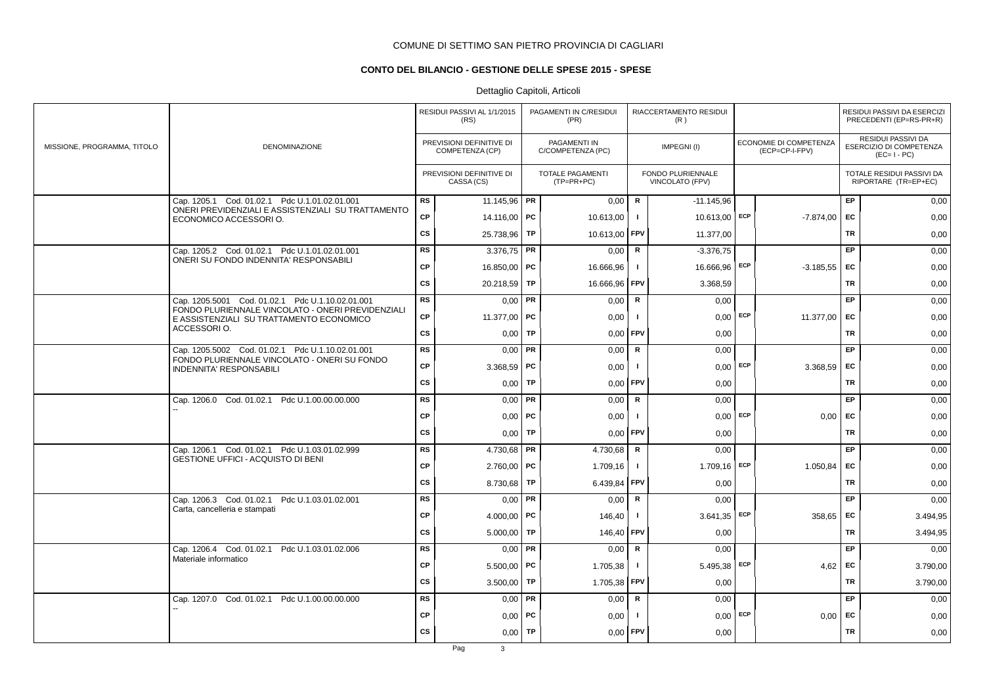# **CONTO DEL BILANCIO - GESTIONE DELLE SPESE 2015 - SPESE**

|                             |                                                                                                     |           | RESIDUI PASSIVI AL 1/1/2015<br>(RS)         |           | PAGAMENTI IN C/RESIDUI<br>(PR)        |                | RIACCERTAMENTO RESIDUI<br>(R)        |            |                                          |           | RESIDUI PASSIVI DA ESERCIZI<br>PRECEDENTI (EP=RS-PR+R)              |
|-----------------------------|-----------------------------------------------------------------------------------------------------|-----------|---------------------------------------------|-----------|---------------------------------------|----------------|--------------------------------------|------------|------------------------------------------|-----------|---------------------------------------------------------------------|
| MISSIONE, PROGRAMMA, TITOLO | <b>DENOMINAZIONE</b>                                                                                |           | PREVISIONI DEFINITIVE DI<br>COMPETENZA (CP) |           | PAGAMENTI IN<br>C/COMPETENZA (PC)     |                | IMPEGNI(I)                           |            | ECONOMIE DI COMPETENZA<br>(ECP=CP-I-FPV) |           | <b>RESIDUI PASSIVI DA</b><br>ESERCIZIO DI COMPETENZA<br>$(EC=I-PC)$ |
|                             |                                                                                                     |           | PREVISIONI DEFINITIVE DI<br>CASSA (CS)      |           | <b>TOTALE PAGAMENTI</b><br>(TP=PR+PC) |                | FONDO PLURIENNALE<br>VINCOLATO (FPV) |            |                                          |           | TOTALE RESIDUI PASSIVI DA<br>RIPORTARE (TR=EP+EC)                   |
|                             | Cap. 1205.1 Cod. 01.02.1 Pdc U.1.01.02.01.001<br>ONERI PREVIDENZIALI E ASSISTENZIALI SU TRATTAMENTO | <b>RS</b> | 11.145,96 <b>PR</b>                         |           | 0,00                                  | $\mathbf R$    | $-11.145.96$                         |            |                                          | EP        | 0,00                                                                |
|                             | ECONOMICO ACCESSORI O.                                                                              | CP        | 14.116,00   PC                              |           | 10.613,00                             | $\mathbf{I}$   | 10.613,00 ECP                        |            | $-7.874,00$                              | EC        | 0,00                                                                |
|                             |                                                                                                     | cs        | 25.738,96                                   | TP        | 10.613,00                             | FPV            | 11.377,00                            |            |                                          | <b>TR</b> | 0,00                                                                |
|                             | Cap. 1205.2 Cod. 01.02.1 Pdc U.1.01.02.01.001                                                       | RS        | 3.376,75                                    | PR        | 0,00                                  | R              | $-3.376,75$                          |            |                                          | EP.       | 0,00                                                                |
|                             | ONERI SU FONDO INDENNITA' RESPONSABILI                                                              | <b>CP</b> | 16.850,00   PC                              |           | 16.666,96                             | $\mathbf{I}$   | 16.666,96 ECP                        |            | $-3.185.55$                              | <b>EC</b> | 0,00                                                                |
|                             |                                                                                                     | <b>CS</b> | 20.218.59                                   | TP        | 16.666,96                             | <b>FPV</b>     | 3.368.59                             |            |                                          | TR        | 0,00                                                                |
|                             | Cap. 1205.5001 Cod. 01.02.1 Pdc U.1.10.02.01.001                                                    | <b>RS</b> | 0,00                                        | PR        | 0,00                                  | $\mathbf R$    | 0,00                                 |            |                                          | EP        | 0,00                                                                |
|                             | FONDO PLURIENNALE VINCOLATO - ONERI PREVIDENZIALI<br>E ASSISTENZIALI SU TRATTAMENTO ECONOMICO       | <b>CP</b> | 11.377,00 PC                                |           | 0,00                                  | $\mathbf{I}$   |                                      | $0,00$ ECP | 11.377,00                                | EC        | 0,00                                                                |
|                             | ACCESSORIO.                                                                                         | CS        | 0,00                                        | TP        | 0,00                                  | FPV            | 0,00                                 |            |                                          | <b>TR</b> | 0,00                                                                |
|                             | Cap. 1205.5002 Cod. 01.02.1 Pdc U.1.10.02.01.001                                                    | <b>RS</b> | 0,00                                        | PR        | 0,00                                  | ${\sf R}$      | 0,00                                 |            |                                          | EP.       | 0,00                                                                |
|                             | FONDO PLURIENNALE VINCOLATO - ONERI SU FONDO<br><b>INDENNITA' RESPONSABILI</b>                      | CP        | $3.368,59$ PC                               |           | 0,00                                  | -1             |                                      | $0,00$ ECP | 3.368,59                                 | <b>EC</b> | 0,00                                                                |
|                             |                                                                                                     | <b>CS</b> | 0,00                                        | TP        | 0,00                                  | <b>FPV</b>     | 0,00                                 |            |                                          | TR        | 0,00                                                                |
|                             | Cap. 1206.0 Cod. 01.02.1 Pdc U.1.00.00.00.000                                                       | RS        | $0,00$ PR                                   |           | 0,00                                  | R              | 0,00                                 |            |                                          | EP        | 0,00                                                                |
|                             |                                                                                                     | <b>CP</b> | 0,00                                        | <b>PC</b> | 0,00                                  |                | 0,00                                 | ECP        | 0,00                                     | <b>EC</b> | 0,00                                                                |
|                             |                                                                                                     | <b>CS</b> | 0,00                                        | TP        | 0,00                                  | FPV            | 0,00                                 |            |                                          | <b>TR</b> | 0,00                                                                |
|                             | Cap. 1206.1 Cod. 01.02.1 Pdc U.1.03.01.02.999                                                       | RS        | 4.730,68                                    | PR        | 4.730,68                              | $\mathbf R$    | 0,00                                 |            |                                          | <b>EP</b> | 0,00                                                                |
|                             | <b>GESTIONE UFFICI - ACQUISTO DI BENI</b>                                                           | <b>CP</b> | $2.760,00$ PC                               |           | 1.709,16                              | $\mathbf{I}$   | 1.709,16                             | ECP        | 1.050,84                                 | EC        | 0,00                                                                |
|                             |                                                                                                     | CS        | 8.730,68                                    | TP        | 6.439,84                              | FPV            | 0,00                                 |            |                                          | <b>TR</b> | 0,00                                                                |
|                             | Cap. 1206.3 Cod. 01.02.1 Pdc U.1.03.01.02.001                                                       | <b>RS</b> | 0,00                                        | PR        | 0,00                                  | $\mathsf{R}$   | 0,00                                 |            |                                          | EP        | 0,00                                                                |
|                             | Carta, cancelleria e stampati                                                                       | <b>CP</b> | 4.000.00                                    | <b>PC</b> | 146,40                                |                | 3.641,35                             | ECP        | 358,65                                   | <b>EC</b> | 3.494,95                                                            |
|                             |                                                                                                     | <b>CS</b> | 5.000,00                                    | TP        | 146,40                                | FPV            | 0,00                                 |            |                                          | <b>TR</b> | 3.494,95                                                            |
|                             | Cap. 1206.4 Cod. 01.02.1 Pdc U.1.03.01.02.006<br>Materiale informatico                              | <b>RS</b> | $0,00$ PR                                   |           | 0,00                                  | R              | 0,00                                 |            |                                          | EP        | 0,00                                                                |
|                             |                                                                                                     | <b>CP</b> | $5.500,00$ PC                               |           | 1.705,38                              | $\blacksquare$ | 5.495,38                             | ECP        | 4,62                                     | EC        | 3.790,00                                                            |
|                             |                                                                                                     | <b>CS</b> | 3.500,00                                    | TP        | 1.705,38                              | <b>FPV</b>     | 0,00                                 |            |                                          | <b>TR</b> | 3.790,00                                                            |
|                             | Cap. 1207.0 Cod. 01.02.1 Pdc U.1.00.00.00.000                                                       | RS        | 0,00                                        | <b>PR</b> | 0,00                                  | $\mathsf{R}$   | 0,00                                 |            |                                          | EP        | 0,00                                                                |
|                             |                                                                                                     | CP        | 0,00                                        | <b>PC</b> | 0,00                                  |                | 0,00                                 | ECP        | 0,00                                     | EC        | 0,00                                                                |
|                             |                                                                                                     | <b>CS</b> | 0,00                                        | <b>TP</b> | 0,00                                  | FPV            | 0,00                                 |            |                                          | <b>TR</b> | 0,00                                                                |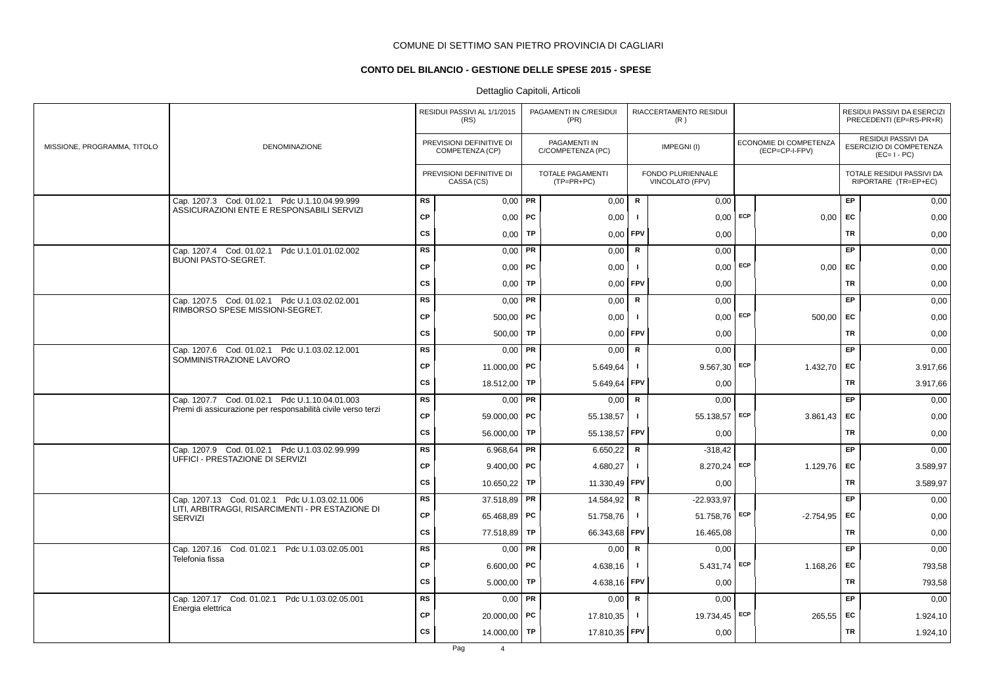# **CONTO DEL BILANCIO - GESTIONE DELLE SPESE 2015 - SPESE**

|                             |                                                                                            |           | RESIDUI PASSIVI AL 1/1/2015<br>(RS)         |           | PAGAMENTI IN C/RESIDUI<br>(PR)          |                | RIACCERTAMENTO RESIDUI<br>(R)        |     |                                          |           | RESIDUI PASSIVI DA ESERCIZI<br>PRECEDENTI (EP=RS-PR+R)       |
|-----------------------------|--------------------------------------------------------------------------------------------|-----------|---------------------------------------------|-----------|-----------------------------------------|----------------|--------------------------------------|-----|------------------------------------------|-----------|--------------------------------------------------------------|
| MISSIONE, PROGRAMMA, TITOLO | <b>DENOMINAZIONE</b>                                                                       |           | PREVISIONI DEFINITIVE DI<br>COMPETENZA (CP) |           | PAGAMENTI IN<br>C/COMPETENZA (PC)       |                | IMPEGNI(I)                           |     | ECONOMIE DI COMPETENZA<br>(ECP=CP-I-FPV) |           | RESIDUI PASSIVI DA<br>ESERCIZIO DI COMPETENZA<br>$(EC=I-PC)$ |
|                             |                                                                                            |           | PREVISIONI DEFINITIVE DI<br>CASSA (CS)      |           | <b>TOTALE PAGAMENTI</b><br>$(TP=PR+PC)$ |                | FONDO PLURIENNALE<br>VINCOLATO (FPV) |     |                                          |           | TOTALE RESIDUI PASSIVI DA<br>RIPORTARE (TR=EP+EC)            |
|                             | Cap. 1207.3 Cod. 01.02.1 Pdc U.1.10.04.99.999<br>ASSICURAZIONI ENTE E RESPONSABILI SERVIZI | <b>RS</b> | $0,00$ PR                                   |           | 0,00                                    | $\mathsf{R}$   | 0,00                                 |     |                                          | EP        | 0,00                                                         |
|                             |                                                                                            | CP        | $0,00$ PC                                   |           | 0,00                                    | - 1            | 0,00                                 | ECP | 0,00                                     | <b>EC</b> | 0,00                                                         |
|                             |                                                                                            | cs        | 0,00                                        | TP        | 0,00                                    | FPV            | 0,00                                 |     |                                          | <b>TR</b> | 0,00                                                         |
|                             | Cap. 1207.4 Cod. 01.02.1 Pdc U.1.01.01.02.002<br><b>BUONI PASTO-SEGRET.</b>                | <b>RS</b> | 0,00                                        | PR        | 0,00                                    | $\mathsf R$    | 0,00                                 |     |                                          | EP        | 0,00                                                         |
|                             |                                                                                            | CP        | $0,00$   PC                                 |           | 0,00                                    | $\mathbf{I}$   | $0,00$ ECP                           |     | $0,00$ EC                                |           | 0,00                                                         |
|                             |                                                                                            | CS        | 0,00                                        | TP        | 0,00                                    | FPV            | 0,00                                 |     |                                          | <b>TR</b> | 0,00                                                         |
|                             | Cap. 1207.5 Cod. 01.02.1 Pdc U.1.03.02.02.001<br>RIMBORSO SPESE MISSIONI-SEGRET.           | <b>RS</b> | 0,00                                        | PR        | 0,00                                    | $\mathsf{R}$   | 0,00                                 |     |                                          | <b>EP</b> | 0,00                                                         |
|                             |                                                                                            | <b>CP</b> | $500,00$ PC                                 |           | 0,00                                    | $\mathbf{I}$   | $0,00$ ECP                           |     | 500,00                                   | <b>EC</b> | 0,00                                                         |
|                             |                                                                                            | <b>CS</b> | 500,00                                      | <b>TP</b> | 0,00                                    | <b>FPV</b>     | 0,00                                 |     |                                          | <b>TR</b> | 0,00                                                         |
|                             | Cap. 1207.6 Cod. 01.02.1 Pdc U.1.03.02.12.001                                              | RS        | 0,00                                        | PR        | 0,00                                    | R              | 0,00                                 |     |                                          | EP        | 0,00                                                         |
|                             | SOMMINISTRAZIONE LAVORO                                                                    | <b>CP</b> | 11.000,00   PC                              |           | 5.649,64                                | $\mathbf{I}$   | $9.567,30$ ECP                       |     | 1.432,70                                 | EC        | 3.917,66                                                     |
|                             |                                                                                            | CS        | 18.512,00                                   | TP        | 5.649,64                                | FPV            | 0,00                                 |     |                                          | <b>TR</b> | 3.917,66                                                     |
|                             | Cap. 1207.7 Cod. 01.02.1 Pdc U.1.10.04.01.003                                              | <b>RS</b> | 0,00                                        | PR        | 0,00                                    | $\mathsf{R}$   | 0,00                                 |     |                                          | EP        | 0,00                                                         |
|                             | Premi di assicurazione per responsabilità civile verso terzi                               | CP        | 59.000,00 PC                                |           | 55.138,57                               | $\mathbf{I}$   | 55.138,57 ECP                        |     | 3.861,43                                 | EC        | 0,00                                                         |
|                             |                                                                                            | cs        | 56.000,00                                   | TP        | 55.138,57                               | FPV            | 0,00                                 |     |                                          | <b>TR</b> | 0,00                                                         |
|                             | Cap. 1207.9 Cod. 01.02.1 Pdc U.1.03.02.99.999                                              | RS        | 6.968,64   PR                               |           | 6.650,22                                | $\mathsf{R}$   | $-318,42$                            |     |                                          | EP.       | 0,00                                                         |
|                             | UFFICI - PRESTAZIONE DI SERVIZI                                                            | <b>CP</b> | $9.400,00$ PC                               |           | 4.680,27                                | $\mathbf{I}$   | 8.270,24                             | ECP | 1.129,76                                 | <b>EC</b> | 3.589,97                                                     |
|                             |                                                                                            | <b>CS</b> | 10.650,22                                   | <b>TP</b> | 11.330,49                               | FPV            | 0,00                                 |     |                                          | TR        | 3.589,97                                                     |
|                             | Cap. 1207.13 Cod. 01.02.1 Pdc U.1.03.02.11.006                                             | RS        | 37.518,89                                   | PR        | 14.584,92                               | R              | $-22.933.97$                         |     |                                          | <b>EP</b> | 0,00                                                         |
|                             | LITI, ARBITRAGGI, RISARCIMENTI - PR ESTAZIONE DI<br>SERVIZI                                | CP        | 65.468,89   PC                              |           | 51.758,76                               | $\mathbf{I}$   | 51.758,76                            | ECP | $-2.754.95$                              | <b>EC</b> | 0,00                                                         |
|                             |                                                                                            | <b>CS</b> | 77.518,89                                   | <b>TP</b> | 66.343,68                               | <b>FPV</b>     | 16.465,08                            |     |                                          | TR        | 0,00                                                         |
|                             | Cap. 1207.16 Cod. 01.02.1 Pdc U.1.03.02.05.001                                             | <b>RS</b> | $0,00$ PR                                   |           | 0,00                                    | $\mathbf R$    | 0,00                                 |     |                                          | EP        | 0,00                                                         |
|                             | Telefonia fissa                                                                            | CP        | 6.600,00   PC                               |           | 4.638,16                                | $\blacksquare$ | 5.431,74                             | ECP | 1.168,26                                 | EC        | 793,58                                                       |
|                             |                                                                                            | CS        | 5.000,00                                    | TP        | 4.638,16                                | FPV            | 0,00                                 |     |                                          | <b>TR</b> | 793,58                                                       |
|                             | Cap. 1207.17 Cod. 01.02.1 Pdc U.1.03.02.05.001                                             | <b>RS</b> | $0,00$ PR                                   |           | 0,00                                    | $\mathbf R$    | 0,00                                 |     |                                          | EP        | 0,00                                                         |
|                             | Energia elettrica                                                                          | СP        | 20.000,00 PC                                |           | 17.810,35                               | $\mathbf{I}$   | 19.734,45 ECP                        |     | 265,55                                   | EC        | 1.924,10                                                     |
|                             |                                                                                            | <b>CS</b> | 14.000,00                                   | TP        | 17.810,35                               | <b>FPV</b>     | 0,00                                 |     |                                          | TR        | 1.924,10                                                     |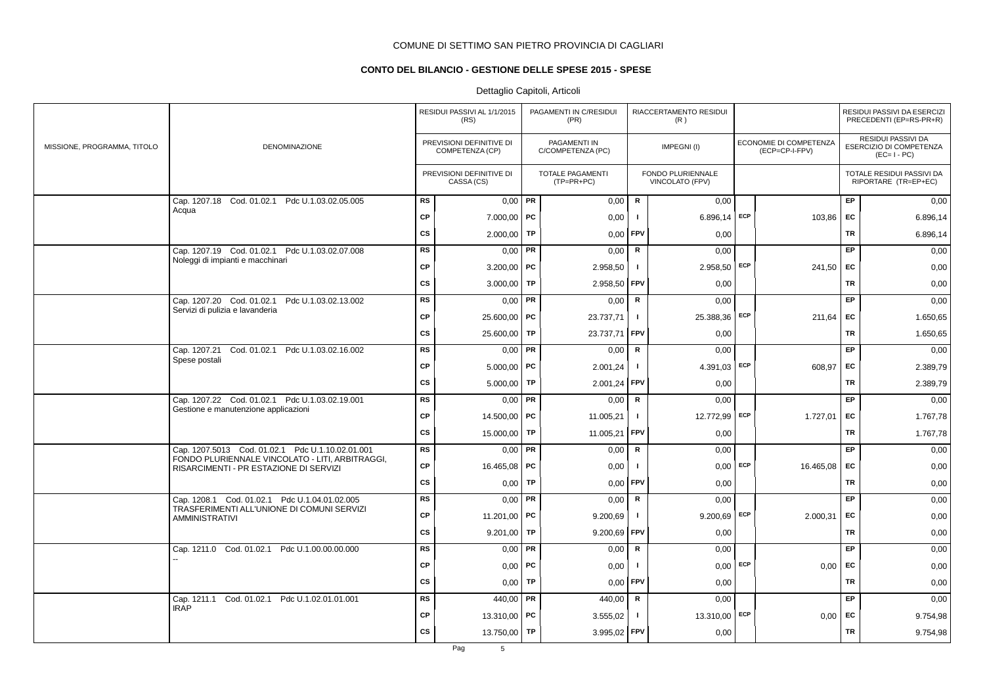# **CONTO DEL BILANCIO - GESTIONE DELLE SPESE 2015 - SPESE**

|                             |                                                                                           |           | RESIDUI PASSIVI AL 1/1/2015<br>(RS)         |           | PAGAMENTI IN C/RESIDUI<br>(PR)        |                | RIACCERTAMENTO RESIDUI<br>(R)        |     |                                          |           | RESIDUI PASSIVI DA ESERCIZI<br>PRECEDENTI (EP=RS-PR+R)       |
|-----------------------------|-------------------------------------------------------------------------------------------|-----------|---------------------------------------------|-----------|---------------------------------------|----------------|--------------------------------------|-----|------------------------------------------|-----------|--------------------------------------------------------------|
| MISSIONE, PROGRAMMA, TITOLO | DENOMINAZIONE                                                                             |           | PREVISIONI DEFINITIVE DI<br>COMPETENZA (CP) |           | PAGAMENTI IN<br>C/COMPETENZA (PC)     |                | IMPEGNI(I)                           |     | ECONOMIE DI COMPETENZA<br>(ECP=CP-I-FPV) |           | RESIDUI PASSIVI DA<br>ESERCIZIO DI COMPETENZA<br>$(EC=I-PC)$ |
|                             |                                                                                           |           | PREVISIONI DEFINITIVE DI<br>CASSA (CS)      |           | <b>TOTALE PAGAMENTI</b><br>(TP=PR+PC) |                | FONDO PLURIENNALE<br>VINCOLATO (FPV) |     |                                          |           | TOTALE RESIDUI PASSIVI DA<br>RIPORTARE (TR=EP+EC)            |
|                             | Cap. 1207.18 Cod. 01.02.1 Pdc U.1.03.02.05.005                                            | <b>RS</b> | $0,00$ PR                                   |           | 0,00                                  | R              | 0,00                                 |     |                                          | <b>EP</b> | 0,00                                                         |
|                             | Acqua                                                                                     | <b>CP</b> | $7.000,00$ PC                               |           | 0,00                                  | $\blacksquare$ | 6.896,14                             | ECP | 103,86                                   | <b>FC</b> | 6.896,14                                                     |
|                             |                                                                                           | <b>CS</b> | 2.000,00                                    | TP        | 0,00                                  | FPV            | 0,00                                 |     |                                          | <b>TR</b> | 6.896,14                                                     |
|                             | Cap. 1207.19 Cod. 01.02.1 Pdc U.1.03.02.07.008                                            | RS        | 0,00                                        | PR        | 0,00                                  | R              | 0,00                                 |     |                                          | <b>EP</b> | 0,00                                                         |
|                             | Noleggi di impianti e macchinari                                                          | <b>CP</b> | $3.200,00$ PC                               |           | 2.958,50                              | $\mathbf{I}$   | 2.958,50 ECP                         |     | 241,50                                   | <b>EC</b> | 0,00                                                         |
|                             |                                                                                           | <b>CS</b> | 3.000,00                                    | <b>TP</b> | 2.958,50                              | <b>FPV</b>     | 0,00                                 |     |                                          | <b>TR</b> | 0,00                                                         |
|                             | Cap. 1207.20 Cod. 01.02.1 Pdc U.1.03.02.13.002                                            | RS        | 0,00                                        | PR        | 0,00                                  | $\mathsf{R}$   | 0,00                                 |     |                                          | EP        | 0,00                                                         |
|                             | Servizi di pulizia e lavanderia                                                           | CP        | $25.600,00$ PC                              |           | 23.737,71                             | $\mathbf{I}$   | 25.388,36 ECP                        |     | 211,64                                   | <b>FC</b> | 1.650,65                                                     |
|                             |                                                                                           | <b>CS</b> | 25.600,00                                   | <b>TP</b> | 23.737,71                             | <b>FPV</b>     | 0,00                                 |     |                                          | <b>TR</b> | 1.650,65                                                     |
|                             | Cap. 1207.21<br>Cod. 01.02.1 Pdc U.1.03.02.16.002                                         | <b>RS</b> | $0,00$ PR                                   |           | 0,00                                  | R              | 0.00                                 |     |                                          | EP.       | 0,00                                                         |
|                             | Spese postali                                                                             | <b>CP</b> | $5.000,00$ PC                               |           | 2.001,24                              | $\mathbf{I}$   | 4.391,03 ECP                         |     | 608,97                                   | EC        | 2.389,79                                                     |
|                             |                                                                                           | <b>CS</b> | 5.000,00                                    | <b>TP</b> | 2.001,24                              | l FPV          | 0,00                                 |     |                                          | <b>TR</b> | 2.389,79                                                     |
|                             | Cap. 1207.22 Cod. 01.02.1 Pdc U.1.03.02.19.001                                            | <b>RS</b> | 0,00                                        | <b>PR</b> | 0,00                                  | ${\sf R}$      | 0,00                                 |     |                                          | <b>EP</b> | 0,00                                                         |
|                             | Gestione e manutenzione applicazioni                                                      | CP        | 14.500,00   PC                              |           | 11.005,21                             | $\mathbf{I}$   | 12.772,99 ECP                        |     | 1.727,01                                 | EC        | 1.767,78                                                     |
|                             |                                                                                           | cs        | 15.000,00                                   | TP        | 11.005,21                             | FPV            | 0,00                                 |     |                                          | <b>TR</b> | 1.767,78                                                     |
|                             | Cap. 1207.5013 Cod. 01.02.1 Pdc U.1.10.02.01.001                                          | <b>RS</b> | 0,00                                        | PR        | 0,00                                  | $\mathbf R$    | 0,00                                 |     |                                          | EP        | 0,00                                                         |
|                             | FONDO PLURIENNALE VINCOLATO - LITI, ARBITRAGGI,<br>RISARCIMENTI - PR ESTAZIONE DI SERVIZI | CP        | 16.465,08   PC                              |           | 0,00                                  |                | 0,00                                 | ECP | 16.465,08                                | EC        | 0,00                                                         |
|                             |                                                                                           | <b>CS</b> | 0,00                                        | TP        | 0,00                                  | FPV            | 0,00                                 |     |                                          | <b>TR</b> | 0,00                                                         |
|                             | Cap. 1208.1 Cod. 01.02.1 Pdc U.1.04.01.02.005                                             | <b>RS</b> | $0,00$ PR                                   |           | 0,00                                  | $\mathsf R$    | 0,00                                 |     |                                          | EP.       | 0,00                                                         |
|                             | TRASFERIMENTI ALL'UNIONE DI COMUNI SERVIZI<br><b>AMMINISTRATIVI</b>                       | CP        | 11.201,00   PC                              |           | 9.200,69                              | $\mathbf{I}$   | 9.200,69                             | ECP | 2.000,31                                 | EC        | 0,00                                                         |
|                             |                                                                                           | <b>CS</b> | 9.201,00                                    | TP        | 9.200,69                              | FPV            | 0,00                                 |     |                                          | <b>TR</b> | 0,00                                                         |
|                             | Cap. 1211.0 Cod. 01.02.1 Pdc U.1.00.00.00.000                                             | <b>RS</b> | 0,00                                        | <b>PR</b> | 0,00                                  | $\mathsf{R}$   | 0,00                                 |     |                                          | EP        | 0,00                                                         |
|                             |                                                                                           | <b>CP</b> | 0,00                                        | PC        | 0,00                                  | -1             | 0,00                                 | ECP | 0,00                                     | EC        | 0,00                                                         |
|                             |                                                                                           | <b>CS</b> | 0,00                                        | TP        | 0,00                                  | <b>FPV</b>     | 0,00                                 |     |                                          | TR        | 0,00                                                         |
|                             | Cod. 01.02.1 Pdc U.1.02.01.01.001<br>Cap. 1211.1                                          | <b>RS</b> | 440,00   PR                                 |           | 440,00                                | $\mathsf{R}$   | 0,00                                 |     |                                          | EP        | 0,00                                                         |
|                             | <b>IRAP</b>                                                                               | <b>CP</b> | 13.310,00 PC                                |           | 3.555,02                              | -1             | 13.310,00                            | ECP | 0,00                                     | EC        | 9.754,98                                                     |
|                             |                                                                                           | <b>CS</b> | 13.750,00                                   | TP        | 3.995,02 FPV                          |                | 0,00                                 |     |                                          | <b>TR</b> | 9.754,98                                                     |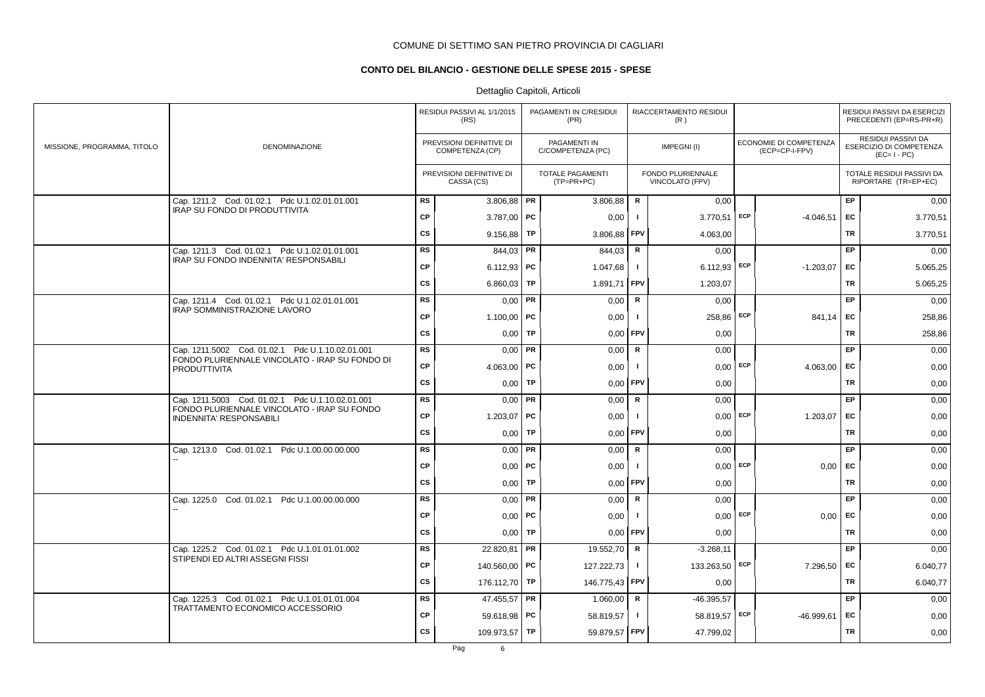# **CONTO DEL BILANCIO - GESTIONE DELLE SPESE 2015 - SPESE**

|                             |                                                                                   |           | RESIDUI PASSIVI AL 1/1/2015<br>(RS)         |    | PAGAMENTI IN C/RESIDUI<br>(PR)        |              | RIACCERTAMENTO RESIDUI<br>(R)        |            |                                          |           | RESIDUI PASSIVI DA ESERCIZI<br>PRECEDENTI (EP=RS-PR+R)       |
|-----------------------------|-----------------------------------------------------------------------------------|-----------|---------------------------------------------|----|---------------------------------------|--------------|--------------------------------------|------------|------------------------------------------|-----------|--------------------------------------------------------------|
| MISSIONE, PROGRAMMA, TITOLO | DENOMINAZIONE                                                                     |           | PREVISIONI DEFINITIVE DI<br>COMPETENZA (CP) |    | PAGAMENTI IN<br>C/COMPETENZA (PC)     |              | IMPEGNI(I)                           |            | ECONOMIE DI COMPETENZA<br>(ECP=CP-I-FPV) |           | RESIDUI PASSIVI DA<br>ESERCIZIO DI COMPETENZA<br>$(EC=I-PC)$ |
|                             |                                                                                   |           | PREVISIONI DEFINITIVE DI<br>CASSA (CS)      |    | <b>TOTALE PAGAMENTI</b><br>(TP=PR+PC) |              | FONDO PLURIENNALE<br>VINCOLATO (FPV) |            |                                          |           | TOTALE RESIDUI PASSIVI DA<br>RIPORTARE (TR=EP+EC)            |
|                             | Cap. 1211.2 Cod. 01.02.1 Pdc U.1.02.01.01.001                                     | <b>RS</b> | $3.806,88$ PR                               |    | 3.806,88                              | R            | 0,00                                 |            |                                          | <b>EP</b> | 0,00                                                         |
|                             | IRAP SU FONDO DI PRODUTTIVITA                                                     | <b>CP</b> | 3.787,00 PC                                 |    | 0,00                                  | $\mathbf{I}$ | $3.770,51$ ECP                       |            | $-4.046,51$                              | EC        | 3.770,51                                                     |
|                             |                                                                                   | <b>CS</b> | 9.156,88                                    | TP | 3.806,88                              | <b>FPV</b>   | 4.063,00                             |            |                                          | TR        | 3.770,51                                                     |
|                             | Cap. 1211.3 Cod. 01.02.1 Pdc U.1.02.01.01.001                                     | RS        | 844,03 PR                                   |    | 844,03                                | R            | 0,00                                 |            |                                          | <b>EP</b> | 0,00                                                         |
|                             | IRAP SU FONDO INDENNITA' RESPONSABILI                                             | <b>CP</b> | 6.112,93   PC                               |    | 1.047,68                              | $\mathbf{I}$ | $6.112,93$ ECP                       |            | $-1.203,07$                              | EC        | 5.065,25                                                     |
|                             |                                                                                   | <b>CS</b> | 6.860,03   TP                               |    | 1.891,71 FPV                          |              | 1.203,07                             |            |                                          | TR        | 5.065,25                                                     |
|                             | Cap. 1211.4 Cod. 01.02.1 Pdc U.1.02.01.01.001                                     | <b>RS</b> | $0,00$ PR                                   |    | 0,00                                  | $\mathsf{R}$ | 0,00                                 |            |                                          | <b>EP</b> | 0,00                                                         |
|                             | IRAP SOMMINISTRAZIONE LAVORO                                                      | <b>CP</b> | 1.100,00   PC                               |    | 0,00                                  | $\mathbf{I}$ | 258,86                               | ECP        | 841,14 EC                                |           | 258,86                                                       |
|                             |                                                                                   | <b>CS</b> | $0,00$ TP                                   |    | 0,00                                  | <b>FPV</b>   | 0,00                                 |            |                                          | TR        | 258,86                                                       |
|                             | Cap. 1211.5002 Cod. 01.02.1 Pdc U.1.10.02.01.001                                  | <b>RS</b> | $0,00$ PR                                   |    | 0,00                                  | R            | 0.00                                 |            |                                          | EP        | 0,00                                                         |
|                             | FONDO PLURIENNALE VINCOLATO - IRAP SU FONDO DI<br><b>PRODUTTIVITA</b>             | <b>CP</b> | 4.063,00   PC                               |    | 0,00                                  | $\mathbf{I}$ |                                      | $0.00$ ECP | 4.063.00                                 | EC        | 0,00                                                         |
|                             |                                                                                   | <b>CS</b> | $0,00$ TP                                   |    | 0,00                                  | FPV          | 0,00                                 |            |                                          | <b>TR</b> | 0,00                                                         |
|                             | Cap. 1211.5003 Cod. 01.02.1 Pdc U.1.10.02.01.001                                  | <b>RS</b> | $0,00$ PR                                   |    | 0,00                                  | ${\sf R}$    | 0,00                                 |            |                                          | <b>EP</b> | 0,00                                                         |
|                             | FONDO PLURIENNALE VINCOLATO - IRAP SU FONDO<br><b>INDENNITA' RESPONSABILI</b>     | <b>CP</b> | 1.203,07   PC                               |    | 0,00                                  | $\mathbf{I}$ |                                      | $0,00$ ECP | 1.203,07                                 | EC        | 0,00                                                         |
|                             |                                                                                   | CS        | $0,00$ TP                                   |    | 0,00                                  | FPV          | 0,00                                 |            |                                          | TR        | 0,00                                                         |
|                             | Cap. 1213.0 Cod. 01.02.1 Pdc U.1.00.00.00.000                                     | <b>RS</b> | $0,00$ PR                                   |    | 0,00                                  | R            | 0,00                                 |            |                                          | EP        | 0,00                                                         |
|                             |                                                                                   | <b>CP</b> | $0,00$   PC                                 |    | 0,00                                  | $\mathbf{I}$ |                                      | $0,00$ ECP | 0,00                                     | <b>FC</b> | 0,00                                                         |
|                             |                                                                                   | <b>CS</b> | 0,00                                        | TP | 0,00                                  | FPV          | 0,00                                 |            |                                          | TR        | 0,00                                                         |
|                             | Cap. 1225.0 Cod. 01.02.1 Pdc U.1.00.00.00.000                                     | <b>RS</b> | $0,00$ PR                                   |    | 0,00                                  | $\mathsf R$  | 0,00                                 |            |                                          | EP        | 0,00                                                         |
|                             |                                                                                   | <b>CP</b> | $0,00$   PC                                 |    | 0,00                                  | J.           |                                      | $0,00$ ECP | $0,00$ EC                                |           | 0,00                                                         |
|                             |                                                                                   | <b>CS</b> | $0,00$ TP                                   |    | 0,00                                  | <b>FPV</b>   | 0,00                                 |            |                                          | TR        | 0,00                                                         |
|                             | Cap. 1225.2 Cod. 01.02.1 Pdc U.1.01.01.01.002<br>STIPENDI ED ALTRI ASSEGNI FISSI  | <b>RS</b> | 22.820,81   PR                              |    | 19.552,70                             | $\mathbf R$  | $-3.268,11$                          |            |                                          | EP        | 0,00                                                         |
|                             |                                                                                   | <b>CP</b> | 140.560,00 PC                               |    | 127.222,73                            | $\mathbf{I}$ | 133.263,50 ECP                       |            | 7.296,50                                 | <b>FC</b> | 6.040,77                                                     |
|                             |                                                                                   | CS        | 176.112,70 TP                               |    | 146.775,43 FPV                        |              | 0,00                                 |            |                                          | <b>TR</b> | 6.040,77                                                     |
|                             | Cap. 1225.3 Cod. 01.02.1 Pdc U.1.01.01.01.004<br>TRATTAMENTO ECONOMICO ACCESSORIO | RS        | 47.455,57 PR                                |    | 1.060,00                              | R            | $-46.395.57$                         |            |                                          | <b>EP</b> | 0,00                                                         |
|                             |                                                                                   | <b>CP</b> | 59.618,98   PC                              |    | 58.819,57                             | $\mathbf{I}$ | 58.819,57 ECP                        |            | $-46.999.61$                             | FC        | 0,00                                                         |
|                             |                                                                                   | <b>CS</b> | 109.973,57 TP                               |    | 59.879,57 FPV                         |              | 47.799,02                            |            |                                          | TR        | 0,00                                                         |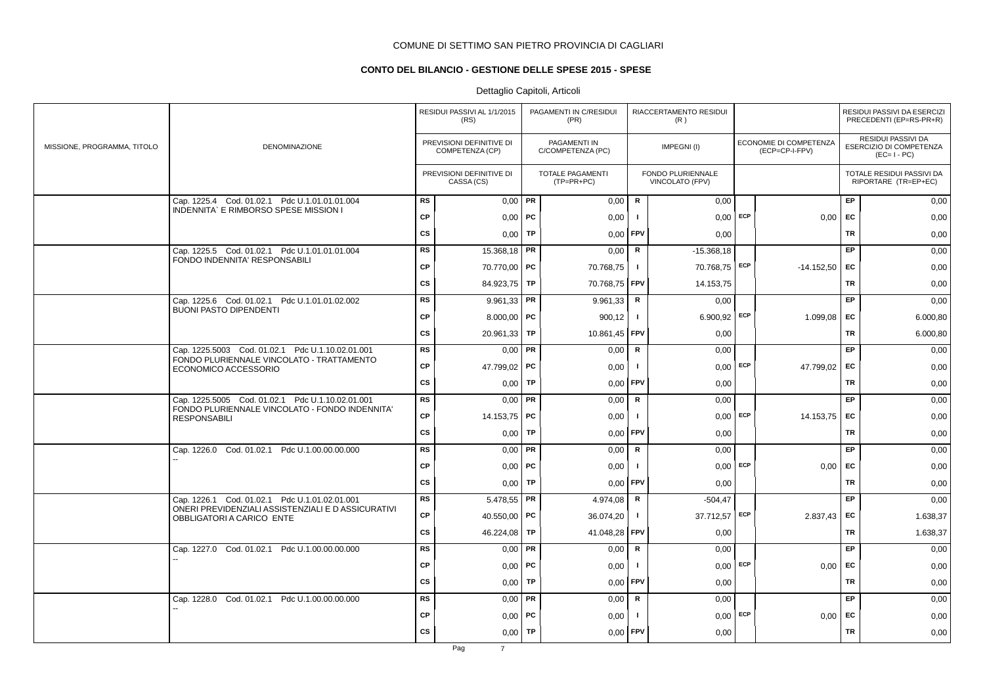# **CONTO DEL BILANCIO - GESTIONE DELLE SPESE 2015 - SPESE**

|                             |                                                                                                     |           | RESIDUI PASSIVI AL 1/1/2015<br>(RS)         |           | PAGAMENTI IN C/RESIDUI<br>(PR)    |              | RIACCERTAMENTO RESIDUI<br>(R)        |            |                                          |           | RESIDUI PASSIVI DA ESERCIZI<br>PRECEDENTI (EP=RS-PR+R)       |
|-----------------------------|-----------------------------------------------------------------------------------------------------|-----------|---------------------------------------------|-----------|-----------------------------------|--------------|--------------------------------------|------------|------------------------------------------|-----------|--------------------------------------------------------------|
| MISSIONE, PROGRAMMA, TITOLO | <b>DENOMINAZIONE</b>                                                                                |           | PREVISIONI DEFINITIVE DI<br>COMPETENZA (CP) |           | PAGAMENTI IN<br>C/COMPETENZA (PC) |              | IMPEGNI(I)                           |            | ECONOMIE DI COMPETENZA<br>(ECP=CP-I-FPV) |           | RESIDUI PASSIVI DA<br>ESERCIZIO DI COMPETENZA<br>$(EC=I-PC)$ |
|                             |                                                                                                     |           | PREVISIONI DEFINITIVE DI<br>CASSA (CS)      |           | TOTALE PAGAMENTI<br>(TP=PR+PC)    |              | FONDO PLURIENNALE<br>VINCOLATO (FPV) |            |                                          |           | TOTALE RESIDUI PASSIVI DA<br>RIPORTARE (TR=EP+EC)            |
|                             | Cap. 1225.4 Cod. 01.02.1 Pdc U.1.01.01.01.004<br>INDENNITA' E RIMBORSO SPESE MISSION I              | <b>RS</b> | $0,00$ PR                                   |           | 0,00                              | R            | 0,00                                 |            |                                          | EP        | 0,00                                                         |
|                             |                                                                                                     | <b>CP</b> | $0,00$ PC                                   |           | 0,00                              | $\mathbf{I}$ |                                      | $0,00$ ECP | 0,00                                     | EC        | 0,00                                                         |
|                             |                                                                                                     | <b>CS</b> | 0,00                                        | TP        | 0,00                              | FPV          | 0,00                                 |            |                                          | <b>TR</b> | 0,00                                                         |
|                             | Cap. 1225.5 Cod. 01.02.1 Pdc U.1.01.01.01.004<br>FONDO INDENNITA' RESPONSABILI                      | <b>RS</b> | 15.368,18                                   | PR        | 0,00                              | R            | $-15.368,18$                         |            |                                          | EP        | 0,00                                                         |
|                             |                                                                                                     | <b>CP</b> | 70.770,00 PC                                |           | 70.768,75                         | $\mathbf{I}$ | 70.768,75 ECP                        |            | $-14.152,50$ EC                          |           | 0,00                                                         |
|                             |                                                                                                     | <b>CS</b> | 84.923,75 TP                                |           | 70.768,75 FPV                     |              | 14.153,75                            |            |                                          | TR        | 0,00                                                         |
|                             | Cap. 1225.6 Cod. 01.02.1 Pdc U.1.01.01.02.002<br><b>BUONI PASTO DIPENDENTI</b>                      | <b>RS</b> | $9.961,33$ PR                               |           | 9.961,33                          | $\mathsf{R}$ | 0.00                                 |            |                                          | <b>EP</b> | 0,00                                                         |
|                             |                                                                                                     | <b>CP</b> | $8.000,00$ PC                               |           | 900,12                            | $\mathbf{I}$ | $6.900,92$ ECP                       |            | 1.099,08                                 | EC        | 6.000,80                                                     |
|                             |                                                                                                     | <b>CS</b> | 20.961,33 TP                                |           | 10.861,45 FPV                     |              | 0,00                                 |            |                                          | TR        | 6.000,80                                                     |
|                             | Cap. 1225.5003 Cod. 01.02.1 Pdc U.1.10.02.01.001<br>FONDO PLURIENNALE VINCOLATO - TRATTAMENTO       | <b>RS</b> | 0,00                                        | PR        | 0,00                              | $\mathsf R$  | 0,00                                 |            |                                          | EP        | 0,00                                                         |
|                             | ECONOMICO ACCESSORIO                                                                                | <b>CP</b> | 47.799,02 PC                                |           | 0,00                              | $\mathbf{I}$ |                                      | $0,00$ ECP | 47.799,02                                | EC        | 0,00                                                         |
|                             |                                                                                                     | <b>CS</b> | $0,00$ TP                                   |           | 0.00                              | <b>FPV</b>   | 0,00                                 |            |                                          | <b>TR</b> | 0,00                                                         |
|                             | Cap. 1225.5005 Cod. 01.02.1 Pdc U.1.10.02.01.001<br>FONDO PLURIENNALE VINCOLATO - FONDO INDENNITA'  | <b>RS</b> | $0,00$ PR                                   |           | 0,00                              | R            | 0,00                                 |            |                                          | <b>EP</b> | 0,00                                                         |
|                             | <b>RESPONSABILI</b>                                                                                 | <b>CP</b> | 14.153,75 PC                                |           | 0,00                              | -1           | 0,00                                 | ECP        | 14.153,75 EC                             |           | 0,00                                                         |
|                             |                                                                                                     | <b>CS</b> | 0,00                                        | TP        | 0,00                              | FPV          | 0,00                                 |            |                                          | TR        | 0,00                                                         |
|                             | Cap. 1226.0 Cod. 01.02.1 Pdc U.1.00.00.00.000                                                       | <b>RS</b> | $0,00$ PR                                   |           | 0,00                              | R            | 0,00                                 |            |                                          | EP        | 0,00                                                         |
|                             |                                                                                                     | <b>CP</b> | $0,00$   PC                                 |           | 0,00                              | $\mathbf{I}$ |                                      | $0,00$ ECP | 0,00                                     | EC        | 0,00                                                         |
|                             |                                                                                                     | <b>CS</b> | $0,00$ TP                                   |           | 0,00                              | <b>FPV</b>   | 0,00                                 |            |                                          | <b>TR</b> | 0,00                                                         |
|                             | Cap. 1226.1 Cod. 01.02.1 Pdc U.1.01.02.01.001<br>ONERI PREVIDENZIALI ASSISTENZIALI E D ASSICURATIVI | <b>RS</b> | 5.478,55 PR                                 |           | 4.974,08                          | R            | $-504,47$                            |            |                                          | EP        | 0,00                                                         |
|                             | OBBLIGATORI A CARICO ENTE                                                                           | <b>CP</b> | 40.550,00                                   | PC        | 36.074,20                         | $\mathbf{I}$ | 37.712,57 ECP                        |            | 2.837,43                                 | EC        | 1.638,37                                                     |
|                             |                                                                                                     | <b>CS</b> | 46.224,08   TP                              |           | 41.048,28                         | <b>FPV</b>   | 0,00                                 |            |                                          | <b>TR</b> | 1.638,37                                                     |
|                             | Cap. 1227.0 Cod. 01.02.1 Pdc U.1.00.00.00.000                                                       | <b>RS</b> | $0,00$ PR                                   |           | 0,00                              | R            | 0,00                                 |            |                                          | <b>EP</b> | 0,00                                                         |
|                             |                                                                                                     | <b>CP</b> | 0,00                                        | PC        | 0,00                              | $\mathbf{I}$ |                                      | $0,00$ ECP | 0,00                                     | EC        | 0,00                                                         |
|                             |                                                                                                     | <b>CS</b> | 0,00                                        | TP        | 0,00                              | <b>FPV</b>   | 0,00                                 |            |                                          | TR        | 0,00                                                         |
|                             | Cap. 1228.0 Cod. 01.02.1 Pdc U.1.00.00.00.000                                                       | <b>RS</b> | $0,00$ PR                                   |           | 0,00                              | $\mathsf R$  | 0,00                                 |            |                                          | EP        | 0,00                                                         |
|                             |                                                                                                     | <b>CP</b> | $0,00$   PC                                 |           | 0,00                              | $\mathbf{I}$ |                                      | $0,00$ ECP | 0,00                                     | EC        | 0,00                                                         |
|                             |                                                                                                     | <b>CS</b> | 0,00                                        | <b>TP</b> | 0,00                              | <b>FPV</b>   | 0,00                                 |            |                                          | <b>TR</b> | 0,00                                                         |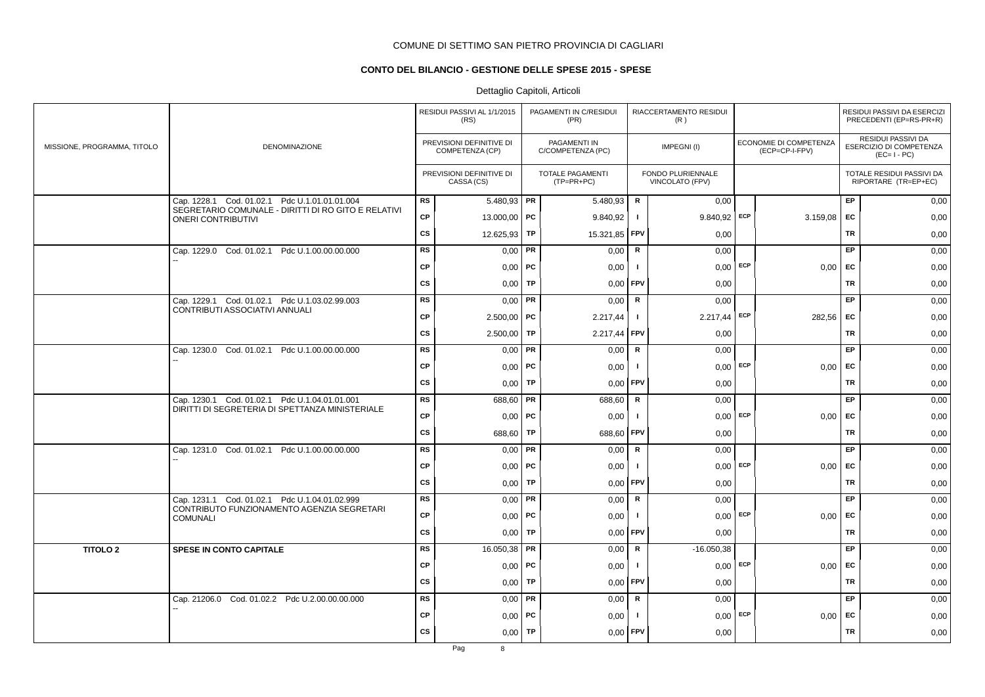# **CONTO DEL BILANCIO - GESTIONE DELLE SPESE 2015 - SPESE**

|                             |                                                                                                      |           | RESIDUI PASSIVI AL 1/1/2015<br>(RS)         |           | PAGAMENTI IN C/RESIDUI<br>(PR)          |                | RIACCERTAMENTO RESIDUI<br>(R)        |     |                                          |           | RESIDUI PASSIVI DA ESERCIZI<br>PRECEDENTI (EP=RS-PR+R)              |
|-----------------------------|------------------------------------------------------------------------------------------------------|-----------|---------------------------------------------|-----------|-----------------------------------------|----------------|--------------------------------------|-----|------------------------------------------|-----------|---------------------------------------------------------------------|
| MISSIONE, PROGRAMMA, TITOLO | <b>DENOMINAZIONE</b>                                                                                 |           | PREVISIONI DEFINITIVE DI<br>COMPETENZA (CP) |           | PAGAMENTI IN<br>C/COMPETENZA (PC)       |                | IMPEGNI(I)                           |     | ECONOMIE DI COMPETENZA<br>(ECP=CP-I-FPV) |           | <b>RESIDUI PASSIVI DA</b><br>ESERCIZIO DI COMPETENZA<br>$(EC=I-PC)$ |
|                             |                                                                                                      |           | PREVISIONI DEFINITIVE DI<br>CASSA (CS)      |           | <b>TOTALE PAGAMENTI</b><br>$(TP=PR+PC)$ |                | FONDO PLURIENNALE<br>VINCOLATO (FPV) |     |                                          |           | TOTALE RESIDUI PASSIVI DA<br>RIPORTARE (TR=EP+EC)                   |
|                             | Cap. 1228.1 Cod. 01.02.1 Pdc U.1.01.01.01.004<br>SEGRETARIO COMUNALE - DIRITTI DI RO GITO E RELATIVI | <b>RS</b> | $5.480,93$ PR                               |           | 5.480,93                                | $\mathsf{R}$   | 0,00                                 |     |                                          | EP        | 0,00                                                                |
|                             | <b>ONERI CONTRIBUTIVI</b>                                                                            | <b>CP</b> | 13.000,00   PC                              |           | 9.840,92                                | $\mathbf{I}$   | $9.840,92$ ECP                       |     | 3.159,08                                 | <b>EC</b> | 0,00                                                                |
|                             |                                                                                                      | <b>CS</b> | 12.625,93                                   | <b>TP</b> | 15.321,85                               | <b>FPV</b>     | 0,00                                 |     |                                          | <b>TR</b> | 0,00                                                                |
|                             | Cap. 1229.0 Cod. 01.02.1 Pdc U.1.00.00.00.000                                                        | <b>RS</b> | 0,00                                        | PR        | 0,00                                    | ${\sf R}$      | 0,00                                 |     |                                          | <b>EP</b> | 0,00                                                                |
|                             |                                                                                                      | CP        | $0,00$   PC                                 |           | 0,00                                    | $\mathbf{I}$   | $0,00$ ECP                           |     | 0,00                                     | EC        | 0,00                                                                |
|                             |                                                                                                      | <b>CS</b> | $0,00$   TP                                 |           | 0,00                                    | FPV            | 0,00                                 |     |                                          | TR        | 0,00                                                                |
|                             | Cap. 1229.1 Cod. 01.02.1 Pdc U.1.03.02.99.003<br>CONTRIBUTI ASSOCIATIVI ANNUALI                      | <b>RS</b> | $0,00$ PR                                   |           | 0,00                                    | R              | 0,00                                 |     |                                          | EP        | 0,00                                                                |
|                             |                                                                                                      | <b>CP</b> | $2.500,00$ PC                               |           | 2.217,44                                | $\mathbf{I}$   | $2.217,44$ ECP                       |     | 282,56                                   | <b>EC</b> | 0,00                                                                |
|                             |                                                                                                      | <b>CS</b> | 2.500,00                                    | TP        | 2.217,44                                | FPV            | 0,00                                 |     |                                          | <b>TR</b> | 0,00                                                                |
|                             | Cap. 1230.0 Cod. 01.02.1 Pdc U.1.00.00.00.000                                                        | RS        | 0,00                                        | <b>PR</b> | 0,00                                    | $\mathsf R$    | 0,00                                 |     |                                          | EP        | 0,00                                                                |
|                             |                                                                                                      | CP        | 0,00                                        | PC        | 0,00                                    | - 1            | 0,00                                 | ECP | 0,00                                     | <b>EC</b> | 0,00                                                                |
|                             |                                                                                                      | <b>CS</b> | 0,00                                        | TP        | 0,00                                    | <b>FPV</b>     | 0,00                                 |     |                                          | <b>TR</b> | 0,00                                                                |
|                             | Cap. 1230.1 Cod. 01.02.1 Pdc U.1.04.01.01.001<br>DIRITTI DI SEGRETERIA DI SPETTANZA MINISTERIALE     | <b>RS</b> | 688,60   PR                                 |           | 688,60                                  | R              | 0,00                                 |     |                                          | <b>EP</b> | 0,00                                                                |
|                             |                                                                                                      | <b>CP</b> | $0,00$ PC                                   |           | 0,00                                    | -1             | 0,00                                 | ECP | 0.00                                     | <b>EC</b> | 0,00                                                                |
|                             |                                                                                                      | <b>CS</b> | 688,60                                      | TP        | 688,60                                  | FPV            | 0,00                                 |     |                                          | TR        | 0,00                                                                |
|                             | Cap. 1231.0 Cod. 01.02.1 Pdc U.1.00.00.00.000                                                        | <b>RS</b> | 0,00                                        | PR        | 0,00                                    | $\mathsf{R}$   | 0,00                                 |     |                                          | EP        | 0,00                                                                |
|                             |                                                                                                      | <b>CP</b> | $0,00$   PC                                 |           | 0,00                                    | -1             | 0,00                                 | ECP | 0,00                                     | EC        | 0,00                                                                |
|                             |                                                                                                      | CS        | 0,00                                        | <b>TP</b> | 0,00                                    | FPV            | 0,00                                 |     |                                          | <b>TR</b> | 0,00                                                                |
|                             | Cap. 1231.1 Cod. 01.02.1 Pdc U.1.04.01.02.999<br>CONTRIBUTO FUNZIONAMENTO AGENZIA SEGRETARI          | <b>RS</b> | $0,00$ PR                                   |           | 0,00                                    | R              | 0.00                                 |     |                                          | EP        | 0,00                                                                |
|                             | <b>COMUNALI</b>                                                                                      | CP        | $0,00$ PC                                   |           | 0,00                                    | $\blacksquare$ | $0,00$ ECP                           |     | 0,00                                     | EC        | 0,00                                                                |
|                             |                                                                                                      | CS        | 0,00                                        | TP        | 0,00                                    | FPV            | 0,00                                 |     |                                          | <b>TR</b> | 0,00                                                                |
| <b>TITOLO 2</b>             | <b>SPESE IN CONTO CAPITALE</b>                                                                       | RS        | 16.050,38                                   | <b>PR</b> | 0,00                                    | $\mathsf{R}$   | $-16.050,38$                         |     |                                          | EP        | 0,00                                                                |
|                             |                                                                                                      | <b>CP</b> | $0,00$   PC                                 |           | 0,00                                    | $\mathbf{I}$   | 0,00                                 | ECP | 0,00                                     | EC        | 0,00                                                                |
|                             |                                                                                                      | <b>CS</b> | 0.00                                        | TP        | 0,00                                    | FPV            | 0,00                                 |     |                                          | <b>TR</b> | 0,00                                                                |
|                             | Cap. 21206.0 Cod. 01.02.2 Pdc U.2.00.00.00.000                                                       | RS        | 0,00                                        | PR        | 0,00                                    | $\mathsf R$    | 0,00                                 |     |                                          | EP        | 0,00                                                                |
|                             |                                                                                                      | <b>CP</b> | $0,00$   PC                                 |           | 0,00                                    | $\mathbf{I}$   | $0,00$ ECP                           |     | 0,00                                     | EC        | 0,00                                                                |
|                             |                                                                                                      | <b>CS</b> | $0,00$ TP                                   |           | 0,00                                    | FPV            | 0,00                                 |     |                                          | <b>TR</b> | 0,00                                                                |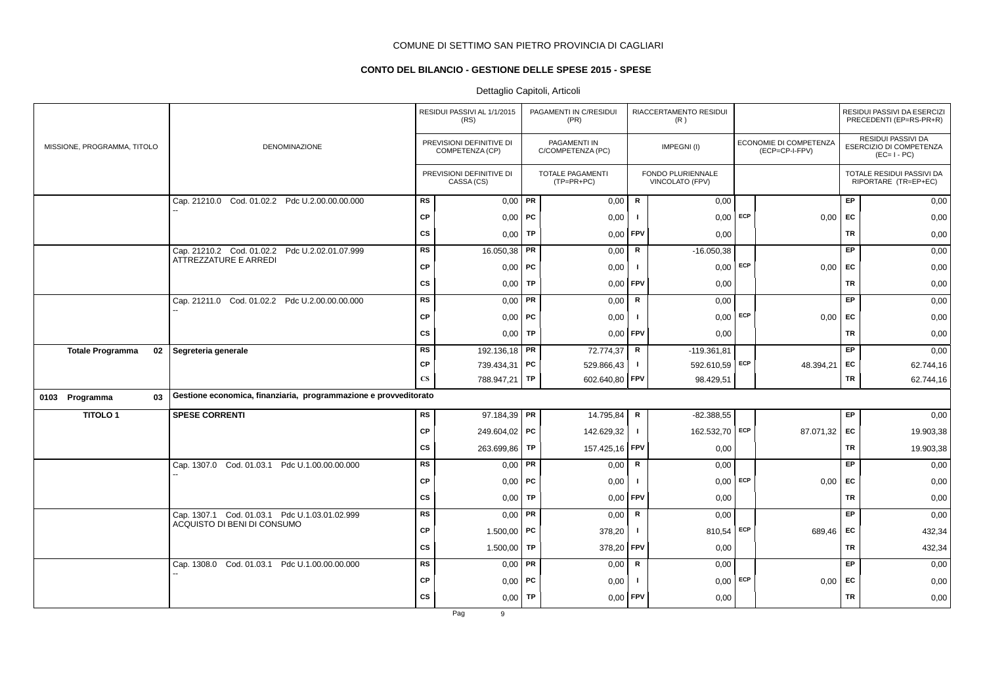# **CONTO DEL BILANCIO - GESTIONE DELLE SPESE 2015 - SPESE**

# Dettaglio Capitoli, Articoli

|                               |                                                                         |               | RESIDUI PASSIVI AL 1/1/2015<br>(RS)         |           | PAGAMENTI IN C/RESIDUI<br>(PR)          |                | RIACCERTAMENTO RESIDUI<br>(R)        |     |                                          |           | RESIDUI PASSIVI DA ESERCIZI<br>PRECEDENTI (EP=RS-PR+R)              |
|-------------------------------|-------------------------------------------------------------------------|---------------|---------------------------------------------|-----------|-----------------------------------------|----------------|--------------------------------------|-----|------------------------------------------|-----------|---------------------------------------------------------------------|
| MISSIONE, PROGRAMMA, TITOLO   | <b>DENOMINAZIONE</b>                                                    |               | PREVISIONI DEFINITIVE DI<br>COMPETENZA (CP) |           | PAGAMENTI IN<br>C/COMPETENZA (PC)       |                | IMPEGNI(I)                           |     | ECONOMIE DI COMPETENZA<br>(ECP=CP-I-FPV) |           | <b>RESIDUI PASSIVI DA</b><br>ESERCIZIO DI COMPETENZA<br>$(EC=I-PC)$ |
|                               |                                                                         |               | PREVISIONI DEFINITIVE DI<br>CASSA (CS)      |           | <b>TOTALE PAGAMENTI</b><br>$(TP=PR+PC)$ |                | FONDO PLURIENNALE<br>VINCOLATO (FPV) |     |                                          |           | TOTALE RESIDUI PASSIVI DA<br>RIPORTARE (TR=EP+EC)                   |
|                               | Cap. 21210.0 Cod. 01.02.2 Pdc U.2.00.00.00.000                          | <b>RS</b>     | 0,00                                        | PR        | 0,00                                    | R              | 0,00                                 |     |                                          | EP        | 0,00                                                                |
|                               |                                                                         | <b>CP</b>     | $0,00$ PC                                   |           | 0,00                                    |                | $0,00$ ECP                           |     | 0,00                                     | <b>FC</b> | 0,00                                                                |
|                               |                                                                         | <b>CS</b>     | 0,00                                        | <b>TP</b> | 0,00                                    | FPV            | 0,00                                 |     |                                          | <b>TR</b> | 0,00                                                                |
|                               | Cap. 21210.2 Cod. 01.02.2 Pdc U.2.02.01.07.999<br>ATTREZZATURE E ARREDI | <b>RS</b>     | 16.050,38                                   | PR        | 0,00                                    | ${\sf R}$      | $-16.050,38$                         |     |                                          | EP        | 0,00                                                                |
|                               |                                                                         | <b>CP</b>     | 0,00                                        | <b>PC</b> | 0,00                                    | - 1            | $0,00$ ECP                           |     | 0,00                                     | EC        | 0,00                                                                |
|                               |                                                                         | <b>CS</b>     | 0,00                                        | <b>TP</b> | 0,00                                    | FPV            | 0,00                                 |     |                                          | <b>TR</b> | 0,00                                                                |
|                               | Cap. 21211.0 Cod. 01.02.2 Pdc U.2.00.00.00.000                          | <b>RS</b>     | 0,00                                        | PR        | 0,00                                    | ${\mathbf R}$  | 0,00                                 |     |                                          | EP        | 0,00                                                                |
|                               |                                                                         | <b>CP</b>     | 0,00                                        | PC        | 0,00                                    | -1             | $0,00$ ECP                           |     | 0,00                                     | EC        | 0,00                                                                |
|                               |                                                                         | <b>CS</b>     | 0,00                                        | TP        | 0,00                                    | <b>FPV</b>     | 0,00                                 |     |                                          | <b>TR</b> | 0,00                                                                |
| <b>Totale Programma</b><br>02 | Segreteria generale                                                     | <b>RS</b>     | 192.136,18 <b>PR</b>                        |           | 72.774,37                               | $\mathsf{R}$   | $-119.361.81$                        |     |                                          | EP        | 0,00                                                                |
|                               |                                                                         | СP            | 739.434,31 PC                               |           | 529.866,43                              | $\blacksquare$ | 592.610,59 ECP                       |     | 48.394,21                                | EC        | 62.744,16                                                           |
|                               |                                                                         | $\mathbf{CS}$ | 788.947,21 TP                               |           | 602.640,80                              | <b>FPV</b>     | 98.429,51                            |     |                                          | TR        | 62.744,16                                                           |
| 03<br>0103 Programma          | Gestione economica, finanziaria, programmazione e provveditorato        |               |                                             |           |                                         |                |                                      |     |                                          |           |                                                                     |
| <b>TITOLO1</b>                | <b>SPESE CORRENTI</b>                                                   | <b>RS</b>     | 97.184,39 PR                                |           | 14.795,84                               | ${\mathbf R}$  | $-82.388,55$                         |     |                                          | EP        | 0,00                                                                |
|                               |                                                                         | <b>CP</b>     | 249.604,02   PC                             |           | 142.629,32                              | $\blacksquare$ | 162.532,70                           | ECP | 87.071,32                                | <b>FC</b> | 19.903,38                                                           |
|                               |                                                                         | <b>CS</b>     | 263.699,86                                  | TP        | 157.425,16                              | FPV            | 0,00                                 |     |                                          | <b>TR</b> | 19.903,38                                                           |
|                               | Cap. 1307.0 Cod. 01.03.1 Pdc U.1.00.00.00.000                           | <b>RS</b>     | 0,00                                        | PR        | 0,00                                    | $\mathbf R$    | 0,00                                 |     |                                          | EP        | 0,00                                                                |
|                               |                                                                         | <b>CP</b>     | $0,00$   PC                                 |           | 0,00                                    |                | $0,00$ ECP                           |     | 0,00                                     | EC        | 0,00                                                                |
|                               |                                                                         | <b>CS</b>     | 0,00                                        | <b>TP</b> | 0,00                                    | <b>FPV</b>     | 0,00                                 |     |                                          | <b>TR</b> | 0,00                                                                |
|                               | Cap. 1307.1 Cod. 01.03.1 Pdc U.1.03.01.02.999                           | <b>RS</b>     | $0,00$ PR                                   |           | 0,00                                    | R              | 0,00                                 |     |                                          | EP        | 0,00                                                                |
|                               | ACQUISTO DI BENI DI CONSUMO                                             | CP            | 1.500,00   PC                               |           | 378,20                                  | $\mathbf{I}$   | 810,54                               | ECP | 689,46                                   | EC        | 432,34                                                              |
|                               |                                                                         | <b>CS</b>     | 1.500,00                                    | TP        | 378,20                                  | FPV            | 0,00                                 |     |                                          | <b>TR</b> | 432,34                                                              |
|                               | Cap. 1308.0 Cod. 01.03.1 Pdc U.1.00.00.00.000                           | <b>RS</b>     | $0,00$ PR                                   |           | 0,00                                    | ${\sf R}$      | 0,00                                 |     |                                          | EP        | 0,00                                                                |
|                               |                                                                         | CP            | 0,00                                        | <b>PC</b> | 0,00                                    |                | $0,00$ ECP                           |     | 0,00                                     | EC        | 0,00                                                                |
|                               |                                                                         | <b>CS</b>     | 0,00                                        | TP        | 0,00                                    | FPV            | 0,00                                 |     |                                          | TR        | 0,00                                                                |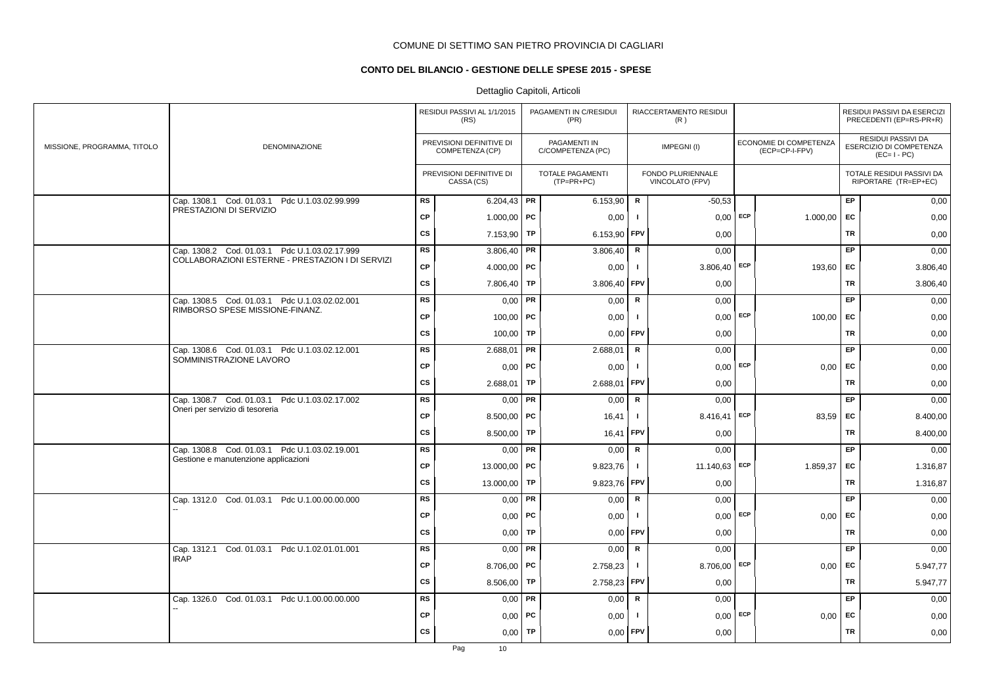# **CONTO DEL BILANCIO - GESTIONE DELLE SPESE 2015 - SPESE**

|                             |                                                                          |           | RESIDUI PASSIVI AL 1/1/2015<br>(RS)         |           | PAGAMENTI IN C/RESIDUI<br>(PR)          |              | RIACCERTAMENTO RESIDUI<br>(R)        |     |                                          |           | RESIDUI PASSIVI DA ESERCIZI<br>PRECEDENTI (EP=RS-PR+R)       |
|-----------------------------|--------------------------------------------------------------------------|-----------|---------------------------------------------|-----------|-----------------------------------------|--------------|--------------------------------------|-----|------------------------------------------|-----------|--------------------------------------------------------------|
| MISSIONE, PROGRAMMA, TITOLO | DENOMINAZIONE                                                            |           | PREVISIONI DEFINITIVE DI<br>COMPETENZA (CP) |           | PAGAMENTI IN<br>C/COMPETENZA (PC)       |              | IMPEGNI(I)                           |     | ECONOMIE DI COMPETENZA<br>(ECP=CP-I-FPV) |           | RESIDUI PASSIVI DA<br>ESERCIZIO DI COMPETENZA<br>$(EC=I-PC)$ |
|                             |                                                                          |           | PREVISIONI DEFINITIVE DI<br>CASSA (CS)      |           | <b>TOTALE PAGAMENTI</b><br>$(TP=PR+PC)$ |              | FONDO PLURIENNALE<br>VINCOLATO (FPV) |     |                                          |           | TOTALE RESIDUI PASSIVI DA<br>RIPORTARE (TR=EP+EC)            |
|                             | Cap. 1308.1 Cod. 01.03.1 Pdc U.1.03.02.99.999<br>PRESTAZIONI DI SERVIZIO | <b>RS</b> | 6.204,43 PR                                 |           | 6.153,90                                | R            | $-50,53$                             |     |                                          | <b>EP</b> | 0,00                                                         |
|                             |                                                                          | <b>CP</b> | 1.000,00   PC                               |           | 0,00                                    | $\mathbf{I}$ | 0,00                                 | ECP | 1.000,00                                 | EC        | 0,00                                                         |
|                             |                                                                          | CS        | 7.153,90                                    | TP        | 6.153,90                                | FPV          | 0,00                                 |     |                                          | TR        | 0,00                                                         |
|                             | Cap. 1308.2 Cod. 01.03.1 Pdc U.1.03.02.17.999                            | <b>RS</b> | 3.806,40                                    | PR        | 3.806,40                                | R            | 0,00                                 |     |                                          | EP        | 0,00                                                         |
|                             | COLLABORAZIONI ESTERNE - PRESTAZION I DI SERVIZI                         | CP        | 4.000,00   PC                               |           | 0,00                                    | $\mathbf{I}$ | $3.806,40$ ECP                       |     | 193,60 EC                                |           | 3.806,40                                                     |
|                             |                                                                          | CS        | 7.806,40                                    | TP        | 3.806,40                                | FPV          | 0,00                                 |     |                                          | TR        | 3.806,40                                                     |
|                             | Cap. 1308.5 Cod. 01.03.1 Pdc U.1.03.02.02.001                            | <b>RS</b> | $0,00$ PR                                   |           | 0,00                                    | R            | 0,00                                 |     |                                          | <b>EP</b> | 0,00                                                         |
|                             | RIMBORSO SPESE MISSIONE-FINANZ.                                          | CP        | $100,00$ PC                                 |           | 0,00                                    | $\mathbf{I}$ | $0,00$ ECP                           |     | $100,00$ EC                              |           | 0,00                                                         |
|                             |                                                                          | CS        | 100,00                                      | TP        | 0,00                                    | FPV          | 0,00                                 |     |                                          | TR        | 0,00                                                         |
|                             | Cap. 1308.6 Cod. 01.03.1 Pdc U.1.03.02.12.001                            | RS        | 2.688,01                                    | <b>PR</b> | 2.688,01                                | R            | 0,00                                 |     |                                          | <b>EP</b> | 0,00                                                         |
|                             | SOMMINISTRAZIONE LAVORO                                                  | <b>CP</b> | $0,00$ PC                                   |           | 0,00                                    | -1           | $0,00$ ECP                           |     | 0.00                                     | EC        | 0,00                                                         |
|                             |                                                                          | cs        | $2.688,01$ TP                               |           | 2.688,01                                | FPV          | 0,00                                 |     |                                          | <b>TR</b> | 0,00                                                         |
|                             | Cap. 1308.7 Cod. 01.03.1 Pdc U.1.03.02.17.002                            | RS        | $0,00$ PR                                   |           | 0,00                                    | $\mathsf R$  | 0,00                                 |     |                                          | EP        | 0,00                                                         |
|                             | Oneri per servizio di tesoreria                                          | CP        | 8.500,00   PC                               |           | 16,41                                   | $\mathbf{I}$ | 8.416,41                             | ECP | 83,59   EC                               |           | 8.400,00                                                     |
|                             |                                                                          | CS        | 8.500,00                                    | TP        | 16,41                                   | FPV          | 0,00                                 |     |                                          | <b>TR</b> | 8.400,00                                                     |
|                             | Cap. 1308.8 Cod. 01.03.1 Pdc U.1.03.02.19.001                            | RS        | 0,00                                        | PR        | 0,00                                    | $\mathsf R$  | 0,00                                 |     |                                          | EP        | 0,00                                                         |
|                             | Gestione e manutenzione applicazioni                                     | <b>CP</b> | 13.000,00   PC                              |           | 9.823,76                                | $\mathbf{I}$ | 11.140,63 ECP                        |     | 1.859,37                                 | EC        | 1.316,87                                                     |
|                             |                                                                          | <b>CS</b> | 13.000,00                                   | <b>TP</b> | 9.823,76                                | FPV          | 0,00                                 |     |                                          | TR        | 1.316,87                                                     |
|                             | Cap. 1312.0 Cod. 01.03.1 Pdc U.1.00.00.00.000                            | <b>RS</b> | $0,00$ PR                                   |           | 0,00                                    | $\mathsf{R}$ | 0,00                                 |     |                                          | <b>EP</b> | 0,00                                                         |
|                             |                                                                          | <b>CP</b> | 0.00                                        | <b>PC</b> | 0,00                                    | $\mathbf{I}$ | $0,00$ ECP                           |     | $0,00$ EC                                |           | 0,00                                                         |
|                             |                                                                          | <b>CS</b> | 0,00                                        | <b>TP</b> | 0.00                                    | FPV          | 0,00                                 |     |                                          | <b>TR</b> | 0,00                                                         |
|                             | Cod. 01.03.1 Pdc U.1.02.01.01.001<br>Cap. 1312.1<br><b>IRAP</b>          | <b>RS</b> | $0,00$ PR                                   |           | 0,00                                    | $\mathbf R$  | 0,00                                 |     |                                          | EP        | 0,00                                                         |
|                             |                                                                          | CP        | 8.706,00   PC                               |           | 2.758,23                                | $\mathbf{I}$ | 8.706,00                             | ECP | 0,00                                     | EC        | 5.947,77                                                     |
|                             |                                                                          | CS        | 8.506,00                                    | TP        | 2.758,23                                | FPV          | 0,00                                 |     |                                          | TR        | 5.947,77                                                     |
|                             | Cap. 1326.0 Cod. 01.03.1 Pdc U.1.00.00.00.000                            | <b>RS</b> | $0,00$ PR                                   |           | 0,00                                    | ${\sf R}$    | 0,00                                 |     |                                          | EP        | 0,00                                                         |
|                             |                                                                          | CP        | $0,00$   PC                                 |           | 0,00                                    | -1           | 0,00                                 | ECP | 0,00                                     | EC        | 0,00                                                         |
|                             |                                                                          | <b>CS</b> | 0,00                                        | TP        | 0,00                                    | FPV          | 0,00                                 |     |                                          | TR        | 0,00                                                         |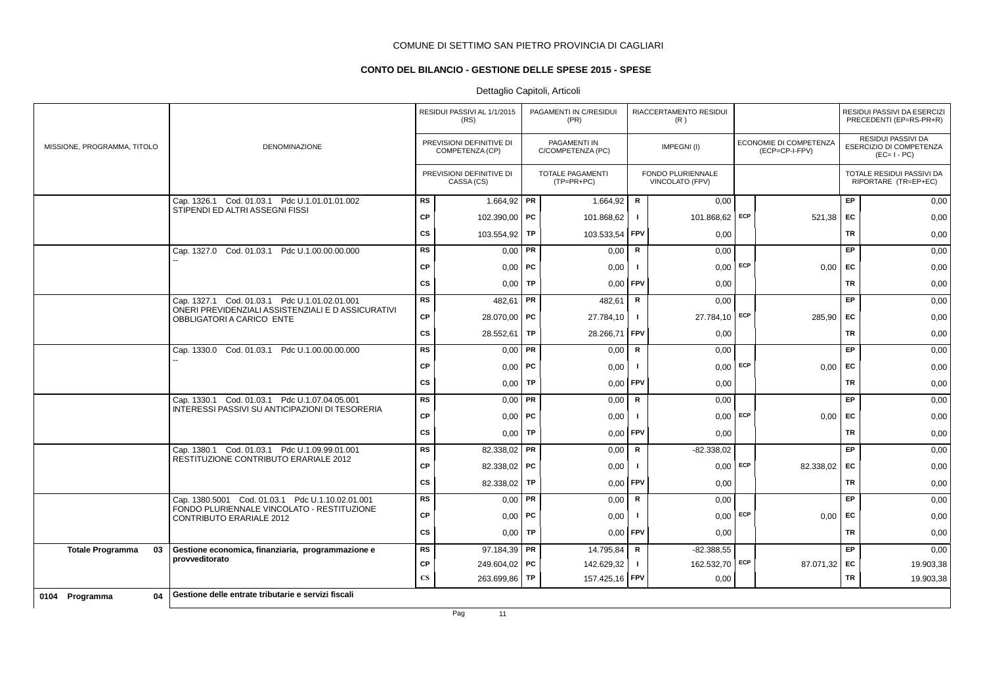# **CONTO DEL BILANCIO - GESTIONE DELLE SPESE 2015 - SPESE**

# Dettaglio Capitoli, Articoli

|                               |                                                                                 |                        | RESIDUI PASSIVI AL 1/1/2015<br>(RS)         |           | PAGAMENTI IN C/RESIDUI<br>(PR)          |              | RIACCERTAMENTO RESIDUI<br>(R)        |                                          |           | RESIDUI PASSIVI DA ESERCIZI<br>PRECEDENTI (EP=RS-PR+R)       |
|-------------------------------|---------------------------------------------------------------------------------|------------------------|---------------------------------------------|-----------|-----------------------------------------|--------------|--------------------------------------|------------------------------------------|-----------|--------------------------------------------------------------|
| MISSIONE, PROGRAMMA, TITOLO   | DENOMINAZIONE                                                                   |                        | PREVISIONI DEFINITIVE DI<br>COMPETENZA (CP) |           | PAGAMENTI IN<br>C/COMPETENZA (PC)       |              | IMPEGNI(I)                           | ECONOMIE DI COMPETENZA<br>(ECP=CP-I-FPV) |           | RESIDUI PASSIVI DA<br>ESERCIZIO DI COMPETENZA<br>$(EC=I-PC)$ |
|                               |                                                                                 |                        | PREVISIONI DEFINITIVE DI<br>CASSA (CS)      |           | <b>TOTALE PAGAMENTI</b><br>$(TP=PR+PC)$ |              | FONDO PLURIENNALE<br>VINCOLATO (FPV) |                                          |           | TOTALE RESIDUI PASSIVI DA<br>RIPORTARE (TR=EP+EC)            |
|                               | Cap. 1326.1 Cod. 01.03.1 Pdc U.1.01.01.01.002                                   | <b>RS</b>              | 1.664,92 PR                                 |           | 1.664,92                                | R            | 0,00                                 |                                          | EP.       | 0,00                                                         |
|                               | STIPENDI ED ALTRI ASSEGNI FISSI                                                 | CP                     | 102.390,00   PC                             |           | 101.868,62                              | $\mathbf{I}$ | 101.868,62 ECP                       | 521,38                                   | EC        | 0,00                                                         |
|                               |                                                                                 | <b>CS</b>              | 103.554,92 TP                               |           | 103.533,54                              | FPV          | 0,00                                 |                                          | <b>TR</b> | 0,00                                                         |
|                               | Cap. 1327.0 Cod. 01.03.1 Pdc U.1.00.00.00.000                                   | <b>RS</b>              | $0,00$ PR                                   |           | 0,00                                    | R            | 0,00                                 |                                          | EP        | 0,00                                                         |
|                               |                                                                                 | CP                     | $0,00$   PC                                 |           | 0,00                                    | -1           | $0,00$ ECP                           | 0,00                                     | EC        | 0,00                                                         |
|                               |                                                                                 | $\mathsf{cs}$          |                                             | $0,00$ TP | $0,00$ FPV                              |              | 0,00                                 |                                          | <b>TR</b> | 0,00                                                         |
|                               | Cap. 1327.1 Cod. 01.03.1 Pdc U.1.01.02.01.001                                   | <b>RS</b>              | 482,61 PR                                   |           | 482,61                                  | R            | 0,00                                 |                                          | <b>EP</b> | 0,00                                                         |
|                               | ONERI PREVIDENZIALI ASSISTENZIALI E D ASSICURATIVI<br>OBBLIGATORI A CARICO ENTE | CP                     | 28.070,00 PC                                |           | 27.784,10                               | $\mathbf{I}$ | 27.784,10 ECP                        | 285,90                                   | EC        | 0,00                                                         |
|                               |                                                                                 | <b>CS</b>              | 28.552,61   TP                              |           | 28.266,71 FPV                           |              | 0,00                                 |                                          | TR        | 0,00                                                         |
|                               | Cap. 1330.0 Cod. 01.03.1 Pdc U.1.00.00.00.000                                   | <b>RS</b>              | $0,00$ $\sqrt{PR}$                          |           | 0,00                                    | $\mathbf R$  | 0,00                                 |                                          | <b>EP</b> | 0,00                                                         |
|                               |                                                                                 | CP                     | $0,00$   PC                                 |           | 0,00                                    | -1           | $0,00$ ECP                           | 0,00                                     | EC        | 0,00                                                         |
|                               |                                                                                 | <b>CS</b>              | $0,00$ TP                                   |           | 0,00                                    | FPV          | 0,00                                 |                                          | <b>TR</b> | 0,00                                                         |
|                               | Cap. 1330.1 Cod. 01.03.1 Pdc U.1.07.04.05.001                                   | <b>RS</b>              | $0,00$ PR                                   |           | 0,00                                    | R            | 0,00                                 |                                          | EP        | 0,00                                                         |
|                               | INTERESSI PASSIVI SU ANTICIPAZIONI DI TESORERIA                                 | CP                     | $0,00$   PC                                 |           | 0,00                                    | -1           | $0,00$ ECP                           | 0,00                                     | EC        | 0,00                                                         |
|                               |                                                                                 | <b>CS</b>              |                                             | $0,00$ TP | $0,00$ FPV                              |              | 0,00                                 |                                          | <b>TR</b> | 0,00                                                         |
|                               | Cap. 1380.1 Cod. 01.03.1 Pdc U.1.09.99.01.001                                   | <b>RS</b>              | 82.338,02   PR                              |           | 0,00                                    | R            | $-82.338.02$                         |                                          | <b>EP</b> | 0,00                                                         |
|                               | RESTITUZIONE CONTRIBUTO ERARIALE 2012                                           | CP                     | 82.338,02 PC                                |           | 0,00                                    | $\mathbf{I}$ | $0.00$ ECP                           | 82.338,02                                | EC        | 0,00                                                         |
|                               |                                                                                 | <b>CS</b>              | 82.338,02 TP                                |           | $0,00$ FPV                              |              | 0,00                                 |                                          | TR        | 0,00                                                         |
|                               | Cap. 1380.5001 Cod. 01.03.1 Pdc U.1.10.02.01.001                                | <b>RS</b>              | $0,00$ PR                                   |           | 0,00                                    | R            | 0,00                                 |                                          | EP        | 0,00                                                         |
|                               | FONDO PLURIENNALE VINCOLATO - RESTITUZIONE<br>CONTRIBUTO ERARIALE 2012          | CP                     | $0,00$   PC                                 |           | 0,00                                    | -1           | $0,00$ ECP                           | 0,00                                     | EC        | 0,00                                                         |
|                               |                                                                                 | <b>CS</b>              | $0,00$ TP                                   |           | $0,00$ FPV                              |              | 0,00                                 |                                          | <b>TR</b> | 0,00                                                         |
| 03<br><b>Totale Programma</b> | Gestione economica, finanziaria, programmazione e                               | <b>RS</b>              | 97.184,39   PR                              |           | 14.795,84                               | R            | $-82.388,55$                         |                                          | EP        | 0,00                                                         |
|                               | provveditorato                                                                  | CP                     | 249.604,02 PC                               |           | 142.629,32                              | $\mathbf{I}$ | 162.532,70 ECP                       | 87.071,32                                | EC        | 19.903,38                                                    |
|                               |                                                                                 | $\mathbf{C}\mathbf{S}$ | 263.699,86 TP                               |           | 157.425,16 FPV                          |              | 0,00                                 |                                          | TR        | 19.903,38                                                    |
| 04<br>0104 Programma          | Gestione delle entrate tributarie e servizi fiscali                             |                        |                                             |           |                                         |              |                                      |                                          |           |                                                              |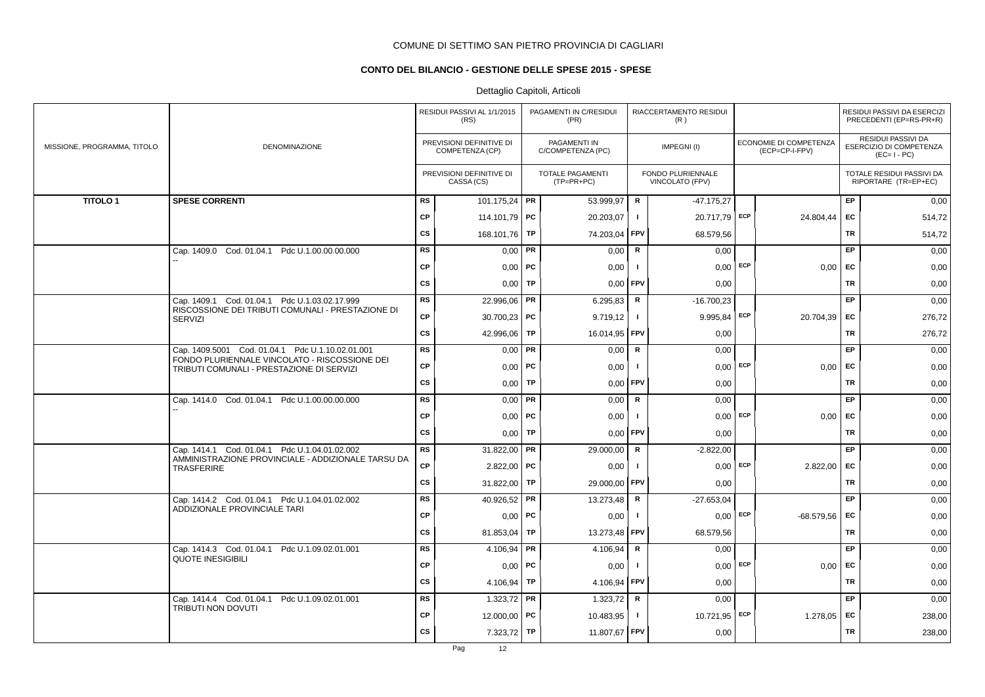# **CONTO DEL BILANCIO - GESTIONE DELLE SPESE 2015 - SPESE**

|                             |                                                                                                    |           | RESIDUI PASSIVI AL 1/1/2015<br>(RS)         |    | PAGAMENTI IN C/RESIDUI<br>(PR)          |              | RIACCERTAMENTO RESIDUI<br>(R)        |     |                                          |           | RESIDUI PASSIVI DA ESERCIZI<br>PRECEDENTI (EP=RS-PR+R)       |
|-----------------------------|----------------------------------------------------------------------------------------------------|-----------|---------------------------------------------|----|-----------------------------------------|--------------|--------------------------------------|-----|------------------------------------------|-----------|--------------------------------------------------------------|
| MISSIONE, PROGRAMMA, TITOLO | DENOMINAZIONE                                                                                      |           | PREVISIONI DEFINITIVE DI<br>COMPETENZA (CP) |    | PAGAMENTI IN<br>C/COMPETENZA (PC)       |              | IMPEGNI(I)                           |     | ECONOMIE DI COMPETENZA<br>(ECP=CP-I-FPV) |           | RESIDUI PASSIVI DA<br>ESERCIZIO DI COMPETENZA<br>$(EC=I-PC)$ |
|                             |                                                                                                    |           | PREVISIONI DEFINITIVE DI<br>CASSA (CS)      |    | <b>TOTALE PAGAMENTI</b><br>$(TP=PR+PC)$ |              | FONDO PLURIENNALE<br>VINCOLATO (FPV) |     |                                          |           | TOTALE RESIDUI PASSIVI DA<br>RIPORTARE (TR=EP+EC)            |
| <b>TITOLO1</b>              | <b>SPESE CORRENTI</b>                                                                              | RS        | 101.175,24 PR                               |    | 53.999.97                               | R            | $-47.175.27$                         |     |                                          | <b>EP</b> | 0,00                                                         |
|                             |                                                                                                    | <b>CP</b> | 114.101,79 PC                               |    | 20.203,07                               | $\mathbf{I}$ | 20.717,79 ECP                        |     | 24.804,44                                | EC        | 514,72                                                       |
|                             |                                                                                                    | <b>CS</b> | 168.101,76 TP                               |    | 74.203,04                               | FPV          | 68.579,56                            |     |                                          | <b>TR</b> | 514,72                                                       |
|                             | Cap. 1409.0 Cod. 01.04.1 Pdc U.1.00.00.00.000                                                      | <b>RS</b> | $0,00$   PR                                 |    | 0,00                                    | $\mathsf R$  | 0,00                                 |     |                                          | <b>EP</b> | 0,00                                                         |
|                             |                                                                                                    | <b>CP</b> | $0,00$   PC                                 |    | 0,00                                    | $\mathbf{I}$ | $0,00$ ECP                           |     | $0,00$ EC                                |           | 0,00                                                         |
|                             |                                                                                                    | <b>CS</b> | $0,00$ TP                                   |    | 0,00                                    | <b>FPV</b>   | 0,00                                 |     |                                          | TR        | 0,00                                                         |
|                             | Cap. 1409.1 Cod. 01.04.1 Pdc U.1.03.02.17.999<br>RISCOSSIONE DEI TRIBUTI COMUNALI - PRESTAZIONE DI | <b>RS</b> | 22.996,06 PR                                |    | 6.295,83                                | R            | $-16.700,23$                         |     |                                          | EP        | 0,00                                                         |
|                             | <b>SERVIZI</b>                                                                                     | <b>CP</b> | 30.700,23 PC                                |    | 9.719,12                                | $\mathbf{I}$ | $9.995,84$ ECP                       |     | 20.704,39                                | <b>FC</b> | 276,72                                                       |
|                             |                                                                                                    | <b>CS</b> | 42.996,06                                   | TP | 16.014,95 FPV                           |              | 0,00                                 |     |                                          | TR        | 276,72                                                       |
|                             | Cap. 1409.5001 Cod. 01.04.1 Pdc U.1.10.02.01.001                                                   | <b>RS</b> | $0,00$ PR                                   |    | 0,00                                    | R            | 0,00                                 |     |                                          | <b>EP</b> | 0,00                                                         |
|                             | FONDO PLURIENNALE VINCOLATO - RISCOSSIONE DEI<br>TRIBUTI COMUNALI - PRESTAZIONE DI SERVIZI         | <b>CP</b> | $0,00$ PC                                   |    | 0,00                                    | $\mathbf{I}$ | $0,00$ ECP                           |     | 0.00                                     | EC        | 0,00                                                         |
|                             |                                                                                                    | CS        | $0,00$ TP                                   |    | 0,00                                    | <b>FPV</b>   | 0,00                                 |     |                                          | <b>TR</b> | 0,00                                                         |
|                             | Cap. 1414.0 Cod. 01.04.1 Pdc U.1.00.00.00.000                                                      | <b>RS</b> | $0,00$ PR                                   |    | 0,00                                    | $\mathsf{R}$ | 0,00                                 |     |                                          | EP        | 0,00                                                         |
|                             |                                                                                                    | <b>CP</b> | $0,00$ PC                                   |    | 0,00                                    |              | 0,00                                 | ECP | 0,00                                     | EC        | 0,00                                                         |
|                             |                                                                                                    | <b>CS</b> | 0,00                                        | TP | 0,00                                    | FPV          | 0,00                                 |     |                                          | <b>TR</b> | 0,00                                                         |
|                             | Cap. 1414.1 Cod. 01.04.1 Pdc U.1.04.01.02.002                                                      | <b>RS</b> | 31.822,00 PR                                |    | 29.000,00                               | $\mathsf R$  | $-2.822,00$                          |     |                                          | EP.       | 0,00                                                         |
|                             | AMMINISTRAZIONE PROVINCIALE - ADDIZIONALE TARSU DA<br><b>TRASFERIRE</b>                            | <b>CP</b> | $2.822,00$ PC                               |    | 0,00                                    | $\mathbf{I}$ | $0,00$ ECP                           |     | 2.822,00                                 | <b>EC</b> | 0,00                                                         |
|                             |                                                                                                    | <b>CS</b> | 31.822,00 TP                                |    | 29.000,00                               | <b>FPV</b>   | 0,00                                 |     |                                          | TR        | 0,00                                                         |
|                             | Cap. 1414.2 Cod. 01.04.1 Pdc U.1.04.01.02.002                                                      | <b>RS</b> | 40.926,52 PR                                |    | 13.273,48                               | R            | $-27.653.04$                         |     |                                          | <b>EP</b> | 0,00                                                         |
|                             | ADDIZIONALE PROVINCIALE TARI                                                                       | <b>CP</b> | $0,00$ PC                                   |    | 0,00                                    | п.           | $0,00$ ECP                           |     | $-68.579.56$                             | <b>EC</b> | 0,00                                                         |
|                             |                                                                                                    | <b>CS</b> | 81.853,04   TP                              |    | 13.273,48                               | <b>FPV</b>   | 68.579,56                            |     |                                          | <b>TR</b> | 0,00                                                         |
|                             | Cap. 1414.3 Cod. 01.04.1 Pdc U.1.09.02.01.001<br><b>QUOTE INESIGIBILI</b>                          | <b>RS</b> | 4.106,94   PR                               |    | 4.106,94                                | $\mathbf R$  | 0,00                                 |     |                                          | EP        | 0,00                                                         |
|                             |                                                                                                    | <b>CP</b> | $0,00$   PC                                 |    | 0,00                                    | $\mathbf{I}$ | 0,00                                 | ECP | 0,00                                     | EC        | 0,00                                                         |
|                             |                                                                                                    | <b>CS</b> | 4.106,94                                    | TP | 4.106,94                                | FPV          | 0,00                                 |     |                                          | <b>TR</b> | 0,00                                                         |
|                             | Cap. 1414.4 Cod. 01.04.1 Pdc U.1.09.02.01.001<br>TRIBUTI NON DOVUTI                                | <b>RS</b> | 1.323,72 PR                                 |    | 1.323,72                                | R            | 0,00                                 |     |                                          | EP        | 0,00                                                         |
|                             |                                                                                                    | <b>CP</b> | 12.000,00 PC                                |    | 10.483,95                               | $\mathbf{I}$ | 10.721,95 ECP                        |     | 1.278,05   EC                            |           | 238,00                                                       |
|                             |                                                                                                    | <b>CS</b> | 7.323,72 TP                                 |    | 11.807,67                               | <b>FPV</b>   | 0,00                                 |     |                                          | <b>TR</b> | 238,00                                                       |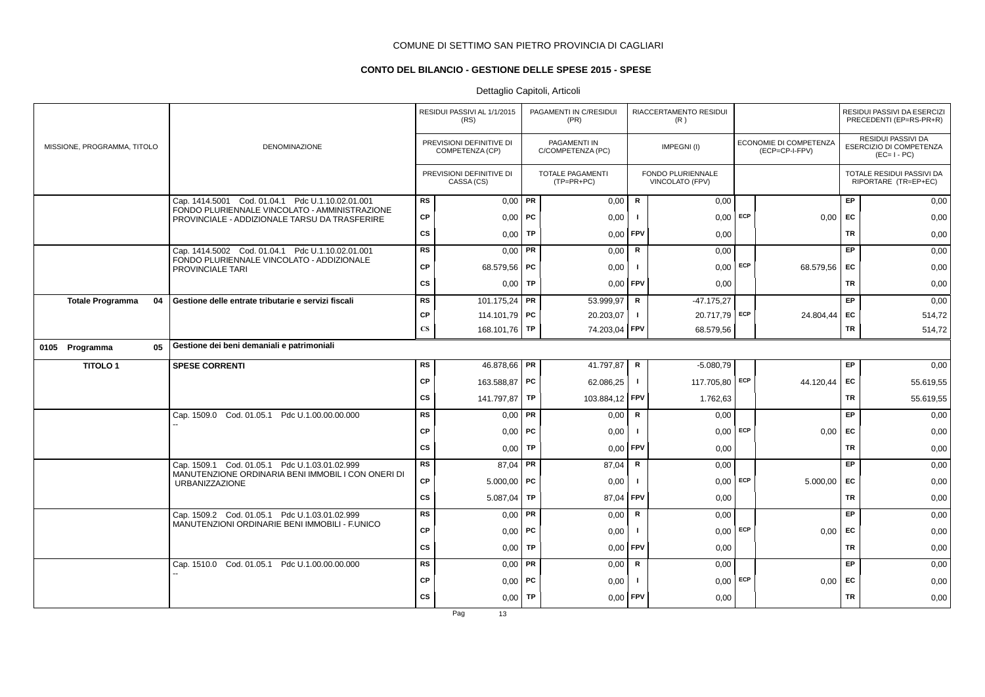# **CONTO DEL BILANCIO - GESTIONE DELLE SPESE 2015 - SPESE**

# Dettaglio Capitoli, Articoli

|                             |    | RESIDUI PASSIVI AL 1/1/2015<br>(RS)                                                            |                        | PAGAMENTI IN C/RESIDUI<br>(PR)              |           | RIACCERTAMENTO RESIDUI<br>(R)           |              |                                      |     | RESIDUI PASSIVI DA ESERCIZI<br>PRECEDENTI (EP=RS-PR+R) |           |                                                                     |
|-----------------------------|----|------------------------------------------------------------------------------------------------|------------------------|---------------------------------------------|-----------|-----------------------------------------|--------------|--------------------------------------|-----|--------------------------------------------------------|-----------|---------------------------------------------------------------------|
| MISSIONE, PROGRAMMA, TITOLO |    | <b>DENOMINAZIONE</b>                                                                           |                        | PREVISIONI DEFINITIVE DI<br>COMPETENZA (CP) |           | PAGAMENTI IN<br>C/COMPETENZA (PC)       |              | IMPEGNI(I)                           |     | ECONOMIE DI COMPETENZA<br>(ECP=CP-I-FPV)               |           | <b>RESIDUI PASSIVI DA</b><br>ESERCIZIO DI COMPETENZA<br>$(EC=I-PC)$ |
|                             |    |                                                                                                |                        | PREVISIONI DEFINITIVE DI<br>CASSA (CS)      |           | <b>TOTALE PAGAMENTI</b><br>$(TP=PR+PC)$ |              | FONDO PLURIENNALE<br>VINCOLATO (FPV) |     |                                                        |           | TOTALE RESIDUI PASSIVI DA<br>RIPORTARE (TR=EP+EC)                   |
|                             |    | Cap. 1414.5001 Cod. 01.04.1 Pdc U.1.10.02.01.001                                               | <b>RS</b>              | $0,00$ PR                                   |           | 0,00                                    | $\mathsf{R}$ | 0,00                                 |     |                                                        | EP        | 0,00                                                                |
|                             |    | FONDO PLURIENNALE VINCOLATO - AMMINISTRAZIONE<br>PROVINCIALE - ADDIZIONALE TARSU DA TRASFERIRE | <b>CP</b>              | $0,00$   PC                                 |           | 0,00                                    |              | $0,00$ ECP                           |     | 0,00                                                   | EC        | 0,00                                                                |
|                             |    |                                                                                                | <b>CS</b>              | 0,00                                        | TP        | 0,00                                    | <b>FPV</b>   | 0,00                                 |     |                                                        | <b>TR</b> | 0,00                                                                |
|                             |    | Cap. 1414.5002 Cod. 01.04.1 Pdc U.1.10.02.01.001                                               | <b>RS</b>              | 0,00                                        | FR.       | 0,00                                    | R            | 0,00                                 |     |                                                        | EP        | 0,00                                                                |
|                             |    | FONDO PLURIENNALE VINCOLATO - ADDIZIONALE<br>PROVINCIALE TARI                                  | <b>CP</b>              | 68.579,56 PC                                |           | 0,00                                    |              | 0,00                                 | ECP | 68.579,56                                              | EC        | 0,00                                                                |
|                             |    |                                                                                                | <b>CS</b>              | $0,00$ TP                                   |           | 0,00                                    | <b>FPV</b>   | 0,00                                 |     |                                                        | <b>TR</b> | 0,00                                                                |
| <b>Totale Programma</b>     | 04 | Gestione delle entrate tributarie e servizi fiscali                                            | <b>RS</b>              | 101.175,24 PR                               |           | 53.999,97                               | $\mathsf R$  | $-47.175,27$                         |     |                                                        | EP        | 0,00                                                                |
|                             |    |                                                                                                | <b>CP</b>              | 114.101,79 PC                               |           | 20.203,07                               | $\mathbf{I}$ | 20.717,79 ECP                        |     | 24.804,44                                              | EC        | 514,72                                                              |
|                             |    |                                                                                                | $\mathbf{C}\mathbf{S}$ | 168.101,76 TP                               |           | 74.203,04                               | <b>FPV</b>   | 68.579,56                            |     |                                                        | TR        | 514,72                                                              |
| 0105 Programma              | 05 | Gestione dei beni demaniali e patrimoniali                                                     |                        |                                             |           |                                         |              |                                      |     |                                                        |           |                                                                     |
| <b>TITOLO1</b>              |    | <b>SPESE CORRENTI</b>                                                                          | <b>RS</b>              | 46.878,66 PR                                |           | 41.797,87                               | R            | $-5.080,79$                          |     |                                                        | EP        | 0,00                                                                |
|                             |    |                                                                                                | <b>CP</b>              | 163.588,87 PC                               |           | 62.086,25                               | $\mathbf{I}$ | 117.705,80 ECP                       |     | 44.120,44                                              | EC        | 55.619,55                                                           |
|                             |    |                                                                                                | <b>CS</b>              | 141.797,87 TP                               |           | 103.884,12 FPV                          |              | 1.762,63                             |     |                                                        | TR        | 55.619,55                                                           |
|                             |    | Cap. 1509.0 Cod. 01.05.1 Pdc U.1.00.00.00.000                                                  | <b>RS</b>              | $0,00$ PR                                   |           | 0,00                                    | $\mathsf{R}$ | 0,00                                 |     |                                                        | EP        | 0,00                                                                |
|                             |    |                                                                                                | <b>CP</b>              | $0,00$   PC                                 |           | 0,00                                    | - 1          | 0,00                                 | ECP | 0,00                                                   | EC        | 0,00                                                                |
|                             |    |                                                                                                | <b>CS</b>              | 0,00                                        | TP        | 0,00                                    | FPV          | 0,00                                 |     |                                                        | TR        | 0,00                                                                |
|                             |    | Cap. 1509.1 Cod. 01.05.1 Pdc U.1.03.01.02.999                                                  | <b>RS</b>              | $87.04$ PR                                  |           | 87,04                                   | R            | 0,00                                 |     |                                                        | EP        | 0,00                                                                |
|                             |    | MANUTENZIONE ORDINARIA BENI IMMOBIL I CON ONERI DI<br><b>URBANIZZAZIONE</b>                    | <b>CP</b>              | $5.000,00$ PC                               |           | 0,00                                    |              | $0,00$ ECP                           |     | 5.000.00                                               | EC        | 0,00                                                                |
|                             |    |                                                                                                | <b>CS</b>              | 5.087,04                                    | <b>TP</b> | 87,04                                   | FPV          | 0,00                                 |     |                                                        | <b>TR</b> | 0,00                                                                |
|                             |    | Cap. 1509.2 Cod. 01.05.1 Pdc U.1.03.01.02.999                                                  | <b>RS</b>              | $0,00$ PR                                   |           | 0,00                                    | $\mathsf{R}$ | 0,00                                 |     |                                                        | EP        | 0,00                                                                |
|                             |    | MANUTENZIONI ORDINARIE BENI IMMOBILI - F.UNICO                                                 | <b>CP</b>              | $0,00$   PC                                 |           | 0,00                                    | - 1          | 0,00                                 | ECP | 0,00                                                   | EC        | 0,00                                                                |
|                             |    |                                                                                                | <b>CS</b>              | 0.00                                        | TP        | 0,00                                    | FPV          | 0,00                                 |     |                                                        | <b>TR</b> | 0,00                                                                |
|                             |    | Cap. 1510.0 Cod. 01.05.1 Pdc U.1.00.00.00.000                                                  | <b>RS</b>              | $0,00$ PR                                   |           | 0,00                                    | R            | 0,00                                 |     |                                                        | EP        | 0,00                                                                |
|                             |    |                                                                                                | <b>CP</b>              | $0,00$   PC                                 |           | 0,00                                    |              | $0,00$ ECP                           |     | 0,00                                                   | EC        | 0,00                                                                |
|                             |    |                                                                                                | <b>CS</b>              | 0,00                                        | TP        | 0,00                                    | <b>FPV</b>   | 0,00                                 |     |                                                        | <b>TR</b> | 0,00                                                                |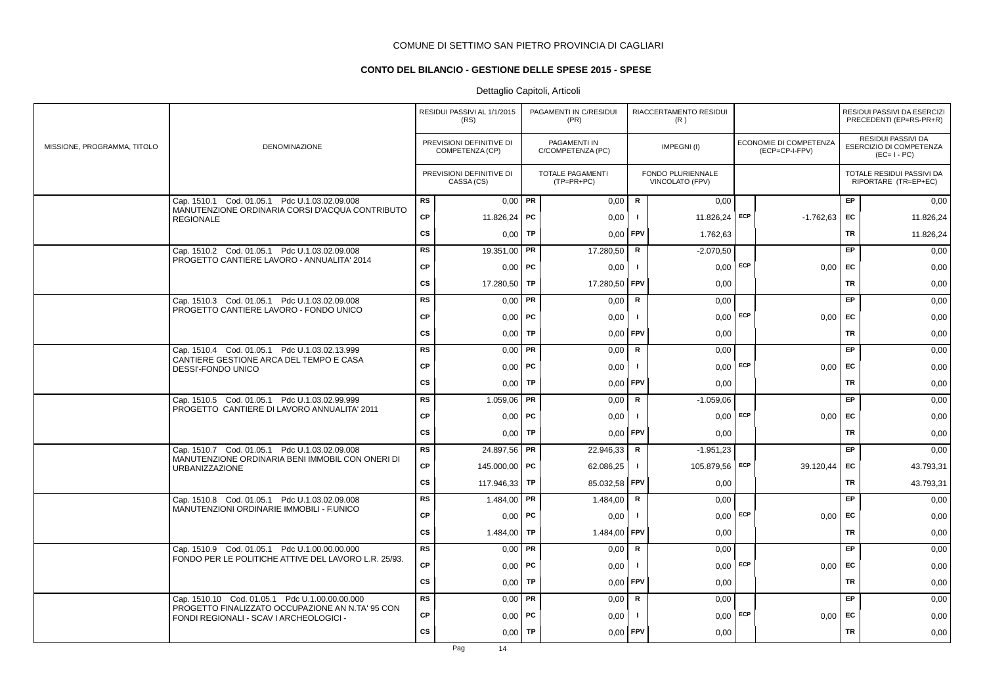# **CONTO DEL BILANCIO - GESTIONE DELLE SPESE 2015 - SPESE**

|                             |                                                                                                       |           | RESIDUI PASSIVI AL 1/1/2015<br>(RS)         |    | PAGAMENTI IN C/RESIDUI<br>(PR)        |              | RIACCERTAMENTO RESIDUI<br>(R)        |            |                                          |           | RESIDUI PASSIVI DA ESERCIZI<br>PRECEDENTI (EP=RS-PR+R)       |
|-----------------------------|-------------------------------------------------------------------------------------------------------|-----------|---------------------------------------------|----|---------------------------------------|--------------|--------------------------------------|------------|------------------------------------------|-----------|--------------------------------------------------------------|
| MISSIONE, PROGRAMMA, TITOLO | <b>DENOMINAZIONE</b>                                                                                  |           | PREVISIONI DEFINITIVE DI<br>COMPETENZA (CP) |    | PAGAMENTI IN<br>C/COMPETENZA (PC)     |              | IMPEGNI(I)                           |            | ECONOMIE DI COMPETENZA<br>(ECP=CP-I-FPV) |           | RESIDUI PASSIVI DA<br>ESERCIZIO DI COMPETENZA<br>$(EC=I-PC)$ |
|                             |                                                                                                       |           | PREVISIONI DEFINITIVE DI<br>CASSA (CS)      |    | <b>TOTALE PAGAMENTI</b><br>(TP=PR+PC) |              | FONDO PLURIENNALE<br>VINCOLATO (FPV) |            |                                          |           | TOTALE RESIDUI PASSIVI DA<br>RIPORTARE (TR=EP+EC)            |
|                             | Cap. 1510.1 Cod. 01.05.1 Pdc U.1.03.02.09.008<br>MANUTENZIONE ORDINARIA CORSI D'ACQUA CONTRIBUTO      | RS        | $0,00$ PR                                   |    | 0,00                                  | R            | 0.00                                 |            |                                          | <b>EP</b> | 0,00                                                         |
|                             | <b>REGIONALE</b>                                                                                      | <b>CP</b> | 11.826,24   PC                              |    | 0,00                                  | $\mathbf{I}$ | 11.826,24 ECP                        |            | $-1.762,63$                              | EC        | 11.826,24                                                    |
|                             |                                                                                                       | <b>CS</b> | 0,00                                        | TP | 0,00                                  | FPV          | 1.762,63                             |            |                                          | TR        | 11.826,24                                                    |
|                             | Cap. 1510.2 Cod. 01.05.1 Pdc U.1.03.02.09.008                                                         | <b>RS</b> | 19.351,00   PR                              |    | 17.280,50                             | $\mathsf R$  | $-2.070,50$                          |            |                                          | EP        | 0,00                                                         |
|                             | PROGETTO CANTIERE LAVORO - ANNUALITA' 2014                                                            | <b>CP</b> | $0,00$   PC                                 |    | 0,00                                  | $\mathbf{I}$ | $0,00$ ECP                           |            | $0,00$ EC                                |           | 0,00                                                         |
|                             |                                                                                                       | <b>CS</b> | 17.280,50 TP                                |    | 17.280,50                             | <b>FPV</b>   | 0,00                                 |            |                                          | TR        | 0,00                                                         |
|                             | Cap. 1510.3 Cod. 01.05.1 Pdc U.1.03.02.09.008                                                         | <b>RS</b> | $0,00$ PR                                   |    | 0,00                                  | R            | 0,00                                 |            |                                          | <b>EP</b> | 0,00                                                         |
|                             | PROGETTO CANTIERE LAVORO - FONDO UNICO                                                                | <b>CP</b> | $0,00$   PC                                 |    | 0,00                                  | $\mathbf{I}$ | $0,00$ ECP                           |            | $0,00$ EC                                |           | 0,00                                                         |
|                             |                                                                                                       | <b>CS</b> | $0,00$ TP                                   |    | 0,00                                  | <b>FPV</b>   | 0,00                                 |            |                                          | TR        | 0,00                                                         |
|                             | Cap. 1510.4 Cod. 01.05.1 Pdc U.1.03.02.13.999                                                         | <b>RS</b> | $0,00$ PR                                   |    | 0,00                                  | R            | 0,00                                 |            |                                          | <b>EP</b> | 0,00                                                         |
|                             | CANTIERE GESTIONE ARCA DEL TEMPO E CASA<br>DESSI'-FONDO UNICO                                         | <b>CP</b> | $0,00$ PC                                   |    | 0,00                                  | $\mathbf{I}$ |                                      | $0.00$ ECP | 0.00                                     | EC        | 0,00                                                         |
|                             |                                                                                                       | <b>CS</b> | $0,00$ TP                                   |    | 0,00                                  | <b>FPV</b>   | 0,00                                 |            |                                          | TR        | 0,00                                                         |
|                             | Cap. 1510.5 Cod. 01.05.1 Pdc U.1.03.02.99.999                                                         | <b>RS</b> | $1.059,06$ PR                               |    | 0,00                                  | $\mathsf R$  | $-1.059,06$                          |            |                                          | EP        | 0,00                                                         |
|                             | PROGETTO CANTIERE DI LAVORO ANNUALITA' 2011                                                           | <b>CP</b> | $0,00$ PC                                   |    | 0,00                                  | $\mathbf{I}$ | $0,00$ ECP                           |            | 0,00                                     | EC        | 0,00                                                         |
|                             |                                                                                                       | <b>CS</b> | 0,00                                        | TP | 0,00                                  | <b>FPV</b>   | 0,00                                 |            |                                          | TR        | 0,00                                                         |
|                             | Cap. 1510.7 Cod. 01.05.1 Pdc U.1.03.02.09.008                                                         | <b>RS</b> | 24.897,56 PR                                |    | 22.946,33                             | $\mathsf R$  | $-1.951,23$                          |            |                                          | EP        | 0,00                                                         |
|                             | MANUTENZIONE ORDINARIA BENI IMMOBIL CON ONERI DI<br><b>URBANIZZAZIONE</b>                             | <b>CP</b> | 145,000.00   PC                             |    | 62.086,25                             | $\mathbf{I}$ | 105.879,56   ECP                     |            | 39.120,44                                | EC        | 43.793,31                                                    |
|                             |                                                                                                       | <b>CS</b> | 117.946,33 TP                               |    | 85.032,58                             | <b>FPV</b>   | 0,00                                 |            |                                          | TR        | 43.793,31                                                    |
|                             | Cap. 1510.8 Cod. 01.05.1 Pdc U.1.03.02.09.008<br>MANUTENZIONI ORDINARIE IMMOBILI - F.UNICO            | <b>RS</b> | 1.484,00   PR                               |    | 1.484,00                              | R            | 0,00                                 |            |                                          | <b>EP</b> | 0,00                                                         |
|                             |                                                                                                       | <b>CP</b> | 0.00                                        | PC | 0,00                                  | $\mathbf{I}$ | $0,00$ ECP                           |            | 0,00                                     | EC        | 0,00                                                         |
|                             |                                                                                                       | <b>CS</b> | 1.484,00 TP                                 |    | 1.484,00                              | <b>FPV</b>   | 0,00                                 |            |                                          | TR        | 0,00                                                         |
|                             | Cap. 1510.9 Cod. 01.05.1 Pdc U.1.00.00.00.000<br>FONDO PER LE POLITICHE ATTIVE DEL LAVORO L.R. 25/93. | RS        | $0,00$ PR                                   |    | 0,00                                  | $\mathbf R$  | 0,00                                 |            |                                          | EP        | 0,00                                                         |
|                             |                                                                                                       | <b>CP</b> | $0,00$   PC                                 |    | 0,00                                  | $\mathbf{I}$ |                                      | $0.00$ ECP | 0,00                                     | EC        | 0,00                                                         |
|                             |                                                                                                       | <b>CS</b> | 0,00                                        | TP | 0,00                                  | <b>FPV</b>   | 0,00                                 |            |                                          | <b>TR</b> | 0,00                                                         |
|                             | Cap. 1510.10 Cod. 01.05.1 Pdc U.1.00.00.00.000                                                        | <b>RS</b> | $0,00$ PR                                   |    | 0,00                                  | R            | 0,00                                 |            |                                          | EP        | 0,00                                                         |
|                             | PROGETTO FINALIZZATO OCCUPAZIONE AN N.TA' 95 CON<br>FONDI REGIONALI - SCAV I ARCHEOLOGICI -           | <b>CP</b> | $0,00$   PC                                 |    | 0,00                                  | -1           | $0,00$ ECP                           |            | 0,00                                     | EC        | 0,00                                                         |
|                             |                                                                                                       | <b>CS</b> | 0,00                                        | TP | 0,00                                  | <b>FPV</b>   | 0,00                                 |            |                                          | TR        | 0,00                                                         |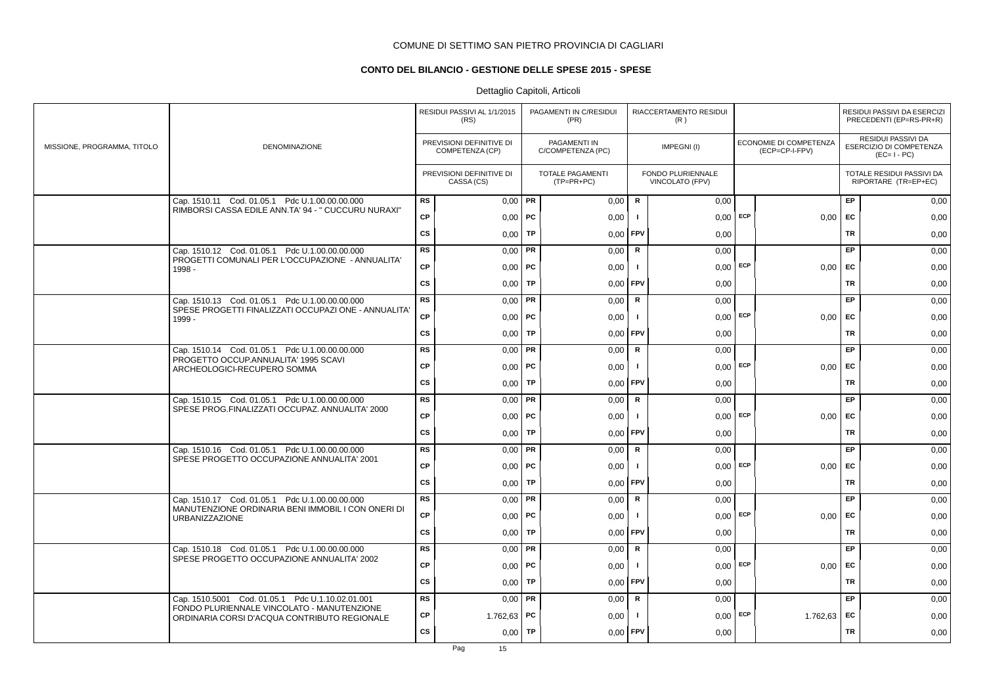# **CONTO DEL BILANCIO - GESTIONE DELLE SPESE 2015 - SPESE**

|                             |                                                                                                        |           | RESIDUI PASSIVI AL 1/1/2015<br>(RS)         |           | PAGAMENTI IN C/RESIDUI<br>(PR)          |                | RIACCERTAMENTO RESIDUI<br>(R)        |     |                                          |           | RESIDUI PASSIVI DA ESERCIZI<br>PRECEDENTI (EP=RS-PR+R)       |
|-----------------------------|--------------------------------------------------------------------------------------------------------|-----------|---------------------------------------------|-----------|-----------------------------------------|----------------|--------------------------------------|-----|------------------------------------------|-----------|--------------------------------------------------------------|
| MISSIONE, PROGRAMMA, TITOLO | <b>DENOMINAZIONE</b>                                                                                   |           | PREVISIONI DEFINITIVE DI<br>COMPETENZA (CP) |           | PAGAMENTI IN<br>C/COMPETENZA (PC)       |                | IMPEGNI(I)                           |     | ECONOMIE DI COMPETENZA<br>(ECP=CP-I-FPV) |           | RESIDUI PASSIVI DA<br>ESERCIZIO DI COMPETENZA<br>$(EC=I-PC)$ |
|                             |                                                                                                        |           | PREVISIONI DEFINITIVE DI<br>CASSA (CS)      |           | <b>TOTALE PAGAMENTI</b><br>$(TP=PR+PC)$ |                | FONDO PLURIENNALE<br>VINCOLATO (FPV) |     |                                          |           | TOTALE RESIDUI PASSIVI DA<br>RIPORTARE (TR=EP+EC)            |
|                             | Cap. 1510.11 Cod. 01.05.1 Pdc U.1.00.00.00.000<br>RIMBORSI CASSA EDILE ANN.TA' 94 - " CUCCURU NURAXI"  | <b>RS</b> | $0,00$ PR                                   |           | 0,00                                    | R              | 0,00                                 |     |                                          | EP        | 0,00                                                         |
|                             |                                                                                                        | <b>CP</b> | $0,00$   PC                                 |           | 0,00                                    | $\blacksquare$ | 0,00                                 | ECP | 0,00                                     | EC        | 0,00                                                         |
|                             |                                                                                                        | CS        | 0,00                                        | TP        | 0,00                                    | FPV            | 0,00                                 |     |                                          | <b>TR</b> | 0,00                                                         |
|                             | Cap. 1510.12 Cod. 01.05.1 Pdc U.1.00.00.00.000<br>PROGETTI COMUNALI PER L'OCCUPAZIONE - ANNUALITA'     | RS        | 0,00                                        | PR        | 0,00                                    | $\mathsf R$    | 0,00                                 |     |                                          | <b>EP</b> | 0,00                                                         |
|                             | 1998 -                                                                                                 | CP        | $0,00$   PC                                 |           | 0,00                                    | $\mathbf{I}$   | $0,00$ ECP                           |     | 0,00                                     | EC        | 0,00                                                         |
|                             |                                                                                                        | CS        | $0,00$   TP                                 |           | 0,00                                    | FPV            | 0,00                                 |     |                                          | TR        | 0,00                                                         |
|                             | Cap. 1510.13 Cod. 01.05.1 Pdc U.1.00.00.00.000<br>SPESE PROGETTI FINALIZZATI OCCUPAZI ONE - ANNUALITA' | <b>RS</b> | 0,00                                        | PR        | 0,00                                    | R              | 0,00                                 |     |                                          | EP        | 0,00                                                         |
|                             | $1999 -$                                                                                               | <b>CP</b> | $0,00$   PC                                 |           | 0,00                                    | $\mathbf{I}$   | $0,00$ ECP                           |     | 0,00                                     | <b>FC</b> | 0,00                                                         |
|                             |                                                                                                        | CS        | 0,00                                        | TP        | 0,00                                    | FPV            | 0,00                                 |     |                                          | TR        | 0,00                                                         |
|                             | Cap. 1510.14 Cod. 01.05.1 Pdc U.1.00.00.00.000                                                         | <b>RS</b> | 0,00                                        | <b>PR</b> | 0,00                                    | R              | 0,00                                 |     |                                          | <b>EP</b> | 0,00                                                         |
|                             | PROGETTO OCCUP.ANNUALITA' 1995 SCAVI<br>ARCHEOLOGICI-RECUPERO SOMMA                                    | <b>CP</b> | $0,00$   PC                                 |           | 0,00                                    | -1             | $0,00$ ECP                           |     | 0.00                                     | <b>EC</b> | 0,00                                                         |
|                             |                                                                                                        | <b>CS</b> | 0,00                                        | <b>TP</b> | 0,00                                    | <b>FPV</b>     | 0,00                                 |     |                                          | <b>TR</b> | 0,00                                                         |
|                             | Cap. 1510.15 Cod. 01.05.1 Pdc U.1.00.00.00.000<br>SPESE PROG.FINALIZZATI OCCUPAZ. ANNUALITA' 2000      | RS        | 0,00                                        | <b>PR</b> | 0,00                                    | $\mathsf{R}$   | 0,00                                 |     |                                          | EP        | 0,00                                                         |
|                             |                                                                                                        | CP        | 0,00                                        | <b>PC</b> | 0,00                                    |                | 0,00                                 | ECP | 0,00                                     | EC        | 0,00                                                         |
|                             |                                                                                                        | CS        | 0,00                                        | TP        | 0,00                                    | FPV            | 0,00                                 |     |                                          | <b>TR</b> | 0,00                                                         |
|                             | Cap. 1510.16 Cod. 01.05.1 Pdc U.1.00.00.00.000<br>SPESE PROGETTO OCCUPAZIONE ANNUALITA' 2001           | RS        | 0,00                                        | PR        | 0,00                                    | $\mathsf R$    | 0,00                                 |     |                                          | EP.       | 0,00                                                         |
|                             |                                                                                                        | <b>CP</b> | $0,00$   PC                                 |           | 0,00                                    | -1             | $0,00$ ECP                           |     | 0.00                                     | <b>EC</b> | 0,00                                                         |
|                             |                                                                                                        | <b>CS</b> | 0,00                                        | <b>TP</b> | 0,00                                    | FPV            | 0,00                                 |     |                                          | TR        | 0,00                                                         |
|                             | Cap. 1510.17 Cod. 01.05.1 Pdc U.1.00.00.00.000<br>MANUTENZIONE ORDINARIA BENI IMMOBIL I CON ONERI DI   | <b>RS</b> | $0,00$ PR                                   |           | 0,00                                    | R              | 0,00                                 |     |                                          | <b>EP</b> | 0,00                                                         |
|                             | <b>URBANIZZAZIONE</b>                                                                                  | <b>CP</b> | $0,00$   PC                                 |           | 0,00                                    | $\blacksquare$ | 0,00                                 | ECP | 0.00                                     | <b>EC</b> | 0,00                                                         |
|                             |                                                                                                        | <b>CS</b> | 0,00                                        | <b>TP</b> | 0,00                                    | FPV            | 0,00                                 |     |                                          | <b>TR</b> | 0,00                                                         |
|                             | Cap. 1510.18 Cod. 01.05.1 Pdc U.1.00.00.00.000<br>SPESE PROGETTO OCCUPAZIONE ANNUALITA' 2002           | RS        | $0,00$ PR                                   |           | 0,00                                    | $\mathbf R$    | 0,00                                 |     |                                          | EP        | 0,00                                                         |
|                             |                                                                                                        | CP        | $0,00$ PC                                   |           | 0,00                                    | $\blacksquare$ | 0,00                                 | ECP | 0,00                                     | EC        | 0,00                                                         |
|                             |                                                                                                        | CS        | 0,00                                        | TP        | 0,00                                    | FPV            | 0,00                                 |     |                                          | <b>TR</b> | 0,00                                                         |
|                             | Cap. 1510.5001 Cod. 01.05.1 Pdc U.1.10.02.01.001                                                       | <b>RS</b> | $0,00$ PR                                   |           | 0,00                                    | $\mathsf{R}$   | 0,00                                 |     |                                          | EP        | 0,00                                                         |
|                             | FONDO PLURIENNALE VINCOLATO - MANUTENZIONE<br>ORDINARIA CORSI D'ACQUA CONTRIBUTO REGIONALE             | CP        | 1.762,63   PC                               |           | 0,00                                    | - 1            | 0,00                                 | ECP | 1.762,63                                 | EC        | 0,00                                                         |
|                             |                                                                                                        | <b>CS</b> | 0,00                                        | <b>TP</b> | 0,00                                    | FPV            | 0,00                                 |     |                                          | <b>TR</b> | 0,00                                                         |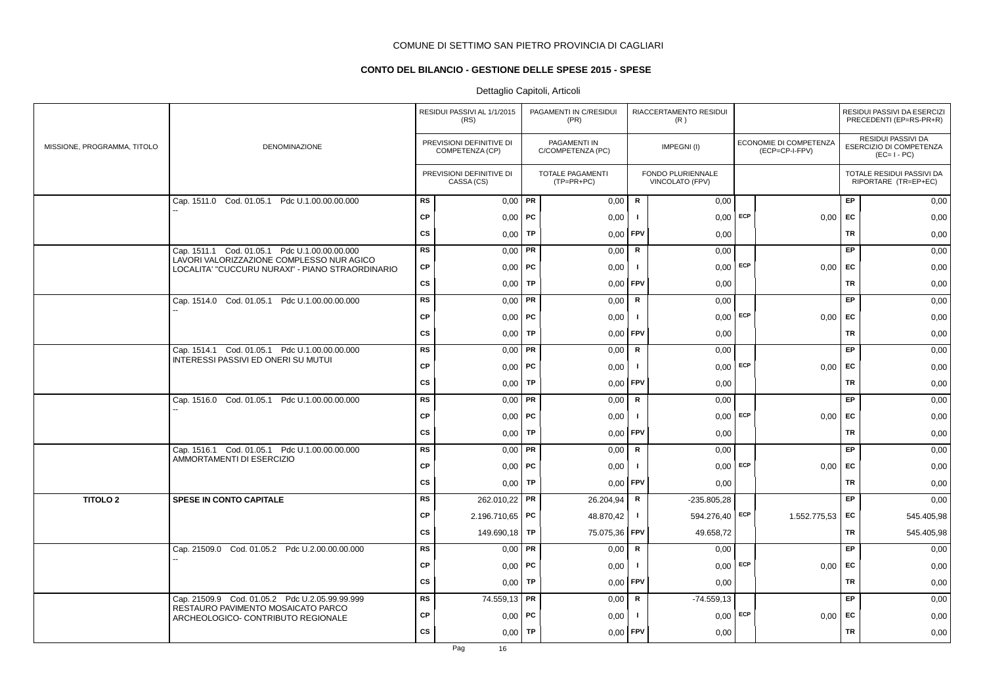# **CONTO DEL BILANCIO - GESTIONE DELLE SPESE 2015 - SPESE**

|                             |                                                                                               |           | RESIDUI PASSIVI AL 1/1/2015<br>(RS)         |           | PAGAMENTI IN C/RESIDUI<br>(PR)    |                | RIACCERTAMENTO RESIDUI<br>(R)        |     |                                          |           | RESIDUI PASSIVI DA ESERCIZI<br>PRECEDENTI (EP=RS-PR+R)       |
|-----------------------------|-----------------------------------------------------------------------------------------------|-----------|---------------------------------------------|-----------|-----------------------------------|----------------|--------------------------------------|-----|------------------------------------------|-----------|--------------------------------------------------------------|
| MISSIONE, PROGRAMMA, TITOLO | DENOMINAZIONE                                                                                 |           | PREVISIONI DEFINITIVE DI<br>COMPETENZA (CP) |           | PAGAMENTI IN<br>C/COMPETENZA (PC) |                | IMPEGNI(I)                           |     | ECONOMIE DI COMPETENZA<br>(ECP=CP-I-FPV) |           | RESIDUI PASSIVI DA<br>ESERCIZIO DI COMPETENZA<br>$(EC=I-PC)$ |
|                             |                                                                                               |           | PREVISIONI DEFINITIVE DI<br>CASSA (CS)      |           | TOTALE PAGAMENTI<br>$(TP=PR+PC)$  |                | FONDO PLURIENNALE<br>VINCOLATO (FPV) |     |                                          |           | TOTALE RESIDUI PASSIVI DA<br>RIPORTARE (TR=EP+EC)            |
|                             | Cap. 1511.0 Cod. 01.05.1 Pdc U.1.00.00.00.000                                                 | <b>RS</b> | $0,00$ PR                                   |           | 0,00                              | $\mathsf{R}$   | 0,00                                 |     |                                          | EP        | 0,00                                                         |
|                             |                                                                                               | <b>CP</b> | 0,00                                        | PC        | 0,00                              |                | $0,00$ ECP                           |     | 0,00                                     | EC        | 0,00                                                         |
|                             |                                                                                               | cs        | 0,00                                        | TP        | 0,00                              | <b>FPV</b>     | 0,00                                 |     |                                          | <b>TR</b> | 0,00                                                         |
|                             | Cap. 1511.1 Cod. 01.05.1 Pdc U.1.00.00.00.000                                                 | <b>RS</b> | 0,00                                        | PR        | 0,00                              | R              | 0,00                                 |     |                                          | EP        | 0,00                                                         |
|                             | LAVORI VALORIZZAZIONE COMPLESSO NUR AGICO<br>LOCALITA' "CUCCURU NURAXI" - PIANO STRAORDINARIO | CP        | $0,00$   PC                                 |           | 0,00                              | Ι.             | $0,00$ ECP                           |     | $0,00$ EC                                |           | 0,00                                                         |
|                             |                                                                                               | CS        | 0,00                                        | TP        | 0,00                              | <b>FPV</b>     | 0,00                                 |     |                                          | TR        | 0,00                                                         |
|                             | Cap. 1514.0 Cod. 01.05.1 Pdc U.1.00.00.00.000                                                 | <b>RS</b> | 0,00                                        | PR        | 0,00                              | $\mathsf{R}$   | 0,00                                 |     |                                          | EP        | 0,00                                                         |
|                             |                                                                                               | <b>CP</b> | $0,00$   PC                                 |           | 0,00                              | $\blacksquare$ | $0,00$ ECP                           |     | 0,00                                     | EC        | 0,00                                                         |
|                             |                                                                                               | CS        | 0,00                                        | TP        | 0,00                              | <b>FPV</b>     | 0,00                                 |     |                                          | <b>TR</b> | 0,00                                                         |
|                             | Cap. 1514.1 Cod. 01.05.1 Pdc U.1.00.00.00.000                                                 | <b>RS</b> | 0,00                                        | PR        | 0,00                              | R              | 0,00                                 |     |                                          | EP        | 0,00                                                         |
|                             | INTERESSI PASSIVI ED ONERI SU MUTUI                                                           | <b>CP</b> | 0,00                                        | PC        | 0,00                              | -1             | $0.00$ ECP                           |     | 0,00                                     | <b>FC</b> | 0,00                                                         |
|                             |                                                                                               | <b>CS</b> | 0,00                                        | <b>TP</b> | 0,00                              | <b>FPV</b>     | 0,00                                 |     |                                          | <b>TR</b> | 0,00                                                         |
|                             | Cap. 1516.0 Cod. 01.05.1 Pdc U.1.00.00.00.000                                                 | RS        | 0,00                                        | PR        | 0,00                              | ${\sf R}$      | 0,00                                 |     |                                          | EP        | 0,00                                                         |
|                             |                                                                                               | CP        | 0,00                                        | PC        | 0,00                              |                | $0,00$ ECP                           |     | 0,00                                     | EC        | 0,00                                                         |
|                             |                                                                                               | cs        | 0,00                                        | TP        | 0,00                              | <b>FPV</b>     | 0,00                                 |     |                                          | TR        | 0,00                                                         |
|                             | Cap. 1516.1 Cod. 01.05.1 Pdc U.1.00.00.00.000                                                 | <b>RS</b> | 0,00                                        | PR        | 0,00                              | ${\sf R}$      | 0,00                                 |     |                                          | EP        | 0,00                                                         |
|                             | AMMORTAMENTI DI ESERCIZIO                                                                     | <b>CP</b> | $0,00$   PC                                 |           | 0,00                              | - 1            | $0,00$ ECP                           |     | 0,00                                     | EC        | 0,00                                                         |
|                             |                                                                                               | CS        | 0,00                                        | TP        | 0,00                              | <b>FPV</b>     | 0,00                                 |     |                                          | TR        | 0,00                                                         |
| <b>TITOLO 2</b>             | <b>SPESE IN CONTO CAPITALE</b>                                                                | <b>RS</b> | 262.010,22                                  | PR        | 26.204,94                         | R              | $-235.805.28$                        |     |                                          | EP        | 0,00                                                         |
|                             |                                                                                               | <b>CP</b> | 2.196.710,65   PC                           |           | 48.870,42                         | $\mathbf{I}$   | 594.276,40 ECP                       |     | 1.552.775,53                             | EC        | 545.405,98                                                   |
|                             |                                                                                               | CS        | 149.690,18   TP                             |           | 75.075,36                         | <b>FPV</b>     | 49.658,72                            |     |                                          | <b>TR</b> | 545.405,98                                                   |
|                             | Cap. 21509.0 Cod. 01.05.2 Pdc U.2.00.00.00.000                                                | <b>RS</b> | $0,00$ PR                                   |           | 0,00                              | $\mathsf{R}$   | 0,00                                 |     |                                          | EP        | 0,00                                                         |
|                             |                                                                                               | CP        | $0,00$   PC                                 |           | 0,00                              |                | $0,00$ ECP                           |     | 0,00                                     | EC        | 0,00                                                         |
|                             |                                                                                               | CS        | 0,00                                        | TP        | 0,00                              | <b>FPV</b>     | 0,00                                 |     |                                          | <b>TR</b> | 0,00                                                         |
|                             | Cap. 21509.9 Cod. 01.05.2 Pdc U.2.05.99.99.999<br>RESTAURO PAVIMENTO MOSAICATO PARCO          | <b>RS</b> | 74.559,13 PR                                |           | 0,00                              | $\mathbf R$    | $-74.559,13$                         |     |                                          | EP        | 0,00                                                         |
|                             | ARCHEOLOGICO- CONTRIBUTO REGIONALE                                                            | CP        | 0,00                                        | РC        | 0,00                              | - 1            | 0,00                                 | ECP | 0,00                                     | EC        | 0,00                                                         |
|                             |                                                                                               | <b>CS</b> | 0,00                                        | <b>TP</b> | 0,00                              | FPV            | 0,00                                 |     |                                          | <b>TR</b> | 0,00                                                         |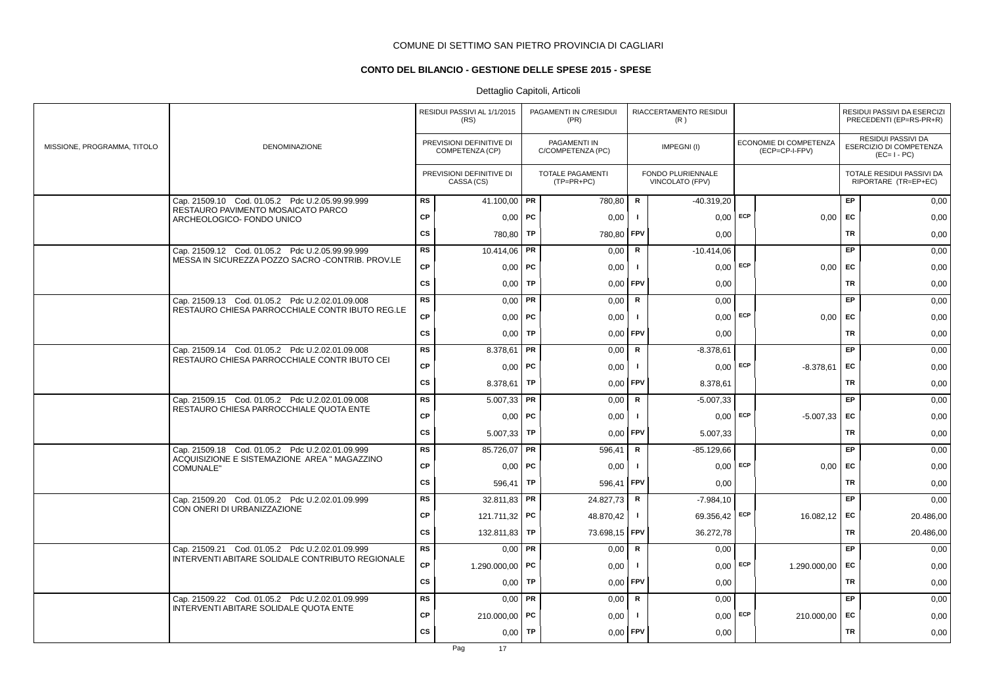# **CONTO DEL BILANCIO - GESTIONE DELLE SPESE 2015 - SPESE**

|                             |                                                                                                     |           | RESIDUI PASSIVI AL 1/1/2015<br>(RS)         |           | PAGAMENTI IN C/RESIDUI<br>(PR)        |                | RIACCERTAMENTO RESIDUI<br>(R)        |     |                                          |           | RESIDUI PASSIVI DA ESERCIZI<br>PRECEDENTI (EP=RS-PR+R)       |
|-----------------------------|-----------------------------------------------------------------------------------------------------|-----------|---------------------------------------------|-----------|---------------------------------------|----------------|--------------------------------------|-----|------------------------------------------|-----------|--------------------------------------------------------------|
| MISSIONE, PROGRAMMA, TITOLO | DENOMINAZIONE                                                                                       |           | PREVISIONI DEFINITIVE DI<br>COMPETENZA (CP) |           | PAGAMENTI IN<br>C/COMPETENZA (PC)     |                | IMPEGNI(I)                           |     | ECONOMIE DI COMPETENZA<br>(ECP=CP-I-FPV) |           | RESIDUI PASSIVI DA<br>ESERCIZIO DI COMPETENZA<br>$(EC=I-PC)$ |
|                             |                                                                                                     |           | PREVISIONI DEFINITIVE DI<br>CASSA (CS)      |           | <b>TOTALE PAGAMENTI</b><br>(TP=PR+PC) |                | FONDO PLURIENNALE<br>VINCOLATO (FPV) |     |                                          |           | TOTALE RESIDUI PASSIVI DA<br>RIPORTARE (TR=EP+EC)            |
|                             | Cap. 21509.10 Cod. 01.05.2 Pdc U.2.05.99.99.999<br>RESTAURO PAVIMENTO MOSAICATO PARCO               | <b>RS</b> | 41.100,00 PR                                |           | 780,80                                | R              | $-40.319,20$                         |     |                                          | EP        | 0,00                                                         |
|                             | ARCHEOLOGICO- FONDO UNICO                                                                           | <b>CP</b> | $0,00$   PC                                 |           | 0,00                                  | $\blacksquare$ | 0,00                                 | ECP | 0,00                                     | EC        | 0,00                                                         |
|                             |                                                                                                     | CS        | 780,80                                      | TP        | 780,80                                | FPV            | 0,00                                 |     |                                          | <b>TR</b> | 0,00                                                         |
|                             | Cap. 21509.12 Cod. 01.05.2 Pdc U.2.05.99.99.999                                                     | RS        | 10.414,06                                   | PR        | 0,00                                  | $\mathsf R$    | $-10.414,06$                         |     |                                          | <b>EP</b> | 0,00                                                         |
|                             | MESSA IN SICUREZZA POZZO SACRO - CONTRIB. PROV.LE                                                   | CP        | $0,00$   PC                                 |           | 0,00                                  | $\mathbf{I}$   | $0,00$ ECP                           |     | 0,00                                     | EC        | 0,00                                                         |
|                             |                                                                                                     | CS        | 0,00                                        | TP        | 0,00                                  | FPV            | 0,00                                 |     |                                          | TR        | 0,00                                                         |
|                             | Cap. 21509.13 Cod. 01.05.2 Pdc U.2.02.01.09.008<br>RESTAURO CHIESA PARROCCHIALE CONTR IBUTO REG.LE  | <b>RS</b> | 0,00                                        | PR        | 0,00                                  | R              | 0,00                                 |     |                                          | EP        | 0,00                                                         |
|                             |                                                                                                     | <b>CP</b> | $0,00$   PC                                 |           | 0,00                                  | $\mathbf{I}$   | $0,00$ ECP                           |     | 0,00                                     | <b>FC</b> | 0,00                                                         |
|                             |                                                                                                     | <b>CS</b> | 0.001                                       | <b>TP</b> | 0,00                                  | FPV            | 0,00                                 |     |                                          | <b>TR</b> | 0,00                                                         |
|                             | Cap. 21509.14 Cod. 01.05.2 Pdc U.2.02.01.09.008                                                     | RS        | 8.378,61   PR                               |           | 0,00                                  | R              | $-8.378.61$                          |     |                                          | <b>EP</b> | 0,00                                                         |
|                             | RESTAURO CHIESA PARROCCHIALE CONTR IBUTO CEI                                                        | <b>CP</b> | $0,00$ PC                                   |           | 0,00                                  | -1             | $0,00$ ECP                           |     | $-8.378,61$                              | <b>EC</b> | 0,00                                                         |
|                             |                                                                                                     | <b>CS</b> | 8.378,61   TP                               |           | 0,00                                  | FPV            | 8.378,61                             |     |                                          | <b>TR</b> | 0,00                                                         |
|                             | Cap. 21509.15 Cod. 01.05.2 Pdc U.2.02.01.09.008                                                     | RS        | 5.007,33                                    | PR        | 0,00                                  | $\mathsf{R}$   | $-5.007,33$                          |     |                                          | EP        | 0,00                                                         |
|                             | RESTAURO CHIESA PARROCCHIALE QUOTA ENTE                                                             | CP        | 0,00                                        | <b>PC</b> | 0,00                                  |                | 0,00                                 | ECP | $-5.007,33$                              | EC        | 0,00                                                         |
|                             |                                                                                                     | CS        | 5.007,33                                    | TP        | 0,00                                  | FPV            | 5.007,33                             |     |                                          | <b>TR</b> | 0,00                                                         |
|                             | Cap. 21509.18 Cod. 01.05.2 Pdc U.2.02.01.09.999                                                     | RS        | 85.726,07                                   | PR        | 596,41                                | $\mathsf R$    | $-85.129,66$                         |     |                                          | EP.       | 0,00                                                         |
|                             | ACQUISIZIONE E SISTEMAZIONE AREA " MAGAZZINO<br><b>COMUNALE"</b>                                    | <b>CP</b> | $0,00$   PC                                 |           | 0,00                                  | -1             | $0,00$ ECP                           |     | 0.00                                     | <b>EC</b> | 0,00                                                         |
|                             |                                                                                                     | <b>CS</b> | 596,41   TP                                 |           | 596,41                                | FPV            | 0,00                                 |     |                                          | TR        | 0,00                                                         |
|                             | Cap. 21509.20 Cod. 01.05.2 Pdc U.2.02.01.09.999                                                     | <b>RS</b> | 32.811,83                                   | PR        | 24.827,73                             | R              | $-7.984,10$                          |     |                                          | <b>EP</b> | 0,00                                                         |
|                             | CON ONERI DI URBANIZZAZIONE                                                                         | <b>CP</b> | 121.711,32 PC                               |           | 48.870,42                             | $\mathbf{I}$   | 69.356,42                            | ECP | 16.082,12                                | <b>EC</b> | 20.486,00                                                    |
|                             |                                                                                                     | CS        | 132.811,83                                  | <b>TP</b> | 73.698,15                             | FPV            | 36.272,78                            |     |                                          | TR        | 20.486,00                                                    |
|                             | Cap. 21509.21 Cod. 01.05.2 Pdc U.2.02.01.09.999<br>INTERVENTI ABITARE SOLIDALE CONTRIBUTO REGIONALE | RS        | $0,00$ PR                                   |           | 0,00                                  | $\mathbf R$    | 0,00                                 |     |                                          | EP        | 0,00                                                         |
|                             |                                                                                                     | CP        | 1.290.000,00 PC                             |           | 0,00                                  | - 1            | 0,00                                 | ECP | 1.290.000,00                             | EC        | 0,00                                                         |
|                             |                                                                                                     | CS        | 0,00                                        | TP        | 0,00                                  | FPV            | 0,00                                 |     |                                          | <b>TR</b> | 0,00                                                         |
|                             | Cap. 21509.22 Cod. 01.05.2 Pdc U.2.02.01.09.999                                                     | <b>RS</b> | $0,00$ PR                                   |           | 0,00                                  | $\mathsf{R}$   | 0,00                                 |     |                                          | EP        | 0,00                                                         |
|                             | INTERVENTI ABITARE SOLIDALE QUOTA ENTE                                                              | <b>CP</b> | 210.000,00   PC                             |           | 0,00                                  | - 1            | 0,00                                 | ECP | 210.000,00                               | EC        | 0,00                                                         |
|                             |                                                                                                     | <b>CS</b> | 0,00                                        | TP        | 0,00                                  | FPV            | 0,00                                 |     |                                          | <b>TR</b> | 0,00                                                         |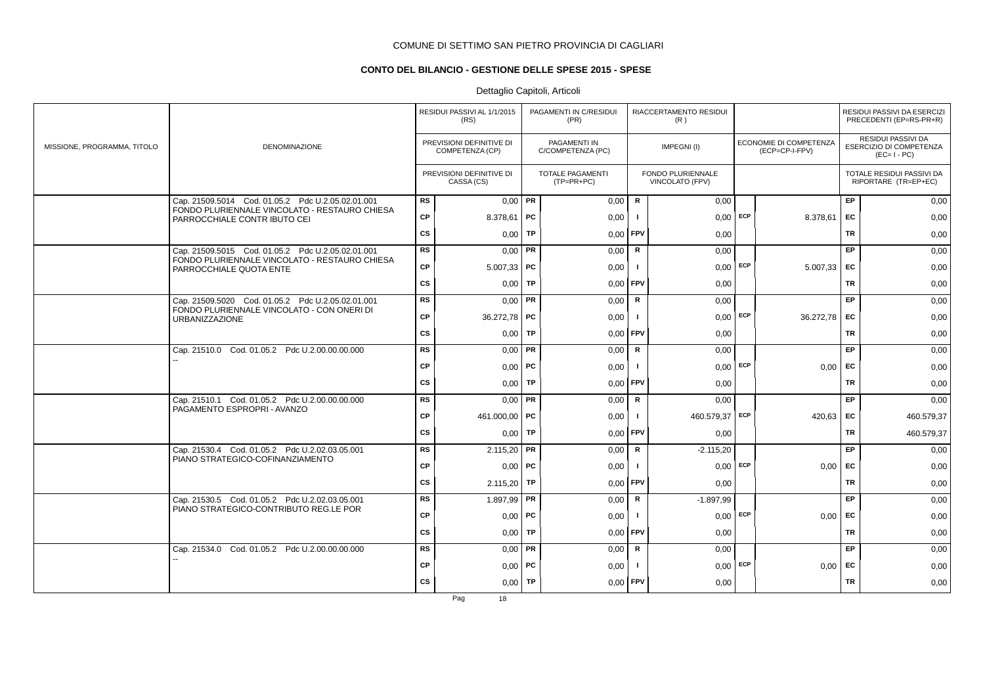# **CONTO DEL BILANCIO - GESTIONE DELLE SPESE 2015 - SPESE**

# Dettaglio Capitoli, Articoli

|                             |                                                                                    |           | RESIDUI PASSIVI AL 1/1/2015<br>(RS)         |           | PAGAMENTI IN C/RESIDUI<br>(PR)           |              | RIACCERTAMENTO RESIDUI<br>(R)        |     |                                                 |           | RESIDUI PASSIVI DA ESERCIZI<br>PRECEDENTI (EP=RS-PR+R)       |
|-----------------------------|------------------------------------------------------------------------------------|-----------|---------------------------------------------|-----------|------------------------------------------|--------------|--------------------------------------|-----|-------------------------------------------------|-----------|--------------------------------------------------------------|
| MISSIONE, PROGRAMMA, TITOLO | <b>DENOMINAZIONE</b>                                                               |           | PREVISIONI DEFINITIVE DI<br>COMPETENZA (CP) |           | <b>PAGAMENTI IN</b><br>C/COMPETENZA (PC) |              | IMPEGNI(I)                           |     | <b>ECONOMIE DI COMPETENZA</b><br>(ECP=CP-I-FPV) |           | RESIDUI PASSIVI DA<br>ESERCIZIO DI COMPETENZA<br>$(EC=I-PC)$ |
|                             |                                                                                    |           | PREVISIONI DEFINITIVE DI<br>CASSA (CS)      |           | TOTALE PAGAMENTI<br>$(TP=PR+PC)$         |              | FONDO PLURIENNALE<br>VINCOLATO (FPV) |     |                                                 |           | TOTALE RESIDUI PASSIVI DA<br>RIPORTARE (TR=EP+EC)            |
|                             | Cap. 21509.5014 Cod. 01.05.2 Pdc U.2.05.02.01.001                                  | <b>RS</b> | $0,00$ PR                                   |           | 0,00                                     | R            | 0,00                                 |     |                                                 | EP.       | 0,00                                                         |
|                             | FONDO PLURIENNALE VINCOLATO - RESTAURO CHIESA<br>PARROCCHIALE CONTR IBUTO CEI      | <b>CP</b> | 8.378,61   PC                               |           | 0,00                                     | $\mathbf{I}$ | $0,00$ ECP                           |     | 8.378,61                                        | <b>FC</b> | 0,00                                                         |
|                             |                                                                                    | cs        | 0,00                                        | <b>TP</b> | 0,00                                     | FPV          | 0,00                                 |     |                                                 | TR        | 0,00                                                         |
|                             | Cap. 21509.5015 Cod. 01.05.2 Pdc U.2.05.02.01.001                                  | <b>RS</b> | $0,00$ PR                                   |           | 0,00                                     | R            | 0,00                                 |     |                                                 | EP        | 0,00                                                         |
|                             | FONDO PLURIENNALE VINCOLATO - RESTAURO CHIESA<br>PARROCCHIALE QUOTA ENTE           | CP        | $5.007,33$ PC                               |           | 0,00                                     |              | $0,00$ ECP                           |     | 5.007,33                                        | <b>FC</b> | 0,00                                                         |
|                             |                                                                                    | <b>CS</b> | $0,00$ TP                                   |           | 0,00                                     | <b>FPV</b>   | 0,00                                 |     |                                                 | <b>TR</b> | 0,00                                                         |
|                             | Cap. 21509.5020 Cod. 01.05.2 Pdc U.2.05.02.01.001                                  | <b>RS</b> | $0,00$ PR                                   |           | 0,00                                     | $\mathbf R$  | 0,00                                 |     |                                                 | EP        | 0,00                                                         |
|                             | FONDO PLURIENNALE VINCOLATO - CON ONERI DI<br><b>URBANIZZAZIONE</b>                | <b>CP</b> | 36.272,78 PC                                |           | 0,00                                     |              | 0,00                                 | ECP | 36.272,78                                       | <b>EC</b> | 0,00                                                         |
|                             |                                                                                    | <b>CS</b> | $0,00$ TP                                   |           | 0,00                                     | FPV          | 0,00                                 |     |                                                 | <b>TR</b> | 0,00                                                         |
|                             | Cap. 21510.0 Cod. 01.05.2 Pdc U.2.00.00.00.000                                     | <b>RS</b> | $0.00$ PR                                   |           | 0,00                                     | R            | 0,00                                 |     |                                                 | EP.       | 0,00                                                         |
|                             |                                                                                    | <b>CP</b> | $0,00$   PC                                 |           | 0,00                                     | $\mathbf{I}$ | $0,00$ ECP                           |     | $0,00$ EC                                       |           | 0,00                                                         |
|                             |                                                                                    | <b>CS</b> | $0,00$ TP                                   |           | 0,00                                     | <b>FPV</b>   | 0,00                                 |     |                                                 | <b>TR</b> | 0,00                                                         |
|                             | Cap. 21510.1 Cod. 01.05.2 Pdc U.2.00.00.00.000                                     | <b>RS</b> | $0,00$ PR                                   |           | 0,00                                     | R            | 0,00                                 |     |                                                 | EP        | 0,00                                                         |
|                             | PAGAMENTO ESPROPRI - AVANZO                                                        | <b>CP</b> | 461.000,00 PC                               |           | 0,00                                     | $\mathbf{I}$ | 460.579,37 ECP                       |     | 420,63                                          | <b>EC</b> | 460.579,37                                                   |
|                             |                                                                                    | <b>CS</b> | $0,00$ TP                                   |           | 0.00                                     | <b>FPV</b>   | 0,00                                 |     |                                                 | <b>TR</b> | 460.579,37                                                   |
|                             | Cap. 21530.4 Cod. 01.05.2 Pdc U.2.02.03.05.001<br>PIANO STRATEGICO-COFINANZIAMENTO | <b>RS</b> | $2.115,20$ PR                               |           | 0,00                                     | R            | $-2.115,20$                          |     |                                                 | EP        | 0,00                                                         |
|                             |                                                                                    | <b>CP</b> | $0.00$ PC                                   |           | 0,00                                     | $\mathbf{I}$ | 0,00                                 | ECP | 0.00                                            | <b>FC</b> | 0,00                                                         |
|                             |                                                                                    | <b>CS</b> | $2.115,20$ TP                               |           | 0,00                                     | FPV          | 0,00                                 |     |                                                 | <b>TR</b> | 0,00                                                         |
|                             | Cap. 21530.5 Cod. 01.05.2 Pdc U.2.02.03.05.001                                     | <b>RS</b> | 1.897,99   PR                               |           | 0,00                                     | R            | $-1.897,99$                          |     |                                                 | EP.       | 0,00                                                         |
|                             | PIANO STRATEGICO-CONTRIBUTO REG.LE POR                                             | <b>CP</b> | $0,00$   PC                                 |           | 0,00                                     | $\mathbf{I}$ | 0,00                                 | ECP | 0,00                                            | <b>EC</b> | 0,00                                                         |
|                             |                                                                                    | <b>CS</b> | 0,00                                        | TP        | 0,00                                     | <b>FPV</b>   | 0,00                                 |     |                                                 | <b>TR</b> | 0,00                                                         |
|                             | Cap. 21534.0 Cod. 01.05.2 Pdc U.2.00.00.00.000                                     | <b>RS</b> | $0,00$ PR                                   |           | 0,00                                     | R            | 0,00                                 |     |                                                 | EP        | 0,00                                                         |
|                             |                                                                                    | <b>CP</b> | $0,00$ PC                                   |           | 0,00                                     |              | $0,00$ ECP                           |     | 0,00                                            | <b>FC</b> | 0,00                                                         |
|                             |                                                                                    | <b>CS</b> | $0,00$ TP                                   |           | 0,00                                     | FPV          | 0,00                                 |     |                                                 | <b>TR</b> | 0,00                                                         |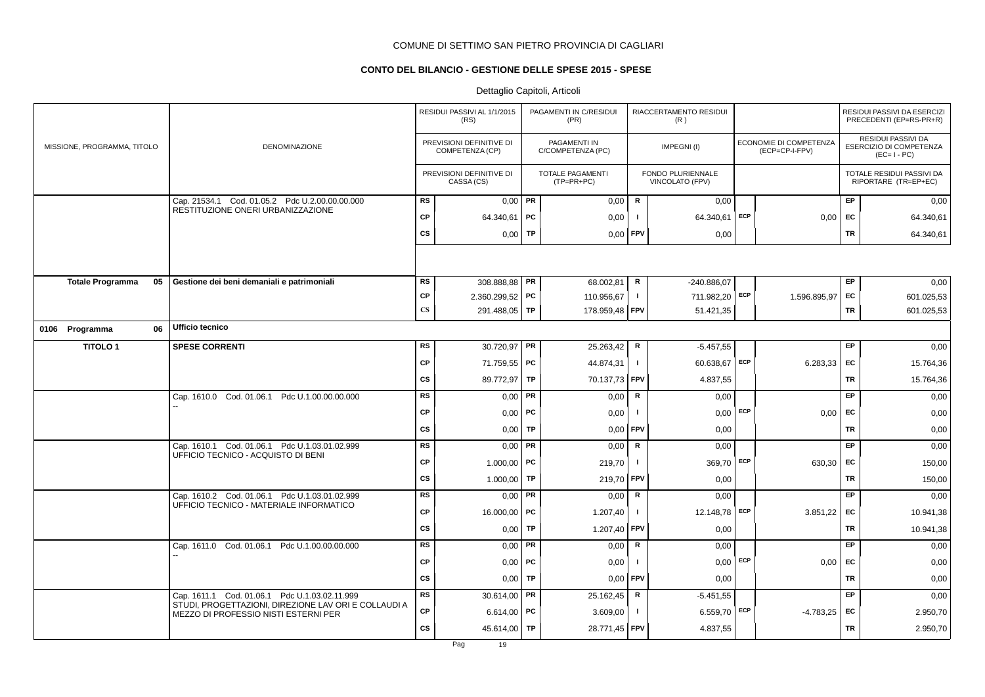# **CONTO DEL BILANCIO - GESTIONE DELLE SPESE 2015 - SPESE**

|                               |                                                                                              |                        | RESIDUI PASSIVI AL 1/1/2015<br>(RS)         |           | PAGAMENTI IN C/RESIDUI<br>(PR)    |                | RIACCERTAMENTO RESIDUI<br>(R)               |                                          |           | RESIDUI PASSIVI DA ESERCIZI<br>PRECEDENTI (EP=RS-PR+R)       |
|-------------------------------|----------------------------------------------------------------------------------------------|------------------------|---------------------------------------------|-----------|-----------------------------------|----------------|---------------------------------------------|------------------------------------------|-----------|--------------------------------------------------------------|
| MISSIONE, PROGRAMMA, TITOLO   | <b>DENOMINAZIONE</b>                                                                         |                        | PREVISIONI DEFINITIVE DI<br>COMPETENZA (CP) |           | PAGAMENTI IN<br>C/COMPETENZA (PC) |                | IMPEGNI(I)                                  | ECONOMIE DI COMPETENZA<br>(ECP=CP-I-FPV) |           | RESIDUI PASSIVI DA<br>ESERCIZIO DI COMPETENZA<br>$(EC=I-PC)$ |
|                               |                                                                                              |                        | PREVISIONI DEFINITIVE DI<br>CASSA (CS)      |           | TOTALE PAGAMENTI<br>$(TP=PR+PC)$  |                | <b>FONDO PLURIENNALE</b><br>VINCOLATO (FPV) |                                          |           | TOTALE RESIDUI PASSIVI DA<br>RIPORTARE (TR=EP+EC)            |
|                               | Cap. 21534.1 Cod. 01.05.2 Pdc U.2.00.00.00.000                                               | <b>RS</b>              | $0,00$ PR                                   |           | 0,00                              | $\mathbf R$    | 0,00                                        |                                          | EP        | 0,00                                                         |
|                               | RESTITUZIONE ONERI URBANIZZAZIONE                                                            | <b>CP</b>              | 64.340,61   PC                              |           | 0,00                              | -1             | 64.340,61 ECP                               | 0,00                                     | EC        | 64.340,61                                                    |
|                               |                                                                                              | <b>CS</b>              | 0,00                                        | TP        | $0,00$ FPV                        |                | 0,00                                        |                                          | <b>TR</b> | 64.340,61                                                    |
|                               |                                                                                              |                        |                                             |           |                                   |                |                                             |                                          |           |                                                              |
| 05<br><b>Totale Programma</b> | Gestione dei beni demaniali e patrimoniali                                                   | <b>RS</b>              | 308.888,88 PR                               |           | 68.002,81                         | R              | -240.886,07                                 |                                          | EP        | 0,00                                                         |
|                               |                                                                                              | CP                     | $2.360.299,52$ PC                           |           | 110.956,67                        | $\mathbf{I}$   | 711.982,20 ECP                              | 1.596.895,97                             | EC        | 601.025,53                                                   |
|                               |                                                                                              | $\mathbf{C}\mathbf{S}$ | 291.488,05 TP                               |           | 178.959,48 FPV                    |                | 51.421,35                                   |                                          | TR        | 601.025,53                                                   |
| 0106 Programma<br>06          | Ufficio tecnico                                                                              |                        |                                             |           |                                   |                |                                             |                                          |           |                                                              |
| <b>TITOLO1</b>                | <b>SPESE CORRENTI</b>                                                                        | <b>RS</b>              | 30.720,97 PR                                |           | 25.263,42                         | R              | $-5.457,55$                                 |                                          | EP        | 0,00                                                         |
|                               |                                                                                              | СP                     | 71.759,55 PC                                |           | 44.874,31                         | $\blacksquare$ | 60.638,67 ECP                               | 6.283,33                                 | EC        | 15.764,36                                                    |
|                               |                                                                                              | CS                     | 89.772,97 TP                                |           | 70.137,73 FPV                     |                | 4.837,55                                    |                                          | TR        | 15.764,36                                                    |
|                               | Cap. 1610.0 Cod. 01.06.1 Pdc U.1.00.00.00.000                                                | RS                     | $0,00$ PR                                   |           | 0,00                              | R              | 0,00                                        |                                          | EP        | 0,00                                                         |
|                               |                                                                                              | <b>CP</b>              | $0,00$   PC                                 |           | 0,00                              | -1             | $0,00$ ECP                                  | 0,00                                     | EC        | 0,00                                                         |
|                               |                                                                                              | <b>CS</b>              | 0,00                                        | TP        | 0,00                              | <b>FPV</b>     | 0,00                                        |                                          | <b>TR</b> | 0,00                                                         |
|                               | Cap. 1610.1 Cod. 01.06.1 Pdc U.1.03.01.02.999<br>UFFICIO TECNICO - ACQUISTO DI BENI          | <b>RS</b>              | $0,00$ PR                                   |           | 0,00                              | R              | 0,00                                        |                                          | EP        | 0,00                                                         |
|                               |                                                                                              | СP                     | 1.000,00                                    | PC        | 219,70                            | $\mathbf{I}$   | 369,70 ECP                                  | 630,30                                   | EC        | 150,00                                                       |
|                               |                                                                                              | cs                     | 1.000,00                                    | TP        | 219,70 FPV                        |                | 0,00                                        |                                          | TR        | 150,00                                                       |
|                               | Cap. 1610.2 Cod. 01.06.1 Pdc U.1.03.01.02.999<br>UFFICIO TECNICO - MATERIALE INFORMATICO     | RS                     | $0,00$ PR                                   |           | 0,00                              | R              | 0,00                                        |                                          | EP        | 0,00                                                         |
|                               |                                                                                              | СP                     | 16.000,00   PC                              |           | 1.207,40                          | Ι.             | 12.148,78 ECP                               | 3.851,22                                 | EC        | 10.941,38                                                    |
|                               |                                                                                              | CS                     | 0,00                                        | TP        | 1.207,40 FPV                      |                | 0,00                                        |                                          | <b>TR</b> | 10.941,38                                                    |
|                               | Cap. 1611.0 Cod. 01.06.1 Pdc U.1.00.00.00.000                                                | <b>RS</b>              | $0,00$ PR                                   |           | 0,00                              | R              | 0,00                                        |                                          | EP        | 0,00                                                         |
|                               |                                                                                              | <b>CP</b>              | 0,00                                        | PC        | 0,00                              | -1             | $0,00$ ECP                                  | 0,00                                     | EC        | 0,00                                                         |
|                               |                                                                                              | <b>CS</b>              | 0,00                                        | TP        | $0,00$ FPV                        |                | 0,00                                        |                                          | <b>TR</b> | 0,00                                                         |
|                               | Cap. 1611.1 Cod. 01.06.1 Pdc U.1.03.02.11.999                                                | <b>RS</b>              | 30.614,00                                   | <b>PR</b> | 25.162,45                         | R              | $-5.451,55$                                 |                                          | <b>EP</b> | 0,00                                                         |
|                               | STUDI, PROGETTAZIONI, DIREZIONE LAV ORI E COLLAUDI A<br>MEZZO DI PROFESSIO NISTI ESTERNI PER | CP                     | 6.614,00   PC                               |           | 3.609,00                          | $\mathbf{I}$   | $6.559,70$ ECP                              | $-4.783,25$ EC                           |           | 2.950,70                                                     |
|                               |                                                                                              | <b>CS</b>              | 45.614,00                                   | TP        | 28.771,45 FPV                     |                | 4.837,55                                    |                                          | <b>TR</b> | 2.950,70                                                     |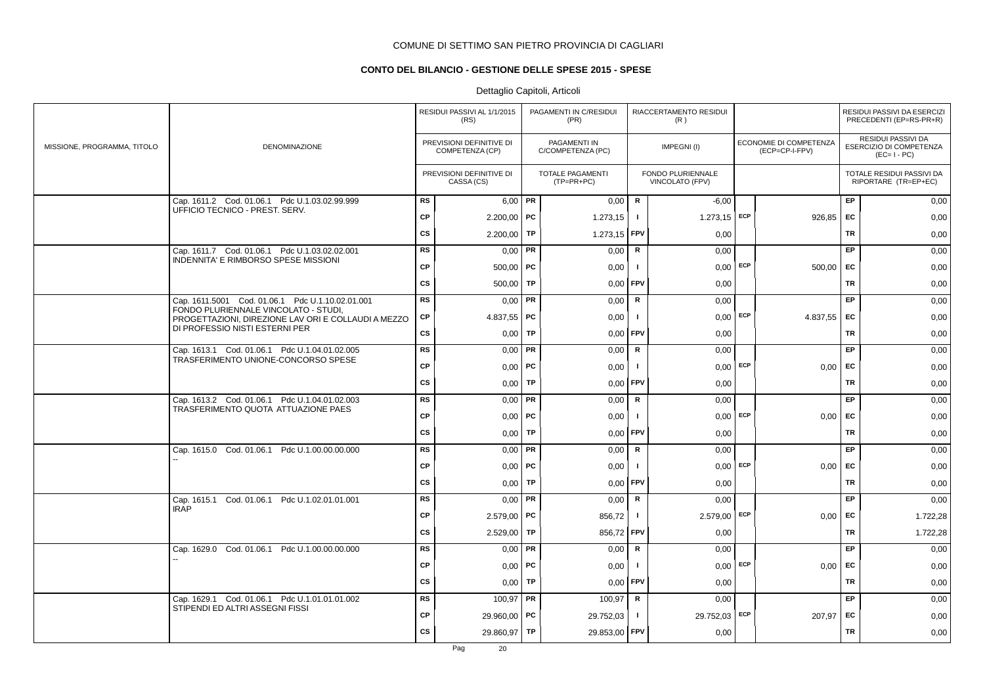# **CONTO DEL BILANCIO - GESTIONE DELLE SPESE 2015 - SPESE**

|                             |                                                                                             |           | RESIDUI PASSIVI AL 1/1/2015<br>(RS)         |    | PAGAMENTI IN C/RESIDUI<br>(PR)    |                | RIACCERTAMENTO RESIDUI<br>(R)        |                                          |           | RESIDUI PASSIVI DA ESERCIZI<br>PRECEDENTI (EP=RS-PR+R)       |
|-----------------------------|---------------------------------------------------------------------------------------------|-----------|---------------------------------------------|----|-----------------------------------|----------------|--------------------------------------|------------------------------------------|-----------|--------------------------------------------------------------|
| MISSIONE, PROGRAMMA, TITOLO | DENOMINAZIONE                                                                               |           | PREVISIONI DEFINITIVE DI<br>COMPETENZA (CP) |    | PAGAMENTI IN<br>C/COMPETENZA (PC) |                | IMPEGNI(I)                           | ECONOMIE DI COMPETENZA<br>(ECP=CP-I-FPV) |           | RESIDUI PASSIVI DA<br>ESERCIZIO DI COMPETENZA<br>$(EC=I-PC)$ |
|                             |                                                                                             |           | PREVISIONI DEFINITIVE DI<br>CASSA (CS)      |    | TOTALE PAGAMENTI<br>(TP=PR+PC)    |                | FONDO PLURIENNALE<br>VINCOLATO (FPV) |                                          |           | TOTALE RESIDUI PASSIVI DA<br>RIPORTARE (TR=EP+EC)            |
|                             | Cap. 1611.2 Cod. 01.06.1 Pdc U.1.03.02.99.999                                               | <b>RS</b> | $6,00$ PR                                   |    | 0,00                              | $\mathbf R$    | $-6,00$                              |                                          | EP        | 0,00                                                         |
|                             | UFFICIO TECNICO - PREST. SERV.                                                              | CP        | $2.200,00$ PC                               |    | 1.273,15                          | $\blacksquare$ | $1.273,15$ ECP                       | 926,85                                   | EC        | 0,00                                                         |
|                             |                                                                                             | cs        | 2.200,00                                    | TP | 1.273,15 FPV                      |                | 0,00                                 |                                          | TR        | 0,00                                                         |
|                             | Cap. 1611.7 Cod. 01.06.1 Pdc U.1.03.02.02.001                                               | <b>RS</b> | 0,00                                        | PR | 0,00                              | R              | 0,00                                 |                                          | EP        | 0,00                                                         |
|                             | INDENNITA' E RIMBORSO SPESE MISSIONI                                                        | <b>CP</b> | $500,00$   PC                               |    | 0,00                              | $\blacksquare$ | $0,00$ ECP                           | $500,00$ EC                              |           | 0,00                                                         |
|                             |                                                                                             | CS        | $500,00$ TP                                 |    | 0.00                              | <b>FPV</b>     | 0,00                                 |                                          | <b>TR</b> | 0,00                                                         |
|                             | Cap. 1611.5001 Cod. 01.06.1 Pdc U.1.10.02.01.001                                            | <b>RS</b> | 0,00                                        | PR | 0,00                              | R              | 0,00                                 |                                          | EP        | 0,00                                                         |
|                             | FONDO PLURIENNALE VINCOLATO - STUDI,<br>PROGETTAZIONI, DIREZIONE LAV ORI E COLLAUDI A MEZZO | СP        | 4.837,55 PC                                 |    | 0,00                              | $\mathbf{I}$   | $0,00$ ECP                           | 4.837,55                                 | EC        | 0,00                                                         |
|                             | DI PROFESSIO NISTI ESTERNI PER                                                              | CS        | 0,00                                        | TP | 0,00                              | <b>FPV</b>     | 0,00                                 |                                          | TR        | 0,00                                                         |
|                             | Cap. 1613.1 Cod. 01.06.1 Pdc U.1.04.01.02.005                                               | <b>RS</b> | 0,00                                        | PR | 0,00                              | $\mathbf R$    | 0,00                                 |                                          | EP        | 0,00                                                         |
|                             | TRASFERIMENTO UNIONE-CONCORSO SPESE                                                         | CP        | 0,00                                        | PC | 0,00                              | - 1            | $0,00$ ECP                           | $0,00$ EC                                |           | 0,00                                                         |
|                             |                                                                                             | CS        | 0,00                                        | TP | 0,00                              | <b>FPV</b>     | 0,00                                 |                                          | TR        | 0,00                                                         |
|                             | Cap. 1613.2 Cod. 01.06.1 Pdc U.1.04.01.02.003                                               | <b>RS</b> | $0,00$ PR                                   |    | 0,00                              | $\mathsf{R}$   | 0,00                                 |                                          | EP        | 0,00                                                         |
|                             | TRASFERIMENTO QUOTA ATTUAZIONE PAES                                                         | <b>CP</b> | 0,00                                        | PC | 0,00                              |                | $0,00$ ECP                           | $0,00$ EC                                |           | 0,00                                                         |
|                             |                                                                                             | CS        | 0,00                                        | TP | 0,00                              | FPV            | 0,00                                 |                                          | <b>TR</b> | 0,00                                                         |
|                             | Cap. 1615.0 Cod. 01.06.1 Pdc U.1.00.00.00.000                                               | <b>RS</b> | 0,00                                        | PR | 0,00                              | R              | 0,00                                 |                                          | EP        | 0,00                                                         |
|                             |                                                                                             | CP        | $0,00$   PC                                 |    | 0,00                              | - 1            | $0,00$ ECP                           | 0,00                                     | EC        | 0,00                                                         |
|                             |                                                                                             | CS        | $0,00$ TP                                   |    | 0,00                              | <b>FPV</b>     | 0,00                                 |                                          | TR        | 0,00                                                         |
|                             | Cap. 1615.1 Cod. 01.06.1 Pdc U.1.02.01.01.001<br><b>IRAP</b>                                | <b>RS</b> | $0,00$ PR                                   |    | 0,00                              | R              | 0,00                                 |                                          | EP        | 0,00                                                         |
|                             |                                                                                             | <b>CP</b> | 2.579,00 PC                                 |    | 856,72                            |                | 2.579,00 ECP                         | 0,00                                     | EC        | 1.722,28                                                     |
|                             |                                                                                             | CS        | 2.529,00                                    | TP | 856,72 FPV                        |                | 0,00                                 |                                          | <b>TR</b> | 1.722,28                                                     |
|                             | Cap. 1629.0 Cod. 01.06.1 Pdc U.1.00.00.00.000                                               | <b>RS</b> | $0,00$ PR                                   |    | 0,00                              | R              | 0,00                                 |                                          | EP        | 0,00                                                         |
|                             |                                                                                             | <b>CP</b> | $0,00$   PC                                 |    | 0,00                              |                | $0.00$ ECP                           | 0,00                                     | <b>FC</b> | 0,00                                                         |
|                             |                                                                                             | CS        | 0,00                                        | TP | 0,00                              | <b>FPV</b>     | 0,00                                 |                                          | TR        | 0,00                                                         |
|                             | Cap. 1629.1 Cod. 01.06.1 Pdc U.1.01.01.01.002                                               | <b>RS</b> | 100,97                                      | PR | 100,97                            | $\mathbf R$    | 0,00                                 |                                          | EP        | 0,00                                                         |
|                             | STIPENDI ED ALTRI ASSEGNI FISSI                                                             | <b>CP</b> | 29.960,00                                   | PC | 29.752,03                         | -1             | 29.752,03 ECP                        | 207,97                                   | EC        | 0,00                                                         |
|                             |                                                                                             | <b>CS</b> | 29.860,97                                   | TP | 29.853,00 FPV                     |                | 0,00                                 |                                          | <b>TR</b> | 0,00                                                         |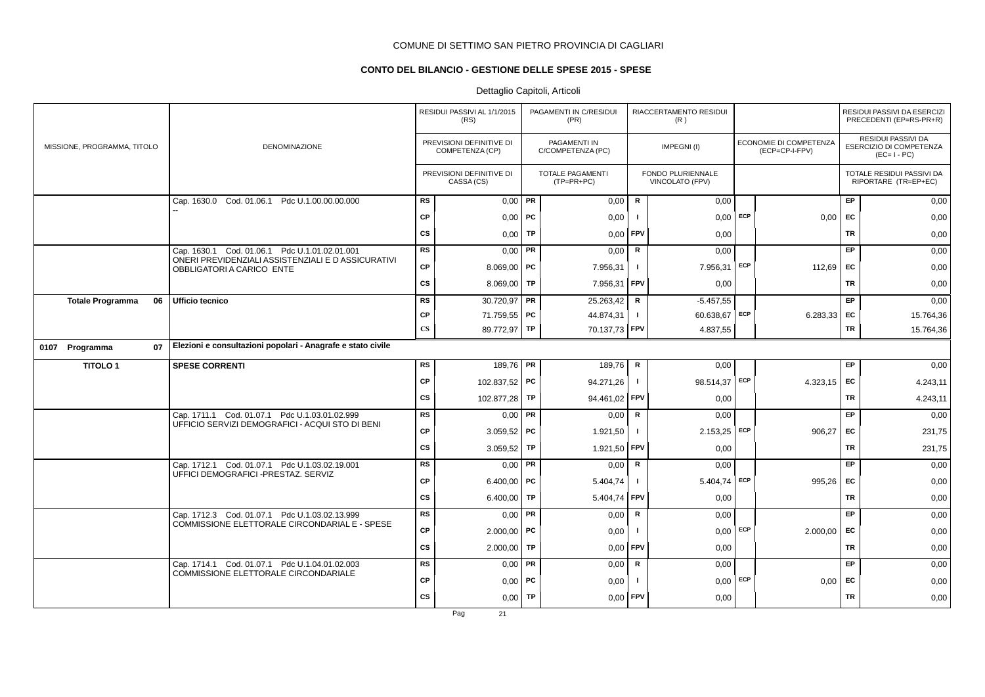# **CONTO DEL BILANCIO - GESTIONE DELLE SPESE 2015 - SPESE**

# Dettaglio Capitoli, Articoli

|                               |                                                                                 |                        | RESIDUI PASSIVI AL 1/1/2015<br>(RS)         |    | PAGAMENTI IN C/RESIDUI<br>(PR)           |              | RIACCERTAMENTO RESIDUI<br>(R)        |     |                                          |           | RESIDUI PASSIVI DA ESERCIZI<br>PRECEDENTI (EP=RS-PR+R)       |
|-------------------------------|---------------------------------------------------------------------------------|------------------------|---------------------------------------------|----|------------------------------------------|--------------|--------------------------------------|-----|------------------------------------------|-----------|--------------------------------------------------------------|
| MISSIONE, PROGRAMMA, TITOLO   | DENOMINAZIONE                                                                   |                        | PREVISIONI DEFINITIVE DI<br>COMPETENZA (CP) |    | <b>PAGAMENTI IN</b><br>C/COMPETENZA (PC) |              | IMPEGNI(I)                           |     | ECONOMIE DI COMPETENZA<br>(ECP=CP-I-FPV) |           | RESIDUI PASSIVI DA<br>ESERCIZIO DI COMPETENZA<br>$(EC=I-PC)$ |
|                               |                                                                                 |                        | PREVISIONI DEFINITIVE DI<br>CASSA (CS)      |    | <b>TOTALE PAGAMENTI</b><br>$(TP=PR+PC)$  |              | FONDO PLURIENNALE<br>VINCOLATO (FPV) |     |                                          |           | TOTALE RESIDUI PASSIVI DA<br>RIPORTARE (TR=EP+EC)            |
|                               | Cap. 1630.0 Cod. 01.06.1 Pdc U.1.00.00.00.000                                   | <b>RS</b>              | $0,00$ PR                                   |    | 0,00                                     | $\mathsf{R}$ | 0,00                                 |     |                                          | EP        | 0,00                                                         |
|                               |                                                                                 | <b>CP</b>              | $0,00$ PC                                   |    | 0,00                                     | -1           | 0.00                                 | ECP | 0.00                                     | EC        | 0,00                                                         |
|                               |                                                                                 | <b>CS</b>              | $0,00$ TP                                   |    | 0,00                                     | FPV          | 0,00                                 |     |                                          | <b>TR</b> | 0,00                                                         |
|                               | Cap. 1630.1 Cod. 01.06.1 Pdc U.1.01.02.01.001                                   | <b>RS</b>              | $0,00$ PR                                   |    | 0,00                                     | $\mathsf R$  | 0,00                                 |     |                                          | EP        | 0,00                                                         |
|                               | ONERI PREVIDENZIALI ASSISTENZIALI E D ASSICURATIVI<br>OBBLIGATORI A CARICO ENTE | <b>CP</b>              | 8.069,00   PC                               |    | 7.956,31                                 | $\mathbf{I}$ | 7.956,31                             | ECP | 112,69                                   | EC        | 0,00                                                         |
|                               |                                                                                 | CS                     | 8.069,00   TP                               |    | 7.956,31 FPV                             |              | 0,00                                 |     |                                          | TR        | 0,00                                                         |
| <b>Totale Programma</b><br>06 | Ufficio tecnico                                                                 | <b>RS</b>              | 30.720,97 PR                                |    | 25.263,42                                | $\mathsf R$  | $-5.457,55$                          |     |                                          | EP        | 0,00                                                         |
|                               |                                                                                 | CP                     | 71.759,55 PC                                |    | 44.874,31                                | $\mathbf{I}$ | 60.638,67 ECP                        |     | 6.283,33 EC                              |           | 15.764,36                                                    |
|                               |                                                                                 | $\mathbf{C}\mathbf{S}$ | 89.772,97 TP                                |    | 70.137,73                                | FPV          | 4.837,55                             |     |                                          | <b>TR</b> | 15.764,36                                                    |
| 07<br>0107 Programma          | Elezioni e consultazioni popolari - Anagrafe e stato civile                     |                        |                                             |    |                                          |              |                                      |     |                                          |           |                                                              |
| <b>TITOLO1</b>                | <b>SPESE CORRENTI</b>                                                           | <b>RS</b>              | 189,76 PR                                   |    | 189,76                                   | $\mathsf{R}$ | 0,00                                 |     |                                          | EP        | 0,00                                                         |
|                               |                                                                                 | <b>CP</b>              | 102.837,52 PC                               |    | 94.271,26                                | $\mathbf{I}$ | 98.514,37 ECP                        |     | 4.323,15                                 | EC        | 4.243,11                                                     |
|                               |                                                                                 | CS                     | 102.877,28 TP                               |    | 94.461,02 FPV                            |              | 0,00                                 |     |                                          | <b>TR</b> | 4.243,11                                                     |
|                               | Cap. 1711.1 Cod. 01.07.1 Pdc U.1.03.01.02.999                                   | <b>RS</b>              | $0,00$ PR                                   |    | 0,00                                     | R            | 0,00                                 |     |                                          | EP        | 0,00                                                         |
|                               | UFFICIO SERVIZI DEMOGRAFICI - ACQUI STO DI BENI                                 | CP                     | $3.059,52$ PC                               |    | 1.921,50                                 | $\mathbf{I}$ | 2.153,25                             | ECP | 906,27                                   | EC        | 231,75                                                       |
|                               |                                                                                 | CS                     | 3.059,52   TP                               |    | 1.921,50                                 | FPV          | 0,00                                 |     |                                          | <b>TR</b> | 231,75                                                       |
|                               | Cap. 1712.1 Cod. 01.07.1 Pdc U.1.03.02.19.001                                   | <b>RS</b>              | $0,00$ PR                                   |    | 0,00                                     | R            | 0,00                                 |     |                                          | EP        | 0,00                                                         |
|                               | UFFICI DEMOGRAFICI - PRESTAZ. SERVIZ                                            | CP                     | 6.400,00   PC                               |    | 5.404,74                                 | $\mathbf{I}$ | $5.404,74$ ECP                       |     | 995,26                                   | EC        | 0,00                                                         |
|                               |                                                                                 | CS                     | 6.400,00   TP                               |    | 5.404,74                                 | FPV          | 0,00                                 |     |                                          | <b>TR</b> | 0,00                                                         |
|                               | Cap. 1712.3 Cod. 01.07.1 Pdc U.1.03.02.13.999                                   | <b>RS</b>              | $0,00$ PR                                   |    | 0,00                                     | R            | 0,00                                 |     |                                          | EP        | 0,00                                                         |
|                               | COMMISSIONE ELETTORALE CIRCONDARIAL E - SPESE                                   | CP                     | $2.000,00$ PC                               |    | 0,00                                     | $\mathbf{I}$ | 0,00                                 | ECP | 2.000,00                                 | EC        | 0,00                                                         |
|                               |                                                                                 | CS                     | 2.000,00                                    | TP | 0,00                                     | FPV          | 0,00                                 |     |                                          | <b>TR</b> | 0,00                                                         |
|                               | Cap. 1714.1 Cod. 01.07.1 Pdc U.1.04.01.02.003                                   | <b>RS</b>              | $0,00$ PR                                   |    | 0,00                                     | R            | 0,00                                 |     |                                          | EP        | 0,00                                                         |
|                               | COMMISSIONE ELETTORALE CIRCONDARIALE                                            | CP                     | $0,00$ PC                                   |    | 0,00                                     |              | $0.00$ ECP                           |     | 0,00                                     | EC        | 0,00                                                         |
|                               |                                                                                 | <b>CS</b>              | $0,00$ TP                                   |    | 0,00                                     | <b>FPV</b>   | 0,00                                 |     |                                          | TR        | 0,00                                                         |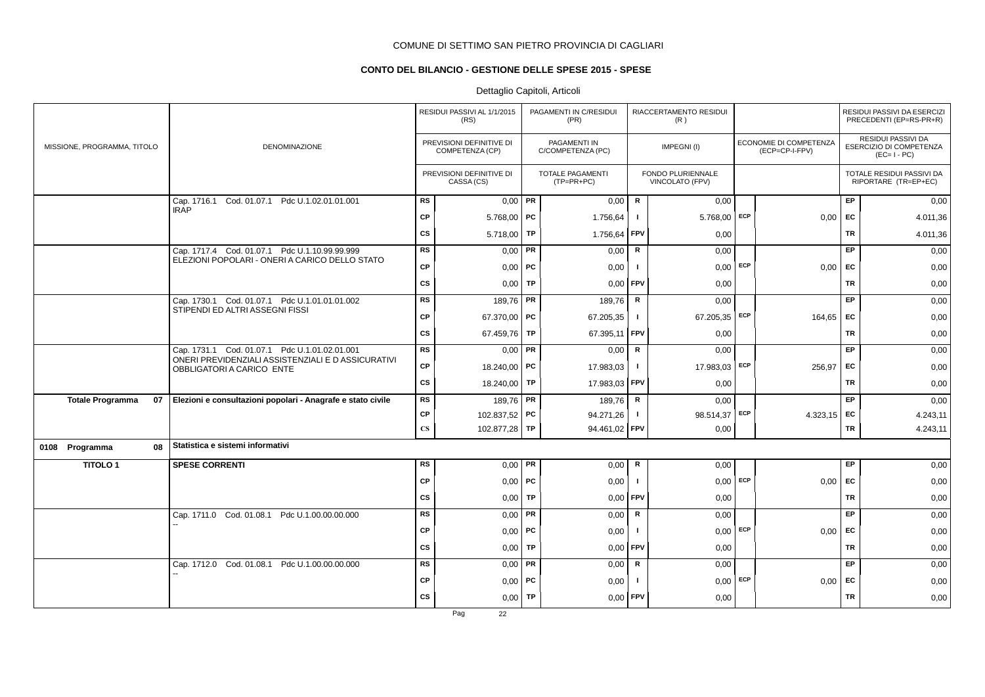# **CONTO DEL BILANCIO - GESTIONE DELLE SPESE 2015 - SPESE**

# Dettaglio Capitoli, Articoli

|                               |                                                                                  |                        | RESIDUI PASSIVI AL 1/1/2015<br>(RS)         |    | PAGAMENTI IN C/RESIDUI<br>(PR)          |              | RIACCERTAMENTO RESIDUI<br>(R)        |            |                                          |           | RESIDUI PASSIVI DA ESERCIZI<br>PRECEDENTI (EP=RS-PR+R)              |
|-------------------------------|----------------------------------------------------------------------------------|------------------------|---------------------------------------------|----|-----------------------------------------|--------------|--------------------------------------|------------|------------------------------------------|-----------|---------------------------------------------------------------------|
| MISSIONE, PROGRAMMA, TITOLO   | <b>DENOMINAZIONE</b>                                                             |                        | PREVISIONI DEFINITIVE DI<br>COMPETENZA (CP) |    | PAGAMENTI IN<br>C/COMPETENZA (PC)       |              | IMPEGNI(I)                           |            | ECONOMIE DI COMPETENZA<br>(ECP=CP-I-FPV) |           | <b>RESIDUI PASSIVI DA</b><br>ESERCIZIO DI COMPETENZA<br>$(EC=I-PC)$ |
|                               |                                                                                  |                        | PREVISIONI DEFINITIVE DI<br>CASSA (CS)      |    | <b>TOTALE PAGAMENTI</b><br>$(TP=PR+PC)$ |              | FONDO PLURIENNALE<br>VINCOLATO (FPV) |            |                                          |           | TOTALE RESIDUI PASSIVI DA<br>RIPORTARE (TR=EP+EC)                   |
|                               | Cod. 01.07.1 Pdc U.1.02.01.01.001<br>Cap. 1716.1                                 | <b>RS</b>              | $0,00$ PR                                   |    | 0,00                                    | R            | 0,00                                 |            |                                          | EP        | 0,00                                                                |
|                               | <b>IRAP</b>                                                                      | <b>CP</b>              | 5.768,00   PC                               |    | 1.756,64                                | $\mathbf{I}$ | $5.768,00$ ECP                       |            | 0,00                                     | <b>FC</b> | 4.011,36                                                            |
|                               |                                                                                  | <b>CS</b>              | 5.718,00 TP                                 |    | 1.756,64                                | FPV          | 0,00                                 |            |                                          | TR        | 4.011,36                                                            |
|                               | Cap. 1717.4 Cod. 01.07.1 Pdc U.1.10.99.99.999                                    | <b>RS</b>              | $0,00$ PR                                   |    | 0,00                                    | R            | 0,00                                 |            |                                          | <b>EP</b> | 0,00                                                                |
|                               | ELEZIONI POPOLARI - ONERI A CARICO DELLO STATO                                   | <b>CP</b>              | $0,00$ PC                                   |    | 0,00                                    | $\mathbf{I}$ |                                      | $0,00$ ECP | 0,00                                     | <b>EC</b> | 0,00                                                                |
|                               |                                                                                  | CS                     | $0,00$ TP                                   |    | 0,00                                    | FPV          | 0,00                                 |            |                                          | TR        | 0,00                                                                |
|                               | Cap. 1730.1 Cod. 01.07.1 Pdc U.1.01.01.01.002<br>STIPENDI ED ALTRI ASSEGNI FISSI | <b>RS</b>              | 189,76 PR                                   |    | 189,76                                  | $\mathsf{R}$ | 0,00                                 |            |                                          | <b>EP</b> | 0,00                                                                |
|                               |                                                                                  | <b>CP</b>              | 67.370,00 PC                                |    | 67.205,35                               | $\mathbf{I}$ | 67.205,35 ECP                        |            | 164,65                                   | EC.       | 0,00                                                                |
|                               |                                                                                  | <b>CS</b>              | 67.459,76                                   | TP | 67.395,11                               | FPV          | 0,00                                 |            |                                          | <b>TR</b> | 0,00                                                                |
|                               | Cap. 1731.1 Cod. 01.07.1 Pdc U.1.01.02.01.001                                    | <b>RS</b>              | $0,00$ PR                                   |    | 0,00                                    | R            | 0,00                                 |            |                                          | EP        | 0,00                                                                |
|                               | ONERI PREVIDENZIALI ASSISTENZIALI E D ASSICURATIVI<br>OBBLIGATORI A CARICO ENTE  | <b>CP</b>              | 18.240,00 PC                                |    | 17.983,03                               | $\mathbf{I}$ | 17.983,03 ECP                        |            | 256,97                                   | <b>EC</b> | 0,00                                                                |
|                               |                                                                                  | <b>CS</b>              | 18.240,00 TP                                |    | 17.983,03 FPV                           |              | 0,00                                 |            |                                          | <b>TR</b> | 0,00                                                                |
| 07<br><b>Totale Programma</b> | Elezioni e consultazioni popolari - Anagrafe e stato civile                      | <b>RS</b>              | 189,76 PR                                   |    | 189,76                                  | $\mathsf{R}$ | 0,00                                 |            |                                          | EP        | 0,00                                                                |
|                               |                                                                                  | <b>CP</b>              | 102.837,52 PC                               |    | 94.271,26                               | $\mathbf{I}$ | 98.514,37 ECP                        |            | 4.323,15 EC                              |           | 4.243,11                                                            |
|                               |                                                                                  | $\mathbf{C}\mathbf{S}$ | 102.877,28 TP                               |    | 94.461,02                               | FPV          | 0,00                                 |            |                                          | TR        | 4.243,11                                                            |
| 0108 Programma<br>08          | Statistica e sistemi informativi                                                 |                        |                                             |    |                                         |              |                                      |            |                                          |           |                                                                     |
| <b>TITOLO1</b>                | <b>SPESE CORRENTI</b>                                                            | <b>RS</b>              | $0,00$ PR                                   |    | 0,00                                    | R            | 0,00                                 |            |                                          | EP        | 0,00                                                                |
|                               |                                                                                  | <b>CP</b>              | $0,00$ PC                                   |    | 0,00                                    | L.           | $0,00$ ECP                           |            | 0,00                                     | EC        | 0,00                                                                |
|                               |                                                                                  | CS                     | $0,00$ TP                                   |    | $0,00$ FPV                              |              | 0,00                                 |            |                                          | <b>TR</b> | 0,00                                                                |
|                               | Cap. 1711.0 Cod. 01.08.1 Pdc U.1.00.00.00.000                                    | RS                     | $0,00$ PR                                   |    | 0,00                                    | R            | 0,00                                 |            |                                          | EP        | 0,00                                                                |
|                               |                                                                                  | <b>CP</b>              | $0,00$   PC                                 |    | 0,00                                    | $\mathbf{I}$ | 0,00                                 | ECP        | 0,00                                     | EC        | 0,00                                                                |
|                               |                                                                                  | <b>CS</b>              | 0,00                                        | TP | 0,00                                    | FPV          | 0,00                                 |            |                                          | <b>TR</b> | 0,00                                                                |
|                               | Cap. 1712.0 Cod. 01.08.1 Pdc U.1.00.00.00.000                                    | <b>RS</b>              | $0,00$ PR                                   |    | 0,00                                    | R            | 0,00                                 |            |                                          | EP        | 0,00                                                                |
|                               |                                                                                  | <b>CP</b>              | $0,00$ PC                                   |    | 0,00                                    |              | $0,00$ ECP                           |            | 0,00                                     | EC        | 0,00                                                                |
|                               |                                                                                  | <b>CS</b>              | $0,00$ TP                                   |    | 0,00                                    | FPV          | 0,00                                 |            |                                          | TR        | 0,00                                                                |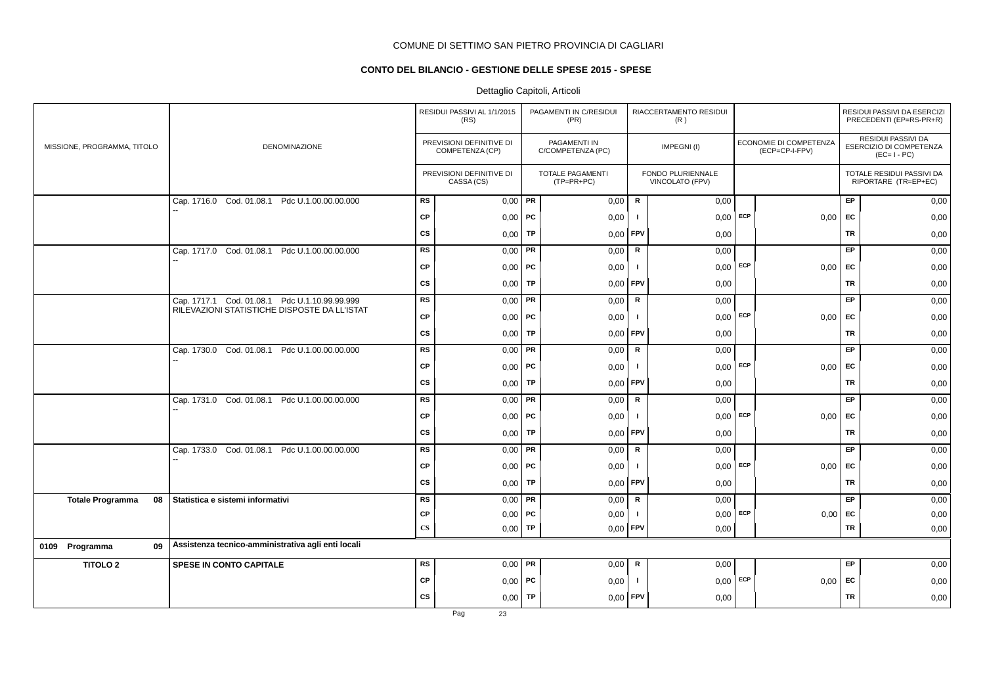# **CONTO DEL BILANCIO - GESTIONE DELLE SPESE 2015 - SPESE**

|                               |                                                    |                        | RESIDUI PASSIVI AL 1/1/2015<br>(RS)         |    | PAGAMENTI IN C/RESIDUI<br>(PR)          |              | RIACCERTAMENTO RESIDUI<br>(R)        |     |                                          |           | RESIDUI PASSIVI DA ESERCIZI<br>PRECEDENTI (EP=RS-PR+R)              |
|-------------------------------|----------------------------------------------------|------------------------|---------------------------------------------|----|-----------------------------------------|--------------|--------------------------------------|-----|------------------------------------------|-----------|---------------------------------------------------------------------|
| MISSIONE, PROGRAMMA, TITOLO   | DENOMINAZIONE                                      |                        | PREVISIONI DEFINITIVE DI<br>COMPETENZA (CP) |    | PAGAMENTI IN<br>C/COMPETENZA (PC)       |              | IMPEGNI(I)                           |     | ECONOMIE DI COMPETENZA<br>(ECP=CP-I-FPV) |           | <b>RESIDUI PASSIVI DA</b><br>ESERCIZIO DI COMPETENZA<br>$(EC=I-PC)$ |
|                               |                                                    |                        | PREVISIONI DEFINITIVE DI<br>CASSA (CS)      |    | <b>TOTALE PAGAMENTI</b><br>$(TP=PR+PC)$ |              | FONDO PLURIENNALE<br>VINCOLATO (FPV) |     |                                          |           | TOTALE RESIDUI PASSIVI DA<br>RIPORTARE (TR=EP+EC)                   |
|                               | Cap. 1716.0 Cod. 01.08.1<br>Pdc U.1.00.00.00.000   | <b>RS</b>              | $0,00$ PR                                   |    | 0,00                                    | $\mathsf{R}$ | 0,00                                 |     |                                          | EP        | 0,00                                                                |
|                               |                                                    | <b>CP</b>              | $0,00$   PC                                 |    | 0,00                                    | - 1          | 0,00                                 | ECP | 0,00                                     | <b>FC</b> | 0,00                                                                |
|                               |                                                    | <b>CS</b>              | 0,00                                        | TP | 0,00                                    | FPV          | 0,00                                 |     |                                          | TR        | 0,00                                                                |
|                               | Cap. 1717.0 Cod. 01.08.1 Pdc U.1.00.00.00.000      | <b>RS</b>              | $0,00$ PR                                   |    | 0,00                                    | R            | 0,00                                 |     |                                          | EP        | 0,00                                                                |
|                               |                                                    | <b>CP</b>              | $0,00$   PC                                 |    | 0,00                                    | - 1          | $0,00$ ECP                           |     | 0,00                                     | EC        | 0,00                                                                |
|                               |                                                    | <b>CS</b>              | $0,00$ TP                                   |    | 0,00                                    | <b>FPV</b>   | 0,00                                 |     |                                          | TR        | 0,00                                                                |
|                               | Cap. 1717.1 Cod. 01.08.1 Pdc U.1.10.99.99.999      | <b>RS</b>              | $0,00$ PR                                   |    | 0,00                                    | ${\sf R}$    | 0,00                                 |     |                                          | EP        | 0,00                                                                |
|                               | RILEVAZIONI STATISTICHE DISPOSTE DA LL'ISTAT       | <b>CP</b>              | $0,00$ PC                                   |    | 0,00                                    | $\mathbf{I}$ | $0,00$ ECP                           |     | 0,00                                     | EC        | 0,00                                                                |
|                               |                                                    | <b>CS</b>              | 0,00                                        | TP | 0,00                                    | FPV          | 0,00                                 |     |                                          | TR        | 0,00                                                                |
|                               | Pdc U.1.00.00.00.000<br>Cap. 1730.0 Cod. 01.08.1   | <b>RS</b>              | $0,00$ PR                                   |    | 0,00                                    | ${\sf R}$    | 0,00                                 |     |                                          | EP        | 0,00                                                                |
|                               |                                                    | <b>CP</b>              | $0,00$   PC                                 |    | 0,00                                    | - 1          | $0,00$ ECP                           |     | 0,00                                     | <b>FC</b> | 0,00                                                                |
|                               |                                                    | <b>CS</b>              | 0,00                                        | TP | 0,00                                    | FPV          | 0,00                                 |     |                                          | <b>TR</b> | 0,00                                                                |
|                               | Cap. 1731.0 Cod. 01.08.1 Pdc U.1.00.00.00.000      | <b>RS</b>              | $0,00$ PR                                   |    | 0,00                                    | $\mathsf{R}$ | 0,00                                 |     |                                          | EP        | 0,00                                                                |
|                               |                                                    | <b>CP</b>              | $0,00$ PC                                   |    | 0,00                                    | ı.           | $0,00$ ECP                           |     | 0,00                                     | EC        | 0,00                                                                |
|                               |                                                    | <b>CS</b>              | $0,00$ TP                                   |    | 0,00                                    | <b>FPV</b>   | 0,00                                 |     |                                          | <b>TR</b> | 0,00                                                                |
|                               | Cap. 1733.0 Cod. 01.08.1 Pdc U.1.00.00.00.000      | <b>RS</b>              | $0,00$ PR                                   |    | 0,00                                    | ${\sf R}$    | 0,00                                 |     |                                          | EP        | 0,00                                                                |
|                               |                                                    | <b>CP</b>              | $0,00$   PC                                 |    | 0,00                                    | $\mathbf{I}$ | $0,00$ ECP                           |     | 0,00                                     | EC        | 0,00                                                                |
|                               |                                                    | <b>CS</b>              | 0,00                                        | TP | 0,00                                    | <b>FPV</b>   | 0,00                                 |     |                                          | <b>TR</b> | 0,00                                                                |
| <b>Totale Programma</b><br>08 | Statistica e sistemi informativi                   | <b>RS</b>              | $0,00$ PR                                   |    | 0,00                                    | $\mathsf R$  | 0,00                                 |     |                                          | EP        | 0,00                                                                |
|                               |                                                    | <b>CP</b>              | $0,00$   PC                                 |    | 0,00                                    | -1           | $0,00$ ECP                           |     | $0,00$ EC                                |           | 0,00                                                                |
|                               |                                                    | $\mathbf{C}\mathbf{S}$ | $0,00$ TP                                   |    | 0,00                                    | <b>FPV</b>   | 0,00                                 |     |                                          | TR        | 0,00                                                                |
| 09<br>0109 Programma          | Assistenza tecnico-amministrativa agli enti locali |                        |                                             |    |                                         |              |                                      |     |                                          |           |                                                                     |
| <b>TITOLO 2</b>               | <b>SPESE IN CONTO CAPITALE</b>                     | <b>RS</b>              | $0,00$ PR                                   |    | 0,00                                    | $\mathbf R$  | 0,00                                 |     |                                          | EP        | 0,00                                                                |
|                               |                                                    | <b>CP</b>              | $0,00$   PC                                 |    | 0,00                                    | $\mathbf{I}$ | $0,00$ ECP                           |     | 0,00                                     | EC        | 0,00                                                                |
|                               |                                                    | <b>CS</b>              | $0,00$ TP                                   |    | 0,00                                    | FPV          | 0,00                                 |     |                                          | <b>TR</b> | 0,00                                                                |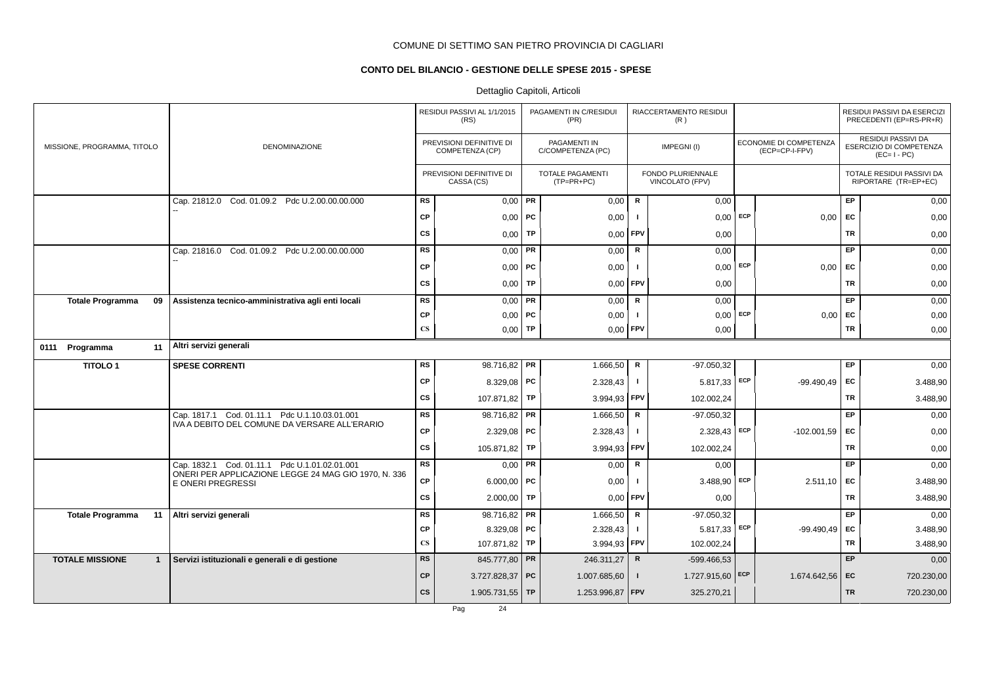# **CONTO DEL BILANCIO - GESTIONE DELLE SPESE 2015 - SPESE**

# Dettaglio Capitoli, Articoli

|                                        |                                                                           |                        | RESIDUI PASSIVI AL 1/1/2015<br>(RS)         |           | PAGAMENTI IN C/RESIDUI<br>(PR)          |                | RIACCERTAMENTO RESIDUI<br>(R)        |     |                                          |           | RESIDUI PASSIVI DA ESERCIZI<br>PRECEDENTI (EP=RS-PR+R)              |
|----------------------------------------|---------------------------------------------------------------------------|------------------------|---------------------------------------------|-----------|-----------------------------------------|----------------|--------------------------------------|-----|------------------------------------------|-----------|---------------------------------------------------------------------|
| MISSIONE, PROGRAMMA, TITOLO            | <b>DENOMINAZIONE</b>                                                      |                        | PREVISIONI DEFINITIVE DI<br>COMPETENZA (CP) |           | PAGAMENTI IN<br>C/COMPETENZA (PC)       |                | IMPEGNI(I)                           |     | ECONOMIE DI COMPETENZA<br>(ECP=CP-I-FPV) |           | <b>RESIDUI PASSIVI DA</b><br>ESERCIZIO DI COMPETENZA<br>$(EC=I-PC)$ |
|                                        |                                                                           |                        | PREVISIONI DEFINITIVE DI<br>CASSA (CS)      |           | <b>TOTALE PAGAMENTI</b><br>$(TP=PR+PC)$ |                | FONDO PLURIENNALE<br>VINCOLATO (FPV) |     |                                          |           | TOTALE RESIDUI PASSIVI DA<br>RIPORTARE (TR=EP+EC)                   |
|                                        | Cap. 21812.0 Cod. 01.09.2 Pdc U.2.00.00.00.000                            | <b>RS</b>              | $0,00$ PR                                   |           | 0,00                                    | R              | 0,00                                 |     |                                          | EP        | 0,00                                                                |
|                                        |                                                                           | <b>CP</b>              | $0,00$   PC                                 |           | 0,00                                    |                | $0,00$ ECP                           |     | 0,00                                     | EC        | 0,00                                                                |
|                                        |                                                                           | <b>CS</b>              | 0,00                                        | TP        | 0,00                                    | FPV            | 0,00                                 |     |                                          | <b>TR</b> | 0,00                                                                |
|                                        | Cap. 21816.0 Cod. 01.09.2 Pdc U.2.00.00.00.000                            | <b>RS</b>              | 0,00                                        | <b>PR</b> | 0,00                                    | R              | 0,00                                 |     |                                          | EP        | 0,00                                                                |
|                                        |                                                                           | <b>CP</b>              | $0,00$ PC                                   |           | 0,00                                    | -1             | $0,00$ ECP                           |     | 0,00                                     | EC        | 0,00                                                                |
|                                        |                                                                           | <b>CS</b>              | 0,00                                        | TP        | 0,00                                    | FPV            | 0,00                                 |     |                                          | <b>TR</b> | 0,00                                                                |
| <b>Totale Programma</b><br>09          | Assistenza tecnico-amministrativa agli enti locali                        | <b>RS</b>              | $0,00$ PR                                   |           | 0,00                                    | $\mathsf{R}$   | 0,00                                 |     |                                          | EP        | 0,00                                                                |
|                                        |                                                                           | СP                     | $0,00$   PC                                 |           | 0,00                                    | $\mathbf{I}$   | 0,00                                 | ECP | 0,00                                     | EC        | 0,00                                                                |
|                                        |                                                                           | $\mathbf{C}\mathbf{S}$ | $0,00$ TP                                   |           | 0,00                                    | FPV            | 0,00                                 |     |                                          | TR        | 0,00                                                                |
| 0111 Programma<br>11                   | Altri servizi generali                                                    |                        |                                             |           |                                         |                |                                      |     |                                          |           |                                                                     |
| <b>TITOLO1</b>                         | <b>SPESE CORRENTI</b>                                                     | <b>RS</b>              | 98.716,82 PR                                |           | 1.666,50                                | R              | $-97.050,32$                         |     |                                          | <b>EP</b> | 0,00                                                                |
|                                        |                                                                           | <b>CP</b>              | 8.329,08   PC                               |           | 2.328,43                                | $\mathbf{I}$   | $5.817,33$ ECP                       |     | $-99.490.49$                             | EC        | 3.488,90                                                            |
|                                        |                                                                           | <b>CS</b>              | 107.871,82                                  | <b>TP</b> | 3.994,93                                | FPV            | 102.002,24                           |     |                                          | <b>TR</b> | 3.488,90                                                            |
|                                        | Cap. 1817.1 Cod. 01.11.1 Pdc U.1.10.03.01.001                             | <b>RS</b>              | 98.716,82 <b>PR</b>                         |           | 1.666,50                                | R              | $-97.050,32$                         |     |                                          | EP        | 0,00                                                                |
|                                        | IVA A DEBITO DEL COMUNE DA VERSARE ALL'ERARIO                             | <b>CP</b>              | $2.329,08$ PC                               |           | 2.328,43                                | $\blacksquare$ | 2.328,43                             | ECP | $-102.001,59$                            | EC        | 0,00                                                                |
|                                        |                                                                           | CS                     | 105.871,82                                  | TP        | 3.994,93                                | FPV            | 102.002,24                           |     |                                          | <b>TR</b> | 0,00                                                                |
|                                        | Cap. 1832.1 Cod. 01.11.1 Pdc U.1.01.02.01.001                             | <b>RS</b>              | $0,00$ PR                                   |           | 0,00                                    | $\mathsf R$    | 0,00                                 |     |                                          | EP        | 0,00                                                                |
|                                        | ONERI PER APPLICAZIONE LEGGE 24 MAG GIO 1970, N. 336<br>E ONERI PREGRESSI | <b>CP</b>              | 6.000,00   PC                               |           | 0,00                                    | -1             | $3.488,90$ ECP                       |     | 2.511,10                                 | EC        | 3.488,90                                                            |
|                                        |                                                                           | <b>CS</b>              | $2.000,00$ TP                               |           | 0,00                                    | <b>FPV</b>     | 0,00                                 |     |                                          | <b>TR</b> | 3.488,90                                                            |
| <b>Totale Programma</b><br>11          | Altri servizi generali                                                    | <b>RS</b>              | 98.716,82 PR                                |           | 1.666,50                                | $\mathbf R$    | $-97.050,32$                         |     |                                          | EP        | 0,00                                                                |
|                                        |                                                                           | <b>CP</b>              | 8.329,08   PC                               |           | 2.328,43                                | $\mathbf{I}$   | $5.817,33$ ECP                       |     | $-99.490.49$                             | EC        | 3.488,90                                                            |
|                                        |                                                                           | $\mathbf{C}\mathbf{S}$ | 107.871,82 TP                               |           | $3.994,93$ FPV                          |                | 102.002,24                           |     |                                          | <b>TR</b> | 3.488,90                                                            |
| <b>TOTALE MISSIONE</b><br>$\mathbf{1}$ | Servizi istituzionali e generali e di gestione                            | <b>RS</b>              | 845.777,80 PR                               |           | 246.311,27                              | R              | $-599.466.53$                        |     |                                          | EP        | 0,00                                                                |
|                                        |                                                                           | <b>CP</b>              | $3.727.828.37$ PC                           |           | 1.007.685,60                            | $\mathbf{I}$   | 1.727.915,60 ECP                     |     | 1.674.642,56                             | EC        | 720.230,00                                                          |
|                                        |                                                                           | cs                     | 1.905.731,55   TP                           |           | 1.253.996,87 FPV                        |                | 325.270,21                           |     |                                          | <b>TR</b> | 720.230,00                                                          |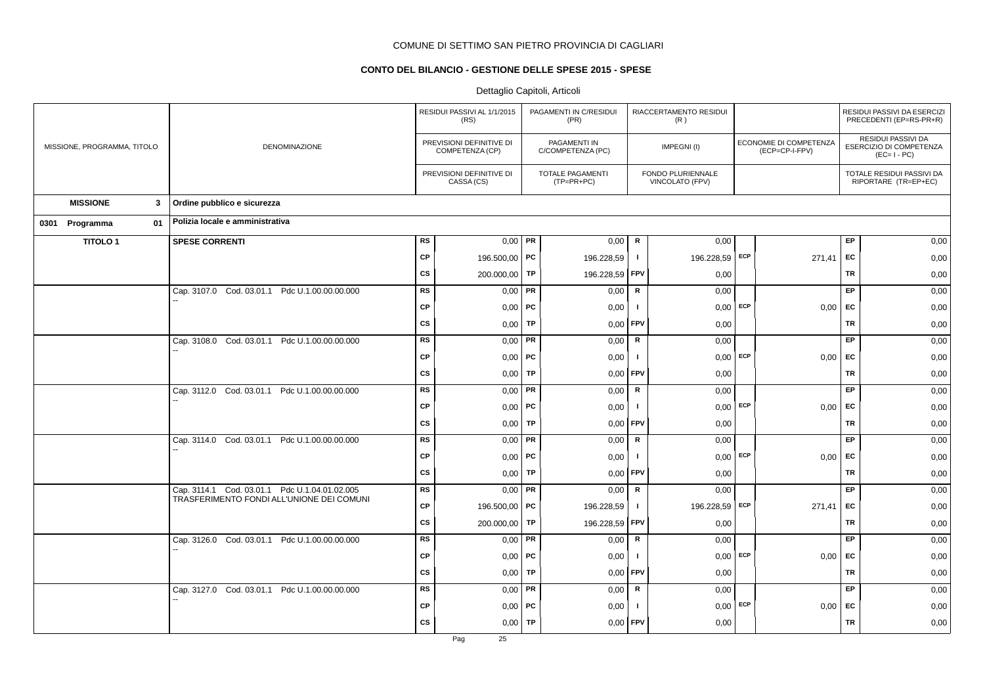# **CONTO DEL BILANCIO - GESTIONE DELLE SPESE 2015 - SPESE**

|                             |    |                                                                                            |           | RESIDUI PASSIVI AL 1/1/2015<br>(RS)         |           | PAGAMENTI IN C/RESIDUI<br>(PR)    |               | RIACCERTAMENTO RESIDUI<br>(R)        |                                          |           | RESIDUI PASSIVI DA ESERCIZI<br>PRECEDENTI (EP=RS-PR+R)              |
|-----------------------------|----|--------------------------------------------------------------------------------------------|-----------|---------------------------------------------|-----------|-----------------------------------|---------------|--------------------------------------|------------------------------------------|-----------|---------------------------------------------------------------------|
| MISSIONE, PROGRAMMA, TITOLO |    | DENOMINAZIONE                                                                              |           | PREVISIONI DEFINITIVE DI<br>COMPETENZA (CP) |           | PAGAMENTI IN<br>C/COMPETENZA (PC) |               | IMPEGNI(I)                           | ECONOMIE DI COMPETENZA<br>(ECP=CP-I-FPV) |           | RESIDUI PASSIVI DA<br><b>ESERCIZIO DI COMPETENZA</b><br>$(EC=I-PC)$ |
|                             |    |                                                                                            |           | PREVISIONI DEFINITIVE DI<br>CASSA (CS)      |           | TOTALE PAGAMENTI<br>$(TP=PR+PC)$  |               | FONDO PLURIENNALE<br>VINCOLATO (FPV) |                                          |           | TOTALE RESIDUI PASSIVI DA<br>RIPORTARE (TR=EP+EC)                   |
| <b>MISSIONE</b>             | 3  | Ordine pubblico e sicurezza                                                                |           |                                             |           |                                   |               |                                      |                                          |           |                                                                     |
| 0301 Programma              | 01 | Polizia locale e amministrativa                                                            |           |                                             |           |                                   |               |                                      |                                          |           |                                                                     |
| <b>TITOLO1</b>              |    | <b>SPESE CORRENTI</b>                                                                      | <b>RS</b> | 0,00                                        | PR        | 0,00                              | $\mathsf R$   | 0,00                                 |                                          | EP        | 0,00                                                                |
|                             |    |                                                                                            | <b>CP</b> | 196.500,00 PC                               |           | 196.228,59                        | $\mathbf{I}$  | 196.228,59 ECP                       | 271.41                                   | EC        | 0,00                                                                |
|                             |    |                                                                                            | <b>CS</b> | 200.000,00                                  | TP        | 196.228,59                        | FPV           | 0,00                                 |                                          | TR        | 0,00                                                                |
|                             |    | Cap. 3107.0 Cod. 03.01.1 Pdc U.1.00.00.00.000                                              | <b>RS</b> | 0,00                                        | PR        | 0,00                              | ${\sf R}$     | 0,00                                 |                                          | EP        | 0,00                                                                |
|                             |    |                                                                                            | <b>CP</b> | $0,00$ PC                                   |           | 0,00                              | $\mathbf{I}$  | $0,00$ ECP                           | $0,00$ EC                                |           | 0,00                                                                |
|                             |    |                                                                                            | <b>CS</b> | 0,00                                        | <b>TP</b> | 0,00                              | <b>FPV</b>    | 0,00                                 |                                          | <b>TR</b> | 0,00                                                                |
|                             |    | Cap. 3108.0 Cod. 03.01.1 Pdc U.1.00.00.00.000                                              | <b>RS</b> | 0,00                                        | PR        | 0,00                              | R             | 0,00                                 |                                          | EP        | 0,00                                                                |
|                             |    |                                                                                            | CP        | $0,00$ PC                                   |           | 0,00                              | $\mathbf{I}$  | $0,00$ ECP                           | 0,00                                     | EC        | 0,00                                                                |
|                             |    |                                                                                            | <b>CS</b> | 0,00                                        | TP        | 0,00                              | <b>FPV</b>    | 0,00                                 |                                          | TR        | 0,00                                                                |
|                             |    | Cap. 3112.0 Cod. 03.01.1 Pdc U.1.00.00.00.000                                              | <b>RS</b> | 0,00                                        | <b>PR</b> | 0,00                              | ${\sf R}$     | 0,00                                 |                                          | EP        | 0,00                                                                |
|                             |    |                                                                                            | <b>CP</b> | $0,00$   PC                                 |           | 0,00                              | $\mathbf{I}$  | $0,00$ ECP                           | $0,00$ EC                                |           | 0,00                                                                |
|                             |    |                                                                                            | CS        | 0,00                                        | <b>TP</b> | 0,00                              | FPV           | 0,00                                 |                                          | <b>TR</b> | 0,00                                                                |
|                             |    | Cap. 3114.0 Cod. 03.01.1 Pdc U.1.00.00.00.000                                              | <b>RS</b> | 0,00                                        | PR        | 0,00                              | ${\mathbf R}$ | 0,00                                 |                                          | EP        | 0,00                                                                |
|                             |    |                                                                                            | CP        | $0,00$ PC                                   |           | 0,00                              | $\mathbf{I}$  | $0,00$ ECP                           | 0,00                                     | EC        | 0,00                                                                |
|                             |    |                                                                                            | <b>CS</b> | 0,00                                        | TP        | 0,00                              | <b>FPV</b>    | 0,00                                 |                                          | TR        | 0,00                                                                |
|                             |    | Cap. 3114.1 Cod. 03.01.1 Pdc U.1.04.01.02.005<br>TRASFERIMENTO FONDI ALL'UNIONE DEI COMUNI | <b>RS</b> | 0,00                                        | PR        | 0,00                              | ${\sf R}$     | 0,00                                 |                                          | EP        | 0,00                                                                |
|                             |    |                                                                                            | <b>CP</b> | 196.500,00 PC                               |           | 196.228,59                        | $\mathbf{I}$  | 196.228,59 ECP                       | 271,41                                   | EC        | 0,00                                                                |
|                             |    |                                                                                            | CS        | 200.000,00                                  | <b>TP</b> | 196.228,59                        | FPV           | 0,00                                 |                                          | <b>TR</b> | 0,00                                                                |
|                             |    | Cap. 3126.0 Cod. 03.01.1 Pdc U.1.00.00.00.000                                              | <b>RS</b> | 0,00                                        | PR        | 0,00                              | ${\mathbf R}$ | 0,00                                 |                                          | EP        | 0,00                                                                |
|                             |    |                                                                                            | CP        | $0,00$   PC                                 |           | 0,00                              | $\mathbf{I}$  | $0,00$ ECP                           | 0,00                                     | EC        | 0,00                                                                |
|                             |    |                                                                                            | CS        | 0,00                                        | TP        | 0,00                              | <b>FPV</b>    | 0,00                                 |                                          | TR        | 0,00                                                                |
|                             |    | Cap. 3127.0 Cod. 03.01.1 Pdc U.1.00.00.00.000                                              | <b>RS</b> | 0,00                                        | PR        | 0,00                              | ${\mathbf R}$ | 0,00                                 |                                          | EP        | 0,00                                                                |
|                             |    |                                                                                            | <b>CP</b> | $0,00$   PC                                 |           | 0,00                              | -1            | $0,00$ ECP                           | $0,00$ EC                                |           | 0,00                                                                |
|                             |    |                                                                                            | <b>CS</b> | 0,00                                        | <b>TP</b> | 0,00                              | FPV           | 0,00                                 |                                          | <b>TR</b> | 0,00                                                                |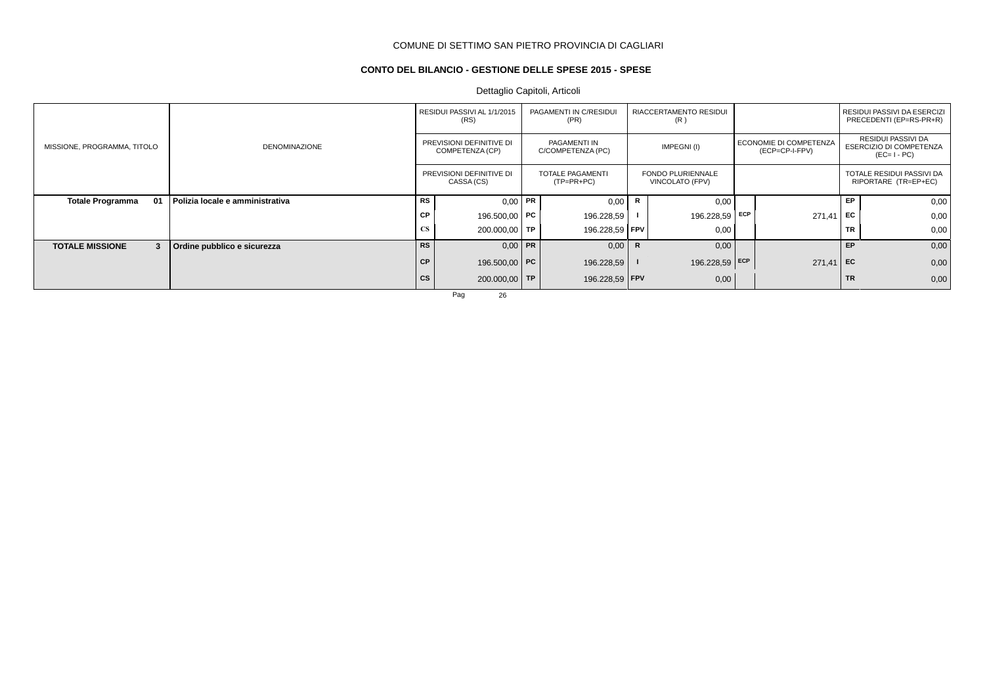# **CONTO DEL BILANCIO - GESTIONE DELLE SPESE 2015 - SPESE**

Dettaglio Capitoli, Articoli

|                               |                                 |           | RESIDUI PASSIVI AL 1/1/2015<br>(RS)         | PAGAMENTI IN C/RESIDUI<br>(PR)          |   | RIACCERTAMENTO RESIDUI<br>(R)               |                                          |           | RESIDUI PASSIVI DA ESERCIZI<br>PRECEDENTI (EP=RS-PR+R)       |
|-------------------------------|---------------------------------|-----------|---------------------------------------------|-----------------------------------------|---|---------------------------------------------|------------------------------------------|-----------|--------------------------------------------------------------|
| MISSIONE, PROGRAMMA, TITOLO   | <b>DENOMINAZIONE</b>            |           | PREVISIONI DEFINITIVE DI<br>COMPETENZA (CP) | PAGAMENTI IN<br>C/COMPETENZA (PC)       |   | IMPEGNI(I)                                  | ECONOMIE DI COMPETENZA<br>(ECP=CP-I-FPV) |           | RESIDUI PASSIVI DA<br>ESERCIZIO DI COMPETENZA<br>$(EC=I-PC)$ |
|                               |                                 |           | PREVISIONI DEFINITIVE DI<br>CASSA (CS)      | <b>TOTALE PAGAMENTI</b><br>$(TP=PR+PC)$ |   | <b>FONDO PLURIENNALE</b><br>VINCOLATO (FPV) |                                          |           | TOTALE RESIDUI PASSIVI DA<br>RIPORTARE (TR=EP+EC)            |
| <b>Totale Programma</b><br>01 | Polizia locale e amministrativa | RS        | $0,00$ PR                                   | 0,00                                    | R | 0,00                                        |                                          | EP        | 0,00                                                         |
|                               |                                 | <b>CP</b> | 196.500,00 <b>PC</b>                        | 196.228,59                              |   | 196.228,59 ECP                              | 271,41                                   | EC        | 0,00                                                         |
|                               |                                 | <b>CS</b> | $200.000,00$ TP                             | 196.228,59   FPV                        |   | 0,00                                        |                                          | <b>TR</b> | 0,00                                                         |
| <b>TOTALE MISSIONE</b><br>3   | Ordine pubblico e sicurezza     | <b>RS</b> | $0,00$ PR                                   | 0,00                                    | R | 0,00                                        |                                          | <b>EP</b> | 0,00                                                         |
|                               |                                 | CP        | 196.500,00 PC                               | 196.228,59                              |   | 196.228,59 ECP                              | 271,41                                   | EC        | 0,00                                                         |
|                               |                                 | <b>CS</b> | $200.000,00$ TP                             | 196.228,59 FPV                          |   | 0,00                                        |                                          | <b>TR</b> | 0,00                                                         |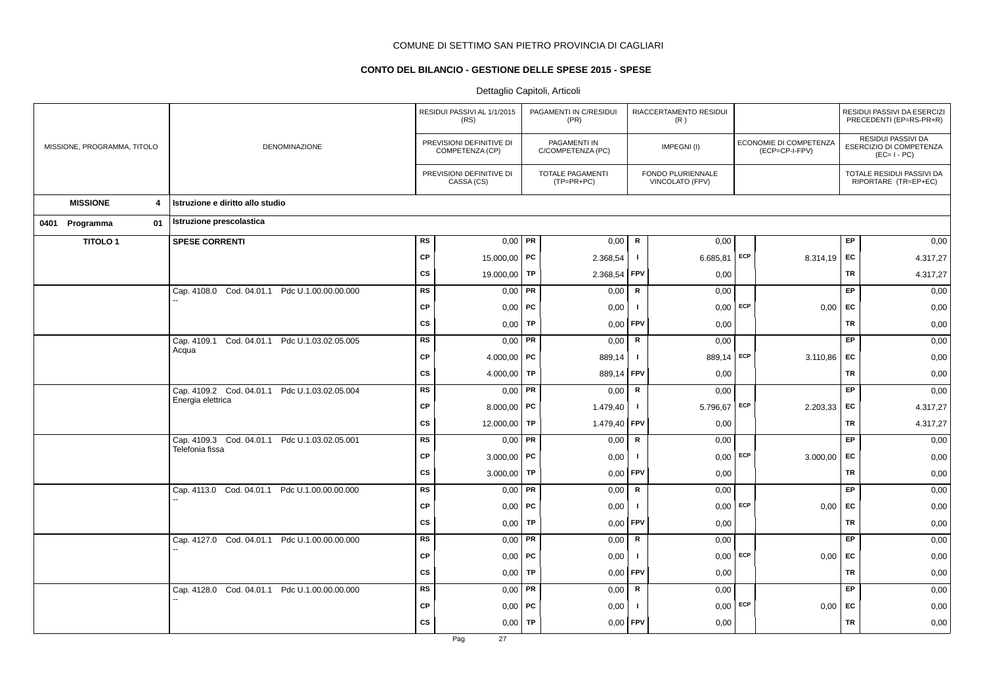# **CONTO DEL BILANCIO - GESTIONE DELLE SPESE 2015 - SPESE**

|                                            |                                                                  |           | RESIDUI PASSIVI AL 1/1/2015<br>(RS)         |    | PAGAMENTI IN C/RESIDUI<br>(PR)        |              | RIACCERTAMENTO RESIDUI<br>(R)        |            |                                          |           | RESIDUI PASSIVI DA ESERCIZI<br>PRECEDENTI (EP=RS-PR+R)       |
|--------------------------------------------|------------------------------------------------------------------|-----------|---------------------------------------------|----|---------------------------------------|--------------|--------------------------------------|------------|------------------------------------------|-----------|--------------------------------------------------------------|
| MISSIONE, PROGRAMMA, TITOLO                | DENOMINAZIONE                                                    |           | PREVISIONI DEFINITIVE DI<br>COMPETENZA (CP) |    | PAGAMENTI IN<br>C/COMPETENZA (PC)     |              | IMPEGNI(I)                           |            | ECONOMIE DI COMPETENZA<br>(ECP=CP-I-FPV) |           | RESIDUI PASSIVI DA<br>ESERCIZIO DI COMPETENZA<br>$(EC=I-PC)$ |
|                                            |                                                                  |           | PREVISIONI DEFINITIVE DI<br>CASSA (CS)      |    | <b>TOTALE PAGAMENTI</b><br>(TP=PR+PC) |              | FONDO PLURIENNALE<br>VINCOLATO (FPV) |            |                                          |           | TOTALE RESIDUI PASSIVI DA<br>RIPORTARE (TR=EP+EC)            |
| <b>MISSIONE</b><br>$\overline{\mathbf{4}}$ | Istruzione e diritto allo studio                                 |           |                                             |    |                                       |              |                                      |            |                                          |           |                                                              |
| 0401 Programma<br>01                       | Istruzione prescolastica                                         |           |                                             |    |                                       |              |                                      |            |                                          |           |                                                              |
| <b>TITOLO1</b>                             | <b>SPESE CORRENTI</b>                                            | RS        | $0,00$ PR                                   |    | 0,00                                  | ${\sf R}$    | 0,00                                 |            |                                          | EP        | 0,00                                                         |
|                                            |                                                                  | <b>CP</b> | 15.000,00 PC                                |    | 2.368,54                              | $\mathbf{I}$ | 6.685,81                             | ECP        | 8.314,19 EC                              |           | 4.317,27                                                     |
|                                            |                                                                  | <b>CS</b> | 19.000,00 TP                                |    | 2.368,54                              | FPV          | 0,00                                 |            |                                          | TR        | 4.317,27                                                     |
|                                            | Cap. 4108.0 Cod. 04.01.1 Pdc U.1.00.00.00.000                    | <b>RS</b> | $0,00$ PR                                   |    | 0,00                                  | $\mathbf R$  | 0,00                                 |            |                                          | EP        | 0,00                                                         |
|                                            |                                                                  | <b>CP</b> | $0,00$ PC                                   |    | 0,00                                  | $\mathbf{I}$ |                                      | $0,00$ ECP | 0,00                                     | EC        | 0,00                                                         |
|                                            |                                                                  | <b>CS</b> | $0,00$ TP                                   |    | 0,00                                  | <b>FPV</b>   | 0,00                                 |            |                                          | TR        | 0,00                                                         |
|                                            | Cap. 4109.1 Cod. 04.01.1 Pdc U.1.03.02.05.005                    | <b>RS</b> | $0,00$ PR                                   |    | 0,00                                  | R            | 0,00                                 |            |                                          | EP        | 0,00                                                         |
|                                            | Acqua                                                            | <b>CP</b> | 4.000,00   PC                               |    | 889,14                                | $\mathbf{I}$ | 889,14 ECP                           |            | 3.110,86                                 | EC        | 0,00                                                         |
|                                            |                                                                  | <b>CS</b> | 4.000,00   TP                               |    | 889,14                                | FPV          | 0,00                                 |            |                                          | TR        | 0,00                                                         |
|                                            | Cap. 4109.2 Cod. 04.01.1 Pdc U.1.03.02.05.004                    | <b>RS</b> | $0,00$ PR                                   |    | 0,00                                  | $\mathsf R$  | 0,00                                 |            |                                          | EP        | 0,00                                                         |
|                                            | Energia elettrica                                                | <b>CP</b> | 8.000,00   PC                               |    | 1.479,40                              | $\mathbf{I}$ | 5.796,67                             | ECP        | $2.203,33$ EC                            |           | 4.317,27                                                     |
|                                            |                                                                  | CS        | 12.000,00 TP                                |    | 1.479,40                              | FPV          | 0,00                                 |            |                                          | TR        | 4.317,27                                                     |
|                                            | Cap. 4109.3 Cod. 04.01.1 Pdc U.1.03.02.05.001<br>Telefonia fissa | <b>RS</b> | $0,00$ PR                                   |    | 0,00                                  | $\mathsf{R}$ | 0,00                                 |            |                                          | EP        | 0,00                                                         |
|                                            |                                                                  | <b>CP</b> | $3.000,00$ PC                               |    | 0,00                                  | Τ.           | $0,00$ ECP                           |            | 3.000,00                                 | EC        | 0,00                                                         |
|                                            |                                                                  | <b>CS</b> | $3.000,00$ TP                               |    | 0,00                                  | <b>FPV</b>   | 0,00                                 |            |                                          | TR        | 0,00                                                         |
|                                            | Cap. 4113.0 Cod. 04.01.1 Pdc U.1.00.00.00.000                    | <b>RS</b> | $0,00$ PR                                   |    | 0,00                                  | ${\sf R}$    | 0,00                                 |            |                                          | EP        | 0,00                                                         |
|                                            |                                                                  | <b>CP</b> | $0,00$ PC                                   |    | 0,00                                  | $\mathbf{I}$ |                                      | $0,00$ ECP | $0,00$ EC                                |           | 0,00                                                         |
|                                            |                                                                  | <b>CS</b> | $0,00$ TP                                   |    | 0,00                                  | <b>FPV</b>   | 0,00                                 |            |                                          | <b>TR</b> | 0,00                                                         |
|                                            | Cap. 4127.0 Cod. 04.01.1 Pdc U.1.00.00.00.000                    | <b>RS</b> | $0,00$ PR                                   |    | 0,00                                  | $\mathsf R$  | 0,00                                 |            |                                          | EP        | 0,00                                                         |
|                                            |                                                                  | <b>CP</b> | $0,00$ PC                                   |    | 0,00                                  | Τ.           |                                      | $0,00$ ECP | 0,00                                     | EC        | 0,00                                                         |
|                                            |                                                                  | <b>CS</b> | $0,00$ TP                                   |    | 0,00                                  | <b>FPV</b>   | 0,00                                 |            |                                          | TR        | 0,00                                                         |
|                                            | Cap. 4128.0 Cod. 04.01.1 Pdc U.1.00.00.00.000                    | <b>RS</b> | 0,00                                        | PR | 0,00                                  | R            | 0,00                                 |            |                                          | EP        | 0,00                                                         |
|                                            |                                                                  | <b>CP</b> | $0,00$   PC                                 |    | 0,00                                  | $\mathbf{I}$ |                                      | $0,00$ ECP | $0,00$ EC                                |           | 0,00                                                         |
|                                            |                                                                  | <b>CS</b> | $0,00$ TP                                   |    | 0,00                                  | FPV          | 0,00                                 |            |                                          | <b>TR</b> | 0,00                                                         |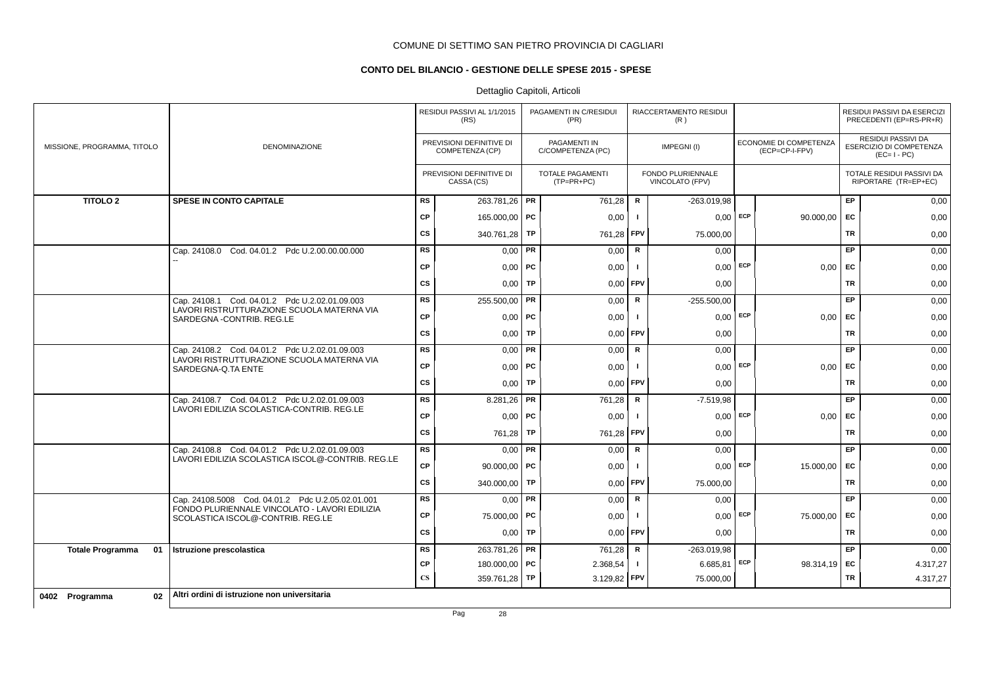# **CONTO DEL BILANCIO - GESTIONE DELLE SPESE 2015 - SPESE**

# Dettaglio Capitoli, Articoli

|                               |                                                                                    |                        | RESIDUI PASSIVI AL 1/1/2015<br>(RS)         | PAGAMENTI IN C/RESIDUI<br>(PR)          |                | RIACCERTAMENTO RESIDUI<br>(R)               |            |                                          |           | RESIDUI PASSIVI DA ESERCIZI<br>PRECEDENTI (EP=RS-PR+R)              |
|-------------------------------|------------------------------------------------------------------------------------|------------------------|---------------------------------------------|-----------------------------------------|----------------|---------------------------------------------|------------|------------------------------------------|-----------|---------------------------------------------------------------------|
| MISSIONE, PROGRAMMA, TITOLO   | <b>DENOMINAZIONE</b>                                                               |                        | PREVISIONI DEFINITIVE DI<br>COMPETENZA (CP) | PAGAMENTI IN<br>C/COMPETENZA (PC)       |                | IMPEGNI(I)                                  |            | ECONOMIE DI COMPETENZA<br>(ECP=CP-I-FPV) |           | RESIDUI PASSIVI DA<br><b>ESERCIZIO DI COMPETENZA</b><br>$(EC=I-PC)$ |
|                               |                                                                                    |                        | PREVISIONI DEFINITIVE DI<br>CASSA (CS)      | <b>TOTALE PAGAMENTI</b><br>$(TP=PR+PC)$ |                | <b>FONDO PLURIENNALE</b><br>VINCOLATO (FPV) |            |                                          |           | TOTALE RESIDUI PASSIVI DA<br>RIPORTARE (TR=EP+EC)                   |
| <b>TITOLO 2</b>               | <b>SPESE IN CONTO CAPITALE</b>                                                     | <b>RS</b>              | 263.781,26 PR                               | 761,28                                  | R              | $-263.019,98$                               |            |                                          | <b>EP</b> | 0,00                                                                |
|                               |                                                                                    | <b>CP</b>              | 165.000,00 PC                               | 0,00                                    | $\mathbf{I}$   |                                             | $0,00$ ECP | 90.000,00                                | EC        | 0,00                                                                |
|                               |                                                                                    | <b>CS</b>              | 340.761,28 TP                               | 761,28 FPV                              |                | 75.000,00                                   |            |                                          | TR        | 0,00                                                                |
|                               | Cap. 24108.0 Cod. 04.01.2 Pdc U.2.00.00.00.000                                     | <b>RS</b>              | $0,00$ PR                                   | 0,00                                    | $\mathsf{R}$   | 0,00                                        |            |                                          | EP        | 0,00                                                                |
|                               |                                                                                    | <b>CP</b>              | $0,00$ PC                                   | 0,00                                    |                |                                             | $0,00$ ECP | 0,00                                     | EC        | 0,00                                                                |
|                               |                                                                                    | <b>CS</b>              | $0,00$ TP                                   | 0,00                                    | <b>FPV</b>     | 0,00                                        |            |                                          | TR        | 0,00                                                                |
|                               | Cap. 24108.1 Cod. 04.01.2 Pdc U.2.02.01.09.003                                     | <b>RS</b>              | 255.500,00 <b>PR</b>                        | 0,00                                    | $\mathsf{R}$   | $-255.500,00$                               |            |                                          | EP        | 0,00                                                                |
|                               | LAVORI RISTRUTTURAZIONE SCUOLA MATERNA VIA<br>SARDEGNA - CONTRIB. REG.LE           | <b>CP</b>              | $0,00$   PC                                 | 0,00                                    | $\mathbf{I}$   |                                             | $0,00$ ECP | 0,00                                     | EC        | 0,00                                                                |
|                               |                                                                                    | <b>CS</b>              | $0,00$ TP                                   | $0,00$ FPV                              |                | 0,00                                        |            |                                          | TR        | 0,00                                                                |
|                               | Cap. 24108.2 Cod. 04.01.2 Pdc U.2.02.01.09.003                                     | <b>RS</b>              | $0.00$ PR                                   | 0,00                                    | $\mathbf R$    | 0,00                                        |            |                                          | <b>EP</b> | 0,00                                                                |
|                               | LAVORI RISTRUTTURAZIONE SCUOLA MATERNA VIA<br>SARDEGNA-Q.TA ENTE                   | <b>CP</b>              | $0,00$   PC                                 | 0,00                                    |                | $0,00$ ECP                                  |            | 0,00                                     | EC        | 0,00                                                                |
|                               |                                                                                    | <b>CS</b>              | $0,00$ TP                                   | 0,00                                    | <b>FPV</b>     | 0,00                                        |            |                                          | TR        | 0,00                                                                |
|                               | Cap. 24108.7 Cod. 04.01.2 Pdc U.2.02.01.09.003                                     | RS                     | 8.281,26   PR                               | 761,28                                  | R              | $-7.519.98$                                 |            |                                          | EP        | 0,00                                                                |
|                               | LAVORI EDILIZIA SCOLASTICA-CONTRIB. REG.LE                                         | <b>CP</b>              | $0,00$   PC                                 | 0,00                                    | $\blacksquare$ | 0.00                                        | ECP        | 0,00                                     | EC        | 0,00                                                                |
|                               |                                                                                    | <b>CS</b>              | 761,28 TP                                   | 761,28 FPV                              |                | 0,00                                        |            |                                          | TR        | 0,00                                                                |
|                               | Cap. 24108.8 Cod. 04.01.2 Pdc U.2.02.01.09.003                                     | <b>RS</b>              | $0.00$ PR                                   | 0,00                                    | R              | 0,00                                        |            |                                          | EP.       | 0,00                                                                |
|                               | LAVORI EDILIZIA SCOLASTICA ISCOL@-CONTRIB. REG.LE                                  | <b>CP</b>              | 90.000,00   PC                              | 0,00                                    | Ι.             | $0,00$ ECP                                  |            | 15.000,00                                | EC        | 0,00                                                                |
|                               |                                                                                    | CS                     | 340.000,00 TP                               | $0.00$ FPV                              |                | 75.000,00                                   |            |                                          | TR        | 0,00                                                                |
|                               | Cap. 24108.5008 Cod. 04.01.2 Pdc U.2.05.02.01.001                                  | <b>RS</b>              | $0,00$ PR                                   | 0,00                                    | $\mathbf R$    | 0.00                                        |            |                                          | EP.       | 0,00                                                                |
|                               | FONDO PLURIENNALE VINCOLATO - LAVORI EDILIZIA<br>SCOLASTICA ISCOL@-CONTRIB. REG.LE | <b>CP</b>              | 75.000,00 PC                                | 0,00                                    |                | 0,00                                        | ECP        | 75.000,00                                | EC        | 0,00                                                                |
|                               |                                                                                    | <b>CS</b>              | $0,00$ TP                                   | 0,00                                    | <b>FPV</b>     | 0,00                                        |            |                                          | TR        | 0,00                                                                |
| 01<br><b>Totale Programma</b> | Istruzione prescolastica                                                           | <b>RS</b>              | 263.781,26   PR                             | 761,28                                  | $\mathsf{R}$   | $-263.019.98$                               |            |                                          | <b>EP</b> | 0,00                                                                |
|                               |                                                                                    | <b>CP</b>              | 180.000,00 PC                               | 2.368,54                                | $\mathbf{I}$   | 6.685,81                                    | ECP        | $98.314,19$ EC                           |           | 4.317,27                                                            |
|                               |                                                                                    | $\mathbf{C}\mathbf{S}$ | 359.761,28 TP                               | $3.129,82$ FPV                          |                | 75.000,00                                   |            |                                          | TR        | 4.317,27                                                            |
| 02<br>0402 Programma          | Altri ordini di istruzione non universitaria                                       |                        |                                             |                                         |                |                                             |            |                                          |           |                                                                     |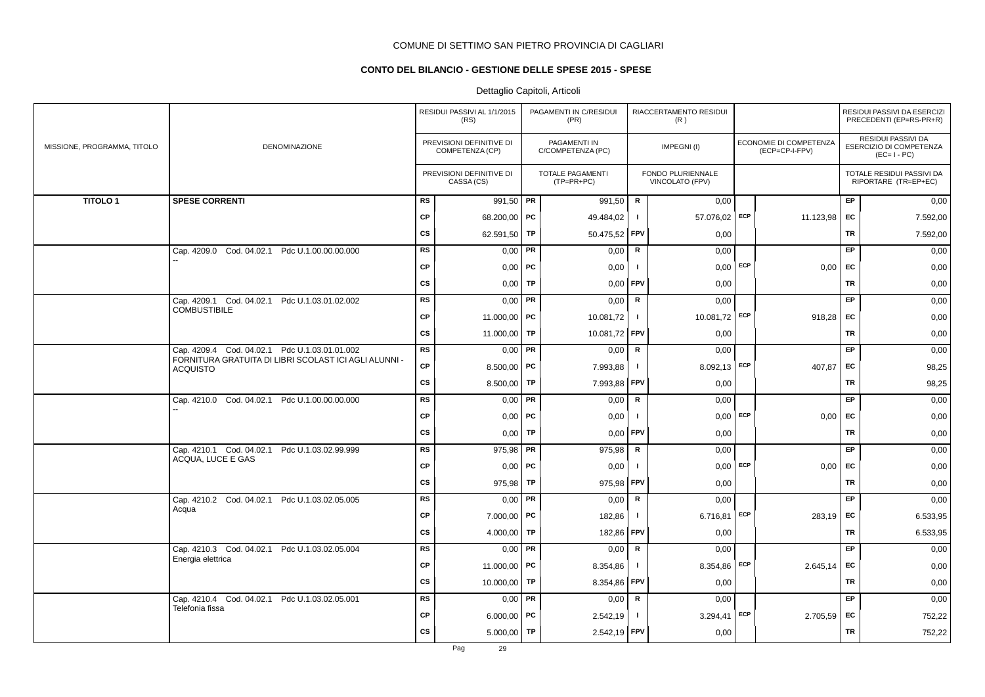# **CONTO DEL BILANCIO - GESTIONE DELLE SPESE 2015 - SPESE**

|                             |                                                                          |           | RESIDUI PASSIVI AL 1/1/2015<br>(RS)         |           | PAGAMENTI IN C/RESIDUI<br>(PR)        |                | RIACCERTAMENTO RESIDUI<br>(R)        |     |                                          |           | RESIDUI PASSIVI DA ESERCIZI<br>PRECEDENTI (EP=RS-PR+R)       |
|-----------------------------|--------------------------------------------------------------------------|-----------|---------------------------------------------|-----------|---------------------------------------|----------------|--------------------------------------|-----|------------------------------------------|-----------|--------------------------------------------------------------|
| MISSIONE, PROGRAMMA, TITOLO | DENOMINAZIONE                                                            |           | PREVISIONI DEFINITIVE DI<br>COMPETENZA (CP) |           | PAGAMENTI IN<br>C/COMPETENZA (PC)     |                | IMPEGNI(I)                           |     | ECONOMIE DI COMPETENZA<br>(ECP=CP-I-FPV) |           | RESIDUI PASSIVI DA<br>ESERCIZIO DI COMPETENZA<br>$(EC=I-PC)$ |
|                             |                                                                          |           | PREVISIONI DEFINITIVE DI<br>CASSA (CS)      |           | <b>TOTALE PAGAMENTI</b><br>(TP=PR+PC) |                | FONDO PLURIENNALE<br>VINCOLATO (FPV) |     |                                          |           | TOTALE RESIDUI PASSIVI DA<br>RIPORTARE (TR=EP+EC)            |
| <b>TITOLO1</b>              | <b>SPESE CORRENTI</b>                                                    | <b>RS</b> | 991,50 PR                                   |           | 991,50                                | R              | 0,00                                 |     |                                          | <b>EP</b> | 0,00                                                         |
|                             |                                                                          | <b>CP</b> | 68.200,00 PC                                |           | 49.484,02                             | $\mathbf{I}$   | 57.076,02                            | ECP | 11.123,98                                | EC        | 7.592,00                                                     |
|                             |                                                                          | <b>CS</b> | 62.591,50                                   | TP        | 50.475,52 FPV                         |                | 0,00                                 |     |                                          | TR        | 7.592,00                                                     |
|                             | Cap. 4209.0 Cod. 04.02.1 Pdc U.1.00.00.00.000                            | <b>RS</b> | 0,00                                        | <b>PR</b> | 0,00                                  | $\mathbf R$    | 0,00                                 |     |                                          | EP        | 0,00                                                         |
|                             |                                                                          | <b>CP</b> | $0,00$   PC                                 |           | 0,00                                  | $\mathbf{I}$   | $0,00$ ECP                           |     | 0,00                                     | EC        | 0,00                                                         |
|                             |                                                                          | <b>CS</b> | $0,00$ TP                                   |           | $0,00$ FPV                            |                | 0,00                                 |     |                                          | TR        | 0,00                                                         |
|                             | Cap. 4209.1 Cod. 04.02.1 Pdc U.1.03.01.02.002                            | <b>RS</b> | $0.00$ PR                                   |           | 0,00                                  | R              | 0,00                                 |     |                                          | <b>EP</b> | 0,00                                                         |
|                             | <b>COMBUSTIBILE</b>                                                      | <b>CP</b> | 11.000,00   PC                              |           | 10.081,72                             | $\mathbf{I}$   | 10.081,72 ECP                        |     | 918,28                                   | <b>FC</b> | 0,00                                                         |
|                             |                                                                          | <b>CS</b> | 11.000,00 TP                                |           | 10.081,72 FPV                         |                | 0,00                                 |     |                                          | TR        | 0,00                                                         |
|                             | Cap. 4209.4 Cod. 04.02.1 Pdc U.1.03.01.01.002                            | RS        | $0,00$ PR                                   |           | 0,00                                  | R              | 0,00                                 |     |                                          | <b>EP</b> | 0,00                                                         |
|                             | FORNITURA GRATUITA DI LIBRI SCOLAST ICI AGLI ALUNNI -<br><b>ACQUISTO</b> | <b>CP</b> | $8.500,00$ PC                               |           | 7.993,88                              | $\mathbf{I}$   | 8.092,13 ECP                         |     | 407,87                                   | EC        | 98,25                                                        |
|                             |                                                                          | CS        | 8.500,00   TP                               |           | 7.993,88 FPV                          |                | 0,00                                 |     |                                          | TR        | 98,25                                                        |
|                             | Cap. 4210.0 Cod. 04.02.1 Pdc U.1.00.00.00.000                            | <b>RS</b> | $0,00$ PR                                   |           | 0,00                                  | $\mathbf R$    | 0,00                                 |     |                                          | EP        | 0,00                                                         |
|                             |                                                                          | <b>CP</b> | 0,00                                        | PC        | 0,00                                  | $\blacksquare$ | 0,00                                 | ECP | 0,00                                     | EC        | 0,00                                                         |
|                             |                                                                          | <b>CS</b> | 0,00                                        | TP        | 0,00                                  | FPV            | 0,00                                 |     |                                          | TR        | 0,00                                                         |
|                             | Cap. 4210.1 Cod. 04.02.1 Pdc U.1.03.02.99.999                            | <b>RS</b> | $975,98$ PR                                 |           | 975,98                                | $\mathsf{R}$   | 0,00                                 |     |                                          | EP        | 0,00                                                         |
|                             | ACQUA, LUCE E GAS                                                        | <b>CP</b> | $0,00$   PC                                 |           | 0,00                                  | $\mathbf{I}$   | 0,00                                 | ECP | 0,00                                     | EC        | 0,00                                                         |
|                             |                                                                          | <b>CS</b> | 975,98   TP                                 |           | 975,98                                | <b>FPV</b>     | 0,00                                 |     |                                          | TR        | 0,00                                                         |
|                             | Cap. 4210.2 Cod. 04.02.1 Pdc U.1.03.02.05.005                            | <b>RS</b> | $0,00$ PR                                   |           | 0,00                                  | R              | 0,00                                 |     |                                          | <b>EP</b> | 0,00                                                         |
|                             | Acqua                                                                    | <b>CP</b> | $7.000,00$ PC                               |           | 182,86                                | $\mathbf{I}$   | 6.716,81                             | ECP | 283,19                                   | <b>FC</b> | 6.533,95                                                     |
|                             |                                                                          | <b>CS</b> | 4.000,00   TP                               |           | 182,86                                | <b>FPV</b>     | 0,00                                 |     |                                          | TR        | 6.533,95                                                     |
|                             | Cap. 4210.3 Cod. 04.02.1 Pdc U.1.03.02.05.004                            | <b>RS</b> | $0,00$ PR                                   |           | 0,00                                  | $\mathbf R$    | 0,00                                 |     |                                          | EP        | 0,00                                                         |
|                             | Energia elettrica                                                        | CP        | 11.000,00   PC                              |           | 8.354,86                              | $\mathbf{I}$   | 8.354,86                             | ECP | 2.645,14                                 | EC        | 0,00                                                         |
|                             |                                                                          | <b>CS</b> | 10.000,00 TP                                |           | 8.354,86                              | <b>FPV</b>     | 0,00                                 |     |                                          | TR        | 0,00                                                         |
|                             | Cap. 4210.4 Cod. 04.02.1 Pdc U.1.03.02.05.001                            | <b>RS</b> | $0,00$ PR                                   |           | 0,00                                  | $\mathsf{R}$   | 0,00                                 |     |                                          | EP        | 0,00                                                         |
|                             | Telefonia fissa                                                          | <b>CP</b> | $6.000,00$ PC                               |           | 2.542,19                              | $\blacksquare$ | 3.294,41                             | ECP | 2.705,59                                 | EC        | 752,22                                                       |
|                             |                                                                          | <b>CS</b> | $5.000,00$ TP                               |           | 2.542,19 FPV                          |                | 0,00                                 |     |                                          | TR        | 752,22                                                       |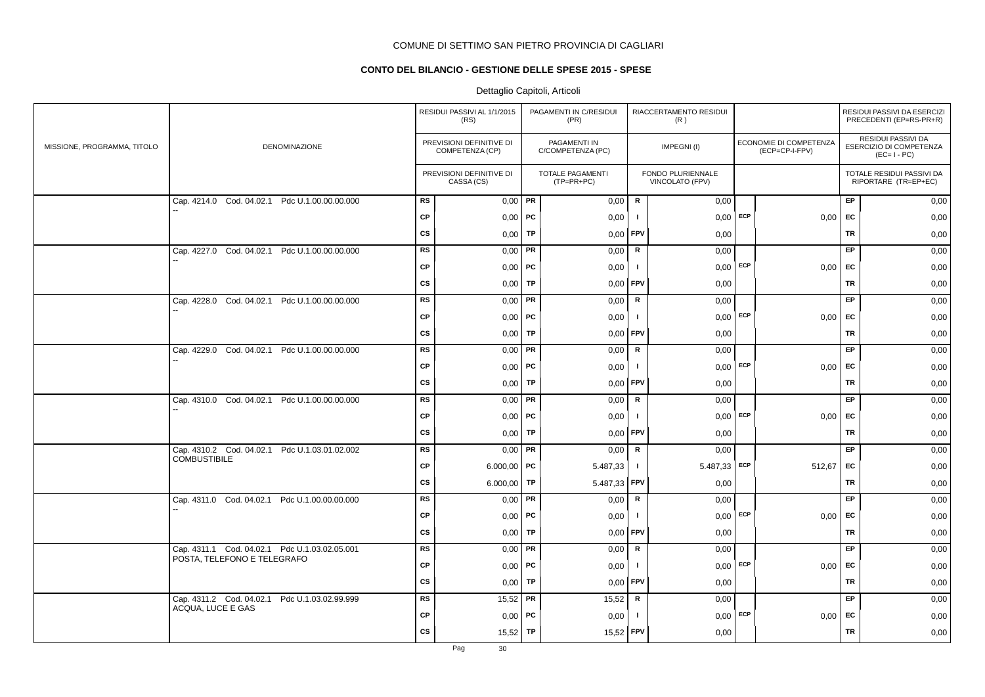# **CONTO DEL BILANCIO - GESTIONE DELLE SPESE 2015 - SPESE**

|                             |                                               |           | RESIDUI PASSIVI AL 1/1/2015<br>(RS)         |    | PAGAMENTI IN C/RESIDUI<br>(PR)          |              | RIACCERTAMENTO RESIDUI<br>(R)        |            |                                          |           | RESIDUI PASSIVI DA ESERCIZI<br>PRECEDENTI (EP=RS-PR+R)       |
|-----------------------------|-----------------------------------------------|-----------|---------------------------------------------|----|-----------------------------------------|--------------|--------------------------------------|------------|------------------------------------------|-----------|--------------------------------------------------------------|
| MISSIONE, PROGRAMMA, TITOLO | DENOMINAZIONE                                 |           | PREVISIONI DEFINITIVE DI<br>COMPETENZA (CP) |    | PAGAMENTI IN<br>C/COMPETENZA (PC)       |              | IMPEGNI(I)                           |            | ECONOMIE DI COMPETENZA<br>(ECP=CP-I-FPV) |           | RESIDUI PASSIVI DA<br>ESERCIZIO DI COMPETENZA<br>$(EC=I-PC)$ |
|                             |                                               |           | PREVISIONI DEFINITIVE DI<br>CASSA (CS)      |    | <b>TOTALE PAGAMENTI</b><br>$(TP=PR+PC)$ |              | FONDO PLURIENNALE<br>VINCOLATO (FPV) |            |                                          |           | TOTALE RESIDUI PASSIVI DA<br>RIPORTARE (TR=EP+EC)            |
|                             | Cap. 4214.0 Cod. 04.02.1 Pdc U.1.00.00.00.000 | <b>RS</b> | $0,00$ PR                                   |    | 0,00                                    | $\mathbf R$  | 0,00                                 |            |                                          | EP        | 0,00                                                         |
|                             |                                               | <b>CP</b> | $0,00$   PC                                 |    | 0,00                                    | $\mathbf{I}$ | 0,00                                 | ECP        | 0,00                                     | EC        | 0,00                                                         |
|                             |                                               | <b>CS</b> | 0,00                                        | TP | 0,00                                    | FPV          | 0,00                                 |            |                                          | <b>TR</b> | 0,00                                                         |
|                             | Cap. 4227.0 Cod. 04.02.1 Pdc U.1.00.00.00.000 | <b>RS</b> | 0,00                                        | PR | 0,00                                    | ${\sf R}$    | 0,00                                 |            |                                          | EP.       | 0,00                                                         |
|                             |                                               | <b>CP</b> | $0,00$   PC                                 |    | 0,00                                    | $\mathbf{I}$ | $0,00$ ECP                           |            | $0,00$ EC                                |           | 0,00                                                         |
|                             |                                               | <b>CS</b> | $0,00$ TP                                   |    | 0,00                                    | <b>FPV</b>   | 0,00                                 |            |                                          | TR        | 0,00                                                         |
|                             | Cap. 4228.0 Cod. 04.02.1 Pdc U.1.00.00.00.000 | <b>RS</b> | $0,00$ PR                                   |    | 0,00                                    | R            | 0,00                                 |            |                                          | EP        | 0,00                                                         |
|                             |                                               | <b>CP</b> | $0,00$   PC                                 |    | 0,00                                    | $\mathbf{I}$ |                                      | $0,00$ ECP | 0,00                                     | EC        | 0,00                                                         |
|                             |                                               | <b>CS</b> | 0,00                                        | TP | 0,00                                    | FPV          | 0,00                                 |            |                                          | <b>TR</b> | 0,00                                                         |
|                             | Cap. 4229.0 Cod. 04.02.1 Pdc U.1.00.00.00.000 | <b>RS</b> | 0,00                                        | PR | 0,00                                    | ${\sf R}$    | 0,00                                 |            |                                          | EP        | 0,00                                                         |
|                             |                                               | <b>CP</b> | $0,00$   PC                                 |    | 0,00                                    | $\mathbf{I}$ |                                      | $0,00$ ECP | 0,00                                     | EC        | 0,00                                                         |
|                             |                                               | <b>CS</b> | $0,00$ TP                                   |    | 0,00                                    | <b>FPV</b>   | 0,00                                 |            |                                          | TR        | 0,00                                                         |
|                             | Cap. 4310.0 Cod. 04.02.1 Pdc U.1.00.00.00.000 | <b>RS</b> | $0,00$ PR                                   |    | 0,00                                    | R            | 0,00                                 |            |                                          | EP        | 0,00                                                         |
|                             |                                               | <b>CP</b> | $0,00$   PC                                 |    | 0,00                                    | -1           | 0,00                                 | ECP        | 0,00                                     | EC        | 0,00                                                         |
|                             |                                               | <b>CS</b> | 0,00                                        | TP | 0,00                                    | <b>FPV</b>   | 0,00                                 |            |                                          | TR        | 0,00                                                         |
|                             | Cap. 4310.2 Cod. 04.02.1 Pdc U.1.03.01.02.002 | <b>RS</b> | $0,00$ PR                                   |    | 0,00                                    | $\mathsf R$  | 0,00                                 |            |                                          | EP        | 0,00                                                         |
|                             | <b>COMBUSTIBILE</b>                           | <b>CP</b> | $6.000,00$ PC                               |    | 5.487,33                                | $\mathbf{I}$ | $5.487,33$ ECP                       |            | 512,67                                   | EC        | 0,00                                                         |
|                             |                                               | <b>CS</b> | 6.000,00   TP                               |    | 5.487,33                                | FPV          | 0,00                                 |            |                                          | TR        | 0,00                                                         |
|                             | Cap. 4311.0 Cod. 04.02.1 Pdc U.1.00.00.00.000 | <b>RS</b> | $0,00$ PR                                   |    | 0,00                                    | $\mathsf{R}$ | 0,00                                 |            |                                          | EP        | 0,00                                                         |
|                             |                                               | <b>CP</b> | 0,00                                        | PC | 0,00                                    | $\mathbf{I}$ | $0,00$ ECP                           |            | 0,00                                     | <b>EC</b> | 0,00                                                         |
|                             |                                               | <b>CS</b> | $0,00$ TP                                   |    | 0,00                                    | FPV          | 0,00                                 |            |                                          | TR        | 0,00                                                         |
|                             | Cap. 4311.1 Cod. 04.02.1 Pdc U.1.03.02.05.001 | <b>RS</b> | $0,00$ PR                                   |    | 0,00                                    | R            | 0,00                                 |            |                                          | EP        | 0,00                                                         |
|                             | POSTA, TELEFONO E TELEGRAFO                   | <b>CP</b> | $0,00$   PC                                 |    | 0,00                                    | $\mathbf{I}$ | 0,00                                 | ECP        | 0,00                                     | <b>EC</b> | 0,00                                                         |
|                             |                                               | CS        | 0,00                                        | TP | 0,00                                    | <b>FPV</b>   | 0,00                                 |            |                                          | TR        | 0,00                                                         |
|                             | Cap. 4311.2 Cod. 04.02.1 Pdc U.1.03.02.99.999 | <b>RS</b> | $15,52$ PR                                  |    | 15,52                                   | $\mathbf R$  | 0,00                                 |            |                                          | EP        | 0,00                                                         |
|                             | ACQUA, LUCE E GAS                             | <b>CP</b> | $0,00$   PC                                 |    | 0,00                                    | $\mathbf{I}$ | 0,00                                 | ECP        | 0,00                                     | EC        | 0,00                                                         |
|                             |                                               | <b>CS</b> | 15,52                                       | TP | 15,52                                   | FPV          | 0,00                                 |            |                                          | <b>TR</b> | 0,00                                                         |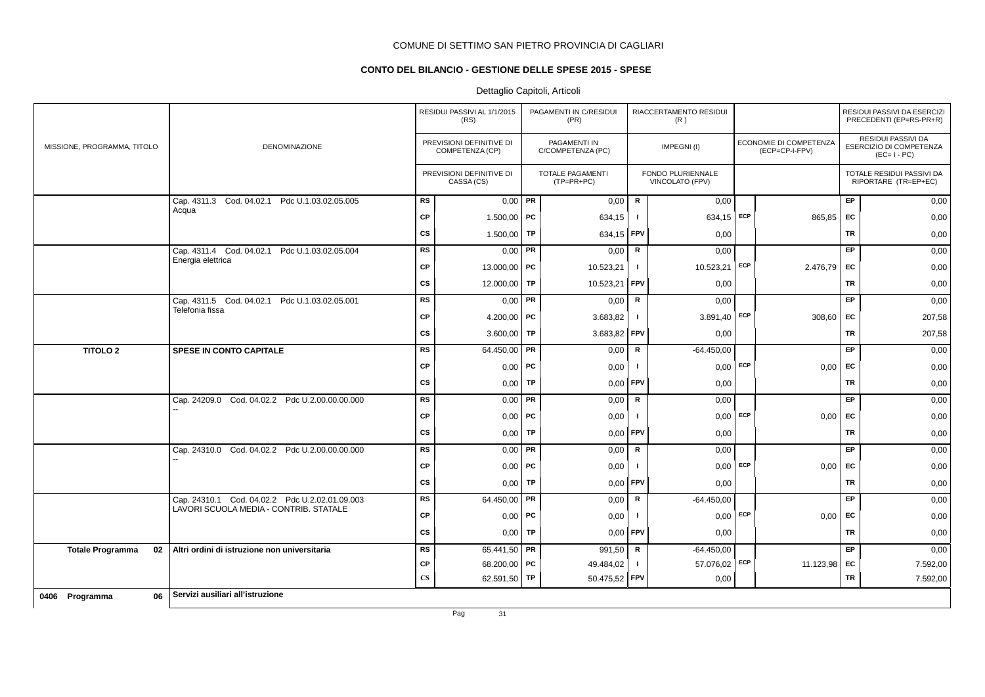# **CONTO DEL BILANCIO - GESTIONE DELLE SPESE 2015 - SPESE**

# Dettaglio Capitoli, Articoli

|                               |                                                  |                        | RESIDUI PASSIVI AL 1/1/2015<br>(RS)         |    | PAGAMENTI IN C/RESIDUI<br>(PR)          |                | RIACCERTAMENTO RESIDUI<br>(R)               |            |                                          |           | RESIDUI PASSIVI DA ESERCIZI<br>PRECEDENTI (EP=RS-PR+R)              |
|-------------------------------|--------------------------------------------------|------------------------|---------------------------------------------|----|-----------------------------------------|----------------|---------------------------------------------|------------|------------------------------------------|-----------|---------------------------------------------------------------------|
| MISSIONE, PROGRAMMA, TITOLO   | DENOMINAZIONE                                    |                        | PREVISIONI DEFINITIVE DI<br>COMPETENZA (CP) |    | PAGAMENTI IN<br>C/COMPETENZA (PC)       |                | IMPEGNI(I)                                  |            | ECONOMIE DI COMPETENZA<br>(ECP=CP-I-FPV) |           | <b>RESIDUI PASSIVI DA</b><br>ESERCIZIO DI COMPETENZA<br>$(EC=I-PC)$ |
|                               |                                                  |                        | PREVISIONI DEFINITIVE DI<br>CASSA (CS)      |    | <b>TOTALE PAGAMENTI</b><br>$(TP=PR+PC)$ |                | <b>FONDO PLURIENNALE</b><br>VINCOLATO (FPV) |            |                                          |           | TOTALE RESIDUI PASSIVI DA<br>RIPORTARE (TR=EP+EC)                   |
|                               | Cap. 4311.3 Cod. 04.02.1<br>Pdc U.1.03.02.05.005 | <b>RS</b>              | $0,00$ PR                                   |    | 0,00                                    | $\mathbf R$    | 0,00                                        |            |                                          | EP.       | 0,00                                                                |
|                               | Acqua                                            | <b>CP</b>              | 1.500,00                                    | PC | 634,15                                  | -1             | $634,15$ ECP                                |            | 865,85                                   | <b>FC</b> | 0,00                                                                |
|                               |                                                  | <b>CS</b>              | 1.500,00                                    | TP | 634,15 FPV                              |                | 0,00                                        |            |                                          | TR        | 0,00                                                                |
|                               | Cap. 4311.4 Cod. 04.02.1 Pdc U.1.03.02.05.004    | <b>RS</b>              | $0,00$ PR                                   |    | 0,00                                    | R              | 0,00                                        |            |                                          | EP.       | 0,00                                                                |
|                               | Energia elettrica                                | <b>CP</b>              | 13.000,00 PC                                |    | 10.523,21                               | $\mathbf{I}$   | 10.523,21                                   | ECP        | 2.476,79                                 | <b>FC</b> | 0,00                                                                |
|                               |                                                  | CS                     | 12.000,00 TP                                |    | 10.523,21                               | <b>FPV</b>     | 0,00                                        |            |                                          | TR        | 0,00                                                                |
|                               | Cap. 4311.5 Cod. 04.02.1 Pdc U.1.03.02.05.001    | <b>RS</b>              | $0,00$ PR                                   |    | 0,00                                    | $\mathbf R$    | 0,00                                        |            |                                          | <b>EP</b> | 0,00                                                                |
|                               | Telefonia fissa                                  | <b>CP</b>              | 4.200,00   PC                               |    | 3.683,82                                | Τ.             | 3.891,40 ECP                                |            | 308,60                                   | <b>FC</b> | 207,58                                                              |
|                               |                                                  | <b>CS</b>              | 3.600,00   TP                               |    | 3.683,82 FPV                            |                | 0,00                                        |            |                                          | TR        | 207,58                                                              |
| <b>TITOLO 2</b>               | SPESE IN CONTO CAPITALE                          | <b>RS</b>              | 64.450,00                                   | PR | 0,00                                    | $\mathbf R$    | $-64.450,00$                                |            |                                          | EP        | 0,00                                                                |
|                               |                                                  | <b>CP</b>              | $0,00$ PC                                   |    | 0,00                                    | $\blacksquare$ |                                             | $0,00$ ECP | 0,00                                     | <b>FC</b> | 0,00                                                                |
|                               |                                                  | <b>CS</b>              | 0,00                                        | TP | 0,00                                    | <b>FPV</b>     | 0,00                                        |            |                                          | <b>TR</b> | 0,00                                                                |
|                               | Cap. 24209.0 Cod. 04.02.2 Pdc U.2.00.00.00.000   | <b>RS</b>              | $0.00$ PR                                   |    | 0,00                                    | $\mathsf{R}$   | 0,00                                        |            |                                          | <b>EP</b> | 0,00                                                                |
|                               |                                                  | <b>CP</b>              | $0,00$   PC                                 |    | 0,00                                    | -1             | 0,00                                        | <b>ECP</b> | 0,00                                     | EC        | 0,00                                                                |
|                               |                                                  | <b>CS</b>              | $0,00$ TP                                   |    | 0,00                                    | <b>FPV</b>     | 0,00                                        |            |                                          | TR        | 0,00                                                                |
|                               | Cap. 24310.0 Cod. 04.02.2 Pdc U.2.00.00.00.000   | <b>RS</b>              | $0.00$ PR                                   |    | 0,00                                    | $\mathbf R$    | 0,00                                        |            |                                          | EP        | 0,00                                                                |
|                               |                                                  | <b>CP</b>              | $0,00$ PC                                   |    | 0,00                                    | $\mathbf{I}$   | $0,00$ ECP                                  |            | 0,00                                     | EC        | 0,00                                                                |
|                               |                                                  | <b>CS</b>              | $0,00$ TP                                   |    | $0,00$ FPV                              |                | 0,00                                        |            |                                          | TR        | 0,00                                                                |
|                               | Cap. 24310.1 Cod. 04.02.2 Pdc U.2.02.01.09.003   | <b>RS</b>              | 64.450,00 PR                                |    | 0,00                                    | $\mathbf R$    | $-64.450,00$                                |            |                                          | EP        | 0,00                                                                |
|                               | LAVORI SCUOLA MEDIA - CONTRIB. STATALE           | <b>CP</b>              | $0,00$ PC                                   |    | 0,00                                    | $\blacksquare$ | 0,00                                        | ECP        | 0,00                                     | EC        | 0,00                                                                |
|                               |                                                  | <b>CS</b>              | $0,00$ TP                                   |    | 0.00                                    | <b>FPV</b>     | 0,00                                        |            |                                          | <b>TR</b> | 0,00                                                                |
| 02<br><b>Totale Programma</b> | Altri ordini di istruzione non universitaria     | <b>RS</b>              | 65.441,50 PR                                |    | 991,50                                  | $\mathbf R$    | $-64.450,00$                                |            |                                          | <b>EP</b> | 0,00                                                                |
|                               |                                                  | <b>CP</b>              | 68.200,00 PC                                |    | 49.484,02                               | J.             | 57.076,02                                   | ECP        | 11.123,98                                | EC        | 7.592,00                                                            |
|                               |                                                  | $\mathbf{C}\mathbf{S}$ | 62.591,50 TP                                |    | 50.475,52 FPV                           |                | 0,00                                        |            |                                          | TR        | 7.592,00                                                            |
| 06<br>0406 Programma          | Servizi ausiliari all'istruzione                 |                        |                                             |    |                                         |                |                                             |            |                                          |           |                                                                     |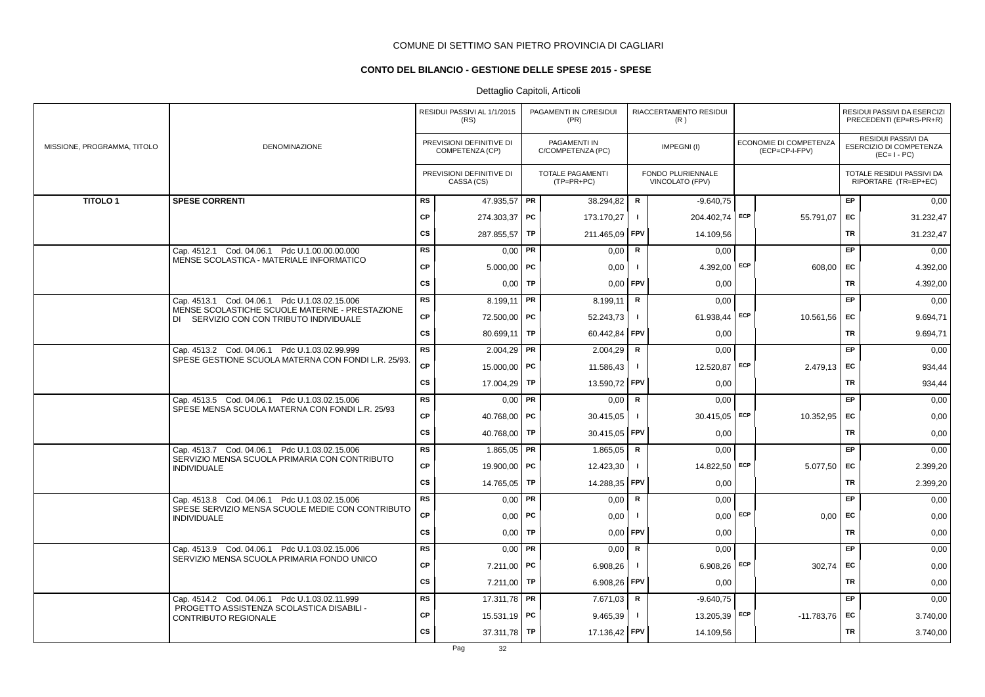# **CONTO DEL BILANCIO - GESTIONE DELLE SPESE 2015 - SPESE**

|                             |                                                                                             |           | RESIDUI PASSIVI AL 1/1/2015<br>(RS)         |           | PAGAMENTI IN C/RESIDUI<br>(PR)        |                | RIACCERTAMENTO RESIDUI<br>(R)        |     |                                          |           | RESIDUI PASSIVI DA ESERCIZI<br>PRECEDENTI (EP=RS-PR+R)       |
|-----------------------------|---------------------------------------------------------------------------------------------|-----------|---------------------------------------------|-----------|---------------------------------------|----------------|--------------------------------------|-----|------------------------------------------|-----------|--------------------------------------------------------------|
| MISSIONE, PROGRAMMA, TITOLO | DENOMINAZIONE                                                                               |           | PREVISIONI DEFINITIVE DI<br>COMPETENZA (CP) |           | PAGAMENTI IN<br>C/COMPETENZA (PC)     |                | IMPEGNI(I)                           |     | ECONOMIE DI COMPETENZA<br>(ECP=CP-I-FPV) |           | RESIDUI PASSIVI DA<br>ESERCIZIO DI COMPETENZA<br>$(EC=I-PC)$ |
|                             |                                                                                             |           | PREVISIONI DEFINITIVE DI<br>CASSA (CS)      |           | <b>TOTALE PAGAMENTI</b><br>(TP=PR+PC) |                | FONDO PLURIENNALE<br>VINCOLATO (FPV) |     |                                          |           | TOTALE RESIDUI PASSIVI DA<br>RIPORTARE (TR=EP+EC)            |
| <b>TITOLO1</b>              | <b>SPESE CORRENTI</b>                                                                       | <b>RS</b> | 47.935,57 PR                                |           | 38.294,82                             | $\mathbf R$    | $-9.640.75$                          |     |                                          | EP        | 0,00                                                         |
|                             |                                                                                             | <b>CP</b> | 274.303,37   PC                             |           | 173.170,27                            | $\mathbf{I}$   | 204.402,74 ECP                       |     | 55.791,07                                | EC        | 31.232,47                                                    |
|                             |                                                                                             | <b>CS</b> | 287.855,57                                  | TP        | 211.465,09                            | <b>FPV</b>     | 14.109,56                            |     |                                          | TR        | 31.232,47                                                    |
|                             | Cap. 4512.1 Cod. 04.06.1 Pdc U.1.00.00.00.000                                               | <b>RS</b> | $0,00$ PR                                   |           | 0,00                                  | $\mathbf R$    | 0,00                                 |     |                                          | EP        | 0,00                                                         |
|                             | MENSE SCOLASTICA - MATERIALE INFORMATICO                                                    | CP        | $5.000,00$ PC                               |           | 0,00                                  | $\mathbf{I}$   | 4.392,00 ECP                         |     | 608,00                                   | EC        | 4.392,00                                                     |
|                             |                                                                                             | <b>CS</b> | 0,00                                        | <b>TP</b> | $0,00$ FPV                            |                | 0,00                                 |     |                                          | TR        | 4.392,00                                                     |
|                             | Cap. 4513.1 Cod. 04.06.1 Pdc U.1.03.02.15.006                                               | <b>RS</b> | 8.199,11   PR                               |           | 8.199,11                              | $\mathbf R$    | 0,00                                 |     |                                          | EP        | 0,00                                                         |
|                             | MENSE SCOLASTICHE SCUOLE MATERNE - PRESTAZIONE<br>DI SERVIZIO CON CON TRIBUTO INDIVIDUALE   | <b>CP</b> | 72.500,00   PC                              |           | 52.243,73                             | $\mathbf{I}$   | 61.938,44                            | ECP | 10.561,56                                | EC        | 9.694,71                                                     |
|                             |                                                                                             | <b>CS</b> | 80.699,11   TP                              |           | 60.442,84                             | <b>FPV</b>     | 0,00                                 |     |                                          | TR        | 9.694,71                                                     |
|                             | Cap. 4513.2 Cod. 04.06.1 Pdc U.1.03.02.99.999                                               | <b>RS</b> | $2.004,29$ PR                               |           | 2.004,29                              | R              | 0.00                                 |     |                                          | EP        | 0,00                                                         |
|                             | SPESE GESTIONE SCUOLA MATERNA CON FONDI L.R. 25/93.                                         | <b>CP</b> | 15.000,00   PC                              |           | 11.586,43                             | $\mathbf{I}$   | 12.520,87 ECP                        |     | $2.479,13$ EC                            |           | 934,44                                                       |
|                             |                                                                                             | <b>CS</b> | 17.004,29 TP                                |           | 13.590,72 FPV                         |                | 0,00                                 |     |                                          | TR        | 934,44                                                       |
|                             | Cap. 4513.5 Cod. 04.06.1 Pdc U.1.03.02.15.006                                               | RS        | $0,00$ PR                                   |           | 0,00                                  | R              | 0,00                                 |     |                                          | <b>EP</b> | 0,00                                                         |
|                             | SPESE MENSA SCUOLA MATERNA CON FONDI L.R. 25/93                                             | <b>CP</b> | 40.768,00 PC                                |           | 30.415,05                             | $\mathbf{I}$   | 30.415,05 ECP                        |     | 10.352,95                                | EC        | 0,00                                                         |
|                             |                                                                                             | <b>CS</b> | 40.768,00 TP                                |           | 30.415,05 FPV                         |                | 0,00                                 |     |                                          | TR        | 0,00                                                         |
|                             | Cap. 4513.7 Cod. 04.06.1 Pdc U.1.03.02.15.006                                               | <b>RS</b> | $1.865,05$ PR                               |           | 1.865,05                              | R              | 0,00                                 |     |                                          | EP        | 0,00                                                         |
|                             | SERVIZIO MENSA SCUOLA PRIMARIA CON CONTRIBUTO<br><b>INDIVIDUALE</b>                         | <b>CP</b> | 19.900,00   PC                              |           | 12.423,30                             | $\blacksquare$ | 14.822,50                            | ECP | 5.077,50                                 | EC        | 2.399,20                                                     |
|                             |                                                                                             | <b>CS</b> | 14.765,05 TP                                |           | 14.288,35                             | <b>FPV</b>     | 0,00                                 |     |                                          | TR        | 2.399,20                                                     |
|                             | Cap. 4513.8 Cod. 04.06.1 Pdc U.1.03.02.15.006                                               | <b>RS</b> | $0,00$ PR                                   |           | 0,00                                  | R              | 0,00                                 |     |                                          | <b>EP</b> | 0,00                                                         |
|                             | SPESE SERVIZIO MENSA SCUOLE MEDIE CON CONTRIBUTO<br><b>INDIVIDUALE</b>                      | <b>CP</b> | $0,00$   PC                                 |           | 0,00                                  | - 1            | 0,00                                 | ECP | 0,00                                     | EC        | 0,00                                                         |
|                             |                                                                                             | <b>CS</b> | $0,00$ TP                                   |           | 0,00                                  | <b>FPV</b>     | 0,00                                 |     |                                          | TR        | 0,00                                                         |
|                             | Cap. 4513.9 Cod. 04.06.1 Pdc U.1.03.02.15.006<br>SERVIZIO MENSA SCUOLA PRIMARIA FONDO UNICO | <b>RS</b> | $0,00$ PR                                   |           | 0,00                                  | R              | 0,00                                 |     |                                          | <b>EP</b> | 0,00                                                         |
|                             |                                                                                             | <b>CP</b> | $7.211,00$ PC                               |           | 6.908,26                              | -1             | 6.908,26                             | ECP | 302,74                                   | <b>FC</b> | 0,00                                                         |
|                             |                                                                                             | <b>CS</b> | $7.211,00$ TP                               |           | 6.908,26                              | <b>FPV</b>     | 0,00                                 |     |                                          | TR        | 0,00                                                         |
|                             | Cap. 4514.2 Cod. 04.06.1 Pdc U.1.03.02.11.999                                               | <b>RS</b> | 17.311,78 PR                                |           | 7.671,03                              | $\mathbf R$    | $-9.640.75$                          |     |                                          | <b>EP</b> | 0,00                                                         |
|                             | PROGETTO ASSISTENZA SCOLASTICA DISABILI -<br>CONTRIBUTO REGIONALE                           | <b>CP</b> | 15.531,19   PC                              |           | 9.465,39                              |                | 13.205,39 ECP                        |     | $-11.783,76$                             | EC        | 3.740,00                                                     |
|                             |                                                                                             | <b>CS</b> | $37.311,78$ TP                              |           | 17.136,42 FPV                         |                | 14.109,56                            |     |                                          | TR        | 3.740,00                                                     |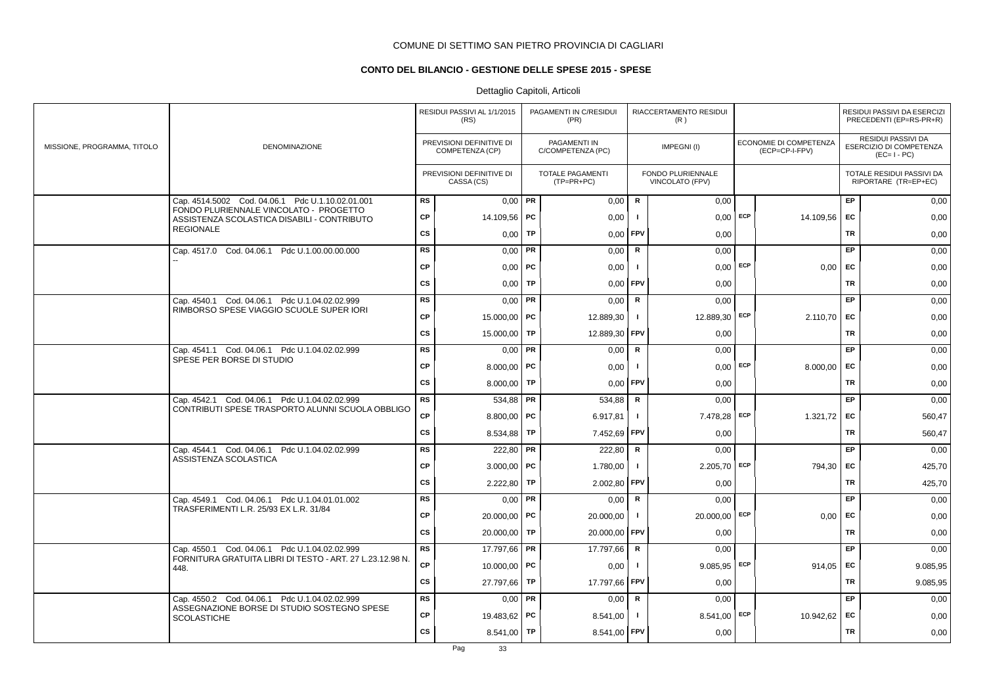# **CONTO DEL BILANCIO - GESTIONE DELLE SPESE 2015 - SPESE**

|                             |                                                                                                            |           | RESIDUI PASSIVI AL 1/1/2015<br>(RS)         |           | PAGAMENTI IN C/RESIDUI<br>(PR)        |                | RIACCERTAMENTO RESIDUI<br>(R)        |     |                                          |           | RESIDUI PASSIVI DA ESERCIZI<br>PRECEDENTI (EP=RS-PR+R)       |
|-----------------------------|------------------------------------------------------------------------------------------------------------|-----------|---------------------------------------------|-----------|---------------------------------------|----------------|--------------------------------------|-----|------------------------------------------|-----------|--------------------------------------------------------------|
| MISSIONE, PROGRAMMA, TITOLO | DENOMINAZIONE                                                                                              |           | PREVISIONI DEFINITIVE DI<br>COMPETENZA (CP) |           | PAGAMENTI IN<br>C/COMPETENZA (PC)     |                | IMPEGNI(I)                           |     | ECONOMIE DI COMPETENZA<br>(ECP=CP-I-FPV) |           | RESIDUI PASSIVI DA<br>ESERCIZIO DI COMPETENZA<br>$(EC=I-PC)$ |
|                             |                                                                                                            |           | PREVISIONI DEFINITIVE DI<br>CASSA (CS)      |           | <b>TOTALE PAGAMENTI</b><br>(TP=PR+PC) |                | FONDO PLURIENNALE<br>VINCOLATO (FPV) |     |                                          |           | TOTALE RESIDUI PASSIVI DA<br>RIPORTARE (TR=EP+EC)            |
|                             | Cap. 4514.5002 Cod. 04.06.1 Pdc U.1.10.02.01.001                                                           | <b>RS</b> | $0,00$ PR                                   |           | 0,00                                  | ${\sf R}$      | 0,00                                 |     |                                          | EP        | 0,00                                                         |
|                             | FONDO PLURIENNALE VINCOLATO - PROGETTO<br>ASSISTENZA SCOLASTICA DISABILI - CONTRIBUTO                      | CP        | 14.109,56                                   | PC        | 0,00                                  |                | $0,00$ ECP                           |     | 14.109,56                                | EC        | 0,00                                                         |
|                             | <b>REGIONALE</b>                                                                                           | cs        | 0,00                                        | TP        | 0,00                                  | FPV            | 0,00                                 |     |                                          | <b>TR</b> | 0,00                                                         |
|                             | Cap. 4517.0 Cod. 04.06.1 Pdc U.1.00.00.00.000                                                              | <b>RS</b> | 0,00                                        | PR        | 0,00                                  | ${\sf R}$      | 0,00                                 |     |                                          | EP        | 0,00                                                         |
|                             |                                                                                                            | CP        | $0,00$   PC                                 |           | 0,00                                  | - 1            | $0,00$ ECP                           |     | $0,00$ EC                                |           | 0,00                                                         |
|                             |                                                                                                            | cs        | 0,00                                        | TP        | 0,00                                  | <b>FPV</b>     | 0,00                                 |     |                                          | <b>TR</b> | 0,00                                                         |
|                             | Cap. 4540.1 Cod. 04.06.1 Pdc U.1.04.02.02.999                                                              | <b>RS</b> | 0,00                                        | <b>PR</b> | 0,00                                  | $\mathsf{R}$   | 0,00                                 |     |                                          | EP        | 0,00                                                         |
|                             | RIMBORSO SPESE VIAGGIO SCUOLE SUPER IORI                                                                   | <b>CP</b> | 15.000,00   PC                              |           | 12.889,30                             | $\blacksquare$ | 12.889,30 ECP                        |     | 2.110,70                                 | EC        | 0,00                                                         |
|                             |                                                                                                            | cs        | 15.000,00                                   | TP        | 12.889,30                             | <b>FPV</b>     | 0,00                                 |     |                                          | <b>TR</b> | 0,00                                                         |
|                             | Cap. 4541.1 Cod. 04.06.1 Pdc U.1.04.02.02.999                                                              | <b>RS</b> | 0,00                                        | PR        | 0,00                                  | R              | 0,00                                 |     |                                          | EP        | 0,00                                                         |
|                             | SPESE PER BORSE DI STUDIO                                                                                  | <b>CP</b> | 8.000,00   PC                               |           | 0,00                                  |                | $0,00$ ECP                           |     | 8.000,00                                 | EC        | 0,00                                                         |
|                             |                                                                                                            | CS        | 8.000,00                                    | TP        | 0,00                                  | FPV            | 0,00                                 |     |                                          | <b>TR</b> | 0,00                                                         |
|                             | Cap. 4542.1 Cod. 04.06.1 Pdc U.1.04.02.02.999                                                              | <b>RS</b> | 534,88                                      | PR        | 534,88                                | R              | 0,00                                 |     |                                          | EP        | 0,00                                                         |
|                             | CONTRIBUTI SPESE TRASPORTO ALUNNI SCUOLA OBBLIGO                                                           | <b>CP</b> | 8.800,00                                    | PC        | 6.917,81                              |                | 7.478,28 ECP                         |     | 1.321,72                                 | EC        | 560,47                                                       |
|                             |                                                                                                            | <b>CS</b> | 8.534,88                                    | TP        | 7.452,69 FPV                          |                | 0,00                                 |     |                                          | TR        | 560,47                                                       |
|                             | Cap. 4544.1 Cod. 04.06.1 Pdc U.1.04.02.02.999                                                              | <b>RS</b> | 222,80                                      | PR        | 222,80                                | $\mathsf{R}$   | 0,00                                 |     |                                          | EP        | 0,00                                                         |
|                             | ASSISTENZA SCOLASTICA                                                                                      | <b>CP</b> | 3.000,00                                    | PC        | 1.780,00                              |                | 2.205,70                             | ECP | 794,30                                   | EC        | 425,70                                                       |
|                             |                                                                                                            | <b>CS</b> | 2.222,80                                    | TP        | 2.002,80                              | <b>FPV</b>     | 0,00                                 |     |                                          | <b>TR</b> | 425,70                                                       |
|                             | Cap. 4549.1 Cod. 04.06.1 Pdc U.1.04.01.01.002                                                              | <b>RS</b> | 0,00                                        | PR        | 0,00                                  | R              | 0,00                                 |     |                                          | <b>EP</b> | 0,00                                                         |
|                             | TRASFERIMENTI L.R. 25/93 EX L.R. 31/84                                                                     | <b>CP</b> | 20.000,00   PC                              |           | 20.000,00                             | -1             | 20.000,00 ECP                        |     | 0,00                                     | EC        | 0,00                                                         |
|                             |                                                                                                            | CS        | 20.000,00                                   | TP        | 20.000,00                             | <b>FPV</b>     | 0,00                                 |     |                                          | TR        | 0,00                                                         |
|                             | Cap. 4550.1 Cod. 04.06.1 Pdc U.1.04.02.02.999<br>FORNITURA GRATUITA LIBRI DI TESTO - ART. 27 L.23.12.98 N. | <b>RS</b> | 17.797,66                                   | <b>PR</b> | 17.797,66                             | R              | 0,00                                 |     |                                          | EP        | 0,00                                                         |
|                             | 448.                                                                                                       | CP        | 10.000,00   PC                              |           | 0,00                                  |                | 9.085,95                             | ECP | 914,05                                   | EC        | 9.085,95                                                     |
|                             |                                                                                                            | CS        | 27.797,66                                   | TP        | 17.797,66                             | <b>FPV</b>     | 0,00                                 |     |                                          | <b>TR</b> | 9.085,95                                                     |
|                             | Cap. 4550.2 Cod. 04.06.1 Pdc U.1.04.02.02.999<br>ASSEGNAZIONE BORSE DI STUDIO SOSTEGNO SPESE               | <b>RS</b> | 0.00                                        | PR        | 0,00                                  | R              | 0,00                                 |     |                                          | EP        | 0,00                                                         |
|                             | <b>SCOLASTICHE</b>                                                                                         | <b>CP</b> | 19.483,62                                   | PC        | 8.541,00                              |                | $8.541,00$ ECP                       |     | 10.942,62                                | <b>FC</b> | 0,00                                                         |
|                             |                                                                                                            | <b>CS</b> | 8.541,00   TP                               |           | 8.541,00 FPV                          |                | 0,00                                 |     |                                          | <b>TR</b> | 0,00                                                         |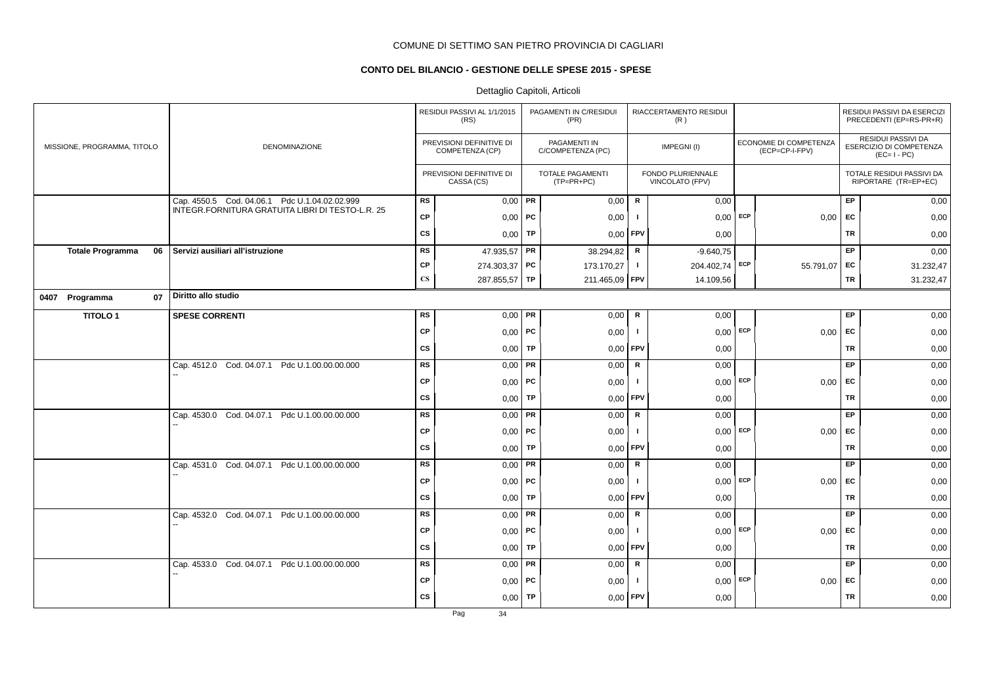# **CONTO DEL BILANCIO - GESTIONE DELLE SPESE 2015 - SPESE**

# Dettaglio Capitoli, Articoli

|                               |                                                                                                   |                        | RESIDUI PASSIVI AL 1/1/2015<br>(RS)         |    | PAGAMENTI IN C/RESIDUI<br>(PR)          |              | RIACCERTAMENTO RESIDUI<br>(R)        |     |                                          |           | RESIDUI PASSIVI DA ESERCIZI<br>PRECEDENTI (EP=RS-PR+R)       |
|-------------------------------|---------------------------------------------------------------------------------------------------|------------------------|---------------------------------------------|----|-----------------------------------------|--------------|--------------------------------------|-----|------------------------------------------|-----------|--------------------------------------------------------------|
| MISSIONE, PROGRAMMA, TITOLO   | <b>DENOMINAZIONE</b>                                                                              |                        | PREVISIONI DEFINITIVE DI<br>COMPETENZA (CP) |    | PAGAMENTI IN<br>C/COMPETENZA (PC)       |              | IMPEGNI(I)                           |     | ECONOMIE DI COMPETENZA<br>(ECP=CP-I-FPV) |           | RESIDUI PASSIVI DA<br>ESERCIZIO DI COMPETENZA<br>$(EC=I-PC)$ |
|                               |                                                                                                   |                        | PREVISIONI DEFINITIVE DI<br>CASSA (CS)      |    | <b>TOTALE PAGAMENTI</b><br>$(TP=PR+PC)$ |              | FONDO PLURIENNALE<br>VINCOLATO (FPV) |     |                                          |           | TOTALE RESIDUI PASSIVI DA<br>RIPORTARE (TR=EP+EC)            |
|                               | Cap. 4550.5 Cod. 04.06.1 Pdc U.1.04.02.02.999<br>INTEGR.FORNITURA GRATUITA LIBRI DI TESTO-L.R. 25 | <b>RS</b>              | $0,00$ PR                                   |    | 0,00                                    | ${\sf R}$    | 0,00                                 |     |                                          | EP        | 0,00                                                         |
|                               |                                                                                                   | <b>CP</b>              | $0,00$   PC                                 |    | 0,00                                    | $\mathbf{I}$ | $0,00$ ECP                           |     | 0,00                                     | EC        | 0,00                                                         |
|                               |                                                                                                   | <b>CS</b>              | $0,00$ TP                                   |    | 0,00                                    | <b>FPV</b>   | 0,00                                 |     |                                          | TR        | 0,00                                                         |
| <b>Totale Programma</b><br>06 | Servizi ausiliari all'istruzione                                                                  | RS                     | 47.935,57 PR                                |    | 38.294,82                               | R            | $-9.640.75$                          |     |                                          | EP.       | 0,00                                                         |
|                               |                                                                                                   | <b>CP</b>              | 274.303,37 PC                               |    | 173.170,27                              | Τ.           | 204.402,74                           | ECP | 55.791,07                                | EC        | 31.232,47                                                    |
|                               |                                                                                                   | $\mathbf{C}\mathbf{S}$ | 287.855,57 TP                               |    | 211.465,09                              | FPV          | 14.109,56                            |     |                                          | TR        | 31.232,47                                                    |
| 0407 Programma<br>07          | Diritto allo studio                                                                               |                        |                                             |    |                                         |              |                                      |     |                                          |           |                                                              |
| <b>TITOLO1</b>                | <b>SPESE CORRENTI</b>                                                                             | <b>RS</b>              | $0,00$ PR                                   |    | 0,00                                    | $\mathbf R$  | 0,00                                 |     |                                          | EP        | 0,00                                                         |
|                               |                                                                                                   | <b>CP</b>              | $0,00$   PC                                 |    | 0,00                                    | Τ.           | $0,00$ ECP                           |     | 0,00                                     | EC        | 0,00                                                         |
|                               |                                                                                                   | <b>CS</b>              | $0,00$ TP                                   |    | 0,00                                    | <b>FPV</b>   | 0,00                                 |     |                                          | TR        | 0,00                                                         |
|                               | Cap. 4512.0 Cod. 04.07.1 Pdc U.1.00.00.00.000                                                     | <b>RS</b>              | $0,00$ PR                                   |    | 0,00                                    | R            | 0,00                                 |     |                                          | EP        | 0,00                                                         |
|                               |                                                                                                   | <b>CP</b>              | $0,00$   PC                                 |    | 0,00                                    | $\mathbf{I}$ | $0,00$ ECP                           |     | 0,00                                     | EC        | 0,00                                                         |
|                               |                                                                                                   | CS                     | $0,00$ TP                                   |    | 0,00                                    | <b>FPV</b>   | 0,00                                 |     |                                          | TR        | 0,00                                                         |
|                               | Cap. 4530.0 Cod. 04.07.1 Pdc U.1.00.00.00.000                                                     | <b>RS</b>              | $0,00$ PR                                   |    | 0,00                                    | $\mathsf{R}$ | 0,00                                 |     |                                          | EP        | 0,00                                                         |
|                               |                                                                                                   | <b>CP</b>              | $0,00$   PC                                 |    | 0,00                                    | $\mathbf{I}$ | 0,00                                 | ECP | 0,00                                     | EC        | 0,00                                                         |
|                               |                                                                                                   | CS                     | 0,00                                        | TP | 0,00                                    | FPV          | 0,00                                 |     |                                          | <b>TR</b> | 0,00                                                         |
|                               | Cap. 4531.0 Cod. 04.07.1 Pdc U.1.00.00.00.000                                                     | <b>RS</b>              | $0,00$ PR                                   |    | 0,00                                    | R            | 0,00                                 |     |                                          | EP        | 0,00                                                         |
|                               |                                                                                                   | <b>CP</b>              | $0,00$   PC                                 |    | 0,00                                    | -1           | $0,00$ ECP                           |     | 0,00                                     | <b>EC</b> | 0,00                                                         |
|                               |                                                                                                   | <b>CS</b>              | $0,00$ TP                                   |    | 0,00                                    | <b>FPV</b>   | 0,00                                 |     |                                          | <b>TR</b> | 0,00                                                         |
|                               | Cap. 4532.0 Cod. 04.07.1 Pdc U.1.00.00.00.000                                                     | <b>RS</b>              | $0,00$ PR                                   |    | 0,00                                    | $\mathsf R$  | 0,00                                 |     |                                          | EP        | 0,00                                                         |
|                               |                                                                                                   | <b>CP</b>              | $0,00$   PC                                 |    | 0,00                                    | $\mathbf{I}$ | 0,00                                 | ECP | 0,00                                     | <b>FC</b> | 0,00                                                         |
|                               |                                                                                                   | <b>CS</b>              | 0,00                                        | TP | 0,00                                    | FPV          | 0,00                                 |     |                                          | <b>TR</b> | 0,00                                                         |
|                               | Cap. 4533.0 Cod. 04.07.1 Pdc U.1.00.00.00.000                                                     | <b>RS</b>              | $0,00$ PR                                   |    | 0,00                                    | R            | 0,00                                 |     |                                          | EP        | 0,00                                                         |
|                               |                                                                                                   | <b>CP</b>              | $0,00$   PC                                 |    | 0,00                                    |              | $0,00$ ECP                           |     | 0,00                                     | EC        | 0,00                                                         |
|                               |                                                                                                   | <b>CS</b>              | $0,00$ TP                                   |    | 0,00                                    | <b>FPV</b>   | 0,00                                 |     |                                          | TR        | 0,00                                                         |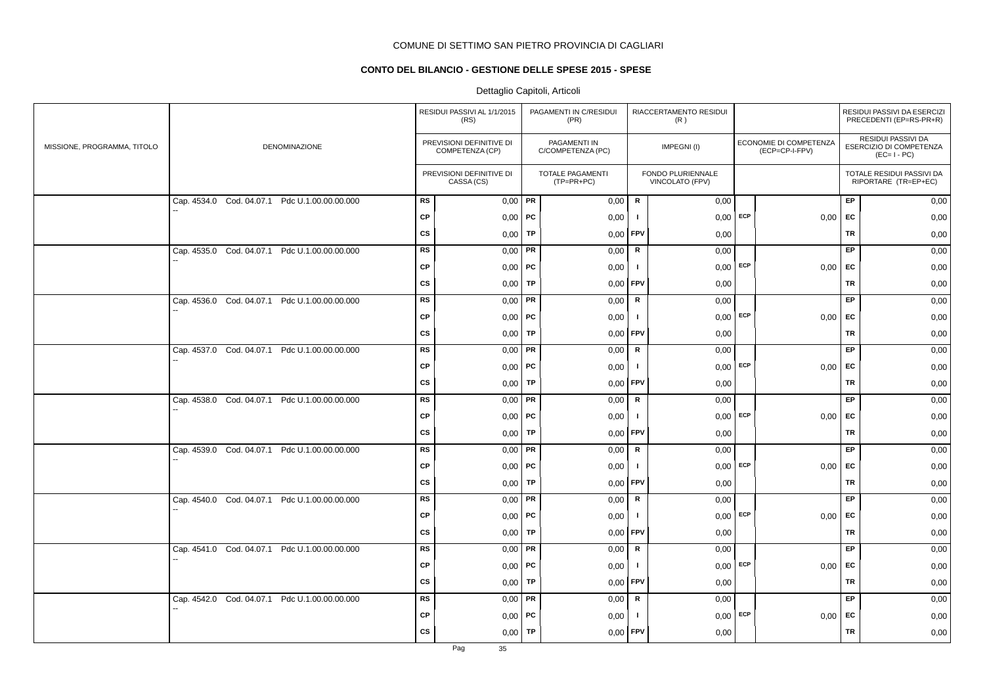# **CONTO DEL BILANCIO - GESTIONE DELLE SPESE 2015 - SPESE**

|                             |                                               |           | RESIDUI PASSIVI AL 1/1/2015<br>(RS)         |    | PAGAMENTI IN C/RESIDUI<br>(PR)    |              | RIACCERTAMENTO RESIDUI<br>(R)        |            |                                          |           | RESIDUI PASSIVI DA ESERCIZI<br>PRECEDENTI (EP=RS-PR+R)       |
|-----------------------------|-----------------------------------------------|-----------|---------------------------------------------|----|-----------------------------------|--------------|--------------------------------------|------------|------------------------------------------|-----------|--------------------------------------------------------------|
| MISSIONE, PROGRAMMA, TITOLO | DENOMINAZIONE                                 |           | PREVISIONI DEFINITIVE DI<br>COMPETENZA (CP) |    | PAGAMENTI IN<br>C/COMPETENZA (PC) |              | IMPEGNI(I)                           |            | ECONOMIE DI COMPETENZA<br>(ECP=CP-I-FPV) |           | RESIDUI PASSIVI DA<br>ESERCIZIO DI COMPETENZA<br>$(EC=I-PC)$ |
|                             |                                               |           | PREVISIONI DEFINITIVE DI<br>CASSA (CS)      |    | TOTALE PAGAMENTI<br>(TP=PR+PC)    |              | FONDO PLURIENNALE<br>VINCOLATO (FPV) |            |                                          |           | TOTALE RESIDUI PASSIVI DA<br>RIPORTARE (TR=EP+EC)            |
|                             | Cap. 4534.0 Cod. 04.07.1 Pdc U.1.00.00.00.000 | <b>RS</b> | $0,00$ PR                                   |    | 0,00                              | R            | 0,00                                 |            |                                          | EP        | 0,00                                                         |
|                             |                                               | <b>CP</b> | $0,00$   PC                                 |    | 0,00                              | $\mathbf{I}$ | $0,00$ ECP                           |            | 0,00                                     | <b>FC</b> | 0,00                                                         |
|                             |                                               | <b>CS</b> | 0,00                                        | TP | 0,00                              | FPV          | 0,00                                 |            |                                          | <b>TR</b> | 0,00                                                         |
|                             | Cap. 4535.0 Cod. 04.07.1 Pdc U.1.00.00.00.000 | <b>RS</b> | $0,00$ PR                                   |    | 0,00                              | $\mathsf R$  | 0,00                                 |            |                                          | <b>EP</b> | 0,00                                                         |
|                             |                                               | <b>CP</b> | $0,00$   PC                                 |    | 0,00                              | л.           | $0,00$ ECP                           |            | $0,00$ EC                                |           | 0,00                                                         |
|                             |                                               | <b>CS</b> | $0,00$ TP                                   |    | 0,00                              | <b>FPV</b>   | 0,00                                 |            |                                          | TR        | 0,00                                                         |
|                             | Cap. 4536.0 Cod. 04.07.1 Pdc U.1.00.00.00.000 | <b>RS</b> | $0,00$ PR                                   |    | 0,00                              | $\mathsf{R}$ | 0.00                                 |            |                                          | <b>EP</b> | 0,00                                                         |
|                             |                                               | <b>CP</b> | $0,00$   PC                                 |    | 0,00                              | $\mathbf{I}$ |                                      | $0,00$ ECP | 0,00                                     | EC        | 0,00                                                         |
|                             |                                               | <b>CS</b> | 0,00                                        | TP | 0,00                              | <b>FPV</b>   | 0,00                                 |            |                                          | TR        | 0,00                                                         |
|                             | Cap. 4537.0 Cod. 04.07.1 Pdc U.1.00.00.00.000 | <b>RS</b> | $0,00$ PR                                   |    | 0,00                              | $\mathsf R$  | 0,00                                 |            |                                          | EP        | 0,00                                                         |
|                             |                                               | <b>CP</b> | $0,00$   PC                                 |    | 0,00                              | $\mathbf{I}$ |                                      | $0,00$ ECP | 0,00                                     | EC        | 0,00                                                         |
|                             |                                               | CS        | 0,00                                        | TP | 0,00                              | <b>FPV</b>   | 0,00                                 |            |                                          | TR        | 0,00                                                         |
|                             | Cap. 4538.0 Cod. 04.07.1 Pdc U.1.00.00.00.000 | <b>RS</b> | $0,00$ PR                                   |    | 0,00                              | R            | 0,00                                 |            |                                          | EP        | 0,00                                                         |
|                             |                                               | <b>CP</b> | $0,00$   PC                                 |    | 0,00                              | $\mathbf{I}$ | $0,00$ ECP                           |            | $0,00$ EC                                |           | 0,00                                                         |
|                             |                                               | CS        | $0,00$ TP                                   |    | 0,00                              | <b>FPV</b>   | 0,00                                 |            |                                          | TR        | 0,00                                                         |
|                             | Cap. 4539.0 Cod. 04.07.1 Pdc U.1.00.00.00.000 | <b>RS</b> | $0,00$   PR                                 |    | 0,00                              | R            | 0,00                                 |            |                                          | EP        | 0,00                                                         |
|                             |                                               | <b>CP</b> | $0,00$   PC                                 |    | 0,00                              | $\mathbf{I}$ | $0,00$ ECP                           |            | 0,00                                     | EC        | 0,00                                                         |
|                             |                                               | CS        | $0,00$ TP                                   |    | 0,00                              | <b>FPV</b>   | 0,00                                 |            |                                          | TR        | 0,00                                                         |
|                             | Cap. 4540.0 Cod. 04.07.1 Pdc U.1.00.00.00.000 | RS        | $0,00$ PR                                   |    | 0,00                              | $\mathsf{R}$ | 0.00                                 |            |                                          | <b>EP</b> | 0,00                                                         |
|                             |                                               | <b>CP</b> | $0,00$ PC                                   |    | 0,00                              | л.           |                                      | $0.00$ ECP | 0,00                                     | EC        | 0,00                                                         |
|                             |                                               | CS        | $0,00$ TP                                   |    | 0,00                              | <b>FPV</b>   | 0,00                                 |            |                                          | TR        | 0,00                                                         |
|                             | Cap. 4541.0 Cod. 04.07.1 Pdc U.1.00.00.00.000 | <b>RS</b> | $0,00$ PR                                   |    | 0,00                              | R            | 0,00                                 |            |                                          | EP        | 0,00                                                         |
|                             |                                               | <b>CP</b> | $0,00$   PC                                 |    | 0,00                              | $\mathbf{I}$ | 0,00                                 | ECP        | 0,00                                     | EC        | 0,00                                                         |
|                             |                                               | <b>CS</b> | 0,00                                        | TP | 0,00                              | <b>FPV</b>   | 0,00                                 |            |                                          | TR        | 0,00                                                         |
|                             | Cap. 4542.0 Cod. 04.07.1 Pdc U.1.00.00.00.000 | <b>RS</b> | $0,00$ PR                                   |    | 0,00                              | R            | 0,00                                 |            |                                          | EP        | 0,00                                                         |
|                             |                                               | <b>CP</b> | $0,00$   PC                                 |    | 0,00                              | $\mathbf{I}$ | $0,00$ ECP                           |            | $0,00$ EC                                |           | 0,00                                                         |
|                             |                                               | <b>CS</b> | $0,00$ TP                                   |    | 0,00                              | <b>FPV</b>   | 0,00                                 |            |                                          | TR        | 0,00                                                         |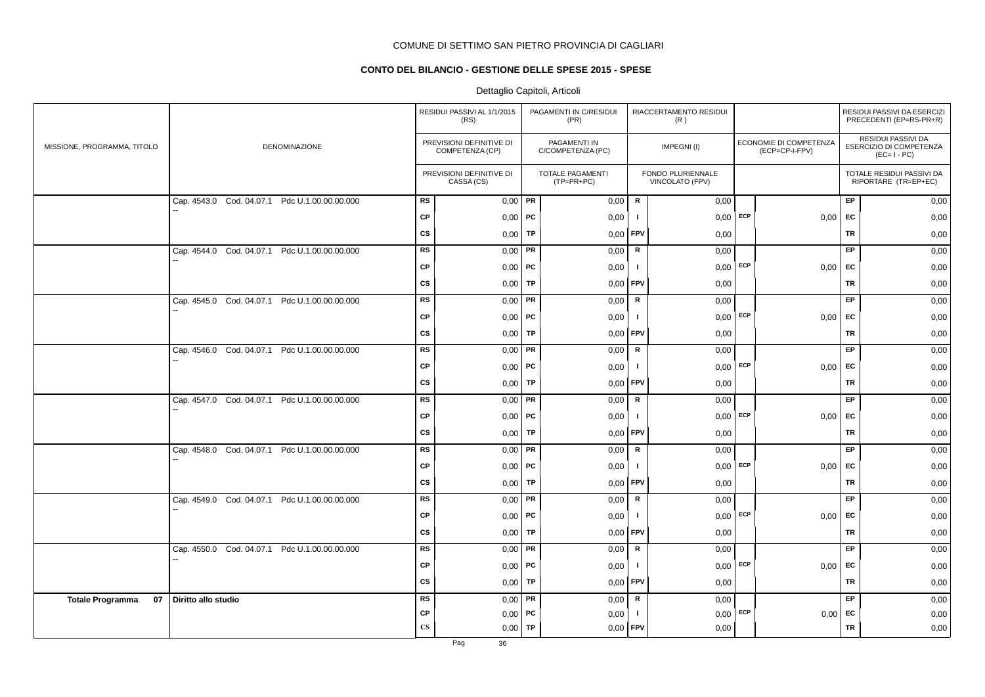# **CONTO DEL BILANCIO - GESTIONE DELLE SPESE 2015 - SPESE**

|                               |                                                  |               | RESIDUI PASSIVI AL 1/1/2015<br>(RS)         |           | PAGAMENTI IN C/RESIDUI<br>(PR)          |                | RIACCERTAMENTO RESIDUI<br>(R)        |     |                                          |           | RESIDUI PASSIVI DA ESERCIZI<br>PRECEDENTI (EP=RS-PR+R)       |
|-------------------------------|--------------------------------------------------|---------------|---------------------------------------------|-----------|-----------------------------------------|----------------|--------------------------------------|-----|------------------------------------------|-----------|--------------------------------------------------------------|
| MISSIONE, PROGRAMMA, TITOLO   | <b>DENOMINAZIONE</b>                             |               | PREVISIONI DEFINITIVE DI<br>COMPETENZA (CP) |           | PAGAMENTI IN<br>C/COMPETENZA (PC)       |                | IMPEGNI(I)                           |     | ECONOMIE DI COMPETENZA<br>(ECP=CP-I-FPV) |           | RESIDUI PASSIVI DA<br>ESERCIZIO DI COMPETENZA<br>$(EC=I-PC)$ |
|                               |                                                  |               | PREVISIONI DEFINITIVE DI<br>CASSA (CS)      |           | <b>TOTALE PAGAMENTI</b><br>$(TP=PR+PC)$ |                | FONDO PLURIENNALE<br>VINCOLATO (FPV) |     |                                          |           | TOTALE RESIDUI PASSIVI DA<br>RIPORTARE (TR=EP+EC)            |
|                               | Cap. 4543.0 Cod. 04.07.1 Pdc U.1.00.00.00.000    | <b>RS</b>     | $0,00$ PR                                   |           | 0,00                                    | ${\sf R}$      | 0,00                                 |     |                                          | EP.       | 0,00                                                         |
|                               |                                                  | <b>CP</b>     | $0,00$ PC                                   |           | 0,00                                    | $\blacksquare$ | $0,00$ ECP                           |     | 0,00                                     | EC        | 0,00                                                         |
|                               |                                                  | <b>CS</b>     | 0,00                                        | TP        | 0,00                                    | FPV            | 0,00                                 |     |                                          | <b>TR</b> | 0,00                                                         |
|                               | Cap. 4544.0 Cod. 04.07.1 Pdc U.1.00.00.00.000    | <b>RS</b>     | 0,00                                        | PR        | 0,00                                    | R              | 0,00                                 |     |                                          | EP        | 0,00                                                         |
|                               |                                                  | <b>CP</b>     | $0,00$   PC                                 |           | 0,00                                    | $\mathbf{I}$   | $0,00$ ECP                           |     | 0,00                                     | <b>EC</b> | 0,00                                                         |
|                               |                                                  | CS            | 0,00                                        | TP        | 0,00                                    | FPV            | 0,00                                 |     |                                          | TR        | 0,00                                                         |
|                               | Cap. 4545.0 Cod. 04.07.1 Pdc U.1.00.00.00.000    | <b>RS</b>     | 0,00                                        | PR        | 0,00                                    | $\mathbf R$    | 0,00                                 |     |                                          | EP        | 0,00                                                         |
|                               |                                                  | CP            | $0,00$   PC                                 |           | 0,00                                    | $\mathbf{I}$   | 0,00                                 | ECP | 0,00                                     | EC        | 0,00                                                         |
|                               |                                                  | <b>CS</b>     | 0,00                                        | TP        | 0,00                                    | <b>FPV</b>     | 0,00                                 |     |                                          | <b>TR</b> | 0,00                                                         |
|                               | Cap. 4546.0 Cod. 04.07.1 Pdc U.1.00.00.00.000    | RS            | 0,00                                        | PR        | 0,00                                    | $\mathsf R$    | 0,00                                 |     |                                          | <b>EP</b> | 0,00                                                         |
|                               |                                                  | <b>CP</b>     | $0,00$   PC                                 |           | 0,00                                    | $\mathbf{I}$   | $0,00$ ECP                           |     | 0,00                                     | EC        | 0,00                                                         |
|                               |                                                  | <b>CS</b>     | 0,00                                        | <b>TP</b> | 0,00                                    | FPV            | 0,00                                 |     |                                          | TR        | 0,00                                                         |
|                               | Cap. 4547.0 Cod. 04.07.1 Pdc U.1.00.00.00.000    | <b>RS</b>     | 0,00                                        | PR        | 0,00                                    | ${\sf R}$      | 0,00                                 |     |                                          | EP.       | 0,00                                                         |
|                               |                                                  | <b>CP</b>     | $0,00$   PC                                 |           | 0,00                                    | $\mathbf{I}$   | $0,00$ ECP                           |     | 0,00                                     | EC        | 0,00                                                         |
|                               |                                                  | <b>CS</b>     | 0,00                                        | TP        | 0,00                                    | <b>FPV</b>     | 0,00                                 |     |                                          | TR        | 0,00                                                         |
|                               | Cap. 4548.0 Cod. 04.07.1 Pdc U.1.00.00.00.000    | <b>RS</b>     | 0,00                                        | PR        | 0,00                                    | R              | 0,00                                 |     |                                          | EP        | 0,00                                                         |
|                               |                                                  | CP            | $0,00$   PC                                 |           | 0,00                                    | $\mathbf{I}$   | $0,00$ ECP                           |     | 0,00                                     | <b>FC</b> | 0,00                                                         |
|                               |                                                  | <b>CS</b>     | $0,00$   TP                                 |           | 0,00                                    | <b>FPV</b>     | 0,00                                 |     |                                          | TR        | 0,00                                                         |
|                               | Cap. 4549.0 Cod. 04.07.1 Pdc U.1.00.00.00.000    | <b>RS</b>     | $0,00$ PR                                   |           | 0,00                                    | $\mathbf R$    | 0,00                                 |     |                                          | EP        | 0,00                                                         |
|                               |                                                  | <b>CP</b>     | 0,00                                        | PC        | 0,00                                    | $\mathbf{I}$   | $0,00$ ECP                           |     | 0,00                                     | EC        | 0,00                                                         |
|                               |                                                  | <b>CS</b>     | 0,00                                        | TP        | 0,00                                    | FPV            | 0,00                                 |     |                                          | <b>TR</b> | 0,00                                                         |
|                               | Cod. 04.07.1 Pdc U.1.00.00.00.000<br>Cap. 4550.0 | <b>RS</b>     | 0,00                                        | PR        | 0,00                                    | $\mathsf R$    | 0,00                                 |     |                                          | EP        | 0,00                                                         |
|                               |                                                  | <b>CP</b>     | $0,00$   PC                                 |           | 0,00                                    | $\mathbf{I}$   | $0,00$ ECP                           |     | 0,00                                     | EC        | 0,00                                                         |
|                               |                                                  | CS            | 0,00                                        | TP        | 0,00                                    | <b>FPV</b>     | 0,00                                 |     |                                          | <b>TR</b> | 0,00                                                         |
| <b>Totale Programma</b><br>07 | Diritto allo studio                              | <b>RS</b>     | 0,00                                        | PR        | 0,00                                    | ${\sf R}$      | 0,00                                 |     |                                          | EP        | 0,00                                                         |
|                               |                                                  | <b>CP</b>     | 0,00                                        | PC        | 0,00                                    | -1             | 0,00                                 | ECP | 0,00                                     | EC        | 0,00                                                         |
|                               |                                                  | $\mathbf{CS}$ | 0,00                                        | <b>TP</b> | 0,00                                    | FPV            | 0,00                                 |     |                                          | <b>TR</b> | 0,00                                                         |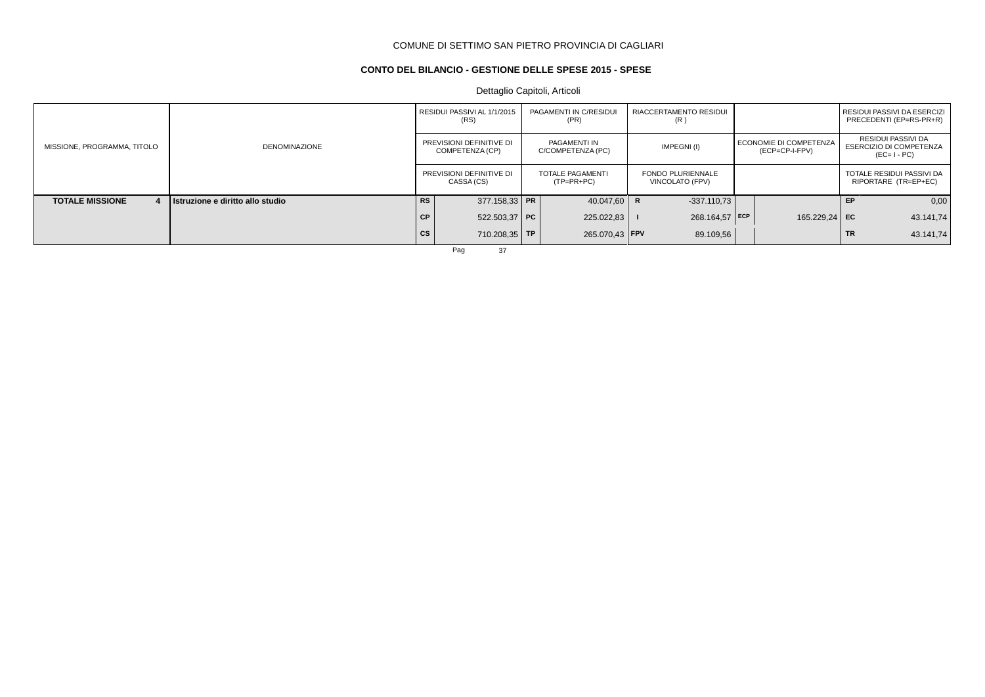## **CONTO DEL BILANCIO - GESTIONE DELLE SPESE 2015 - SPESE**

Dettaglio Capitoli, Articoli

|                             |                                  |           | RESIDUI PASSIVI AL 1/1/2015<br>(RS)         | PAGAMENTI IN C/RESIDUI<br>(PR)          | <b>RIACCERTAMENTO RESIDUI</b><br>(R)        |                                          |           | RESIDUI PASSIVI DA ESERCIZI<br>PRECEDENTI (EP=RS-PR+R)              |
|-----------------------------|----------------------------------|-----------|---------------------------------------------|-----------------------------------------|---------------------------------------------|------------------------------------------|-----------|---------------------------------------------------------------------|
| MISSIONE, PROGRAMMA, TITOLO | <b>DENOMINAZIONE</b>             |           | PREVISIONI DEFINITIVE DI<br>COMPETENZA (CP) | PAGAMENTI IN<br>C/COMPETENZA (PC)       | IMPEGNI(I)                                  | ECONOMIE DI COMPETENZA<br>(ECP=CP-I-FPV) |           | RESIDUI PASSIVI DA<br><b>ESERCIZIO DI COMPETENZA</b><br>$(EC=I-PC)$ |
|                             |                                  |           | PREVISIONI DEFINITIVE DI<br>CASSA (CS)      | <b>TOTALE PAGAMENTI</b><br>$(TP=PR+PC)$ | <b>FONDO PLURIENNALE</b><br>VINCOLATO (FPV) |                                          |           | TOTALE RESIDUI PASSIVI DA<br>RIPORTARE (TR=EP+EC)                   |
| <b>TOTALE MISSIONE</b>      | Istruzione e diritto allo studio | <b>RS</b> | $377.158.33$ PR                             | 40.047,60 R                             | $-337.110.73$                               |                                          | <b>FP</b> | 0,00                                                                |
|                             |                                  | CP.       | $522.503.37$ PC                             | 225.022,83                              | 268.164,57 ECP                              | 165.229,24 EC                            |           | 43.141,74                                                           |
|                             |                                  | <b>CS</b> | 710.208,35 TP                               | 265.070.43   FPV                        | 89.109,56                                   |                                          | <b>TR</b> | 43.141,74                                                           |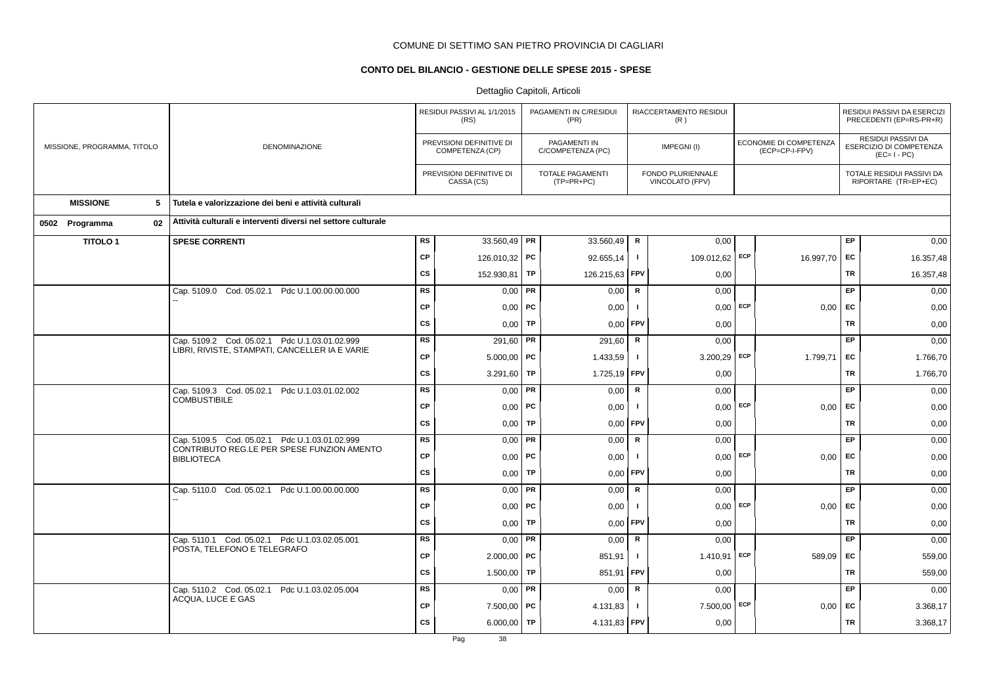## **CONTO DEL BILANCIO - GESTIONE DELLE SPESE 2015 - SPESE**

|                             |                                                                                                 |           | RESIDUI PASSIVI AL 1/1/2015<br>(RS)         |    | PAGAMENTI IN C/RESIDUI<br>(PR)        |              | RIACCERTAMENTO RESIDUI<br>(R)        |     |                                          |           | RESIDUI PASSIVI DA ESERCIZI<br>PRECEDENTI (EP=RS-PR+R)       |
|-----------------------------|-------------------------------------------------------------------------------------------------|-----------|---------------------------------------------|----|---------------------------------------|--------------|--------------------------------------|-----|------------------------------------------|-----------|--------------------------------------------------------------|
| MISSIONE, PROGRAMMA, TITOLO | DENOMINAZIONE                                                                                   |           | PREVISIONI DEFINITIVE DI<br>COMPETENZA (CP) |    | PAGAMENTI IN<br>C/COMPETENZA (PC)     |              | IMPEGNI(I)                           |     | ECONOMIE DI COMPETENZA<br>(ECP=CP-I-FPV) |           | RESIDUI PASSIVI DA<br>ESERCIZIO DI COMPETENZA<br>$(EC=I-PC)$ |
|                             |                                                                                                 |           | PREVISIONI DEFINITIVE DI<br>CASSA (CS)      |    | <b>TOTALE PAGAMENTI</b><br>(TP=PR+PC) |              | FONDO PLURIENNALE<br>VINCOLATO (FPV) |     |                                          |           | TOTALE RESIDUI PASSIVI DA<br>RIPORTARE (TR=EP+EC)            |
| <b>MISSIONE</b><br>5        | Tutela e valorizzazione dei beni e attività culturali                                           |           |                                             |    |                                       |              |                                      |     |                                          |           |                                                              |
| 02<br>0502 Programma        | Attività culturali e interventi diversi nel settore culturale                                   |           |                                             |    |                                       |              |                                      |     |                                          |           |                                                              |
| <b>TITOLO1</b>              | <b>SPESE CORRENTI</b>                                                                           | RS        | 33.560,49   PR                              |    | 33.560,49                             | $\mathsf R$  | 0,00                                 |     |                                          | EP        | 0,00                                                         |
|                             |                                                                                                 | <b>CP</b> | 126.010,32 PC                               |    | 92.655,14                             | $\mathbf{I}$ | 109.012,62 ECP                       |     | 16.997,70                                | EC        | 16.357,48                                                    |
|                             |                                                                                                 | <b>CS</b> | 152.930,81                                  | TP | 126.215,63                            | <b>FPV</b>   | 0,00                                 |     |                                          | TR        | 16.357,48                                                    |
|                             | Cap. 5109.0 Cod. 05.02.1 Pdc U.1.00.00.00.000                                                   | <b>RS</b> | $0,00$ PR                                   |    | 0,00                                  | $\mathsf{R}$ | 0,00                                 |     |                                          | EP        | 0,00                                                         |
|                             |                                                                                                 | <b>CP</b> | $0,00$   PC                                 |    | 0,00                                  | -1           | $0,00$ ECP                           |     | 0,00                                     | EC        | 0,00                                                         |
|                             |                                                                                                 | <b>CS</b> | 0,00                                        | TP | 0,00                                  | FPV          | 0,00                                 |     |                                          | <b>TR</b> | 0,00                                                         |
|                             | Cap. 5109.2 Cod. 05.02.1 Pdc U.1.03.01.02.999<br>LIBRI, RIVISTE, STAMPATI, CANCELLER IA E VARIE | <b>RS</b> | 291,60 PR                                   |    | 291,60                                | $\mathsf{R}$ | 0.00                                 |     |                                          | EP.       | 0,00                                                         |
|                             |                                                                                                 | <b>CP</b> | $5.000,00$ PC                               |    | 1.433,59                              | $\mathbf{I}$ | 3.200,29                             | ECP | 1.799,71                                 | EC        | 1.766,70                                                     |
|                             |                                                                                                 | <b>CS</b> | 3.291,60                                    | TP | 1.725,19                              | FPV          | 0,00                                 |     |                                          | <b>TR</b> | 1.766,70                                                     |
|                             | Cap. 5109.3 Cod. 05.02.1 Pdc U.1.03.01.02.002<br><b>COMBUSTIBILE</b>                            | <b>RS</b> | $0,00$ PR                                   |    | 0,00                                  | $\mathsf{R}$ | 0,00                                 |     |                                          | EP        | 0,00                                                         |
|                             |                                                                                                 | <b>CP</b> | $0,00$   PC                                 |    | 0,00                                  | -1           | 0,00                                 | ECP | 0,00                                     | EC        | 0,00                                                         |
|                             |                                                                                                 | <b>CS</b> | 0,00                                        | TP | 0,00                                  | FPV          | 0,00                                 |     |                                          | <b>TR</b> | 0,00                                                         |
|                             | Cap. 5109.5 Cod. 05.02.1 Pdc U.1.03.01.02.999<br>CONTRIBUTO REG.LE PER SPESE FUNZION AMENTO     | RS        | $0,00$ PR                                   |    | 0,00                                  | R            | 0,00                                 |     |                                          | EP        | 0,00                                                         |
|                             | <b>BIBLIOTECA</b>                                                                               | <b>CP</b> | $0,00$   PC                                 |    | 0,00                                  | $\mathbf{I}$ | 0,00                                 | ECP | 0,00                                     | <b>EC</b> | 0,00                                                         |
|                             |                                                                                                 | CS        | 0,00                                        | TP | 0,00                                  | FPV          | 0,00                                 |     |                                          | TR        | 0,00                                                         |
|                             | Cap. 5110.0 Cod. 05.02.1 Pdc U.1.00.00.00.000                                                   | <b>RS</b> | $0,00$ PR                                   |    | 0,00                                  | R            | 0,00                                 |     |                                          | EP        | 0,00                                                         |
|                             |                                                                                                 | <b>CP</b> | $0,00$   PC                                 |    | 0,00                                  | $\mathbf{I}$ | 0,00                                 | ECP | $0,00$ EC                                |           | 0,00                                                         |
|                             |                                                                                                 | <b>CS</b> | 0,00                                        | TP | 0,00                                  | FPV          | 0,00                                 |     |                                          | <b>TR</b> | 0,00                                                         |
|                             | Cap. 5110.1 Cod. 05.02.1 Pdc U.1.03.02.05.001<br>POSTA, TELEFONO E TELEGRAFO                    | <b>RS</b> | $0,00$ PR                                   |    | 0,00                                  | R            | 0,00                                 |     |                                          | EP        | 0,00                                                         |
|                             |                                                                                                 | <b>CP</b> | $2.000,00$ PC                               |    | 851,91                                | $\mathbf{I}$ | 1.410,91                             | ECP | 589,09                                   | EC        | 559,00                                                       |
|                             |                                                                                                 | <b>CS</b> | 1.500,00                                    | TP | 851,91                                | <b>FPV</b>   | 0,00                                 |     |                                          | TR        | 559,00                                                       |
|                             | Cap. 5110.2 Cod. 05.02.1 Pdc U.1.03.02.05.004<br>ACQUA, LUCE E GAS                              | <b>RS</b> | $0,00$ PR                                   |    | 0,00                                  | $\mathbf R$  | 0,00                                 |     |                                          | EP        | 0,00                                                         |
|                             |                                                                                                 | <b>CP</b> | $7.500,00$ PC                               |    | 4.131,83                              | $\mathbf{I}$ | 7.500,00                             | ECP | $0,00$ EC                                |           | 3.368,17                                                     |
|                             |                                                                                                 | <b>CS</b> | 6.000,00   TP                               |    | 4.131,83 FPV                          |              | 0,00                                 |     |                                          | <b>TR</b> | 3.368,17                                                     |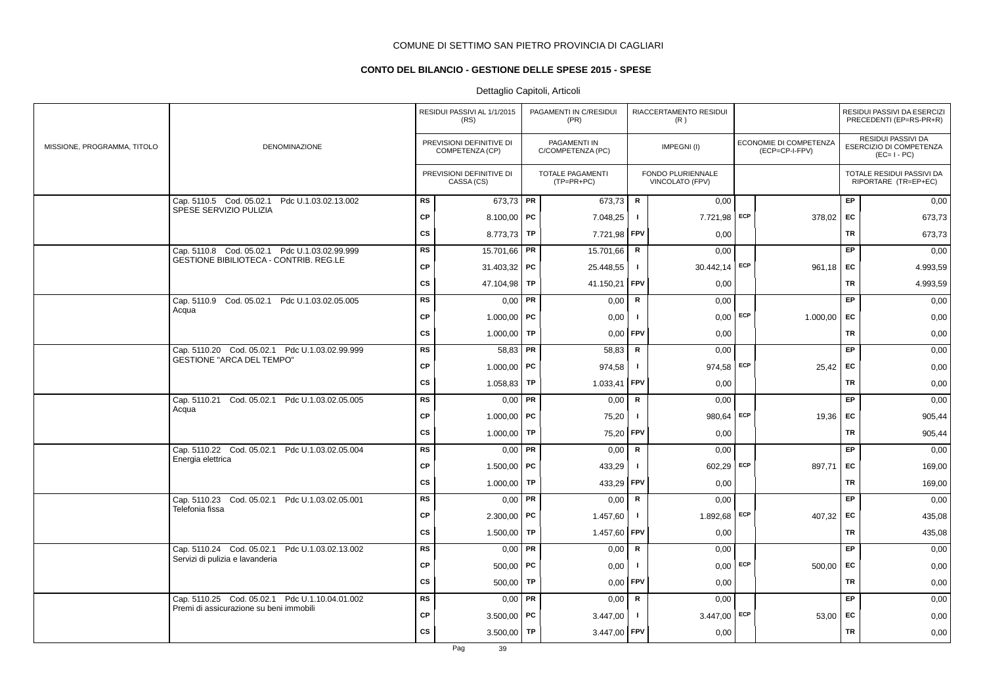## **CONTO DEL BILANCIO - GESTIONE DELLE SPESE 2015 - SPESE**

|                             |                                                                                           |           | RESIDUI PASSIVI AL 1/1/2015<br>(RS)         |           | PAGAMENTI IN C/RESIDUI<br>(PR)        |                | RIACCERTAMENTO RESIDUI<br>(R)        |     |                                          |           | RESIDUI PASSIVI DA ESERCIZI<br>PRECEDENTI (EP=RS-PR+R)       |
|-----------------------------|-------------------------------------------------------------------------------------------|-----------|---------------------------------------------|-----------|---------------------------------------|----------------|--------------------------------------|-----|------------------------------------------|-----------|--------------------------------------------------------------|
| MISSIONE, PROGRAMMA, TITOLO | DENOMINAZIONE                                                                             |           | PREVISIONI DEFINITIVE DI<br>COMPETENZA (CP) |           | PAGAMENTI IN<br>C/COMPETENZA (PC)     |                | IMPEGNI(I)                           |     | ECONOMIE DI COMPETENZA<br>(ECP=CP-I-FPV) |           | RESIDUI PASSIVI DA<br>ESERCIZIO DI COMPETENZA<br>$(EC=I-PC)$ |
|                             |                                                                                           |           | PREVISIONI DEFINITIVE DI<br>CASSA (CS)      |           | <b>TOTALE PAGAMENTI</b><br>(TP=PR+PC) |                | FONDO PLURIENNALE<br>VINCOLATO (FPV) |     |                                          |           | TOTALE RESIDUI PASSIVI DA<br>RIPORTARE (TR=EP+EC)            |
|                             | Cap. 5110.5 Cod. 05.02.1 Pdc U.1.03.02.13.002<br>SPESE SERVIZIO PULIZIA                   | <b>RS</b> | 673,73 PR                                   |           | 673.73                                | R              | 0.00                                 |     |                                          | <b>EP</b> | 0,00                                                         |
|                             |                                                                                           | <b>CP</b> | 8.100,00   PC                               |           | 7.048,25                              | $\mathbf{I}$   | 7.721,98                             | ECP | 378,02                                   | EC        | 673,73                                                       |
|                             |                                                                                           | <b>CS</b> | 8.773,73                                    | TP        | 7.721,98                              | FPV            | 0,00                                 |     |                                          | <b>TR</b> | 673,73                                                       |
|                             | Cap. 5110.8 Cod. 05.02.1 Pdc U.1.03.02.99.999                                             | <b>RS</b> | 15.701,66                                   | PR        | 15.701,66                             | $\mathbf R$    | 0,00                                 |     |                                          | EP.       | 0,00                                                         |
|                             | <b>GESTIONE BIBILIOTECA - CONTRIB. REG.LE</b>                                             | CP        | $31.403,32$ PC                              |           | 25.448,55                             | $\mathbf{I}$   | 30.442,14 ECP                        |     | 961,18                                   | EC        | 4.993,59                                                     |
|                             |                                                                                           | <b>CS</b> | 47.104,98                                   | TP        | 41.150,21                             | FPV            | 0,00                                 |     |                                          | <b>TR</b> | 4.993,59                                                     |
|                             | Cap. 5110.9 Cod. 05.02.1 Pdc U.1.03.02.05.005                                             | <b>RS</b> | 0,00                                        | PR        | 0,00                                  | R              | 0,00                                 |     |                                          | EP        | 0,00                                                         |
|                             | Acqua                                                                                     | CP        | $1.000,00$ PC                               |           | 0,00                                  | $\mathbf{I}$   | $0,00$ ECP                           |     | 1.000,00                                 | <b>FC</b> | 0,00                                                         |
|                             |                                                                                           | CS        | 1.000,00                                    | TP        | 0,00                                  | FPV            | 0,00                                 |     |                                          | <b>TR</b> | 0,00                                                         |
|                             | Cap. 5110.20 Cod. 05.02.1 Pdc U.1.03.02.99.999                                            | RS        | 58,83                                       | <b>PR</b> | 58,83                                 | $\mathsf R$    | 0,00                                 |     |                                          | EP.       | 0,00                                                         |
|                             | <b>GESTIONE "ARCA DEL TEMPO"</b>                                                          | <b>CP</b> | 1.000,00   PC                               |           | 974,58                                | $\mathbf{I}$   | 974,58 ECP                           |     | 25,42                                    | <b>EC</b> | 0,00                                                         |
|                             |                                                                                           | CS        | 1.058,83                                    | TP        | 1.033,41                              | l FPV          | 0,00                                 |     |                                          | <b>TR</b> | 0,00                                                         |
|                             | Cap. 5110.21 Cod. 05.02.1 Pdc U.1.03.02.05.005                                            | <b>RS</b> | 0,00                                        | <b>PR</b> | 0,00                                  | $\mathsf{R}$   | 0,00                                 |     |                                          | EP        | 0,00                                                         |
|                             | Acqua                                                                                     | CP        | 1.000,00                                    | <b>PC</b> | 75,20                                 |                | 980,64                               | ECP | 19,36                                    | EC        | 905,44                                                       |
|                             |                                                                                           | <b>CS</b> | 1.000,00                                    | TP        | 75,20                                 | FPV            | 0,00                                 |     |                                          | <b>TR</b> | 905,44                                                       |
|                             | Cap. 5110.22 Cod. 05.02.1 Pdc U.1.03.02.05.004                                            | <b>RS</b> | 0,00                                        | PR        | 0,00                                  | $\mathsf R$    | 0,00                                 |     |                                          | EP        | 0,00                                                         |
|                             | Energia elettrica                                                                         | <b>CP</b> | 1.500,00   PC                               |           | 433,29                                | -1             | 602,29                               | ECP | 897,71                                   | EC        | 169,00                                                       |
|                             |                                                                                           | <b>CS</b> | 1.000,00                                    | <b>TP</b> | 433,29                                | FPV            | 0,00                                 |     |                                          | TR        | 169,00                                                       |
|                             | Cap. 5110.23 Cod. 05.02.1 Pdc U.1.03.02.05.001                                            | <b>RS</b> | $0,00$ PR                                   |           | 0,00                                  | R              | 0,00                                 |     |                                          | <b>EP</b> | 0,00                                                         |
|                             | Telefonia fissa                                                                           | <b>CP</b> | $2.300,00$ PC                               |           | 1.457,60                              | $\mathbf{I}$   | 1.892,68                             | ECP | 407,32                                   | EC        | 435,08                                                       |
|                             |                                                                                           | <b>CS</b> | 1.500,00                                    | TP        | 1.457,60                              | FPV            | 0,00                                 |     |                                          | <b>TR</b> | 435,08                                                       |
|                             | Cap. 5110.24 Cod. 05.02.1 Pdc U.1.03.02.13.002                                            | <b>RS</b> | $0,00$ PR                                   |           | 0,00                                  | $\mathbf R$    | 0,00                                 |     |                                          | EP        | 0,00                                                         |
|                             | Servizi di pulizia e lavanderia                                                           | CP        | $500,00$ PC                                 |           | 0,00                                  | $\blacksquare$ | 0,00                                 | ECP | 500,00                                   | EC        | 0,00                                                         |
|                             |                                                                                           | CS        | 500,00                                      | TP        | 0,00                                  | FPV            | 0,00                                 |     |                                          | <b>TR</b> | 0,00                                                         |
|                             | Cap. 5110.25 Cod. 05.02.1 Pdc U.1.10.04.01.002<br>Premi di assicurazione su beni immobili | <b>RS</b> | $0,00$ PR                                   |           | 0,00                                  | ${\sf R}$      | 0,00                                 |     |                                          | EP        | 0,00                                                         |
|                             |                                                                                           | CP        | $3.500,00$ PC                               |           | 3.447,00                              | $\mathbf{I}$   | 3.447,00                             | ECP | 53,00                                    | EC        | 0,00                                                         |
|                             |                                                                                           | <b>CS</b> | 3.500,00                                    | TP        | 3.447,00                              | <b>FPV</b>     | 0,00                                 |     |                                          | <b>TR</b> | 0,00                                                         |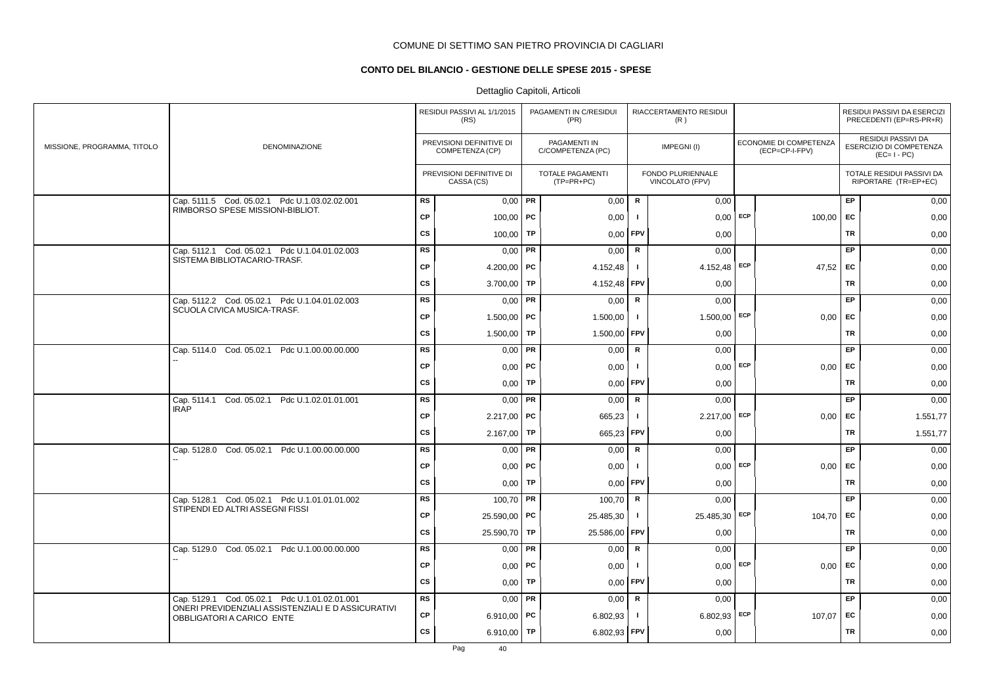## **CONTO DEL BILANCIO - GESTIONE DELLE SPESE 2015 - SPESE**

|                             |                                                                                                                                         |           | RESIDUI PASSIVI AL 1/1/2015<br>(RS)         |           | PAGAMENTI IN C/RESIDUI<br>(PR)          |                | RIACCERTAMENTO RESIDUI<br>(R)        |     |                                          |           | RESIDUI PASSIVI DA ESERCIZI<br>PRECEDENTI (EP=RS-PR+R)       |
|-----------------------------|-----------------------------------------------------------------------------------------------------------------------------------------|-----------|---------------------------------------------|-----------|-----------------------------------------|----------------|--------------------------------------|-----|------------------------------------------|-----------|--------------------------------------------------------------|
| MISSIONE, PROGRAMMA, TITOLO | <b>DENOMINAZIONE</b>                                                                                                                    |           | PREVISIONI DEFINITIVE DI<br>COMPETENZA (CP) |           | PAGAMENTI IN<br>C/COMPETENZA (PC)       |                | IMPEGNI(I)                           |     | ECONOMIE DI COMPETENZA<br>(ECP=CP-I-FPV) |           | RESIDUI PASSIVI DA<br>ESERCIZIO DI COMPETENZA<br>$(EC=I-PC)$ |
|                             |                                                                                                                                         |           | PREVISIONI DEFINITIVE DI<br>CASSA (CS)      |           | <b>TOTALE PAGAMENTI</b><br>$(TP=PR+PC)$ |                | FONDO PLURIENNALE<br>VINCOLATO (FPV) |     |                                          |           | TOTALE RESIDUI PASSIVI DA<br>RIPORTARE (TR=EP+EC)            |
|                             | Cap. 5111.5 Cod. 05.02.1 Pdc U.1.03.02.02.001                                                                                           | <b>RS</b> | $0,00$ PR                                   |           | 0,00                                    | R              | 0,00                                 |     |                                          | EP        | 0,00                                                         |
|                             | RIMBORSO SPESE MISSIONI-BIBLIOT.                                                                                                        | <b>CP</b> | $100,00$ PC                                 |           | 0,00                                    | - 1            | $0,00$ ECP                           |     | 100,00                                   | EC        | 0,00                                                         |
|                             |                                                                                                                                         | <b>CS</b> | 100,00                                      | TP        | 0,00                                    | <b>FPV</b>     | 0,00                                 |     |                                          | <b>TR</b> | 0,00                                                         |
|                             | Cap. 5112.1 Cod. 05.02.1 Pdc U.1.04.01.02.003                                                                                           | <b>RS</b> | 0,00                                        | PR        | 0,00                                    | R              | 0,00                                 |     |                                          | EP        | 0,00                                                         |
|                             | SISTEMA BIBLIOTACARIO-TRASF.                                                                                                            | <b>CP</b> | 4.200,00   PC                               |           | 4.152,48                                | $\blacksquare$ | 4.152,48 ECP                         |     | 47,52 EC                                 |           | 0,00                                                         |
|                             |                                                                                                                                         | CS        | 3.700,00                                    | TP        | 4.152,48 FPV                            |                | 0,00                                 |     |                                          | <b>TR</b> | 0,00                                                         |
|                             | Cap. 5112.2 Cod. 05.02.1 Pdc U.1.04.01.02.003                                                                                           | <b>RS</b> | 0,00                                        | PR        | 0,00                                    | ${\sf R}$      | 0,00                                 |     |                                          | EP        | 0,00                                                         |
|                             | SCUOLA CIVICA MUSICA-TRASF.                                                                                                             | <b>CP</b> | 1.500,00   PC                               |           | 1.500,00                                | $\blacksquare$ | $1.500,00$ ECP                       |     | $0,00$ EC                                |           | 0,00                                                         |
|                             |                                                                                                                                         | CS        | 1.500,00                                    | TP        | 1.500,00                                | <b>FPV</b>     | 0,00                                 |     |                                          | <b>TR</b> | 0,00                                                         |
|                             | Cap. 5114.0 Cod. 05.02.1 Pdc U.1.00.00.00.000                                                                                           | <b>RS</b> | 0.00                                        | PR        | 0,00                                    | R              | 0.00                                 |     |                                          | <b>EP</b> | 0,00                                                         |
|                             |                                                                                                                                         | <b>CP</b> | $0,00$   PC                                 |           | 0,00                                    | - 1            | $0.00$ ECP                           |     | 0,00                                     | EC        | 0,00                                                         |
|                             |                                                                                                                                         | CS        | 0,00                                        | <b>TP</b> | 0,00                                    | l FPV          | 0,00                                 |     |                                          | <b>TR</b> | 0,00                                                         |
|                             | Cod. 05.02.1 Pdc U.1.02.01.01.001<br>Cap. 5114.1                                                                                        | <b>RS</b> | 0,00                                        | PR        | 0,00                                    | ${\sf R}$      | 0,00                                 |     |                                          | EP        | 0,00                                                         |
|                             | <b>IRAP</b>                                                                                                                             | CP        | 2.217,00                                    | PC        | 665,23                                  | - 1            | 2.217,00 ECP                         |     | $0,00$ EC                                |           | 1.551,77                                                     |
|                             |                                                                                                                                         | <b>CS</b> | 2.167,00                                    | TP        | 665,23 FPV                              |                | 0,00                                 |     |                                          | <b>TR</b> | 1.551,77                                                     |
|                             | Cap. 5128.0 Cod. 05.02.1 Pdc U.1.00.00.00.000                                                                                           | <b>RS</b> | 0,00                                        | PR        | 0,00                                    | $\mathbf R$    | 0,00                                 |     |                                          | EP        | 0,00                                                         |
|                             |                                                                                                                                         | CP        | 0,00                                        | PC        | 0,00                                    |                | $0,00$ ECP                           |     | 0,00                                     | EC        | 0,00                                                         |
|                             |                                                                                                                                         | cs        | $0,00$ TP                                   |           | 0,00                                    | <b>FPV</b>     | 0,00                                 |     |                                          | <b>TR</b> | 0,00                                                         |
|                             | Cap. 5128.1 Cod. 05.02.1 Pdc U.1.01.01.01.002<br>STIPENDI ED ALTRI ASSEGNI FISSI                                                        | <b>RS</b> | $100,70$ PR                                 |           | 100,70                                  | $\mathbf R$    | 0,00                                 |     |                                          | EP        | 0,00                                                         |
|                             |                                                                                                                                         | CP        | 25.590,00 PC                                |           | 25.485,30                               | $\mathbf{I}$   | 25.485,30                            | ECP | 104,70                                   | EC        | 0,00                                                         |
|                             |                                                                                                                                         | CS        | 25.590,70 TP                                |           | 25.586,00                               | <b>FPV</b>     | 0,00                                 |     |                                          | TR        | 0,00                                                         |
|                             | Cap. 5129.0 Cod. 05.02.1 Pdc U.1.00.00.00.000                                                                                           | <b>RS</b> | 0,00                                        | PR        | 0,00                                    | R              | 0,00                                 |     |                                          | EP        | 0,00                                                         |
|                             |                                                                                                                                         | <b>CP</b> | $0,00$   PC                                 |           | 0,00                                    | -1             | $0,00$ ECP                           |     | 0,00                                     | EC        | 0,00                                                         |
|                             |                                                                                                                                         | CS        | 0,00                                        | TP        | 0,00                                    | <b>FPV</b>     | 0,00                                 |     |                                          | <b>TR</b> | 0,00                                                         |
|                             | Cap. 5129.1 Cod. 05.02.1 Pdc U.1.01.02.01.001<br>ONERI PREVIDENZIALI ASSISTENZIALI E D ASSICURATIVI<br><b>OBBLIGATORI A CARICO ENTE</b> | <b>RS</b> | $0,00$ PR                                   |           | 0,00                                    | R              | 0,00                                 |     |                                          | EP        | 0,00                                                         |
|                             |                                                                                                                                         | <b>CP</b> | 6.910,00   PC                               |           | 6.802,93                                |                | $6.802,93$ ECP                       |     | 107,07                                   | EC        | 0,00                                                         |
|                             |                                                                                                                                         | <b>CS</b> | 6.910,00                                    | TP        | 6.802,93 FPV                            |                | 0,00                                 |     |                                          | <b>TR</b> | 0,00                                                         |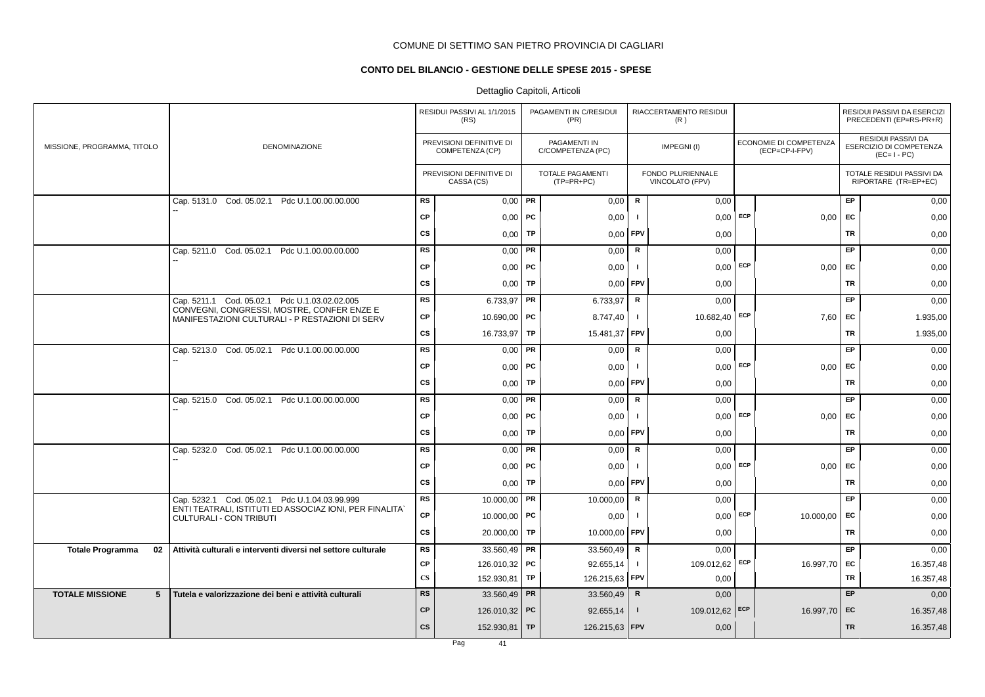## **CONTO DEL BILANCIO - GESTIONE DELLE SPESE 2015 - SPESE**

|                                           |                                                                                                          |                        | RESIDUI PASSIVI AL 1/1/2015<br>(RS)         |           | PAGAMENTI IN C/RESIDUI<br>(PR)          |              | RIACCERTAMENTO RESIDUI<br>(R)        |     |                                          |           | RESIDUI PASSIVI DA ESERCIZI<br>PRECEDENTI (EP=RS-PR+R)       |
|-------------------------------------------|----------------------------------------------------------------------------------------------------------|------------------------|---------------------------------------------|-----------|-----------------------------------------|--------------|--------------------------------------|-----|------------------------------------------|-----------|--------------------------------------------------------------|
| MISSIONE, PROGRAMMA, TITOLO               | <b>DENOMINAZIONE</b>                                                                                     |                        | PREVISIONI DEFINITIVE DI<br>COMPETENZA (CP) |           | PAGAMENTI IN<br>C/COMPETENZA (PC)       |              | IMPEGNI(I)                           |     | ECONOMIE DI COMPETENZA<br>(ECP=CP-I-FPV) |           | RESIDUI PASSIVI DA<br>ESERCIZIO DI COMPETENZA<br>$(EC=I-PC)$ |
|                                           |                                                                                                          |                        | PREVISIONI DEFINITIVE DI<br>CASSA (CS)      |           | <b>TOTALE PAGAMENTI</b><br>$(TP=PR+PC)$ |              | FONDO PLURIENNALE<br>VINCOLATO (FPV) |     |                                          |           | TOTALE RESIDUI PASSIVI DA<br>RIPORTARE (TR=EP+EC)            |
|                                           | Cap. 5131.0 Cod. 05.02.1 Pdc U.1.00.00.00.000                                                            | <b>RS</b>              | $0,00$ PR                                   |           | 0,00                                    | $\mathsf{R}$ | 0,00                                 |     |                                          | <b>EP</b> | 0,00                                                         |
|                                           |                                                                                                          | <b>CP</b>              | $0,00$   PC                                 |           | 0,00                                    | - 1          | $0,00$ ECP                           |     | 0.00                                     | <b>FC</b> | 0,00                                                         |
|                                           |                                                                                                          | <b>CS</b>              | 0,00                                        | TP        | 0,00                                    | FPV          | 0,00                                 |     |                                          | TR        | 0,00                                                         |
|                                           | Cap. 5211.0 Cod. 05.02.1 Pdc U.1.00.00.00.000                                                            | <b>RS</b>              | 0,00                                        | <b>PR</b> | 0,00                                    | $\mathsf R$  | 0,00                                 |     |                                          | EP        | 0,00                                                         |
|                                           |                                                                                                          | <b>CP</b>              | $0,00$ PC                                   |           | 0,00                                    | - 1          | 0,00                                 | ECP | 0.00                                     | EC.       | 0,00                                                         |
|                                           |                                                                                                          | <b>CS</b>              | 0,00                                        | TP        | 0,00                                    | FPV          | 0.00                                 |     |                                          | <b>TR</b> | 0,00                                                         |
|                                           | Cap. 5211.1 Cod. 05.02.1 Pdc U.1.03.02.02.005                                                            | <b>RS</b>              | 6.733,97   PR                               |           | 6.733,97                                | R            | 0,00                                 |     |                                          | EP        | 0,00                                                         |
|                                           | CONVEGNI, CONGRESSI, MOSTRE, CONFER ENZE E<br>MANIFESTAZIONI CULTURALI - P RESTAZIONI DI SERV            | CP                     | 10.690,00   PC                              |           | 8.747,40                                | Τ.           | 10.682,40 ECP                        |     | 7,60                                     | EC        | 1.935,00                                                     |
|                                           |                                                                                                          | <b>CS</b>              | 16.733,97                                   | TP        | 15.481,37                               | FPV          | 0,00                                 |     |                                          | <b>TR</b> | 1.935,00                                                     |
|                                           | Cap. 5213.0 Cod. 05.02.1 Pdc U.1.00.00.00.000                                                            | <b>RS</b>              | 0,00                                        | PR        | 0,00                                    | R            | 0,00                                 |     |                                          | EP        | 0,00                                                         |
|                                           |                                                                                                          | <b>CP</b>              | $0,00$   PC                                 |           | 0,00                                    | -1           | $0,00$ ECP                           |     | 0,00                                     | EC        | 0,00                                                         |
|                                           |                                                                                                          | <b>CS</b>              | 0,00                                        | TP        | 0,00                                    | FPV          | 0,00                                 |     |                                          | <b>TR</b> | 0,00                                                         |
|                                           | Cap. 5215.0 Cod. 05.02.1 Pdc U.1.00.00.00.000                                                            | RS                     | 0,00                                        | PR        | 0,00                                    | $\mathsf R$  | 0,00                                 |     |                                          | EP        | 0,00                                                         |
|                                           |                                                                                                          | <b>CP</b>              | $0,00$   PC                                 |           | 0,00                                    | $\mathbf{I}$ | 0.00                                 | ECP | 0,00                                     | <b>FC</b> | 0,00                                                         |
|                                           |                                                                                                          | <b>CS</b>              | 0,00                                        | TP        | 0,00                                    | FPV          | 0,00                                 |     |                                          | TR        | 0,00                                                         |
|                                           | Cap. 5232.0 Cod. 05.02.1 Pdc U.1.00.00.00.000                                                            | <b>RS</b>              | 0,00                                        | PR        | 0,00                                    | $\mathsf{R}$ | 0,00                                 |     |                                          | EP        | 0,00                                                         |
|                                           |                                                                                                          | CP                     | $0,00$   PC                                 |           | 0,00                                    | $\mathbf{I}$ | $0,00$ ECP                           |     | 0,00                                     | EC        | 0,00                                                         |
|                                           |                                                                                                          | <b>CS</b>              | $0.00$ TP                                   |           | 0,00                                    | <b>FPV</b>   | 0,00                                 |     |                                          | <b>TR</b> | 0,00                                                         |
|                                           | Cap. 5232.1 Cod. 05.02.1 Pdc U.1.04.03.99.999<br>ENTI TEATRALI, ISTITUTI ED ASSOCIAZ IONI, PER FINALITA` | <b>RS</b>              | 10.000,00                                   | PR        | 10.000,00                               | $\mathsf{R}$ | 0,00                                 |     |                                          | EP        | 0,00                                                         |
|                                           | <b>CULTURALI - CON TRIBUTI</b>                                                                           | CP                     | 10.000,00 <b>PC</b>                         |           | 0,00                                    | $\mathbf{I}$ | 0,00                                 | ECP | 10.000,00                                | <b>FC</b> | 0,00                                                         |
|                                           |                                                                                                          | cs                     | 20.000,00                                   | TP        | 10.000,00                               | FPV          | 0,00                                 |     |                                          | TR        | 0,00                                                         |
| 02<br><b>Totale Programma</b>             | Attività culturali e interventi diversi nel settore culturale                                            | <b>RS</b>              | 33.560,49   PR                              |           | 33.560,49                               | $\mathbf R$  | 0,00                                 |     |                                          | EP        | 0,00                                                         |
|                                           |                                                                                                          | <b>CP</b>              | 126.010,32 PC                               |           | 92.655,14                               | $\mathbf{I}$ | 109.012,62                           | ECP | 16.997,70                                | EC        | 16.357,48                                                    |
|                                           |                                                                                                          | $\mathbf{C}\mathbf{S}$ | 152.930,81   TP                             |           | 126.215,63                              | <b>FPV</b>   | 0,00                                 |     |                                          | TR        | 16.357,48                                                    |
| <b>TOTALE MISSIONE</b><br>$5\overline{5}$ | Tutela e valorizzazione dei beni e attività culturali                                                    | <b>RS</b>              | 33.560,49 PR                                |           | 33.560,49                               | R            | 0,00                                 |     |                                          | EP        | 0,00                                                         |
|                                           |                                                                                                          | <b>CP</b>              | 126.010,32 PC                               |           | 92.655,14                               | $\mathbf{I}$ | 109.012,62 ECP                       |     | 16.997,70                                | EC        | 16.357,48                                                    |
|                                           |                                                                                                          | <b>CS</b>              | 152.930,81 TP                               |           | 126.215,63 FPV                          |              | 0,00                                 |     |                                          | <b>TR</b> | 16.357,48                                                    |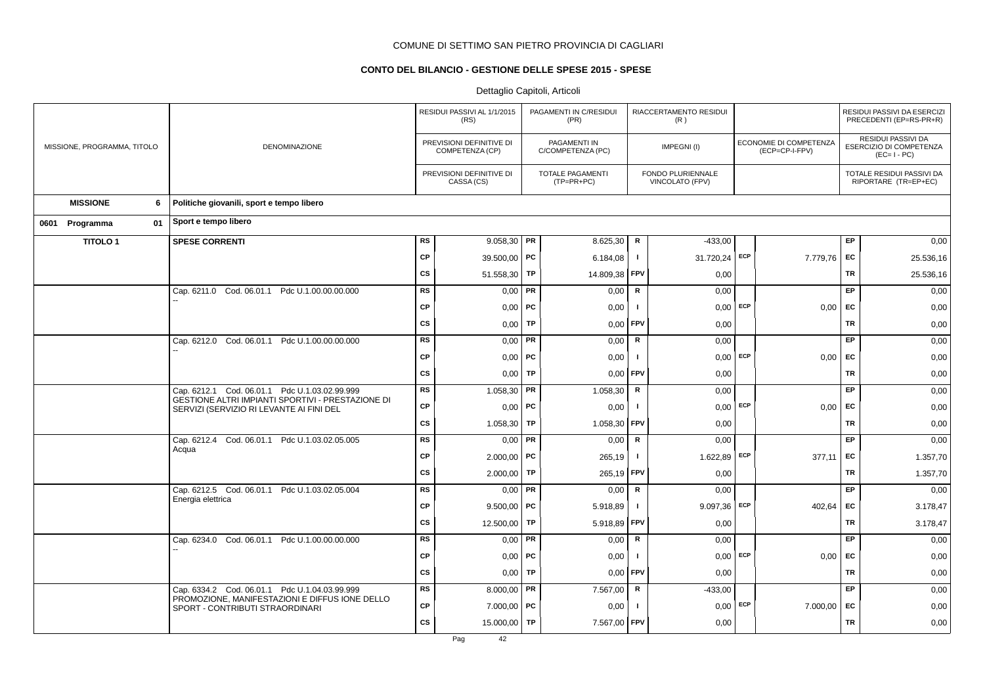## **CONTO DEL BILANCIO - GESTIONE DELLE SPESE 2015 - SPESE**

|                             |                                                                                                    |           | RESIDUI PASSIVI AL 1/1/2015<br>(RS)         |           | PAGAMENTI IN C/RESIDUI<br>(PR)        |              | RIACCERTAMENTO RESIDUI<br>(R)        |            |                                          |           | RESIDUI PASSIVI DA ESERCIZI<br>PRECEDENTI (EP=RS-PR+R)              |
|-----------------------------|----------------------------------------------------------------------------------------------------|-----------|---------------------------------------------|-----------|---------------------------------------|--------------|--------------------------------------|------------|------------------------------------------|-----------|---------------------------------------------------------------------|
| MISSIONE, PROGRAMMA, TITOLO | DENOMINAZIONE                                                                                      |           | PREVISIONI DEFINITIVE DI<br>COMPETENZA (CP) |           | PAGAMENTI IN<br>C/COMPETENZA (PC)     |              | IMPEGNI(I)                           |            | ECONOMIE DI COMPETENZA<br>(ECP=CP-I-FPV) |           | <b>RESIDUI PASSIVI DA</b><br>ESERCIZIO DI COMPETENZA<br>$(EC=I-PC)$ |
|                             |                                                                                                    |           | PREVISIONI DEFINITIVE DI<br>CASSA (CS)      |           | <b>TOTALE PAGAMENTI</b><br>(TP=PR+PC) |              | FONDO PLURIENNALE<br>VINCOLATO (FPV) |            |                                          |           | TOTALE RESIDUI PASSIVI DA<br>RIPORTARE (TR=EP+EC)                   |
| <b>MISSIONE</b><br>6        | Politiche giovanili, sport e tempo libero                                                          |           |                                             |           |                                       |              |                                      |            |                                          |           |                                                                     |
| 01<br>0601 Programma        | Sport e tempo libero                                                                               |           |                                             |           |                                       |              |                                      |            |                                          |           |                                                                     |
| <b>TITOLO1</b>              | <b>SPESE CORRENTI</b>                                                                              | <b>RS</b> | $9.058,30$ PR                               |           | 8.625,30                              | R            | $-433,00$                            |            |                                          | EP        | 0,00                                                                |
|                             |                                                                                                    | <b>CP</b> | 39.500,00 PC                                |           | 6.184,08                              | $\mathbf{I}$ | 31.720,24 ECP                        |            | 7.779,76 EC                              |           | 25.536,16                                                           |
|                             |                                                                                                    | <b>CS</b> | 51.558,30   TP                              |           | 14.809,38 FPV                         |              | 0,00                                 |            |                                          | TR        | 25.536,16                                                           |
|                             | Cap. 6211.0 Cod. 06.01.1 Pdc U.1.00.00.00.000                                                      | <b>RS</b> | $0,00$ PR                                   |           | 0,00                                  | $\mathsf{R}$ | 0,00                                 |            |                                          | EP        | 0,00                                                                |
|                             |                                                                                                    | <b>CP</b> | $0,00$   PC                                 |           | 0,00                                  | Τ.           |                                      | $0,00$ ECP | $0,00$ EC                                |           | 0,00                                                                |
|                             |                                                                                                    | <b>CS</b> | $0,00$ TP                                   |           | 0,00                                  | FPV          | 0,00                                 |            |                                          | TR        | 0,00                                                                |
|                             | Cap. 6212.0 Cod. 06.01.1 Pdc U.1.00.00.00.000                                                      | <b>RS</b> | $0,00$ PR                                   |           | 0,00                                  | $\mathsf{R}$ | 0,00                                 |            |                                          | EP        | 0,00                                                                |
|                             |                                                                                                    | <b>CP</b> | $0,00$ PC                                   |           | 0,00                                  | $\mathbf{I}$ | $0,00$ ECP                           |            | $0,00$ EC                                |           | 0,00                                                                |
|                             |                                                                                                    | <b>CS</b> | $0,00$ TP                                   |           | 0,00                                  | FPV          | 0,00                                 |            |                                          | <b>TR</b> | 0,00                                                                |
|                             | Cap. 6212.1 Cod. 06.01.1 Pdc U.1.03.02.99.999<br>GESTIONE ALTRI IMPIANTI SPORTIVI - PRESTAZIONE DI | <b>RS</b> | $1.058,30$ PR                               |           | 1.058,30                              | ${\sf R}$    | 0,00                                 |            |                                          | EP.       | 0,00                                                                |
|                             | SERVIZI (SERVIZIO RI LEVANTE AI FINI DEL                                                           | <b>CP</b> | $0,00$   PC                                 |           | 0,00                                  | $\mathbf{I}$ | $0,00$ ECP                           |            | $0,00$ EC                                |           | 0,00                                                                |
|                             |                                                                                                    | <b>CS</b> | 1.058,30                                    | TP        | 1.058,30                              | FPV          | 0,00                                 |            |                                          | <b>TR</b> | 0,00                                                                |
|                             | Cap. 6212.4 Cod. 06.01.1 Pdc U.1.03.02.05.005<br>Acqua                                             | <b>RS</b> | $0,00$ PR                                   |           | 0,00                                  | ${\sf R}$    | 0,00                                 |            |                                          | <b>EP</b> | 0,00                                                                |
|                             |                                                                                                    | <b>CP</b> | $2.000,00$ PC                               |           | 265,19                                | $\mathbf{I}$ | 1.622,89 ECP                         |            | 377,11                                   | EC        | 1.357,70                                                            |
|                             |                                                                                                    | <b>CS</b> | 2.000,00                                    | TP        | 265,19                                | <b>FPV</b>   | 0,00                                 |            |                                          | TR        | 1.357,70                                                            |
|                             | Cap. 6212.5 Cod. 06.01.1 Pdc U.1.03.02.05.004<br>Energia elettrica                                 | <b>RS</b> | $0,00$ PR                                   |           | 0,00                                  | $\mathsf{R}$ | 0,00                                 |            |                                          | EP.       | 0,00                                                                |
|                             |                                                                                                    | <b>CP</b> | $9.500.00$ PC                               |           | 5.918,89                              | $\mathbf{I}$ | $9.097,36$ ECP                       |            | 402.64                                   | EC        | 3.178,47                                                            |
|                             |                                                                                                    | <b>CS</b> | 12.500,00                                   | TP        | 5.918,89                              | FPV          | 0,00                                 |            |                                          | TR        | 3.178,47                                                            |
|                             | Cap. 6234.0 Cod. 06.01.1 Pdc U.1.00.00.00.000                                                      | <b>RS</b> | $0,00$ PR                                   |           | 0,00                                  | $\mathsf{R}$ | 0,00                                 |            |                                          | EP.       | 0,00                                                                |
|                             |                                                                                                    | СP        | $0,00$   PC                                 |           | 0,00                                  | $\mathbf{I}$ |                                      | $0,00$ ECP | $0,00$ EC                                |           | 0,00                                                                |
|                             |                                                                                                    | <b>CS</b> | 0,00                                        | <b>TP</b> | 0,00                                  | FPV          | 0,00                                 |            |                                          | <b>TR</b> | 0,00                                                                |
|                             | Cap. 6334.2 Cod. 06.01.1 Pdc U.1.04.03.99.999<br>PROMOZIONE, MANIFESTAZIONI E DIFFUS IONE DELLO    | <b>RS</b> | 8.000,00   PR                               |           | 7.567,00                              | ${\sf R}$    | $-433,00$                            |            |                                          | EP.       | 0,00                                                                |
|                             | SPORT - CONTRIBUTI STRAORDINARI                                                                    | <b>CP</b> | $7.000,00$ PC                               |           | 0,00                                  | -1           | 0,00                                 | ECP        | 7.000,00 EC                              |           | 0,00                                                                |
|                             |                                                                                                    | <b>CS</b> | 15.000,00                                   | <b>TP</b> | 7.567,00                              | FPV          | 0,00                                 |            |                                          | <b>TR</b> | 0,00                                                                |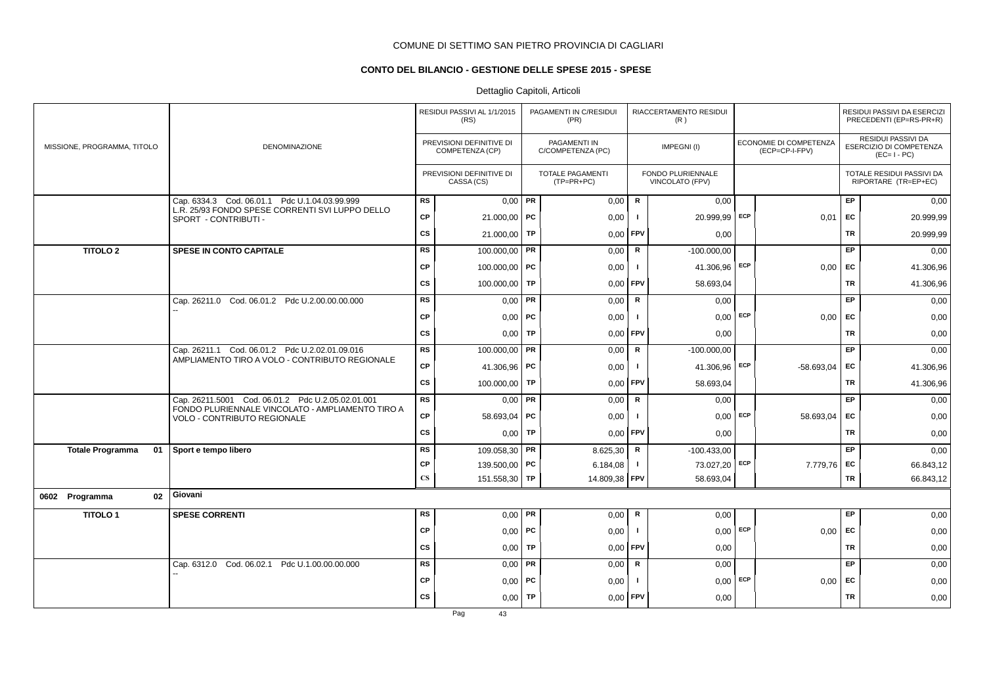## **CONTO DEL BILANCIO - GESTIONE DELLE SPESE 2015 - SPESE**

## Dettaglio Capitoli, Articoli

|  |                             |    |                                                                                 | RESIDUI PASSIVI AL 1/1/2015<br>(RS) |                                             | PAGAMENTI IN C/RESIDUI<br>(PR) |                                         | RIACCERTAMENTO RESIDUI<br>(R) |                                      |            |                                          | RESIDUI PASSIVI DA ESERCIZI<br>PRECEDENTI (EP=RS-PR+R) |                                                                     |
|--|-----------------------------|----|---------------------------------------------------------------------------------|-------------------------------------|---------------------------------------------|--------------------------------|-----------------------------------------|-------------------------------|--------------------------------------|------------|------------------------------------------|--------------------------------------------------------|---------------------------------------------------------------------|
|  | MISSIONE, PROGRAMMA, TITOLO |    | DENOMINAZIONE                                                                   |                                     | PREVISIONI DEFINITIVE DI<br>COMPETENZA (CP) |                                | PAGAMENTI IN<br>C/COMPETENZA (PC)       |                               | IMPEGNI(I)                           |            | ECONOMIE DI COMPETENZA<br>(ECP=CP-I-FPV) |                                                        | <b>RESIDUI PASSIVI DA</b><br>ESERCIZIO DI COMPETENZA<br>$(EC=I-PC)$ |
|  |                             |    |                                                                                 |                                     | PREVISIONI DEFINITIVE DI<br>CASSA (CS)      |                                | <b>TOTALE PAGAMENTI</b><br>$(TP=PR+PC)$ |                               | FONDO PLURIENNALE<br>VINCOLATO (FPV) |            |                                          |                                                        | TOTALE RESIDUI PASSIVI DA<br>RIPORTARE (TR=EP+EC)                   |
|  |                             |    | Cap. 6334.3 Cod. 06.01.1 Pdc U.1.04.03.99.999                                   | <b>RS</b>                           | $0,00$ PR                                   |                                | 0,00                                    | $\mathsf{R}$                  | 0,00                                 |            |                                          | EP                                                     | 0,00                                                                |
|  |                             |    | L.R. 25/93 FONDO SPESE CORRENTI SVI LUPPO DELLO<br>SPORT - CONTRIBUTI -         | CP                                  | 21.000,00 PC                                |                                | 0,00                                    | $\mathbf{I}$                  | 20.999,99 ECP                        |            | 0,01                                     | EC                                                     | 20.999,99                                                           |
|  |                             |    |                                                                                 | <b>CS</b>                           | 21.000,00   TP                              |                                | 0,00                                    | <b>FPV</b>                    | 0,00                                 |            |                                          | <b>TR</b>                                              | 20.999,99                                                           |
|  | <b>TITOLO 2</b>             |    | <b>SPESE IN CONTO CAPITALE</b>                                                  | <b>RS</b>                           | $100.000,00$ PR                             |                                | 0,00                                    | $\mathsf R$                   | $-100.000,00$                        |            |                                          | EP.                                                    | 0,00                                                                |
|  |                             |    |                                                                                 | <b>CP</b>                           | 100.000,00 PC                               |                                | 0,00                                    | $\mathbf{I}$                  | 41.306,96 ECP                        |            | 0,00                                     | <b>EC</b>                                              | 41.306,96                                                           |
|  |                             |    |                                                                                 | <b>CS</b>                           | 100.000,00 TP                               |                                | 0,00                                    | <b>FPV</b>                    | 58.693,04                            |            |                                          | <b>TR</b>                                              | 41.306,96                                                           |
|  |                             |    | Cap. 26211.0 Cod. 06.01.2 Pdc U.2.00.00.00.000                                  | <b>RS</b>                           | $0,00$ PR                                   |                                | 0,00                                    | $\mathsf{R}$                  | 0,00                                 |            |                                          | EP                                                     | 0,00                                                                |
|  |                             |    |                                                                                 | <b>CP</b>                           | $0,00$   PC                                 |                                | 0,00                                    | $\mathbf{I}$                  | 0,00                                 | ECP        | 0.00                                     | EC                                                     | 0,00                                                                |
|  |                             |    |                                                                                 | <b>CS</b>                           | 0.00 <sub>1</sub>                           | TP                             | 0.00                                    | <b>FPV</b>                    | 0,00                                 |            |                                          | <b>TR</b>                                              | 0,00                                                                |
|  |                             |    | Cap. 26211.1 Cod. 06.01.2 Pdc U.2.02.01.09.016                                  | RS                                  | 100.000,00 PR                               |                                | 0,00                                    | R                             | $-100.000,00$                        |            |                                          | EP                                                     | 0,00                                                                |
|  |                             |    | AMPLIAMENTO TIRO A VOLO - CONTRIBUTO REGIONALE                                  | <b>CP</b>                           | 41.306,96 PC                                |                                | 0,00                                    | $\mathbf{I}$                  | 41.306,96                            | ECP        | $-58.693.04$                             | <b>EC</b>                                              | 41.306,96                                                           |
|  |                             |    |                                                                                 | <b>CS</b>                           | 100.000,00 TP                               |                                | 0,00                                    | <b>FPV</b>                    | 58.693,04                            |            |                                          | <b>TR</b>                                              | 41.306,96                                                           |
|  |                             |    | Cap. 26211.5001 Cod. 06.01.2 Pdc U.2.05.02.01.001                               | RS                                  | $0,00$ PR                                   |                                | 0,00                                    | R                             | 0,00                                 |            |                                          | EP                                                     | 0,00                                                                |
|  |                             |    | FONDO PLURIENNALE VINCOLATO - AMPLIAMENTO TIRO A<br>VOLO - CONTRIBUTO REGIONALE | <b>CP</b>                           | 58.693,04   PC                              |                                | 0,00                                    | $\mathbf{I}$                  |                                      | $0,00$ ECP | 58.693,04                                | EC                                                     | 0,00                                                                |
|  |                             |    |                                                                                 | <b>CS</b>                           | $0,00$ TP                                   |                                | 0,00                                    | <b>FPV</b>                    | 0,00                                 |            |                                          | <b>TR</b>                                              | 0,00                                                                |
|  | <b>Totale Programma</b>     | 01 | Sport e tempo libero                                                            | <b>RS</b>                           | 109.058,30 PR                               |                                | 8.625,30                                | R                             | $-100.433,00$                        |            |                                          | EP                                                     | 0,00                                                                |
|  |                             |    |                                                                                 | <b>CP</b>                           | 139.500,00 PC                               |                                | 6.184,08                                | $\mathbf{I}$                  | 73.027,20                            | ECP        | 7.779,76 EC                              |                                                        | 66.843,12                                                           |
|  |                             |    |                                                                                 | $\mathbf{C}\mathbf{S}$              | 151.558,30 TP                               |                                | 14.809,38 FPV                           |                               | 58.693,04                            |            |                                          | <b>TR</b>                                              | 66.843,12                                                           |
|  | 0602 Programma              | 02 | Giovani                                                                         |                                     |                                             |                                |                                         |                               |                                      |            |                                          |                                                        |                                                                     |
|  | <b>TITOLO1</b>              |    | <b>SPESE CORRENTI</b>                                                           | <b>RS</b>                           | $0,00$ PR                                   |                                | 0,00                                    | R                             | 0,00                                 |            |                                          | EP                                                     | 0,00                                                                |
|  |                             |    |                                                                                 | <b>CP</b>                           | $0,00$ PC                                   |                                | 0,00                                    | $\mathbf{I}$                  |                                      | $0,00$ ECP | $0,00$ EC                                |                                                        | 0,00                                                                |
|  |                             |    |                                                                                 | <b>CS</b>                           | 0,00                                        | <b>TP</b>                      | 0,00                                    | <b>FPV</b>                    | 0,00                                 |            |                                          | <b>TR</b>                                              | 0,00                                                                |
|  |                             |    | Cap. 6312.0 Cod. 06.02.1 Pdc U.1.00.00.00.000                                   | <b>RS</b>                           | $0,00$ PR                                   |                                | 0,00                                    | R                             | 0,00                                 |            |                                          | EP                                                     | 0,00                                                                |
|  |                             |    |                                                                                 | CP                                  | $0,00$   PC                                 |                                | 0,00                                    | $\mathbf{I}$                  | $0.00$ ECP                           |            | $0,00$ EC                                |                                                        | 0,00                                                                |
|  |                             |    |                                                                                 | <b>CS</b>                           | $0,00$ TP                                   |                                | 0,00                                    | <b>FPV</b>                    | 0,00                                 |            |                                          | TR                                                     | 0,00                                                                |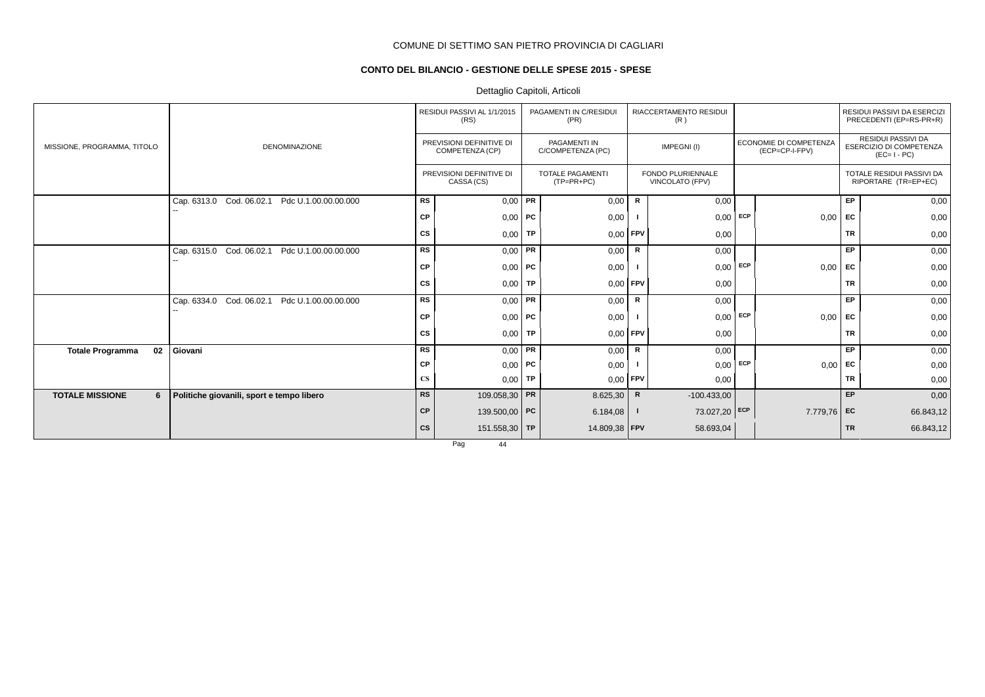## **CONTO DEL BILANCIO - GESTIONE DELLE SPESE 2015 - SPESE**

## Dettaglio Capitoli, Articoli

|                               |                                                     |                        | RESIDUI PASSIVI AL 1/1/2015<br>(RS)         | PAGAMENTI IN C/RESIDUI<br>(PR)           |              | RIACCERTAMENTO RESIDUI<br>(R)               |            |                                          |           | RESIDUI PASSIVI DA ESERCIZI<br>PRECEDENTI (EP=RS-PR+R)       |
|-------------------------------|-----------------------------------------------------|------------------------|---------------------------------------------|------------------------------------------|--------------|---------------------------------------------|------------|------------------------------------------|-----------|--------------------------------------------------------------|
| MISSIONE, PROGRAMMA, TITOLO   | <b>DENOMINAZIONE</b>                                |                        | PREVISIONI DEFINITIVE DI<br>COMPETENZA (CP) | <b>PAGAMENTI IN</b><br>C/COMPETENZA (PC) |              | IMPEGNI(I)                                  |            | ECONOMIE DI COMPETENZA<br>(ECP=CP-I-FPV) |           | RESIDUI PASSIVI DA<br>ESERCIZIO DI COMPETENZA<br>$(EC=I-PC)$ |
|                               |                                                     |                        | PREVISIONI DEFINITIVE DI<br>CASSA (CS)      | <b>TOTALE PAGAMENTI</b><br>$(TP=PR+PC)$  |              | <b>FONDO PLURIENNALE</b><br>VINCOLATO (FPV) |            |                                          |           | TOTALE RESIDUI PASSIVI DA<br>RIPORTARE (TR=EP+EC)            |
|                               | Cod. 06.02.1<br>Pdc U.1.00.00.00.000<br>Cap. 6313.0 | RS                     | $0,00$ PR                                   | 0,00                                     | R            | 0,00                                        |            |                                          | EP        | 0,00                                                         |
|                               |                                                     | СP                     | $0,00$ PC                                   | 0,00                                     |              | 0,00                                        | ECP        | 0,00                                     | EC        | 0,00                                                         |
|                               |                                                     | CS                     | $0,00$ TP                                   | $0,00$ FPV                               |              | 0,00                                        |            |                                          | <b>TR</b> | 0,00                                                         |
|                               | Cod. 06.02.1<br>Pdc U.1.00.00.00.000<br>Cap. 6315.0 | <b>RS</b>              | $0,00$ PR                                   | 0,00                                     | $\mathsf{R}$ | 0,00                                        |            |                                          | EP        | 0,00                                                         |
|                               |                                                     | CP                     | $0,00$ PC                                   | 0,00                                     |              | 0,00                                        | <b>ECP</b> | 0,00                                     | EC        | 0,00                                                         |
|                               |                                                     | CS                     | $0,00$ TP                                   | $0,00$ FPV                               |              | 0,00                                        |            |                                          | <b>TR</b> | 0,00                                                         |
|                               | Cod. 06.02.1<br>Pdc U.1.00.00.00.000<br>Cap. 6334.0 | <b>RS</b>              | $0,00$ PR                                   | 0,00                                     | R            | 0,00                                        |            |                                          | EP        | 0,00                                                         |
|                               |                                                     | CP                     | $0,00$ PC                                   | 0,00                                     |              | 0,00                                        | ECP        | 0,00                                     | <b>FC</b> | 0,00                                                         |
|                               |                                                     | CS                     | $0,00$ TP                                   | $0,00$ FPV                               |              | 0,00                                        |            |                                          | <b>TR</b> | 0,00                                                         |
| 02<br><b>Totale Programma</b> | Giovani                                             | <b>RS</b>              | $0.00$ PR                                   | 0,00                                     | R            | 0,00                                        |            |                                          | <b>EP</b> | 0,00                                                         |
|                               |                                                     | СP                     | $0,00$ PC                                   | 0,00                                     |              | 0,00                                        | ECP        | 0,00                                     | EC        | 0,00                                                         |
|                               |                                                     | $\mathbf{C}\mathbf{S}$ | $0,00$ TP                                   | $0,00$ FPV                               |              | 0,00                                        |            |                                          | <b>TR</b> | 0,00                                                         |
| <b>TOTALE MISSIONE</b><br>6   | Politiche giovanili, sport e tempo libero           | <b>RS</b>              | 109.058,30 PR                               | 8.625,30                                 | R            | $-100.433,00$                               |            |                                          | EP        | 0,00                                                         |
|                               |                                                     | <b>CP</b>              | 139.500,00 PC                               | 6.184,08                                 | - 1          | 73.027,20 ECP                               |            | 7.779,76 EC                              |           | 66.843,12                                                    |
|                               |                                                     | cs                     | 151.558,30 TP                               | 14.809,38   FPV                          |              | 58.693,04                                   |            |                                          | <b>TR</b> | 66.843,12                                                    |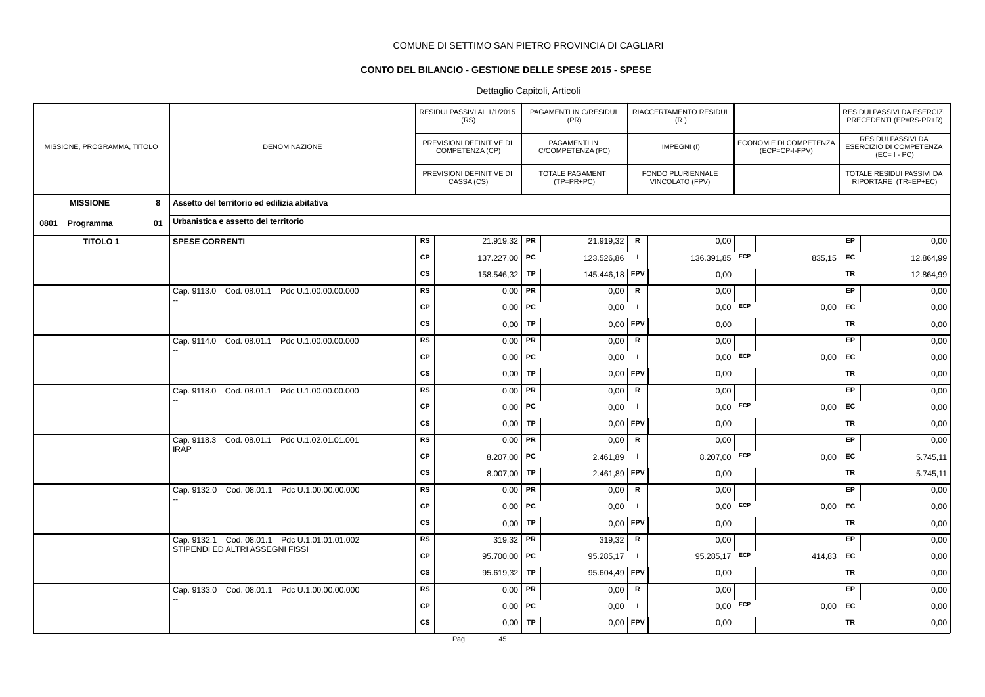## **CONTO DEL BILANCIO - GESTIONE DELLE SPESE 2015 - SPESE**

|                             |                                                                                  |           | RESIDUI PASSIVI AL 1/1/2015<br>(RS)         |           | PAGAMENTI IN C/RESIDUI<br>(PR)        |              | RIACCERTAMENTO RESIDUI<br>(R)        |            |                                          |           | RESIDUI PASSIVI DA ESERCIZI<br>PRECEDENTI (EP=RS-PR+R)       |
|-----------------------------|----------------------------------------------------------------------------------|-----------|---------------------------------------------|-----------|---------------------------------------|--------------|--------------------------------------|------------|------------------------------------------|-----------|--------------------------------------------------------------|
| MISSIONE, PROGRAMMA, TITOLO | DENOMINAZIONE                                                                    |           | PREVISIONI DEFINITIVE DI<br>COMPETENZA (CP) |           | PAGAMENTI IN<br>C/COMPETENZA (PC)     |              | IMPEGNI(I)                           |            | ECONOMIE DI COMPETENZA<br>(ECP=CP-I-FPV) |           | RESIDUI PASSIVI DA<br>ESERCIZIO DI COMPETENZA<br>$(EC=I-PC)$ |
|                             |                                                                                  |           | PREVISIONI DEFINITIVE DI<br>CASSA (CS)      |           | <b>TOTALE PAGAMENTI</b><br>(TP=PR+PC) |              | FONDO PLURIENNALE<br>VINCOLATO (FPV) |            |                                          |           | TOTALE RESIDUI PASSIVI DA<br>RIPORTARE (TR=EP+EC)            |
| <b>MISSIONE</b><br>8        | Assetto del territorio ed edilizia abitativa                                     |           |                                             |           |                                       |              |                                      |            |                                          |           |                                                              |
| 0801 Programma<br>01        | Urbanistica e assetto del territorio                                             |           |                                             |           |                                       |              |                                      |            |                                          |           |                                                              |
| <b>TITOLO1</b>              | <b>SPESE CORRENTI</b>                                                            | <b>RS</b> | 21.919,32 PR                                |           | 21.919,32                             | $\mathsf R$  | 0,00                                 |            |                                          | EP        | 0,00                                                         |
|                             |                                                                                  | <b>CP</b> | 137.227,00 PC                               |           | 123.526,86                            | $\mathbf{I}$ | 136.391,85 ECP                       |            | 835,15 EC                                |           | 12.864,99                                                    |
|                             |                                                                                  | <b>CS</b> | 158.546,32                                  | <b>TP</b> | 145.446,18                            | <b>FPV</b>   | 0,00                                 |            |                                          | <b>TR</b> | 12.864,99                                                    |
|                             | Cap. 9113.0 Cod. 08.01.1 Pdc U.1.00.00.00.000                                    | <b>RS</b> | $0,00$ PR                                   |           | 0,00                                  | ${\sf R}$    | 0,00                                 |            |                                          | EP        | 0,00                                                         |
|                             |                                                                                  | <b>CP</b> | $0,00$   PC                                 |           | 0,00                                  | -1           |                                      | $0,00$ ECP | $0,00$ EC                                |           | 0,00                                                         |
|                             |                                                                                  | <b>CS</b> | 0,00                                        | <b>TP</b> | 0,00                                  | FPV          | 0,00                                 |            |                                          | <b>TR</b> | 0,00                                                         |
|                             | Cap. 9114.0 Cod. 08.01.1 Pdc U.1.00.00.00.000                                    | RS        | $0,00$ PR                                   |           | 0,00                                  | $\mathsf R$  | 0,00                                 |            |                                          | <b>EP</b> | 0,00                                                         |
|                             |                                                                                  | <b>CP</b> | $0,00$ PC                                   |           | 0,00                                  | $\mathbf{I}$ | 0.00                                 | ECP        | 0.00                                     | EC        | 0,00                                                         |
|                             |                                                                                  | <b>CS</b> | 0,00                                        | TP        | 0,00                                  | FPV          | 0,00                                 |            |                                          | TR        | 0,00                                                         |
|                             | Cap. 9118.0 Cod. 08.01.1 Pdc U.1.00.00.00.000                                    | <b>RS</b> | $0,00$ PR                                   |           | 0,00                                  | R            | 0,00                                 |            |                                          | <b>EP</b> | 0,00                                                         |
|                             |                                                                                  | <b>CP</b> | $0,00$   PC                                 |           | 0,00                                  | $\mathbf{I}$ | 0,00                                 | ECP        | $0,00$ EC                                |           | 0,00                                                         |
|                             |                                                                                  | <b>CS</b> | 0,00                                        | <b>TP</b> | 0,00                                  | FPV          | 0,00                                 |            |                                          | <b>TR</b> | 0,00                                                         |
|                             | Cap. 9118.3 Cod. 08.01.1 Pdc U.1.02.01.01.001<br><b>IRAP</b>                     | <b>RS</b> | $0,00$ PR                                   |           | 0,00                                  | ${\sf R}$    | 0,00                                 |            |                                          | EP        | 0,00                                                         |
|                             |                                                                                  | <b>CP</b> | 8.207,00 PC                                 |           | 2.461,89                              | $\mathbf{I}$ | 8.207,00                             | ECP        | 0,00                                     | <b>EC</b> | 5.745,11                                                     |
|                             |                                                                                  | <b>CS</b> | 8.007,00                                    | <b>TP</b> | 2.461,89                              | FPV          | 0,00                                 |            |                                          | <b>TR</b> | 5.745,11                                                     |
|                             | Cap. 9132.0 Cod. 08.01.1 Pdc U.1.00.00.00.000                                    | RS        | $0,00$ PR                                   |           | 0,00                                  | $\mathsf R$  | 0,00                                 |            |                                          | EP        | 0,00                                                         |
|                             |                                                                                  | <b>CP</b> | $0,00$   PC                                 |           | 0,00                                  | $\mathbf{I}$ | 0,00                                 | ECP        | 0,00                                     | EC        | 0,00                                                         |
|                             |                                                                                  | <b>CS</b> | 0,00                                        | TP        | 0,00                                  | FPV          | 0,00                                 |            |                                          | <b>TR</b> | 0,00                                                         |
|                             | Cap. 9132.1 Cod. 08.01.1 Pdc U.1.01.01.01.002<br>STIPENDI ED ALTRI ASSEGNI FISSI | RS        | $319,32$ PR                                 |           | 319,32                                | R            | 0,00                                 |            |                                          | EP        | 0,00                                                         |
|                             |                                                                                  | <b>CP</b> | 95.700,00   PC                              |           | 95.285,17                             | $\mathbf{I}$ | 95.285,17 ECP                        |            | 414,83                                   | EC        | 0,00                                                         |
|                             |                                                                                  | <b>CS</b> | 95.619,32                                   | TP        | 95.604,49                             | FPV          | 0,00                                 |            |                                          | TR        | 0,00                                                         |
|                             | Cap. 9133.0 Cod. 08.01.1 Pdc U.1.00.00.00.000                                    | <b>RS</b> | $0,00$ PR                                   |           | 0,00                                  | R            | 0,00                                 |            |                                          | EP.       | 0,00                                                         |
|                             |                                                                                  | <b>CP</b> | $0,00$   PC                                 |           | 0,00                                  | -1           | 0,00                                 | ECP        | 0,00                                     | EC        | 0,00                                                         |
|                             |                                                                                  | <b>CS</b> | 0,00                                        | TP        | 0,00                                  | FPV          | 0,00                                 |            |                                          | <b>TR</b> | 0,00                                                         |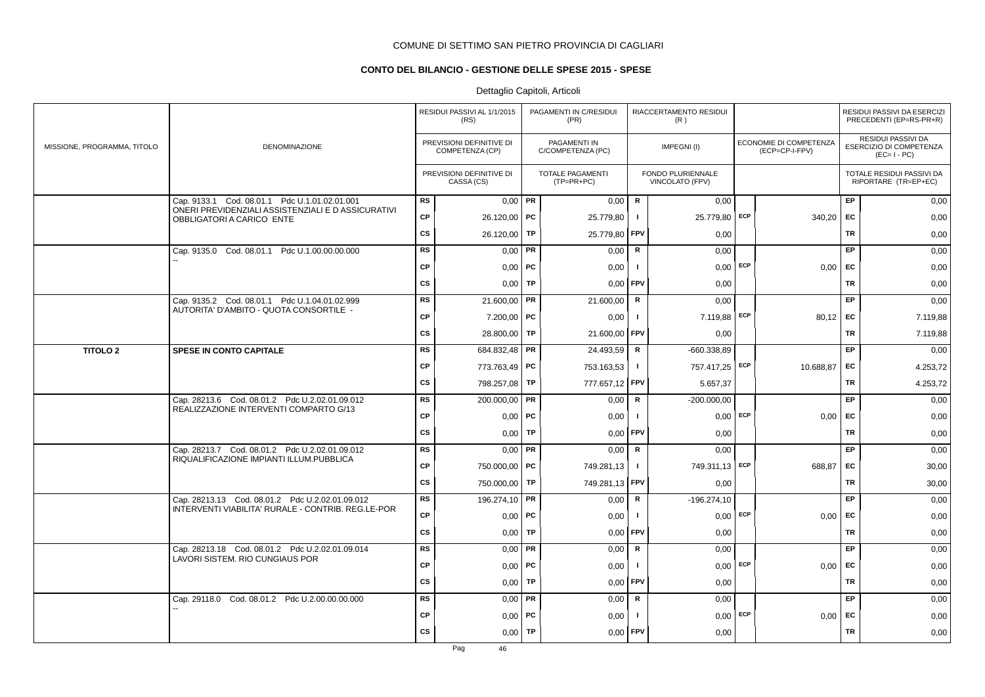## **CONTO DEL BILANCIO - GESTIONE DELLE SPESE 2015 - SPESE**

|                             |                                                                                                       |           | RESIDUI PASSIVI AL 1/1/2015<br>(RS)         |           | PAGAMENTI IN C/RESIDUI<br>(PR)          |                | RIACCERTAMENTO RESIDUI<br>(R)        |     |                                          |           | RESIDUI PASSIVI DA ESERCIZI<br>PRECEDENTI (EP=RS-PR+R)              |
|-----------------------------|-------------------------------------------------------------------------------------------------------|-----------|---------------------------------------------|-----------|-----------------------------------------|----------------|--------------------------------------|-----|------------------------------------------|-----------|---------------------------------------------------------------------|
| MISSIONE, PROGRAMMA, TITOLO | DENOMINAZIONE                                                                                         |           | PREVISIONI DEFINITIVE DI<br>COMPETENZA (CP) |           | PAGAMENTI IN<br>C/COMPETENZA (PC)       |                | IMPEGNI(I)                           |     | ECONOMIE DI COMPETENZA<br>(ECP=CP-I-FPV) |           | <b>RESIDUI PASSIVI DA</b><br>ESERCIZIO DI COMPETENZA<br>$(EC=I-PC)$ |
|                             |                                                                                                       |           | PREVISIONI DEFINITIVE DI<br>CASSA (CS)      |           | <b>TOTALE PAGAMENTI</b><br>$(TP=PR+PC)$ |                | FONDO PLURIENNALE<br>VINCOLATO (FPV) |     |                                          |           | TOTALE RESIDUI PASSIVI DA<br>RIPORTARE (TR=EP+EC)                   |
|                             | Cap. 9133.1 Cod. 08.01.1 Pdc U.1.01.02.01.001<br>ONERI PREVIDENZIALI ASSISTENZIALI E D ASSICURATIVI   | <b>RS</b> | $0.00$ PR                                   |           | 0,00                                    | $\mathsf{R}$   | 0,00                                 |     |                                          | EP        | 0,00                                                                |
|                             | OBBLIGATORI A CARICO ENTE                                                                             | CP        | 26.120,00   PC                              |           | 25.779,80                               | $\mathbf{I}$   | 25.779,80 ECP                        |     | 340,20                                   | EC        | 0,00                                                                |
|                             |                                                                                                       | cs        | 26.120,00                                   | TP        | 25.779,80                               | FPV            | 0,00                                 |     |                                          | <b>TR</b> | 0,00                                                                |
|                             | Cap. 9135.0 Cod. 08.01.1 Pdc U.1.00.00.00.000                                                         | RS        | 0,00                                        | PR        | 0,00                                    | ${\sf R}$      | 0,00                                 |     |                                          | EP.       | 0,00                                                                |
|                             |                                                                                                       | <b>CP</b> | $0,00$   PC                                 |           | 0,00                                    | $\mathbf{I}$   | $0,00$ ECP                           |     | 0,00                                     | EC        | 0,00                                                                |
|                             |                                                                                                       | <b>CS</b> | 0.00 <sub>1</sub>                           | TP        | 0,00                                    | <b>FPV</b>     | 0.00                                 |     |                                          | TR        | 0,00                                                                |
|                             | Cap. 9135.2 Cod. 08.01.1 Pdc U.1.04.01.02.999                                                         | <b>RS</b> | 21.600,00                                   | PR        | 21.600,00                               | R              | 0,00                                 |     |                                          | EP        | 0,00                                                                |
|                             | AUTORITA' D'AMBITO - QUOTA CONSORTILE -                                                               | <b>CP</b> | $7.200,00$ PC                               |           | 0,00                                    | $\mathbf{I}$   | 7.119,88 ECP                         |     | 80,12                                    | EC        | 7.119,88                                                            |
|                             |                                                                                                       | <b>CS</b> | 28.800,00                                   | TP        | 21.600,00                               | FPV            | 0,00                                 |     |                                          | <b>TR</b> | 7.119,88                                                            |
| <b>TITOLO 2</b>             | SPESE IN CONTO CAPITALE                                                                               | RS        | 684.832,48                                  | PR        | 24.493,59                               | $\mathsf R$    | $-660.338.89$                        |     |                                          | EP        | 0,00                                                                |
|                             |                                                                                                       | <b>CP</b> | 773.763,49   PC                             |           | 753.163,53                              | $\mathbf{I}$   | 757.417,25 ECP                       |     | 10.688,87                                | EC        | 4.253,72                                                            |
|                             |                                                                                                       | <b>CS</b> | 798.257,08                                  | TP        | 777.657,12                              | <b>FPV</b>     | 5.657,37                             |     |                                          | TR        | 4.253,72                                                            |
|                             | Cap. 28213.6 Cod. 08.01.2 Pdc U.2.02.01.09.012<br>REALIZZAZIONE INTERVENTI COMPARTO G/13              | <b>RS</b> | 200.000,00 PR                               |           | 0,00                                    | R              | $-200.000,00$                        |     |                                          | EP        | 0,00                                                                |
|                             |                                                                                                       | <b>CP</b> | 0,00                                        | <b>PC</b> | 0,00                                    |                | 0,00                                 | ECP | 0,00                                     | <b>EC</b> | 0,00                                                                |
|                             |                                                                                                       | <b>CS</b> | 0,00                                        | TP        | 0,00                                    | FPV            | 0,00                                 |     |                                          | <b>TR</b> | 0,00                                                                |
|                             | Cap. 28213.7 Cod. 08.01.2 Pdc U.2.02.01.09.012                                                        | <b>RS</b> | 0,00                                        | PR        | 0,00                                    | $\mathbf R$    | 0,00                                 |     |                                          | <b>EP</b> | 0,00                                                                |
|                             | RIQUALIFICAZIONE IMPIANTI ILLUM.PUBBLICA                                                              | <b>CP</b> | 750.000,00 PC                               |           | 749.281,13                              | $\mathbf{I}$   | 749.311,13 ECP                       |     | 688,87                                   | EC        | 30,00                                                               |
|                             |                                                                                                       | <b>CS</b> | 750.000,00 TP                               |           | 749.281,13                              | <b>FPV</b>     | 0,00                                 |     |                                          | <b>TR</b> | 30,00                                                               |
|                             | Cap. 28213.13 Cod. 08.01.2 Pdc U.2.02.01.09.012<br>INTERVENTI VIABILITA' RURALE - CONTRIB. REG.LE-POR | <b>RS</b> | 196.274,10   PR                             |           | 0,00                                    | $\mathsf{R}$   | $-196.274,10$                        |     |                                          | EP        | 0,00                                                                |
|                             |                                                                                                       | <b>CP</b> | 0,00                                        | <b>PC</b> | 0,00                                    | - 1            | 0,00                                 | ECP | 0.00                                     | <b>EC</b> | 0,00                                                                |
|                             |                                                                                                       | <b>CS</b> | 0,00                                        | TP        | 0,00                                    | FPV            | 0,00                                 |     |                                          | <b>TR</b> | 0,00                                                                |
|                             | Cap. 28213.18 Cod. 08.01.2 Pdc U.2.02.01.09.014<br>LAVORI SISTEM. RIO CUNGIAUS POR                    | <b>RS</b> | $0,00$ PR                                   |           | 0,00                                    | R              | 0,00                                 |     |                                          | EP        | 0,00                                                                |
|                             |                                                                                                       | <b>CP</b> | 0,00                                        | PC        | 0,00                                    | $\blacksquare$ | 0,00                                 | ECP | 0,00                                     | <b>EC</b> | 0,00                                                                |
|                             |                                                                                                       | <b>CS</b> | 0,00                                        | TP        | 0,00                                    | FPV            | 0,00                                 |     |                                          | <b>TR</b> | 0,00                                                                |
|                             | Cap. 29118.0 Cod. 08.01.2 Pdc U.2.00.00.00.000                                                        | RS        | 0,00                                        | PR        | 0,00                                    | $\mathsf{R}$   | 0,00                                 |     |                                          | EP        | 0,00                                                                |
|                             |                                                                                                       | CP        | 0,00                                        | <b>PC</b> | 0,00                                    | - 1            | 0,00                                 | ECP | 0,00                                     | EC        | 0,00                                                                |
|                             |                                                                                                       | <b>CS</b> | 0,00                                        | <b>TP</b> | 0,00                                    | FPV            | 0,00                                 |     |                                          | <b>TR</b> | 0,00                                                                |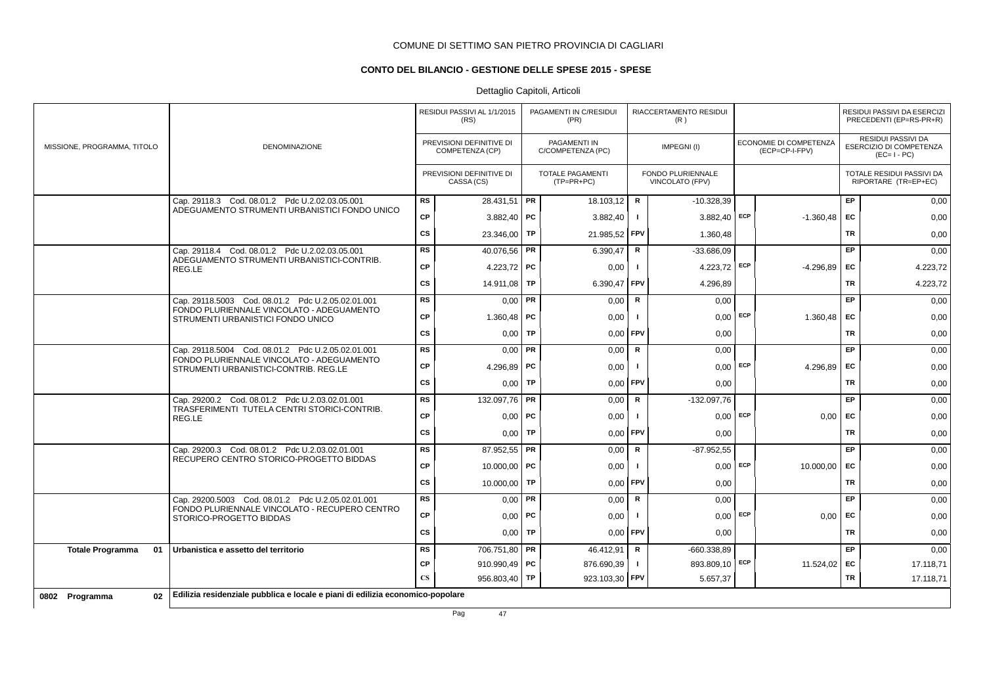## **CONTO DEL BILANCIO - GESTIONE DELLE SPESE 2015 - SPESE**

## Dettaglio Capitoli, Articoli

|                               |                                                                                                 |                        | RESIDUI PASSIVI AL 1/1/2015<br>(RS)         |           | PAGAMENTI IN C/RESIDUI<br>(PR)          |              | RIACCERTAMENTO RESIDUI<br>(R)               |            |                                          |           | RESIDUI PASSIVI DA ESERCIZI<br>PRECEDENTI (EP=RS-PR+R)       |
|-------------------------------|-------------------------------------------------------------------------------------------------|------------------------|---------------------------------------------|-----------|-----------------------------------------|--------------|---------------------------------------------|------------|------------------------------------------|-----------|--------------------------------------------------------------|
| MISSIONE, PROGRAMMA, TITOLO   | <b>DENOMINAZIONE</b>                                                                            |                        | PREVISIONI DEFINITIVE DI<br>COMPETENZA (CP) |           | PAGAMENTI IN<br>C/COMPETENZA (PC)       |              | IMPEGNI(I)                                  |            | ECONOMIE DI COMPETENZA<br>(ECP=CP-I-FPV) |           | RESIDUI PASSIVI DA<br>ESERCIZIO DI COMPETENZA<br>$(EC=I-PC)$ |
|                               |                                                                                                 |                        | PREVISIONI DEFINITIVE DI<br>CASSA (CS)      |           | <b>TOTALE PAGAMENTI</b><br>$(TP=PR+PC)$ |              | <b>FONDO PLURIENNALE</b><br>VINCOLATO (FPV) |            |                                          |           | TOTALE RESIDUI PASSIVI DA<br>RIPORTARE (TR=EP+EC)            |
|                               | Cap. 29118.3 Cod. 08.01.2 Pdc U.2.02.03.05.001<br>ADEGUAMENTO STRUMENTI URBANISTICI FONDO UNICO | <b>RS</b>              | 28.431,51 PR                                |           | 18.103,12                               | R            | $-10.328,39$                                |            |                                          | EP.       | 0,00                                                         |
|                               |                                                                                                 | CP                     | 3.882,40   PC                               |           | 3.882,40                                | $\mathbf{I}$ | $3.882,40$ ECP                              |            | $-1.360,48$                              | EC        | 0,00                                                         |
|                               |                                                                                                 | <b>CS</b>              | 23.346,00                                   | <b>TP</b> | 21.985,52                               | FPV          | 1.360,48                                    |            |                                          | <b>TR</b> | 0,00                                                         |
|                               | Cap. 29118.4 Cod. 08.01.2 Pdc U.2.02.03.05.001                                                  | <b>RS</b>              | 40.076,56 PR                                |           | 6.390,47                                | R            | $-33.686.09$                                |            |                                          | <b>EP</b> | 0,00                                                         |
|                               | ADEGUAMENTO STRUMENTI URBANISTICI-CONTRIB.<br>REG.LE                                            | CP                     | 4.223,72 PC                                 |           | 0,00                                    | $\mathbf{I}$ | 4.223,72                                    | ECP        | $-4.296.89$                              | EC        | 4.223,72                                                     |
|                               |                                                                                                 | cs                     | 14.911,08                                   | TP        | 6.390,47                                | FPV          | 4.296.89                                    |            |                                          | TR        | 4.223,72                                                     |
|                               | Cap. 29118.5003 Cod. 08.01.2 Pdc U.2.05.02.01.001                                               | RS                     | 0,00                                        | l PR      | 0,00                                    | R            | 0,00                                        |            |                                          | <b>EP</b> | 0,00                                                         |
|                               | FONDO PLURIENNALE VINCOLATO - ADEGUAMENTO<br>STRUMENTI URBANISTICI FONDO UNICO                  | CP                     | 1.360,48   PC                               |           | 0,00                                    | $\mathbf{I}$ | $0,00$ ECP                                  |            | 1.360,48                                 | EC        | 0,00                                                         |
|                               |                                                                                                 | <b>CS</b>              | 0,00                                        | <b>TP</b> | 0,00                                    | FPV          | 0,00                                        |            |                                          | TR        | 0,00                                                         |
|                               | Cap. 29118.5004 Cod. 08.01.2 Pdc U.2.05.02.01.001                                               | <b>RS</b>              | 0,00                                        | PR        | 0,00                                    | $\mathsf R$  | 0,00                                        |            |                                          | EP.       | 0,00                                                         |
|                               | FONDO PLURIENNALE VINCOLATO - ADEGUAMENTO<br>STRUMENTI URBANISTICI-CONTRIB. REG.LE              | <b>CP</b>              | 4.296,89   PC                               |           | 0,00                                    |              | $0,00$ ECP                                  |            | 4.296,89                                 | EC        | 0,00                                                         |
|                               |                                                                                                 | <b>CS</b>              | 0.00                                        | <b>TP</b> | 0,00                                    | <b>FPV</b>   | 0,00                                        |            |                                          | <b>TR</b> | 0,00                                                         |
|                               | Cap. 29200.2 Cod. 08.01.2 Pdc U.2.03.02.01.001                                                  | <b>RS</b>              | 132.097,76   PR                             |           | 0,00                                    | R            | $-132.097,76$                               |            |                                          | <b>EP</b> | 0,00                                                         |
|                               | TRASFERIMENTI TUTELA CENTRI STORICI-CONTRIB.<br>REG.LE                                          | CP                     | $0,00$   PC                                 |           | 0,00                                    |              | 0,00                                        | <b>ECP</b> | 0,00                                     | <b>FC</b> | 0,00                                                         |
|                               |                                                                                                 | <b>CS</b>              | 0.001                                       | <b>TP</b> | 0,00                                    | FPV          | 0,00                                        |            |                                          | <b>TR</b> | 0,00                                                         |
|                               | Cap. 29200.3 Cod. 08.01.2 Pdc U.2.03.02.01.001                                                  | <b>RS</b>              | 87.952,55 <b>PR</b>                         |           | 0,00                                    | R            | $-87.952,55$                                |            |                                          | <b>EP</b> | 0,00                                                         |
|                               | RECUPERO CENTRO STORICO-PROGETTO BIDDAS                                                         | CP                     | 10.000,00   PC                              |           | 0,00                                    | $\mathbf{I}$ | $0,00$ ECP                                  |            | 10.000,00                                | EC        | 0,00                                                         |
|                               |                                                                                                 | <b>CS</b>              | 10.000,00                                   | <b>TP</b> | 0,00                                    | FPV          | 0,00                                        |            |                                          | TR        | 0,00                                                         |
|                               | Cap. 29200.5003 Cod. 08.01.2 Pdc U.2.05.02.01.001                                               | <b>RS</b>              | 0,00                                        | PR        | 0,00                                    | R            | 0,00                                        |            |                                          | EP        | 0,00                                                         |
|                               | FONDO PLURIENNALE VINCOLATO - RECUPERO CENTRO<br>STORICO-PROGETTO BIDDAS                        | CP                     | $0,00$   PC                                 |           | 0,00                                    |              | 0,00                                        | ECP        | 0,00                                     | EC        | 0,00                                                         |
|                               |                                                                                                 | <b>CS</b>              | 0.00                                        | <b>TP</b> | 0.00                                    | FPV          | 0,00                                        |            |                                          | <b>TR</b> | 0,00                                                         |
| 01<br><b>Totale Programma</b> | Urbanistica e assetto del territorio                                                            | <b>RS</b>              | 706.751,80                                  | PR        | 46.412,91                               | R            | $-660.338.89$                               |            |                                          | EP.       | 0,00                                                         |
|                               |                                                                                                 | <b>CP</b>              | 910.990,49   PC                             |           | 876.690,39                              | п.           | 893.809,10 ECP                              |            | 11.524,02 EC                             |           | 17.118,71                                                    |
|                               |                                                                                                 | $\overline{\text{CS}}$ | 956.803,40 TP                               |           | 923.103,30                              | FPV          | 5.657,37                                    |            |                                          | TR        | 17.118,71                                                    |
| 02<br>0802 Programma          | Edilizia residenziale pubblica e locale e piani di edilizia economico-popolare                  |                        |                                             |           |                                         |              |                                             |            |                                          |           |                                                              |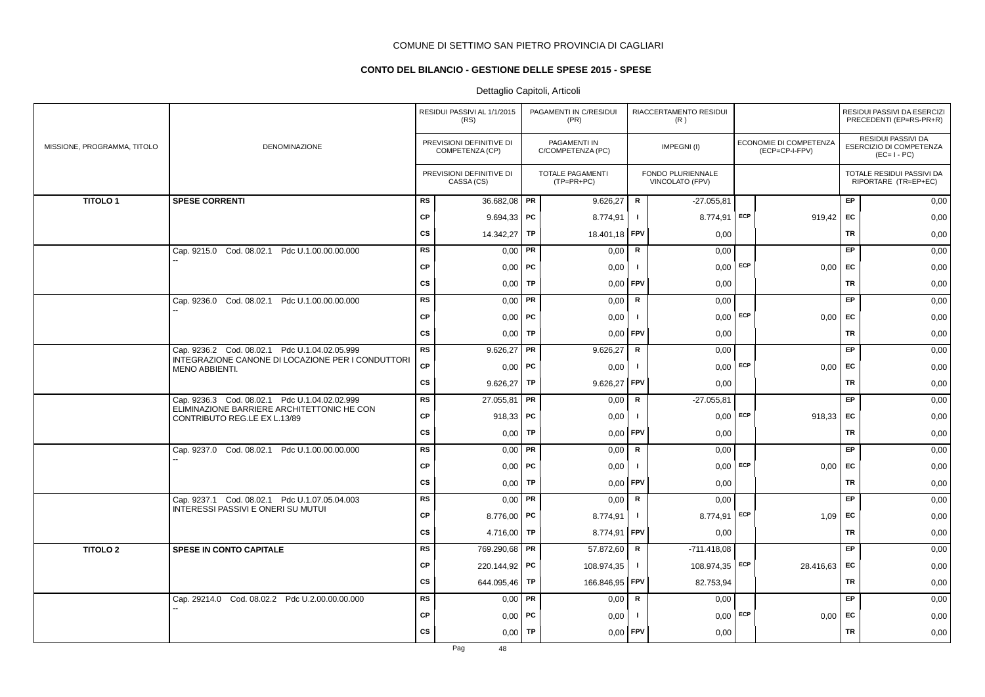## **CONTO DEL BILANCIO - GESTIONE DELLE SPESE 2015 - SPESE**

|                             |                                                                            |           | RESIDUI PASSIVI AL 1/1/2015<br>(RS)         |           | PAGAMENTI IN C/RESIDUI<br>(PR)    |                | RIACCERTAMENTO RESIDUI<br>(R)        |     |                                          |           | RESIDUI PASSIVI DA ESERCIZI<br>PRECEDENTI (EP=RS-PR+R)              |
|-----------------------------|----------------------------------------------------------------------------|-----------|---------------------------------------------|-----------|-----------------------------------|----------------|--------------------------------------|-----|------------------------------------------|-----------|---------------------------------------------------------------------|
| MISSIONE, PROGRAMMA, TITOLO | DENOMINAZIONE                                                              |           | PREVISIONI DEFINITIVE DI<br>COMPETENZA (CP) |           | PAGAMENTI IN<br>C/COMPETENZA (PC) |                | IMPEGNI(I)                           |     | ECONOMIE DI COMPETENZA<br>(ECP=CP-I-FPV) |           | <b>RESIDUI PASSIVI DA</b><br>ESERCIZIO DI COMPETENZA<br>$(EC=I-PC)$ |
|                             |                                                                            |           | PREVISIONI DEFINITIVE DI<br>CASSA (CS)      |           | TOTALE PAGAMENTI<br>$(TP=PR+PC)$  |                | FONDO PLURIENNALE<br>VINCOLATO (FPV) |     |                                          |           | TOTALE RESIDUI PASSIVI DA<br>RIPORTARE (TR=EP+EC)                   |
| <b>TITOLO1</b>              | <b>SPESE CORRENTI</b>                                                      | RS        | 36.682,08 PR                                |           | 9.626,27                          | R              | $-27.055,81$                         |     |                                          | EP.       | 0,00                                                                |
|                             |                                                                            | <b>CP</b> | $9.694,33$ PC                               |           | 8.774,91                          | $\blacksquare$ | 8.774,91                             | ECP | $919,42$ EC                              |           | 0,00                                                                |
|                             |                                                                            | <b>CS</b> | 14.342,27 TP                                |           | 18.401,18                         | FPV            | 0,00                                 |     |                                          | <b>TR</b> | 0,00                                                                |
|                             | Cap. 9215.0 Cod. 08.02.1 Pdc U.1.00.00.00.000                              | <b>RS</b> | 0,00                                        | PR        | 0,00                              | ${\sf R}$      | 0,00                                 |     |                                          | EP        | 0,00                                                                |
|                             |                                                                            | <b>CP</b> | $0,00$   PC                                 |           | 0,00                              | $\mathbf{I}$   | $0,00$ ECP                           |     | 0,00                                     | EC        | 0,00                                                                |
|                             |                                                                            | <b>CS</b> | $0,00$ TP                                   |           | 0,00                              | FPV            | 0,00                                 |     |                                          | TR        | 0,00                                                                |
|                             | Cap. 9236.0 Cod. 08.02.1 Pdc U.1.00.00.00.000                              | <b>RS</b> | $0,00$ PR                                   |           | 0,00                              | R              | 0,00                                 |     |                                          | EP        | 0,00                                                                |
|                             |                                                                            | <b>CP</b> | $0,00$   PC                                 |           | 0,00                              | $\mathbf{I}$   | $0,00$ ECP                           |     | 0,00                                     | EC        | 0,00                                                                |
|                             |                                                                            | <b>CS</b> | 0,00                                        | TP        | 0.00                              | <b>FPV</b>     | 0,00                                 |     |                                          | TR        | 0,00                                                                |
|                             | Cap. 9236.2 Cod. 08.02.1 Pdc U.1.04.02.05.999                              | <b>RS</b> | $9.626,27$ PR                               |           | 9.626,27                          | R              | 0,00                                 |     |                                          | EP        | 0,00                                                                |
|                             | INTEGRAZIONE CANONE DI LOCAZIONE PER I CONDUTTORI<br>MENO ABBIENTI.        | <b>CP</b> | $0,00$   PC                                 |           | 0,00                              | $\mathbf{I}$   | $0,00$ ECP                           |     | 0.00                                     | <b>EC</b> | 0,00                                                                |
|                             |                                                                            | <b>CS</b> | 9.626,27                                    | TP        | 9.626,27                          | FPV            | 0,00                                 |     |                                          | <b>TR</b> | 0,00                                                                |
|                             | Cap. 9236.3 Cod. 08.02.1 Pdc U.1.04.02.02.999                              | <b>RS</b> | 27.055,81 PR                                |           | 0,00                              | ${\sf R}$      | $-27.055,81$                         |     |                                          | EP        | 0,00                                                                |
|                             | ELIMINAZIONE BARRIERE ARCHITETTONIC HE CON<br>CONTRIBUTO REG.LE EX L.13/89 | <b>CP</b> | 918,33   PC                                 |           | 0,00                              | -1             | 0,00                                 | ECP | 918,33 EC                                |           | 0,00                                                                |
|                             |                                                                            | <b>CS</b> | 0,00                                        | TP        | 0,00                              | FPV            | 0,00                                 |     |                                          | <b>TR</b> | 0,00                                                                |
|                             | Cap. 9237.0 Cod. 08.02.1 Pdc U.1.00.00.00.000                              | <b>RS</b> | $0,00$ PR                                   |           | 0,00                              | $\mathsf{R}$   | 0,00                                 |     |                                          | EP.       | 0,00                                                                |
|                             |                                                                            | <b>CP</b> | $0,00$   PC                                 |           | 0,00                              | -1             | 0,00                                 | ECP | 0,00                                     | <b>EC</b> | 0,00                                                                |
|                             |                                                                            | <b>CS</b> | $0,00$ TP                                   |           | 0,00                              | FPV            | 0,00                                 |     |                                          | TR        | 0,00                                                                |
|                             | Cap. 9237.1 Cod. 08.02.1 Pdc U.1.07.05.04.003                              | <b>RS</b> | $0,00$ PR                                   |           | 0,00                              | R              | 0,00                                 |     |                                          | EP        | 0,00                                                                |
|                             | INTERESSI PASSIVI E ONERI SU MUTUI                                         | <b>CP</b> | 8.776,00   PC                               |           | 8.774,91                          | $\mathbf{I}$   | 8.774,91                             | ECP | 1,09                                     | <b>EC</b> | 0,00                                                                |
|                             |                                                                            | <b>CS</b> | 4.716,00   TP                               |           | 8.774,91                          | <b>FPV</b>     | 0,00                                 |     |                                          | <b>TR</b> | 0,00                                                                |
| <b>TITOLO 2</b>             | SPESE IN CONTO CAPITALE                                                    | <b>RS</b> | 769.290,68 <b>PR</b>                        |           | 57.872,60                         | R              | $-711.418,08$                        |     |                                          | EP        | 0,00                                                                |
|                             |                                                                            | <b>CP</b> | 220.144,92 <b>PC</b>                        |           | 108.974,35                        | п.             | 108.974,35   ECP                     |     | 28.416,63                                | EC        | 0,00                                                                |
|                             |                                                                            | <b>CS</b> | 644.095,46                                  | TP        | 166.846,95                        | <b>FPV</b>     | 82.753,94                            |     |                                          | <b>TR</b> | 0,00                                                                |
|                             | Cap. 29214.0 Cod. 08.02.2 Pdc U.2.00.00.00.000                             | <b>RS</b> | 0,00                                        | <b>PR</b> | 0,00                              | R              | 0,00                                 |     |                                          | EP        | 0,00                                                                |
|                             |                                                                            | <b>CP</b> | $0,00$   PC                                 |           | 0,00                              | $\mathbf{I}$   | 0,00                                 | ECP | 0,00                                     | EC        | 0,00                                                                |
|                             |                                                                            | <b>CS</b> | 0,00                                        | <b>TP</b> | 0,00                              | FPV            | 0,00                                 |     |                                          | <b>TR</b> | 0,00                                                                |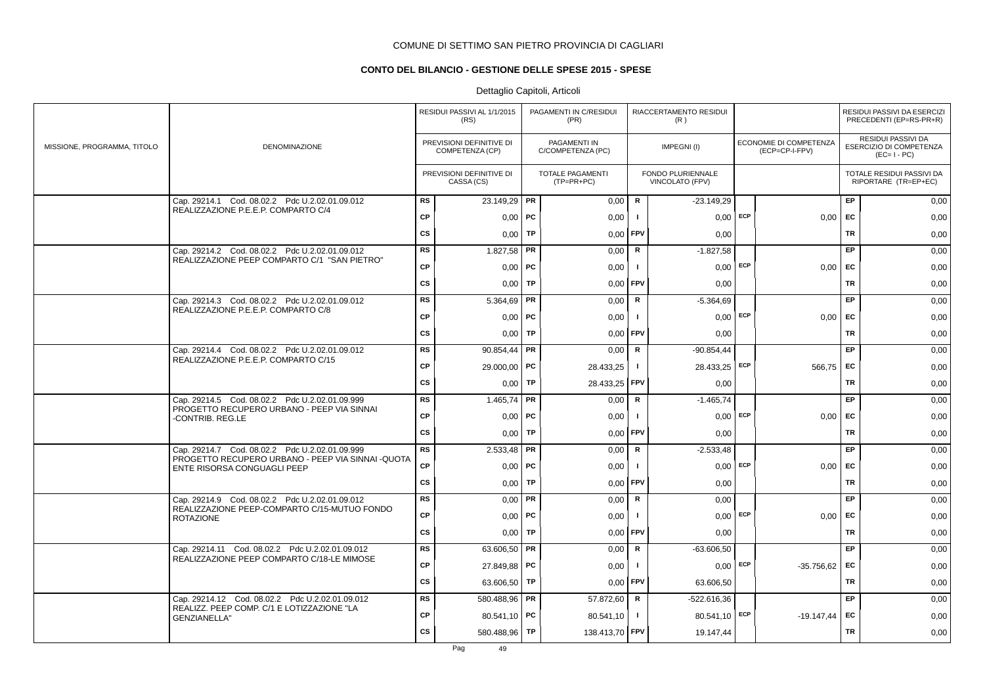## **CONTO DEL BILANCIO - GESTIONE DELLE SPESE 2015 - SPESE**

|                             |                                                                                                                      |           | RESIDUI PASSIVI AL 1/1/2015<br>(RS)         |    | PAGAMENTI IN C/RESIDUI<br>(PR)          |                | RIACCERTAMENTO RESIDUI<br>(R)               |                                          |           | RESIDUI PASSIVI DA ESERCIZI<br>PRECEDENTI (EP=RS-PR+R)       |
|-----------------------------|----------------------------------------------------------------------------------------------------------------------|-----------|---------------------------------------------|----|-----------------------------------------|----------------|---------------------------------------------|------------------------------------------|-----------|--------------------------------------------------------------|
| MISSIONE, PROGRAMMA, TITOLO | DENOMINAZIONE                                                                                                        |           | PREVISIONI DEFINITIVE DI<br>COMPETENZA (CP) |    | PAGAMENTI IN<br>C/COMPETENZA (PC)       |                | IMPEGNI(I)                                  | ECONOMIE DI COMPETENZA<br>(ECP=CP-I-FPV) |           | RESIDUI PASSIVI DA<br>ESERCIZIO DI COMPETENZA<br>$(EC=I-PC)$ |
|                             |                                                                                                                      |           | PREVISIONI DEFINITIVE DI<br>CASSA (CS)      |    | <b>TOTALE PAGAMENTI</b><br>$(TP=PR+PC)$ |                | <b>FONDO PLURIENNALE</b><br>VINCOLATO (FPV) |                                          |           | TOTALE RESIDUI PASSIVI DA<br>RIPORTARE (TR=EP+EC)            |
|                             | Cap. 29214.1 Cod. 08.02.2 Pdc U.2.02.01.09.012                                                                       | <b>RS</b> | 23.149,29 PR                                |    | 0,00                                    | $\mathsf{R}$   | $-23.149.29$                                |                                          | EP        | 0,00                                                         |
|                             | REALIZZAZIONE P.E.E.P. COMPARTO C/4                                                                                  | <b>CP</b> | 0,00                                        | PC | 0,00                                    |                | $0,00$ ECP                                  | 0,00                                     | EC        | 0,00                                                         |
|                             |                                                                                                                      | cs        | 0,00                                        | TP | 0,00                                    | <b>FPV</b>     | 0,00                                        |                                          | <b>TR</b> | 0,00                                                         |
|                             | Cap. 29214.2 Cod. 08.02.2 Pdc U.2.02.01.09.012                                                                       | <b>RS</b> | 1.827,58                                    | PR | 0,00                                    | R              | $-1.827,58$                                 |                                          | <b>EP</b> | 0,00                                                         |
|                             | REALIZZAZIONE PEEP COMPARTO C/1 "SAN PIETRO"                                                                         | <b>CP</b> | $0,00$   PC                                 |    | 0,00                                    | $\blacksquare$ | $0,00$ ECP                                  | $0,00$   EC                              |           | 0,00                                                         |
|                             |                                                                                                                      | CS        | 0,00                                        | TP | 0,00                                    | <b>FPV</b>     | 0,00                                        |                                          | <b>TR</b> | 0,00                                                         |
|                             | Cap. 29214.3 Cod. 08.02.2 Pdc U.2.02.01.09.012                                                                       | <b>RS</b> | 5.364,69                                    | PR | 0,00                                    | $\mathsf{R}$   | $-5.364,69$                                 |                                          | EP        | 0,00                                                         |
|                             | REALIZZAZIONE P.E.E.P. COMPARTO C/8                                                                                  | <b>CP</b> | $0,00$   PC                                 |    | 0,00                                    | $\blacksquare$ | $0,00$ ECP                                  | $0,00$ EC                                |           | 0,00                                                         |
|                             |                                                                                                                      | cs        | 0,00                                        | TP | 0,00                                    | FPV            | 0,00                                        |                                          | <b>TR</b> | 0,00                                                         |
|                             | Cap. 29214.4 Cod. 08.02.2 Pdc U.2.02.01.09.012                                                                       | <b>RS</b> | 90.854.44                                   | PR | 0,00                                    | R              | $-90.854.44$                                |                                          | EP        | 0,00                                                         |
|                             | REALIZZAZIONE P.E.E.P. COMPARTO C/15                                                                                 | <b>CP</b> | 29.000,00   PC                              |    | 28.433,25                               | $\mathbf{I}$   | 28.433,25 ECP                               | 566,75 EC                                |           | 0,00                                                         |
|                             |                                                                                                                      | CS        | $0,00$ TP                                   |    | 28.433,25 FPV                           |                | 0,00                                        |                                          | <b>TR</b> | 0,00                                                         |
|                             | Cap. 29214.5 Cod. 08.02.2 Pdc U.2.02.01.09.999                                                                       | <b>RS</b> | 1.465,74                                    | PR | 0,00                                    | R              | $-1.465,74$                                 |                                          | EP        | 0,00                                                         |
|                             | PROGETTO RECUPERO URBANO - PEEP VIA SINNAI<br>-CONTRIB. REG.LE                                                       | <b>CP</b> | 0,00                                        | PC | 0,00                                    |                | $0,00$ ECP                                  | $0,00$ EC                                |           | 0,00                                                         |
|                             |                                                                                                                      | <b>CS</b> | 0,00                                        | TP | 0,00                                    | <b>FPV</b>     | 0,00                                        |                                          | TR        | 0,00                                                         |
|                             | Cap. 29214.7 Cod. 08.02.2 Pdc U.2.02.01.09.999                                                                       | <b>RS</b> | 2.533,48                                    | PR | 0,00                                    | $\mathsf{R}$   | $-2.533,48$                                 |                                          | EP        | 0,00                                                         |
|                             | PROGETTO RECUPERO URBANO - PEEP VIA SINNAI -QUOTA<br>ENTE RISORSA CONGUAGLI PEEP                                     | <b>CP</b> | 0,00                                        | PC | 0,00                                    |                | $0,00$ ECP                                  | 0,00                                     | EC        | 0,00                                                         |
|                             |                                                                                                                      | <b>CS</b> | 0,00                                        | TP | 0,00                                    | <b>FPV</b>     | 0,00                                        |                                          | <b>TR</b> | 0,00                                                         |
|                             | Cap. 29214.9 Cod. 08.02.2 Pdc U.2.02.01.09.012                                                                       | RS        | $0,00$ PR                                   |    | 0,00                                    | R              | 0,00                                        |                                          | <b>EP</b> | 0,00                                                         |
|                             | REALIZZAZIONE PEEP-COMPARTO C/15-MUTUO FONDO<br><b>ROTAZIONE</b>                                                     | <b>CP</b> | $0,00$   PC                                 |    | 0,00                                    |                | $0,00$ ECP                                  | 0,00                                     | EC        | 0,00                                                         |
|                             |                                                                                                                      | CS        | 0,00                                        | TP | 0,00                                    | <b>FPV</b>     | 0,00                                        |                                          | TR        | 0,00                                                         |
|                             | Cap. 29214.11 Cod. 08.02.2 Pdc U.2.02.01.09.012                                                                      | <b>RS</b> | 63.606,50                                   | PR | 0,00                                    | R              | $-63.606,50$                                |                                          | EP        | 0,00                                                         |
|                             | REALIZZAZIONE PEEP COMPARTO C/18-LE MIMOSE                                                                           | <b>CP</b> | 27.849,88                                   | PC | 0,00                                    | - 1            | $0,00$ ECP                                  | $-35.756.62$                             | EC        | 0,00                                                         |
|                             |                                                                                                                      | CS        | 63.606,50                                   | TP | 0,00                                    | <b>FPV</b>     | 63.606,50                                   |                                          | <b>TR</b> | 0,00                                                         |
|                             | Cap. 29214.12 Cod. 08.02.2 Pdc U.2.02.01.09.012<br>REALIZZ. PEEP COMP. C/1 E LOTIZZAZIONE "LA<br><b>GENZIANELLA"</b> | <b>RS</b> | 580.488,96                                  | PR | 57.872,60                               | R              | $-522.616,36$                               |                                          | EP        | 0,00                                                         |
|                             |                                                                                                                      | <b>CP</b> | 80.541,10   PC                              |    | 80.541,10                               |                | 80.541,10 ECP                               | $-19.147,44$                             | EC        | 0,00                                                         |
|                             |                                                                                                                      | <b>CS</b> | 580.488,96   TP                             |    | 138.413,70 FPV                          |                | 19.147,44                                   |                                          | <b>TR</b> | 0,00                                                         |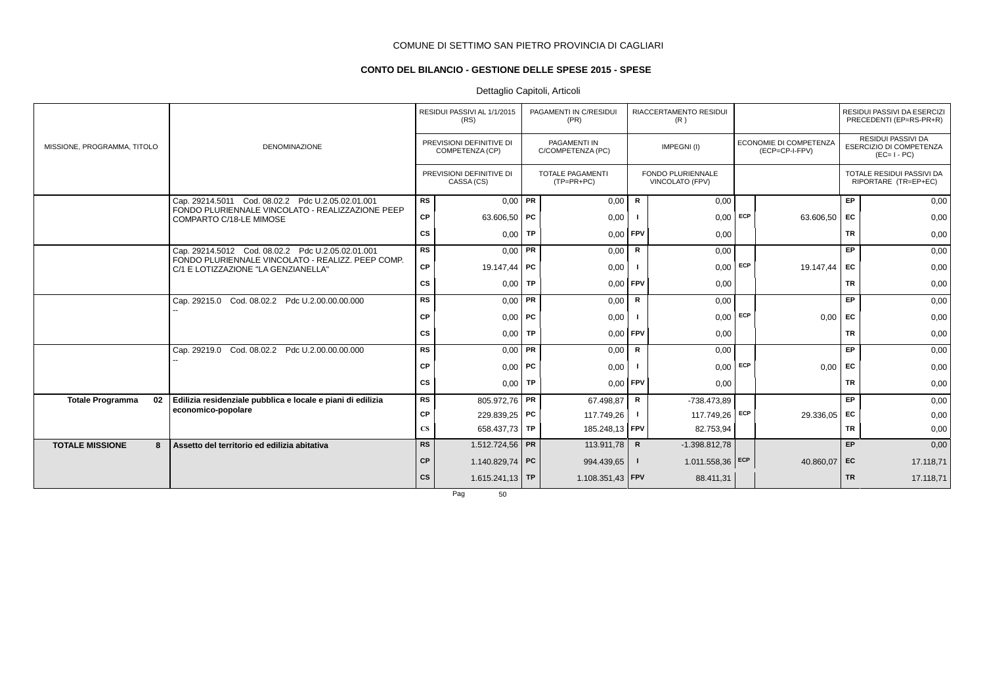## **CONTO DEL BILANCIO - GESTIONE DELLE SPESE 2015 - SPESE**

## Dettaglio Capitoli, Articoli

|                               |                                                                                          |                        | RESIDUI PASSIVI AL 1/1/2015<br>(RS)         | PAGAMENTI IN C/RESIDUI<br>(PR)           |                         | RIACCERTAMENTO RESIDUI<br>(R)        |     |                                                 |           | RESIDUI PASSIVI DA ESERCIZI<br>PRECEDENTI (EP=RS-PR+R)              |
|-------------------------------|------------------------------------------------------------------------------------------|------------------------|---------------------------------------------|------------------------------------------|-------------------------|--------------------------------------|-----|-------------------------------------------------|-----------|---------------------------------------------------------------------|
| MISSIONE, PROGRAMMA, TITOLO   | <b>DENOMINAZIONE</b>                                                                     |                        | PREVISIONI DEFINITIVE DI<br>COMPETENZA (CP) | <b>PAGAMENTI IN</b><br>C/COMPETENZA (PC) |                         | IMPEGNI(I)                           |     | <b>ECONOMIE DI COMPETENZA</b><br>(ECP=CP-I-FPV) |           | <b>RESIDUI PASSIVI DA</b><br>ESERCIZIO DI COMPETENZA<br>$(EC=I-PC)$ |
|                               |                                                                                          |                        | PREVISIONI DEFINITIVE DI<br>CASSA (CS)      | <b>TOTALE PAGAMENTI</b><br>$(TP=PR+PC)$  |                         | FONDO PLURIENNALE<br>VINCOLATO (FPV) |     |                                                 |           | TOTALE RESIDUI PASSIVI DA<br>RIPORTARE (TR=EP+EC)                   |
|                               | Cap. 29214.5011 Cod. 08.02.2 Pdc U.2.05.02.01.001                                        | <b>RS</b>              | $0,00$ PR                                   | 0,00                                     | R                       | 0,00                                 |     |                                                 | EP        | 0,00                                                                |
|                               | FONDO PLURIENNALE VINCOLATO - REALIZZAZIONE PEEP<br>COMPARTO C/18-LE MIMOSE              | CP                     | 63.606,50   PC                              | 0,00                                     |                         | 0,00                                 | ECP | 63.606,50                                       | EC        | 0,00                                                                |
|                               |                                                                                          | CS                     | $0,00$ TP                                   | 0,00                                     | FPV                     | 0,00                                 |     |                                                 | <b>TR</b> | 0,00                                                                |
|                               | Cap. 29214.5012 Cod. 08.02.2 Pdc U.2.05.02.01.001                                        | <b>RS</b>              | $0,00$ PR                                   | 0,00                                     | R                       | 0,00                                 |     |                                                 | EP        | 0,00                                                                |
|                               | FONDO PLURIENNALE VINCOLATO - REALIZZ. PEEP COMP.<br>C/1 E LOTIZZAZIONE "LA GENZIANELLA" | CP                     | 19.147.44 PC                                | 0,00                                     |                         | $0,00$ ECP                           |     | 19.147.44                                       | EC        | 0,00                                                                |
|                               |                                                                                          | CS                     | $0,00$ TP                                   | 0,00                                     | FPV                     | 0,00                                 |     |                                                 | <b>TR</b> | 0,00                                                                |
|                               | Cap. 29215.0 Cod. 08.02.2 Pdc U.2.00.00.00.000                                           | <b>RS</b>              | $0,00$ PR                                   | 0,00                                     | $\mathsf{R}$            | 0,00                                 |     |                                                 | EP        | 0,00                                                                |
|                               |                                                                                          | <b>CP</b>              | $0,00$ PC                                   | 0,00                                     |                         | $0,00$ ECP                           |     | 0,00                                            | <b>FC</b> | 0,00                                                                |
|                               |                                                                                          | CS                     | $0,00$ TP                                   | 0,00                                     | <b>FPV</b>              | 0,00                                 |     |                                                 | <b>TR</b> | 0,00                                                                |
|                               | Cap. 29219.0 Cod. 08.02.2 Pdc U.2.00.00.00.000                                           | <b>RS</b>              | $0,00$ PR                                   | 0,00                                     | $\mathsf R$             | 0,00                                 |     |                                                 | EP        | 0,00                                                                |
|                               |                                                                                          | <b>CP</b>              | $0,00$ PC                                   | 0,00                                     |                         | $0.00$ ECP                           |     | 0,00                                            | EC        | 0,00                                                                |
|                               |                                                                                          | CS                     | $0,00$ TP                                   | 0,00                                     | FPV                     | 0,00                                 |     |                                                 | <b>TR</b> | 0,00                                                                |
| 02<br><b>Totale Programma</b> | Edilizia residenziale pubblica e locale e piani di edilizia                              | <b>RS</b>              | 805.972,76 PR                               | 67.498,87                                | R                       | -738.473,89                          |     |                                                 | <b>EP</b> | 0,00                                                                |
|                               | economico-popolare                                                                       | <b>CP</b>              | 229.839,25 PC                               | 117.749,26                               |                         | 117.749,26                           | ECP | 29.336,05                                       | EC        | 0,00                                                                |
|                               |                                                                                          | $\mathbf{C}\mathbf{S}$ | 658.437,73 TP                               | 185.248,13   FPV                         |                         | 82.753,94                            |     |                                                 | <b>TR</b> | 0,00                                                                |
| <b>TOTALE MISSIONE</b><br>8   | Assetto del territorio ed edilizia abitativa                                             | <b>RS</b>              | 1.512.724,56 PR                             | 113.911,78                               | $\overline{\mathbf{R}}$ | $-1.398.812,78$                      |     |                                                 | <b>EP</b> | 0,00                                                                |
|                               |                                                                                          | <b>CP</b>              | 1.140.829,74   PC                           | 994.439,65                               |                         | $1.011.558,36$ ECP                   |     | 40.860,07                                       | EC        | 17.118,71                                                           |
|                               |                                                                                          | cs                     | $1.615.241.13$ TP                           | 1.108.351,43   FPV                       |                         | 88.411,31                            |     |                                                 | <b>TR</b> | 17.118,71                                                           |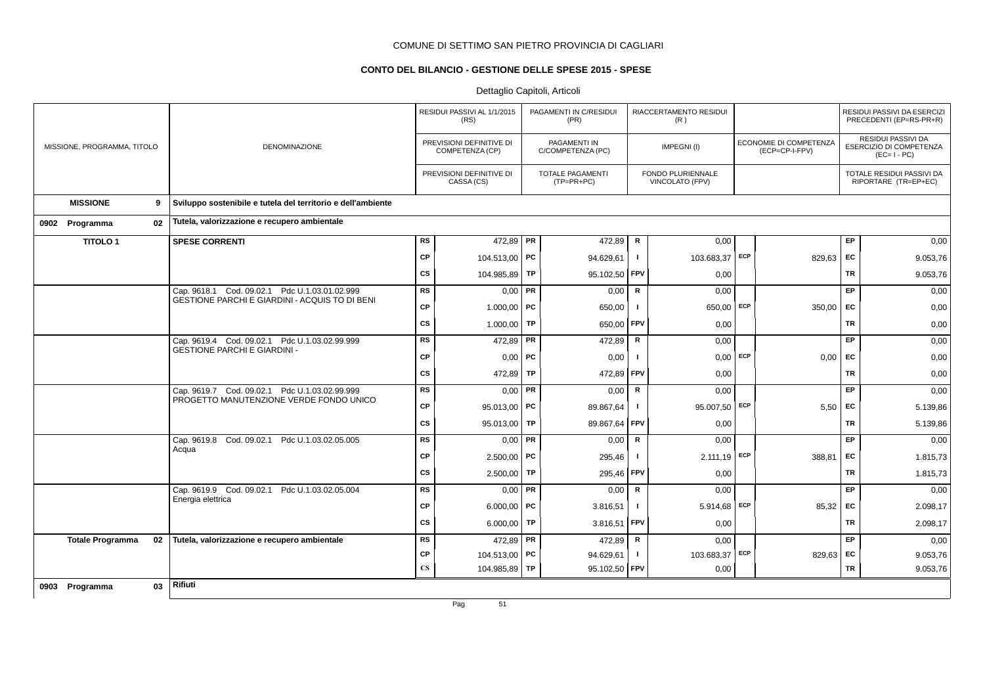## **CONTO DEL BILANCIO - GESTIONE DELLE SPESE 2015 - SPESE**

|                               |                                                              |               | RESIDUI PASSIVI AL 1/1/2015<br>(RS)         |           | PAGAMENTI IN C/RESIDUI<br>(PR)    |              | RIACCERTAMENTO RESIDUI<br>(R)        |     |                                          |           | RESIDUI PASSIVI DA ESERCIZI<br>PRECEDENTI (EP=RS-PR+R)       |
|-------------------------------|--------------------------------------------------------------|---------------|---------------------------------------------|-----------|-----------------------------------|--------------|--------------------------------------|-----|------------------------------------------|-----------|--------------------------------------------------------------|
| MISSIONE, PROGRAMMA, TITOLO   | <b>DENOMINAZIONE</b>                                         |               | PREVISIONI DEFINITIVE DI<br>COMPETENZA (CP) |           | PAGAMENTI IN<br>C/COMPETENZA (PC) |              | IMPEGNI(I)                           |     | ECONOMIE DI COMPETENZA<br>(ECP=CP-I-FPV) |           | RESIDUI PASSIVI DA<br>ESERCIZIO DI COMPETENZA<br>$(EC=I-PC)$ |
|                               |                                                              |               | PREVISIONI DEFINITIVE DI<br>CASSA (CS)      |           | TOTALE PAGAMENTI<br>(TP=PR+PC)    |              | FONDO PLURIENNALE<br>VINCOLATO (FPV) |     |                                          |           | TOTALE RESIDUI PASSIVI DA<br>RIPORTARE (TR=EP+EC)            |
| <b>MISSIONE</b><br>9          | Sviluppo sostenibile e tutela del territorio e dell'ambiente |               |                                             |           |                                   |              |                                      |     |                                          |           |                                                              |
| 02<br>0902 Programma          | Tutela, valorizzazione e recupero ambientale                 |               |                                             |           |                                   |              |                                      |     |                                          |           |                                                              |
| <b>TITOLO1</b>                | <b>SPESE CORRENTI</b>                                        | <b>RS</b>     | 472,89 PR                                   |           | 472,89                            | $\mathsf R$  | 0,00                                 |     |                                          | EP.       | 0,00                                                         |
|                               |                                                              | <b>CP</b>     | 104.513,00 PC                               |           | 94.629,61                         | $\mathbf{I}$ | 103.683,37 ECP                       |     | 829,63 EC                                |           | 9.053,76                                                     |
|                               |                                                              | <b>CS</b>     | 104.985,89 TP                               |           | 95.102,50                         | <b>FPV</b>   | 0,00                                 |     |                                          | <b>TR</b> | 9.053,76                                                     |
|                               | Cap. 9618.1 Cod. 09.02.1 Pdc U.1.03.01.02.999                | <b>RS</b>     | $0,00$ PR                                   |           | 0,00                              | $\mathsf{R}$ | 0,00                                 |     |                                          | EP        | 0,00                                                         |
|                               | <b>GESTIONE PARCHI E GIARDINI - ACQUIS TO DI BENI</b>        | <b>CP</b>     | 1.000,00   PC                               |           | 650,00                            | $\mathbf{I}$ | $650,00$ ECP                         |     | 350,00                                   | <b>FC</b> | 0,00                                                         |
|                               |                                                              | <b>CS</b>     | 1.000,00   TP                               |           | 650,00                            | <b>FPV</b>   | 0,00                                 |     |                                          | TR        | 0,00                                                         |
|                               | Cap. 9619.4 Cod. 09.02.1 Pdc U.1.03.02.99.999                | <b>RS</b>     | 472,89                                      | <b>PR</b> | 472,89                            | R            | 0,00                                 |     |                                          | EP        | 0,00                                                         |
|                               | <b>GESTIONE PARCHI E GIARDINI -</b>                          | <b>CP</b>     | $0,00$ PC                                   |           | 0,00                              | $\mathbf{I}$ | 0,00                                 | ECP | 0,00                                     | <b>FC</b> | 0,00                                                         |
|                               |                                                              | <b>CS</b>     | 472,89 TP                                   |           | 472,89                            | <b>FPV</b>   | 0,00                                 |     |                                          | <b>TR</b> | 0,00                                                         |
|                               | Cap. 9619.7 Cod. 09.02.1 Pdc U.1.03.02.99.999                | <b>RS</b>     | $0,00$ PR                                   |           | 0,00                              | R            | 0,00                                 |     |                                          | EP        | 0,00                                                         |
|                               | PROGETTO MANUTENZIONE VERDE FONDO UNICO                      | CP            | 95.013,00   PC                              |           | 89.867,64                         | $\mathbf{I}$ | 95.007,50 ECP                        |     | 5,50                                     | EC        | 5.139,86                                                     |
|                               |                                                              | <b>CS</b>     | 95.013,00 TP                                |           | 89.867,64                         | FPV          | 0,00                                 |     |                                          | <b>TR</b> | 5.139,86                                                     |
|                               | Cap. 9619.8 Cod. 09.02.1 Pdc U.1.03.02.05.005                | <b>RS</b>     | $0,00$ PR                                   |           | 0,00                              | R            | 0,00                                 |     |                                          | EP        | 0,00                                                         |
|                               | Acqua                                                        | <b>CP</b>     | $2.500,00$ PC                               |           | 295,46                            | $\mathbf{I}$ | $2.111,19$ ECP                       |     | 388,81                                   | <b>FC</b> | 1.815,73                                                     |
|                               |                                                              | <b>CS</b>     | 2.500,00                                    | TP        | 295,46                            | <b>FPV</b>   | 0,00                                 |     |                                          | TR        | 1.815,73                                                     |
|                               | Cap. 9619.9 Cod. 09.02.1 Pdc U.1.03.02.05.004                | <b>RS</b>     | $0,00$ PR                                   |           | 0,00                              | R            | 0,00                                 |     |                                          | EP        | 0,00                                                         |
|                               | Energia elettrica                                            | <b>CP</b>     | 6.000,00   PC                               |           | 3.816,51                          | $\mathbf{I}$ | $5.914,68$ ECP                       |     | 85,32                                    | <b>EC</b> | 2.098,17                                                     |
|                               |                                                              | <b>CS</b>     | 6.000,00   TP                               |           | 3.816,51                          | <b>FPV</b>   | 0,00                                 |     |                                          | <b>TR</b> | 2.098,17                                                     |
| <b>Totale Programma</b><br>02 | Tutela, valorizzazione e recupero ambientale                 | RS            | 472,89   PR                                 |           | 472,89                            | $\mathsf R$  | 0,00                                 |     |                                          | EP        | 0,00                                                         |
|                               |                                                              | <b>CP</b>     | 104.513,00 PC                               |           | 94.629,61                         | $\mathbf{I}$ | 103.683,37 ECP                       |     | 829,63 EC                                |           | 9.053,76                                                     |
|                               |                                                              | $\mathbf{CS}$ | 104.985,89 TP                               |           | 95.102,50                         | <b>FPV</b>   | 0,00                                 |     |                                          | TR        | 9.053,76                                                     |
| 03<br>0903 Programma          | Rifiuti                                                      |               |                                             |           |                                   |              |                                      |     |                                          |           |                                                              |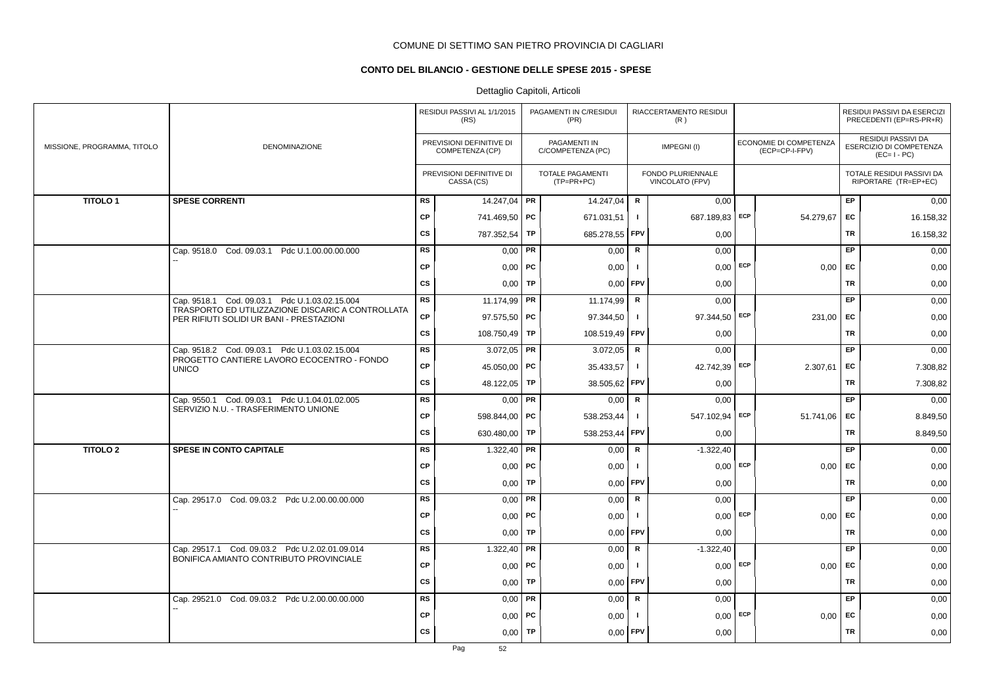## **CONTO DEL BILANCIO - GESTIONE DELLE SPESE 2015 - SPESE**

|                             |                                                                                               |           | RESIDUI PASSIVI AL 1/1/2015<br>(RS)         |           | PAGAMENTI IN C/RESIDUI<br>(PR)        |              | RIACCERTAMENTO RESIDUI<br>(R)        |            |                                          |           | RESIDUI PASSIVI DA ESERCIZI<br>PRECEDENTI (EP=RS-PR+R)       |
|-----------------------------|-----------------------------------------------------------------------------------------------|-----------|---------------------------------------------|-----------|---------------------------------------|--------------|--------------------------------------|------------|------------------------------------------|-----------|--------------------------------------------------------------|
| MISSIONE, PROGRAMMA, TITOLO | <b>DENOMINAZIONE</b>                                                                          |           | PREVISIONI DEFINITIVE DI<br>COMPETENZA (CP) |           | PAGAMENTI IN<br>C/COMPETENZA (PC)     |              | IMPEGNI(I)                           |            | ECONOMIE DI COMPETENZA<br>(ECP=CP-I-FPV) |           | RESIDUI PASSIVI DA<br>ESERCIZIO DI COMPETENZA<br>$(EC=I-PC)$ |
|                             |                                                                                               |           | PREVISIONI DEFINITIVE DI<br>CASSA (CS)      |           | <b>TOTALE PAGAMENTI</b><br>(TP=PR+PC) |              | FONDO PLURIENNALE<br>VINCOLATO (FPV) |            |                                          |           | TOTALE RESIDUI PASSIVI DA<br>RIPORTARE (TR=EP+EC)            |
| <b>TITOLO1</b>              | <b>SPESE CORRENTI</b>                                                                         | <b>RS</b> | 14.247,04   PR                              |           | 14.247,04                             | R            | 0,00                                 |            |                                          | EP        | 0,00                                                         |
|                             |                                                                                               | <b>CP</b> | 741.469,50 PC                               |           | 671.031,51                            | Τ.           | 687.189,83 ECP                       |            | 54.279,67                                | EC        | 16.158,32                                                    |
|                             |                                                                                               | <b>CS</b> | 787.352,54                                  | TP        | 685.278,55                            | <b>FPV</b>   | 0,00                                 |            |                                          | TR        | 16.158,32                                                    |
|                             | Cap. 9518.0 Cod. 09.03.1 Pdc U.1.00.00.00.000                                                 | <b>RS</b> | 0,00                                        | PR        | 0,00                                  | $\mathsf{R}$ | 0,00                                 |            |                                          | EP        | 0,00                                                         |
|                             |                                                                                               | <b>CP</b> | $0,00$   PC                                 |           | 0,00                                  | $\mathbf{I}$ |                                      | $0,00$ ECP | 0,00                                     | EC        | 0,00                                                         |
|                             |                                                                                               | <b>CS</b> | $0,00$ TP                                   |           | 0,00                                  | <b>FPV</b>   | 0,00                                 |            |                                          | TR        | 0,00                                                         |
|                             | Cap. 9518.1 Cod. 09.03.1 Pdc U.1.03.02.15.004                                                 | <b>RS</b> | 11.174,99 PR                                |           | 11.174,99                             | R            | 0.00                                 |            |                                          | <b>EP</b> | 0,00                                                         |
|                             | TRASPORTO ED UTILIZZAZIONE DISCARIC A CONTROLLATA<br>PER RIFIUTI SOLIDI UR BANI - PRESTAZIONI | <b>CP</b> | $97.575,50$ PC                              |           | 97.344,50                             | $\mathbf{I}$ | 97.344,50 ECP                        |            | 231,00                                   | EC        | 0,00                                                         |
|                             |                                                                                               | <b>CS</b> | 108.750,49 TP                               |           | 108.519,49 FPV                        |              | 0,00                                 |            |                                          | TR        | 0,00                                                         |
|                             | Cap. 9518.2 Cod. 09.03.1 Pdc U.1.03.02.15.004                                                 | <b>RS</b> | $3.072,05$ PR                               |           | 3.072,05                              | R            | 0,00                                 |            |                                          | EP        | 0,00                                                         |
|                             | PROGETTO CANTIERE LAVORO ECOCENTRO - FONDO<br><b>UNICO</b>                                    | <b>CP</b> | 45.050,00 PC                                |           | 35.433,57                             | J.           | 42.742,39 ECP                        |            | 2.307,61                                 | EC        | 7.308,82                                                     |
|                             |                                                                                               | <b>CS</b> | 48.122,05   TP                              |           | 38.505,62 FPV                         |              | 0,00                                 |            |                                          | TR        | 7.308,82                                                     |
|                             | Cap. 9550.1 Cod. 09.03.1 Pdc U.1.04.01.02.005                                                 | <b>RS</b> | $0,00$ PR                                   |           | 0,00                                  | R            | 0,00                                 |            |                                          | <b>EP</b> | 0,00                                                         |
|                             | SERVIZIO N.U. - TRASFERIMENTO UNIONE                                                          | <b>CP</b> | 598.844,00   PC                             |           | 538.253,44                            | $\mathbf{I}$ | 547.102,94 ECP                       |            | 51.741,06                                | EC        | 8.849,50                                                     |
|                             |                                                                                               | <b>CS</b> | 630.480,00                                  | TP        | 538.253,44                            | FPV          | 0,00                                 |            |                                          | TR        | 8.849,50                                                     |
| <b>TITOLO 2</b>             | SPESE IN CONTO CAPITALE                                                                       | <b>RS</b> | 1.322,40   PR                               |           | 0,00                                  | $\mathsf R$  | $-1.322,40$                          |            |                                          | EP        | 0,00                                                         |
|                             |                                                                                               | <b>CP</b> | 0,00                                        | PC        | 0,00                                  | $\mathbf{I}$ | 0,00                                 | ECP        | 0,00                                     | EC        | 0,00                                                         |
|                             |                                                                                               | <b>CS</b> | $0,00$ TP                                   |           | 0,00                                  | FPV          | 0,00                                 |            |                                          | <b>TR</b> | 0,00                                                         |
|                             | Cap. 29517.0 Cod. 09.03.2 Pdc U.2.00.00.00.000                                                | <b>RS</b> | $0,00$ PR                                   |           | 0,00                                  | $\mathbf R$  | 0,00                                 |            |                                          | EP        | 0,00                                                         |
|                             |                                                                                               | <b>CP</b> | 0,00                                        | PC        | 0,00                                  | -1           | $0,00$ ECP                           |            | 0,00                                     | EC        | 0,00                                                         |
|                             |                                                                                               | <b>CS</b> | $0,00$ TP                                   |           | 0,00                                  | FPV          | 0,00                                 |            |                                          | <b>TR</b> | 0,00                                                         |
|                             | Cap. 29517.1 Cod. 09.03.2 Pdc U.2.02.01.09.014                                                | <b>RS</b> | 1.322,40   PR                               |           | 0,00                                  | R            | $-1.322,40$                          |            |                                          | <b>EP</b> | 0,00                                                         |
|                             | BONIFICA AMIANTO CONTRIBUTO PROVINCIALE                                                       | <b>CP</b> | 0,00                                        | PC        | 0,00                                  | $\mathbf{I}$ | 0,00                                 | ECP        | 0,00                                     | EC        | 0,00                                                         |
|                             |                                                                                               | <b>CS</b> | 0,00                                        | TP        | 0,00                                  | <b>FPV</b>   | 0,00                                 |            |                                          | TR        | 0,00                                                         |
|                             | Cap. 29521.0 Cod. 09.03.2 Pdc U.2.00.00.00.000                                                | <b>RS</b> | $0,00$ PR                                   |           | 0,00                                  | $\mathsf R$  | 0,00                                 |            |                                          | EP        | 0,00                                                         |
|                             |                                                                                               | <b>CP</b> | 0,00                                        | PC        | 0,00                                  | $\mathbf{I}$ | $0,00$ ECP                           |            | 0,00                                     | EC        | 0,00                                                         |
|                             |                                                                                               | <b>CS</b> | 0,00                                        | <b>TP</b> | 0,00                                  | <b>FPV</b>   | 0,00                                 |            |                                          | <b>TR</b> | 0,00                                                         |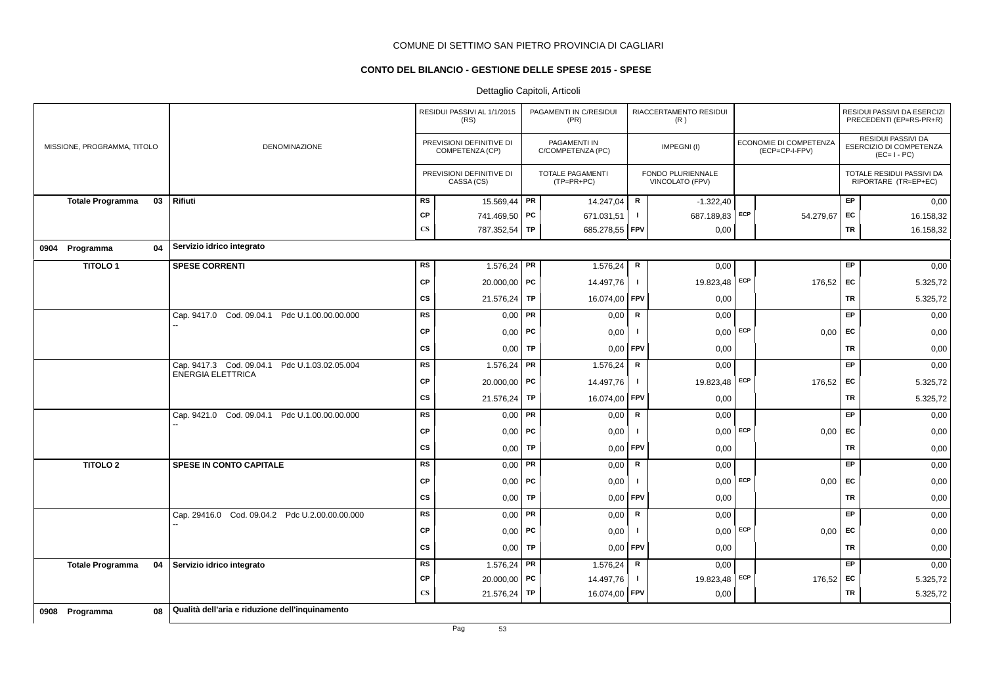## **CONTO DEL BILANCIO - GESTIONE DELLE SPESE 2015 - SPESE**

|                               |                                                  |                        | RESIDUI PASSIVI AL 1/1/2015<br>(RS)         |           | PAGAMENTI IN C/RESIDUI<br>(PR)          |              | RIACCERTAMENTO RESIDUI<br>(R)        |     |                                          |           | RESIDUI PASSIVI DA ESERCIZI<br>PRECEDENTI (EP=RS-PR+R)       |
|-------------------------------|--------------------------------------------------|------------------------|---------------------------------------------|-----------|-----------------------------------------|--------------|--------------------------------------|-----|------------------------------------------|-----------|--------------------------------------------------------------|
| MISSIONE, PROGRAMMA, TITOLO   | <b>DENOMINAZIONE</b>                             |                        | PREVISIONI DEFINITIVE DI<br>COMPETENZA (CP) |           | PAGAMENTI IN<br>C/COMPETENZA (PC)       |              | IMPEGNI(I)                           |     | ECONOMIE DI COMPETENZA<br>(ECP=CP-I-FPV) |           | RESIDUI PASSIVI DA<br>ESERCIZIO DI COMPETENZA<br>$(EC=I-PC)$ |
|                               |                                                  |                        | PREVISIONI DEFINITIVE DI<br>CASSA (CS)      |           | <b>TOTALE PAGAMENTI</b><br>$(TP=PR+PC)$ |              | FONDO PLURIENNALE<br>VINCOLATO (FPV) |     |                                          |           | TOTALE RESIDUI PASSIVI DA<br>RIPORTARE (TR=EP+EC)            |
| 03<br><b>Totale Programma</b> | Rifiuti                                          | RS                     | 15.569,44                                   | PR        | 14.247,04                               | $\mathsf R$  | $-1.322,40$                          |     |                                          | EP        | 0,00                                                         |
|                               |                                                  | CP                     | 741.469,50 PC                               |           | 671.031,51                              | $\mathbf{I}$ | 687.189,83                           | ECP | 54.279,67 EC                             |           | 16.158,32                                                    |
|                               |                                                  | $\mathbf{C}\mathbf{S}$ | 787.352,54                                  | TP        | 685.278,55 FPV                          |              | 0,00                                 |     |                                          | <b>TR</b> | 16.158,32                                                    |
| 0904 Programma<br>04          | Servizio idrico integrato                        |                        |                                             |           |                                         |              |                                      |     |                                          |           |                                                              |
| <b>TITOLO1</b>                | <b>SPESE CORRENTI</b>                            | RS                     | $1.576,24$ PR                               |           | 1.576,24                                | $\mathsf R$  | 0,00                                 |     |                                          | EP        | 0,00                                                         |
|                               |                                                  | <b>CP</b>              | $20.000,00$ PC                              |           | 14.497,76                               | $\mathbf{I}$ | 19.823,48 ECP                        |     | 176,52 EC                                |           | 5.325,72                                                     |
|                               |                                                  | CS                     | 21.576,24                                   | TP        | 16.074,00                               | <b>FPV</b>   | 0,00                                 |     |                                          | TR        | 5.325,72                                                     |
|                               | Cap. 9417.0 Cod. 09.04.1<br>Pdc U.1.00.00.00.000 | RS                     | 0,00                                        | <b>PR</b> | 0,00                                    | $\mathsf R$  | 0,00                                 |     |                                          | EP        | 0,00                                                         |
|                               |                                                  | CP                     | $0,00$   PC                                 |           | 0,00                                    | $\mathbf{I}$ | $0,00$ ECP                           |     | $0,00$ EC                                |           | 0,00                                                         |
|                               |                                                  | <b>CS</b>              | 0,00                                        | <b>TP</b> | 0,00                                    | <b>FPV</b>   | 0,00                                 |     |                                          | TR        | 0,00                                                         |
|                               | Cap. 9417.3 Cod. 09.04.1 Pdc U.1.03.02.05.004    | <b>RS</b>              | $1.576,24$ PR                               |           | 1.576,24                                | R            | 0,00                                 |     |                                          | <b>EP</b> | 0,00                                                         |
|                               | <b>ENERGIA ELETTRICA</b>                         | CP                     | 20.000,00 PC                                |           | 14.497,76                               | $\mathbf{I}$ | 19.823,48 ECP                        |     | 176,52                                   | EC        | 5.325,72                                                     |
|                               |                                                  | <b>CS</b>              | 21.576,24                                   | TP        | 16.074,00                               | FPV          | 0,00                                 |     |                                          | TR        | 5.325,72                                                     |
|                               | Cap. 9421.0 Cod. 09.04.1 Pdc U.1.00.00.00.000    | <b>RS</b>              | 0,00                                        | <b>PR</b> | 0,00                                    | $\mathsf{R}$ | 0,00                                 |     |                                          | <b>EP</b> | 0,00                                                         |
|                               |                                                  | <b>CP</b>              | $0,00$   PC                                 |           | 0,00                                    | $\mathbf{I}$ | 0,00                                 | ECP | 0,00                                     | EC        | 0,00                                                         |
|                               |                                                  | <b>CS</b>              | 0,00                                        | TP        | 0,00                                    | FPV          | 0,00                                 |     |                                          | TR        | 0,00                                                         |
| <b>TITOLO 2</b>               | SPESE IN CONTO CAPITALE                          | RS                     | $0,00$ PR                                   |           | 0,00                                    | $\mathsf{R}$ | 0,00                                 |     |                                          | <b>EP</b> | 0,00                                                         |
|                               |                                                  | <b>CP</b>              | $0,00$ PC                                   |           | 0,00                                    | $\mathbf{I}$ | $0,00$ ECP                           |     | 0,00                                     | EC        | 0,00                                                         |
|                               |                                                  | <b>CS</b>              | 0,00                                        | TP        | 0,00                                    | FPV          | 0,00                                 |     |                                          | <b>TR</b> | 0,00                                                         |
|                               | Cap. 29416.0 Cod. 09.04.2 Pdc U.2.00.00.00.000   | <b>RS</b>              | $0,00$ PR                                   |           | 0,00                                    | R            | 0,00                                 |     |                                          | EP        | 0,00                                                         |
|                               |                                                  | CP                     | $0,00$   PC                                 |           | 0,00                                    | $\mathbf{I}$ | $0,00$ ECP                           |     | $0,00$ EC                                |           | 0,00                                                         |
|                               |                                                  | CS                     | 0,00                                        | TP        | 0,00                                    | <b>FPV</b>   | 0,00                                 |     |                                          | TR        | 0,00                                                         |
| <b>Totale Programma</b><br>04 | Servizio idrico integrato                        | <b>RS</b>              | 1.576,24 PR                                 |           | 1.576,24                                | $\mathsf R$  | 0,00                                 |     |                                          | <b>EP</b> | 0,00                                                         |
|                               |                                                  | СP                     | $20.000,00$ PC                              |           | 14.497,76                               | $\mathbf{I}$ | 19.823,48 ECP                        |     | 176,52 EC                                |           | 5.325,72                                                     |
|                               |                                                  | $\mathbf{C}\mathbf{S}$ | 21.576,24 TP                                |           | 16.074,00 FPV                           |              | 0,00                                 |     |                                          | TR        | 5.325,72                                                     |
| 08<br>0908 Programma          | Qualità dell'aria e riduzione dell'inquinamento  |                        |                                             |           |                                         |              |                                      |     |                                          |           |                                                              |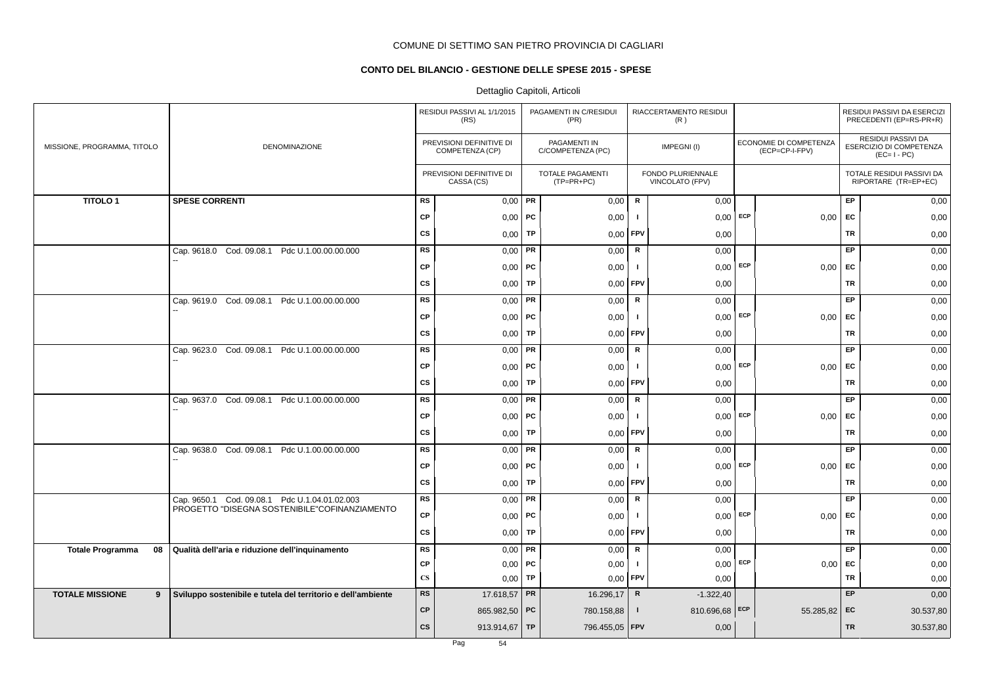## **CONTO DEL BILANCIO - GESTIONE DELLE SPESE 2015 - SPESE**

|                               |                                                              |                        | RESIDUI PASSIVI AL 1/1/2015<br>(RS)         |           | PAGAMENTI IN C/RESIDUI<br>(PR)          |                | RIACCERTAMENTO RESIDUI<br>(R)        |     |                                          |           | RESIDUI PASSIVI DA ESERCIZI<br>PRECEDENTI (EP=RS-PR+R)              |
|-------------------------------|--------------------------------------------------------------|------------------------|---------------------------------------------|-----------|-----------------------------------------|----------------|--------------------------------------|-----|------------------------------------------|-----------|---------------------------------------------------------------------|
| MISSIONE, PROGRAMMA, TITOLO   | DENOMINAZIONE                                                |                        | PREVISIONI DEFINITIVE DI<br>COMPETENZA (CP) |           | PAGAMENTI IN<br>C/COMPETENZA (PC)       |                | IMPEGNI(I)                           |     | ECONOMIE DI COMPETENZA<br>(ECP=CP-I-FPV) |           | <b>RESIDUI PASSIVI DA</b><br>ESERCIZIO DI COMPETENZA<br>$(EC=I-PC)$ |
|                               |                                                              |                        | PREVISIONI DEFINITIVE DI<br>CASSA (CS)      |           | <b>TOTALE PAGAMENTI</b><br>$(TP=PR+PC)$ |                | FONDO PLURIENNALE<br>VINCOLATO (FPV) |     |                                          |           | TOTALE RESIDUI PASSIVI DA<br>RIPORTARE (TR=EP+EC)                   |
| <b>TITOLO1</b>                | <b>SPESE CORRENTI</b>                                        | RS                     | $0,00$ PR                                   |           | 0,00                                    | R              | 0,00                                 |     |                                          | EP        | 0,00                                                                |
|                               |                                                              | CP                     | $0,00$ PC                                   |           | 0,00                                    | - 1            | 0,00                                 | ECP | 0,00                                     | EC        | 0,00                                                                |
|                               |                                                              | <b>CS</b>              | 0,00                                        | TP        | 0,00                                    | FPV            | 0,00                                 |     |                                          | <b>TR</b> | 0,00                                                                |
|                               | Cap. 9618.0 Cod. 09.08.1 Pdc U.1.00.00.00.000                | <b>RS</b>              | 0,00                                        | <b>PR</b> | 0,00                                    | $\mathsf R$    | 0,00                                 |     |                                          | EP        | 0,00                                                                |
|                               |                                                              | CP                     | $0,00$   PC                                 |           | 0,00                                    | -1             | 0,00                                 | ECP | 0,00                                     | EC        | 0,00                                                                |
|                               |                                                              | <b>CS</b>              | 0,00                                        | TP        | 0,00                                    | FPV            | 0,00                                 |     |                                          | <b>TR</b> | 0,00                                                                |
|                               | Cap. 9619.0 Cod. 09.08.1 Pdc U.1.00.00.00.000                | <b>RS</b>              | 0,00                                        | PR        | 0,00                                    | R              | 0,00                                 |     |                                          | EP        | 0,00                                                                |
|                               |                                                              | <b>CP</b>              | $0,00$   PC                                 |           | 0,00                                    | $\blacksquare$ | 0,00                                 | ECP | 0,00                                     | EC        | 0,00                                                                |
|                               |                                                              | <b>CS</b>              | 0,00                                        | TP        | 0,00                                    | FPV            | 0,00                                 |     |                                          | <b>TR</b> | 0,00                                                                |
|                               | Cap. 9623.0 Cod. 09.08.1 Pdc U.1.00.00.00.000                | <b>RS</b>              | 0,00                                        | PR        | 0,00                                    | R              | 0,00                                 |     |                                          | <b>EP</b> | 0,00                                                                |
|                               |                                                              | <b>CP</b>              | $0,00$   PC                                 |           | 0,00                                    | -1             | $0,00$ ECP                           |     | 0,00                                     | EC        | 0,00                                                                |
|                               |                                                              | <b>CS</b>              | 0,00                                        | TP        | 0,00                                    | FPV            | 0,00                                 |     |                                          | <b>TR</b> | 0,00                                                                |
|                               | Cap. 9637.0 Cod. 09.08.1 Pdc U.1.00.00.00.000                | <b>RS</b>              | 0,00                                        | PR        | 0,00                                    | $\mathsf{R}$   | 0,00                                 |     |                                          | <b>EP</b> | 0,00                                                                |
|                               |                                                              | <b>CP</b>              | $0,00$   PC                                 |           | 0,00                                    | $\mathbf{I}$   | 0,00                                 | ECP | 0,00                                     | <b>EC</b> | 0,00                                                                |
|                               |                                                              | <b>CS</b>              | 0,00                                        | TP        | 0,00                                    | FPV            | 0,00                                 |     |                                          | TR        | 0,00                                                                |
|                               | Cap. 9638.0 Cod. 09.08.1 Pdc U.1.00.00.00.000                | <b>RS</b>              | 0,00                                        | PR        | 0,00                                    | ${\sf R}$      | 0,00                                 |     |                                          | EP        | 0,00                                                                |
|                               |                                                              | <b>CP</b>              | $0,00$   PC                                 |           | 0,00                                    | $\mathbf{I}$   | $0,00$ ECP                           |     | 0,00                                     | EC        | 0,00                                                                |
|                               |                                                              | <b>CS</b>              | 0,00                                        | <b>TP</b> | 0,00                                    | FPV            | 0,00                                 |     |                                          | TR        | 0,00                                                                |
|                               | Cap. 9650.1 Cod. 09.08.1 Pdc U.1.04.01.02.003                | <b>RS</b>              | 0,00                                        | PR        | 0,00                                    | ${\mathbf R}$  | 0,00                                 |     |                                          | EP.       | 0,00                                                                |
|                               | PROGETTO "DISEGNA SOSTENIBILE"COFINANZIAMENTO                | CP                     | $0,00$   PC                                 |           | 0,00                                    | $\mathbf{I}$   | 0,00                                 | ECP | 0,00                                     | <b>FC</b> | 0,00                                                                |
|                               |                                                              | <b>CS</b>              | 0,00                                        | TP        | 0,00                                    | <b>FPV</b>     | 0,00                                 |     |                                          | TR        | 0,00                                                                |
| <b>Totale Programma</b><br>08 | Qualità dell'aria e riduzione dell'inquinamento              | RS                     | 0,00                                        | PR        | 0,00                                    | ${\sf R}$      | 0,00                                 |     |                                          | EP        | 0,00                                                                |
|                               |                                                              | CP                     | 0,00                                        | PC        | 0,00                                    | - 1            | 0,00                                 | ECP | 0,00                                     | EC        | 0,00                                                                |
|                               |                                                              | $\mathbf{C}\mathbf{S}$ | $0,00$ TP                                   |           | 0,00                                    | FPV            | 0,00                                 |     |                                          | TR        | 0,00                                                                |
| <b>TOTALE MISSIONE</b><br>9   | Sviluppo sostenibile e tutela del territorio e dell'ambiente | <b>RS</b>              | 17.618,57 PR                                |           | 16.296,17                               | $\mathsf{R}$   | $-1.322,40$                          |     |                                          | EP        | 0,00                                                                |
|                               |                                                              | <b>CP</b>              | 865.982,50 PC                               |           | 780.158,88                              | $\mathbf{I}$   | 810.696,68 ECP                       |     | 55.285,82                                | EC        | 30.537,80                                                           |
|                               |                                                              | <b>CS</b>              | 913.914,67   TP                             |           | 796.455,05   FPV                        |                | 0,00                                 |     |                                          | <b>TR</b> | 30.537,80                                                           |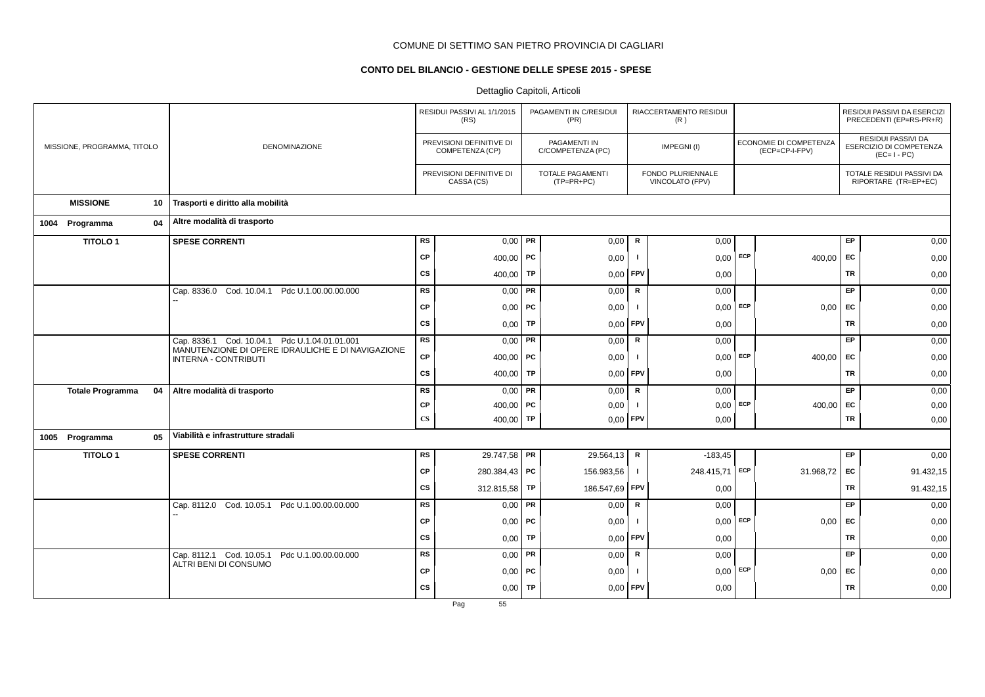## **CONTO DEL BILANCIO - GESTIONE DELLE SPESE 2015 - SPESE**

|                             |    |                                                                                  |                        | RESIDUI PASSIVI AL 1/1/2015<br>(RS)         |           | PAGAMENTI IN C/RESIDUI<br>(PR)          |                | RIACCERTAMENTO RESIDUI<br>(R)               |     |                                          |           | RESIDUI PASSIVI DA ESERCIZI<br>PRECEDENTI (EP=RS-PR+R)              |
|-----------------------------|----|----------------------------------------------------------------------------------|------------------------|---------------------------------------------|-----------|-----------------------------------------|----------------|---------------------------------------------|-----|------------------------------------------|-----------|---------------------------------------------------------------------|
| MISSIONE, PROGRAMMA, TITOLO |    | <b>DENOMINAZIONE</b>                                                             |                        | PREVISIONI DEFINITIVE DI<br>COMPETENZA (CP) |           | PAGAMENTI IN<br>C/COMPETENZA (PC)       |                | IMPEGNI(I)                                  |     | ECONOMIE DI COMPETENZA<br>(ECP=CP-I-FPV) |           | <b>RESIDUI PASSIVI DA</b><br>ESERCIZIO DI COMPETENZA<br>$(EC=I-PC)$ |
|                             |    |                                                                                  |                        | PREVISIONI DEFINITIVE DI<br>CASSA (CS)      |           | <b>TOTALE PAGAMENTI</b><br>$(TP=PR+PC)$ |                | FONDO PLURIENNALE<br><b>VINCOLATO (FPV)</b> |     |                                          |           | TOTALE RESIDUI PASSIVI DA<br>RIPORTARE (TR=EP+EC)                   |
| <b>MISSIONE</b>             | 10 | Trasporti e diritto alla mobilità                                                |                        |                                             |           |                                         |                |                                             |     |                                          |           |                                                                     |
| 1004 Programma              | 04 | Altre modalità di trasporto                                                      |                        |                                             |           |                                         |                |                                             |     |                                          |           |                                                                     |
| <b>TITOLO1</b>              |    | <b>SPESE CORRENTI</b>                                                            | <b>RS</b>              | $0,00$ PR                                   |           | 0,00                                    | $\mathsf{R}$   | 0,00                                        |     |                                          | EP        | 0,00                                                                |
|                             |    |                                                                                  | <b>CP</b>              | 400,00   PC                                 |           | 0,00                                    | - 1            | 0,00                                        | ECP | 400,00                                   | EC        | 0,00                                                                |
|                             |    |                                                                                  | <b>CS</b>              | 400,00                                      | <b>TP</b> | 0,00                                    | FPV            | 0,00                                        |     |                                          | <b>TR</b> | 0,00                                                                |
|                             |    | Cap. 8336.0 Cod. 10.04.1<br>Pdc U.1.00.00.00.000                                 | <b>RS</b>              | $0,00$ PR                                   |           | 0,00                                    | $\mathsf R$    | 0,00                                        |     |                                          | EP        | 0,00                                                                |
|                             |    |                                                                                  | <b>CP</b>              | $0,00$   PC                                 |           | 0,00                                    |                | 0,00                                        | ECP | 0,00                                     | EC        | 0,00                                                                |
|                             |    |                                                                                  | <b>CS</b>              | 0,00                                        | <b>TP</b> | 0,00                                    | <b>FPV</b>     | 0,00                                        |     |                                          | <b>TR</b> | 0,00                                                                |
|                             |    | Cap. 8336.1 Cod. 10.04.1 Pdc U.1.04.01.01.001                                    | <b>RS</b>              | $0,00$ PR                                   |           | 0,00                                    | $\mathsf R$    | 0,00                                        |     |                                          | EP        | 0,00                                                                |
|                             |    | MANUTENZIONE DI OPERE IDRAULICHE E DI NAVIGAZIONE<br><b>INTERNA - CONTRIBUTI</b> | <b>CP</b>              | 400,00   PC                                 |           | 0,00                                    | -1             | $0,00$ ECP                                  |     | 400,00                                   | EC        | 0,00                                                                |
|                             |    |                                                                                  | cs                     | 400,00   TP                                 |           | 0,00                                    | FPV            | 0,00                                        |     |                                          | TR        | 0,00                                                                |
| <b>Totale Programma</b>     | 04 | Altre modalità di trasporto                                                      | <b>RS</b>              | $0,00$ PR                                   |           | 0,00                                    | $\mathbf R$    | 0,00                                        |     |                                          | EP        | 0,00                                                                |
|                             |    |                                                                                  | СP                     | 400,00   PC                                 |           | 0,00                                    | $\blacksquare$ | $0,00$ ECP                                  |     | 400,00 EC                                |           | 0,00                                                                |
|                             |    |                                                                                  | $\mathbf{C}\mathbf{S}$ | 400,00 <b>TP</b>                            |           | 0,00                                    | FPV            | 0,00                                        |     |                                          | <b>TR</b> | 0,00                                                                |
| 1005 Programma              | 05 | Viabilità e infrastrutture stradali                                              |                        |                                             |           |                                         |                |                                             |     |                                          |           |                                                                     |
| <b>TITOLO1</b>              |    | <b>SPESE CORRENTI</b>                                                            | <b>RS</b>              | 29.747,58 PR                                |           | 29.564,13                               | $\mathsf{R}$   | $-183,45$                                   |     |                                          | E         | 0,00                                                                |
|                             |    |                                                                                  | <b>CP</b>              | 280.384,43   PC                             |           | 156.983,56                              | Τ.             | 248.415,71 ECP                              |     | 31.968,72                                | EC        | 91.432,15                                                           |
|                             |    |                                                                                  | <b>CS</b>              | 312.815,58                                  | TP        | 186.547,69                              | FPV            | 0,00                                        |     |                                          | TR        | 91.432,15                                                           |
|                             |    | Cap. 8112.0 Cod. 10.05.1 Pdc U.1.00.00.00.000                                    | <b>RS</b>              | $0,00$ PR                                   |           | 0,00                                    | $\mathsf{R}$   | 0,00                                        |     |                                          | EP        | 0,00                                                                |
|                             |    |                                                                                  | <b>CP</b>              | $0,00$ PC                                   |           | 0,00                                    | - 1            | $0,00$ ECP                                  |     | 0,00                                     | EC        | 0,00                                                                |
|                             |    |                                                                                  | cs                     | 0,00                                        | TP        | 0,00                                    | <b>FPV</b>     | 0,00                                        |     |                                          | TR        | 0,00                                                                |
|                             |    | Cap. 8112.1 Cod. 10.05.1<br>Pdc U.1.00.00.00.000                                 | <b>RS</b>              | $0,00$ PR                                   |           | 0,00                                    | ${\sf R}$      | 0,00                                        |     |                                          | EP        | 0,00                                                                |
|                             |    | ALTRI BENI DI CONSUMO                                                            | <b>CP</b>              | $0,00$   PC                                 |           | 0,00                                    |                | 0,00                                        | ECP | 0,00                                     | EC        | 0,00                                                                |
|                             |    |                                                                                  | <b>CS</b>              | $0,00$ TP                                   |           | 0,00                                    | FPV            | 0,00                                        |     |                                          | <b>TR</b> | 0,00                                                                |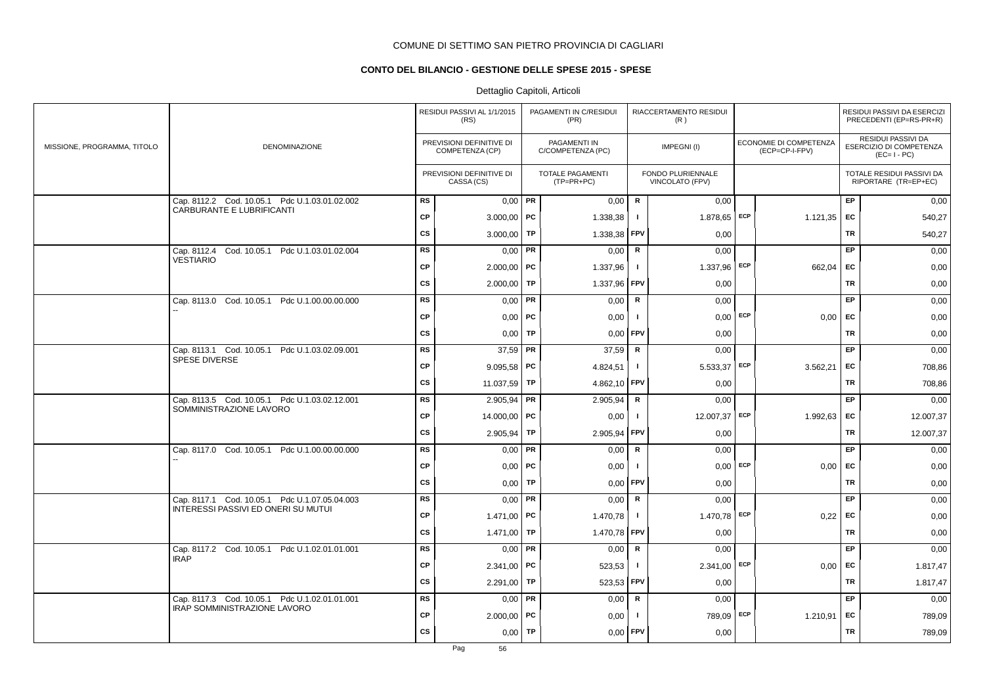## **CONTO DEL BILANCIO - GESTIONE DELLE SPESE 2015 - SPESE**

|                             |                                                                            |           | RESIDUI PASSIVI AL 1/1/2015<br>(RS)         |    | PAGAMENTI IN C/RESIDUI<br>(PR)        |               | RIACCERTAMENTO RESIDUI<br>(R)        |                                          |           | RESIDUI PASSIVI DA ESERCIZI<br>PRECEDENTI (EP=RS-PR+R)       |
|-----------------------------|----------------------------------------------------------------------------|-----------|---------------------------------------------|----|---------------------------------------|---------------|--------------------------------------|------------------------------------------|-----------|--------------------------------------------------------------|
| MISSIONE, PROGRAMMA, TITOLO | DENOMINAZIONE                                                              |           | PREVISIONI DEFINITIVE DI<br>COMPETENZA (CP) |    | PAGAMENTI IN<br>C/COMPETENZA (PC)     |               | IMPEGNI(I)                           | ECONOMIE DI COMPETENZA<br>(ECP=CP-I-FPV) |           | RESIDUI PASSIVI DA<br>ESERCIZIO DI COMPETENZA<br>$(EC=I-PC)$ |
|                             |                                                                            |           | PREVISIONI DEFINITIVE DI<br>CASSA (CS)      |    | <b>TOTALE PAGAMENTI</b><br>(TP=PR+PC) |               | FONDO PLURIENNALE<br>VINCOLATO (FPV) |                                          |           | TOTALE RESIDUI PASSIVI DA<br>RIPORTARE (TR=EP+EC)            |
|                             | Cap. 8112.2 Cod. 10.05.1 Pdc U.1.03.01.02.002<br>CARBURANTE E LUBRIFICANTI | <b>RS</b> | $0,00$ PR                                   |    | 0,00                                  | R             | 0.00                                 |                                          | <b>EP</b> | 0,00                                                         |
|                             |                                                                            | <b>CP</b> | $3.000,00$ PC                               |    | 1.338,38                              | $\mathbf{I}$  | $1.878,65$ ECP                       | 1.121,35                                 | EC        | 540,27                                                       |
|                             |                                                                            | <b>CS</b> | 3.000,00                                    | TP | 1.338,38                              | <b>FPV</b>    | 0,00                                 |                                          | TR        | 540,27                                                       |
|                             | Cap. 8112.4 Cod. 10.05.1 Pdc U.1.03.01.02.004                              | <b>RS</b> | $0,00$ PR                                   |    | 0,00                                  | R             | 0,00                                 |                                          | EP.       | 0,00                                                         |
|                             | <b>VESTIARIO</b>                                                           | <b>CP</b> | $2.000,00$ PC                               |    | 1.337,96                              | $\mathbf{I}$  | $1.337,96$ ECP                       | 662,04                                   | EC        | 0,00                                                         |
|                             |                                                                            | <b>CS</b> | $2.000,00$ TP                               |    | 1.337,96                              | <b>FPV</b>    | 0,00                                 |                                          | TR        | 0,00                                                         |
|                             | Cap. 8113.0 Cod. 10.05.1 Pdc U.1.00.00.00.000                              | <b>RS</b> | $0,00$ PR                                   |    | 0,00                                  | R             | 0,00                                 |                                          | <b>EP</b> | 0,00                                                         |
|                             |                                                                            | <b>CP</b> | $0,00$   PC                                 |    | 0,00                                  | $\mathbf{I}$  | $0,00$ ECP                           | $0,00$ EC                                |           | 0,00                                                         |
|                             |                                                                            | <b>CS</b> | $0,00$ TP                                   |    | 0,00                                  | <b>FPV</b>    | 0,00                                 |                                          | TR        | 0,00                                                         |
|                             | Cap. 8113.1 Cod. 10.05.1 Pdc U.1.03.02.09.001                              | <b>RS</b> | $37,59$ PR                                  |    | 37,59                                 | R             | 0,00                                 |                                          | EP.       | 0,00                                                         |
|                             | <b>SPESE DIVERSE</b>                                                       | <b>CP</b> | $9.095,58$ PC                               |    | 4.824,51                              | $\mathbf{I}$  | $5.533,37$ ECP                       | 3.562,21                                 | EC        | 708,86                                                       |
|                             |                                                                            | CS        | 11.037,59   TP                              |    | 4.862,10 FPV                          |               | 0,00                                 |                                          | TR        | 708,86                                                       |
|                             | Cap. 8113.5 Cod. 10.05.1 Pdc U.1.03.02.12.001                              | <b>RS</b> | $2.905,94$ PR                               |    | 2.905,94                              | $\mathsf R$   | 0,00                                 |                                          | EP        | 0,00                                                         |
|                             | SOMMINISTRAZIONE LAVORO                                                    | <b>CP</b> | 14.000,00 PC                                |    | 0,00                                  | $\mathbf{I}$  | 12.007,37 ECP                        | 1.992,63                                 | EC        | 12.007,37                                                    |
|                             |                                                                            | <b>CS</b> | $2.905,94$ TP                               |    | 2.905,94                              | FPV           | 0,00                                 |                                          | TR        | 12.007,37                                                    |
|                             | Cap. 8117.0 Cod. 10.05.1 Pdc U.1.00.00.00.000                              | <b>RS</b> | $0,00$ PR                                   |    | 0,00                                  | R             | 0,00                                 |                                          | EP        | 0,00                                                         |
|                             |                                                                            | <b>CP</b> | $0,00$   PC                                 |    | 0,00                                  | $\mathbf{I}$  | $0,00$ ECP                           | 0,00                                     | EC        | 0,00                                                         |
|                             |                                                                            | <b>CS</b> | $0,00$ TP                                   |    | 0,00                                  | <b>FPV</b>    | 0,00                                 |                                          | TR        | 0,00                                                         |
|                             | Cap. 8117.1 Cod. 10.05.1 Pdc U.1.07.05.04.003                              | <b>RS</b> | $0,00$ PR                                   |    | 0,00                                  | R             | 0,00                                 |                                          | <b>EP</b> | 0,00                                                         |
|                             | INTERESSI PASSIVI ED ONERI SU MUTUI                                        | <b>CP</b> | 1.471,00   PC                               |    | 1.470,78                              | $\mathbf{I}$  | $1.470,78$ ECP                       | 0,22                                     | <b>FC</b> | 0,00                                                         |
|                             |                                                                            | <b>CS</b> | 1.471,00 TP                                 |    | 1.470,78                              | <b>FPV</b>    | 0,00                                 |                                          | TR        | 0,00                                                         |
|                             | Cap. 8117.2 Cod. 10.05.1 Pdc U.1.02.01.01.001                              | <b>RS</b> | $0,00$ PR                                   |    | 0,00                                  | $\mathbf R$   | 0,00                                 |                                          | EP        | 0,00                                                         |
|                             | <b>IRAP</b>                                                                | <b>CP</b> | $2.341,00$ PC                               |    | 523,53                                | $\mathbf{I}$  | $2.341,00$ ECP                       | 0,00                                     | EC        | 1.817,47                                                     |
|                             |                                                                            | CS        | $2.291,00$ TP                               |    | 523,53                                | <b>FPV</b>    | 0,00                                 |                                          | TR        | 1.817,47                                                     |
|                             | Cap. 8117.3 Cod. 10.05.1 Pdc U.1.02.01.01.001                              | <b>RS</b> | $0,00$ PR                                   |    | 0,00                                  | ${\mathbf R}$ | 0,00                                 |                                          | EP        | 0,00                                                         |
|                             | <b>IRAP SOMMINISTRAZIONE LAVORO</b>                                        | <b>CP</b> | $2.000,00$ PC                               |    | 0,00                                  | $\mathbf{I}$  | 789,09 ECP                           | 1.210,91                                 | EC        | 789,09                                                       |
|                             |                                                                            | <b>CS</b> | 0,00                                        | TP | 0,00                                  | <b>FPV</b>    | 0,00                                 |                                          | TR        | 789,09                                                       |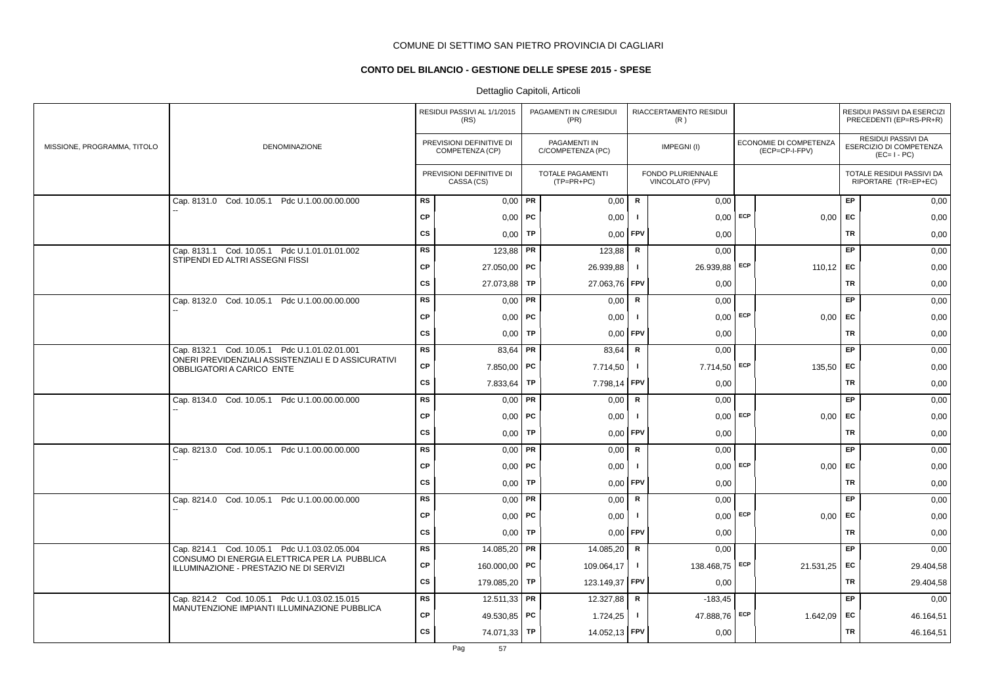## **CONTO DEL BILANCIO - GESTIONE DELLE SPESE 2015 - SPESE**

|                             |                                                                                         |           | RESIDUI PASSIVI AL 1/1/2015<br>(RS)         |           | PAGAMENTI IN C/RESIDUI<br>(PR)        |                | RIACCERTAMENTO RESIDUI<br>(R)        |            |                                          |           | RESIDUI PASSIVI DA ESERCIZI<br>PRECEDENTI (EP=RS-PR+R)       |
|-----------------------------|-----------------------------------------------------------------------------------------|-----------|---------------------------------------------|-----------|---------------------------------------|----------------|--------------------------------------|------------|------------------------------------------|-----------|--------------------------------------------------------------|
| MISSIONE, PROGRAMMA, TITOLO | DENOMINAZIONE                                                                           |           | PREVISIONI DEFINITIVE DI<br>COMPETENZA (CP) |           | PAGAMENTI IN<br>C/COMPETENZA (PC)     |                | IMPEGNI(I)                           |            | ECONOMIE DI COMPETENZA<br>(ECP=CP-I-FPV) |           | RESIDUI PASSIVI DA<br>ESERCIZIO DI COMPETENZA<br>$(EC=I-PC)$ |
|                             |                                                                                         |           | PREVISIONI DEFINITIVE DI<br>CASSA (CS)      |           | <b>TOTALE PAGAMENTI</b><br>(TP=PR+PC) |                | FONDO PLURIENNALE<br>VINCOLATO (FPV) |            |                                          |           | TOTALE RESIDUI PASSIVI DA<br>RIPORTARE (TR=EP+EC)            |
|                             | Cap. 8131.0 Cod. 10.05.1 Pdc U.1.00.00.00.000                                           | <b>RS</b> | $0,00$ PR                                   |           | 0,00                                  | R              | 0,00                                 |            |                                          | EP        | 0,00                                                         |
|                             |                                                                                         | <b>CP</b> | $0,00$ PC                                   |           | 0,00                                  | $\mathbf{I}$   | 0,00                                 | ECP        | 0,00                                     | <b>EC</b> | 0,00                                                         |
|                             |                                                                                         | <b>CS</b> | 0,00                                        | TP        | 0,00                                  | FPV            | 0,00                                 |            |                                          | <b>TR</b> | 0,00                                                         |
|                             | Cap. 8131.1 Cod. 10.05.1 Pdc U.1.01.01.01.002                                           | RS        | 123,88   PR                                 |           | 123,88                                | R              | 0,00                                 |            |                                          | EP        | 0,00                                                         |
|                             | STIPENDI ED ALTRI ASSEGNI FISSI                                                         | <b>CP</b> | 27.050,00 PC                                |           | 26.939,88                             | $\blacksquare$ | 26.939,88 ECP                        |            | 110,12 EC                                |           | 0,00                                                         |
|                             |                                                                                         | <b>CS</b> | 27.073,88                                   | <b>TP</b> | 27.063,76                             | FPV            | 0,00                                 |            |                                          | <b>TR</b> | 0,00                                                         |
|                             | Cap. 8132.0 Cod. 10.05.1 Pdc U.1.00.00.00.000                                           | <b>RS</b> | $0,00$ PR                                   |           | 0,00                                  | ${\mathbf R}$  | 0,00                                 |            |                                          | EP.       | 0,00                                                         |
|                             |                                                                                         | <b>CP</b> | $0,00$ PC                                   |           | 0,00                                  | Τ.             |                                      | $0,00$ ECP | $0,00$ EC                                |           | 0,00                                                         |
|                             |                                                                                         | <b>CS</b> | $0,00$ TP                                   |           | 0,00                                  | <b>FPV</b>     | 0,00                                 |            |                                          | TR        | 0,00                                                         |
|                             | Cap. 8132.1 Cod. 10.05.1 Pdc U.1.01.02.01.001                                           | <b>RS</b> | 83,64 PR                                    |           | 83,64                                 | $\mathsf R$    | 0,00                                 |            |                                          | EP        | 0,00                                                         |
|                             | ONERI PREVIDENZIALI ASSISTENZIALI E D ASSICURATIVI<br>OBBLIGATORI A CARICO ENTE         | <b>CP</b> | $7.850,00$ PC                               |           | 7.714,50                              | $\mathbf{I}$   | 7.714,50 ECP                         |            | 135,50 EC                                |           | 0,00                                                         |
|                             |                                                                                         | <b>CS</b> | 7.833,64   TP                               |           | 7.798,14                              | <b>FPV</b>     | 0,00                                 |            |                                          | TR        | 0,00                                                         |
|                             | Cap. 8134.0 Cod. 10.05.1 Pdc U.1.00.00.00.000                                           | <b>RS</b> | $0,00$ PR                                   |           | 0,00                                  | $\mathsf R$    | 0,00                                 |            |                                          | EP        | 0,00                                                         |
|                             |                                                                                         | <b>CP</b> | $0,00$   PC                                 |           | 0,00                                  | -1             |                                      | $0,00$ ECP | 0,00                                     | EC        | 0,00                                                         |
|                             |                                                                                         | <b>CS</b> | 0,00                                        | TP        | 0,00                                  | <b>FPV</b>     | 0,00                                 |            |                                          | TR        | 0,00                                                         |
|                             | Cap. 8213.0 Cod. 10.05.1 Pdc U.1.00.00.00.000                                           | <b>RS</b> | $0,00$ PR                                   |           | 0,00                                  | R              | 0,00                                 |            |                                          | EP        | 0,00                                                         |
|                             |                                                                                         | <b>CP</b> | $0,00$ PC                                   |           | 0,00                                  | -1             | 0,00                                 | ECP        | 0,00                                     | <b>FC</b> | 0,00                                                         |
|                             |                                                                                         | <b>CS</b> | 0,00                                        | TP        | 0,00                                  | FPV            | 0,00                                 |            |                                          | <b>TR</b> | 0,00                                                         |
|                             | Cap. 8214.0 Cod. 10.05.1 Pdc U.1.00.00.00.000                                           | <b>RS</b> | $0,00$ PR                                   |           | 0,00                                  | $\mathsf R$    | 0,00                                 |            |                                          | EP        | 0,00                                                         |
|                             |                                                                                         | <b>CP</b> | $0,00$ PC                                   |           | 0,00                                  | $\mathbf{I}$   | 0,00                                 | ECP        | 0,00                                     | EC        | 0,00                                                         |
|                             |                                                                                         | CS        | $0,00$ TP                                   |           | 0,00                                  | <b>FPV</b>     | 0,00                                 |            |                                          | TR        | 0,00                                                         |
|                             | Cap. 8214.1 Cod. 10.05.1 Pdc U.1.03.02.05.004                                           | <b>RS</b> | 14.085,20 PR                                |           | 14.085,20                             | $\mathbf R$    | 0,00                                 |            |                                          | EP        | 0,00                                                         |
|                             | CONSUMO DI ENERGIA ELETTRICA PER LA PUBBLICA<br>ILLUMINAZIONE - PRESTAZIO NE DI SERVIZI | <b>CP</b> | 160.000,00 PC                               |           | 109.064,17                            | Τ.             | 138.468,75 ECP                       |            | 21.531,25                                | EC        | 29.404,58                                                    |
|                             |                                                                                         | <b>CS</b> | 179.085,20 TP                               |           | 123.149,37                            | <b>FPV</b>     | 0,00                                 |            |                                          | TR        | 29.404,58                                                    |
|                             | Cap. 8214.2 Cod. 10.05.1 Pdc U.1.03.02.15.015                                           | RS        | $12.511,33$ PR                              |           | 12.327,88                             | R              | $-183,45$                            |            |                                          | EP        | 0,00                                                         |
|                             | MANUTENZIONE IMPIANTI ILLUMINAZIONE PUBBLICA                                            | <b>CP</b> | 49.530,85   PC                              |           | 1.724,25                              | $\mathbf{I}$   | 47.888,76 ECP                        |            | 1.642,09                                 | EC        | 46.164,51                                                    |
|                             |                                                                                         | <b>CS</b> | 74.071,33 TP                                |           | 14.052,13 FPV                         |                | 0,00                                 |            |                                          | <b>TR</b> | 46.164,51                                                    |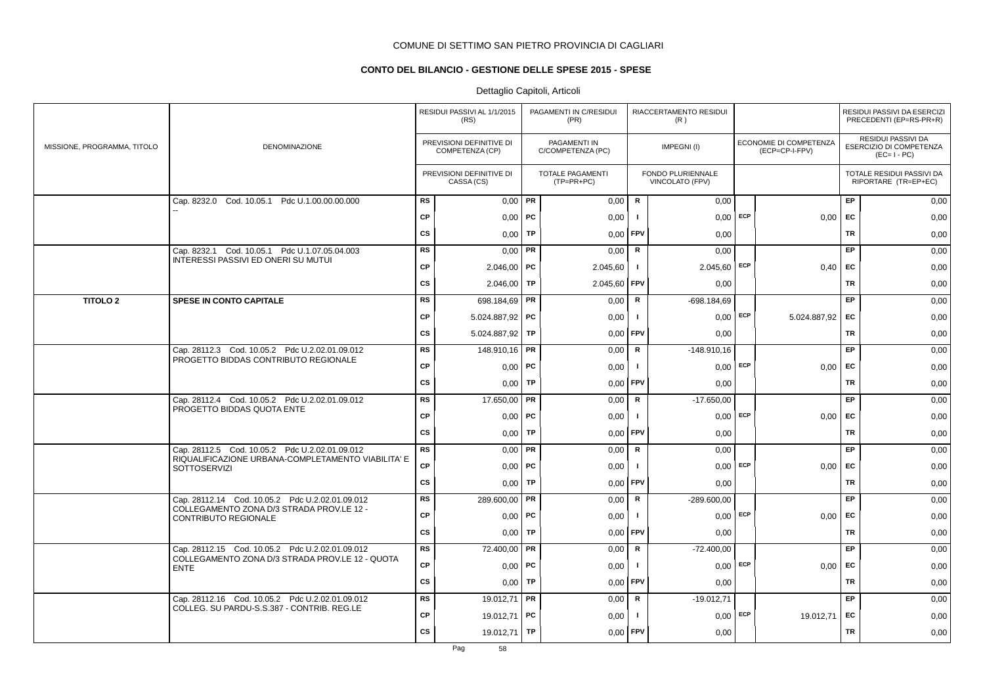## **CONTO DEL BILANCIO - GESTIONE DELLE SPESE 2015 - SPESE**

|                             |                                                                                             |           | RESIDUI PASSIVI AL 1/1/2015<br>(RS)         |           | PAGAMENTI IN C/RESIDUI<br>(PR)    |              | RIACCERTAMENTO RESIDUI<br>(R)        |     |                                          |           | RESIDUI PASSIVI DA ESERCIZI<br>PRECEDENTI (EP=RS-PR+R)       |
|-----------------------------|---------------------------------------------------------------------------------------------|-----------|---------------------------------------------|-----------|-----------------------------------|--------------|--------------------------------------|-----|------------------------------------------|-----------|--------------------------------------------------------------|
| MISSIONE, PROGRAMMA, TITOLO | <b>DENOMINAZIONE</b>                                                                        |           | PREVISIONI DEFINITIVE DI<br>COMPETENZA (CP) |           | PAGAMENTI IN<br>C/COMPETENZA (PC) |              | IMPEGNI(I)                           |     | ECONOMIE DI COMPETENZA<br>(ECP=CP-I-FPV) |           | RESIDUI PASSIVI DA<br>ESERCIZIO DI COMPETENZA<br>$(EC=I-PC)$ |
|                             |                                                                                             |           | PREVISIONI DEFINITIVE DI<br>CASSA (CS)      |           | TOTALE PAGAMENTI<br>(TP=PR+PC)    |              | FONDO PLURIENNALE<br>VINCOLATO (FPV) |     |                                          |           | TOTALE RESIDUI PASSIVI DA<br>RIPORTARE (TR=EP+EC)            |
|                             | Cap. 8232.0 Cod. 10.05.1 Pdc U.1.00.00.00.000                                               | <b>RS</b> | $0,00$ PR                                   |           | 0,00                              | $\mathsf{R}$ | 0,00                                 |     |                                          | EP        | 0,00                                                         |
|                             |                                                                                             | <b>CP</b> | $0,00$   PC                                 |           | 0,00                              | - 1          | 0,00                                 | ECP | 0,00                                     | EC        | 0,00                                                         |
|                             |                                                                                             | <b>CS</b> | 0,00                                        | TP        | 0,00                              | <b>FPV</b>   | 0,00                                 |     |                                          | <b>TR</b> | 0,00                                                         |
|                             | Cap. 8232.1 Cod. 10.05.1 Pdc U.1.07.05.04.003<br><b>INTERESSI PASSIVI ED ONERI SU MUTUI</b> | <b>RS</b> | $0,00$ PR                                   |           | 0,00                              | R            | 0,00                                 |     |                                          | EP.       | 0,00                                                         |
|                             |                                                                                             | CP        | $2.046,00$ PC                               |           | 2.045,60                          | $\mathbf{I}$ | $2.045,60$ ECP                       |     | $0,40$ EC                                |           | 0,00                                                         |
|                             |                                                                                             | <b>CS</b> | $2.046,00$ TP                               |           | 2.045,60                          | <b>FPV</b>   | 0,00                                 |     |                                          | <b>TR</b> | 0,00                                                         |
| <b>TITOLO 2</b>             | <b>SPESE IN CONTO CAPITALE</b>                                                              | <b>RS</b> | 698.184,69   PR                             |           | 0,00                              | $\mathbf R$  | $-698.184.69$                        |     |                                          | EP        | 0,00                                                         |
|                             |                                                                                             | <b>CP</b> | 5.024.887,92 PC                             |           | 0,00                              | $\mathbf{I}$ | $0,00$ ECP                           |     | 5.024.887,92 EC                          |           | 0,00                                                         |
|                             |                                                                                             | <b>CS</b> | 5.024.887,92   TP                           |           | 0,00                              | <b>FPV</b>   | 0,00                                 |     |                                          | <b>TR</b> | 0,00                                                         |
|                             | Cap. 28112.3 Cod. 10.05.2 Pdc U.2.02.01.09.012                                              | <b>RS</b> | 148.910,16 <b>PR</b>                        |           | 0,00                              | R            | $-148.910.16$                        |     |                                          | EP        | 0,00                                                         |
|                             | PROGETTO BIDDAS CONTRIBUTO REGIONALE                                                        | <b>CP</b> | $0,00$   PC                                 |           | 0,00                              | $\mathbf{I}$ | $0.00$ ECP                           |     | $0,00$ EC                                |           | 0,00                                                         |
|                             |                                                                                             | <b>CS</b> | $0,00$ TP                                   |           | 0,00                              | <b>FPV</b>   | 0,00                                 |     |                                          | TR        | 0,00                                                         |
|                             | Cap. 28112.4 Cod. 10.05.2 Pdc U.2.02.01.09.012                                              | <b>RS</b> | 17.650,00                                   | PR        | 0,00                              | $\mathsf R$  | $-17.650,00$                         |     |                                          | EP        | 0,00                                                         |
|                             | PROGETTO BIDDAS QUOTA ENTE                                                                  | <b>CP</b> | $0,00$ PC                                   |           | 0,00                              | $\mathbf{I}$ | 0,00                                 | ECP | $0,00$ EC                                |           | 0,00                                                         |
|                             |                                                                                             | <b>CS</b> | $0,00$ TP                                   |           | 0,00                              | FPV          | 0,00                                 |     |                                          | <b>TR</b> | 0,00                                                         |
|                             | Cap. 28112.5 Cod. 10.05.2 Pdc U.2.02.01.09.012                                              | <b>RS</b> | $0,00$ PR                                   |           | 0,00                              | R            | 0,00                                 |     |                                          | EP        | 0,00                                                         |
|                             | RIQUALIFICAZIONE URBANA-COMPLETAMENTO VIABILITA' E<br><b>SOTTOSERVIZI</b>                   | <b>CP</b> | $0,00$   PC                                 |           | 0,00                              | - 1          | $0,00$ ECP                           |     | $0,00$ EC                                |           | 0,00                                                         |
|                             |                                                                                             | <b>CS</b> | $0,00$ TP                                   |           | 0,00                              | FPV          | 0,00                                 |     |                                          | TR        | 0,00                                                         |
|                             | Cap. 28112.14 Cod. 10.05.2 Pdc U.2.02.01.09.012                                             | <b>RS</b> | 289.600,00 PR                               |           | 0,00                              | R            | $-289.600,00$                        |     |                                          | <b>EP</b> | 0,00                                                         |
|                             | COLLEGAMENTO ZONA D/3 STRADA PROV.LE 12 -<br>CONTRIBUTO REGIONALE                           | <b>CP</b> | $0,00$   PC                                 |           | 0,00                              | $\mathbf{I}$ | 0.00                                 | ECP | $0,00$ EC                                |           | 0,00                                                         |
|                             |                                                                                             | <b>CS</b> | $0,00$ TP                                   |           | 0.00                              | <b>FPV</b>   | 0,00                                 |     |                                          | TR        | 0,00                                                         |
|                             | Cap. 28112.15 Cod. 10.05.2 Pdc U.2.02.01.09.012                                             | <b>RS</b> | 72.400,00 <b>PR</b>                         |           | 0,00                              | $\mathbf R$  | $-72.400,00$                         |     |                                          | EP        | 0,00                                                         |
|                             | COLLEGAMENTO ZONA D/3 STRADA PROV.LE 12 - QUOTA<br><b>ENTE</b>                              | CP        | $0,00$   PC                                 |           | 0,00                              | J.           | $0,00$ ECP                           |     | 0,00                                     | EC        | 0,00                                                         |
|                             |                                                                                             | <b>CS</b> | $0,00$ TP                                   |           | 0,00                              | <b>FPV</b>   | 0,00                                 |     |                                          | <b>TR</b> | 0,00                                                         |
|                             | Cap. 28112.16 Cod. 10.05.2 Pdc U.2.02.01.09.012                                             | <b>RS</b> | 19.012,71                                   | <b>PR</b> | 0,00                              | R            | $-19.012,71$                         |     |                                          | EP        | 0,00                                                         |
|                             | COLLEG. SU PARDU-S.S.387 - CONTRIB. REG.LE                                                  | <b>CP</b> | 19.012,71   PC                              |           | 0,00                              | -1           | $0,00$ ECP                           |     | 19.012,71                                | EC        | 0,00                                                         |
|                             |                                                                                             | <b>CS</b> | 19.012,71                                   | TP        | 0,00                              | <b>FPV</b>   | 0,00                                 |     |                                          | TR        | 0,00                                                         |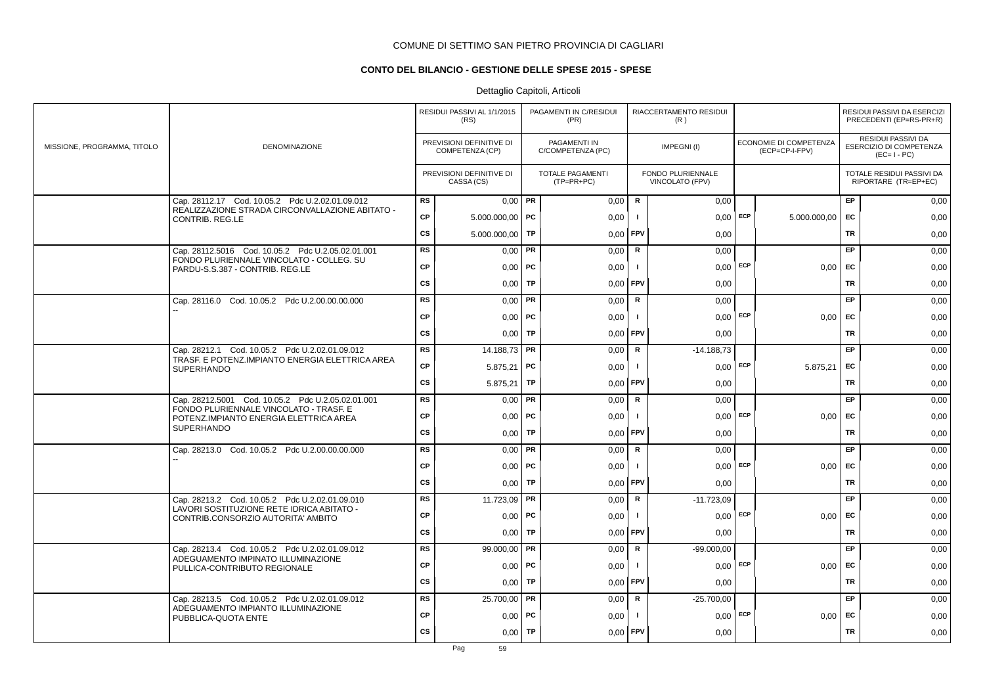## **CONTO DEL BILANCIO - GESTIONE DELLE SPESE 2015 - SPESE**

|                             |                                                                                                    |           | RESIDUI PASSIVI AL 1/1/2015<br>(RS)         |    | PAGAMENTI IN C/RESIDUI<br>(PR)          |              | RIACCERTAMENTO RESIDUI<br>(R)        |            |                                          |           | RESIDUI PASSIVI DA ESERCIZI<br>PRECEDENTI (EP=RS-PR+R)              |
|-----------------------------|----------------------------------------------------------------------------------------------------|-----------|---------------------------------------------|----|-----------------------------------------|--------------|--------------------------------------|------------|------------------------------------------|-----------|---------------------------------------------------------------------|
| MISSIONE, PROGRAMMA, TITOLO | <b>DENOMINAZIONE</b>                                                                               |           | PREVISIONI DEFINITIVE DI<br>COMPETENZA (CP) |    | PAGAMENTI IN<br>C/COMPETENZA (PC)       |              | IMPEGNI(I)                           |            | ECONOMIE DI COMPETENZA<br>(ECP=CP-I-FPV) |           | <b>RESIDUI PASSIVI DA</b><br>ESERCIZIO DI COMPETENZA<br>$(EC=I-PC)$ |
|                             |                                                                                                    |           | PREVISIONI DEFINITIVE DI<br>CASSA (CS)      |    | <b>TOTALE PAGAMENTI</b><br>$(TP=PR+PC)$ |              | FONDO PLURIENNALE<br>VINCOLATO (FPV) |            |                                          |           | TOTALE RESIDUI PASSIVI DA<br>RIPORTARE (TR=EP+EC)                   |
|                             | Cap. 28112.17 Cod. 10.05.2 Pdc U.2.02.01.09.012<br>REALIZZAZIONE STRADA CIRCONVALLAZIONE ABITATO - | RS        | $0,00$ PR                                   |    | 0,00                                    | R            | 0,00                                 |            |                                          | EP        | 0,00                                                                |
|                             | CONTRIB. REG.LE                                                                                    | <b>CP</b> | $5.000.000,00$ PC                           |    | 0,00                                    | $\mathbf{I}$ | 0,00                                 | ECP        | 5.000.000,00                             | EC        | 0,00                                                                |
|                             |                                                                                                    | <b>CS</b> | 5.000.000,00                                | TP | 0,00                                    | FPV          | 0,00                                 |            |                                          | <b>TR</b> | 0,00                                                                |
|                             | Cap. 28112.5016 Cod. 10.05.2 Pdc U.2.05.02.01.001                                                  | <b>RS</b> | $0,00$ PR                                   |    | 0,00                                    | $\mathsf R$  | 0,00                                 |            |                                          | EP.       | 0,00                                                                |
|                             | FONDO PLURIENNALE VINCOLATO - COLLEG. SU<br>PARDU-S.S.387 - CONTRIB. REG.LE                        | <b>CP</b> | $0,00$   PC                                 |    | 0,00                                    | Τ.           | $0,00$ ECP                           |            | $0,00$ EC                                |           | 0,00                                                                |
|                             |                                                                                                    | <b>CS</b> | $0,00$ TP                                   |    | 0,00                                    | FPV          | 0,00                                 |            |                                          | TR        | 0,00                                                                |
|                             | Cap. 28116.0 Cod. 10.05.2 Pdc U.2.00.00.00.000                                                     | <b>RS</b> | $0,00$ PR                                   |    | 0,00                                    | R            | 0,00                                 |            |                                          | EP        | 0,00                                                                |
|                             |                                                                                                    | <b>CP</b> | $0,00$   PC                                 |    | 0,00                                    | $\mathbf{I}$ | $0,00$ ECP                           |            | $0,00$ EC                                |           | 0,00                                                                |
|                             |                                                                                                    | <b>CS</b> | $0,00$ TP                                   |    | 0,00                                    | FPV          | 0,00                                 |            |                                          | <b>TR</b> | 0,00                                                                |
|                             | Cap. 28212.1 Cod. 10.05.2 Pdc U.2.02.01.09.012                                                     | <b>RS</b> | 14.188,73 <b>PR</b>                         |    | 0,00                                    | R            | $-14.188,73$                         |            |                                          | <b>EP</b> | 0,00                                                                |
|                             | TRASF. E POTENZ.IMPIANTO ENERGIA ELETTRICA AREA<br><b>SUPERHANDO</b>                               | <b>CP</b> | $5.875,21$ PC                               |    | 0,00                                    | $\mathbf{I}$ |                                      | $0,00$ ECP | 5.875,21                                 | <b>EC</b> | 0,00                                                                |
|                             |                                                                                                    | <b>CS</b> | $5.875,21$ TP                               |    | 0,00                                    | <b>FPV</b>   | 0,00                                 |            |                                          | <b>TR</b> | 0,00                                                                |
|                             | Cap. 28212.5001 Cod. 10.05.2 Pdc U.2.05.02.01.001                                                  | <b>RS</b> | $0,00$ PR                                   |    | 0,00                                    | $\mathsf R$  | 0,00                                 |            |                                          | EP        | 0,00                                                                |
|                             | FONDO PLURIENNALE VINCOLATO - TRASF. E<br>POTENZ.IMPIANTO ENERGIA ELETTRICA AREA                   | <b>CP</b> | $0,00$ PC                                   |    | 0,00                                    |              | 0,00                                 | ECP        | 0,00                                     | EC        | 0,00                                                                |
|                             | <b>SUPERHANDO</b>                                                                                  | <b>CS</b> | 0,00                                        | TP | 0,00                                    | FPV          | 0,00                                 |            |                                          | <b>TR</b> | 0,00                                                                |
|                             | Cap. 28213.0 Cod. 10.05.2 Pdc U.2.00.00.00.000                                                     | <b>RS</b> | $0,00$ PR                                   |    | 0,00                                    | $\mathsf R$  | 0,00                                 |            |                                          | EP.       | 0,00                                                                |
|                             |                                                                                                    | <b>CP</b> | $0,00$   PC                                 |    | 0,00                                    | -1           |                                      | $0,00$ ECP | 0.00                                     | <b>EC</b> | 0,00                                                                |
|                             |                                                                                                    | <b>CS</b> | $0,00$ TP                                   |    | 0,00                                    | FPV          | 0,00                                 |            |                                          | TR        | 0,00                                                                |
|                             | Cap. 28213.2 Cod. 10.05.2 Pdc U.2.02.01.09.010                                                     | <b>RS</b> | 11.723,09   PR                              |    | 0,00                                    | R            | $-11.723.09$                         |            |                                          | EP        | 0,00                                                                |
|                             | LAVORI SOSTITUZIONE RETE IDRICA ABITATO -<br>CONTRIB.CONSORZIO AUTORITA' AMBITO                    | <b>CP</b> | $0,00$   PC                                 |    | 0,00                                    | $\mathbf{I}$ | 0.00                                 | ECP        | 0.00                                     | <b>EC</b> | 0,00                                                                |
|                             |                                                                                                    | <b>CS</b> | $0,00$ TP                                   |    | 0,00                                    | FPV          | 0,00                                 |            |                                          | <b>TR</b> | 0,00                                                                |
|                             | Cap. 28213.4 Cod. 10.05.2 Pdc U.2.02.01.09.012<br>ADEGUAMENTO IMPINATO ILLUMINAZIONE               | <b>RS</b> | 99.000,00   PR                              |    | 0,00                                    | $\mathbf R$  | $-99.000,00$                         |            |                                          | EP        | 0,00                                                                |
|                             | PULLICA-CONTRIBUTO REGIONALE                                                                       | <b>CP</b> | $0,00$   PC                                 |    | 0,00                                    | $\mathbf{I}$ | 0.00                                 | ECP        | 0,00                                     | EC        | 0,00                                                                |
|                             |                                                                                                    | <b>CS</b> | 0,00                                        | TP | 0,00                                    | FPV          | 0,00                                 |            |                                          | <b>TR</b> | 0,00                                                                |
|                             | Cap. 28213.5 Cod. 10.05.2 Pdc U.2.02.01.09.012                                                     | <b>RS</b> | 25.700,00 PR                                |    | 0,00                                    | ${\sf R}$    | $-25.700,00$                         |            |                                          | EP        | 0,00                                                                |
|                             | ADEGUAMENTO IMPIANTO ILLUMINAZIONE<br>PUBBLICA-QUOTA ENTE                                          | <b>CP</b> | $0,00$   PC                                 |    | 0,00                                    | -1           | 0,00                                 | ECP        | $0,00$ EC                                |           | 0,00                                                                |
|                             |                                                                                                    | <b>CS</b> | 0,00                                        | TP | 0,00                                    | FPV          | 0,00                                 |            |                                          | TR        | 0,00                                                                |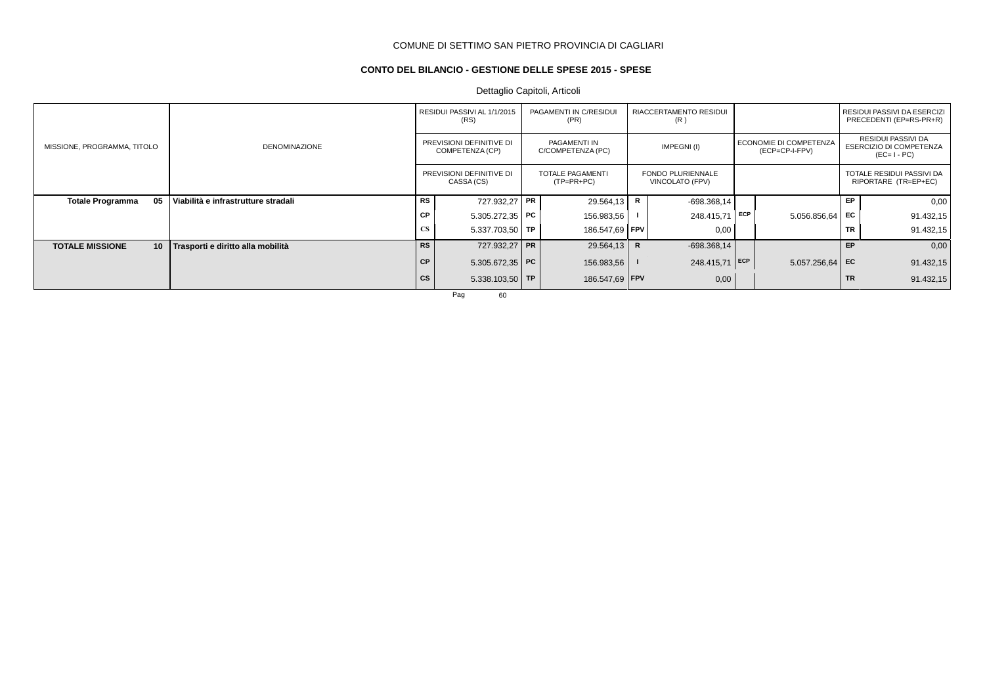## **CONTO DEL BILANCIO - GESTIONE DELLE SPESE 2015 - SPESE**

Dettaglio Capitoli, Articoli

|                               |                                     |           | RESIDUI PASSIVI AL 1/1/2015<br>(RS)         | PAGAMENTI IN C/RESIDUI<br>(PR)          |              | <b>RIACCERTAMENTO RESIDUI</b><br>(R)        |     |                                          |           | RESIDUI PASSIVI DA ESERCIZI<br>PRECEDENTI (EP=RS-PR+R)       |
|-------------------------------|-------------------------------------|-----------|---------------------------------------------|-----------------------------------------|--------------|---------------------------------------------|-----|------------------------------------------|-----------|--------------------------------------------------------------|
| MISSIONE, PROGRAMMA, TITOLO   | <b>DENOMINAZIONE</b>                |           | PREVISIONI DEFINITIVE DI<br>COMPETENZA (CP) | PAGAMENTI IN<br>C/COMPETENZA (PC)       |              | IMPEGNI(I)                                  |     | ECONOMIE DI COMPETENZA<br>(ECP=CP-I-FPV) |           | RESIDUI PASSIVI DA<br>ESERCIZIO DI COMPETENZA<br>$(EC=I-PC)$ |
|                               |                                     |           | PREVISIONI DEFINITIVE DI<br>CASSA (CS)      | <b>TOTALE PAGAMENTI</b><br>$(TP=PR+PC)$ |              | <b>FONDO PLURIENNALE</b><br>VINCOLATO (FPV) |     |                                          |           | TOTALE RESIDUI PASSIVI DA<br>RIPORTARE (TR=EP+EC)            |
| 05<br><b>Totale Programma</b> | Viabilità e infrastrutture stradali | <b>RS</b> | 727.932,27 PR                               | 29.564,13                               | R            | $-698.368.14$                               |     |                                          | <b>EP</b> | 0,00                                                         |
|                               |                                     | CP        | 5.305.272,35   PC                           | 156.983,56                              |              | 248.415,71                                  | ECP | $5.056.856.64$ EC                        |           | 91.432,15                                                    |
|                               |                                     | <b>CS</b> | $5.337.703.50$ TP                           | 186.547,69   FPV                        |              | 0,00                                        |     |                                          | <b>TR</b> | 91.432,15                                                    |
| 10<br><b>TOTALE MISSIONE</b>  | Trasporti e diritto alla mobilità   | <b>RS</b> | 727.932,27 PR                               | 29.564,13                               | $\mathsf{R}$ | $-698.368.14$                               |     |                                          | <b>EP</b> | 0,00                                                         |
|                               |                                     | <b>CP</b> | 5.305.672,35   PC                           | 156.983,56                              |              | 248.415,71 ECP                              |     | $5.057.256.64$ EC                        |           | 91.432,15                                                    |
|                               |                                     | cs        | 5.338.103,50   TP                           | 186.547,69 FPV                          |              | 0,00                                        |     |                                          | <b>TR</b> | 91.432,15                                                    |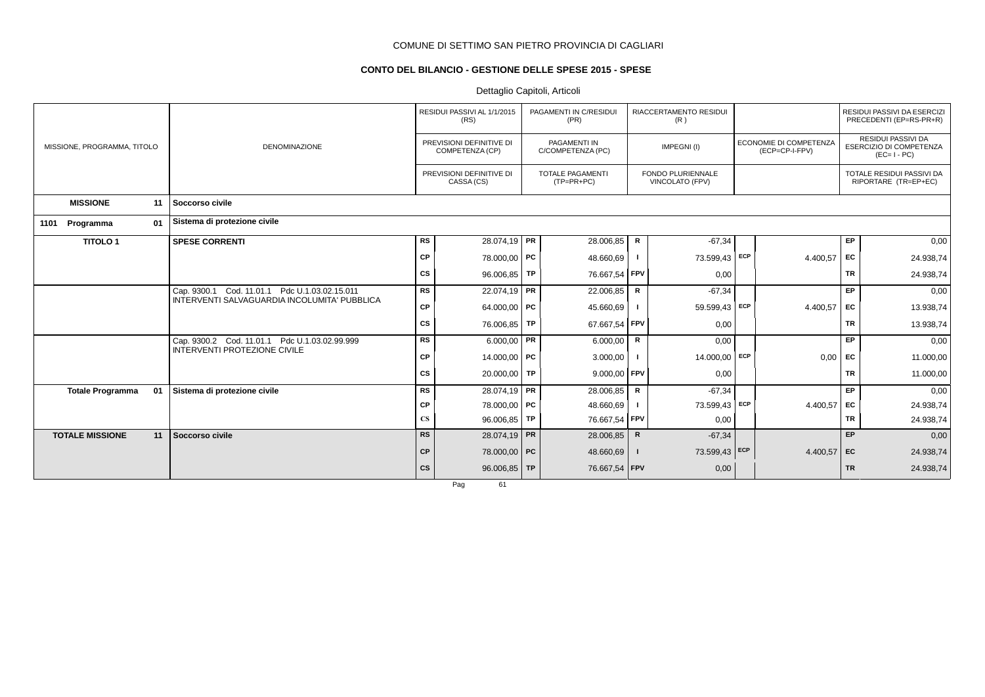## **CONTO DEL BILANCIO - GESTIONE DELLE SPESE 2015 - SPESE**

Dettaglio Capitoli, Articoli

|                               |                                                                               |                        | RESIDUI PASSIVI AL 1/1/2015<br>(RS)         | PAGAMENTI IN C/RESIDUI<br>(PR)        |             | <b>RIACCERTAMENTO RESIDUI</b><br>(R) |     |                                                 |           | RESIDUI PASSIVI DA ESERCIZI<br>PRECEDENTI (EP=RS-PR+R)       |
|-------------------------------|-------------------------------------------------------------------------------|------------------------|---------------------------------------------|---------------------------------------|-------------|--------------------------------------|-----|-------------------------------------------------|-----------|--------------------------------------------------------------|
| MISSIONE, PROGRAMMA, TITOLO   | <b>DENOMINAZIONE</b>                                                          |                        | PREVISIONI DEFINITIVE DI<br>COMPETENZA (CP) | PAGAMENTI IN<br>C/COMPETENZA (PC)     |             | IMPEGNI(I)                           |     | <b>ECONOMIE DI COMPETENZA</b><br>(ECP=CP-I-FPV) |           | RESIDUI PASSIVI DA<br>ESERCIZIO DI COMPETENZA<br>$(EC=I-PC)$ |
|                               |                                                                               |                        | PREVISIONI DEFINITIVE DI<br>CASSA (CS)      | <b>TOTALE PAGAMENTI</b><br>(TP=PR+PC) |             | FONDO PLURIENNALE<br>VINCOLATO (FPV) |     |                                                 |           | TOTALE RESIDUI PASSIVI DA<br>RIPORTARE (TR=EP+EC)            |
| <b>MISSIONE</b><br>11         | Soccorso civile                                                               |                        |                                             |                                       |             |                                      |     |                                                 |           |                                                              |
| 01<br>1101<br>Programma       | Sistema di protezione civile                                                  |                        |                                             |                                       |             |                                      |     |                                                 |           |                                                              |
| <b>TITOLO1</b>                | <b>SPESE CORRENTI</b>                                                         | RS                     | 28.074,19 PR                                | 28.006,85                             | R           | $-67,34$                             |     |                                                 | EP        | 0,00                                                         |
|                               |                                                                               | <b>CP</b>              | 78.000,00 PC                                | 48.660,69                             |             | 73.599,43                            | ECP | 4.400,57                                        | EC        | 24.938,74                                                    |
|                               |                                                                               | <b>CS</b>              | 96.006,85   TP                              | 76.667,54 FPV                         |             | 0,00                                 |     |                                                 | <b>TR</b> | 24.938,74                                                    |
|                               | Cap. 9300.1 Cod. 11.01.1 Pdc U.1.03.02.15.011                                 | <b>RS</b>              | 22.074,19   PR                              | 22.006,85                             | $\mathsf R$ | $-67,34$                             |     |                                                 | <b>EP</b> | 0,00                                                         |
|                               | INTERVENTI SALVAGUARDIA INCOLUMITA' PUBBLICA                                  | CP                     | 64.000,00 PC                                | 45.660,69                             |             | 59.599,43 ECP                        |     | 4.400,57                                        | EC        | 13.938,74                                                    |
|                               |                                                                               | <b>CS</b>              | 76.006,85 TP                                | 67.667,54 FPV                         |             | 0,00                                 |     |                                                 | <b>TR</b> | 13.938,74                                                    |
|                               | Cap. 9300.2 Cod. 11.01.1 Pdc U.1.03.02.99.999<br>INTERVENTI PROTEZIONE CIVILE | <b>RS</b>              | $6.000,00$ PR                               | 6.000,00                              | $\mathsf R$ | 0,00                                 |     |                                                 | <b>EP</b> | 0,00                                                         |
|                               |                                                                               | CP                     | 14.000,00   PC                              | 3.000,00                              |             | 14.000,00                            | ECP | 0,00                                            | EC        | 11.000,00                                                    |
|                               |                                                                               | CS                     | 20.000,00 TP                                | 9.000,00 FPV                          |             | 0,00                                 |     |                                                 | <b>TR</b> | 11.000,00                                                    |
| <b>Totale Programma</b><br>01 | Sistema di protezione civile                                                  | <b>RS</b>              | 28.074,19 PR                                | 28.006,85                             | $\mathbf R$ | $-67,34$                             |     |                                                 | <b>EP</b> | 0,00                                                         |
|                               |                                                                               | CP                     | 78.000,00 PC                                | 48.660,69                             |             | 73.599,43 ECP                        |     | 4.400,57                                        | EC        | 24.938,74                                                    |
|                               |                                                                               | $\mathbf{C}\mathbf{S}$ | $96.006,85$ TP                              | 76.667,54                             | FPV         | 0,00                                 |     |                                                 | <b>TR</b> | 24.938,74                                                    |
| <b>TOTALE MISSIONE</b><br>11  | Soccorso civile                                                               | <b>RS</b>              | 28.074,19 PR                                | 28.006,85                             | $\mathsf R$ | $-67,34$                             |     |                                                 | <b>EP</b> | 0,00                                                         |
|                               |                                                                               | <b>CP</b>              | 78.000,00 PC                                | 48.660,69                             |             | 73.599,43 ECP                        |     | 4.400,57                                        | <b>EC</b> | 24.938,74                                                    |
|                               |                                                                               | cs                     | $96.006,85$ TP                              | 76.667,54 FPV                         |             | 0,00                                 |     |                                                 | <b>TR</b> | 24.938,74                                                    |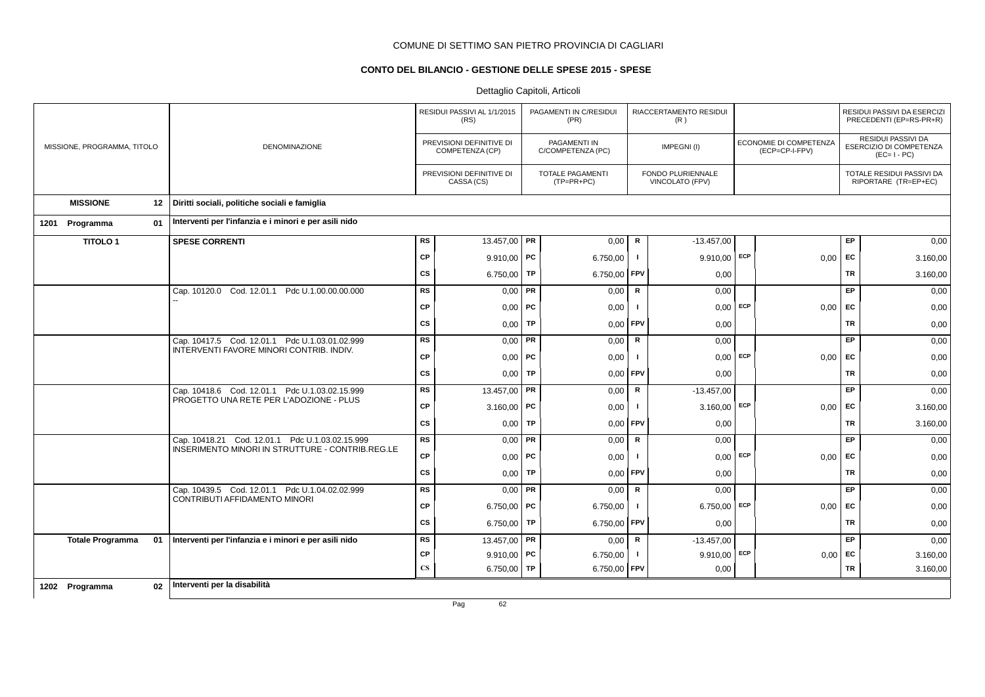## **CONTO DEL BILANCIO - GESTIONE DELLE SPESE 2015 - SPESE**

|                             |                         |    |                                                         |                        | RESIDUI PASSIVI AL 1/1/2015<br>(RS)         |    | PAGAMENTI IN C/RESIDUI<br>(PR)          |                | RIACCERTAMENTO RESIDUI<br>(R)        |            |                                          |           | RESIDUI PASSIVI DA ESERCIZI<br>PRECEDENTI (EP=RS-PR+R)       |
|-----------------------------|-------------------------|----|---------------------------------------------------------|------------------------|---------------------------------------------|----|-----------------------------------------|----------------|--------------------------------------|------------|------------------------------------------|-----------|--------------------------------------------------------------|
| MISSIONE, PROGRAMMA, TITOLO |                         |    | <b>DENOMINAZIONE</b>                                    |                        | PREVISIONI DEFINITIVE DI<br>COMPETENZA (CP) |    | PAGAMENTI IN<br>C/COMPETENZA (PC)       |                | IMPEGNI(I)                           |            | ECONOMIE DI COMPETENZA<br>(ECP=CP-I-FPV) |           | RESIDUI PASSIVI DA<br>ESERCIZIO DI COMPETENZA<br>$(EC=I-PC)$ |
|                             |                         |    |                                                         |                        | PREVISIONI DEFINITIVE DI<br>CASSA (CS)      |    | <b>TOTALE PAGAMENTI</b><br>$(TP=PR+PC)$ |                | FONDO PLURIENNALE<br>VINCOLATO (FPV) |            |                                          |           | TOTALE RESIDUI PASSIVI DA<br>RIPORTARE (TR=EP+EC)            |
| <b>MISSIONE</b>             |                         | 12 | Diritti sociali, politiche sociali e famiglia           |                        |                                             |    |                                         |                |                                      |            |                                          |           |                                                              |
| Programma<br>1201           |                         | 01 | Interventi per l'infanzia e i minori e per asili nido   |                        |                                             |    |                                         |                |                                      |            |                                          |           |                                                              |
| <b>TITOLO1</b>              |                         |    | <b>SPESE CORRENTI</b>                                   | <b>RS</b>              | 13.457,00 PR                                |    | 0,00                                    | R              | $-13.457,00$                         |            |                                          | EP.       | 0,00                                                         |
|                             |                         |    |                                                         | <b>CP</b>              | $9.910,00$ PC                               |    | 6.750,00                                | $\mathbf{I}$   | $9.910,00$ ECP                       |            | 0,00                                     | EC        | 3.160,00                                                     |
|                             |                         |    |                                                         | <b>CS</b>              | 6.750,00   TP                               |    | 6.750,00 FPV                            |                | 0,00                                 |            |                                          | <b>TR</b> | 3.160,00                                                     |
|                             |                         |    | Cap. 10120.0 Cod. 12.01.1 Pdc U.1.00.00.00.000          | <b>RS</b>              | $0,00$ PR                                   |    | 0,00                                    | R              | 0,00                                 |            |                                          | <b>EP</b> | 0,00                                                         |
|                             |                         |    |                                                         | <b>CP</b>              | $0.00$ PC                                   |    | 0,00                                    |                | $0,00$ ECP                           |            | 0,00                                     | EC        | 0,00                                                         |
|                             |                         |    |                                                         | <b>CS</b>              | $0,00$ TP                                   |    | 0,00                                    | <b>FPV</b>     | 0,00                                 |            |                                          | <b>TR</b> | 0,00                                                         |
|                             |                         |    | Cap. 10417.5 Cod. 12.01.1 Pdc U.1.03.01.02.999          | <b>RS</b>              | $0,00$ PR                                   |    | 0,00                                    | R              | 0,00                                 |            |                                          | EP        | 0,00                                                         |
|                             |                         |    | INTERVENTI FAVORE MINORI CONTRIB. INDIV.                | <b>CP</b>              | $0,00$ PC                                   |    | 0,00                                    | $\mathbf{I}$   | 0,00                                 | ECP        | 0,00                                     | EC        | 0,00                                                         |
|                             |                         |    |                                                         | <b>CS</b>              | $0,00$ TP                                   |    | $0,00$ FPV                              |                | 0,00                                 |            |                                          | TR        | 0,00                                                         |
|                             |                         |    | Cap. 10418.6 Cod. 12.01.1 Pdc U.1.03.02.15.999          | <b>RS</b>              | 13.457,00 PR                                |    | 0,00                                    | $\mathbf R$    | $-13.457,00$                         |            |                                          | <b>EP</b> | 0,00                                                         |
|                             |                         |    | PROGETTO UNA RETE PER L'ADOZIONE - PLUS                 | <b>CP</b>              | 3.160,00   PC                               |    | 0,00                                    | $\blacksquare$ | 3.160,00                             | ECP        | 0,00                                     | EC        | 3.160,00                                                     |
|                             |                         |    |                                                         | <b>CS</b>              | 0,00                                        | TP | 0,00                                    | <b>FPV</b>     | 0,00                                 |            |                                          | TR        | 3.160,00                                                     |
|                             |                         |    | Cap. 10418.21 Cod. 12.01.1 Pdc U.1.03.02.15.999         | <b>RS</b>              | $0,00$ PR                                   |    | 0,00                                    | $\mathbf R$    | 0,00                                 |            |                                          | <b>EP</b> | 0,00                                                         |
|                             |                         |    | <b>INSERIMENTO MINORI IN STRUTTURE - CONTRIB.REG.LE</b> | <b>CP</b>              | $0,00$ PC                                   |    | 0,00                                    | $\mathbf{I}$   | 0,00                                 | ECP        | 0,00                                     | <b>FC</b> | 0,00                                                         |
|                             |                         |    |                                                         | <b>CS</b>              | 0,00                                        | TP | $0,00$ FPV                              |                | 0,00                                 |            |                                          | TR        | 0,00                                                         |
|                             |                         |    | Cap. 10439.5 Cod. 12.01.1 Pdc U.1.04.02.02.999          | <b>RS</b>              | $0,00$ PR                                   |    | 0,00                                    | $\mathbf R$    | 0,00                                 |            |                                          | <b>EP</b> | 0,00                                                         |
|                             |                         |    | CONTRIBUTI AFFIDAMENTO MINORI                           | <b>CP</b>              | 6.750,00   PC                               |    | 6.750,00                                | $\mathbf{I}$   | 6.750,00                             | ECP        | 0,00                                     | EC        | 0,00                                                         |
|                             |                         |    |                                                         | <b>CS</b>              | 6.750,00   TP                               |    | 6.750,00                                | <b>FPV</b>     | 0,00                                 |            |                                          | <b>TR</b> | 0,00                                                         |
|                             | <b>Totale Programma</b> | 01 | Interventi per l'infanzia e i minori e per asili nido   | RS                     | 13.457,00 PR                                |    | 0,00                                    | R              | $-13.457,00$                         |            |                                          | <b>EP</b> | 0,00                                                         |
|                             |                         |    |                                                         | <b>CP</b>              | $9.910,00$ PC                               |    | 6.750,00                                | $\mathbf{I}$   | 9.910,00                             | <b>ECP</b> | $0,00$ EC                                |           | 3.160,00                                                     |
|                             |                         |    |                                                         | $\mathbf{C}\mathbf{S}$ | 6.750,00   TP                               |    | 6.750,00                                | <b>FPV</b>     | 0,00                                 |            |                                          | TR        | 3.160,00                                                     |
| 1202 Programma              |                         | 02 | Interventi per la disabilità                            |                        |                                             |    |                                         |                |                                      |            |                                          |           |                                                              |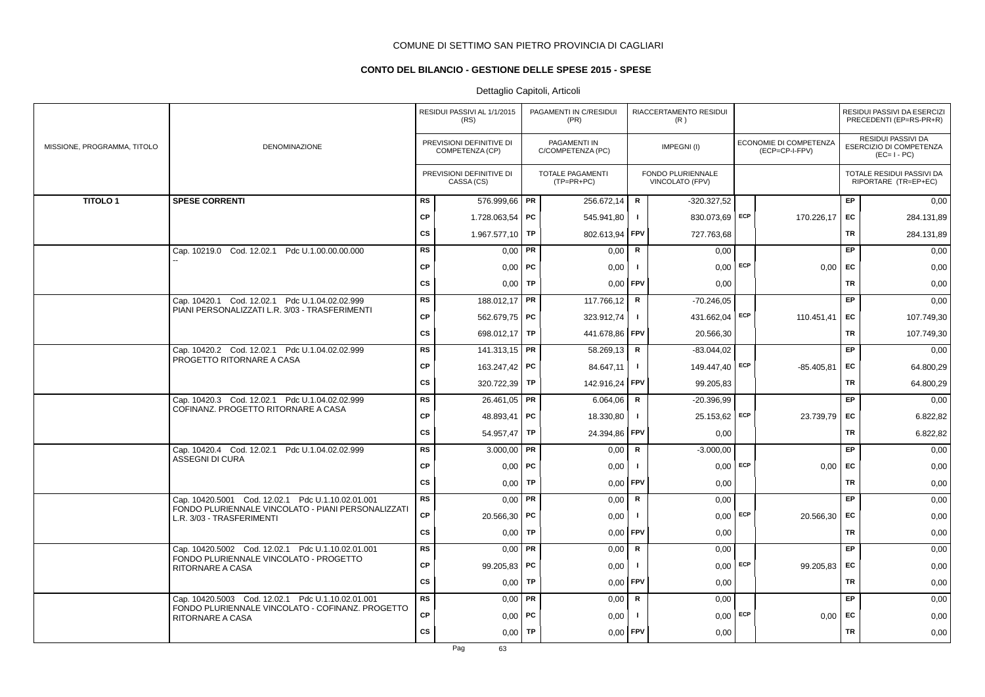## **CONTO DEL BILANCIO - GESTIONE DELLE SPESE 2015 - SPESE**

|                             |                                                                                 |           | RESIDUI PASSIVI AL 1/1/2015<br>(RS)         |           | PAGAMENTI IN C/RESIDUI<br>(PR)        |                | RIACCERTAMENTO RESIDUI<br>(R)        |     |                                          |           | RESIDUI PASSIVI DA ESERCIZI<br>PRECEDENTI (EP=RS-PR+R)       |
|-----------------------------|---------------------------------------------------------------------------------|-----------|---------------------------------------------|-----------|---------------------------------------|----------------|--------------------------------------|-----|------------------------------------------|-----------|--------------------------------------------------------------|
| MISSIONE, PROGRAMMA, TITOLO | DENOMINAZIONE                                                                   |           | PREVISIONI DEFINITIVE DI<br>COMPETENZA (CP) |           | PAGAMENTI IN<br>C/COMPETENZA (PC)     |                | IMPEGNI(I)                           |     | ECONOMIE DI COMPETENZA<br>(ECP=CP-I-FPV) |           | RESIDUI PASSIVI DA<br>ESERCIZIO DI COMPETENZA<br>$(EC=I-PC)$ |
|                             |                                                                                 |           | PREVISIONI DEFINITIVE DI<br>CASSA (CS)      |           | <b>TOTALE PAGAMENTI</b><br>(TP=PR+PC) |                | FONDO PLURIENNALE<br>VINCOLATO (FPV) |     |                                          |           | TOTALE RESIDUI PASSIVI DA<br>RIPORTARE (TR=EP+EC)            |
| <b>TITOLO1</b>              | <b>SPESE CORRENTI</b>                                                           | <b>RS</b> | 576.999,66   PR                             |           | 256.672.14                            | R              | $-320.327,52$                        |     |                                          | <b>EP</b> | 0,00                                                         |
|                             |                                                                                 | <b>CP</b> | 1.728.063,54 PC                             |           | 545.941,80                            | $\mathbf{I}$   | 830.073,69 ECP                       |     | 170.226,17                               | EC        | 284.131,89                                                   |
|                             |                                                                                 | <b>CS</b> | 1.967.577,10                                | TP        | 802.613,94                            | <b>FPV</b>     | 727.763,68                           |     |                                          | TR        | 284.131,89                                                   |
|                             | Cap. 10219.0 Cod. 12.02.1 Pdc U.1.00.00.00.000                                  | <b>RS</b> | 0,00                                        | <b>PR</b> | 0,00                                  | $\mathbf R$    | 0,00                                 |     |                                          | EP.       | 0,00                                                         |
|                             |                                                                                 | <b>CP</b> | $0,00$   PC                                 |           | 0,00                                  | $\mathbf{I}$   | 0,00                                 | ECP | 0,00                                     | <b>FC</b> | 0,00                                                         |
|                             |                                                                                 | <b>CS</b> | $0,00$ TP                                   |           | $0,00$ FPV                            |                | 0,00                                 |     |                                          | TR        | 0,00                                                         |
|                             | Cap. 10420.1 Cod. 12.02.1 Pdc U.1.04.02.02.999                                  | <b>RS</b> | 188.012,17   PR                             |           | 117.766,12                            | R              | $-70.246,05$                         |     |                                          | <b>EP</b> | 0,00                                                         |
|                             | PIANI PERSONALIZZATI L.R. 3/03 - TRASFERIMENTI                                  | <b>CP</b> | 562.679,75 PC                               |           | 323.912,74                            | $\mathbf{I}$   | 431.662,04                           | ECP | 110.451,41                               | EC        | 107.749,30                                                   |
|                             |                                                                                 | <b>CS</b> | 698.012,17 TP                               |           | 441.678,86 FPV                        |                | 20.566,30                            |     |                                          | TR        | 107.749,30                                                   |
|                             | Cap. 10420.2 Cod. 12.02.1 Pdc U.1.04.02.02.999                                  | <b>RS</b> | 141.313,15 <b>PR</b>                        |           | 58.269,13                             | R              | $-83.044.02$                         |     |                                          | <b>EP</b> | 0,00                                                         |
|                             | PROGETTO RITORNARE A CASA                                                       | <b>CP</b> | 163.247.42 PC                               |           | 84.647.11                             | $\mathbf{I}$   | 149.447,40 ECP                       |     | $-85.405.81$                             | EC        | 64.800,29                                                    |
|                             |                                                                                 | <b>CS</b> | 320.722,39 TP                               |           | 142.916,24                            | l FPV          | 99.205,83                            |     |                                          | TR        | 64.800,29                                                    |
|                             | Cap. 10420.3 Cod. 12.02.1 Pdc U.1.04.02.02.999                                  | <b>RS</b> | 26.461,05   PR                              |           | 6.064,06                              | $\mathbf R$    | -20.396,99                           |     |                                          | EP        | 0,00                                                         |
|                             | COFINANZ. PROGETTO RITORNARE A CASA                                             | <b>CP</b> | 48.893,41                                   | PC        | 18.330,80                             | $\mathbf{I}$   | 25.153,62                            | ECP | 23.739,79                                | EC        | 6.822,82                                                     |
|                             |                                                                                 | <b>CS</b> | $54.957,47$ TP                              |           | 24.394,86                             | <b>FPV</b>     | 0,00                                 |     |                                          | TR        | 6.822,82                                                     |
|                             | Cap. 10420.4 Cod. 12.02.1 Pdc U.1.04.02.02.999                                  | <b>RS</b> | $3.000,00$ PR                               |           | 0,00                                  | $\mathbf R$    | $-3.000,00$                          |     |                                          | EP        | 0,00                                                         |
|                             | <b>ASSEGNI DI CURA</b>                                                          | <b>CP</b> | $0,00$   PC                                 |           | 0,00                                  | $\blacksquare$ | 0.00                                 | ECP | 0,00                                     | EC        | 0,00                                                         |
|                             |                                                                                 | <b>CS</b> | $0,00$ TP                                   |           | 0,00                                  | <b>FPV</b>     | 0,00                                 |     |                                          | TR        | 0,00                                                         |
|                             | Cap. 10420.5001 Cod. 12.02.1 Pdc U.1.10.02.01.001                               | <b>RS</b> | $0,00$ PR                                   |           | 0,00                                  | R              | 0,00                                 |     |                                          | <b>EP</b> | 0,00                                                         |
|                             | FONDO PLURIENNALE VINCOLATO - PIANI PERSONALIZZATI<br>L.R. 3/03 - TRASFERIMENTI | <b>CP</b> | 20.566,30   PC                              |           | 0,00                                  | $\blacksquare$ | 0,00                                 | ECP | 20.566,30                                | EC        | 0,00                                                         |
|                             |                                                                                 | <b>CS</b> | $0,00$ TP                                   |           | 0.00                                  | <b>FPV</b>     | 0,00                                 |     |                                          | TR        | 0,00                                                         |
|                             | Cap. 10420.5002 Cod. 12.02.1 Pdc U.1.10.02.01.001                               | <b>RS</b> | $0,00$ PR                                   |           | 0,00                                  | $\mathbf R$    | 0,00                                 |     |                                          | EP        | 0,00                                                         |
|                             | FONDO PLURIENNALE VINCOLATO - PROGETTO<br><b>RITORNARE A CASA</b>               | CP        | 99.205,83 PC                                |           | 0,00                                  | $\blacksquare$ | 0,00                                 | ECP | 99.205,83                                | EC        | 0,00                                                         |
|                             |                                                                                 | <b>CS</b> | 0,00                                        | TP        | 0,00                                  | <b>FPV</b>     | 0,00                                 |     |                                          | TR        | 0,00                                                         |
|                             | Cap. 10420.5003 Cod. 12.02.1 Pdc U.1.10.02.01.001                               | <b>RS</b> | $0,00$ PR                                   |           | 0,00                                  | $\mathbf R$    | 0,00                                 |     |                                          | EP        | 0,00                                                         |
|                             | FONDO PLURIENNALE VINCOLATO - COFINANZ, PROGETTO<br>RITORNARE A CASA            | <b>CP</b> | $0,00$   PC                                 |           | 0,00                                  | -1             | 0,00                                 | ECP | 0,00                                     | EC        | 0,00                                                         |
|                             |                                                                                 | <b>CS</b> | 0,00                                        | TP        | 0,00                                  | <b>FPV</b>     | 0,00                                 |     |                                          | TR        | 0,00                                                         |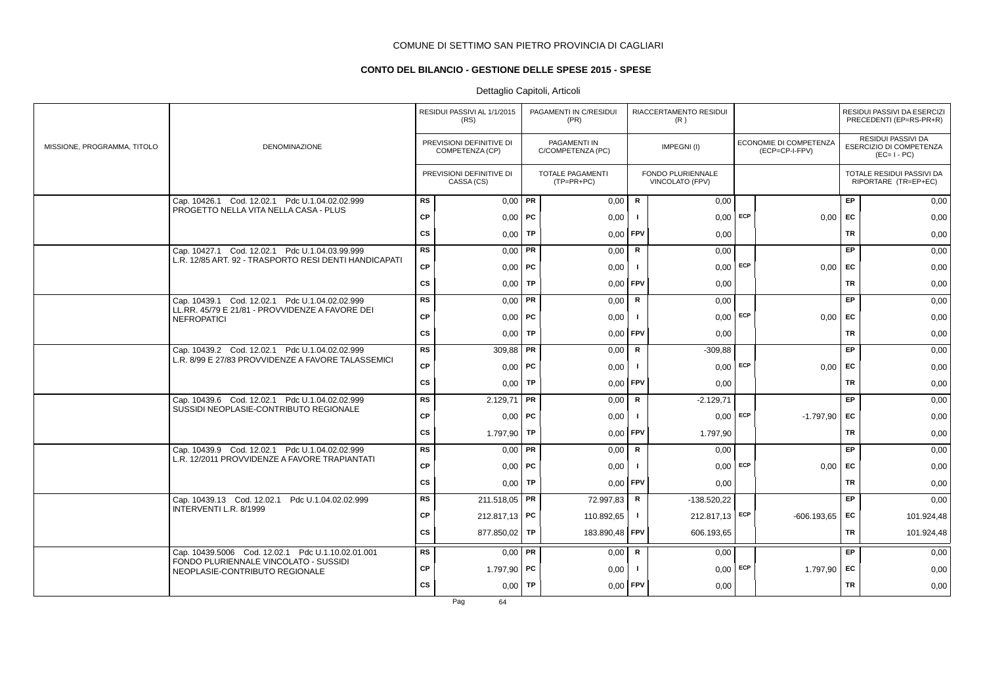## **CONTO DEL BILANCIO - GESTIONE DELLE SPESE 2015 - SPESE**

|                             |                                                                                                 |           | RESIDUI PASSIVI AL 1/1/2015<br>(RS)         |    | PAGAMENTI IN C/RESIDUI<br>(PR)          |                | RIACCERTAMENTO RESIDUI<br>(R)        |            |                                          |           | RESIDUI PASSIVI DA ESERCIZI<br>PRECEDENTI (EP=RS-PR+R)              |
|-----------------------------|-------------------------------------------------------------------------------------------------|-----------|---------------------------------------------|----|-----------------------------------------|----------------|--------------------------------------|------------|------------------------------------------|-----------|---------------------------------------------------------------------|
| MISSIONE, PROGRAMMA, TITOLO | <b>DENOMINAZIONE</b>                                                                            |           | PREVISIONI DEFINITIVE DI<br>COMPETENZA (CP) |    | PAGAMENTI IN<br>C/COMPETENZA (PC)       |                | IMPEGNI(I)                           |            | ECONOMIE DI COMPETENZA<br>(ECP=CP-I-FPV) |           | <b>RESIDUI PASSIVI DA</b><br>ESERCIZIO DI COMPETENZA<br>$(EC=I-PC)$ |
|                             |                                                                                                 |           | PREVISIONI DEFINITIVE DI<br>CASSA (CS)      |    | <b>TOTALE PAGAMENTI</b><br>$(TP=PR+PC)$ |                | FONDO PLURIENNALE<br>VINCOLATO (FPV) |            |                                          |           | TOTALE RESIDUI PASSIVI DA<br>RIPORTARE (TR=EP+EC)                   |
|                             | Cap. 10426.1 Cod. 12.02.1 Pdc U.1.04.02.02.999                                                  | <b>RS</b> | $0.00$ PR                                   |    | 0,00                                    | $\mathbf R$    | 0,00                                 |            |                                          | EP.       | 0,00                                                                |
|                             | PROGETTO NELLA VITA NELLA CASA - PLUS                                                           | <b>CP</b> | $0,00$   PC                                 |    | 0,00                                    | - 1            | 0.00                                 | ECP        | 0,00                                     | EC        | 0,00                                                                |
|                             |                                                                                                 | <b>CS</b> | $0,00$ TP                                   |    | $0.00$ FPV                              |                | 0.00                                 |            |                                          | TR        | 0,00                                                                |
|                             | Cap. 10427.1 Cod. 12.02.1 Pdc U.1.04.03.99.999                                                  | <b>RS</b> | $0,00$ PR                                   |    | 0,00                                    | R              | 0,00                                 |            |                                          | EP        | 0,00                                                                |
|                             | L.R. 12/85 ART. 92 - TRASPORTO RESI DENTI HANDICAPATI                                           | CP        | $0,00$ PC                                   |    | 0,00                                    |                |                                      | $0,00$ ECP | 0,00                                     | <b>FC</b> | 0,00                                                                |
|                             |                                                                                                 | <b>CS</b> | $0,00$ TP                                   |    | 0,00                                    | <b>FPV</b>     | 0,00                                 |            |                                          | TR        | 0,00                                                                |
|                             | Cap. 10439.1 Cod. 12.02.1 Pdc U.1.04.02.02.999                                                  | <b>RS</b> | $0,00$ PR                                   |    | 0,00                                    | $\mathbf R$    | 0,00                                 |            |                                          | <b>EP</b> | 0,00                                                                |
|                             | LL.RR. 45/79 E 21/81 - PROVVIDENZE A FAVORE DEI<br><b>NEFROPATICI</b>                           | <b>CP</b> | $0,00$   PC                                 |    | 0,00                                    | $\blacksquare$ | 0,00                                 | ECP        | 0,00                                     | EC        | 0,00                                                                |
|                             |                                                                                                 | <b>CS</b> | 0.00                                        | TP | 0.00                                    | <b>FPV</b>     | 0.00                                 |            |                                          | TR        | 0,00                                                                |
|                             | Cap. 10439.2 Cod. 12.02.1 Pdc U.1.04.02.02.999                                                  | <b>RS</b> | $309,88$ PR                                 |    | 0,00                                    | $\mathbf R$    | $-309,88$                            |            |                                          | <b>EP</b> | 0,00                                                                |
|                             | L.R. 8/99 E 27/83 PROVVIDENZE A FAVORE TALASSEMICI                                              | CP        | $0,00$ PC                                   |    | 0,00                                    |                | 0.00                                 | ECP        | 0,00                                     | EC        | 0,00                                                                |
|                             |                                                                                                 | <b>CS</b> | $0,00$ TP                                   |    | $0.00$ FPV                              |                | 0.00                                 |            |                                          | TR        | 0,00                                                                |
|                             | Cap. 10439.6 Cod. 12.02.1 Pdc U.1.04.02.02.999                                                  | <b>RS</b> | 2.129,71                                    | PR | 0,00                                    | R              | $-2.129,71$                          |            |                                          | <b>EP</b> | 0,00                                                                |
|                             | SUSSIDI NEOPLASIE-CONTRIBUTO REGIONALE                                                          | <b>CP</b> | $0,00$ PC                                   |    | 0,00                                    | Ι.             | 0,00                                 | ECP        | $-1.797,90$                              | <b>FC</b> | 0,00                                                                |
|                             |                                                                                                 | <b>CS</b> | 1.797,90                                    | TP | 0,00                                    | <b>FPV</b>     | 1.797,90                             |            |                                          | TR        | 0,00                                                                |
|                             | Cap. 10439.9 Cod. 12.02.1 Pdc U.1.04.02.02.999<br>L.R. 12/2011 PROVVIDENZE A FAVORE TRAPIANTATI | <b>RS</b> | $0.00$ PR                                   |    | 0,00                                    | R              | 0,00                                 |            |                                          | EP        | 0,00                                                                |
|                             |                                                                                                 | <b>CP</b> | $0,00$   PC                                 |    | 0,00                                    | - 1            | $0,00$ ECP                           |            | 0,00                                     | EC        | 0,00                                                                |
|                             |                                                                                                 | <b>CS</b> | $0,00$ TP                                   |    | $0.00$ FPV                              |                | 0.00                                 |            |                                          | <b>TR</b> | 0,00                                                                |
|                             | Cap. 10439.13 Cod. 12.02.1<br>Pdc U.1.04.02.02.999                                              | <b>RS</b> | 211.518,05   PR                             |    | 72.997,83                               | $\mathbf R$    | $-138.520,22$                        |            |                                          | EP        | 0,00                                                                |
|                             | INTERVENTI L.R. 8/1999                                                                          | <b>CP</b> | 212.817,13 PC                               |    | 110.892,65                              | $\mathbf{I}$   | 212.817,13 ECP                       |            | $-606.193.65$                            | EC        | 101.924,48                                                          |
|                             |                                                                                                 | <b>CS</b> | 877.850,02 TP                               |    | 183.890,48                              | <b>FPV</b>     | 606.193,65                           |            |                                          | TR        | 101.924,48                                                          |
|                             | Cap. 10439.5006 Cod. 12.02.1 Pdc U.1.10.02.01.001                                               | <b>RS</b> | $0,00$ PR                                   |    | 0,00                                    | R              | 0,00                                 |            |                                          | <b>EP</b> | 0,00                                                                |
|                             | FONDO PLURIENNALE VINCOLATO - SUSSIDI<br>NEOPLASIE-CONTRIBUTO REGIONALE                         | <b>CP</b> | 1.797,90 PC                                 |    | 0,00                                    |                | $0,00$ ECP                           |            | 1.797,90                                 | EC        | 0,00                                                                |
|                             |                                                                                                 | <b>CS</b> | $0,00$ TP                                   |    | 0,00                                    | FPV            | 0,00                                 |            |                                          | TR        | 0,00                                                                |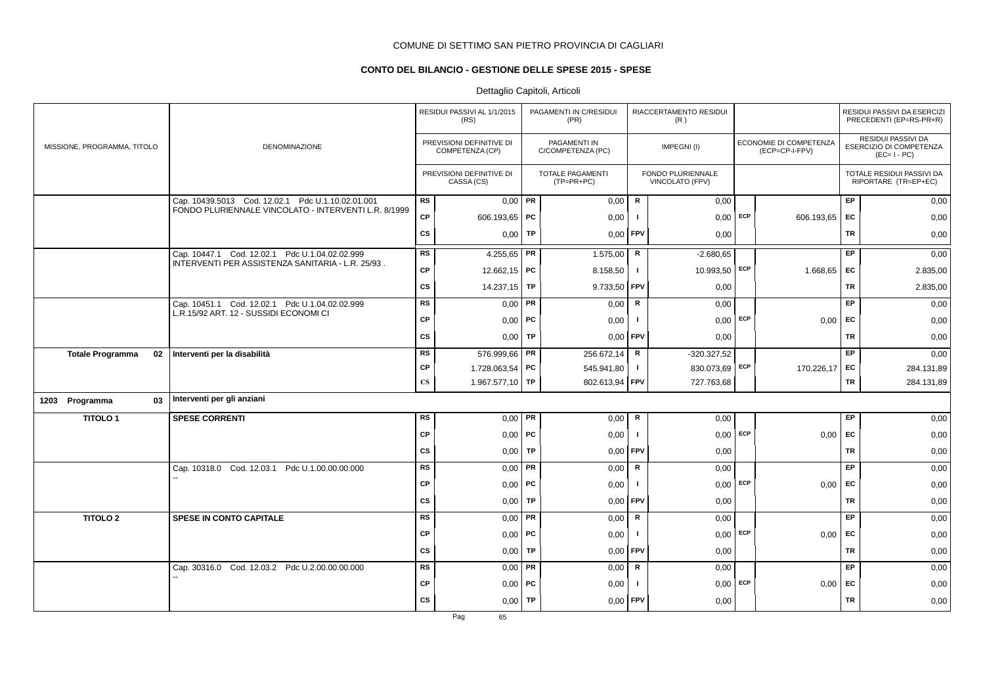## **CONTO DEL BILANCIO - GESTIONE DELLE SPESE 2015 - SPESE**

|                               |                                                                                                           |                        | RESIDUI PASSIVI AL 1/1/2015<br>(RS)         |           | PAGAMENTI IN C/RESIDUI<br>(PR)          |              | RIACCERTAMENTO RESIDUI<br>(R)        |     |                                          |           | RESIDUI PASSIVI DA ESERCIZI<br>PRECEDENTI (EP=RS-PR+R)       |
|-------------------------------|-----------------------------------------------------------------------------------------------------------|------------------------|---------------------------------------------|-----------|-----------------------------------------|--------------|--------------------------------------|-----|------------------------------------------|-----------|--------------------------------------------------------------|
| MISSIONE, PROGRAMMA, TITOLO   | <b>DENOMINAZIONE</b>                                                                                      |                        | PREVISIONI DEFINITIVE DI<br>COMPETENZA (CP) |           | PAGAMENTI IN<br>C/COMPETENZA (PC)       |              | IMPEGNI(I)                           |     | ECONOMIE DI COMPETENZA<br>(ECP=CP-I-FPV) |           | RESIDUI PASSIVI DA<br>ESERCIZIO DI COMPETENZA<br>$(EC=I-PC)$ |
|                               |                                                                                                           |                        | PREVISIONI DEFINITIVE DI<br>CASSA (CS)      |           | <b>TOTALE PAGAMENTI</b><br>$(TP=PR+PC)$ |              | FONDO PLURIENNALE<br>VINCOLATO (FPV) |     |                                          |           | TOTALE RESIDUI PASSIVI DA<br>RIPORTARE (TR=EP+EC)            |
|                               | Cap. 10439.5013 Cod. 12.02.1 Pdc U.1.10.02.01.001<br>FONDO PLURIENNALE VINCOLATO - INTERVENTI L.R. 8/1999 | <b>RS</b>              | $0,00$ PR                                   |           | 0,00                                    | R            | 0,00                                 |     |                                          | <b>EP</b> | 0,00                                                         |
|                               |                                                                                                           | <b>CP</b>              | 606.193,65 PC                               |           | 0,00                                    | -1           | 0,00                                 | ECP | 606.193,65                               | EC        | 0,00                                                         |
|                               |                                                                                                           | <b>CS</b>              | 0,00                                        | <b>TP</b> | 0,00                                    | <b>FPV</b>   | 0,00                                 |     |                                          | <b>TR</b> | 0,00                                                         |
|                               | Cap. 10447.1 Cod. 12.02.1 Pdc U.1.04.02.02.999                                                            | <b>RS</b>              | 4.255,65   PR                               |           | 1.575,00                                | R            | $-2.680,65$                          |     |                                          | EP.       | 0,00                                                         |
|                               | INTERVENTI PER ASSISTENZA SANITARIA - L.R. 25/93.                                                         | <b>CP</b>              | 12.662,15   PC                              |           | 8.158,50                                | $\mathbf{I}$ | 10.993,50 ECP                        |     | 1.668,65                                 | <b>EC</b> | 2.835,00                                                     |
|                               |                                                                                                           | <b>CS</b>              | 14.237,15 TP                                |           | 9.733,50                                | FPV          | 0,00                                 |     |                                          | TR        | 2.835,00                                                     |
|                               | Cap. 10451.1 Cod. 12.02.1 Pdc U.1.04.02.02.999                                                            | <b>RS</b>              | $0,00$ PR                                   |           | 0,00                                    | $\mathsf{R}$ | 0,00                                 |     |                                          | EP        | 0,00                                                         |
|                               | L.R.15/92 ART. 12 - SUSSIDI ECONOMI CI                                                                    | <b>CP</b>              | $0,00$ PC                                   |           | 0,00                                    | -1           | $0,00$ ECP                           |     | 0.00                                     | <b>EC</b> | 0,00                                                         |
|                               |                                                                                                           | CS                     | $0,00$ TP                                   |           | 0,00                                    | <b>FPV</b>   | 0,00                                 |     |                                          | TR        | 0,00                                                         |
| <b>Totale Programma</b><br>02 | Interventi per la disabilità                                                                              | <b>RS</b>              | 576.999,66   PR                             |           | 256.672,14                              | $\mathsf R$  | $-320.327,52$                        |     |                                          | EP.       | 0,00                                                         |
|                               |                                                                                                           | <b>CP</b>              | 1.728.063,54   PC                           |           | 545.941,80                              | $\mathbf{I}$ | 830.073,69 ECP                       |     | 170.226,17                               | EC        | 284.131,89                                                   |
|                               |                                                                                                           | $\mathbf{C}\mathbf{S}$ | 1.967.577,10 TP                             |           | 802.613,94                              | <b>FPV</b>   | 727.763,68                           |     |                                          | TR        | 284.131,89                                                   |
| 1203 Programma<br>03          | Interventi per gli anziani                                                                                |                        |                                             |           |                                         |              |                                      |     |                                          |           |                                                              |
| <b>TITOLO1</b>                | <b>SPESE CORRENTI</b>                                                                                     | <b>RS</b>              | $0,00$ PR                                   |           | 0,00                                    | R            | 0,00                                 |     |                                          | <b>EP</b> | 0,00                                                         |
|                               |                                                                                                           | <b>CP</b>              | $0,00$   PC                                 |           | 0,00                                    | $\mathbf{I}$ | 0,00                                 | ECP | 0,00                                     | EC        | 0,00                                                         |
|                               |                                                                                                           | <b>CS</b>              | 0,00                                        | TP        | 0,00                                    | FPV          | 0,00                                 |     |                                          | <b>TR</b> | 0,00                                                         |
|                               | Cap. 10318.0 Cod. 12.03.1 Pdc U.1.00.00.00.000                                                            | <b>RS</b>              | $0,00$ PR                                   |           | 0,00                                    | $\mathsf{R}$ | 0,00                                 |     |                                          | EP        | 0,00                                                         |
|                               |                                                                                                           | <b>CP</b>              | $0,00$ PC                                   |           | 0,00                                    | -1           | 0.00                                 | ECP | 0.00                                     | EC        | 0,00                                                         |
|                               |                                                                                                           | <b>CS</b>              | $0,00$ TP                                   |           | 0,00                                    | FPV          | 0,00                                 |     |                                          | <b>TR</b> | 0,00                                                         |
| <b>TITOLO 2</b>               | <b>SPESE IN CONTO CAPITALE</b>                                                                            | <b>RS</b>              | $0,00$ PR                                   |           | 0,00                                    | ${\sf R}$    | 0,00                                 |     |                                          | EP        | 0,00                                                         |
|                               |                                                                                                           | <b>CP</b>              | $0,00$ PC                                   |           | 0,00                                    | $\mathbf{I}$ | $0,00$ ECP                           |     | 0,00                                     | <b>EC</b> | 0,00                                                         |
|                               |                                                                                                           | <b>CS</b>              | 0,00                                        | TP        | 0,00                                    | FPV          | 0,00                                 |     |                                          | <b>TR</b> | 0,00                                                         |
|                               | Cap. 30316.0 Cod. 12.03.2 Pdc U.2.00.00.00.000                                                            | <b>RS</b>              | $0,00$ PR                                   |           | 0,00                                    | ${\sf R}$    | 0,00                                 |     |                                          | EP.       | 0,00                                                         |
|                               |                                                                                                           | <b>CP</b>              | $0,00$   PC                                 |           | 0,00                                    |              | 0,00                                 | ECP | 0,00                                     | EC        | 0,00                                                         |
|                               |                                                                                                           | <b>CS</b>              | $0,00$ TP                                   |           | 0,00                                    | FPV          | 0,00                                 |     |                                          | <b>TR</b> | 0,00                                                         |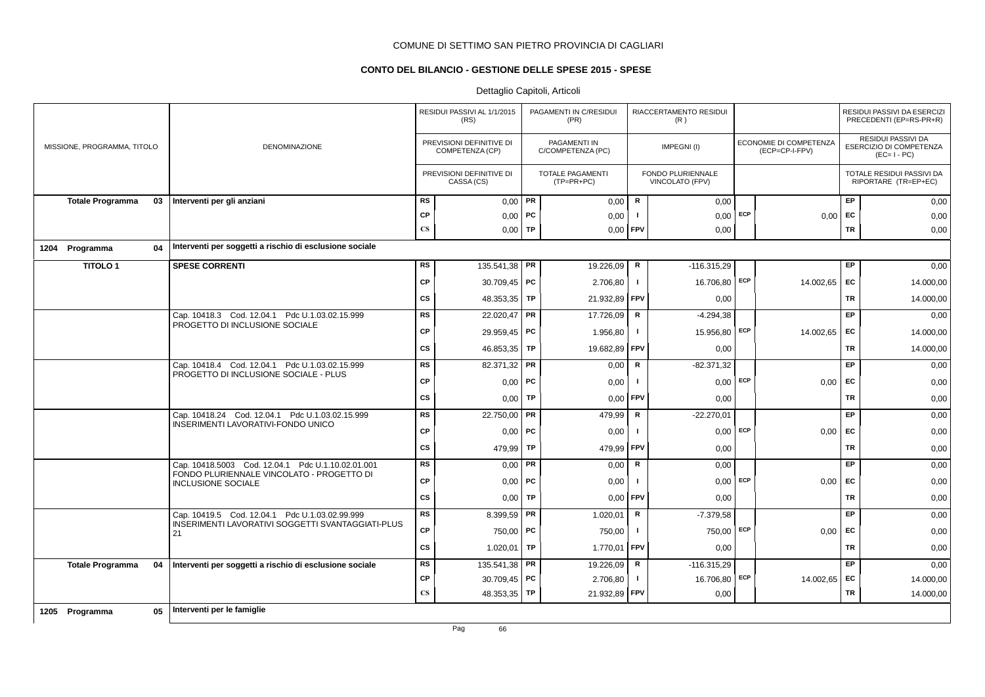## **CONTO DEL BILANCIO - GESTIONE DELLE SPESE 2015 - SPESE**

## Dettaglio Capitoli, Articoli

|                             |    |                                                                        |                        | RESIDUI PASSIVI AL 1/1/2015<br>(RS)         |    | PAGAMENTI IN C/RESIDUI<br>(PR)          |                | RIACCERTAMENTO RESIDUI<br>(R)               |            |                                          |           | RESIDUI PASSIVI DA ESERCIZI<br>PRECEDENTI (EP=RS-PR+R)       |
|-----------------------------|----|------------------------------------------------------------------------|------------------------|---------------------------------------------|----|-----------------------------------------|----------------|---------------------------------------------|------------|------------------------------------------|-----------|--------------------------------------------------------------|
| MISSIONE, PROGRAMMA, TITOLO |    | <b>DENOMINAZIONE</b>                                                   |                        | PREVISIONI DEFINITIVE DI<br>COMPETENZA (CP) |    | PAGAMENTI IN<br>C/COMPETENZA (PC)       |                | IMPEGNI(I)                                  |            | ECONOMIE DI COMPETENZA<br>(ECP=CP-I-FPV) |           | RESIDUI PASSIVI DA<br>ESERCIZIO DI COMPETENZA<br>$(EC=I-PC)$ |
|                             |    |                                                                        |                        | PREVISIONI DEFINITIVE DI<br>CASSA (CS)      |    | <b>TOTALE PAGAMENTI</b><br>$(TP=PR+PC)$ |                | FONDO PLURIENNALE<br><b>VINCOLATO (FPV)</b> |            |                                          |           | TOTALE RESIDUI PASSIVI DA<br>RIPORTARE (TR=EP+EC)            |
| <b>Totale Programma</b>     | 03 | Interventi per gli anziani                                             | <b>RS</b>              | $0,00$ PR                                   |    | 0,00                                    | $\mathbf R$    | 0,00                                        |            |                                          | EP        | 0,00                                                         |
|                             |    |                                                                        | <b>CP</b>              | 0,00                                        | PC | 0,00                                    | п              | 0,00                                        | ECP        | 0,00                                     | EC        | 0,00                                                         |
|                             |    |                                                                        | $\mathbf{C}\mathbf{S}$ | $0,00$ TP                                   |    | 0,00                                    | <b>FPV</b>     | 0,00                                        |            |                                          | <b>TR</b> | 0,00                                                         |
| 1204 Programma              | 04 | Interventi per soggetti a rischio di esclusione sociale                |                        |                                             |    |                                         |                |                                             |            |                                          |           |                                                              |
| <b>TITOLO1</b>              |    | <b>SPESE CORRENTI</b>                                                  | <b>RS</b>              | 135.541,38 <b>PR</b>                        |    | 19.226,09                               | $\mathbf R$    | $-116.315.29$                               |            |                                          | EP        | 0,00                                                         |
|                             |    |                                                                        | <b>CP</b>              | 30.709,45   PC                              |    | 2.706,80                                | $\mathbf{I}$   | 16.706,80                                   | ECP        | 14.002,65                                | EC        | 14.000,00                                                    |
|                             |    |                                                                        | <b>CS</b>              | 48.353,35   TP                              |    | 21.932,89                               | <b>FPV</b>     | 0,00                                        |            |                                          | TR        | 14.000,00                                                    |
|                             |    | Cap. 10418.3 Cod. 12.04.1 Pdc U.1.03.02.15.999                         | <b>RS</b>              | 22.020,47 PR                                |    | 17.726,09                               | $\mathbf R$    | $-4.294,38$                                 |            |                                          | EP        | 0,00                                                         |
|                             |    | PROGETTO DI INCLUSIONE SOCIALE                                         | <b>CP</b>              | 29.959,45   PC                              |    | 1.956,80                                | $\mathbf{I}$   | 15.956,80                                   | ECP        | 14.002,65                                | EC        | 14.000,00                                                    |
|                             |    |                                                                        | <b>CS</b>              | 46.853,35 TP                                |    | 19.682,89                               | <b>FPV</b>     | 0,00                                        |            |                                          | TR        | 14.000,00                                                    |
|                             |    | Cap. 10418.4 Cod. 12.04.1 Pdc U.1.03.02.15.999                         | <b>RS</b>              | 82.371,32 PR                                |    | 0,00                                    | R              | $-82.371,32$                                |            |                                          | EP        | 0,00                                                         |
|                             |    | PROGETTO DI INCLUSIONE SOCIALE - PLUS                                  | <b>CP</b>              | $0,00$ PC                                   |    | 0,00                                    | $\blacksquare$ | 0,00                                        | <b>ECP</b> | 0,00                                     | EC        | 0,00                                                         |
|                             |    |                                                                        | <b>CS</b>              | 0,00                                        | TP | 0,00                                    | <b>FPV</b>     | 0,00                                        |            |                                          | <b>TR</b> | 0,00                                                         |
|                             |    | Cap. 10418.24 Cod. 12.04.1 Pdc U.1.03.02.15.999                        | <b>RS</b>              | 22.750,00 PR                                |    | 479,99                                  | $\mathbf R$    | $-22.270,01$                                |            |                                          | EP        | 0,00                                                         |
|                             |    | INSERIMENTI LAVORATIVI-FONDO UNICO                                     | <b>CP</b>              | $0,00$ PC                                   |    | 0,00                                    |                | 0,00                                        | ECP        | 0,00                                     | EC        | 0,00                                                         |
|                             |    |                                                                        | <b>CS</b>              | 479,99 TP                                   |    | 479,99                                  | <b>FPV</b>     | 0,00                                        |            |                                          | TR        | 0,00                                                         |
|                             |    | Cap. 10418.5003 Cod. 12.04.1 Pdc U.1.10.02.01.001                      | <b>RS</b>              | $0,00$ PR                                   |    | 0,00                                    | $\mathbf R$    | 0,00                                        |            |                                          | EP        | 0,00                                                         |
|                             |    | FONDO PLURIENNALE VINCOLATO - PROGETTO DI<br><b>INCLUSIONE SOCIALE</b> | <b>CP</b>              | $0,00$ PC                                   |    | 0,00                                    |                | 0,00                                        | ECP        | 0,00                                     | EC        | 0,00                                                         |
|                             |    |                                                                        | <b>CS</b>              | 0,00                                        | TP | 0,00                                    | <b>FPV</b>     | 0,00                                        |            |                                          | TR        | 0,00                                                         |
|                             |    | Cap. 10419.5 Cod. 12.04.1 Pdc U.1.03.02.99.999                         | <b>RS</b>              | 8.399,59 PR                                 |    | 1.020,01                                | R              | $-7.379.58$                                 |            |                                          | EP        | 0,00                                                         |
|                             |    | INSERIMENTI LAVORATIVI SOGGETTI SVANTAGGIATI-PLUS<br>21                | <b>CP</b>              | 750,00 PC                                   |    | 750,00                                  | $\blacksquare$ | 750,00                                      | ECP        | 0,00                                     | EC        | 0,00                                                         |
|                             |    |                                                                        | CS                     | 1.020,01                                    | TP | 1.770,01                                | <b>FPV</b>     | 0,00                                        |            |                                          | TR        | 0,00                                                         |
| <b>Totale Programma</b>     | 04 | Interventi per soggetti a rischio di esclusione sociale                | <b>RS</b>              | 135.541,38 PR                               |    | 19.226,09                               | $\mathbf R$    | $-116.315,29$                               |            |                                          | EP        | 0,00                                                         |
|                             |    |                                                                        | CP                     | 30.709,45   PC                              |    | 2.706,80                                | $\mathbf{I}$   | 16.706,80                                   | ECP        | 14.002,65                                | EC        | 14.000,00                                                    |
|                             |    |                                                                        | $\mathbf{C}\mathbf{S}$ | 48.353,35 TP                                |    | 21.932,89 FPV                           |                | 0,00                                        |            |                                          | TR        | 14.000,00                                                    |
| 1205 Programma              | 05 | Interventi per le famiglie                                             |                        |                                             |    |                                         |                |                                             |            |                                          |           |                                                              |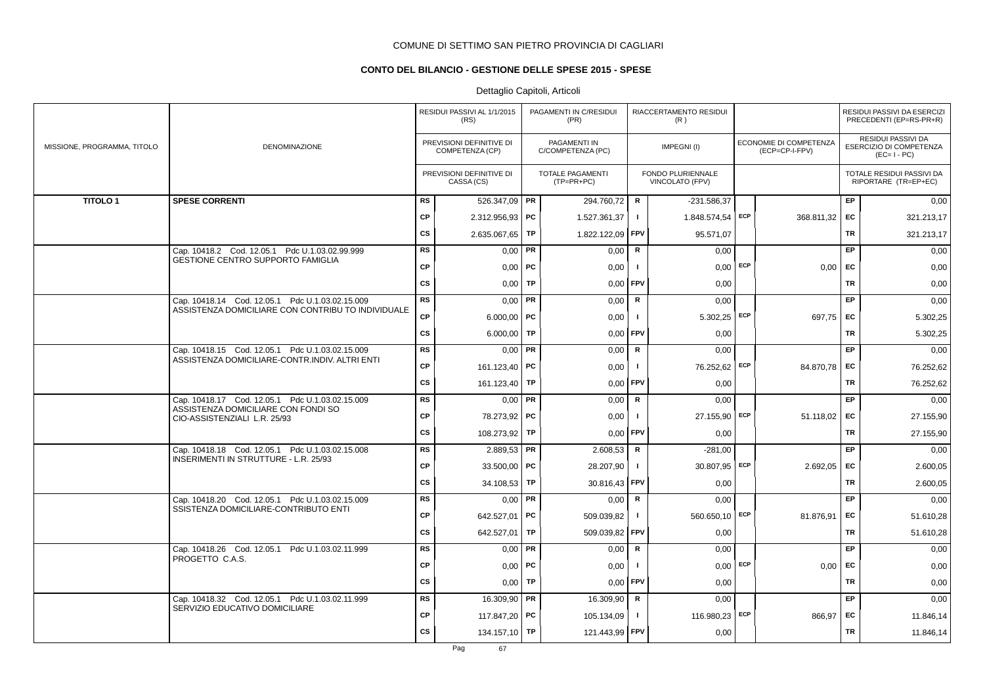## **CONTO DEL BILANCIO - GESTIONE DELLE SPESE 2015 - SPESE**

|                             |                                                                     |           | RESIDUI PASSIVI AL 1/1/2015<br>(RS)         |    | PAGAMENTI IN C/RESIDUI<br>(PR)        |                | RIACCERTAMENTO RESIDUI<br>(R)        |     |                                          |           | RESIDUI PASSIVI DA ESERCIZI<br>PRECEDENTI (EP=RS-PR+R)       |
|-----------------------------|---------------------------------------------------------------------|-----------|---------------------------------------------|----|---------------------------------------|----------------|--------------------------------------|-----|------------------------------------------|-----------|--------------------------------------------------------------|
| MISSIONE, PROGRAMMA, TITOLO | DENOMINAZIONE                                                       |           | PREVISIONI DEFINITIVE DI<br>COMPETENZA (CP) |    | PAGAMENTI IN<br>C/COMPETENZA (PC)     |                | IMPEGNI(I)                           |     | ECONOMIE DI COMPETENZA<br>(ECP=CP-I-FPV) |           | RESIDUI PASSIVI DA<br>ESERCIZIO DI COMPETENZA<br>$(EC=I-PC)$ |
|                             |                                                                     |           | PREVISIONI DEFINITIVE DI<br>CASSA (CS)      |    | <b>TOTALE PAGAMENTI</b><br>(TP=PR+PC) |                | FONDO PLURIENNALE<br>VINCOLATO (FPV) |     |                                          |           | TOTALE RESIDUI PASSIVI DA<br>RIPORTARE (TR=EP+EC)            |
| <b>TITOLO1</b>              | <b>SPESE CORRENTI</b>                                               | <b>RS</b> | 526.347,09   PR                             |    | 294.760,72                            | R              | $-231.586,37$                        |     |                                          | <b>EP</b> | 0,00                                                         |
|                             |                                                                     | <b>CP</b> | 2.312.956,93 PC                             |    | 1.527.361,37                          | $\mathbf{I}$   | 1.848.574,54 ECP                     |     | 368.811,32                               | EC        | 321.213,17                                                   |
|                             |                                                                     | <b>CS</b> | 2.635.067,65                                | TP | 1.822.122,09 FPV                      |                | 95.571,07                            |     |                                          | TR        | 321.213,17                                                   |
|                             | Cap. 10418.2 Cod. 12.05.1 Pdc U.1.03.02.99.999                      | <b>RS</b> | $0,00$ PR                                   |    | 0,00                                  | $\mathbf R$    | 0,00                                 |     |                                          | EP        | 0,00                                                         |
|                             | <b>GESTIONE CENTRO SUPPORTO FAMIGLIA</b>                            | CP        | $0,00$   PC                                 |    | 0,00                                  | $\mathbf{I}$   | 0,00                                 | ECP | 0,00                                     | EC        | 0,00                                                         |
|                             |                                                                     | <b>CS</b> | $0,00$ TP                                   |    | $0,00$ FPV                            |                | 0,00                                 |     |                                          | TR        | 0,00                                                         |
|                             | Cap. 10418.14 Cod. 12.05.1 Pdc U.1.03.02.15.009                     | <b>RS</b> | $0,00$ PR                                   |    | 0,00                                  | R              | 0,00                                 |     |                                          | <b>EP</b> | 0,00                                                         |
|                             | ASSISTENZA DOMICILIARE CON CONTRIBU TO INDIVIDUALE                  | <b>CP</b> | $6.000,00$ PC                               |    | 0,00                                  | $\mathbf{I}$   | $5.302,25$ ECP                       |     | 697,75                                   | EC        | 5.302,25                                                     |
|                             |                                                                     | <b>CS</b> | 6.000,00   TP                               |    | 0,00                                  | <b>FPV</b>     | 0,00                                 |     |                                          | TR        | 5.302,25                                                     |
|                             | Cap. 10418.15 Cod. 12.05.1 Pdc U.1.03.02.15.009                     | RS        | $0,00$ PR                                   |    | 0,00                                  | $\mathbf R$    | 0,00                                 |     |                                          | <b>EP</b> | 0,00                                                         |
|                             | ASSISTENZA DOMICILIARE-CONTR.INDIV. ALTRI ENTI                      | <b>CP</b> | 161.123,40 PC                               |    | 0,00                                  | $\mathbf{I}$   | 76.252,62 ECP                        |     | 84.870,78                                | EC        | 76.252,62                                                    |
|                             |                                                                     | CS        | 161.123,40   TP                             |    | $0,00$ FPV                            |                | 0,00                                 |     |                                          | TR        | 76.252,62                                                    |
|                             | Cap. 10418.17 Cod. 12.05.1 Pdc U.1.03.02.15.009                     | <b>RS</b> | $0,00$ PR                                   |    | 0,00                                  | $\mathbf R$    | 0,00                                 |     |                                          | EP        | 0,00                                                         |
|                             | ASSISTENZA DOMICILIARE CON FONDI SO<br>CIO-ASSISTENZIALI L.R. 25/93 | <b>CP</b> | 78.273,92 PC                                |    | 0,00                                  | Ι.             | 27.155,90                            | ECP | 51.118,02                                | EC        | 27.155,90                                                    |
|                             |                                                                     | <b>CS</b> | 108.273,92 TP                               |    | 0,00                                  | FPV            | 0,00                                 |     |                                          | TR        | 27.155,90                                                    |
|                             | Cap. 10418.18 Cod. 12.05.1 Pdc U.1.03.02.15.008                     | <b>RS</b> | $2.889,53$ PR                               |    | 2.608,53                              | $\mathbf R$    | $-281,00$                            |     |                                          | EP        | 0,00                                                         |
|                             | INSERIMENTI IN STRUTTURE - L.R. 25/93                               | <b>CP</b> | 33.500,00 PC                                |    | 28.207,90                             | $\mathbf{I}$   | 30.807,95 ECP                        |     | 2.692,05                                 | EC        | 2.600,05                                                     |
|                             |                                                                     | <b>CS</b> | 34.108,53 TP                                |    | 30.816,43 FPV                         |                | 0,00                                 |     |                                          | TR        | 2.600,05                                                     |
|                             | Cap. 10418.20 Cod. 12.05.1 Pdc U.1.03.02.15.009                     | <b>RS</b> | $0,00$ PR                                   |    | 0,00                                  | R              | 0,00                                 |     |                                          | <b>EP</b> | 0,00                                                         |
|                             | SSISTENZA DOMICILIARE-CONTRIBUTO ENTI                               | <b>CP</b> | 642.527,01                                  | PC | 509.039,82                            | $\mathbf{L}$   | 560.650,10                           | ECP | 81.876,91                                | EC        | 51.610,28                                                    |
|                             |                                                                     | <b>CS</b> | 642.527,01   TP                             |    | 509.039,82                            | <b>FPV</b>     | 0,00                                 |     |                                          | TR        | 51.610,28                                                    |
|                             | Cap. 10418.26 Cod. 12.05.1 Pdc U.1.03.02.11.999<br>PROGETTO C.A.S.  | <b>RS</b> | $0,00$ PR                                   |    | 0,00                                  | $\mathbf R$    | 0,00                                 |     |                                          | EP        | 0,00                                                         |
|                             |                                                                     | CP        | $0,00$ PC                                   |    | 0,00                                  | $\blacksquare$ | 0,00                                 | ECP | 0,00                                     | EC        | 0,00                                                         |
|                             |                                                                     | <b>CS</b> | $0,00$ TP                                   |    | 0,00                                  | <b>FPV</b>     | 0,00                                 |     |                                          | TR        | 0,00                                                         |
|                             | Cap. 10418.32 Cod. 12.05.1 Pdc U.1.03.02.11.999                     | <b>RS</b> | 16.309,90   PR                              |    | 16.309,90                             | $\mathbf R$    | 0,00                                 |     |                                          | EP        | 0,00                                                         |
|                             | SERVIZIO EDUCATIVO DOMICILIARE                                      | <b>CP</b> | 117.847,20 PC                               |    | 105.134,09                            | $\mathbf{I}$   | 116.980,23                           | ECP | 866,97                                   | EC        | 11.846,14                                                    |
|                             |                                                                     | <b>CS</b> | 134.157,10   TP                             |    | 121.443,99 FPV                        |                | 0,00                                 |     |                                          | TR        | 11.846,14                                                    |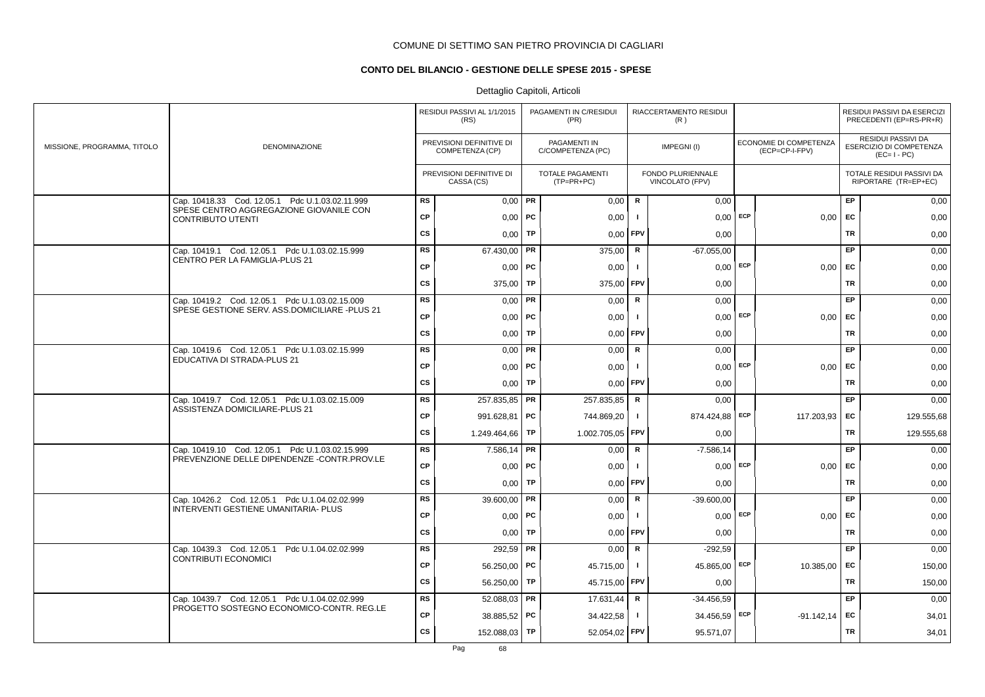## **CONTO DEL BILANCIO - GESTIONE DELLE SPESE 2015 - SPESE**

|                             |                                                                                            |           | RESIDUI PASSIVI AL 1/1/2015<br>(RS)         |           | PAGAMENTI IN C/RESIDUI<br>(PR)        |                | RIACCERTAMENTO RESIDUI<br>(R)        |            |                                          |           | RESIDUI PASSIVI DA ESERCIZI<br>PRECEDENTI (EP=RS-PR+R)       |
|-----------------------------|--------------------------------------------------------------------------------------------|-----------|---------------------------------------------|-----------|---------------------------------------|----------------|--------------------------------------|------------|------------------------------------------|-----------|--------------------------------------------------------------|
| MISSIONE, PROGRAMMA, TITOLO | DENOMINAZIONE                                                                              |           | PREVISIONI DEFINITIVE DI<br>COMPETENZA (CP) |           | PAGAMENTI IN<br>C/COMPETENZA (PC)     |                | IMPEGNI(I)                           |            | ECONOMIE DI COMPETENZA<br>(ECP=CP-I-FPV) |           | RESIDUI PASSIVI DA<br>ESERCIZIO DI COMPETENZA<br>$(EC=I-PC)$ |
|                             |                                                                                            |           | PREVISIONI DEFINITIVE DI<br>CASSA (CS)      |           | <b>TOTALE PAGAMENTI</b><br>(TP=PR+PC) |                | FONDO PLURIENNALE<br>VINCOLATO (FPV) |            |                                          |           | TOTALE RESIDUI PASSIVI DA<br>RIPORTARE (TR=EP+EC)            |
|                             | Cap. 10418.33 Cod. 12.05.1 Pdc U.1.03.02.11.999<br>SPESE CENTRO AGGREGAZIONE GIOVANILE CON | <b>RS</b> | $0,00$ PR                                   |           | 0,00                                  | R              | 0,00                                 |            |                                          | EP        | 0,00                                                         |
|                             | <b>CONTRIBUTO UTENTI</b>                                                                   | <b>CP</b> | 0,00                                        | ∣ PC      | 0,00                                  | -1             | 0,00                                 | ECP        | 0.00                                     | EC        | 0,00                                                         |
|                             |                                                                                            | <b>CS</b> | 0,00                                        | TP        | 0,00                                  | FPV            | 0,00                                 |            |                                          | <b>TR</b> | 0,00                                                         |
|                             | Cap. 10419.1 Cod. 12.05.1 Pdc U.1.03.02.15.999                                             | <b>RS</b> | 67.430,00                                   | PR        | 375,00                                | R              | $-67.055,00$                         |            |                                          | <b>EP</b> | 0,00                                                         |
|                             | CENTRO PER LA FAMIGLIA-PLUS 21                                                             | <b>CP</b> | $0,00$   PC                                 |           | 0,00                                  | $\mathbf{I}$   | $0.00$ ECP                           |            | $0,00$ EC                                |           | 0,00                                                         |
|                             |                                                                                            | <b>CS</b> | 375,00                                      | <b>TP</b> | 375,00                                | <b>FPV</b>     | 0,00                                 |            |                                          | <b>TR</b> | 0,00                                                         |
|                             | Cap. 10419.2 Cod. 12.05.1 Pdc U.1.03.02.15.009                                             | RS        | 0,00                                        | PR        | 0,00                                  | $\mathsf{R}$   | 0,00                                 |            |                                          | EP        | 0,00                                                         |
|                             | SPESE GESTIONE SERV. ASS.DOMICILIARE -PLUS 21                                              | <b>CP</b> | $0,00$   PC                                 |           | 0,00                                  | $\mathbf{I}$   | $0,00$ ECP                           |            | 0.00                                     | EC        | 0,00                                                         |
|                             |                                                                                            | <b>CS</b> | 0.00                                        | <b>TP</b> | 0,00                                  | FPV            | 0,00                                 |            |                                          | <b>TR</b> | 0,00                                                         |
|                             | Cap. 10419.6 Cod. 12.05.1 Pdc U.1.03.02.15.999                                             | RS        | $0,00$ PR                                   |           | 0,00                                  | R              | 0.00                                 |            |                                          | EP        | 0,00                                                         |
|                             | EDUCATIVA DI STRADA-PLUS 21                                                                | <b>CP</b> | $0,00$ PC                                   |           | 0,00                                  | -1             | $0.00$ ECP                           |            | 0.00                                     | EC        | 0,00                                                         |
|                             |                                                                                            | <b>CS</b> | 0,00                                        | <b>TP</b> | 0,00                                  | FPV            | 0,00                                 |            |                                          | <b>TR</b> | 0,00                                                         |
|                             | Cap. 10419.7 Cod. 12.05.1 Pdc U.1.03.02.15.009                                             | <b>RS</b> | 257.835,85                                  | PR        | 257.835,85                            | $\mathsf R$    | 0,00                                 |            |                                          | <b>EP</b> | 0,00                                                         |
|                             | ASSISTENZA DOMICILIARE-PLUS 21                                                             | CP        | 991.628,81                                  | PC        | 744.869,20                            | $\mathbf{I}$   | 874.424,88 ECP                       |            | 117.203,93                               | EC        | 129.555,68                                                   |
|                             |                                                                                            | CS        | 1.249.464,66                                | TP        | 1.002.705,05                          | <b>FPV</b>     | 0,00                                 |            |                                          | <b>TR</b> | 129.555,68                                                   |
|                             | Cap. 10419.10 Cod. 12.05.1 Pdc U.1.03.02.15.999                                            | RS        | 7.586,14                                    | PR        | 0,00                                  | $\mathbf R$    | $-7.586,14$                          |            |                                          | EP        | 0,00                                                         |
|                             | PREVENZIONE DELLE DIPENDENZE -CONTR.PROV.LE                                                | CP        | 0,00                                        | <b>PC</b> | 0,00                                  |                | 0,00                                 | <b>ECP</b> | 0,00                                     | <b>EC</b> | 0,00                                                         |
|                             |                                                                                            | CS        | 0,00                                        | TP        | 0,00                                  | FPV            | 0,00                                 |            |                                          | <b>TR</b> | 0,00                                                         |
|                             | Cap. 10426.2 Cod. 12.05.1 Pdc U.1.04.02.02.999                                             | <b>RS</b> | 39.600,00                                   | PR        | 0,00                                  | $\mathsf R$    | $-39.600,00$                         |            |                                          | EP.       | 0,00                                                         |
|                             | INTERVENTI GESTIENE UMANITARIA- PLUS                                                       | CP        | $0,00$   PC                                 |           | 0,00                                  | $\blacksquare$ | 0,00                                 | ECP        | 0,00                                     | EC        | 0,00                                                         |
|                             |                                                                                            | CS        | 0,00                                        | <b>TP</b> | 0,00                                  | FPV            | 0,00                                 |            |                                          | TR        | 0,00                                                         |
|                             | Cap. 10439.3 Cod. 12.05.1 Pdc U.1.04.02.02.999                                             | <b>RS</b> | 292,59                                      | PR        | 0,00                                  | $\mathsf{R}$   | $-292,59$                            |            |                                          | EP        | 0,00                                                         |
|                             | <b>CONTRIBUTI ECONOMICI</b>                                                                | <b>CP</b> | 56.250,00 PC                                |           | 45.715,00                             | $\mathbf{I}$   | 45.865,00                            | ECP        | 10.385,00                                | EC        | 150,00                                                       |
|                             |                                                                                            | CS        | 56.250,00                                   | TP        | 45.715,00                             | <b>FPV</b>     | 0,00                                 |            |                                          | TR        | 150,00                                                       |
|                             | Cap. 10439.7 Cod. 12.05.1 Pdc U.1.04.02.02.999                                             | <b>RS</b> | $52.088.03$ PR                              |           | 17.631,44                             | R              | $-34.456,59$                         |            |                                          | EP        | 0,00                                                         |
|                             | PROGETTO SOSTEGNO ECONOMICO-CONTR. REG.LE                                                  | <b>CP</b> | 38.885,52 PC                                |           | 34.422,58                             | $\mathbf{I}$   | 34.456,59 ECP                        |            | $-91.142,14$                             | EC        | 34,01                                                        |
|                             |                                                                                            | <b>CS</b> | 152.088,03                                  | <b>TP</b> | 52.054,02 FPV                         |                | 95.571,07                            |            |                                          | <b>TR</b> | 34,01                                                        |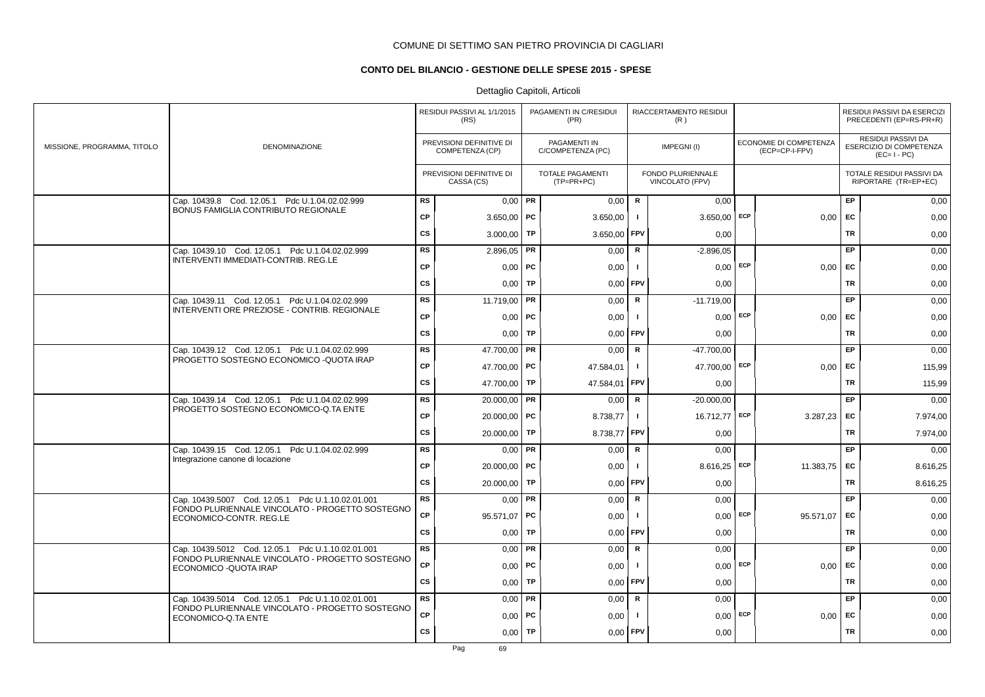## **CONTO DEL BILANCIO - GESTIONE DELLE SPESE 2015 - SPESE**

|                             |                                                                                       |           | RESIDUI PASSIVI AL 1/1/2015<br>(RS)         |           | PAGAMENTI IN C/RESIDUI<br>(PR)          |                | RIACCERTAMENTO RESIDUI<br>(R)        |     |                                          |           | RESIDUI PASSIVI DA ESERCIZI<br>PRECEDENTI (EP=RS-PR+R)       |
|-----------------------------|---------------------------------------------------------------------------------------|-----------|---------------------------------------------|-----------|-----------------------------------------|----------------|--------------------------------------|-----|------------------------------------------|-----------|--------------------------------------------------------------|
| MISSIONE, PROGRAMMA, TITOLO | <b>DENOMINAZIONE</b>                                                                  |           | PREVISIONI DEFINITIVE DI<br>COMPETENZA (CP) |           | PAGAMENTI IN<br>C/COMPETENZA (PC)       |                | IMPEGNI(I)                           |     | ECONOMIE DI COMPETENZA<br>(ECP=CP-I-FPV) |           | RESIDUI PASSIVI DA<br>ESERCIZIO DI COMPETENZA<br>$(EC=I-PC)$ |
|                             |                                                                                       |           | PREVISIONI DEFINITIVE DI<br>CASSA (CS)      |           | <b>TOTALE PAGAMENTI</b><br>$(TP=PR+PC)$ |                | FONDO PLURIENNALE<br>VINCOLATO (FPV) |     |                                          |           | TOTALE RESIDUI PASSIVI DA<br>RIPORTARE (TR=EP+EC)            |
|                             | Cap. 10439.8 Cod. 12.05.1 Pdc U.1.04.02.02.999<br>BONUS FAMIGLIA CONTRIBUTO REGIONALE | <b>RS</b> | $0,00$ PR                                   |           | 0,00                                    | $\mathsf{R}$   | 0,00                                 |     |                                          | EP        | 0,00                                                         |
|                             |                                                                                       | CP        | $3.650,00$ PC                               |           | 3.650,00                                | $\blacksquare$ | 3.650,00                             | ECP | 0,00                                     | <b>EC</b> | 0,00                                                         |
|                             |                                                                                       | cs        | 3.000,00                                    | TP        | 3.650,00                                | <b>FPV</b>     | 0,00                                 |     |                                          | <b>TR</b> | 0,00                                                         |
|                             | Cap. 10439.10 Cod. 12.05.1 Pdc U.1.04.02.02.999                                       | RS        | 2.896,05                                    | PR        | 0,00                                    | $\mathsf R$    | $-2.896,05$                          |     |                                          | EP        | 0,00                                                         |
|                             | INTERVENTI IMMEDIATI-CONTRIB. REG.LE                                                  | CP        | $0,00$   PC                                 |           | 0,00                                    | $\mathbf{I}$   | $0,00$ ECP                           |     | $0,00$ EC                                |           | 0,00                                                         |
|                             |                                                                                       | CS        | 0,00                                        | TP        | 0,00                                    | FPV            | 0,00                                 |     |                                          | <b>TR</b> | 0,00                                                         |
|                             | Cap. 10439.11 Cod. 12.05.1 Pdc U.1.04.02.02.999                                       | <b>RS</b> | 11.719,00                                   | PR        | 0,00                                    | R              | $-11.719,00$                         |     |                                          | <b>EP</b> | 0,00                                                         |
|                             | INTERVENTI ORE PREZIOSE - CONTRIB. REGIONALE                                          | <b>CP</b> | $0,00$   PC                                 |           | 0,00                                    | $\mathbf{I}$   | $0,00$ ECP                           |     | 0,00                                     | <b>FC</b> | 0,00                                                         |
|                             |                                                                                       | <b>CS</b> | 0,00                                        | TP        | 0,00                                    | <b>FPV</b>     | 0,00                                 |     |                                          | <b>TR</b> | 0,00                                                         |
|                             | Cap. 10439.12 Cod. 12.05.1 Pdc U.1.04.02.02.999                                       | RS        | 47.700.00                                   | PR        | 0,00                                    | R              | -47.700.00                           |     |                                          | EP        | 0,00                                                         |
|                             | PROGETTO SOSTEGNO ECONOMICO - QUOTA IRAP                                              | <b>CP</b> | 47.700.00 PC                                |           | 47.584,01                               | $\mathbf{I}$   | 47.700,00 ECP                        |     | 0.00                                     | EC        | 115,99                                                       |
|                             |                                                                                       | CS        | 47.700,00                                   | TP        | 47.584,01                               | FPV            | 0,00                                 |     |                                          | <b>TR</b> | 115,99                                                       |
|                             | Cap. 10439.14 Cod. 12.05.1 Pdc U.1.04.02.02.999                                       | RS        | 20.000,00                                   | PR        | 0,00                                    | $\mathsf{R}$   | $-20.000,00$                         |     |                                          | EP        | 0,00                                                         |
|                             | PROGETTO SOSTEGNO ECONOMICO-Q.TA ENTE                                                 | <b>CP</b> | $20.000,00$ PC                              |           | 8.738,77                                | $\mathbf{I}$   | 16.712,77 ECP                        |     | 3.287,23                                 | EC        | 7.974,00                                                     |
|                             |                                                                                       | <b>CS</b> | 20.000,00                                   | TP        | 8.738,77                                | FPV            | 0,00                                 |     |                                          | <b>TR</b> | 7.974,00                                                     |
|                             | Cap. 10439.15 Cod. 12.05.1 Pdc U.1.04.02.02.999                                       | RS        | $0,00$ PR                                   |           | 0,00                                    | R              | 0,00                                 |     |                                          | EP.       | 0,00                                                         |
|                             | Integrazione canone di locazione                                                      | <b>CP</b> | 20.000,00   PC                              |           | 0,00                                    |                | 8.616,25                             | ECP | 11.383,75                                | <b>EC</b> | 8.616,25                                                     |
|                             |                                                                                       | <b>CS</b> | 20.000,00                                   | TP        | 0,00                                    | FPV            | 0,00                                 |     |                                          | TR        | 8.616,25                                                     |
|                             | Cap. 10439.5007 Cod. 12.05.1 Pdc U.1.10.02.01.001                                     | <b>RS</b> | 0,00                                        | PR        | 0,00                                    | R              | 0,00                                 |     |                                          | <b>EP</b> | 0,00                                                         |
|                             | FONDO PLURIENNALE VINCOLATO - PROGETTO SOSTEGNO<br>ECONOMICO-CONTR. REG.LE            | <b>CP</b> | 95.571,07 PC                                |           | 0,00                                    | - 1            | 0.00                                 | ECP | 95.571.07                                | <b>EC</b> | 0,00                                                         |
|                             |                                                                                       | <b>CS</b> | 0,00                                        | TP        | 0,00                                    | FPV            | 0,00                                 |     |                                          | <b>TR</b> | 0,00                                                         |
|                             | Cap. 10439.5012 Cod. 12.05.1 Pdc U.1.10.02.01.001                                     | <b>RS</b> | $0.00$ PR                                   |           | 0,00                                    | $\mathbf R$    | 0,00                                 |     |                                          | EP        | 0,00                                                         |
|                             | FONDO PLURIENNALE VINCOLATO - PROGETTO SOSTEGNO<br>ECONOMICO - QUOTA IRAP             | CP        | 0,00                                        | <b>PC</b> | 0,00                                    | - 1            | 0,00                                 | ECP | 0,00                                     | EC        | 0,00                                                         |
|                             |                                                                                       | <b>CS</b> | 0,00                                        | TP        | 0,00                                    | FPV            | 0,00                                 |     |                                          | <b>TR</b> | 0,00                                                         |
|                             | Cap. 10439.5014 Cod. 12.05.1 Pdc U.1.10.02.01.001                                     | <b>RS</b> | $0,00$ PR                                   |           | 0,00                                    | $\mathsf R$    | 0,00                                 |     |                                          | EP        | 0,00                                                         |
|                             | FONDO PLURIENNALE VINCOLATO - PROGETTO SOSTEGNO<br>ECONOMICO-Q.TA ENTE                | CP        | 0,00                                        | <b>PC</b> | 0,00                                    |                | $0,00$ ECP                           |     | 0,00                                     | EC        | 0,00                                                         |
|                             |                                                                                       | <b>CS</b> | 0,00                                        | <b>TP</b> | 0,00                                    | FPV            | 0,00                                 |     |                                          | TR        | 0,00                                                         |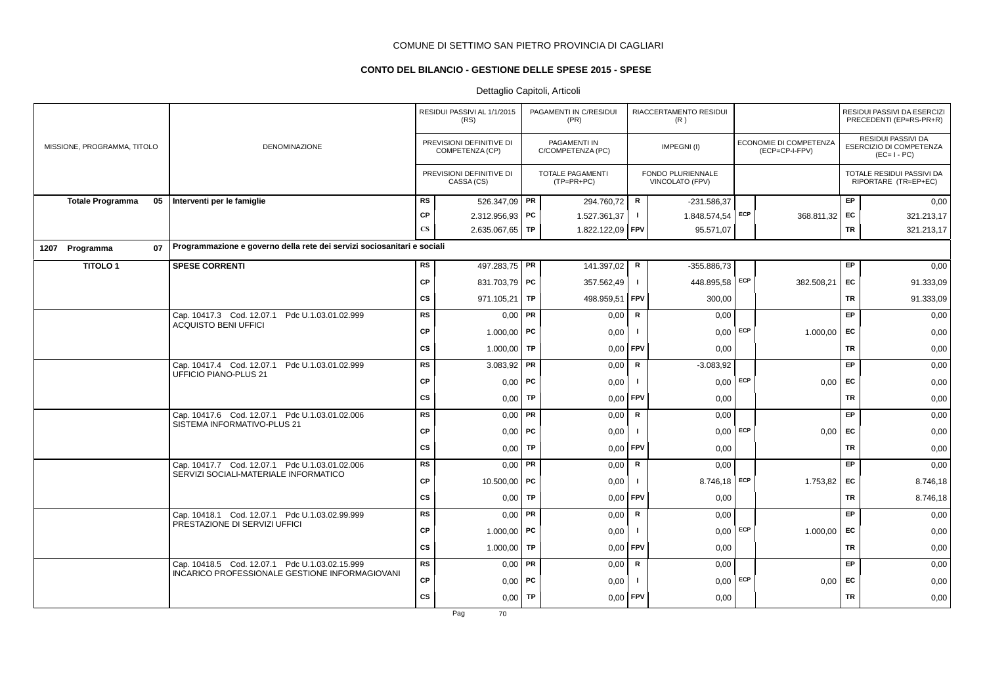## **CONTO DEL BILANCIO - GESTIONE DELLE SPESE 2015 - SPESE**

## Dettaglio Capitoli, Articoli

|                             |    |                                                                         |                        | RESIDUI PASSIVI AL 1/1/2015<br>(RS)         |           | PAGAMENTI IN C/RESIDUI<br>(PR)    |               | RIACCERTAMENTO RESIDUI<br>(R)        |     |                                          |           | RESIDUI PASSIVI DA ESERCIZI<br>PRECEDENTI (EP=RS-PR+R)              |
|-----------------------------|----|-------------------------------------------------------------------------|------------------------|---------------------------------------------|-----------|-----------------------------------|---------------|--------------------------------------|-----|------------------------------------------|-----------|---------------------------------------------------------------------|
| MISSIONE, PROGRAMMA, TITOLO |    | <b>DENOMINAZIONE</b>                                                    |                        | PREVISIONI DEFINITIVE DI<br>COMPETENZA (CP) |           | PAGAMENTI IN<br>C/COMPETENZA (PC) |               | IMPEGNI(I)                           |     | ECONOMIE DI COMPETENZA<br>(ECP=CP-I-FPV) |           | <b>RESIDUI PASSIVI DA</b><br>ESERCIZIO DI COMPETENZA<br>$(EC=I-PC)$ |
|                             |    |                                                                         |                        | PREVISIONI DEFINITIVE DI<br>CASSA (CS)      |           | TOTALE PAGAMENTI<br>$(TP=PR+PC)$  |               | FONDO PLURIENNALE<br>VINCOLATO (FPV) |     |                                          |           | TOTALE RESIDUI PASSIVI DA<br>RIPORTARE (TR=EP+EC)                   |
| <b>Totale Programma</b>     | 05 | Interventi per le famiglie                                              | <b>RS</b>              | 526.347,09 PR                               |           | 294.760,72                        | ${\mathbf R}$ | $-231.586,37$                        |     |                                          | EP        | 0,00                                                                |
|                             |    |                                                                         | <b>CP</b>              | $2.312.956.93$ PC                           |           | 1.527.361,37                      | J.            | 1.848.574,54 ECP                     |     | 368.811,32 EC                            |           | 321.213,17                                                          |
|                             |    |                                                                         | $\mathbf{C}\mathbf{S}$ | 2.635.067,65 TP                             |           | 1.822.122,09 FPV                  |               | 95.571,07                            |     |                                          | <b>TR</b> | 321.213,17                                                          |
| 1207 Programma              | 07 | Programmazione e governo della rete dei servizi sociosanitari e sociali |                        |                                             |           |                                   |               |                                      |     |                                          |           |                                                                     |
| <b>TITOLO1</b>              |    | <b>SPESE CORRENTI</b>                                                   | <b>RS</b>              | 497.283,75 PR                               |           | 141.397,02                        | R             | -355.886,73                          |     |                                          | EP        | 0,00                                                                |
|                             |    |                                                                         | <b>CP</b>              | 831.703,79 PC                               |           | 357.562,49                        | $\mathbf{I}$  | 448.895,58 ECP                       |     | 382.508,21                               | EC        | 91.333,09                                                           |
|                             |    |                                                                         | cs                     | 971.105,21                                  | TP        | 498.959,51                        | FPV           | 300,00                               |     |                                          | <b>TR</b> | 91.333,09                                                           |
|                             |    | Cap. 10417.3 Cod. 12.07.1 Pdc U.1.03.01.02.999                          | <b>RS</b>              | $0,00$ PR                                   |           | 0,00                              | R             | 0,00                                 |     |                                          | EP        | 0,00                                                                |
|                             |    | <b>ACQUISTO BENI UFFICI</b>                                             | <b>CP</b>              | 1.000,00   PC                               |           | 0,00                              |               | $0,00$ ECP                           |     | 1.000,00                                 | EC        | 0,00                                                                |
|                             |    |                                                                         | <b>CS</b>              | $1.000,00$ TP                               |           | 0,00                              | <b>FPV</b>    | 0,00                                 |     |                                          | <b>TR</b> | 0,00                                                                |
|                             |    | Cap. 10417.4 Cod. 12.07.1 Pdc U.1.03.01.02.999                          | <b>RS</b>              | $3.083,92$ PR                               |           | 0,00                              | R             | $-3.083,92$                          |     |                                          | EP        | 0,00                                                                |
|                             |    | UFFICIO PIANO-PLUS 21                                                   | <b>CP</b>              | $0,00$ PC                                   |           | 0,00                              | $\mathbf{I}$  | 0,00                                 | ECP | 0,00                                     | <b>FC</b> | 0,00                                                                |
|                             |    |                                                                         | <b>CS</b>              | $0,00$ TP                                   |           | 0,00                              | FPV           | 0,00                                 |     |                                          | <b>TR</b> | 0,00                                                                |
|                             |    | Cap. 10417.6 Cod. 12.07.1 Pdc U.1.03.01.02.006                          | <b>RS</b>              | $0,00$ PR                                   |           | 0,00                              | $\mathsf{R}$  | 0,00                                 |     |                                          | EP.       | 0,00                                                                |
|                             |    | SISTEMA INFORMATIVO-PLUS 21                                             | <b>CP</b>              | 0,00                                        | PC        | 0,00                              | -1            | 0,00                                 | ECP | 0,00                                     | <b>EC</b> | 0,00                                                                |
|                             |    |                                                                         | <b>CS</b>              | 0.00 <sub>1</sub>                           | <b>TP</b> | 0.00                              | FPV           | 0,00                                 |     |                                          | <b>TR</b> | 0,00                                                                |
|                             |    | Cap. 10417.7 Cod. 12.07.1 Pdc U.1.03.01.02.006                          | <b>RS</b>              | $0.00$ PR                                   |           | 0,00                              | R             | 0,00                                 |     |                                          | EP        | 0,00                                                                |
|                             |    | SERVIZI SOCIALI-MATERIALE INFORMATICO                                   | <b>CP</b>              | 10.500,00   PC                              |           | 0,00                              | -1            | 8.746,18 ECP                         |     | 1.753,82                                 | <b>FC</b> | 8.746,18                                                            |
|                             |    |                                                                         | <b>CS</b>              | $0,00$ TP                                   |           | 0,00                              | <b>FPV</b>    | 0,00                                 |     |                                          | <b>TR</b> | 8.746,18                                                            |
|                             |    | Cap. 10418.1 Cod. 12.07.1 Pdc U.1.03.02.99.999                          | <b>RS</b>              | $0.00$ PR                                   |           | 0,00                              | R             | 0.00                                 |     |                                          | EP        | 0,00                                                                |
|                             |    | PRESTAZIONE DI SERVIZI UFFICI                                           | CP                     | $1.000,00$ PC                               |           | 0,00                              | J.            | 0,00                                 | ECP | 1.000,00                                 | EC        | 0,00                                                                |
|                             |    |                                                                         | <b>CS</b>              | 1.000,00                                    | <b>TP</b> | 0,00                              | FPV           | 0,00                                 |     |                                          | <b>TR</b> | 0,00                                                                |
|                             |    | Cap. 10418.5 Cod. 12.07.1 Pdc U.1.03.02.15.999                          | <b>RS</b>              | $0,00$ PR                                   |           | 0,00                              | R             | 0,00                                 |     |                                          | EP        | 0,00                                                                |
|                             |    | INCARICO PROFESSIONALE GESTIONE INFORMAGIOVANI                          | CP                     | $0,00$ PC                                   |           | 0,00                              |               | $0,00$ ECP                           |     | 0,00                                     | EC        | 0,00                                                                |
|                             |    |                                                                         | cs                     | $0,00$ TP                                   |           | 0,00                              | <b>FPV</b>    | 0,00                                 |     |                                          | TR        | 0,00                                                                |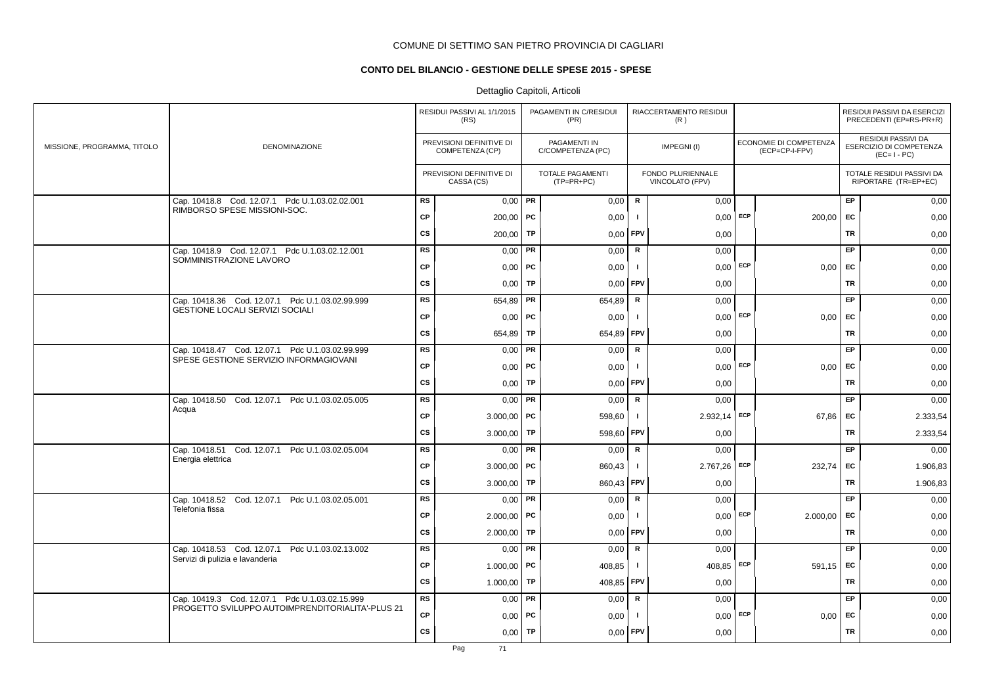## **CONTO DEL BILANCIO - GESTIONE DELLE SPESE 2015 - SPESE**

|                             |                                                                                |           | RESIDUI PASSIVI AL 1/1/2015<br>(RS)         |           | PAGAMENTI IN C/RESIDUI<br>(PR)        |              | RIACCERTAMENTO RESIDUI<br>(R)        |            |                                          |           | RESIDUI PASSIVI DA ESERCIZI<br>PRECEDENTI (EP=RS-PR+R)       |
|-----------------------------|--------------------------------------------------------------------------------|-----------|---------------------------------------------|-----------|---------------------------------------|--------------|--------------------------------------|------------|------------------------------------------|-----------|--------------------------------------------------------------|
| MISSIONE, PROGRAMMA, TITOLO | <b>DENOMINAZIONE</b>                                                           |           | PREVISIONI DEFINITIVE DI<br>COMPETENZA (CP) |           | PAGAMENTI IN<br>C/COMPETENZA (PC)     |              | IMPEGNI(I)                           |            | ECONOMIE DI COMPETENZA<br>(ECP=CP-I-FPV) |           | RESIDUI PASSIVI DA<br>ESERCIZIO DI COMPETENZA<br>$(EC=I-PC)$ |
|                             |                                                                                |           | PREVISIONI DEFINITIVE DI<br>CASSA (CS)      |           | <b>TOTALE PAGAMENTI</b><br>(TP=PR+PC) |              | FONDO PLURIENNALE<br>VINCOLATO (FPV) |            |                                          |           | TOTALE RESIDUI PASSIVI DA<br>RIPORTARE (TR=EP+EC)            |
|                             | Cap. 10418.8 Cod. 12.07.1 Pdc U.1.03.02.02.001<br>RIMBORSO SPESE MISSIONI-SOC. | <b>RS</b> | $0,00$ PR                                   |           | 0,00                                  | $\mathsf{R}$ | 0,00                                 |            |                                          | EP        | 0,00                                                         |
|                             |                                                                                | <b>CP</b> | $200,00$ PC                                 |           | 0,00                                  | -1           | 0,00                                 | ECP        | 200,00                                   | EC        | 0,00                                                         |
|                             |                                                                                | <b>CS</b> | 200,00                                      | TP        | 0,00                                  | FPV          | 0,00                                 |            |                                          | <b>TR</b> | 0,00                                                         |
|                             | Cap. 10418.9 Cod. 12.07.1 Pdc U.1.03.02.12.001<br>SOMMINISTRAZIONE LAVORO      | <b>RS</b> | 0,00                                        | PR        | 0,00                                  | R            | 0,00                                 |            |                                          | EP.       | 0,00                                                         |
|                             |                                                                                | <b>CP</b> | $0,00$   PC                                 |           | 0,00                                  | $\mathbf{I}$ |                                      | $0,00$ ECP | 0.00                                     | <b>EC</b> | 0,00                                                         |
|                             |                                                                                | <b>CS</b> | $0.00$ TP                                   |           | 0,00                                  | FPV          | 0,00                                 |            |                                          | <b>TR</b> | 0,00                                                         |
|                             | Cap. 10418.36 Cod. 12.07.1 Pdc U.1.03.02.99.999                                | <b>RS</b> | 654,89                                      | PR        | 654,89                                | ${\sf R}$    | 0,00                                 |            |                                          | EP        | 0,00                                                         |
|                             | GESTIONE LOCALI SERVIZI SOCIALI                                                | CP        | $0,00$   PC                                 |           | 0,00                                  | $\mathbf{I}$ | $0,00$ ECP                           |            | 0,00                                     | EC        | 0,00                                                         |
|                             |                                                                                | <b>CS</b> | 654,89                                      | TP        | 654,89                                | FPV          | 0,00                                 |            |                                          | TR        | 0,00                                                         |
|                             | Cap. 10418.47 Cod. 12.07.1 Pdc U.1.03.02.99.999                                | <b>RS</b> | 0,00                                        | PR        | 0,00                                  | R            | 0,00                                 |            |                                          | EP        | 0,00                                                         |
|                             | SPESE GESTIONE SERVIZIO INFORMAGIOVANI                                         | <b>CP</b> | $0,00$   PC                                 |           | 0,00                                  | -1           |                                      | $0,00$ ECP | 0.00                                     | <b>EC</b> | 0,00                                                         |
|                             |                                                                                | cs        | 0,00                                        | <b>TP</b> | 0,00                                  | FPV          | 0,00                                 |            |                                          | <b>TR</b> | 0,00                                                         |
|                             | Cap. 10418.50 Cod. 12.07.1 Pdc U.1.03.02.05.005                                | RS        | $0,00$ PR                                   |           | 0,00                                  | $\mathsf{R}$ | 0,00                                 |            |                                          | EP        | 0,00                                                         |
|                             | Acqua                                                                          | CP        | $3.000,00$ PC                               |           | 598,60                                | -1           | 2.932,14                             | ECP        | 67,86                                    | <b>EC</b> | 2.333,54                                                     |
|                             |                                                                                | <b>CS</b> | 3.000,00                                    | TP        | 598,60                                | FPV          | 0,00                                 |            |                                          | TR        | 2.333,54                                                     |
|                             | Cap. 10418.51 Cod. 12.07.1 Pdc U.1.03.02.05.004                                | <b>RS</b> | 0,00                                        | PR        | 0,00                                  | R            | 0,00                                 |            |                                          | <b>EP</b> | 0,00                                                         |
|                             | Energia elettrica                                                              | <b>CP</b> | $3.000,00$ PC                               |           | 860,43                                | -1           | $2.767,26$ ECP                       |            | 232.74                                   | EC        | 1.906,83                                                     |
|                             |                                                                                | CS        | 3.000,00                                    | TP        | 860,43                                | <b>FPV</b>   | 0,00                                 |            |                                          | TR        | 1.906,83                                                     |
|                             | Cap. 10418.52 Cod. 12.07.1 Pdc U.1.03.02.05.001                                | RS        | 0,00                                        | PR        | 0,00                                  | $\mathsf{R}$ | 0,00                                 |            |                                          | EP        | 0,00                                                         |
|                             | Telefonia fissa                                                                | CP        | $2.000,00$ PC                               |           | 0,00                                  | - 1          | $0,00$ ECP                           |            | 2.000,00                                 | EC        | 0,00                                                         |
|                             |                                                                                | <b>CS</b> | 2.000,00                                    | TP        | 0,00                                  | <b>FPV</b>   | 0,00                                 |            |                                          | TR        | 0,00                                                         |
|                             | Cap. 10418.53 Cod. 12.07.1 Pdc U.1.03.02.13.002                                | RS        | $0,00$ PR                                   |           | 0,00                                  | $\mathbf R$  | 0,00                                 |            |                                          | EP        | 0,00                                                         |
|                             | Servizi di pulizia e lavanderia                                                | <b>CP</b> | 1.000,00   PC                               |           | 408,85                                | $\mathbf{I}$ | 408.85                               | ECP        | 591.15                                   | <b>EC</b> | 0,00                                                         |
|                             |                                                                                | <b>CS</b> | 1.000,00                                    | TP        | 408,85                                | <b>FPV</b>   | 0,00                                 |            |                                          | <b>TR</b> | 0,00                                                         |
|                             | Cap. 10419.3 Cod. 12.07.1 Pdc U.1.03.02.15.999                                 | <b>RS</b> | 0,00                                        | <b>PR</b> | 0,00                                  | $\mathbf R$  | 0,00                                 |            |                                          | EP        | 0,00                                                         |
|                             | PROGETTO SVILUPPO AUTOIMPRENDITORIALITA'-PLUS 21                               | CP        | $0,00$   PC                                 |           | 0,00                                  | -1           | 0,00                                 | ECP        | 0,00                                     | EC        | 0,00                                                         |
|                             |                                                                                | <b>CS</b> | 0,00                                        | <b>TP</b> | 0,00                                  | FPV          | 0,00                                 |            |                                          | <b>TR</b> | 0,00                                                         |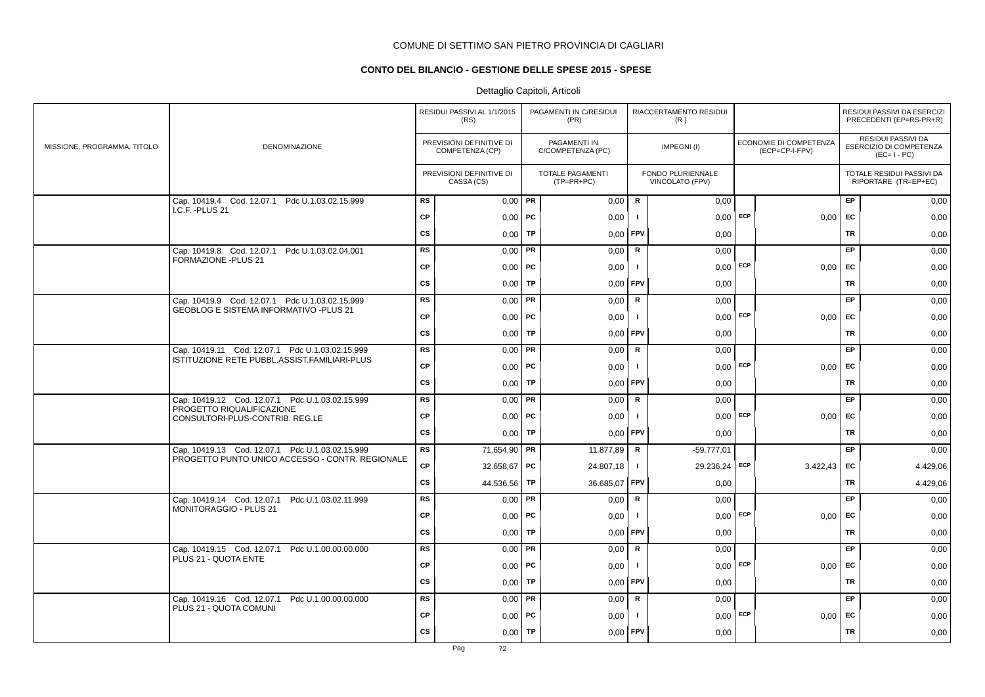## **CONTO DEL BILANCIO - GESTIONE DELLE SPESE 2015 - SPESE**

|                             |                                                                                          |           | RESIDUI PASSIVI AL 1/1/2015<br>(RS)         |    | PAGAMENTI IN C/RESIDUI<br>(PR)        |               | RIACCERTAMENTO RESIDUI<br>(R)        |            |                                          |           | RESIDUI PASSIVI DA ESERCIZI<br>PRECEDENTI (EP=RS-PR+R)       |
|-----------------------------|------------------------------------------------------------------------------------------|-----------|---------------------------------------------|----|---------------------------------------|---------------|--------------------------------------|------------|------------------------------------------|-----------|--------------------------------------------------------------|
| MISSIONE, PROGRAMMA, TITOLO | DENOMINAZIONE                                                                            |           | PREVISIONI DEFINITIVE DI<br>COMPETENZA (CP) |    | PAGAMENTI IN<br>C/COMPETENZA (PC)     |               | IMPEGNI(I)                           |            | ECONOMIE DI COMPETENZA<br>(ECP=CP-I-FPV) |           | RESIDUI PASSIVI DA<br>ESERCIZIO DI COMPETENZA<br>$(EC=I-PC)$ |
|                             |                                                                                          |           | PREVISIONI DEFINITIVE DI<br>CASSA (CS)      |    | <b>TOTALE PAGAMENTI</b><br>(TP=PR+PC) |               | FONDO PLURIENNALE<br>VINCOLATO (FPV) |            |                                          |           | TOTALE RESIDUI PASSIVI DA<br>RIPORTARE (TR=EP+EC)            |
|                             | Cap. 10419.4 Cod. 12.07.1 Pdc U.1.03.02.15.999<br>I.C.F. - PLUS 21                       | <b>RS</b> | $0,00$ PR                                   |    | 0,00                                  | $\mathsf{R}$  | 0,00                                 |            |                                          | EP        | 0,00                                                         |
|                             |                                                                                          | <b>CP</b> | $0,00$   PC                                 |    | 0,00                                  | $\mathbf{I}$  | $0,00$ ECP                           |            | 0,00                                     | EC        | 0,00                                                         |
|                             |                                                                                          | <b>CS</b> | 0.00                                        | TP | 0,00                                  | <b>FPV</b>    | 0,00                                 |            |                                          | <b>TR</b> | 0,00                                                         |
|                             | Cap. 10419.8 Cod. 12.07.1 Pdc U.1.03.02.04.001<br>FORMAZIONE - PLUS 21                   | <b>RS</b> | 0,00                                        | PR | 0,00                                  | $\mathsf R$   | 0,00                                 |            |                                          | EP        | 0,00                                                         |
|                             |                                                                                          | <b>CP</b> | $0,00$   PC                                 |    | 0,00                                  | $\mathbf{I}$  | $0,00$ ECP                           |            | $0,00$ EC                                |           | 0,00                                                         |
|                             |                                                                                          | <b>CS</b> | $0,00$ TP                                   |    | 0,00                                  | FPV           | 0,00                                 |            |                                          | TR        | 0,00                                                         |
|                             | Cap. 10419.9 Cod. 12.07.1 Pdc U.1.03.02.15.999<br>GEOBLOG E SISTEMA INFORMATIVO -PLUS 21 | <b>RS</b> | $0,00$ PR                                   |    | 0,00                                  | R             | 0,00                                 |            |                                          | <b>EP</b> | 0,00                                                         |
|                             |                                                                                          | <b>CP</b> | $0,00$   PC                                 |    | 0,00                                  | $\mathbf{I}$  | $0,00$ ECP                           |            | $0,00$ EC                                |           | 0,00                                                         |
|                             |                                                                                          | <b>CS</b> | $0,00$ TP                                   |    | 0,00                                  | FPV           | 0,00                                 |            |                                          | <b>TR</b> | 0,00                                                         |
|                             | Cap. 10419.11 Cod. 12.07.1 Pdc U.1.03.02.15.999                                          | <b>RS</b> | 0,00                                        | PR | 0,00                                  | ${\sf R}$     | 0,00                                 |            |                                          | EP        | 0,00                                                         |
|                             | ISTITUZIONE RETE PUBBL.ASSIST.FAMILIARI-PLUS                                             | <b>CP</b> | $0,00$   PC                                 |    | 0,00                                  | $\mathbf{I}$  |                                      | $0,00$ ECP | 0,00                                     | EC        | 0,00                                                         |
|                             |                                                                                          | <b>CS</b> | $0,00$ TP                                   |    | 0,00                                  | <b>FPV</b>    | 0,00                                 |            |                                          | <b>TR</b> | 0,00                                                         |
|                             | Cap. 10419.12 Cod. 12.07.1 Pdc U.1.03.02.15.999<br>PROGETTO RIQUALIFICAZIONE             | <b>RS</b> | $0,00$ PR                                   |    | 0,00                                  | R             | 0.00                                 |            |                                          | <b>EP</b> | 0,00                                                         |
|                             | CONSULTORI-PLUS-CONTRIB. REG.LE                                                          | <b>CP</b> | 0,00                                        | PC | 0,00                                  | $\mathbf{I}$  | $0,00$ ECP                           |            | 0,00                                     | EC        | 0,00                                                         |
|                             |                                                                                          | <b>CS</b> | 0,00                                        | TP | 0,00                                  | FPV           | 0,00                                 |            |                                          | TR        | 0,00                                                         |
|                             | Cap. 10419.13 Cod. 12.07.1 Pdc U.1.03.02.15.999                                          | <b>RS</b> | 71.654,90 PR                                |    | 11.877,89                             | R             | $-59.777.01$                         |            |                                          | EP.       | 0,00                                                         |
|                             | PROGETTO PUNTO UNICO ACCESSO - CONTR. REGIONALE                                          | <b>CP</b> | 32.658,67 PC                                |    | 24.807,18                             | $\mathbf{I}$  | 29.236,24                            | <b>ECP</b> | 3.422,43                                 | EC        | 4.429,06                                                     |
|                             |                                                                                          | <b>CS</b> | 44.536,56 TP                                |    | 36.685,07                             | <b>FPV</b>    | 0,00                                 |            |                                          | <b>TR</b> | 4.429,06                                                     |
|                             | Cap. 10419.14 Cod. 12.07.1 Pdc U.1.03.02.11.999<br>MONITORAGGIO - PLUS 21                | <b>RS</b> | $0.00$ PR                                   |    | 0.00                                  | $\mathsf{R}$  | 0.00                                 |            |                                          | <b>EP</b> | 0,00                                                         |
|                             |                                                                                          | <b>CP</b> | 0,00                                        | PC | 0,00                                  | $\mathbf{I}$  | $0,00$ ECP                           |            | 0,00                                     | EC        | 0,00                                                         |
|                             |                                                                                          | <b>CS</b> | $0,00$ TP                                   |    | 0,00                                  | FPV           | 0,00                                 |            |                                          | TR        | 0,00                                                         |
|                             | Cap. 10419.15 Cod. 12.07.1 Pdc U.1.00.00.00.000<br>PLUS 21 - QUOTA ENTE                  | <b>RS</b> | $0,00$ PR                                   |    | 0,00                                  | ${\mathbf R}$ | 0,00                                 |            |                                          | EP        | 0,00                                                         |
|                             |                                                                                          | <b>CP</b> | 0,00                                        | PC | 0,00                                  | $\mathbf{I}$  | 0.00                                 | ECP        | 0,00                                     | EC        | 0,00                                                         |
|                             |                                                                                          | <b>CS</b> | 0,00                                        | TP | 0,00                                  | <b>FPV</b>    | 0,00                                 |            |                                          | TR        | 0,00                                                         |
|                             | Cap. 10419.16 Cod. 12.07.1 Pdc U.1.00.00.00.000<br>PLUS 21 - QUOTA COMUNI                | <b>RS</b> | $0,00$ PR                                   |    | 0,00                                  | R             | 0,00                                 |            |                                          | EP        | 0,00                                                         |
|                             |                                                                                          | <b>CP</b> | $0,00$   PC                                 |    | 0,00                                  | $\mathbf{I}$  | $0,00$ ECP                           |            | $0,00 \mid EC$                           |           | 0,00                                                         |
|                             |                                                                                          | <b>CS</b> | $0,00$ TP                                   |    | 0,00                                  | <b>FPV</b>    | 0,00                                 |            |                                          | TR        | 0,00                                                         |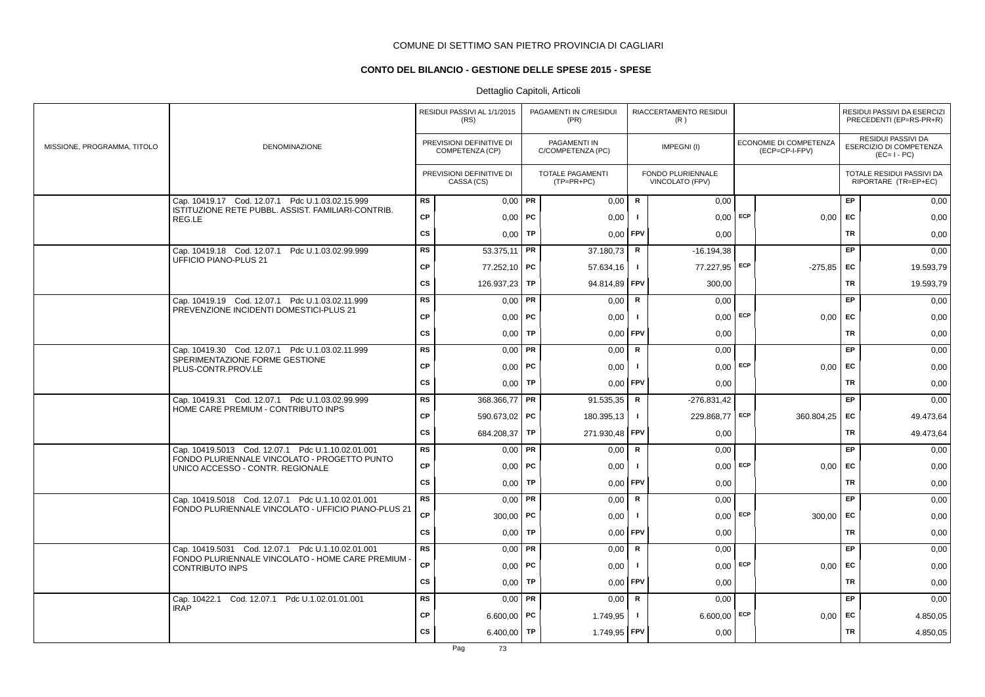# **CONTO DEL BILANCIO - GESTIONE DELLE SPESE 2015 - SPESE**

|                             |                                                                                  |           | RESIDUI PASSIVI AL 1/1/2015<br>(RS)         |           | PAGAMENTI IN C/RESIDUI<br>(PR)        |                | RIACCERTAMENTO RESIDUI<br>(R)        |     |                                          |           | RESIDUI PASSIVI DA ESERCIZI<br>PRECEDENTI (EP=RS-PR+R)       |
|-----------------------------|----------------------------------------------------------------------------------|-----------|---------------------------------------------|-----------|---------------------------------------|----------------|--------------------------------------|-----|------------------------------------------|-----------|--------------------------------------------------------------|
| MISSIONE, PROGRAMMA, TITOLO | DENOMINAZIONE                                                                    |           | PREVISIONI DEFINITIVE DI<br>COMPETENZA (CP) |           | PAGAMENTI IN<br>C/COMPETENZA (PC)     |                | IMPEGNI(I)                           |     | ECONOMIE DI COMPETENZA<br>(ECP=CP-I-FPV) |           | RESIDUI PASSIVI DA<br>ESERCIZIO DI COMPETENZA<br>$(EC=I-PC)$ |
|                             |                                                                                  |           | PREVISIONI DEFINITIVE DI<br>CASSA (CS)      |           | <b>TOTALE PAGAMENTI</b><br>(TP=PR+PC) |                | FONDO PLURIENNALE<br>VINCOLATO (FPV) |     |                                          |           | TOTALE RESIDUI PASSIVI DA<br>RIPORTARE (TR=EP+EC)            |
|                             | Cap. 10419.17 Cod. 12.07.1 Pdc U.1.03.02.15.999                                  | <b>RS</b> | $0,00$ PR                                   |           | 0,00                                  | $\mathsf{R}$   | 0,00                                 |     |                                          | EP        | 0,00                                                         |
|                             | ISTITUZIONE RETE PUBBL. ASSIST. FAMILIARI-CONTRIB.<br>REG.LE                     | <b>CP</b> | 0,00                                        | PC        | 0,00                                  |                | $0,00$ ECP                           |     | 0,00                                     | EC        | 0,00                                                         |
|                             |                                                                                  | <b>CS</b> | 0,00                                        | <b>TP</b> | 0,00                                  | l FPV          | 0,00                                 |     |                                          | <b>TR</b> | 0,00                                                         |
|                             | Cap. 10419.18 Cod. 12.07.1 Pdc U.1.03.02.99.999                                  | <b>RS</b> | 53.375.11                                   | PR        | 37.180,73                             | R              | $-16.194,38$                         |     |                                          | EP        | 0,00                                                         |
|                             | <b>UFFICIO PIANO-PLUS 21</b>                                                     | <b>CP</b> | 77.252,10 PC                                |           | 57.634,16                             | $\blacksquare$ | 77.227,95 ECP                        |     | $-275.85$ EC                             |           | 19.593,79                                                    |
|                             |                                                                                  | <b>CS</b> | 126.937,23                                  | TP        | 94.814,89 FPV                         |                | 300,00                               |     |                                          | <b>TR</b> | 19.593,79                                                    |
|                             | Cap. 10419.19 Cod. 12.07.1 Pdc U.1.03.02.11.999                                  | <b>RS</b> | 0,00                                        | PR        | 0,00                                  | ${\sf R}$      | 0,00                                 |     |                                          | EP        | 0,00                                                         |
|                             | PREVENZIONE INCIDENTI DOMESTICI-PLUS 21                                          | <b>CP</b> | $0,00$   PC                                 |           | 0,00                                  | $\mathbf{I}$   | $0,00$ ECP                           |     | 0.00                                     | <b>FC</b> | 0,00                                                         |
|                             |                                                                                  | <b>CS</b> | 0.00                                        | TP        | 0.00                                  | <b>FPV</b>     | 0,00                                 |     |                                          | <b>TR</b> | 0,00                                                         |
|                             | Cap. 10419.30 Cod. 12.07.1 Pdc U.1.03.02.11.999                                  | <b>RS</b> | 0.00 <sub>1</sub>                           | PR        | 0.00                                  | R              | 0.00                                 |     |                                          | <b>EP</b> | 0,00                                                         |
|                             | SPERIMENTAZIONE FORME GESTIONE<br>PLUS-CONTR.PROV.LE                             | <b>CP</b> | 0,00                                        | PC        | 0,00                                  |                | $0.00$ ECP                           |     | 0,00                                     | EC        | 0,00                                                         |
|                             |                                                                                  | CS        | 0,00                                        | <b>TP</b> | 0,00                                  | <b>FPV</b>     | 0,00                                 |     |                                          | <b>TR</b> | 0,00                                                         |
|                             | Cap. 10419.31 Cod. 12.07.1 Pdc U.1.03.02.99.999                                  | <b>RS</b> | 368.366,77                                  | PR        | 91.535,35                             | $\mathbf R$    | $-276.831,42$                        |     |                                          | EP        | 0,00                                                         |
|                             | HOME CARE PREMIUM - CONTRIBUTO INPS                                              | СP        | 590.673,02                                  | PC        | 180.395,13                            | -1             | 229.868,77                           | ECP | 360.804,25                               | EC        | 49.473,64                                                    |
|                             |                                                                                  | cs        | 684.208,37                                  | TP        | 271.930,48 FPV                        |                | 0,00                                 |     |                                          | <b>TR</b> | 49.473,64                                                    |
|                             | Cap. 10419.5013 Cod. 12.07.1 Pdc U.1.10.02.01.001                                | <b>RS</b> | 0,00                                        | PR        | 0,00                                  | R              | 0,00                                 |     |                                          | EP        | 0,00                                                         |
|                             | FONDO PLURIENNALE VINCOLATO - PROGETTO PUNTO<br>UNICO ACCESSO - CONTR. REGIONALE | CP        | 0,00                                        | PC        | 0,00                                  |                | $0,00$ ECP                           |     | 0,00                                     | EC        | 0,00                                                         |
|                             |                                                                                  | cs        | 0,00                                        | TP        | 0,00                                  | <b>FPV</b>     | 0,00                                 |     |                                          | <b>TR</b> | 0,00                                                         |
|                             | Cap. 10419.5018 Cod. 12.07.1 Pdc U.1.10.02.01.001                                | <b>RS</b> | 0,00                                        | PR        | 0,00                                  | ${\sf R}$      | 0,00                                 |     |                                          | EP        | 0,00                                                         |
|                             | FONDO PLURIENNALE VINCOLATO - UFFICIO PIANO-PLUS 21                              | CP        | 300,00   $PC$                               |           | 0,00                                  | -1             | $0,00$ ECP                           |     | 300,00                                   | EC        | 0,00                                                         |
|                             |                                                                                  | cs        | 0,00                                        | TP        | 0,00                                  | <b>FPV</b>     | 0,00                                 |     |                                          | TR        | 0,00                                                         |
|                             | Cap. 10419.5031 Cod. 12.07.1 Pdc U.1.10.02.01.001                                | <b>RS</b> | 0,00                                        | PR        | 0,00                                  | R              | 0,00                                 |     |                                          | EP        | 0,00                                                         |
|                             | FONDO PLURIENNALE VINCOLATO - HOME CARE PREMIUM ·<br><b>CONTRIBUTO INPS</b>      | CP        | 0,00                                        | PC        | 0,00                                  |                | $0,00$ ECP                           |     | 0,00                                     | EC        | 0,00                                                         |
|                             |                                                                                  | CS        | 0,00                                        | TP        | 0,00                                  | <b>FPV</b>     | 0,00                                 |     |                                          | <b>TR</b> | 0,00                                                         |
|                             | Cap. 10422.1<br>Cod. 12.07.1 Pdc U.1.02.01.01.001                                | <b>RS</b> | $0.00$ PR                                   |           | 0,00                                  | R              | 0,00                                 |     |                                          | <b>EP</b> | 0,00                                                         |
|                             | <b>IRAP</b>                                                                      | <b>CP</b> | $6.600,00$ PC                               |           | 1.749,95                              |                | $6.600,00$ ECP                       |     | 0.00                                     | EC        | 4.850,05                                                     |
|                             |                                                                                  | <b>CS</b> | 6.400,00                                    | TP        | 1.749,95 FPV                          |                | 0,00                                 |     |                                          | <b>TR</b> | 4.850,05                                                     |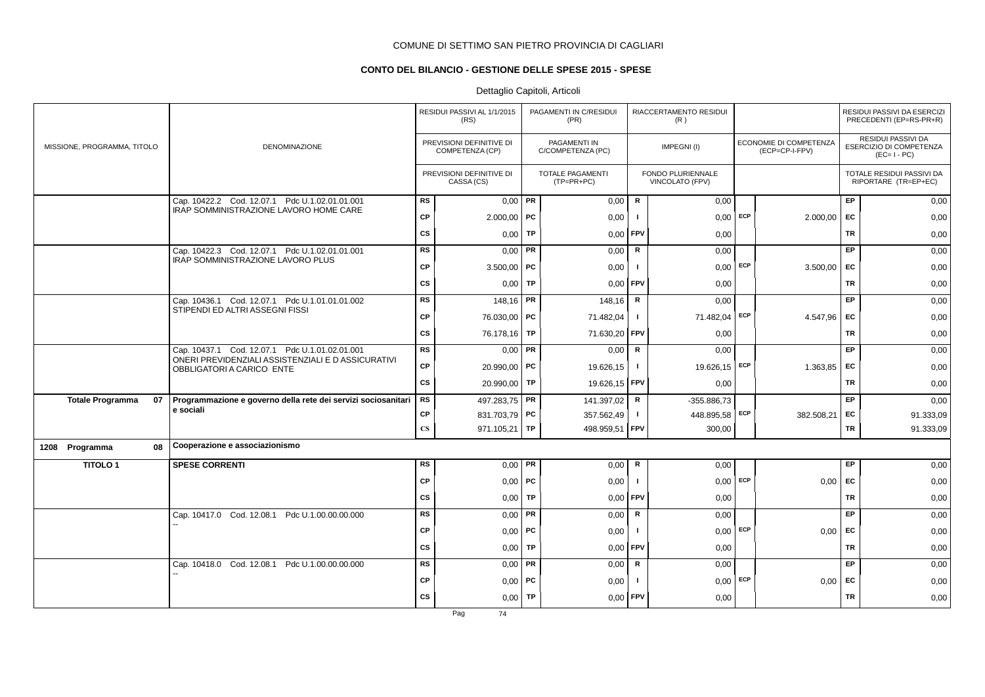# **CONTO DEL BILANCIO - GESTIONE DELLE SPESE 2015 - SPESE**

# Dettaglio Capitoli, Articoli

|                               |                                                                                   |                        | RESIDUI PASSIVI AL 1/1/2015<br>(RS)         |           | PAGAMENTI IN C/RESIDUI<br>(PR)          |              | RIACCERTAMENTO RESIDUI<br>(R)        |            |                                          |           | RESIDUI PASSIVI DA ESERCIZI<br>PRECEDENTI (EP=RS-PR+R)              |
|-------------------------------|-----------------------------------------------------------------------------------|------------------------|---------------------------------------------|-----------|-----------------------------------------|--------------|--------------------------------------|------------|------------------------------------------|-----------|---------------------------------------------------------------------|
| MISSIONE, PROGRAMMA, TITOLO   | <b>DENOMINAZIONE</b>                                                              |                        | PREVISIONI DEFINITIVE DI<br>COMPETENZA (CP) |           | PAGAMENTI IN<br>C/COMPETENZA (PC)       |              | IMPEGNI (I)                          |            | ECONOMIE DI COMPETENZA<br>(ECP=CP-I-FPV) |           | <b>RESIDUI PASSIVI DA</b><br>ESERCIZIO DI COMPETENZA<br>$(EC=I-PC)$ |
|                               |                                                                                   |                        | PREVISIONI DEFINITIVE DI<br>CASSA (CS)      |           | <b>TOTALE PAGAMENTI</b><br>$(TP=PR+PC)$ |              | FONDO PLURIENNALE<br>VINCOLATO (FPV) |            |                                          |           | TOTALE RESIDUI PASSIVI DA<br>RIPORTARE (TR=EP+EC)                   |
|                               | Cap. 10422.2 Cod. 12.07.1 Pdc U.1.02.01.01.001                                    | <b>RS</b>              | $0,00$ PR                                   |           | 0,00                                    | R            | 0,00                                 |            |                                          | EP        | 0,00                                                                |
|                               | IRAP SOMMINISTRAZIONE LAVORO HOME CARE                                            | <b>CP</b>              | $2.000,00$ PC                               |           | 0,00                                    |              |                                      | $0,00$ ECP | 2.000,00                                 | EC        | 0,00                                                                |
|                               |                                                                                   | <b>CS</b>              | 0,00                                        | <b>TP</b> | 0,00                                    | FPV          | 0,00                                 |            |                                          | <b>TR</b> | 0,00                                                                |
|                               | Cap. 10422.3 Cod. 12.07.1 Pdc U.1.02.01.01.001                                    | <b>RS</b>              | $0,00$ PR                                   |           | 0,00                                    | R            | 0,00                                 |            |                                          | <b>EP</b> | 0,00                                                                |
|                               | IRAP SOMMINISTRAZIONE LAVORO PLUS                                                 | <b>CP</b>              | $3.500,00$ PC                               |           | 0,00                                    | -1           |                                      | $0,00$ ECP | 3.500,00                                 | <b>EC</b> | 0,00                                                                |
|                               |                                                                                   | CS                     | $0,00$ TP                                   |           | 0,00                                    | FPV          | 0,00                                 |            |                                          | TR        | 0,00                                                                |
|                               | Cap. 10436.1 Cod. 12.07.1 Pdc U.1.01.01.01.002<br>STIPENDI ED ALTRI ASSEGNI FISSI | <b>RS</b>              | 148,16 PR                                   |           | 148,16                                  | $\mathsf{R}$ | 0,00                                 |            |                                          | <b>EP</b> | 0,00                                                                |
|                               |                                                                                   | <b>CP</b>              | 76.030,00 PC                                |           | 71.482,04                               | $\mathbf{I}$ | 71.482,04                            | ECP        | 4.547,96                                 | <b>EC</b> | 0,00                                                                |
|                               |                                                                                   | <b>CS</b>              | 76.178,16                                   | TP        | 71.630,20                               | FPV          | 0,00                                 |            |                                          | <b>TR</b> | 0,00                                                                |
|                               | Cap. 10437.1 Cod. 12.07.1 Pdc U.1.01.02.01.001                                    | <b>RS</b>              | $0,00$ PR                                   |           | 0,00                                    | R            | 0,00                                 |            |                                          | EP        | 0,00                                                                |
|                               | ONERI PREVIDENZIALI ASSISTENZIALI E D ASSICURATIVI<br>OBBLIGATORI A CARICO ENTE   | <b>CP</b>              | 20.990,00 PC                                |           | 19.626,15                               | -1           | 19.626,15 ECP                        |            | 1.363,85                                 | <b>EC</b> | 0,00                                                                |
|                               |                                                                                   | CS                     | 20.990,00   TP                              |           | 19.626,15 FPV                           |              | 0,00                                 |            |                                          | <b>TR</b> | 0,00                                                                |
| 07<br><b>Totale Programma</b> | Programmazione e governo della rete dei servizi sociosanitari                     | <b>RS</b>              | 497.283,75 <b>PR</b>                        |           | 141.397,02                              | $\mathbf R$  | $-355.886,73$                        |            |                                          | EP        | 0,00                                                                |
|                               | e sociali                                                                         | <b>CP</b>              | 831.703,79 PC                               |           | 357.562,49                              | $\mathbf{I}$ | 448.895,58                           | ECP        | 382.508,21                               | <b>EC</b> | 91.333,09                                                           |
|                               |                                                                                   | $\mathbf{C}\mathbf{S}$ | 971.105,21   TP                             |           | 498.959,51                              | FPV          | 300,00                               |            |                                          | TR        | 91.333,09                                                           |
| 1208 Programma<br>08          | Cooperazione e associazionismo                                                    |                        |                                             |           |                                         |              |                                      |            |                                          |           |                                                                     |
| <b>TITOLO1</b>                | <b>SPESE CORRENTI</b>                                                             | <b>RS</b>              | $0,00$ PR                                   |           | 0,00                                    | R            | 0,00                                 |            |                                          | EP        | 0,00                                                                |
|                               |                                                                                   | <b>CP</b>              | $0,00$ PC                                   |           | 0,00                                    | L.           | $0,00$ ECP                           |            | 0,00                                     | EC        | 0,00                                                                |
|                               |                                                                                   | CS                     | $0,00$ TP                                   |           | 0,00                                    | <b>FPV</b>   | 0,00                                 |            |                                          | <b>TR</b> | 0,00                                                                |
|                               | Cap. 10417.0 Cod. 12.08.1 Pdc U.1.00.00.00.000                                    | <b>RS</b>              | $0,00$ PR                                   |           | 0,00                                    | R            | 0,00                                 |            |                                          | EP        | 0,00                                                                |
|                               |                                                                                   | <b>CP</b>              | $0,00$   PC                                 |           | 0,00                                    | $\mathbf{I}$ | 0,00                                 | ECP        | 0,00                                     | EC        | 0,00                                                                |
|                               |                                                                                   | <b>CS</b>              | 0,00                                        | TP        | 0,00                                    | FPV          | 0,00                                 |            |                                          | <b>TR</b> | 0,00                                                                |
|                               | Cap. 10418.0 Cod. 12.08.1 Pdc U.1.00.00.00.000                                    | <b>RS</b>              | $0,00$ PR                                   |           | 0,00                                    | $\mathsf R$  | 0,00                                 |            |                                          | EP        | 0,00                                                                |
|                               |                                                                                   | <b>CP</b>              | $0,00$ PC                                   |           | 0,00                                    |              | $0,00$ ECP                           |            | 0,00                                     | EC        | 0,00                                                                |
|                               |                                                                                   | <b>CS</b>              | $0,00$ TP                                   |           | 0,00                                    | FPV          | 0,00                                 |            |                                          | TR        | 0,00                                                                |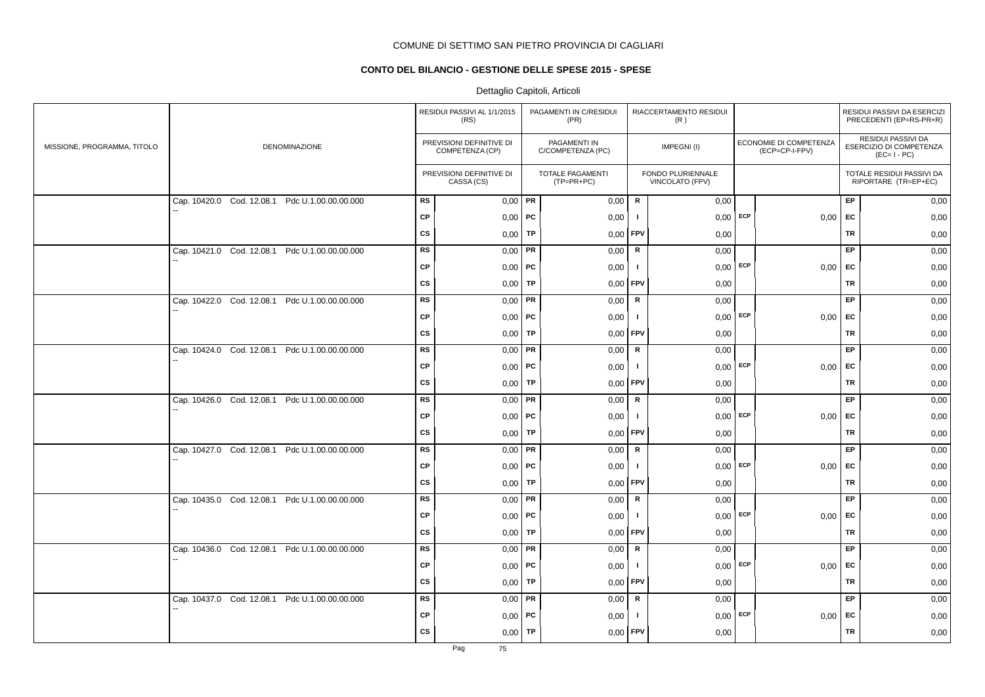# **CONTO DEL BILANCIO - GESTIONE DELLE SPESE 2015 - SPESE**

|                             |                                                |           | RESIDUI PASSIVI AL 1/1/2015<br>(RS)         |           | PAGAMENTI IN C/RESIDUI<br>(PR)    |                | RIACCERTAMENTO RESIDUI<br>(R)        |                                          |           | RESIDUI PASSIVI DA ESERCIZI<br>PRECEDENTI (EP=RS-PR+R)       |
|-----------------------------|------------------------------------------------|-----------|---------------------------------------------|-----------|-----------------------------------|----------------|--------------------------------------|------------------------------------------|-----------|--------------------------------------------------------------|
| MISSIONE, PROGRAMMA, TITOLO | <b>DENOMINAZIONE</b>                           |           | PREVISIONI DEFINITIVE DI<br>COMPETENZA (CP) |           | PAGAMENTI IN<br>C/COMPETENZA (PC) |                | IMPEGNI(I)                           | ECONOMIE DI COMPETENZA<br>(ECP=CP-I-FPV) |           | RESIDUI PASSIVI DA<br>ESERCIZIO DI COMPETENZA<br>$(EC=I-PC)$ |
|                             |                                                |           | PREVISIONI DEFINITIVE DI<br>CASSA (CS)      |           | TOTALE PAGAMENTI<br>$(TP=PR+PC)$  |                | FONDO PLURIENNALE<br>VINCOLATO (FPV) |                                          |           | TOTALE RESIDUI PASSIVI DA<br>RIPORTARE (TR=EP+EC)            |
|                             | Cap. 10420.0 Cod. 12.08.1 Pdc U.1.00.00.00.000 | <b>RS</b> | $0.00$ PR                                   |           | 0,00                              | $\mathbf R$    | 0,00                                 |                                          | EP        | 0,00                                                         |
|                             |                                                | CP        | $0,00$   PC                                 |           | 0,00                              | -1             | $0,00$ ECP                           | 0,00                                     | EC        | 0,00                                                         |
|                             |                                                | cs        | 0,00                                        | TP        | 0,00                              | <b>FPV</b>     | 0,00                                 |                                          | <b>TR</b> | 0,00                                                         |
|                             | Cap. 10421.0 Cod. 12.08.1 Pdc U.1.00.00.00.000 | <b>RS</b> | 0,00                                        | PR        | 0,00                              | R              | 0,00                                 |                                          | EP        | 0,00                                                         |
|                             |                                                | <b>CP</b> | $0,00$   PC                                 |           | 0,00                              | $\blacksquare$ | $0,00$ ECP                           | $0,00$ EC                                |           | 0,00                                                         |
|                             |                                                | CS        | $0,00$ TP                                   |           | 0.00                              | <b>FPV</b>     | 0,00                                 |                                          | TR        | 0,00                                                         |
|                             | Cap. 10422.0 Cod. 12.08.1 Pdc U.1.00.00.00.000 | <b>RS</b> | 0,00                                        | PR        | 0,00                              | R              | 0,00                                 |                                          | EP        | 0,00                                                         |
|                             |                                                | <b>CP</b> | $0,00$   PC                                 |           | 0,00                              | $\blacksquare$ | $0,00$ ECP                           | 0,00                                     | EC        | 0,00                                                         |
|                             |                                                | CS        | 0,00                                        | TP        | 0,00                              | <b>FPV</b>     | 0,00                                 |                                          | TR        | 0,00                                                         |
|                             | Cap. 10424.0 Cod. 12.08.1 Pdc U.1.00.00.00.000 | RS        | 0,00                                        | PR        | 0,00                              | $\mathbf R$    | 0,00                                 |                                          | EP        | 0,00                                                         |
|                             |                                                | CP        | 0,00                                        | PC        | 0,00                              | - 1            | $0,00$ ECP                           | $0,00$ EC                                |           | 0,00                                                         |
|                             |                                                | CS        | 0,00                                        | TP        | 0,00                              | <b>FPV</b>     | 0,00                                 |                                          | TR        | 0,00                                                         |
|                             | Cap. 10426.0 Cod. 12.08.1 Pdc U.1.00.00.00.000 | <b>RS</b> | $0,00$ PR                                   |           | 0,00                              | R              | 0,00                                 |                                          | EP        | 0,00                                                         |
|                             |                                                | <b>CP</b> | 0,00                                        | PC        | 0,00                              | a l            | $0,00$ ECP                           | 0,00                                     | <b>FC</b> | 0,00                                                         |
|                             |                                                | CS        | 0,00                                        | TP        | 0,00                              | FPV            | 0,00                                 |                                          | <b>TR</b> | 0,00                                                         |
|                             | Cap. 10427.0 Cod. 12.08.1 Pdc U.1.00.00.00.000 | <b>RS</b> | 0,00                                        | <b>PR</b> | 0,00                              | R              | 0,00                                 |                                          | EP        | 0,00                                                         |
|                             |                                                | <b>CP</b> | $0,00$   PC                                 |           | 0,00                              | -1             | $0,00$ ECP                           | 0,00                                     | EC        | 0,00                                                         |
|                             |                                                | CS        | 0,00                                        | TP        | 0,00                              | <b>FPV</b>     | 0,00                                 |                                          | TR        | 0,00                                                         |
|                             | Cap. 10435.0 Cod. 12.08.1 Pdc U.1.00.00.00.000 | <b>RS</b> | 0,00                                        | PR        | 0,00                              | R              | 0,00                                 |                                          | EP        | 0,00                                                         |
|                             |                                                | <b>CP</b> | 0,00                                        | PC        | 0,00                              |                | $0,00$ ECP                           | 0,00                                     | EC        | 0,00                                                         |
|                             |                                                | CS        | 0,00                                        | TP        | 0,00                              | FPV            | 0,00                                 |                                          | <b>TR</b> | 0,00                                                         |
|                             | Cap. 10436.0 Cod. 12.08.1 Pdc U.1.00.00.00.000 | <b>RS</b> | $0,00$ PR                                   |           | 0,00                              | R              | 0,00                                 |                                          | EP        | 0,00                                                         |
|                             |                                                | <b>CP</b> | 0,00                                        | PC        | 0,00                              | -1             | $0,00$ ECP                           | 0,00                                     | <b>FC</b> | 0,00                                                         |
|                             |                                                | <b>CS</b> | 0,00                                        | TP        | 0,00                              | <b>FPV</b>     | 0,00                                 |                                          | TR        | 0,00                                                         |
|                             | Cap. 10437.0 Cod. 12.08.1 Pdc U.1.00.00.00.000 | <b>RS</b> | 0,00                                        | PR        | 0,00                              | R              | 0,00                                 |                                          | EP        | 0,00                                                         |
|                             |                                                | CP        | 0,00                                        | PC        | 0,00                              | -1             | $0,00$ ECP                           | 0,00                                     | EC        | 0,00                                                         |
|                             |                                                | <b>CS</b> | 0,00                                        | <b>TP</b> | 0,00                              | <b>FPV</b>     | 0,00                                 |                                          | <b>TR</b> | 0,00                                                         |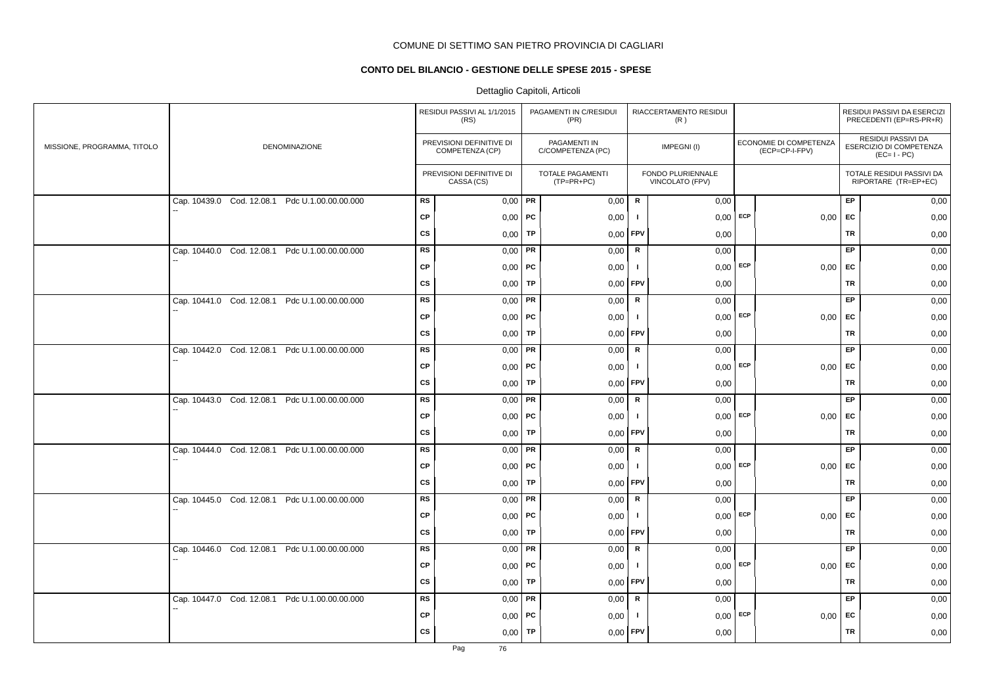# **CONTO DEL BILANCIO - GESTIONE DELLE SPESE 2015 - SPESE**

|                             |                                                |           | RESIDUI PASSIVI AL 1/1/2015<br>(RS)         |           | PAGAMENTI IN C/RESIDUI<br>(PR)    |                | RIACCERTAMENTO RESIDUI<br>(R)        |            |                                          |           | RESIDUI PASSIVI DA ESERCIZI<br>PRECEDENTI (EP=RS-PR+R)       |
|-----------------------------|------------------------------------------------|-----------|---------------------------------------------|-----------|-----------------------------------|----------------|--------------------------------------|------------|------------------------------------------|-----------|--------------------------------------------------------------|
| MISSIONE, PROGRAMMA, TITOLO | DENOMINAZIONE                                  |           | PREVISIONI DEFINITIVE DI<br>COMPETENZA (CP) |           | PAGAMENTI IN<br>C/COMPETENZA (PC) |                | IMPEGNI(I)                           |            | ECONOMIE DI COMPETENZA<br>(ECP=CP-I-FPV) |           | RESIDUI PASSIVI DA<br>ESERCIZIO DI COMPETENZA<br>$(EC=I-PC)$ |
|                             |                                                |           | PREVISIONI DEFINITIVE DI<br>CASSA (CS)      |           | TOTALE PAGAMENTI<br>$(TP=PR+PC)$  |                | FONDO PLURIENNALE<br>VINCOLATO (FPV) |            |                                          |           | TOTALE RESIDUI PASSIVI DA<br>RIPORTARE (TR=EP+EC)            |
|                             | Cap. 10439.0 Cod. 12.08.1 Pdc U.1.00.00.00.000 | <b>RS</b> | $0,00$ PR                                   |           | 0,00                              | $\mathbf R$    | 0,00                                 |            |                                          | EP        | 0,00                                                         |
|                             |                                                | <b>CP</b> | $0,00$   PC                                 |           | 0,00                              | -1             | $0,00$ ECP                           |            | 0,00                                     | <b>EC</b> | 0,00                                                         |
|                             |                                                | <b>CS</b> | 0,00                                        | TP        | 0,00                              | <b>FPV</b>     | 0,00                                 |            |                                          | <b>TR</b> | 0,00                                                         |
|                             | Cap. 10440.0 Cod. 12.08.1 Pdc U.1.00.00.00.000 | <b>RS</b> | 0,00                                        | PR        | 0,00                              | $\mathsf R$    | 0,00                                 |            |                                          | <b>EP</b> | 0,00                                                         |
|                             |                                                | CP        | $0,00$   PC                                 |           | 0,00                              | $\mathbf{I}$   |                                      | $0,00$ ECP | 0,00                                     | EC        | 0,00                                                         |
|                             |                                                | <b>CS</b> | $0,00$ TP                                   |           | 0,00                              | FPV            | 0,00                                 |            |                                          | TR        | 0,00                                                         |
|                             | Cap. 10441.0 Cod. 12.08.1 Pdc U.1.00.00.00.000 | <b>RS</b> | $0,00$ PR                                   |           | 0,00                              | R              | 0,00                                 |            |                                          | EP        | 0,00                                                         |
|                             |                                                | <b>CP</b> | $0,00$   PC                                 |           | 0,00                              | $\mathbf{I}$   | $0,00$ ECP                           |            | 0,00                                     | EC        | 0,00                                                         |
|                             |                                                | <b>CS</b> | 0,00                                        | TP        | 0,00                              | FPV            | 0,00                                 |            |                                          | <b>TR</b> | 0,00                                                         |
|                             | Cap. 10442.0 Cod. 12.08.1 Pdc U.1.00.00.00.000 | RS        | 0,00                                        | <b>PR</b> | 0,00                              | ${\sf R}$      | 0,00                                 |            |                                          | EP        | 0,00                                                         |
|                             |                                                | <b>CP</b> | $0,00$   PC                                 |           | 0,00                              | $\blacksquare$ | 0,00                                 | ECP        | 0,00                                     | EC        | 0,00                                                         |
|                             |                                                | CS        | 0,00                                        | TP        | 0,00                              | <b>FPV</b>     | 0,00                                 |            |                                          | TR        | 0,00                                                         |
|                             | Cap. 10443.0 Cod. 12.08.1 Pdc U.1.00.00.00.000 | <b>RS</b> | $0,00$ PR                                   |           | 0,00                              | R              | 0,00                                 |            |                                          | EP.       | 0,00                                                         |
|                             |                                                | <b>CP</b> | $0,00$   PC                                 |           | 0,00                              | -1             | 0,00                                 | ECP        | 0,00                                     | <b>EC</b> | 0,00                                                         |
|                             |                                                | <b>CS</b> | 0,00                                        | TP        | 0,00                              | <b>FPV</b>     | 0,00                                 |            |                                          | TR        | 0,00                                                         |
|                             | Cap. 10444.0 Cod. 12.08.1 Pdc U.1.00.00.00.000 | <b>RS</b> | $0,00$ PR                                   |           | 0,00                              | $\mathsf{R}$   | 0,00                                 |            |                                          | EP        | 0,00                                                         |
|                             |                                                | <b>CP</b> | $0,00$   PC                                 |           | 0,00                              | -1             | $0,00$ ECP                           |            | 0,00                                     | EC        | 0,00                                                         |
|                             |                                                | CS        | 0,00                                        | TP        | 0,00                              | <b>FPV</b>     | 0,00                                 |            |                                          | TR        | 0,00                                                         |
|                             | Cap. 10445.0 Cod. 12.08.1 Pdc U.1.00.00.00.000 | <b>RS</b> | $0,00$ PR                                   |           | 0,00                              | R              | 0,00                                 |            |                                          | EP        | 0,00                                                         |
|                             |                                                | <b>CP</b> | $0,00$ PC                                   |           | 0,00                              | $\mathbf{I}$   |                                      | $0,00$ ECP | 0,00                                     | EC        | 0,00                                                         |
|                             |                                                | <b>CS</b> | 0,00                                        | TP        | 0,00                              | <b>FPV</b>     | 0,00                                 |            |                                          | TR        | 0,00                                                         |
|                             | Cap. 10446.0 Cod. 12.08.1 Pdc U.1.00.00.00.000 | RS        | $0,00$ PR                                   |           | 0,00                              | $\mathbf R$    | 0,00                                 |            |                                          | EP        | 0,00                                                         |
|                             |                                                | <b>CP</b> | $0,00$   PC                                 |           | 0,00                              | $\mathbf{I}$   | 0,00                                 | ECP        | 0,00                                     | EC        | 0,00                                                         |
|                             |                                                | <b>CS</b> | 0,00                                        | TP        | 0,00                              | <b>FPV</b>     | 0,00                                 |            |                                          | <b>TR</b> | 0,00                                                         |
|                             | Cap. 10447.0 Cod. 12.08.1 Pdc U.1.00.00.00.000 | RS        | 0,00                                        | PR        | 0,00                              | $\mathsf R$    | 0,00                                 |            |                                          | EP.       | 0,00                                                         |
|                             |                                                | <b>CP</b> | $0,00$   PC                                 |           | 0,00                              | $\mathbf{I}$   | $0,00$ ECP                           |            | 0,00                                     | EC        | 0,00                                                         |
|                             |                                                | <b>CS</b> | $0,00$ TP                                   |           | 0,00                              | FPV            | 0,00                                 |            |                                          | <b>TR</b> | 0,00                                                         |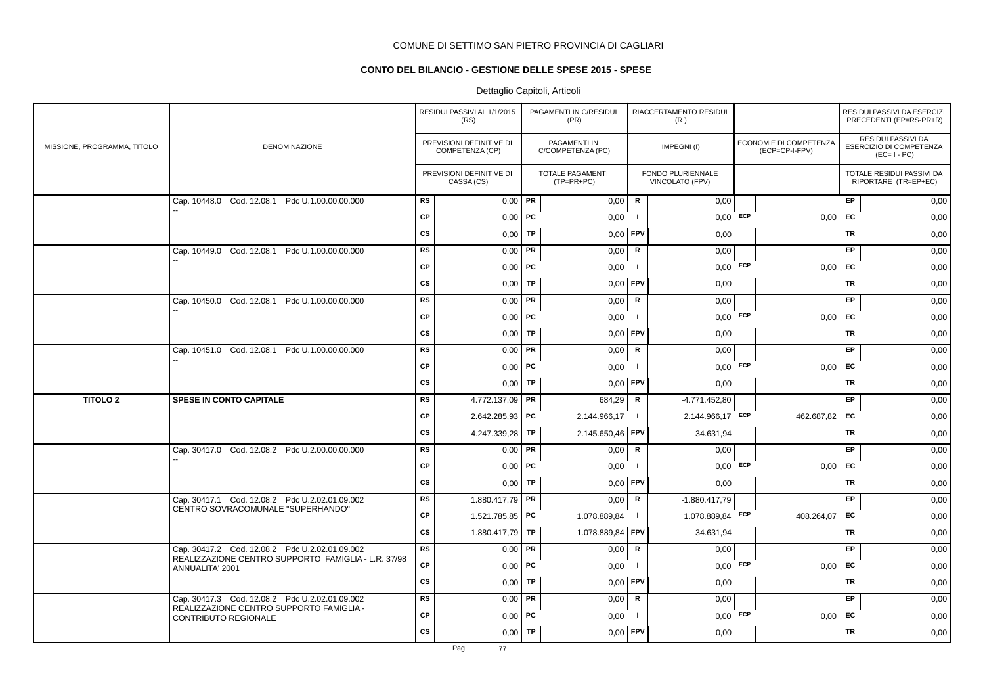# **CONTO DEL BILANCIO - GESTIONE DELLE SPESE 2015 - SPESE**

|                             |                                                                         |           | RESIDUI PASSIVI AL 1/1/2015<br>(RS)         |           | PAGAMENTI IN C/RESIDUI<br>(PR)          |                | RIACCERTAMENTO RESIDUI<br>(R)        |     |                                          |           | RESIDUI PASSIVI DA ESERCIZI<br>PRECEDENTI (EP=RS-PR+R)       |
|-----------------------------|-------------------------------------------------------------------------|-----------|---------------------------------------------|-----------|-----------------------------------------|----------------|--------------------------------------|-----|------------------------------------------|-----------|--------------------------------------------------------------|
| MISSIONE, PROGRAMMA, TITOLO | DENOMINAZIONE                                                           |           | PREVISIONI DEFINITIVE DI<br>COMPETENZA (CP) |           | PAGAMENTI IN<br>C/COMPETENZA (PC)       |                | IMPEGNI(I)                           |     | ECONOMIE DI COMPETENZA<br>(ECP=CP-I-FPV) |           | RESIDUI PASSIVI DA<br>ESERCIZIO DI COMPETENZA<br>$(EC=I-PC)$ |
|                             |                                                                         |           | PREVISIONI DEFINITIVE DI<br>CASSA (CS)      |           | <b>TOTALE PAGAMENTI</b><br>$(TP=PR+PC)$ |                | FONDO PLURIENNALE<br>VINCOLATO (FPV) |     |                                          |           | TOTALE RESIDUI PASSIVI DA<br>RIPORTARE (TR=EP+EC)            |
|                             | Cap. 10448.0 Cod. 12.08.1 Pdc U.1.00.00.00.000                          | RS        | $0,00$ PR                                   |           | 0,00                                    | R              | 0,00                                 |     |                                          | EP        | 0,00                                                         |
|                             |                                                                         | <b>CP</b> | $0,00$   PC                                 |           | 0,00                                    | - 1            | 0,00                                 | ECP | 0,00                                     | <b>FC</b> | 0,00                                                         |
|                             |                                                                         | <b>CS</b> | 0,00                                        | TP        | 0,00                                    | FPV            | 0,00                                 |     |                                          | <b>TR</b> | 0,00                                                         |
|                             | Cap. 10449.0 Cod. 12.08.1 Pdc U.1.00.00.00.000                          | <b>RS</b> | 0,00                                        | PR        | 0,00                                    | R              | 0,00                                 |     |                                          | EP        | 0,00                                                         |
|                             |                                                                         | <b>CP</b> | $0,00$   PC                                 |           | 0,00                                    | $\mathbf{I}$   | $0,00$ ECP                           |     | $0,00$ EC                                |           | 0,00                                                         |
|                             |                                                                         | <b>CS</b> | 0,00                                        | TP        | 0,00                                    | FPV            | 0,00                                 |     |                                          | <b>TR</b> | 0,00                                                         |
|                             | Cap. 10450.0 Cod. 12.08.1 Pdc U.1.00.00.00.000                          | <b>RS</b> | 0,00                                        | PR        | 0,00                                    | ${\sf R}$      | 0,00                                 |     |                                          | EP        | 0,00                                                         |
|                             |                                                                         | CP        | $0,00$   PC                                 |           | 0,00                                    | $\mathbf{I}$   | $0,00$ ECP                           |     | 0,00                                     | EC        | 0,00                                                         |
|                             |                                                                         | <b>CS</b> | 0,00                                        | <b>TP</b> | 0,00                                    | FPV            | 0,00                                 |     |                                          | TR        | 0,00                                                         |
|                             | Cap. 10451.0 Cod. 12.08.1 Pdc U.1.00.00.00.000                          | <b>RS</b> | 0,00                                        | PR        | 0,00                                    | $\mathbf R$    | 0,00                                 |     |                                          | EP        | 0,00                                                         |
|                             |                                                                         | <b>CP</b> | $0,00$   PC                                 |           | 0,00                                    | -1             | $0,00$ ECP                           |     | 0,00                                     | <b>FC</b> | 0,00                                                         |
|                             |                                                                         | <b>CS</b> | 0,00                                        | TP        | 0,00                                    | FPV            | 0,00                                 |     |                                          | <b>TR</b> | 0,00                                                         |
| <b>TITOLO 2</b>             | <b>SPESE IN CONTO CAPITALE</b>                                          | <b>RS</b> | 4.772.137,09                                | PR        | 684,29                                  | R              | -4.771.452,80                        |     |                                          | EP        | 0,00                                                         |
|                             |                                                                         | СP        | $2.642.285.93$ PC                           |           | 2.144.966,17                            | $\mathbf{I}$   | 2.144.966,17                         | ECP | 462.687,82                               | EC        | 0,00                                                         |
|                             |                                                                         | <b>CS</b> | 4.247.339,28                                | TP        | 2.145.650,46                            | <b>FPV</b>     | 34.631,94                            |     |                                          | TR        | 0,00                                                         |
|                             | Cap. 30417.0 Cod. 12.08.2 Pdc U.2.00.00.00.000                          | <b>RS</b> | 0,00                                        | <b>PR</b> | 0,00                                    | R              | 0,00                                 |     |                                          | EP        | 0,00                                                         |
|                             |                                                                         | <b>CP</b> | $0,00$   PC                                 |           | 0,00                                    |                | $0,00$ ECP                           |     | 0,00                                     | EC        | 0,00                                                         |
|                             |                                                                         | <b>CS</b> | 0,00                                        | TP        | 0,00                                    | FPV            | 0,00                                 |     |                                          | <b>TR</b> | 0,00                                                         |
|                             | Cap. 30417.1 Cod. 12.08.2 Pdc U.2.02.01.09.002                          | RS        | 1.880.417,79 PR                             |           | 0,00                                    | $\mathsf R$    | $-1.880.417,79$                      |     |                                          | EP        | 0,00                                                         |
|                             | CENTRO SOVRACOMUNALE "SUPERHANDO"                                       | <b>CP</b> | 1.521.785,85 <b>PC</b>                      |           | 1.078.889,84                            | $\mathbf{I}$   | 1.078.889,84                         | ECP | 408.264,07                               | EC        | 0,00                                                         |
|                             |                                                                         | CS        | 1.880.417,79                                | TP        | 1.078.889,84                            | FPV            | 34.631,94                            |     |                                          | TR        | 0,00                                                         |
|                             | Cap. 30417.2 Cod. 12.08.2 Pdc U.2.02.01.09.002                          | <b>RS</b> | 0,00                                        | PR        | 0,00                                    | $\mathsf R$    | 0,00                                 |     |                                          | EP        | 0,00                                                         |
|                             | REALIZZAZIONE CENTRO SUPPORTO FAMIGLIA - L.R. 37/98<br>ANNUALITA' 2001  | CP        | $0,00$   PC                                 |           | 0,00                                    | $\blacksquare$ | $0,00$ ECP                           |     | 0,00                                     | EC        | 0,00                                                         |
|                             |                                                                         | CS        | 0,00                                        | TP        | 0,00                                    | FPV            | 0,00                                 |     |                                          | <b>TR</b> | 0,00                                                         |
|                             | Cap. 30417.3 Cod. 12.08.2 Pdc U.2.02.01.09.002                          | <b>RS</b> | $0,00$ PR                                   |           | 0,00                                    | $\mathsf{R}$   | 0,00                                 |     |                                          | EP        | 0,00                                                         |
|                             | REALIZZAZIONE CENTRO SUPPORTO FAMIGLIA -<br><b>CONTRIBUTO REGIONALE</b> | <b>CP</b> | 0,00                                        | ∣ PC      | 0,00                                    | - 1            | $0.00$ ECP                           |     | 0,00                                     | EC        | 0,00                                                         |
|                             |                                                                         | <b>CS</b> | 0,00                                        | TP        | 0,00                                    | <b>FPV</b>     | 0,00                                 |     |                                          | <b>TR</b> | 0,00                                                         |
|                             |                                                                         |           |                                             |           |                                         |                |                                      |     |                                          |           |                                                              |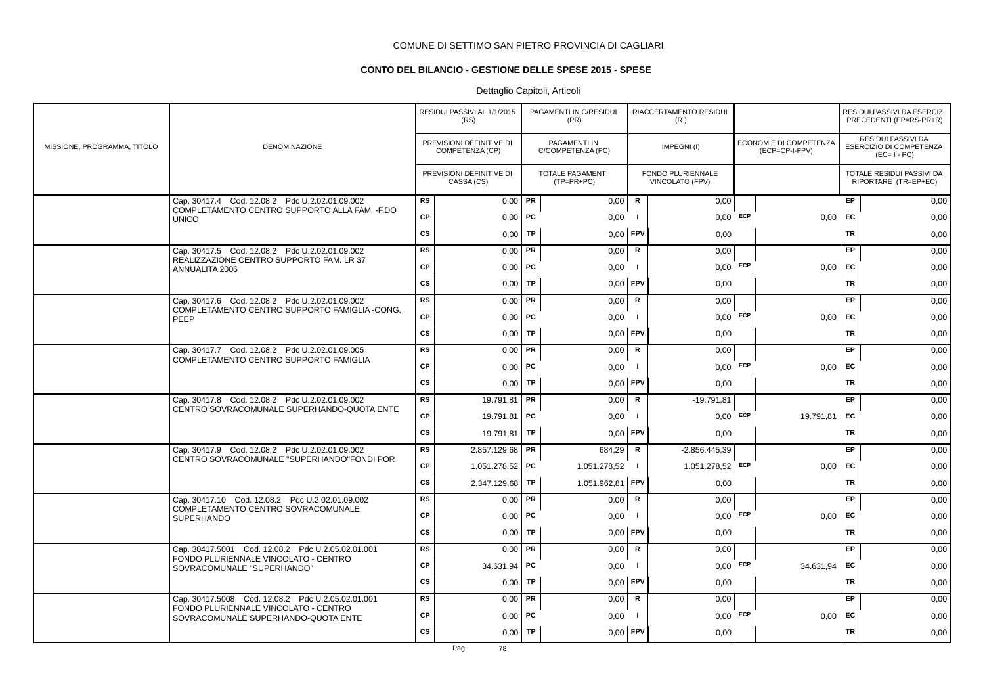# **CONTO DEL BILANCIO - GESTIONE DELLE SPESE 2015 - SPESE**

|                             |                                                                                                  |           | RESIDUI PASSIVI AL 1/1/2015<br>(RS)         |           | PAGAMENTI IN C/RESIDUI<br>(PR)    |              | RIACCERTAMENTO RESIDUI<br>(R)        |     |                                          |           | RESIDUI PASSIVI DA ESERCIZI<br>PRECEDENTI (EP=RS-PR+R)       |
|-----------------------------|--------------------------------------------------------------------------------------------------|-----------|---------------------------------------------|-----------|-----------------------------------|--------------|--------------------------------------|-----|------------------------------------------|-----------|--------------------------------------------------------------|
| MISSIONE, PROGRAMMA, TITOLO | <b>DENOMINAZIONE</b>                                                                             |           | PREVISIONI DEFINITIVE DI<br>COMPETENZA (CP) |           | PAGAMENTI IN<br>C/COMPETENZA (PC) |              | IMPEGNI(I)                           |     | ECONOMIE DI COMPETENZA<br>(ECP=CP-I-FPV) |           | RESIDUI PASSIVI DA<br>ESERCIZIO DI COMPETENZA<br>$(EC=I-PC)$ |
|                             |                                                                                                  |           | PREVISIONI DEFINITIVE DI<br>CASSA (CS)      |           | TOTALE PAGAMENTI<br>$(TP=PR+PC)$  |              | FONDO PLURIENNALE<br>VINCOLATO (FPV) |     |                                          |           | TOTALE RESIDUI PASSIVI DA<br>RIPORTARE (TR=EP+EC)            |
|                             | Cap. 30417.4 Cod. 12.08.2 Pdc U.2.02.01.09.002<br>COMPLETAMENTO CENTRO SUPPORTO ALLA FAM. - F.DO | <b>RS</b> | $0,00$ PR                                   |           | 0,00                              | R            | 0,00                                 |     |                                          | EP        | 0,00                                                         |
|                             | <b>UNICO</b>                                                                                     | <b>CP</b> | $0,00$   PC                                 |           | 0,00                              | $\mathbf{I}$ | 0,00                                 | ECP | 0,00                                     | EC        | 0,00                                                         |
|                             |                                                                                                  | <b>CS</b> | 0,00                                        | <b>TP</b> | 0,00                              | FPV          | 0,00                                 |     |                                          | <b>TR</b> | 0,00                                                         |
|                             | Cap. 30417.5 Cod. 12.08.2 Pdc U.2.02.01.09.002                                                   | <b>RS</b> | $0,00$ PR                                   |           | 0,00                              | $\mathsf R$  | 0,00                                 |     |                                          | <b>EP</b> | 0,00                                                         |
|                             | REALIZZAZIONE CENTRO SUPPORTO FAM. LR 37<br>ANNUALITA 2006                                       | <b>CP</b> | $0,00$   PC                                 |           | 0,00                              | Τ.           | $0,00$ ECP                           |     | $0,00$ EC                                |           | 0,00                                                         |
|                             |                                                                                                  | <b>CS</b> | $0,00$ TP                                   |           | 0,00                              | FPV          | 0,00                                 |     |                                          | TR        | 0,00                                                         |
|                             | Cap. 30417.6 Cod. 12.08.2 Pdc U.2.02.01.09.002<br>COMPLETAMENTO CENTRO SUPPORTO FAMIGLIA -CONG.  | <b>RS</b> | $0,00$ PR                                   |           | 0,00                              | R            | 0,00                                 |     |                                          | EP        | 0,00                                                         |
|                             | PEEP                                                                                             | <b>CP</b> | $0,00$   PC                                 |           | 0,00                              | $\mathbf{I}$ | $0,00$ ECP                           |     | $0,00$ EC                                |           | 0,00                                                         |
|                             |                                                                                                  | <b>CS</b> | $0,00$ TP                                   |           | 0,00                              | FPV          | 0,00                                 |     |                                          | TR        | 0,00                                                         |
|                             | Cap. 30417.7 Cod. 12.08.2 Pdc U.2.02.01.09.005                                                   | <b>RS</b> | $0,00$ PR                                   |           | 0,00                              | R            | 0,00                                 |     |                                          | <b>EP</b> | 0,00                                                         |
|                             | COMPLETAMENTO CENTRO SUPPORTO FAMIGLIA                                                           | <b>CP</b> | $0,00$ PC                                   |           | 0,00                              | $\mathbf{I}$ | $0,00$ ECP                           |     | 0.00                                     | EC        | 0,00                                                         |
|                             |                                                                                                  | <b>CS</b> | $0,00$ TP                                   |           | 0,00                              | <b>FPV</b>   | 0,00                                 |     |                                          | <b>TR</b> | 0,00                                                         |
|                             | Cap. 30417.8 Cod. 12.08.2 Pdc U.2.02.01.09.002                                                   | <b>RS</b> | 19.791,81   PR                              |           | 0,00                              | ${\sf R}$    | $-19.791,81$                         |     |                                          | EP        | 0,00                                                         |
|                             | CENTRO SOVRACOMUNALE SUPERHANDO-QUOTA ENTE                                                       | <b>CP</b> | 19.791,81 <b>PC</b>                         |           | 0,00                              |              | 0,00                                 | ECP | 19.791,81                                | EC        | 0,00                                                         |
|                             |                                                                                                  | <b>CS</b> | 19.791,81   TP                              |           | 0,00                              | FPV          | 0,00                                 |     |                                          | <b>TR</b> | 0,00                                                         |
|                             | Cap. 30417.9 Cod. 12.08.2 Pdc U.2.02.01.09.002                                                   | <b>RS</b> | 2.857.129,68 <b>PR</b>                      |           | 684,29                            | $\mathsf R$  | $-2.856.445.39$                      |     |                                          | EP.       | 0,00                                                         |
|                             | CENTRO SOVRACOMUNALE "SUPERHANDO"FONDI POR                                                       | <b>CP</b> | 1.051.278,52 PC                             |           | 1.051.278,52                      | $\mathbf{I}$ | 1.051.278,52 ECP                     |     | 0.00                                     | <b>EC</b> | 0,00                                                         |
|                             |                                                                                                  | <b>CS</b> | 2.347.129,68 TP                             |           | 1.051.962,81                      | <b>FPV</b>   | 0,00                                 |     |                                          | TR        | 0,00                                                         |
|                             | Cap. 30417.10 Cod. 12.08.2 Pdc U.2.02.01.09.002                                                  | <b>RS</b> | $0,00$ PR                                   |           | 0,00                              | R            | 0,00                                 |     |                                          | EP        | 0,00                                                         |
|                             | COMPLETAMENTO CENTRO SOVRACOMUNALE<br><b>SUPERHANDO</b>                                          | <b>CP</b> | $0,00$   PC                                 |           | 0,00                              | L.           | 0,00                                 | ECP | 0.00                                     | <b>EC</b> | 0,00                                                         |
|                             |                                                                                                  | <b>CS</b> | $0,00$ TP                                   |           | 0,00                              | FPV          | 0,00                                 |     |                                          | <b>TR</b> | 0,00                                                         |
|                             | Cap. 30417.5001 Cod. 12.08.2 Pdc U.2.05.02.01.001<br>FONDO PLURIENNALE VINCOLATO - CENTRO        | RS        | $0,00$ PR                                   |           | 0,00                              | $\mathbf R$  | 0,00                                 |     |                                          | EP        | 0,00                                                         |
|                             | SOVRACOMUNALE "SUPERHANDO"                                                                       | <b>CP</b> | 34.631,94 PC                                |           | 0,00                              | $\mathbf{I}$ | 0,00                                 | ECP | 34.631,94                                | EC        | 0,00                                                         |
|                             |                                                                                                  | <b>CS</b> | 0,00                                        | TP        | 0,00                              | FPV          | 0,00                                 |     |                                          | <b>TR</b> | 0,00                                                         |
|                             | Cap. 30417.5008 Cod. 12.08.2 Pdc U.2.05.02.01.001                                                | <b>RS</b> | $0,00$ PR                                   |           | 0,00                              | ${\sf R}$    | 0,00                                 |     |                                          | EP        | 0,00                                                         |
|                             | FONDO PLURIENNALE VINCOLATO - CENTRO<br>SOVRACOMUNALE SUPERHANDO-QUOTA ENTE                      | <b>CP</b> | $0,00$   PC                                 |           | 0,00                              | -1           | 0,00                                 | ECP | $0,00 \mid EC$                           |           | 0,00                                                         |
|                             |                                                                                                  | <b>CS</b> | 0.00                                        | TP        | 0,00                              | FPV          | 0,00                                 |     |                                          | TR        | 0,00                                                         |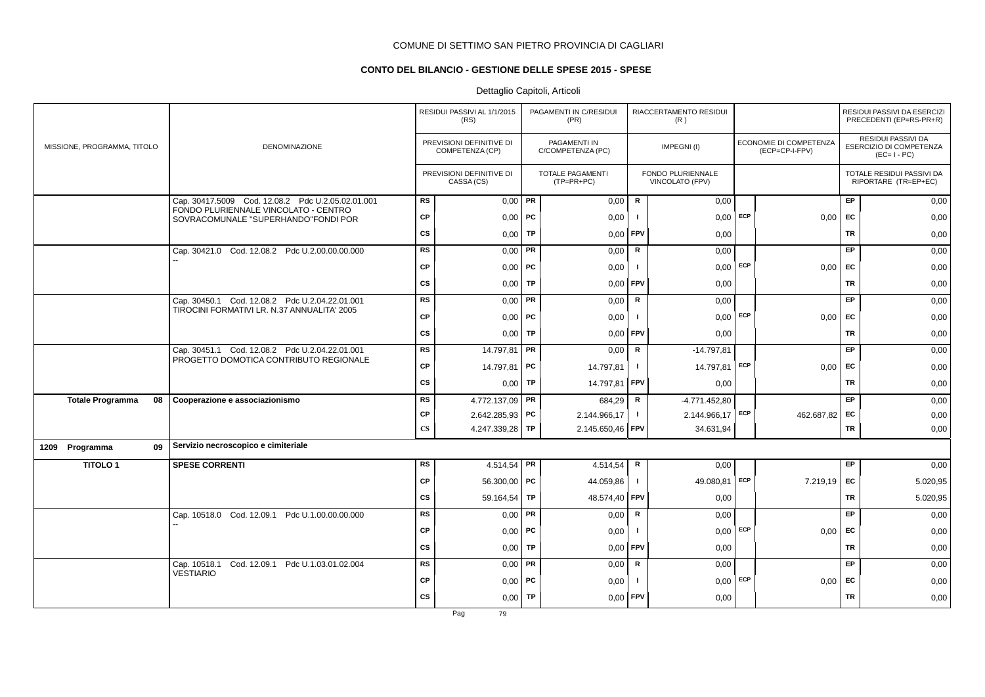# **CONTO DEL BILANCIO - GESTIONE DELLE SPESE 2015 - SPESE**

# Dettaglio Capitoli, Articoli

|                               |                                                                             |                        | RESIDUI PASSIVI AL 1/1/2015<br>(RS)         |           | PAGAMENTI IN C/RESIDUI<br>(PR)          |              | RIACCERTAMENTO RESIDUI<br>(R)        |     |                                          |           | RESIDUI PASSIVI DA ESERCIZI<br>PRECEDENTI (EP=RS-PR+R)              |
|-------------------------------|-----------------------------------------------------------------------------|------------------------|---------------------------------------------|-----------|-----------------------------------------|--------------|--------------------------------------|-----|------------------------------------------|-----------|---------------------------------------------------------------------|
| MISSIONE, PROGRAMMA, TITOLO   | <b>DENOMINAZIONE</b>                                                        |                        | PREVISIONI DEFINITIVE DI<br>COMPETENZA (CP) |           | PAGAMENTI IN<br>C/COMPETENZA (PC)       |              | IMPEGNI(I)                           |     | ECONOMIE DI COMPETENZA<br>(ECP=CP-I-FPV) |           | <b>RESIDUI PASSIVI DA</b><br>ESERCIZIO DI COMPETENZA<br>$(EC=I-PC)$ |
|                               |                                                                             |                        | PREVISIONI DEFINITIVE DI<br>CASSA (CS)      |           | <b>TOTALE PAGAMENTI</b><br>$(TP=PR+PC)$ |              | FONDO PLURIENNALE<br>VINCOLATO (FPV) |     |                                          |           | TOTALE RESIDUI PASSIVI DA<br>RIPORTARE (TR=EP+EC)                   |
|                               | Cap. 30417.5009 Cod. 12.08.2 Pdc U.2.05.02.01.001                           | <b>RS</b>              | 0,00                                        | PR        | 0,00                                    | R            | 0,00                                 |     |                                          | EP        | 0,00                                                                |
|                               | FONDO PLURIENNALE VINCOLATO - CENTRO<br>SOVRACOMUNALE "SUPERHANDO"FONDI POR | <b>CP</b>              | $0,00$ PC                                   |           | 0,00                                    |              | $0,00$ ECP                           |     | 0,00                                     | <b>FC</b> | 0,00                                                                |
|                               |                                                                             | <b>CS</b>              | 0,00                                        | TP        | 0,00                                    | FPV          | 0,00                                 |     |                                          | TR        | 0,00                                                                |
|                               | Cap. 30421.0 Cod. 12.08.2 Pdc U.2.00.00.00.000                              | <b>RS</b>              | 0,00                                        | PR        | 0,00                                    | ${\sf R}$    | 0,00                                 |     |                                          | EP        | 0,00                                                                |
|                               |                                                                             | <b>CP</b>              | 0,00                                        | PC        | 0,00                                    |              | $0,00$ ECP                           |     | 0,00                                     | <b>FC</b> | 0,00                                                                |
|                               |                                                                             | CS                     | 0,00                                        | <b>TP</b> | 0,00                                    | FPV          | 0,00                                 |     |                                          | <b>TR</b> | 0,00                                                                |
|                               | Cap. 30450.1 Cod. 12.08.2 Pdc U.2.04.22.01.001                              | <b>RS</b>              | 0,00                                        | PR        | 0,00                                    | $\mathsf{R}$ | 0,00                                 |     |                                          | EP        | 0,00                                                                |
|                               | TIROCINI FORMATIVI LR. N.37 ANNUALITA' 2005                                 | <b>CP</b>              | $0,00$ PC                                   |           | 0,00                                    | - 1          | $0,00$ ECP                           |     | 0,00                                     | EC        | 0,00                                                                |
|                               |                                                                             | <b>CS</b>              | 0,00                                        | TP        | 0,00                                    | <b>FPV</b>   | 0,00                                 |     |                                          | <b>TR</b> | 0,00                                                                |
|                               | Cap. 30451.1 Cod. 12.08.2 Pdc U.2.04.22.01.001                              | <b>RS</b>              | 14.797,81 PR                                |           | 0,00                                    | R            | $-14.797,81$                         |     |                                          | EP        | 0,00                                                                |
|                               | PROGETTO DOMOTICA CONTRIBUTO REGIONALE                                      | <b>CP</b>              | 14.797,81 PC                                |           | 14.797,81                               | $\mathbf{I}$ | 14.797,81                            | ECP | 0,00                                     | <b>FC</b> | 0,00                                                                |
|                               |                                                                             | cs                     | 0,00                                        | TP        | 14.797,81                               | FPV          | 0,00                                 |     |                                          | <b>TR</b> | 0,00                                                                |
| <b>Totale Programma</b><br>08 | Cooperazione e associazionismo                                              | <b>RS</b>              | 4.772.137,09 PR                             |           | 684,29                                  | R            | -4.771.452,80                        |     |                                          | EP        | 0,00                                                                |
|                               |                                                                             | <b>CP</b>              | $2.642.285.93$ PC                           |           | 2.144.966,17                            | $\mathbf{I}$ | 2.144.966,17                         | ECP | 462.687,82                               | EC        | 0,00                                                                |
|                               |                                                                             | $\mathbf{C}\mathbf{S}$ | 4.247.339,28 TP                             |           | 2.145.650,46                            | <b>FPV</b>   | 34.631,94                            |     |                                          | TR        | 0,00                                                                |
| 1209 Programma<br>09          | Servizio necroscopico e cimiteriale                                         |                        |                                             |           |                                         |              |                                      |     |                                          |           |                                                                     |
| <b>TITOLO1</b>                | <b>SPESE CORRENTI</b>                                                       | <b>RS</b>              | 4.514,54   PR                               |           | 4.514,54                                | $\mathsf{R}$ | 0,00                                 |     |                                          | EP        | 0,00                                                                |
|                               |                                                                             | <b>CP</b>              | 56.300,00   PC                              |           | 44.059,86                               | -1           | 49.080,81                            | ECP | 7.219,19                                 | EC        | 5.020,95                                                            |
|                               |                                                                             | <b>CS</b>              | 59.164,54                                   | TP        | 48.574,40                               | <b>FPV</b>   | 0,00                                 |     |                                          | <b>TR</b> | 5.020,95                                                            |
|                               | Cap. 10518.0 Cod. 12.09.1 Pdc U.1.00.00.00.000                              | RS                     | $0,00$ PR                                   |           | 0,00                                    | ${\sf R}$    | 0,00                                 |     |                                          | <b>EP</b> | 0,00                                                                |
|                               |                                                                             | CP                     | $0,00$   PC                                 |           | 0,00                                    | -1           | 0,00                                 | ECP | 0,00                                     | EC        | 0,00                                                                |
|                               |                                                                             | <b>CS</b>              | 0,00                                        | TP        | 0,00                                    | FPV          | 0,00                                 |     |                                          | <b>TR</b> | 0,00                                                                |
|                               | Cod. 12.09.1 Pdc U.1.03.01.02.004<br>Cap. 10518.1                           | <b>RS</b>              | 0,00                                        | <b>PR</b> | 0,00                                    | R            | 0,00                                 |     |                                          | EP        | 0,00                                                                |
|                               | <b>VESTIARIO</b>                                                            | CP                     | $0,00$ PC                                   |           | 0,00                                    |              | $0,00$ ECP                           |     | 0,00                                     | EC        | 0,00                                                                |
|                               |                                                                             | <b>CS</b>              | 0,00                                        | TP        | 0,00                                    | <b>FPV</b>   | 0,00                                 |     |                                          | TR        | 0,00                                                                |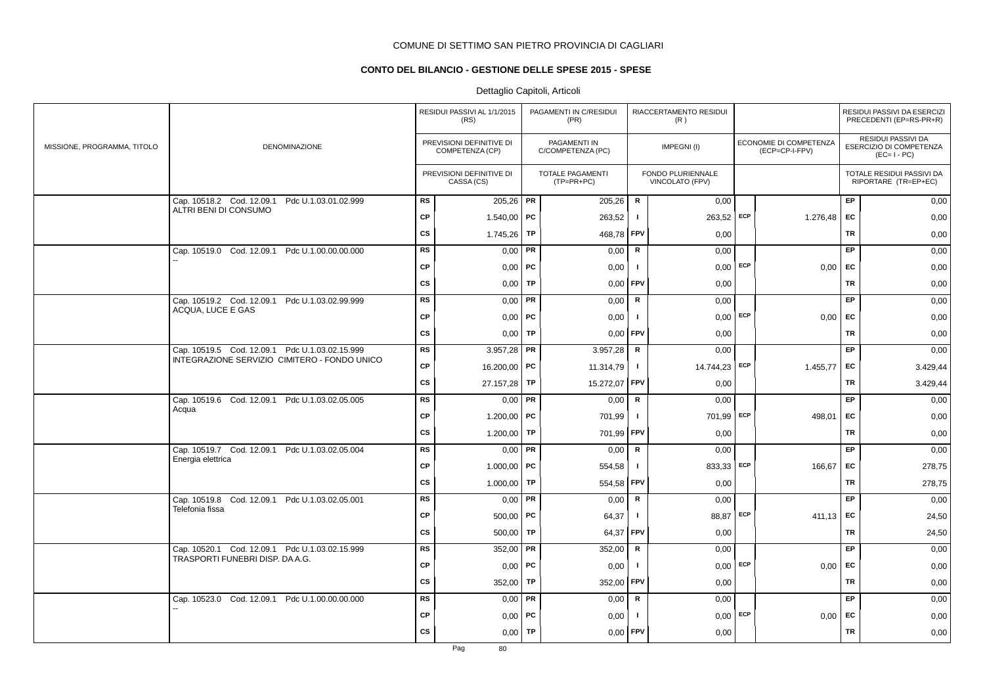# **CONTO DEL BILANCIO - GESTIONE DELLE SPESE 2015 - SPESE**

|                             |                                                                                   |           | RESIDUI PASSIVI AL 1/1/2015<br>(RS)         |           | PAGAMENTI IN C/RESIDUI<br>(PR)        |                | RIACCERTAMENTO RESIDUI<br>(R)        |            |                                          |           | RESIDUI PASSIVI DA ESERCIZI<br>PRECEDENTI (EP=RS-PR+R)       |
|-----------------------------|-----------------------------------------------------------------------------------|-----------|---------------------------------------------|-----------|---------------------------------------|----------------|--------------------------------------|------------|------------------------------------------|-----------|--------------------------------------------------------------|
| MISSIONE, PROGRAMMA, TITOLO | DENOMINAZIONE                                                                     |           | PREVISIONI DEFINITIVE DI<br>COMPETENZA (CP) |           | PAGAMENTI IN<br>C/COMPETENZA (PC)     |                | IMPEGNI(I)                           |            | ECONOMIE DI COMPETENZA<br>(ECP=CP-I-FPV) |           | RESIDUI PASSIVI DA<br>ESERCIZIO DI COMPETENZA<br>$(EC=I-PC)$ |
|                             |                                                                                   |           | PREVISIONI DEFINITIVE DI<br>CASSA (CS)      |           | <b>TOTALE PAGAMENTI</b><br>(TP=PR+PC) |                | FONDO PLURIENNALE<br>VINCOLATO (FPV) |            |                                          |           | TOTALE RESIDUI PASSIVI DA<br>RIPORTARE (TR=EP+EC)            |
|                             | Cap. 10518.2 Cod. 12.09.1<br>Pdc U.1.03.01.02.999<br>ALTRI BENI DI CONSUMO        | <b>RS</b> | $205,26$ PR                                 |           | 205,26                                | $\mathbf R$    | 0,00                                 |            |                                          | EP        | 0,00                                                         |
|                             |                                                                                   | CP        | 1.540,00   PC                               |           | 263,52                                | $\blacksquare$ | 263,52 ECP                           |            | 1.276,48                                 | EC        | 0,00                                                         |
|                             |                                                                                   | cs        | 1.745,26                                    | TP        | 468,78                                | <b>FPV</b>     | 0,00                                 |            |                                          | <b>TR</b> | 0,00                                                         |
|                             | Cap. 10519.0 Cod. 12.09.1 Pdc U.1.00.00.00.000                                    | <b>RS</b> | 0,00                                        | PR        | 0,00                                  | ${\sf R}$      | 0,00                                 |            |                                          | EP.       | 0,00                                                         |
|                             |                                                                                   | CP        | $0,00$   PC                                 |           | 0,00                                  | $\mathbf{I}$   | $0,00$ ECP                           |            | 0,00                                     | EC.       | 0,00                                                         |
|                             |                                                                                   | <b>CS</b> | $0,00$ TP                                   |           | 0,00                                  | <b>FPV</b>     | 0,00                                 |            |                                          | TR        | 0,00                                                         |
|                             | Cap. 10519.2 Cod. 12.09.1 Pdc U.1.03.02.99.999<br>ACQUA, LUCE E GAS               | <b>RS</b> | 0,00                                        | PR        | 0,00                                  | $\mathbf R$    | 0,00                                 |            |                                          | EP        | 0,00                                                         |
|                             |                                                                                   | <b>CP</b> | $0,00$   PC                                 |           | 0,00                                  | $\mathbf{I}$   |                                      | $0,00$ ECP | 0,00                                     | EC        | 0,00                                                         |
|                             |                                                                                   | CS        | 0,00                                        | TP        | 0,00                                  | FPV            | 0,00                                 |            |                                          | <b>TR</b> | 0,00                                                         |
|                             | Cap. 10519.5 Cod. 12.09.1 Pdc U.1.03.02.15.999                                    | <b>RS</b> | 3.957,28                                    | PR        | 3.957,28                              | $\mathbf R$    | 0,00                                 |            |                                          | EP.       | 0,00                                                         |
|                             | INTEGRAZIONE SERVIZIO CIMITERO - FONDO UNICO                                      | CP        | 16.200,00 PC                                |           | 11.314,79                             | $\mathbf{I}$   | 14.744,23 ECP                        |            | 1.455,77                                 | EC        | 3.429,44                                                     |
|                             |                                                                                   | <b>CS</b> | 27.157,28                                   | TP        | 15.272,07                             | <b>FPV</b>     | 0,00                                 |            |                                          | TR        | 3.429,44                                                     |
|                             | Cap. 10519.6 Cod. 12.09.1 Pdc U.1.03.02.05.005                                    | RS        | $0,00$ PR                                   |           | 0,00                                  | R              | 0,00                                 |            |                                          | EP        | 0,00                                                         |
|                             | Acqua                                                                             | <b>CP</b> | 1.200,00                                    | <b>PC</b> | 701,99                                | -1             | 701,99                               | ECP        | 498.01                                   | <b>EC</b> | 0,00                                                         |
|                             |                                                                                   | <b>CS</b> | 1.200,00                                    | TP        | 701,99                                | FPV            | 0,00                                 |            |                                          | <b>TR</b> | 0,00                                                         |
|                             | Cap. 10519.7 Cod. 12.09.1 Pdc U.1.03.02.05.004                                    | RS        | 0,00                                        | PR        | 0,00                                  | $\mathsf R$    | 0,00                                 |            |                                          | <b>EP</b> | 0,00                                                         |
|                             | Energia elettrica                                                                 | CP        | 1.000,00   PC                               |           | 554,58                                | -1             | 833,33                               | ECP        | 166,67                                   | EC        | 278,75                                                       |
|                             |                                                                                   | CS        | 1.000,00                                    | TP        | 554,58                                | <b>FPV</b>     | 0,00                                 |            |                                          | <b>TR</b> | 278,75                                                       |
|                             | Cap. 10519.8 Cod. 12.09.1 Pdc U.1.03.02.05.001<br>Telefonia fissa                 | <b>RS</b> | $0,00$ PR                                   |           | 0,00                                  | $\mathbf R$    | 0,00                                 |            |                                          | EP.       | 0,00                                                         |
|                             |                                                                                   | <b>CP</b> | $500,00$ PC                                 |           | 64,37                                 | -1             | 88,87 ECP                            |            | 411,13                                   | <b>EC</b> | 24,50                                                        |
|                             |                                                                                   | <b>CS</b> | 500,00                                      | TP        | 64,37                                 | FPV            | 0,00                                 |            |                                          | <b>TR</b> | 24,50                                                        |
|                             | Cap. 10520.1 Cod. 12.09.1 Pdc U.1.03.02.15.999<br>TRASPORTI FUNEBRI DISP. DA A.G. | <b>RS</b> | $352,00$ PR                                 |           | 352,00                                | R              | 0,00                                 |            |                                          | EP        | 0,00                                                         |
|                             |                                                                                   | <b>CP</b> | 0,00                                        | PC        | 0,00                                  | $\blacksquare$ | 0,00                                 | ECP        | 0,00                                     | <b>EC</b> | 0,00                                                         |
|                             |                                                                                   | cs        | 352,00                                      | TP        | 352,00                                | <b>FPV</b>     | 0,00                                 |            |                                          | <b>TR</b> | 0,00                                                         |
|                             | Cap. 10523.0 Cod. 12.09.1 Pdc U.1.00.00.00.000                                    | RS        | 0,00                                        | PR        | 0,00                                  | ${\sf R}$      | 0,00                                 |            |                                          | EP        | 0,00                                                         |
|                             |                                                                                   | CP        | $0,00$   PC                                 |           | 0,00                                  | $\blacksquare$ | 0,00                                 | ECP        | 0,00                                     | EC        | 0,00                                                         |
|                             |                                                                                   | <b>CS</b> | 0,00                                        | <b>TP</b> | 0,00                                  | FPV            | 0,00                                 |            |                                          | <b>TR</b> | 0,00                                                         |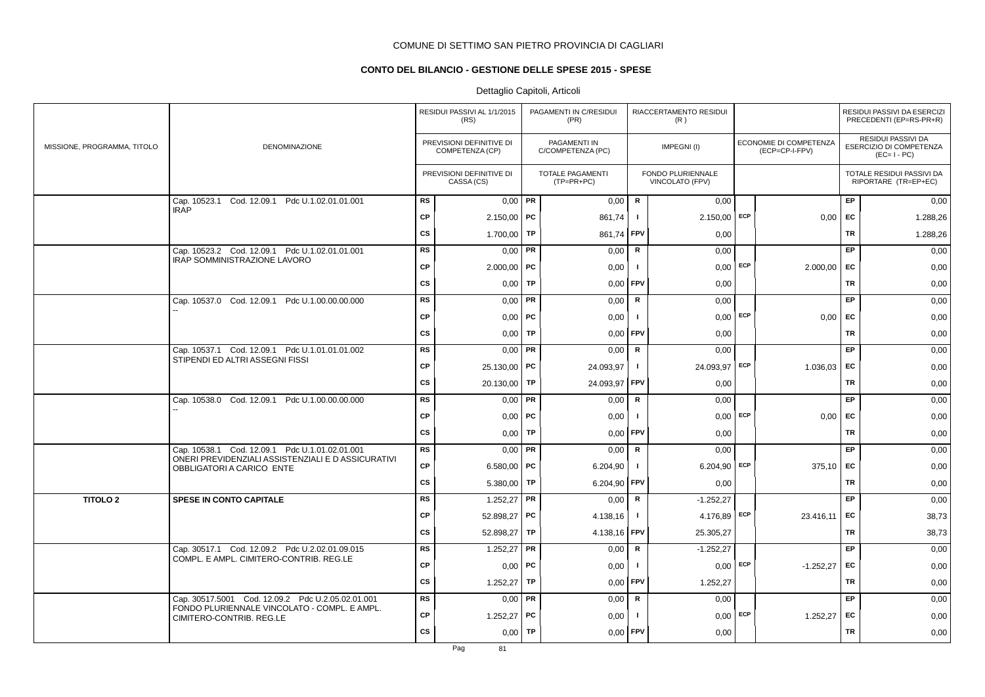# **CONTO DEL BILANCIO - GESTIONE DELLE SPESE 2015 - SPESE**

|                             |                                                                                 |           | RESIDUI PASSIVI AL 1/1/2015<br>(RS)         |    | PAGAMENTI IN C/RESIDUI<br>(PR)        |              | RIACCERTAMENTO RESIDUI<br>(R)        |     |                                          |           | RESIDUI PASSIVI DA ESERCIZI<br>PRECEDENTI (EP=RS-PR+R)       |
|-----------------------------|---------------------------------------------------------------------------------|-----------|---------------------------------------------|----|---------------------------------------|--------------|--------------------------------------|-----|------------------------------------------|-----------|--------------------------------------------------------------|
| MISSIONE, PROGRAMMA, TITOLO | DENOMINAZIONE                                                                   |           | PREVISIONI DEFINITIVE DI<br>COMPETENZA (CP) |    | PAGAMENTI IN<br>C/COMPETENZA (PC)     |              | IMPEGNI(I)                           |     | ECONOMIE DI COMPETENZA<br>(ECP=CP-I-FPV) |           | RESIDUI PASSIVI DA<br>ESERCIZIO DI COMPETENZA<br>$(EC=I-PC)$ |
|                             |                                                                                 |           | PREVISIONI DEFINITIVE DI<br>CASSA (CS)      |    | <b>TOTALE PAGAMENTI</b><br>(TP=PR+PC) |              | FONDO PLURIENNALE<br>VINCOLATO (FPV) |     |                                          |           | TOTALE RESIDUI PASSIVI DA<br>RIPORTARE (TR=EP+EC)            |
|                             | Cap. 10523.1 Cod. 12.09.1 Pdc U.1.02.01.01.001                                  | <b>RS</b> | $0,00$ PR                                   |    | 0,00                                  | R            | 0,00                                 |     |                                          | <b>EP</b> | 0,00                                                         |
|                             | <b>IRAP</b>                                                                     | <b>CP</b> | $2.150,00$ PC                               |    | 861,74                                | $\mathbf{I}$ | $2.150,00$ ECP                       |     | 0,00                                     | EC        | 1.288,26                                                     |
|                             |                                                                                 | <b>CS</b> | 1.700,00                                    | TP | 861,74                                | <b>FPV</b>   | 0,00                                 |     |                                          | TR        | 1.288,26                                                     |
|                             | Cap. 10523.2 Cod. 12.09.1 Pdc U.1.02.01.01.001                                  | RS        | $0,00$ PR                                   |    | 0,00                                  | R            | 0,00                                 |     |                                          | <b>EP</b> | 0,00                                                         |
|                             | IRAP SOMMINISTRAZIONE LAVORO                                                    | <b>CP</b> | $2.000,00$ PC                               |    | 0,00                                  | $\mathbf{I}$ | $0,00$ ECP                           |     | $2.000,00$ EC                            |           | 0,00                                                         |
|                             |                                                                                 | <b>CS</b> | $0,00$ TP                                   |    | 0,00                                  | <b>FPV</b>   | 0,00                                 |     |                                          | TR        | 0,00                                                         |
|                             | Cap. 10537.0 Cod. 12.09.1 Pdc U.1.00.00.00.000                                  | <b>RS</b> | $0,00$ PR                                   |    | 0,00                                  | $\mathbf R$  | 0,00                                 |     |                                          | <b>EP</b> | 0,00                                                         |
|                             |                                                                                 | <b>CP</b> | $0,00$   PC                                 |    | 0,00                                  | $\mathbf{I}$ | $0,00$ ECP                           |     | $0,00$ EC                                |           | 0,00                                                         |
|                             |                                                                                 | <b>CS</b> | $0,00$ TP                                   |    | 0,00                                  | <b>FPV</b>   | 0,00                                 |     |                                          | TR        | 0,00                                                         |
|                             | Cap. 10537.1 Cod. 12.09.1 Pdc U.1.01.01.01.002                                  | <b>RS</b> | $0,00$ PR                                   |    | 0,00                                  | R            | 0.00                                 |     |                                          | EP        | 0,00                                                         |
|                             | STIPENDI ED ALTRI ASSEGNI FISSI                                                 | <b>CP</b> | 25.130,00 <b>PC</b>                         |    | 24.093,97                             | $\mathbf{I}$ | 24.093,97 ECP                        |     | $1.036,03$ EC                            |           | 0,00                                                         |
|                             |                                                                                 | <b>CS</b> | 20.130,00   TP                              |    | 24.093,97                             | <b>FPV</b>   | 0,00                                 |     |                                          | <b>TR</b> | 0,00                                                         |
|                             | Cap. 10538.0 Cod. 12.09.1 Pdc U.1.00.00.00.000                                  | <b>RS</b> | $0,00$ PR                                   |    | 0,00                                  | ${\sf R}$    | 0,00                                 |     |                                          | EP.       | 0,00                                                         |
|                             |                                                                                 | <b>CP</b> | $0,00$ PC                                   |    | 0,00                                  | $\mathbf{I}$ | $0,00$ ECP                           |     | 0,00                                     | EC        | 0,00                                                         |
|                             |                                                                                 | <b>CS</b> | $0,00$ TP                                   |    | 0,00                                  | <b>FPV</b>   | 0,00                                 |     |                                          | TR        | 0,00                                                         |
|                             | Cap. 10538.1 Cod. 12.09.1 Pdc U.1.01.02.01.001                                  | <b>RS</b> | $0,00$ PR                                   |    | 0,00                                  | R            | 0,00                                 |     |                                          | EP        | 0,00                                                         |
|                             | ONERI PREVIDENZIALI ASSISTENZIALI E D ASSICURATIVI<br>OBBLIGATORI A CARICO ENTE | <b>CP</b> | 6.580,00   PC                               |    | 6.204,90                              | $\mathbf{I}$ | $6.204,90$ ECP                       |     | $375,10$ EC                              |           | 0,00                                                         |
|                             |                                                                                 | <b>CS</b> | 5.380,00   TP                               |    | 6.204,90                              | <b>FPV</b>   | 0,00                                 |     |                                          | TR        | 0,00                                                         |
| <b>TITOLO 2</b>             | SPESE IN CONTO CAPITALE                                                         | <b>RS</b> | $1.252,27$ PR                               |    | 0,00                                  | $\mathsf R$  | $-1.252,27$                          |     |                                          | EP        | 0,00                                                         |
|                             |                                                                                 | <b>CP</b> | 52.898,27 PC                                |    | 4.138,16                              | $\mathbf{I}$ | 4.176,89                             | ECP | 23.416,11                                | EC        | 38,73                                                        |
|                             |                                                                                 | <b>CS</b> | 52.898,27 TP                                |    | 4.138,16                              | <b>FPV</b>   | 25.305,27                            |     |                                          | TR        | 38,73                                                        |
|                             | Cap. 30517.1 Cod. 12.09.2 Pdc U.2.02.01.09.015                                  | <b>RS</b> | 1.252,27   PR                               |    | 0,00                                  | $\mathsf{R}$ | $-1.252,27$                          |     |                                          | EP        | 0,00                                                         |
|                             | COMPL. E AMPL. CIMITERO-CONTRIB. REG.LE                                         | <b>CP</b> | 0,00                                        | PC | 0,00                                  | $\mathbf{I}$ | $0,00$ ECP                           |     | $-1.252,27$                              | EC        | 0,00                                                         |
|                             |                                                                                 | <b>CS</b> | $1.252,27$ TP                               |    | 0,00                                  | <b>FPV</b>   | 1.252,27                             |     |                                          | <b>TR</b> | 0,00                                                         |
|                             | Cap. 30517.5001 Cod. 12.09.2 Pdc U.2.05.02.01.001                               | RS        | $0,00$ PR                                   |    | 0,00                                  | R            | 0,00                                 |     |                                          | EP        | 0,00                                                         |
|                             | FONDO PLURIENNALE VINCOLATO - COMPL. E AMPL.<br>CIMITERO-CONTRIB. REG.LE        | <b>CP</b> | 1.252,27                                    | PC | 0,00                                  | -1           | $0,00$ ECP                           |     | 1.252,27                                 | <b>FC</b> | 0,00                                                         |
|                             |                                                                                 | <b>CS</b> | $0,00$ TP                                   |    | 0,00                                  | FPV          | 0,00                                 |     |                                          | TR        | 0,00                                                         |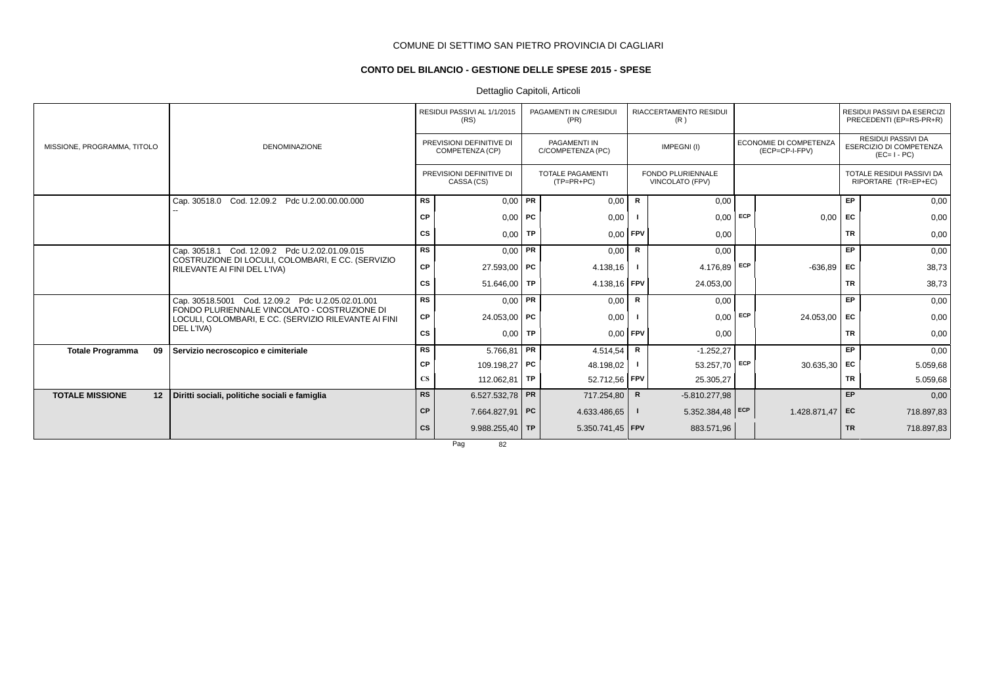# **CONTO DEL BILANCIO - GESTIONE DELLE SPESE 2015 - SPESE**

# Dettaglio Capitoli, Articoli

|                               |                                                                                                      |                        | RESIDUI PASSIVI AL 1/1/2015<br>(RS)         |           | PAGAMENTI IN C/RESIDUI<br>(PR)          |              | RIACCERTAMENTO RESIDUI<br>(R)               |     |                                          |           | RESIDUI PASSIVI DA ESERCIZI<br>PRECEDENTI (EP=RS-PR+R)              |
|-------------------------------|------------------------------------------------------------------------------------------------------|------------------------|---------------------------------------------|-----------|-----------------------------------------|--------------|---------------------------------------------|-----|------------------------------------------|-----------|---------------------------------------------------------------------|
| MISSIONE, PROGRAMMA, TITOLO   | <b>DENOMINAZIONE</b>                                                                                 |                        | PREVISIONI DEFINITIVE DI<br>COMPETENZA (CP) |           | PAGAMENTI IN<br>C/COMPETENZA (PC)       |              | IMPEGNI(I)                                  |     | ECONOMIE DI COMPETENZA<br>(ECP=CP-I-FPV) |           | <b>RESIDUI PASSIVI DA</b><br>ESERCIZIO DI COMPETENZA<br>$(EC=I-PC)$ |
|                               |                                                                                                      |                        | PREVISIONI DEFINITIVE DI<br>CASSA (CS)      |           | <b>TOTALE PAGAMENTI</b><br>$(TP=PR+PC)$ |              | <b>FONDO PLURIENNALE</b><br>VINCOLATO (FPV) |     |                                          |           | TOTALE RESIDUI PASSIVI DA<br>RIPORTARE (TR=EP+EC)                   |
|                               | Cap. 30518.0 Cod. 12.09.2 Pdc U.2.00.00.00.000                                                       | RS                     | $0,00$ PR                                   |           | 0,00                                    | R            | 0,00                                        |     |                                          | EP        | 0,00                                                                |
|                               |                                                                                                      | СP                     | $0,00$ PC                                   |           | 0,00                                    |              | 0,00                                        | ECP | 0,00                                     | EC        | 0,00                                                                |
|                               |                                                                                                      | СS                     | $0,00$ TP                                   |           | $0,00$ FPV                              |              | 0,00                                        |     |                                          | <b>TR</b> | 0,00                                                                |
|                               | Cap. 30518.1 Cod. 12.09.2 Pdc U.2.02.01.09.015                                                       | RS                     | $0,00$ PR                                   |           | 0,00                                    | R            | 0,00                                        |     |                                          | EP        | 0,00                                                                |
|                               | COSTRUZIONE DI LOCULI, COLOMBARI, E CC. (SERVIZIO<br>RILEVANTE AI FINI DEL L'IVA)                    | СP                     | 27.593,00 PC                                |           | 4.138,16                                |              | 4.176,89                                    | ECP | -636,89                                  | EC        | 38,73                                                               |
|                               |                                                                                                      | СS                     | 51.646,00   TP                              |           | 4.138,16 FPV                            |              | 24.053,00                                   |     |                                          | <b>TR</b> | 38,73                                                               |
|                               | Cap. 30518.5001 Cod. 12.09.2 Pdc U.2.05.02.01.001                                                    | <b>RS</b>              | $0.00$ PR                                   |           | 0,00                                    | $\mathsf{R}$ | 0,00                                        |     |                                          | EP        | 0,00                                                                |
|                               | FONDO PLURIENNALE VINCOLATO - COSTRUZIONE DI<br>LOCULI, COLOMBARI, E CC. (SERVIZIO RILEVANTE AI FINI | СP                     | 24.053,00 PC                                |           | 0,00                                    |              | 0,00                                        | ECP | 24.053,00                                | <b>FC</b> | 0,00                                                                |
|                               | DEL L'IVA)                                                                                           | CS                     | 0,00                                        | <b>TP</b> | 0,00                                    | FPV          | 0,00                                        |     |                                          | <b>TR</b> | 0,00                                                                |
| 09<br><b>Totale Programma</b> | Servizio necroscopico e cimiteriale                                                                  | RS                     | $5.766,81$ PR                               |           | 4.514,54                                | R            | $-1.252,27$                                 |     |                                          | EP        | 0,00                                                                |
|                               |                                                                                                      | СP                     | 109.198,27 PC                               |           | 48.198,02                               |              | 53.257,70                                   | ECP | $30.635,30$ EC                           |           | 5.059,68                                                            |
|                               |                                                                                                      | $\mathbf{C}\mathbf{S}$ | 112.062,81   TP                             |           | 52.712,56 FPV                           |              | 25.305,27                                   |     |                                          | <b>TR</b> | 5.059,68                                                            |
| <b>TOTALE MISSIONE</b><br>12  | Diritti sociali, politiche sociali e famiglia                                                        | <b>RS</b>              | 6.527.532,78 PR                             |           | 717.254,80                              | R            | $-5.810.277,98$                             |     |                                          | EP        | 0,00                                                                |
|                               |                                                                                                      | <b>CP</b>              | 7.664.827,91 PC                             |           | 4.633.486,65                            | -1           | 5.352.384,48 ECP                            |     | 1.428.871,47                             | EC        | 718.897,83                                                          |
|                               |                                                                                                      | cs                     | $9.988.255.40$ TP                           |           | 5.350.741,45   FPV                      |              | 883.571,96                                  |     |                                          | <b>TR</b> | 718.897,83                                                          |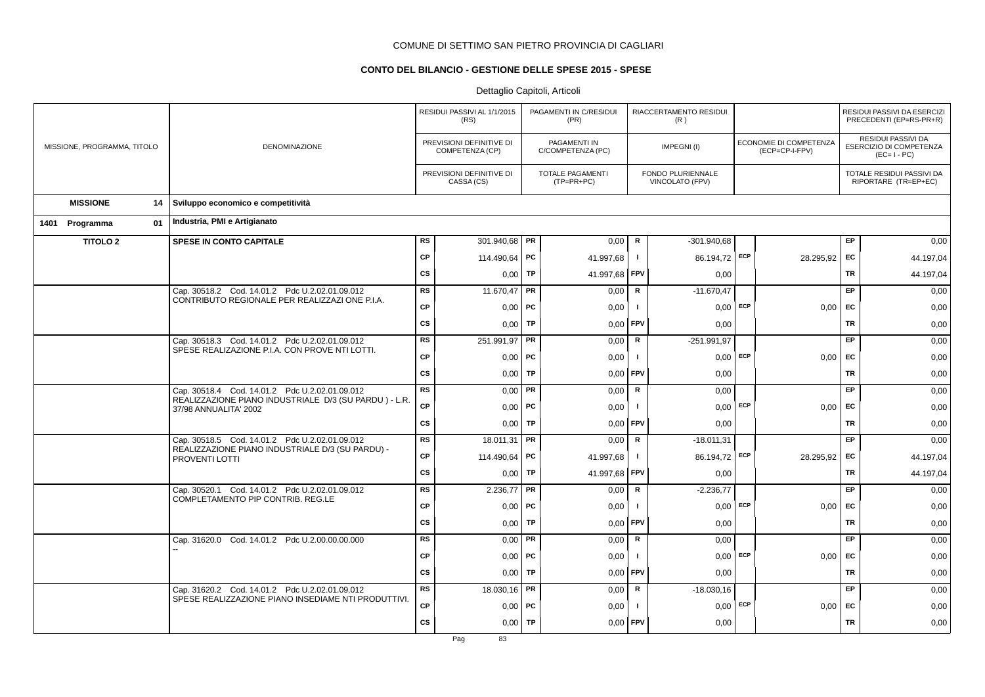# **CONTO DEL BILANCIO - GESTIONE DELLE SPESE 2015 - SPESE**

|                             |                                                                                                         | RESIDUI PASSIVI AL 1/1/2015<br>(RS) |                                             | PAGAMENTI IN C/RESIDUI<br>(PR) |                                         | RIACCERTAMENTO RESIDUI<br>(R) |                                      |            |                                          | RESIDUI PASSIVI DA ESERCIZI<br>PRECEDENTI (EP=RS-PR+R) |                                                                     |
|-----------------------------|---------------------------------------------------------------------------------------------------------|-------------------------------------|---------------------------------------------|--------------------------------|-----------------------------------------|-------------------------------|--------------------------------------|------------|------------------------------------------|--------------------------------------------------------|---------------------------------------------------------------------|
| MISSIONE, PROGRAMMA, TITOLO | DENOMINAZIONE                                                                                           |                                     | PREVISIONI DEFINITIVE DI<br>COMPETENZA (CP) |                                | PAGAMENTI IN<br>C/COMPETENZA (PC)       |                               | IMPEGNI(I)                           |            | ECONOMIE DI COMPETENZA<br>(ECP=CP-I-FPV) |                                                        | <b>RESIDUI PASSIVI DA</b><br>ESERCIZIO DI COMPETENZA<br>$(EC=I-PC)$ |
|                             |                                                                                                         |                                     | PREVISIONI DEFINITIVE DI<br>CASSA (CS)      |                                | <b>TOTALE PAGAMENTI</b><br>$(TP=PR+PC)$ |                               | FONDO PLURIENNALE<br>VINCOLATO (FPV) |            |                                          |                                                        | TOTALE RESIDUI PASSIVI DA<br>RIPORTARE (TR=EP+EC)                   |
| <b>MISSIONE</b><br>14       | Sviluppo economico e competitività                                                                      |                                     |                                             |                                |                                         |                               |                                      |            |                                          |                                                        |                                                                     |
| 01<br>1401 Programma        | Industria, PMI e Artigianato                                                                            |                                     |                                             |                                |                                         |                               |                                      |            |                                          |                                                        |                                                                     |
| <b>TITOLO 2</b>             | SPESE IN CONTO CAPITALE                                                                                 | <b>RS</b>                           | 301.940,68 PR                               |                                | 0,00                                    | R                             | $-301.940.68$                        |            |                                          | EP                                                     | 0,00                                                                |
|                             |                                                                                                         | <b>CP</b>                           | 114.490,64 PC                               |                                | 41.997,68                               | $\mathbf{I}$                  | 86.194,72 ECP                        |            | 28.295,92                                | EC                                                     | 44.197,04                                                           |
|                             |                                                                                                         | <b>CS</b>                           | $0,00$ TP                                   |                                | 41.997,68                               | FPV                           | 0,00                                 |            |                                          | <b>TR</b>                                              | 44.197,04                                                           |
|                             | Cap. 30518.2 Cod. 14.01.2 Pdc U.2.02.01.09.012<br>CONTRIBUTO REGIONALE PER REALIZZAZI ONE P.I.A.        | <b>RS</b>                           | 11.670,47                                   | PR                             | 0,00                                    | ${\sf R}$                     | $-11.670,47$                         |            |                                          | <b>EP</b>                                              | 0,00                                                                |
|                             |                                                                                                         | <b>CP</b>                           | $0,00$ PC                                   |                                | 0,00                                    | $\mathbf{I}$                  |                                      | $0.00$ ECP | 0,00                                     | EC                                                     | 0,00                                                                |
|                             |                                                                                                         | cs                                  | 0,00                                        | TP                             | 0,00                                    | FPV                           | 0,00                                 |            |                                          | <b>TR</b>                                              | 0,00                                                                |
|                             | Cap. 30518.3 Cod. 14.01.2 Pdc U.2.02.01.09.012<br>SPESE REALIZAZIONE P.I.A. CON PROVE NTI LOTTI.        | <b>RS</b>                           | 251.991,97 PR                               |                                | 0,00                                    | ${\sf R}$                     | $-251.991.97$                        |            |                                          | <b>EP</b>                                              | 0,00                                                                |
|                             |                                                                                                         | <b>CP</b>                           | $0,00$ PC                                   |                                | 0,00                                    | Τ.                            | 0.00                                 | ECP        | 0.00                                     | <b>FC</b>                                              | 0,00                                                                |
|                             |                                                                                                         | <b>CS</b>                           | 0,00                                        | TP                             | 0,00                                    | FPV                           | 0,00                                 |            |                                          | TR                                                     | 0,00                                                                |
|                             | Cap. 30518.4 Cod. 14.01.2 Pdc U.2.02.01.09.012<br>REALIZZAZIONE PIANO INDUSTRIALE D/3 (SU PARDU) - L.R. | <b>RS</b>                           | $0,00$ PR                                   |                                | 0,00                                    | $\mathsf{R}$                  | 0,00                                 |            |                                          | <b>EP</b>                                              | 0,00                                                                |
|                             | 37/98 ANNUALITA' 2002                                                                                   | <b>CP</b>                           | $0,00$   PC                                 |                                | 0,00                                    | $\mathbf{I}$                  | $0,00$ ECP                           |            | $0,00$ EC                                |                                                        | 0,00                                                                |
|                             |                                                                                                         | <b>CS</b>                           | 0,00                                        | TP                             | 0,00                                    | FPV                           | 0,00                                 |            |                                          | <b>TR</b>                                              | 0,00                                                                |
|                             | Cap. 30518.5 Cod. 14.01.2 Pdc U.2.02.01.09.012<br>REALIZZAZIONE PIANO INDUSTRIALE D/3 (SU PARDU) -      | RS                                  | 18.011,31   PR                              |                                | 0,00                                    | $\mathsf{R}$                  | $-18.011,31$                         |            |                                          | <b>EP</b>                                              | 0,00                                                                |
|                             | PROVENTI LOTTI                                                                                          | CP                                  | 114.490,64   PC                             |                                | 41.997,68                               | Τ.                            | 86.194,72 ECP                        |            | 28.295,92                                | EC                                                     | 44.197,04                                                           |
|                             |                                                                                                         | <b>CS</b>                           | 0,00                                        | <b>TP</b>                      | 41.997,68                               | <b>FPV</b>                    | 0,00                                 |            |                                          | <b>TR</b>                                              | 44.197,04                                                           |
|                             | Cap. 30520.1 Cod. 14.01.2 Pdc U.2.02.01.09.012<br>COMPLETAMENTO PIP CONTRIB. REG.LE                     | <b>RS</b>                           | 2.236,77                                    | PR                             | 0,00                                    | R                             | $-2.236,77$                          |            |                                          | EP                                                     | 0,00                                                                |
|                             |                                                                                                         | <b>CP</b>                           | $0,00$   PC                                 |                                | 0,00                                    | -1                            | 0,00                                 | ECP        | $0,00$ EC                                |                                                        | 0,00                                                                |
|                             |                                                                                                         | <b>CS</b>                           | 0,00                                        | <b>TP</b>                      | 0,00                                    | FPV                           | 0,00                                 |            |                                          | <b>TR</b>                                              | 0,00                                                                |
|                             | Cap. 31620.0 Cod. 14.01.2 Pdc U.2.00.00.00.000                                                          | <b>RS</b>                           | $0,00$ PR                                   |                                | 0,00                                    | $\mathsf{R}$                  | 0,00                                 |            |                                          | EP.                                                    | 0,00                                                                |
|                             |                                                                                                         | <b>CP</b>                           | $0,00$   PC                                 |                                | 0,00                                    | -1                            | 0.00                                 | ECP        | 0,00                                     | EC                                                     | 0,00                                                                |
|                             |                                                                                                         | <b>CS</b>                           | 0,00                                        | TP                             | 0,00                                    | FPV                           | 0,00                                 |            |                                          | <b>TR</b>                                              | 0,00                                                                |
|                             | Cap. 31620.2 Cod. 14.01.2 Pdc U.2.02.01.09.012<br>SPESE REALIZZAZIONE PIANO INSEDIAME NTI PRODUTTIVI.   | <b>RS</b>                           | 18.030,16 PR                                |                                | 0,00                                    | R                             | $-18.030,16$                         |            |                                          | EP                                                     | 0,00                                                                |
|                             |                                                                                                         | <b>CP</b>                           | $0,00$   PC                                 |                                | 0,00                                    |                               | 0,00                                 | ECP        | $0,00$ EC                                |                                                        | 0,00                                                                |
|                             |                                                                                                         | <b>CS</b>                           | 0,00                                        | TP                             | 0,00                                    | FPV                           | 0,00                                 |            |                                          | <b>TR</b>                                              | 0,00                                                                |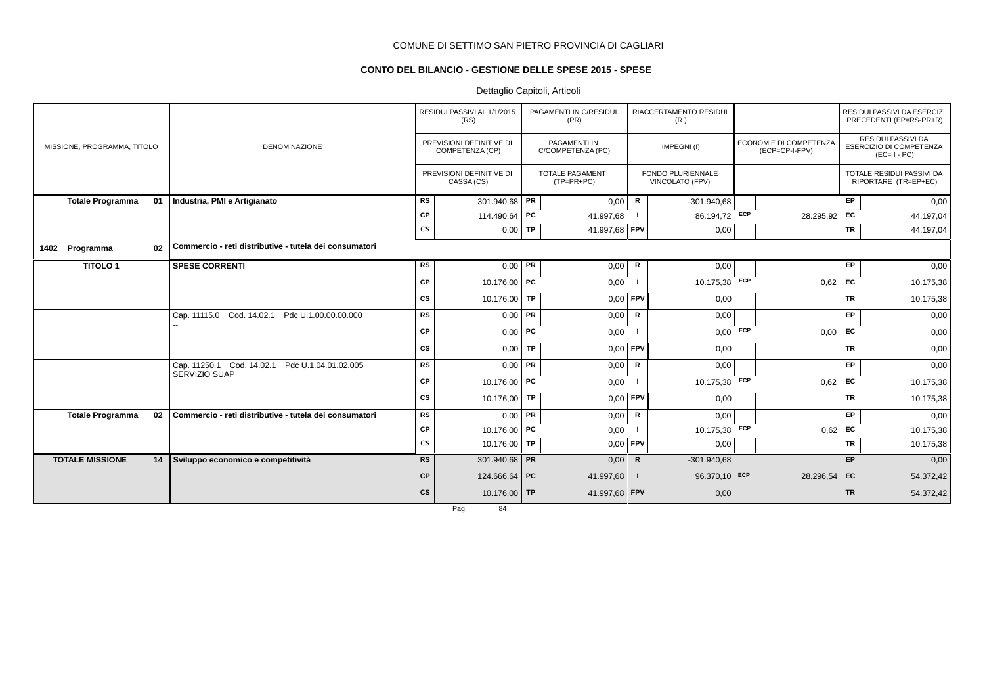# **CONTO DEL BILANCIO - GESTIONE DELLE SPESE 2015 - SPESE**

# Dettaglio Capitoli, Articoli

|                               |                                                        |                        | RESIDUI PASSIVI AL 1/1/2015<br>(RS)         | PAGAMENTI IN C/RESIDUI<br>(PR)          |              | RIACCERTAMENTO RESIDUI<br>(R)        |            |                                          |           | RESIDUI PASSIVI DA ESERCIZI<br>PRECEDENTI (EP=RS-PR+R)       |
|-------------------------------|--------------------------------------------------------|------------------------|---------------------------------------------|-----------------------------------------|--------------|--------------------------------------|------------|------------------------------------------|-----------|--------------------------------------------------------------|
| MISSIONE, PROGRAMMA, TITOLO   | <b>DENOMINAZIONE</b>                                   |                        | PREVISIONI DEFINITIVE DI<br>COMPETENZA (CP) | PAGAMENTI IN<br>C/COMPETENZA (PC)       |              | IMPEGNI(I)                           |            | ECONOMIE DI COMPETENZA<br>(ECP=CP-I-FPV) |           | RESIDUI PASSIVI DA<br>ESERCIZIO DI COMPETENZA<br>$(EC=I-PC)$ |
|                               |                                                        |                        | PREVISIONI DEFINITIVE DI<br>CASSA (CS)      | <b>TOTALE PAGAMENTI</b><br>$(TP=PR+PC)$ |              | FONDO PLURIENNALE<br>VINCOLATO (FPV) |            |                                          |           | TOTALE RESIDUI PASSIVI DA<br>RIPORTARE (TR=EP+EC)            |
| <b>Totale Programma</b><br>01 | Industria, PMI e Artigianato                           | <b>RS</b>              | 301.940,68 PR                               | 0,00                                    | R            | $-301.940.68$                        |            |                                          | EP        | 0,00                                                         |
|                               |                                                        | CP                     | 114.490,64 PC                               | 41.997,68                               |              | 86.194,72                            | ECP        | 28.295,92                                | EC        | 44.197,04                                                    |
|                               |                                                        | $\mathbf{C}\mathbf{S}$ | $0,00$ TP                                   | 41.997,68   FPV                         |              | 0,00                                 |            |                                          | TR        | 44.197,04                                                    |
| 1402 Programma<br>02          | Commercio - reti distributive - tutela dei consumatori |                        |                                             |                                         |              |                                      |            |                                          |           |                                                              |
| <b>TITOLO1</b>                | <b>SPESE CORRENTI</b>                                  | <b>RS</b>              | $0.00$ PR                                   | 0,00                                    | R            | 0,00                                 |            |                                          | EP        | 0,00                                                         |
|                               |                                                        | СP                     | 10.176,00 PC                                | 0,00                                    |              | 10.175,38                            | ECP        | 0,62                                     | EC        | 10.175,38                                                    |
|                               |                                                        | СS                     | 10.176,00   TP                              | 0,00                                    | <b>FPV</b>   | 0,00                                 |            |                                          | <b>TR</b> | 10.175,38                                                    |
|                               | Cap. 11115.0 Cod. 14.02.1<br>Pdc U.1.00.00.00.000      | <b>RS</b>              | $0.00$ PR                                   | 0,00                                    | R            | 0,00                                 |            |                                          | EP        | 0,00                                                         |
|                               |                                                        | CP                     | $0,00$ PC                                   | 0,00                                    |              | 0,00                                 | ECP        | 0,00                                     | EC        | 0,00                                                         |
|                               |                                                        | <b>CS</b>              | $0,00$ TP                                   | 0,00                                    | <b>FPV</b>   | 0,00                                 |            |                                          | <b>TR</b> | 0,00                                                         |
|                               | Cap. 11250.1 Cod. 14.02.1 Pdc U.1.04.01.02.005         | <b>RS</b>              | $0.00$ PR                                   | 0,00                                    | R            | 0,00                                 |            |                                          | EP        | 0,00                                                         |
|                               | SERVIZIO SUAP                                          | CP                     | 10.176,00 PC                                | 0,00                                    |              | 10.175,38                            | <b>ECP</b> | 0,62                                     | EC        | 10.175,38                                                    |
|                               |                                                        | CS                     | 10.176.00 TP                                | 0,00                                    | FPV          | 0,00                                 |            |                                          | <b>TR</b> | 10.175,38                                                    |
| <b>Totale Programma</b><br>02 | Commercio - reti distributive - tutela dei consumatori | <b>RS</b>              | $0,00$ PR                                   | 0,00                                    | R            | 0,00                                 |            |                                          | EP        | 0,00                                                         |
|                               |                                                        | СP                     | 10.176,00 PC                                | 0,00                                    |              | 10.175,38                            | ECP        | 0,62                                     | <b>FC</b> | 10.175,38                                                    |
|                               |                                                        | $\mathbf{C}\mathbf{S}$ | 10.176,00 TP                                | 0,00                                    | <b>FPV</b>   | 0,00                                 |            |                                          | <b>TR</b> | 10.175,38                                                    |
| <b>TOTALE MISSIONE</b><br>14  | Sviluppo economico e competitività                     | <b>RS</b>              | 301.940,68 PR                               | 0,00                                    | $\mathsf{R}$ | $-301.940.68$                        |            |                                          | EP        | 0,00                                                         |
|                               |                                                        | <b>CP</b>              | 124.666,64 PC                               | 41.997,68                               | -1           | 96.370,10                            | ECP        | 28.296,54                                | EC        | 54.372,42                                                    |
|                               |                                                        | <b>CS</b>              | 10.176,00 TP                                | 41.997,68 FPV                           |              | 0,00                                 |            |                                          | <b>TR</b> | 54.372,42                                                    |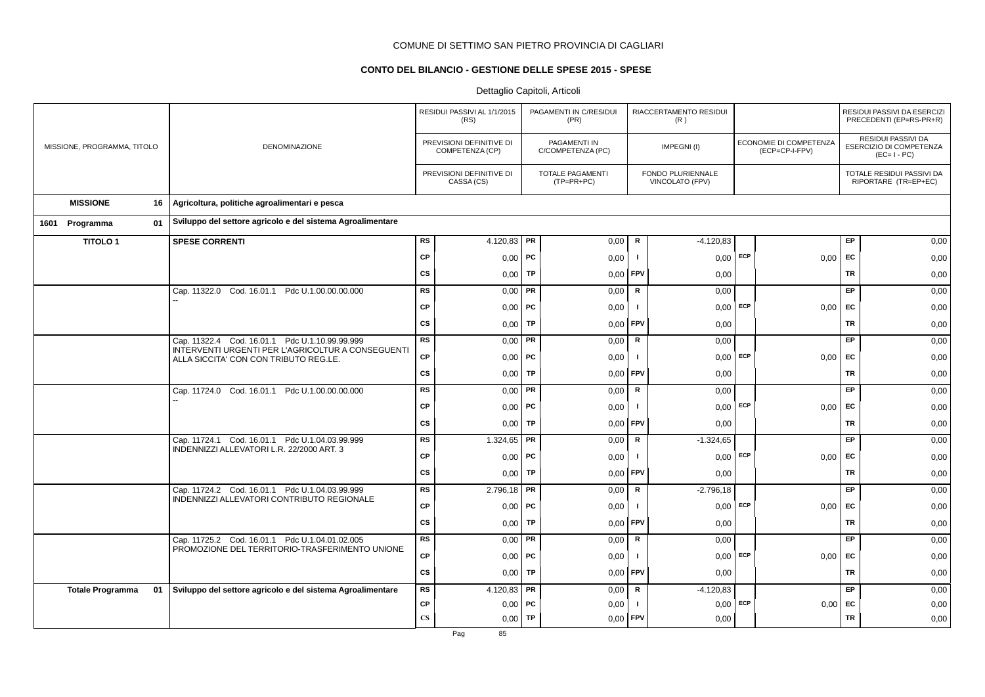# **CONTO DEL BILANCIO - GESTIONE DELLE SPESE 2015 - SPESE**

|                               |                                                                                              |                        | RESIDUI PASSIVI AL 1/1/2015<br>(RS)         |           | PAGAMENTI IN C/RESIDUI<br>(PR)          |                                      | RIACCERTAMENTO RESIDUI<br>(R) |                                          |      |                                                              | RESIDUI PASSIVI DA ESERCIZI<br>PRECEDENTI (EP=RS-PR+R) |
|-------------------------------|----------------------------------------------------------------------------------------------|------------------------|---------------------------------------------|-----------|-----------------------------------------|--------------------------------------|-------------------------------|------------------------------------------|------|--------------------------------------------------------------|--------------------------------------------------------|
| MISSIONE, PROGRAMMA, TITOLO   | <b>DENOMINAZIONE</b>                                                                         |                        | PREVISIONI DEFINITIVE DI<br>COMPETENZA (CP) |           | PAGAMENTI IN<br>C/COMPETENZA (PC)       |                                      | IMPEGNI(I)                    | ECONOMIE DI COMPETENZA<br>(ECP=CP-I-FPV) |      | RESIDUI PASSIVI DA<br>ESERCIZIO DI COMPETENZA<br>$(EC=I-PC)$ |                                                        |
|                               |                                                                                              |                        | PREVISIONI DEFINITIVE DI<br>CASSA (CS)      |           | <b>TOTALE PAGAMENTI</b><br>$(TP=PR+PC)$ | FONDO PLURIENNALE<br>VINCOLATO (FPV) |                               |                                          |      | TOTALE RESIDUI PASSIVI DA<br>RIPORTARE (TR=EP+EC)            |                                                        |
| <b>MISSIONE</b><br>16         | Agricoltura, politiche agroalimentari e pesca                                                |                        |                                             |           |                                         |                                      |                               |                                          |      |                                                              |                                                        |
| Programma<br>01<br>1601       | Sviluppo del settore agricolo e del sistema Agroalimentare                                   |                        |                                             |           |                                         |                                      |                               |                                          |      |                                                              |                                                        |
| <b>TITOLO1</b>                | <b>SPESE CORRENTI</b>                                                                        | RS                     | 4.120,83   PR                               |           | 0,00                                    | $\mathsf R$                          | $-4.120.83$                   |                                          |      | EP                                                           | 0,00                                                   |
|                               |                                                                                              | <b>CP</b>              | 0,00                                        | <b>PC</b> | 0,00                                    | - 1                                  | $0,00$ ECP                    |                                          | 0,00 | EC                                                           | 0,00                                                   |
|                               |                                                                                              | <b>CS</b>              | 0,00                                        | TP        | 0,00                                    | FPV                                  | 0,00                          |                                          |      | <b>TR</b>                                                    | 0,00                                                   |
|                               | Cap. 11322.0 Cod. 16.01.1 Pdc U.1.00.00.00.000                                               | <b>RS</b>              | $0,00$ PR                                   |           | 0,00                                    | $\mathbf R$                          | 0,00                          |                                          |      | EP                                                           | 0,00                                                   |
|                               |                                                                                              | <b>CP</b>              | $0,00$   PC                                 |           | 0,00                                    | - 1                                  | $0,00$ ECP                    |                                          | 0,00 | EC                                                           | 0,00                                                   |
|                               |                                                                                              | <b>CS</b>              | 0,00                                        | <b>TP</b> | 0,00                                    | FPV                                  | 0,00                          |                                          |      | TR                                                           | 0,00                                                   |
|                               | Cap. 11322.4 Cod. 16.01.1 Pdc U.1.10.99.99.999                                               | <b>RS</b>              | 0,00                                        | PR        | 0,00                                    | $\mathsf R$                          | 0,00                          |                                          |      | EP                                                           | 0,00                                                   |
|                               | INTERVENTI URGENTI PER L'AGRICOLTUR A CONSEGUENTI<br>ALLA SICCITA' CON CON TRIBUTO REG.LE.   | CP                     | $0,00$ PC                                   |           | 0,00                                    | - 1                                  | 0,00                          | ECP                                      | 0.00 | EC                                                           | 0,00                                                   |
|                               |                                                                                              | <b>CS</b>              | 0,00                                        | TP        | 0,00                                    | FPV                                  | 0,00                          |                                          |      | <b>TR</b>                                                    | 0,00                                                   |
|                               | Cap. 11724.0 Cod. 16.01.1 Pdc U.1.00.00.00.000                                               | <b>RS</b>              | 0,00                                        | PR        | 0,00                                    | ${\sf R}$                            | 0,00                          |                                          |      | EP                                                           | 0,00                                                   |
|                               |                                                                                              | <b>CP</b>              | $0,00$ PC                                   |           | 0,00                                    |                                      | $0,00$ ECP                    |                                          | 0,00 | EC                                                           | 0,00                                                   |
|                               |                                                                                              | <b>CS</b>              | 0,00                                        | TP        | 0,00                                    | FPV                                  | 0,00                          |                                          |      | TR                                                           | 0,00                                                   |
|                               | Cap. 11724.1 Cod. 16.01.1 Pdc U.1.04.03.99.999                                               | RS                     | 1.324,65                                    | <b>PR</b> | 0,00                                    | ${\sf R}$                            | $-1.324,65$                   |                                          |      | <b>EP</b>                                                    | 0,00                                                   |
|                               | INDENNIZZI ALLEVATORI L.R. 22/2000 ART. 3                                                    | <b>CP</b>              | 0,00                                        | PC        | 0,00                                    |                                      | $0,00$ ECP                    |                                          | 0,00 | EC                                                           | 0,00                                                   |
|                               |                                                                                              | <b>CS</b>              | 0,00                                        | TP        | 0,00                                    | FPV                                  | 0,00                          |                                          |      | <b>TR</b>                                                    | 0,00                                                   |
|                               | Cap. 11724.2 Cod. 16.01.1 Pdc U.1.04.03.99.999<br>INDENNIZZI ALLEVATORI CONTRIBUTO REGIONALE | <b>RS</b>              | $2.796,18$ PR                               |           | 0,00                                    | ${\sf R}$                            | $-2.796,18$                   |                                          |      | EP                                                           | 0,00                                                   |
|                               |                                                                                              | CP                     | 0,00                                        | PC        | 0,00                                    | - 1                                  | 0,00                          | ECP                                      | 0,00 | <b>FC</b>                                                    | 0,00                                                   |
|                               |                                                                                              | cs                     | 0,00                                        | TP        | 0,00                                    | FPV                                  | 0,00                          |                                          |      | <b>TR</b>                                                    | 0,00                                                   |
|                               | Cap. 11725.2 Cod. 16.01.1 Pdc U.1.04.01.02.005                                               | RS                     | 0,00                                        | PR        | 0,00                                    | ${\sf R}$                            | 0,00                          |                                          |      | EP                                                           | 0,00                                                   |
|                               | PROMOZIONE DEL TERRITORIO-TRASFERIMENTO UNIONE                                               | <b>CP</b>              | 0,00                                        | PC        | 0,00                                    | - 1                                  | $0,00$ ECP                    |                                          | 0,00 | <b>FC</b>                                                    | 0,00                                                   |
|                               |                                                                                              | CS                     | 0.001                                       | TP        | 0,00                                    | FPV                                  | 0,00                          |                                          |      | <b>TR</b>                                                    | 0,00                                                   |
| <b>Totale Programma</b><br>01 | Sviluppo del settore agricolo e del sistema Agroalimentare                                   | RS                     | 4.120,83                                    | PR        | 0,00                                    | $\mathsf R$                          | $-4.120.83$                   |                                          |      | EP                                                           | 0,00                                                   |
|                               |                                                                                              | CP                     | 0,00                                        | <b>PC</b> | 0,00                                    | -1                                   | 0,00                          | ECP                                      |      | $0,00$ EC                                                    | 0,00                                                   |
|                               |                                                                                              | $\mathbf{C}\mathbf{S}$ | 0,00                                        | TP        | 0,00                                    | FPV                                  | 0,00                          |                                          |      | <b>TR</b>                                                    | 0,00                                                   |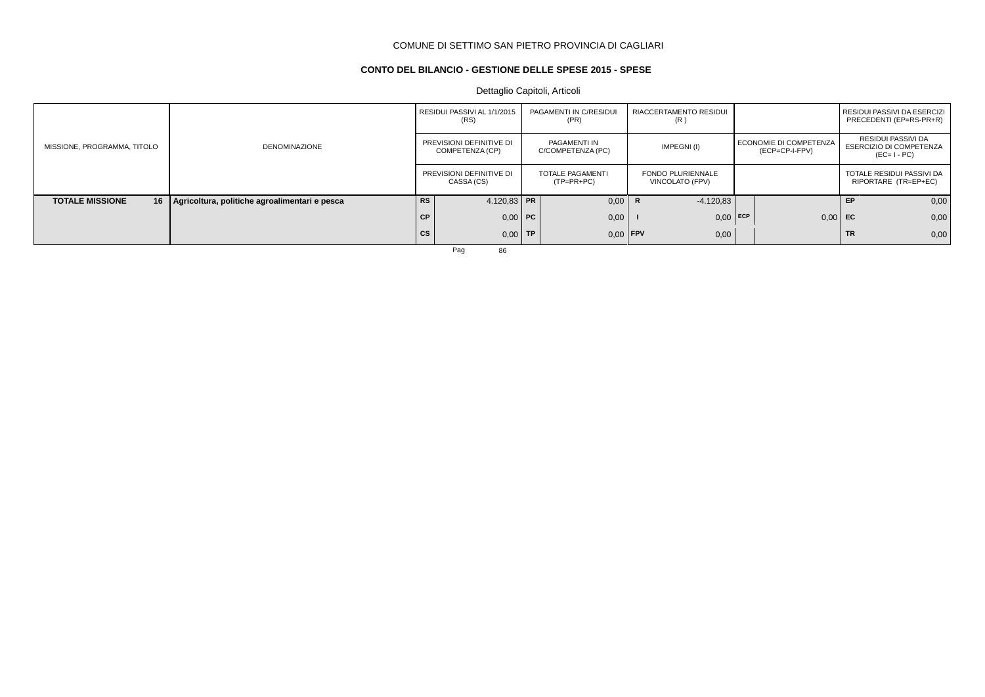# **CONTO DEL BILANCIO - GESTIONE DELLE SPESE 2015 - SPESE**

Dettaglio Capitoli, Articoli

|                             |                                                    |           | RESIDUI PASSIVI AL 1/1/2015<br>(RS)         | PAGAMENTI IN C/RESIDUI<br>(PR)    | RIACCERTAMENTO RESIDUI<br>(R)               |                                          |           | RESIDUI PASSIVI DA ESERCIZI<br>PRECEDENTI (EP=RS-PR+R)              |
|-----------------------------|----------------------------------------------------|-----------|---------------------------------------------|-----------------------------------|---------------------------------------------|------------------------------------------|-----------|---------------------------------------------------------------------|
| MISSIONE, PROGRAMMA, TITOLO | <b>DENOMINAZIONE</b>                               |           | PREVISIONI DEFINITIVE DI<br>COMPETENZA (CP) | PAGAMENTI IN<br>C/COMPETENZA (PC) | IMPEGNI(I)                                  | ECONOMIE DI COMPETENZA<br>(ECP=CP-I-FPV) |           | RESIDUI PASSIVI DA<br><b>ESERCIZIO DI COMPETENZA</b><br>$(EC=I-PC)$ |
|                             |                                                    |           | PREVISIONI DEFINITIVE DI<br>CASSA (CS)      | TOTALE PAGAMENTI<br>$(TP=PR+PC)$  | <b>FONDO PLURIENNALE</b><br>VINCOLATO (FPV) |                                          |           | TOTALE RESIDUI PASSIVI DA<br>RIPORTARE (TR=EP+EC)                   |
| <b>TOTALE MISSIONE</b>      | 16   Agricoltura, politiche agroalimentari e pesca | <b>RS</b> | 4.120.83 PR                                 | 0,00                              | $-4.120.83$                                 |                                          | EP        | 0,00                                                                |
|                             |                                                    | <b>CP</b> | $0,00$ PC                                   | 0,00                              | $0,00$ ECP                                  | $0,00$ EC                                |           | 0,00                                                                |
|                             |                                                    | cs        | $0.00$ TP                                   | $0.00$ FPV                        | 0,00                                        |                                          | <b>TR</b> | 0,00                                                                |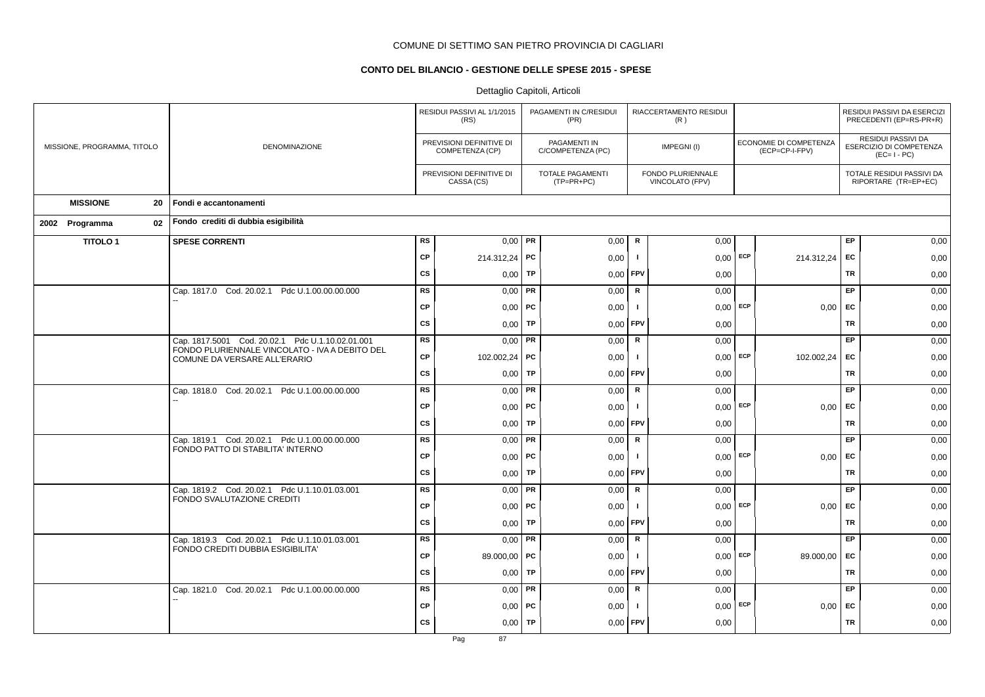# **CONTO DEL BILANCIO - GESTIONE DELLE SPESE 2015 - SPESE**

|                             |                                                                                                    |           | RESIDUI PASSIVI AL 1/1/2015<br>(RS)         |           | PAGAMENTI IN C/RESIDUI<br>(PR)    |                | RIACCERTAMENTO RESIDUI<br>(R)        |     |                                          |           | RESIDUI PASSIVI DA ESERCIZI<br>PRECEDENTI (EP=RS-PR+R)       |
|-----------------------------|----------------------------------------------------------------------------------------------------|-----------|---------------------------------------------|-----------|-----------------------------------|----------------|--------------------------------------|-----|------------------------------------------|-----------|--------------------------------------------------------------|
| MISSIONE, PROGRAMMA, TITOLO | <b>DENOMINAZIONE</b>                                                                               |           | PREVISIONI DEFINITIVE DI<br>COMPETENZA (CP) |           | PAGAMENTI IN<br>C/COMPETENZA (PC) |                | IMPEGNI(I)                           |     | ECONOMIE DI COMPETENZA<br>(ECP=CP-I-FPV) |           | RESIDUI PASSIVI DA<br>ESERCIZIO DI COMPETENZA<br>$(EC=I-PC)$ |
|                             |                                                                                                    |           | PREVISIONI DEFINITIVE DI<br>CASSA (CS)      |           | TOTALE PAGAMENTI<br>$(TP=PR+PC)$  |                | FONDO PLURIENNALE<br>VINCOLATO (FPV) |     |                                          |           | TOTALE RESIDUI PASSIVI DA<br>RIPORTARE (TR=EP+EC)            |
| <b>MISSIONE</b><br>20       | Fondi e accantonamenti                                                                             |           |                                             |           |                                   |                |                                      |     |                                          |           |                                                              |
| 02<br>2002 Programma        | Fondo crediti di dubbia esigibilità                                                                |           |                                             |           |                                   |                |                                      |     |                                          |           |                                                              |
| <b>TITOLO1</b>              | <b>SPESE CORRENTI</b>                                                                              | <b>RS</b> | $0,00$ PR                                   |           | 0,00                              | $\mathsf R$    | 0,00                                 |     |                                          | EP        | 0,00                                                         |
|                             |                                                                                                    | <b>CP</b> | 214.312,24 PC                               |           | 0,00                              | Τ.             | $0,00$ ECP                           |     | 214.312,24                               | EC        | 0,00                                                         |
|                             |                                                                                                    | <b>CS</b> | 0,00                                        | TP        | 0,00                              | FPV            | 0,00                                 |     |                                          | <b>TR</b> | 0,00                                                         |
|                             | Cap. 1817.0 Cod. 20.02.1 Pdc U.1.00.00.00.000                                                      | <b>RS</b> | $0,00$ PR                                   |           | 0,00                              | $\mathsf{R}$   | 0,00                                 |     |                                          | EP        | 0,00                                                         |
|                             |                                                                                                    | <b>CP</b> | $0,00$   PC                                 |           | 0,00                              | $\mathbf{I}$   | $0,00$ ECP                           |     | $0,00$ EC                                |           | 0,00                                                         |
|                             |                                                                                                    | <b>CS</b> | 0,00                                        | <b>TP</b> | 0,00                              | FPV            | 0,00                                 |     |                                          | <b>TR</b> | 0,00                                                         |
|                             | Cap. 1817.5001 Cod. 20.02.1 Pdc U.1.10.02.01.001<br>FONDO PLURIENNALE VINCOLATO - IVA A DEBITO DEL | <b>RS</b> | $0,00$ PR                                   |           | 0,00                              | $\mathsf{R}$   | 0,00                                 |     |                                          | EP        | 0,00                                                         |
|                             | COMUNE DA VERSARE ALL'ERARIO                                                                       | <b>CP</b> | 102.002,24 PC                               |           | 0,00                              | $\mathbf{I}$   | 0,00                                 | ECP | 102.002,24                               | EC        | 0,00                                                         |
|                             |                                                                                                    | <b>CS</b> | 0,00                                        | <b>TP</b> | 0,00                              | <b>FPV</b>     | 0,00                                 |     |                                          | <b>TR</b> | 0,00                                                         |
|                             | Cap. 1818.0 Cod. 20.02.1 Pdc U.1.00.00.00.000                                                      | <b>RS</b> | $0,00$ PR                                   |           | 0,00                              | ${\sf R}$      | 0,00                                 |     |                                          | EP        | 0,00                                                         |
|                             |                                                                                                    | <b>CP</b> | $0,00$   PC                                 |           | 0,00                              | -1             | $0,00$ ECP                           |     | $0,00$ EC                                |           | 0,00                                                         |
|                             |                                                                                                    | <b>CS</b> | 0,00                                        | <b>TP</b> | 0,00                              | FPV            | 0,00                                 |     |                                          | <b>TR</b> | 0,00                                                         |
|                             | Cap. 1819.1 Cod. 20.02.1 Pdc U.1.00.00.00.000<br>FONDO PATTO DI STABILITA' INTERNO                 | RS        | $0,00$ PR                                   |           | 0,00                              | $\mathsf R$    | 0,00                                 |     |                                          | EP        | 0,00                                                         |
|                             |                                                                                                    | <b>CP</b> | $0,00$   PC                                 |           | 0,00                              | $\mathbf{I}$   | $0.00$ ECP                           |     | $0,00$ EC                                |           | 0,00                                                         |
|                             |                                                                                                    | <b>CS</b> | 0,00                                        | TP        | 0,00                              | FPV            | 0,00                                 |     |                                          | <b>TR</b> | 0,00                                                         |
|                             | Cap. 1819.2 Cod. 20.02.1 Pdc U.1.10.01.03.001<br>FONDO SVALUTAZIONE CREDITI                        | RS        | $0,00$ PR                                   |           | 0,00                              | R              | 0,00                                 |     |                                          | EP        | 0,00                                                         |
|                             |                                                                                                    | <b>CP</b> | $0,00$   PC                                 |           | 0,00                              | $\blacksquare$ | $0,00$ ECP                           |     | 0,00                                     | <b>FC</b> | 0,00                                                         |
|                             |                                                                                                    | <b>CS</b> | 0,00                                        | TP        | 0,00                              | FPV            | 0,00                                 |     |                                          | <b>TR</b> | 0,00                                                         |
|                             | Cap. 1819.3 Cod. 20.02.1 Pdc U.1.10.01.03.001<br>FONDO CREDITI DUBBIA ESIGIBILITA'                 | RS        | $0,00$ PR                                   |           | 0,00                              | $\mathsf{R}$   | 0,00                                 |     |                                          | EP        | 0,00                                                         |
|                             |                                                                                                    | <b>CP</b> | 89.000,00 PC                                |           | 0,00                              | -1             | $0,00$ ECP                           |     | 89.000,00                                | EC        | 0,00                                                         |
|                             |                                                                                                    | <b>CS</b> | 0,00                                        | <b>TP</b> | 0,00                              | FPV            | 0,00                                 |     |                                          | <b>TR</b> | 0,00                                                         |
|                             | Cap. 1821.0 Cod. 20.02.1 Pdc U.1.00.00.00.000                                                      | <b>RS</b> | $0,00$ PR                                   |           | 0,00                              | $\mathsf R$    | 0,00                                 |     |                                          | EP        | 0,00                                                         |
|                             |                                                                                                    | <b>CP</b> | $0,00$   PC                                 |           | 0,00                              | - 1            | 0,00                                 | ECP | 0,00                                     | EC        | 0,00                                                         |
|                             |                                                                                                    | <b>CS</b> | 0,00                                        | TP        | 0,00                              | FPV            | 0,00                                 |     |                                          | <b>TR</b> | 0,00                                                         |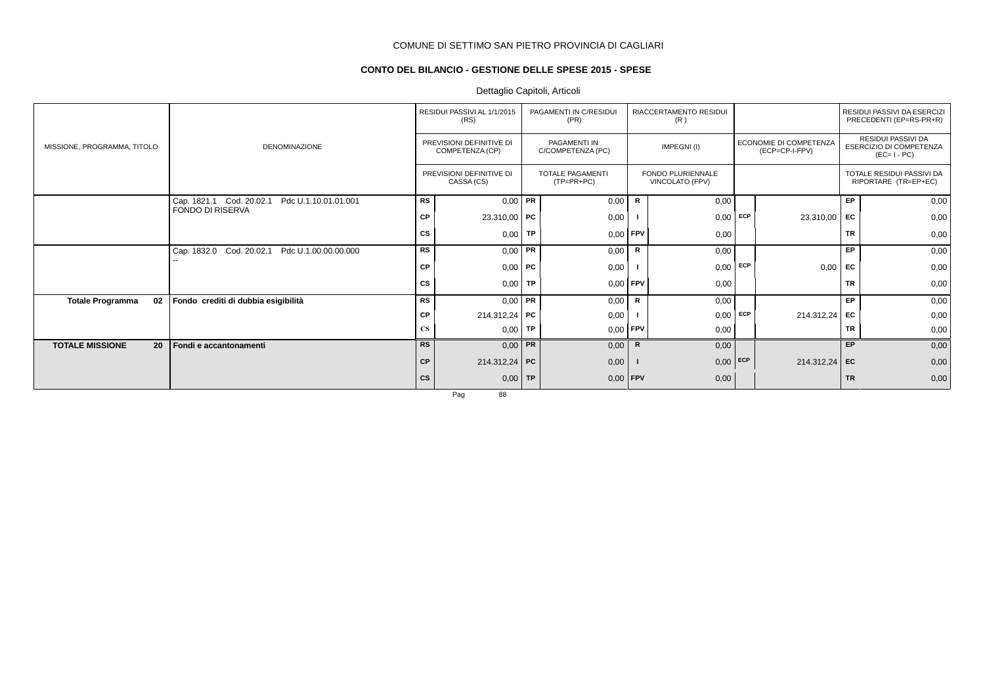# **CONTO DEL BILANCIO - GESTIONE DELLE SPESE 2015 - SPESE**

# Dettaglio Capitoli, Articoli

|                               |                                                     |                        | RESIDUI PASSIVI AL 1/1/2015<br>(RS)         |           | PAGAMENTI IN C/RESIDUI<br>(PR)          |                                             | RIACCERTAMENTO RESIDUI<br>(R) |                                                 |                 |                                                   | RESIDUI PASSIVI DA ESERCIZI<br>PRECEDENTI (EP=RS-PR+R)              |
|-------------------------------|-----------------------------------------------------|------------------------|---------------------------------------------|-----------|-----------------------------------------|---------------------------------------------|-------------------------------|-------------------------------------------------|-----------------|---------------------------------------------------|---------------------------------------------------------------------|
| MISSIONE, PROGRAMMA, TITOLO   | <b>DENOMINAZIONE</b>                                |                        | PREVISIONI DEFINITIVE DI<br>COMPETENZA (CP) |           | PAGAMENTI IN<br>C/COMPETENZA (PC)       |                                             | IMPEGNI(I)                    | <b>ECONOMIE DI COMPETENZA</b><br>(ECP=CP-I-FPV) |                 |                                                   | <b>RESIDUI PASSIVI DA</b><br>ESERCIZIO DI COMPETENZA<br>$(EC=I-PC)$ |
|                               |                                                     |                        | PREVISIONI DEFINITIVE DI<br>CASSA (CS)      |           | <b>TOTALE PAGAMENTI</b><br>$(TP=PR+PC)$ | <b>FONDO PLURIENNALE</b><br>VINCOLATO (FPV) |                               |                                                 |                 | TOTALE RESIDUI PASSIVI DA<br>RIPORTARE (TR=EP+EC) |                                                                     |
|                               | Cap. 1821.1 Cod. 20.02.1<br>Pdc U.1.10.01.01.001    | RS                     | $0,00$ PR                                   |           | 0,00                                    | $\mathsf{R}$                                | 0,00                          |                                                 |                 | <b>EP</b>                                         | 0,00                                                                |
|                               | FONDO DI RISERVA                                    | <b>CP</b>              | $23.310,00$ PC                              |           | 0,00                                    |                                             | 0,00                          | ECP                                             | 23.310,00       | EC                                                | 0,00                                                                |
|                               |                                                     | CS                     | $0,00$ TP                                   |           | $0,00$ FPV                              |                                             | 0,00                          |                                                 |                 | <b>TR</b>                                         | 0,00                                                                |
|                               | Cap. 1832.0<br>Cod. 20.02.1<br>Pdc U.1.00.00.00.000 | <b>RS</b>              | $0,00$ PR                                   |           | 0,00                                    | R                                           | 0,00                          |                                                 |                 | <b>EP</b>                                         | 0,00                                                                |
|                               |                                                     | СP                     | $0,00$ PC                                   |           | 0,00                                    |                                             | 0,00                          | <b>ECP</b>                                      | 0,00            | <b>FC</b>                                         | 0,00                                                                |
|                               |                                                     | <b>CS</b>              | $0,00$ TP                                   |           | $0,00$ FPV                              |                                             | 0,00                          |                                                 |                 | <b>TR</b>                                         | 0,00                                                                |
| <b>Totale Programma</b><br>02 | Fondo crediti di dubbia esigibilità                 | <b>RS</b>              | $0,00$ PR                                   |           | 0,00                                    | R                                           | 0,00                          |                                                 |                 | EP                                                | 0,00                                                                |
|                               |                                                     | СP                     | 214.312,24   PC                             |           | 0,00                                    |                                             | 0,00                          | <b>ECP</b>                                      | 214.312,24 EC   |                                                   | 0,00                                                                |
|                               |                                                     | $\mathbf{C}\mathbf{S}$ | 0,00                                        | <b>TP</b> | $0,00$ FPV                              |                                             | 0,00                          |                                                 |                 | <b>TR</b>                                         | 0,00                                                                |
| <b>TOTALE MISSIONE</b><br>20  | Fondi e accantonamenti                              | <b>RS</b>              | $0,00$ PR                                   |           | 0,00                                    | $\mathsf{R}$                                | 0,00                          |                                                 |                 | EP                                                | 0,00                                                                |
|                               |                                                     | <b>CP</b>              | 214.312,24 PC                               |           | 0,00                                    |                                             | 0,00                          | ECP                                             | $214.312,24$ EC |                                                   | 0,00                                                                |
|                               |                                                     | <b>CS</b>              | 0,00                                        | <b>TP</b> | $0,00$ FPV                              |                                             | 0,00                          |                                                 |                 | <b>TR</b>                                         | 0,00                                                                |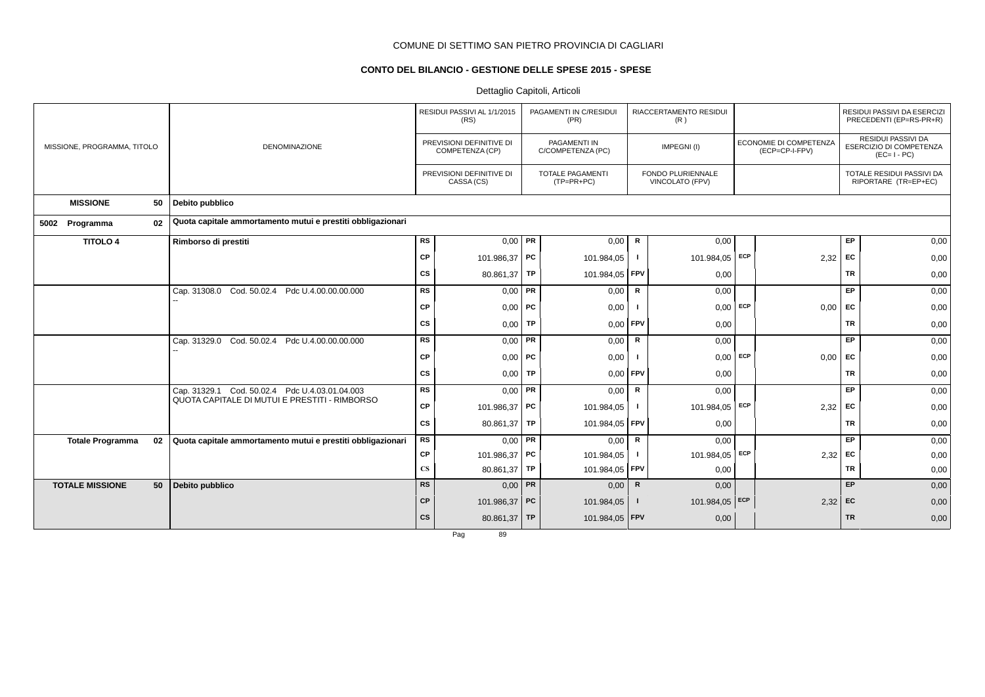# **CONTO DEL BILANCIO - GESTIONE DELLE SPESE 2015 - SPESE**

Dettaglio Capitoli, Articoli

|                               |                                                                                                 |                        | RESIDUI PASSIVI AL 1/1/2015<br>(RS)         |           | PAGAMENTI IN C/RESIDUI<br>(PR)          |              | RIACCERTAMENTO RESIDUI<br>(R)        |            |                                          |           | RESIDUI PASSIVI DA ESERCIZI<br>PRECEDENTI (EP=RS-PR+R)              |
|-------------------------------|-------------------------------------------------------------------------------------------------|------------------------|---------------------------------------------|-----------|-----------------------------------------|--------------|--------------------------------------|------------|------------------------------------------|-----------|---------------------------------------------------------------------|
| MISSIONE, PROGRAMMA, TITOLO   | <b>DENOMINAZIONE</b>                                                                            |                        | PREVISIONI DEFINITIVE DI<br>COMPETENZA (CP) |           | PAGAMENTI IN<br>C/COMPETENZA (PC)       |              | IMPEGNI(I)                           |            | ECONOMIE DI COMPETENZA<br>(ECP=CP-I-FPV) |           | <b>RESIDUI PASSIVI DA</b><br>ESERCIZIO DI COMPETENZA<br>$(EC=I-PC)$ |
|                               |                                                                                                 |                        | PREVISIONI DEFINITIVE DI<br>CASSA (CS)      |           | <b>TOTALE PAGAMENTI</b><br>$(TP=PR+PC)$ |              | FONDO PLURIENNALE<br>VINCOLATO (FPV) |            |                                          |           | TOTALE RESIDUI PASSIVI DA<br>RIPORTARE (TR=EP+EC)                   |
| <b>MISSIONE</b>               | 50   Debito pubblico                                                                            |                        |                                             |           |                                         |              |                                      |            |                                          |           |                                                                     |
| 02<br>5002 Programma          | Quota capitale ammortamento mutui e prestiti obbligazionari                                     |                        |                                             |           |                                         |              |                                      |            |                                          |           |                                                                     |
| <b>TITOLO 4</b>               | Rimborso di prestiti                                                                            | RS                     | 0,00                                        | PR        | 0,00                                    | R            | 0,00                                 |            |                                          | <b>EP</b> | 0,00                                                                |
|                               |                                                                                                 | CP                     | 101.986,37 PC                               |           | 101.984,05                              |              | 101.984,05                           | <b>ECP</b> | 2,32                                     | EC        | 0,00                                                                |
|                               |                                                                                                 | <b>CS</b>              | 80.861,37                                   | <b>TP</b> | 101.984,05                              | FPV          | 0,00                                 |            |                                          | <b>TR</b> | 0,00                                                                |
|                               | Cap. 31308.0 Cod. 50.02.4 Pdc U.4.00.00.00.000                                                  | <b>RS</b>              | $0,00$ PR                                   |           | 0,00                                    | R            | 0,00                                 |            |                                          | EP        | 0,00                                                                |
|                               |                                                                                                 | <b>CP</b>              | 0,00                                        | PC        | 0,00                                    |              | 0,00                                 | ECP        | 0,00                                     | EC        | 0,00                                                                |
|                               |                                                                                                 | cs                     | 0,00                                        | TP        | 0,00                                    | <b>FPV</b>   | 0,00                                 |            |                                          | <b>TR</b> | 0,00                                                                |
|                               | Pdc U.4.00.00.00.000<br>Cod. 50.02.4<br>Cap. 31329.0                                            | <b>RS</b>              | $0,00$ PR                                   |           | 0,00                                    | $\mathsf{R}$ | 0,00                                 |            |                                          | <b>EP</b> | 0,00                                                                |
|                               |                                                                                                 | CP                     | $0,00$ PC                                   |           | 0,00                                    |              | 0,00                                 | ECP        | 0,00                                     | EC        | 0,00                                                                |
|                               |                                                                                                 | cs                     | 0,00                                        | <b>TP</b> | 0,00                                    | <b>FPV</b>   | 0,00                                 |            |                                          | <b>TR</b> | 0,00                                                                |
|                               | Cap. 31329.1 Cod. 50.02.4 Pdc U.4.03.01.04.003<br>QUOTA CAPITALE DI MUTUI E PRESTITI - RIMBORSO | <b>RS</b>              | $0.00$ PR                                   |           | 0,00                                    | $\mathsf{R}$ | 0,00                                 |            |                                          | EP        | 0,00                                                                |
|                               |                                                                                                 | CP                     | 101.986,37 PC                               |           | 101.984,05                              |              | 101.984,05 ECP                       |            | 2,32                                     | <b>FC</b> | 0,00                                                                |
|                               |                                                                                                 | CS                     | 80.861,37                                   | <b>TP</b> | 101.984,05                              | <b>FPV</b>   | 0,00                                 |            |                                          | <b>TR</b> | 0,00                                                                |
| <b>Totale Programma</b><br>02 | Quota capitale ammortamento mutui e prestiti obbligazionari                                     | <b>RS</b>              | $0,00$ PR                                   |           | 0,00                                    | $\mathsf{R}$ | 0,00                                 |            |                                          | <b>EP</b> | 0,00                                                                |
|                               |                                                                                                 | CP                     | 101.986,37 PC                               |           | 101.984,05                              |              | 101.984,05 ECP                       |            | 2,32                                     | EC        | 0,00                                                                |
|                               |                                                                                                 | $\mathbf{C}\mathbf{S}$ | 80.861,37 TP                                |           | 101.984,05                              | FPV          | 0,00                                 |            |                                          | <b>TR</b> | 0,00                                                                |
| <b>TOTALE MISSIONE</b><br>50  | Debito pubblico                                                                                 | <b>RS</b>              | $0,00$ PR                                   |           | 0,00                                    | $\mathbb{R}$ | 0,00                                 |            |                                          | <b>EP</b> | 0,00                                                                |
|                               |                                                                                                 | CP                     | 101.986,37 PC                               |           | 101.984,05                              |              | 101.984,05 ECP                       |            | 2,32                                     | EC        | 0,00                                                                |
|                               |                                                                                                 | cs                     | 80.861,37 TP                                |           | 101.984,05   FPV                        |              | 0,00                                 |            |                                          | <b>TR</b> | 0,00                                                                |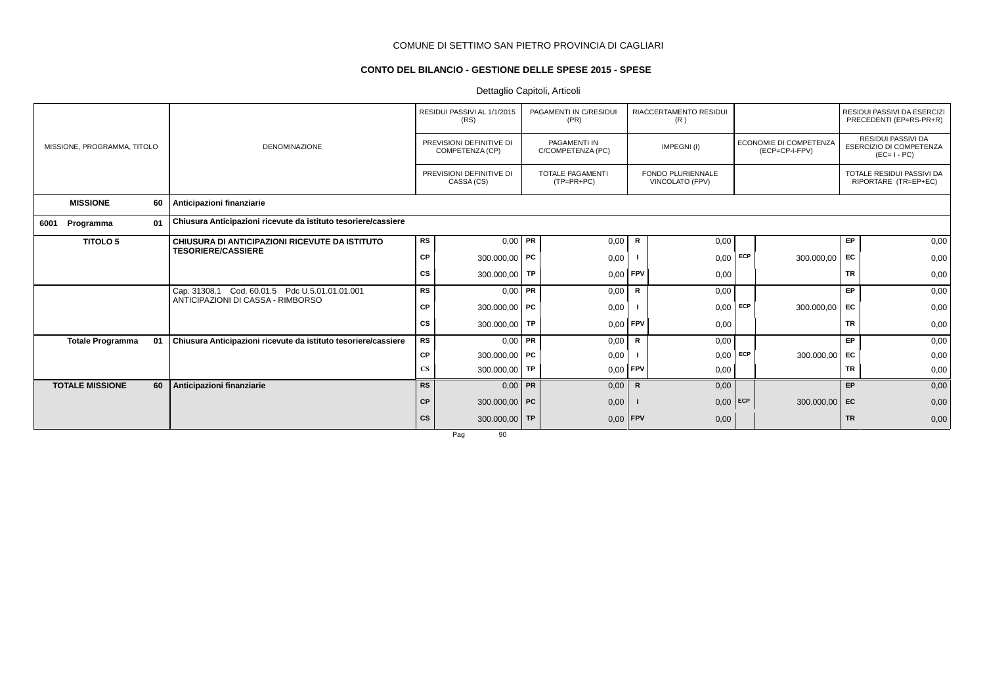# **CONTO DEL BILANCIO - GESTIONE DELLE SPESE 2015 - SPESE**

Dettaglio Capitoli, Articoli

|                             |  |    |                                                                |           | RESIDUI PASSIVI AL 1/1/2015<br>(RS)                                                    |  | PAGAMENTI IN C/RESIDUI<br>(PR)           |              | <b>RIACCERTAMENTO RESIDUI</b><br>(R) |                                                   |            |                                                                            | RESIDUI PASSIVI DA ESERCIZI<br>PRECEDENTI (EP=RS-PR+R) |
|-----------------------------|--|----|----------------------------------------------------------------|-----------|----------------------------------------------------------------------------------------|--|------------------------------------------|--------------|--------------------------------------|---------------------------------------------------|------------|----------------------------------------------------------------------------|--------------------------------------------------------|
| MISSIONE, PROGRAMMA, TITOLO |  |    | <b>DENOMINAZIONE</b>                                           |           | PREVISIONI DEFINITIVE DI<br>COMPETENZA (CP)                                            |  | <b>PAGAMENTI IN</b><br>C/COMPETENZA (PC) |              | IMPEGNI(I)                           | ECONOMIE DI COMPETENZA<br>(ECP=CP-I-FPV)          |            | <b>RESIDUI PASSIVI DA</b><br><b>ESERCIZIO DI COMPETENZA</b><br>$(EC=I-PC)$ |                                                        |
|                             |  |    | PREVISIONI DEFINITIVE DI<br>CASSA (CS)                         |           | <b>TOTALE PAGAMENTI</b><br><b>FONDO PLURIENNALE</b><br>$(TP=PR+PC)$<br>VINCOLATO (FPV) |  |                                          |              |                                      | TOTALE RESIDUI PASSIVI DA<br>RIPORTARE (TR=EP+EC) |            |                                                                            |                                                        |
| <b>MISSIONE</b>             |  | 60 | Anticipazioni finanziarie                                      |           |                                                                                        |  |                                          |              |                                      |                                                   |            |                                                                            |                                                        |
| Programma<br>6001           |  | 01 | Chiusura Anticipazioni ricevute da istituto tesoriere/cassiere |           |                                                                                        |  |                                          |              |                                      |                                                   |            |                                                                            |                                                        |
| <b>TITOLO 5</b>             |  |    | CHIUSURA DI ANTICIPAZIONI RICEVUTE DA ISTITUTO                 | <b>RS</b> | $0,00$ PR                                                                              |  | 0,00                                     | R            | 0,00                                 |                                                   |            | EP                                                                         | 0,00                                                   |
|                             |  |    | <b>TESORIERE/CASSIERE</b>                                      | <b>CP</b> | 300.000,00   PC                                                                        |  | 0,00                                     |              | 0,00                                 | ECP                                               | 300.000,00 | <b>FC</b>                                                                  | 0,00                                                   |
|                             |  |    |                                                                | <b>CS</b> | 300.000,00   TP                                                                        |  | 0,00                                     | FPV          | 0,00                                 |                                                   |            | <b>TR</b>                                                                  | 0,00                                                   |
|                             |  |    | Cap. 31308.1 Cod. 60.01.5 Pdc U.5.01.01.01.001                 | <b>RS</b> | $0,00$ PR                                                                              |  | 0,00                                     | $\mathsf{R}$ | 0,00                                 |                                                   |            | <b>EP</b>                                                                  | 0,00                                                   |
|                             |  |    | ANTICIPAZIONI DI CASSA - RIMBORSO                              | <b>CP</b> | 300.000,00 PC                                                                          |  | 0,00                                     |              | 0,00                                 | ECP                                               | 300.000,00 | EC                                                                         | 0,00                                                   |
|                             |  |    |                                                                | CS        | 300.000,00   TP                                                                        |  | 0,00                                     | FPV          | 0,00                                 |                                                   |            | <b>TR</b>                                                                  | 0,00                                                   |
| <b>Totale Programma</b>     |  | 01 | Chiusura Anticipazioni ricevute da istituto tesoriere/cassiere | <b>RS</b> | $0,00$ PR                                                                              |  | 0,00                                     | R            | 0,00                                 |                                                   |            | EP                                                                         | 0,00                                                   |
|                             |  |    |                                                                | <b>CP</b> | 300.000,00 PC                                                                          |  | 0,00                                     |              | 0,00                                 | ECP                                               | 300.000,00 | <b>FC</b>                                                                  | 0,00                                                   |
|                             |  |    |                                                                | <b>CS</b> | 300.000,00   TP                                                                        |  | 0,00                                     | FPV          | 0,00                                 |                                                   |            | <b>TR</b>                                                                  | 0,00                                                   |
| <b>TOTALE MISSIONE</b>      |  | 60 | Anticipazioni finanziarie                                      | <b>RS</b> | $0,00$ PR                                                                              |  | 0,00                                     | $\mathbf R$  | 0,00                                 |                                                   |            | EP                                                                         | 0,00                                                   |
|                             |  |    |                                                                | <b>CP</b> | 300.000,00 PC                                                                          |  | 0,00                                     |              | $0,00$ ECP                           |                                                   | 300.000,00 | EC                                                                         | 0,00                                                   |
|                             |  |    |                                                                | <b>CS</b> | 300.000,00 TP                                                                          |  | 0,00                                     | <b>FPV</b>   | 0,00                                 |                                                   |            | <b>TR</b>                                                                  | 0,00                                                   |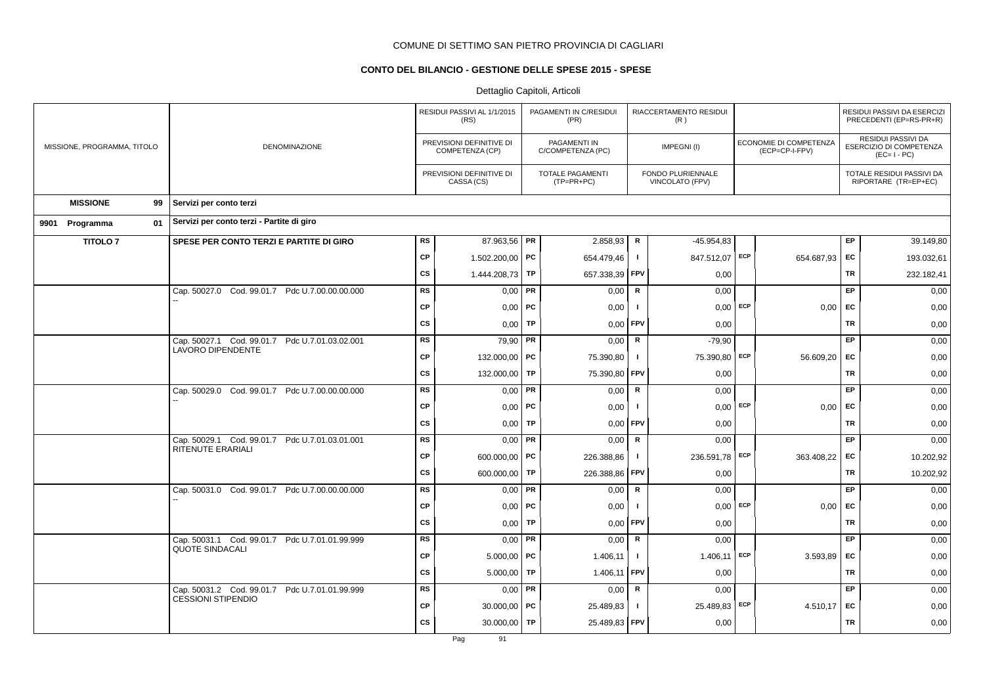# **CONTO DEL BILANCIO - GESTIONE DELLE SPESE 2015 - SPESE**

|                             |                                                                             |           | RESIDUI PASSIVI AL 1/1/2015<br>(RS)         |           | PAGAMENTI IN C/RESIDUI<br>(PR)          |              | RIACCERTAMENTO RESIDUI<br>(R)        |     |                                          | RESIDUI PASSIVI DA ESERCIZI<br>PRECEDENTI (EP=RS-PR+R) |                                                              |  |  |
|-----------------------------|-----------------------------------------------------------------------------|-----------|---------------------------------------------|-----------|-----------------------------------------|--------------|--------------------------------------|-----|------------------------------------------|--------------------------------------------------------|--------------------------------------------------------------|--|--|
| MISSIONE, PROGRAMMA, TITOLO | DENOMINAZIONE                                                               |           | PREVISIONI DEFINITIVE DI<br>COMPETENZA (CP) |           | PAGAMENTI IN<br>C/COMPETENZA (PC)       |              | IMPEGNI(I)                           |     | ECONOMIE DI COMPETENZA<br>(ECP=CP-I-FPV) |                                                        | RESIDUI PASSIVI DA<br>ESERCIZIO DI COMPETENZA<br>$(EC=I-PC)$ |  |  |
|                             |                                                                             |           | PREVISIONI DEFINITIVE DI<br>CASSA (CS)      |           | <b>TOTALE PAGAMENTI</b><br>$(TP=PR+PC)$ |              | FONDO PLURIENNALE<br>VINCOLATO (FPV) |     |                                          |                                                        | TOTALE RESIDUI PASSIVI DA<br>RIPORTARE (TR=EP+EC)            |  |  |
| <b>MISSIONE</b><br>99       | Servizi per conto terzi                                                     |           |                                             |           |                                         |              |                                      |     |                                          |                                                        |                                                              |  |  |
| 01<br>9901 Programma        | Servizi per conto terzi - Partite di giro                                   |           |                                             |           |                                         |              |                                      |     |                                          |                                                        |                                                              |  |  |
| <b>TITOLO 7</b>             | SPESE PER CONTO TERZI E PARTITE DI GIRO                                     | <b>RS</b> | 87.963,56 PR                                |           | 2.858,93                                | ${\sf R}$    | $-45.954.83$                         |     |                                          | EP.                                                    | 39.149,80                                                    |  |  |
|                             |                                                                             | <b>CP</b> | 1.502.200,00 PC                             |           | 654.479,46                              | $\mathbf{I}$ | 847.512,07 ECP                       |     | 654.687,93 EC                            |                                                        | 193.032,61                                                   |  |  |
|                             |                                                                             | <b>CS</b> | 1.444.208,73 TP                             |           | 657.338,39                              | FPV          | 0,00                                 |     |                                          | TR                                                     | 232.182,41                                                   |  |  |
|                             | Cap. 50027.0 Cod. 99.01.7 Pdc U.7.00.00.00.000                              | <b>RS</b> | $0,00$ PR                                   |           | 0,00                                    | $\mathsf{R}$ | 0,00                                 |     |                                          | EP.                                                    | 0,00                                                         |  |  |
|                             |                                                                             | <b>CP</b> | $0,00$ PC                                   |           | 0,00                                    | $\mathbf{I}$ | $0,00$ ECP                           |     | $0,00$ EC                                |                                                        | 0,00                                                         |  |  |
|                             |                                                                             | <b>CS</b> | 0,00                                        | <b>TP</b> | 0,00                                    | FPV          | 0,00                                 |     |                                          | <b>TR</b>                                              | 0,00                                                         |  |  |
|                             | Cap. 50027.1 Cod. 99.01.7 Pdc U.7.01.03.02.001<br>LAVORO DIPENDENTE         | <b>RS</b> | $79,90$ PR                                  |           | 0,00                                    | ${\sf R}$    | $-79,90$                             |     |                                          | EP.                                                    | 0,00                                                         |  |  |
|                             |                                                                             | <b>CP</b> | 132.000,00 PC                               |           | 75.390,80                               | $\mathbf{I}$ | 75.390,80                            | ECP | 56.609,20                                | EC                                                     | 0,00                                                         |  |  |
|                             |                                                                             | <b>CS</b> | 132.000,00                                  | TP        | 75.390,80                               | <b>FPV</b>   | 0,00                                 |     |                                          | <b>TR</b>                                              | 0,00                                                         |  |  |
|                             | Cap. 50029.0 Cod. 99.01.7 Pdc U.7.00.00.00.000                              | <b>RS</b> | $0,00$ PR                                   |           | 0,00                                    | ${\sf R}$    | 0,00                                 |     |                                          | EP                                                     | 0,00                                                         |  |  |
|                             |                                                                             | <b>CP</b> | $0,00$   PC                                 |           | 0,00                                    | -1           | 0,00                                 | ECP | $0,00$ EC                                |                                                        | 0,00                                                         |  |  |
|                             |                                                                             | <b>CS</b> | 0,00                                        | TP        | 0,00                                    | FPV          | 0,00                                 |     |                                          | <b>TR</b>                                              | 0,00                                                         |  |  |
|                             | Cap. 50029.1 Cod. 99.01.7 Pdc U.7.01.03.01.001<br><b>RITENUTE ERARIALI</b>  | <b>RS</b> | $0,00$ PR                                   |           | 0,00                                    | ${\sf R}$    | 0,00                                 |     |                                          | EP                                                     | 0,00                                                         |  |  |
|                             |                                                                             | <b>CP</b> | 600.000,00   PC                             |           | 226.388,86                              | $\mathbf{I}$ | 236.591,78 ECP                       |     | 363.408,22 EC                            |                                                        | 10.202,92                                                    |  |  |
|                             |                                                                             | <b>CS</b> | 600.000,00                                  | TP        | 226.388,86                              | FPV          | 0,00                                 |     |                                          | <b>TR</b>                                              | 10.202,92                                                    |  |  |
|                             | Cap. 50031.0 Cod. 99.01.7 Pdc U.7.00.00.00.000                              | <b>RS</b> | $0,00$ PR                                   |           | 0,00                                    | $\mathbf R$  | 0,00                                 |     |                                          | EP                                                     | 0,00                                                         |  |  |
|                             |                                                                             | <b>CP</b> | $0,00$   PC                                 |           | 0,00                                    | $\mathbf{I}$ | 0,00                                 | ECP | $0,00$ EC                                |                                                        | 0,00                                                         |  |  |
|                             |                                                                             | <b>CS</b> | 0,00                                        | <b>TP</b> | 0,00                                    | FPV          | 0,00                                 |     |                                          | <b>TR</b>                                              | 0,00                                                         |  |  |
|                             | Cap. 50031.1 Cod. 99.01.7 Pdc U.7.01.01.99.999<br><b>QUOTE SINDACALI</b>    | RS        | $0,00$ PR                                   |           | 0,00                                    | $\mathbf R$  | 0,00                                 |     |                                          | <b>EP</b>                                              | 0,00                                                         |  |  |
|                             |                                                                             | <b>CP</b> | $5.000,00$ PC                               |           | 1.406,11                                | $\mathbf{I}$ | 1.406,11                             | ECP | 3.593,89                                 | EC                                                     | 0,00                                                         |  |  |
|                             |                                                                             | <b>CS</b> | $5.000,00$ TP                               |           | 1.406,11                                | <b>FPV</b>   | 0,00                                 |     |                                          | <b>TR</b>                                              | 0,00                                                         |  |  |
|                             | Cap. 50031.2 Cod. 99.01.7 Pdc U.7.01.01.99.999<br><b>CESSIONI STIPENDIO</b> | RS        | $0,00$ PR                                   |           | 0,00                                    | R            | 0,00                                 |     |                                          | EP                                                     | 0,00                                                         |  |  |
|                             |                                                                             | <b>CP</b> | $30.000,00$ PC                              |           | 25.489,83                               | $\mathbf{I}$ | 25.489,83                            | ECP | 4.510,17                                 | <b>EC</b>                                              | 0,00                                                         |  |  |
|                             |                                                                             | <b>CS</b> | 30.000,00                                   | TP        | 25.489,83 FPV                           |              | 0,00                                 |     |                                          | <b>TR</b>                                              | 0,00                                                         |  |  |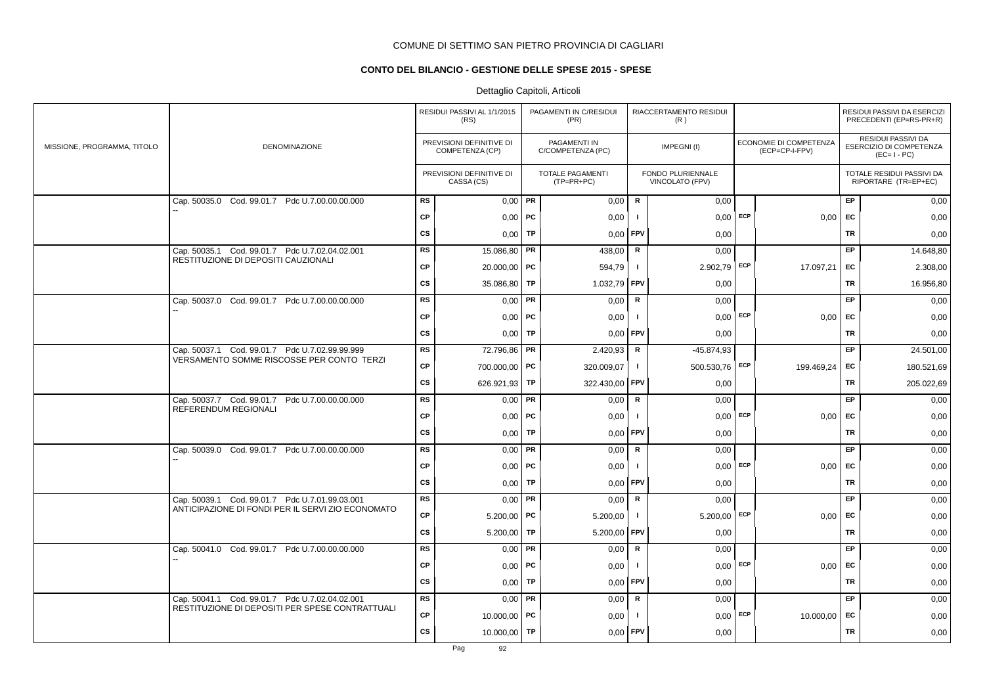# **CONTO DEL BILANCIO - GESTIONE DELLE SPESE 2015 - SPESE**

|                             |                                                                                                   |           | RESIDUI PASSIVI AL 1/1/2015<br>(RS)         |    | PAGAMENTI IN C/RESIDUI<br>(PR)    |              | RIACCERTAMENTO RESIDUI<br>(R)        |                                          |            |           | RESIDUI PASSIVI DA ESERCIZI<br>PRECEDENTI (EP=RS-PR+R)       |
|-----------------------------|---------------------------------------------------------------------------------------------------|-----------|---------------------------------------------|----|-----------------------------------|--------------|--------------------------------------|------------------------------------------|------------|-----------|--------------------------------------------------------------|
| MISSIONE, PROGRAMMA, TITOLO | DENOMINAZIONE                                                                                     |           | PREVISIONI DEFINITIVE DI<br>COMPETENZA (CP) |    | PAGAMENTI IN<br>C/COMPETENZA (PC) |              | IMPEGNI(I)                           | ECONOMIE DI COMPETENZA<br>(ECP=CP-I-FPV) |            |           | RESIDUI PASSIVI DA<br>ESERCIZIO DI COMPETENZA<br>$(EC=I-PC)$ |
|                             |                                                                                                   |           | PREVISIONI DEFINITIVE DI<br>CASSA (CS)      |    | TOTALE PAGAMENTI<br>(TP=PR+PC)    |              | FONDO PLURIENNALE<br>VINCOLATO (FPV) |                                          |            |           | TOTALE RESIDUI PASSIVI DA<br>RIPORTARE (TR=EP+EC)            |
|                             | Cap. 50035.0 Cod. 99.01.7 Pdc U.7.00.00.00.000                                                    | <b>RS</b> | $0,00$ PR                                   |    | 0,00                              | R            | 0,00                                 |                                          |            | <b>EP</b> | 0,00                                                         |
|                             |                                                                                                   | <b>CP</b> | $0,00$   PC                                 |    | 0,00                              | $\mathbf{I}$ | $0,00$ ECP                           |                                          | 0,00       | EC        | 0,00                                                         |
|                             |                                                                                                   | <b>CS</b> | 0,00                                        | TP | 0,00                              | <b>FPV</b>   | 0,00                                 |                                          |            | TR        | 0,00                                                         |
|                             | Cap. 50035.1 Cod. 99.01.7 Pdc U.7.02.04.02.001                                                    | RS        | 15.086,80 PR                                |    | 438,00                            | R            | 0,00                                 |                                          |            | EP        | 14.648,80                                                    |
|                             | RESTITUZIONE DI DEPOSITI CAUZIONALI                                                               | <b>CP</b> | $20.000,00$ PC                              |    | 594,79                            | $\mathbf{I}$ | 2.902,79 ECP                         |                                          | 17.097,21  | EC        | 2.308,00                                                     |
|                             |                                                                                                   | <b>CS</b> | 35.086,80 TP                                |    | 1.032,79 FPV                      |              | 0,00                                 |                                          |            | TR        | 16.956,80                                                    |
|                             | Cap. 50037.0 Cod. 99.01.7 Pdc U.7.00.00.00.000                                                    | <b>RS</b> | $0,00$ PR                                   |    | 0,00                              | R            | 0,00                                 |                                          |            | <b>EP</b> | 0,00                                                         |
|                             |                                                                                                   | <b>CP</b> | $0,00$   PC                                 |    | 0,00                              | $\mathbf{I}$ | $0,00$ ECP                           |                                          | $0,00$ EC  |           | 0,00                                                         |
|                             |                                                                                                   | <b>CS</b> | $0,00$ TP                                   |    | 0,00                              | <b>FPV</b>   | 0,00                                 |                                          |            | TR        | 0,00                                                         |
|                             | Cap. 50037.1 Cod. 99.01.7 Pdc U.7.02.99.99.999                                                    | RS        | 72.796,86   PR                              |    | 2.420,93                          | R            | $-45.874.93$                         |                                          |            | <b>EP</b> | 24.501,00                                                    |
|                             | VERSAMENTO SOMME RISCOSSE PER CONTO TERZI                                                         | <b>CP</b> | 700.000,00 PC                               |    | 320.009,07                        | $\mathbf{I}$ | 500.530,76 ECP                       |                                          | 199.469,24 | EC        | 180.521,69                                                   |
|                             |                                                                                                   | CS        | 626.921,93   TP                             |    | 322.430,00 FPV                    |              | 0,00                                 |                                          |            | TR        | 205.022,69                                                   |
|                             | Cap. 50037.7 Cod. 99.01.7 Pdc U.7.00.00.00.000                                                    | <b>RS</b> | $0,00$ PR                                   |    | 0,00                              | $\mathsf R$  | 0,00                                 |                                          |            | EP        | 0,00                                                         |
|                             | REFERENDUM REGIONALI                                                                              | <b>CP</b> | 0,00                                        | PC | 0,00                              | $\mathbf{I}$ | 0,00                                 | ECP                                      | 0,00       | EC        | 0,00                                                         |
|                             |                                                                                                   | <b>CS</b> | 0,00                                        | TP | 0,00                              | FPV          | 0,00                                 |                                          |            | TR        | 0,00                                                         |
|                             | Cap. 50039.0 Cod. 99.01.7 Pdc U.7.00.00.00.000                                                    | <b>RS</b> | $0,00$   PR                                 |    | 0,00                              | R            | 0,00                                 |                                          |            | <b>EP</b> | 0,00                                                         |
|                             |                                                                                                   | <b>CP</b> | $0,00$   PC                                 |    | 0,00                              | $\mathbf{I}$ |                                      | $0,00$ ECP                               | 0,00       | EC        | 0,00                                                         |
|                             |                                                                                                   | <b>CS</b> | $0,00$ TP                                   |    | 0,00                              | <b>FPV</b>   | 0,00                                 |                                          |            | TR        | 0,00                                                         |
|                             | Cap. 50039.1 Cod. 99.01.7 Pdc U.7.01.99.03.001                                                    | <b>RS</b> | $0,00$ PR                                   |    | 0,00                              | R            | 0,00                                 |                                          |            | <b>EP</b> | 0,00                                                         |
|                             | ANTICIPAZIONE DI FONDI PER IL SERVI ZIO ECONOMATO                                                 | <b>CP</b> | 5.200,00   PC                               |    | 5.200,00                          | $\mathbf{I}$ | $5.200,00$ ECP                       |                                          | $0,00$ EC  |           | 0,00                                                         |
|                             |                                                                                                   | <b>CS</b> | 5.200,00   TP                               |    | 5.200,00                          | <b>FPV</b>   | 0,00                                 |                                          |            | TR        | 0,00                                                         |
|                             | Cap. 50041.0 Cod. 99.01.7 Pdc U.7.00.00.00.000                                                    | <b>RS</b> | $0,00$ PR                                   |    | 0,00                              | $\mathbf R$  | 0,00                                 |                                          |            | EP        | 0,00                                                         |
|                             |                                                                                                   | <b>CP</b> | $0,00$   PC                                 |    | 0,00                              | $\mathbf{I}$ |                                      | $0,00$ ECP                               | 0,00       | EC        | 0,00                                                         |
|                             |                                                                                                   | <b>CS</b> | 0,00                                        | TP | 0,00                              | <b>FPV</b>   | 0,00                                 |                                          |            | TR        | 0,00                                                         |
|                             | Cap. 50041.1 Cod. 99.01.7 Pdc U.7.02.04.02.001<br>RESTITUZIONE DI DEPOSITI PER SPESE CONTRATTUALI | <b>RS</b> | $0,00$ PR                                   |    | 0,00                              | R            | 0,00                                 |                                          |            | EP        | 0,00                                                         |
|                             |                                                                                                   | <b>CP</b> | 10.000,00   PC                              |    | 0,00                              | -1           | $0,00$ ECP                           |                                          | 10.000,00  | EC        | 0,00                                                         |
|                             |                                                                                                   | CS        | 10.000,00                                   | TP | 0,00                              | <b>FPV</b>   | 0,00                                 |                                          |            | TR        | 0,00                                                         |